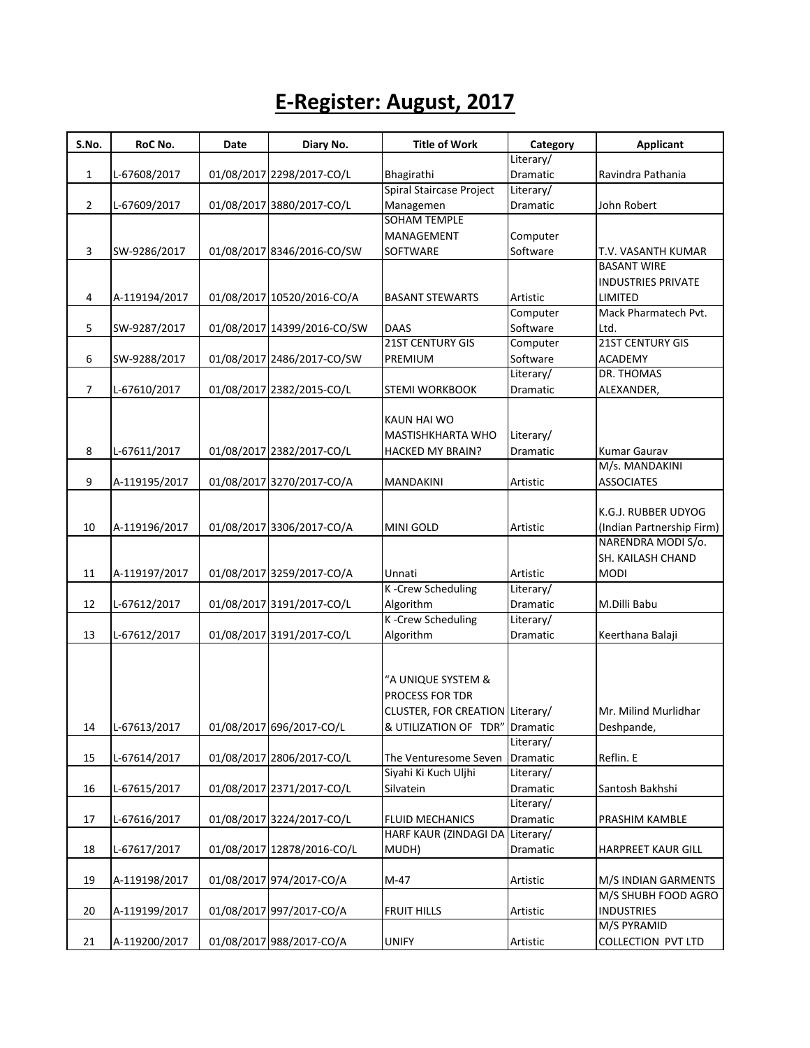## **E-Register: August, 2017**

| S.No.          | RoC No.       | Date | Diary No.                   | <b>Title of Work</b>            | Category  | <b>Applicant</b>          |
|----------------|---------------|------|-----------------------------|---------------------------------|-----------|---------------------------|
|                |               |      |                             |                                 | Literary/ |                           |
| $\mathbf{1}$   | L-67608/2017  |      | 01/08/2017 2298/2017-CO/L   | Bhagirathi                      | Dramatic  | Ravindra Pathania         |
|                |               |      |                             | Spiral Staircase Project        | Literary/ |                           |
| $\overline{2}$ | L-67609/2017  |      | 01/08/2017 3880/2017-CO/L   | Managemen                       | Dramatic  | John Robert               |
|                |               |      |                             | <b>SOHAM TEMPLE</b>             |           |                           |
|                |               |      |                             | MANAGEMENT                      | Computer  |                           |
| 3              | SW-9286/2017  |      | 01/08/2017 8346/2016-CO/SW  | SOFTWARE                        | Software  | T.V. VASANTH KUMAR        |
|                |               |      |                             |                                 |           | <b>BASANT WIRE</b>        |
|                |               |      |                             |                                 |           | <b>INDUSTRIES PRIVATE</b> |
| 4              | A-119194/2017 |      | 01/08/2017 10520/2016-CO/A  | <b>BASANT STEWARTS</b>          | Artistic  | LIMITED                   |
|                |               |      |                             |                                 | Computer  | Mack Pharmatech Pvt.      |
| 5              | SW-9287/2017  |      | 01/08/2017 14399/2016-CO/SW | <b>DAAS</b>                     | Software  | Ltd.                      |
|                |               |      |                             | 21ST CENTURY GIS                | Computer  | <b>21ST CENTURY GIS</b>   |
| 6              | SW-9288/2017  |      | 01/08/2017 2486/2017-CO/SW  | PREMIUM                         | Software  | <b>ACADEMY</b>            |
|                |               |      |                             |                                 | Literary/ | DR. THOMAS                |
| 7              | L-67610/2017  |      | 01/08/2017 2382/2015-CO/L   | <b>STEMI WORKBOOK</b>           | Dramatic  | ALEXANDER,                |
|                |               |      |                             |                                 |           |                           |
|                |               |      |                             | KAUN HAI WO                     |           |                           |
|                |               |      |                             | MASTISHKHARTA WHO               | Literary/ |                           |
| 8              | L-67611/2017  |      | 01/08/2017 2382/2017-CO/L   | HACKED MY BRAIN?                | Dramatic  | <b>Kumar Gaurav</b>       |
|                |               |      |                             |                                 |           | M/s. MANDAKINI            |
| 9              | A-119195/2017 |      | 01/08/2017 3270/2017-CO/A   | MANDAKINI                       | Artistic  | <b>ASSOCIATES</b>         |
|                |               |      |                             |                                 |           |                           |
|                |               |      |                             |                                 |           | K.G.J. RUBBER UDYOG       |
| 10             | A-119196/2017 |      | 01/08/2017 3306/2017-CO/A   | MINI GOLD                       | Artistic  | (Indian Partnership Firm) |
|                |               |      |                             |                                 |           | NARENDRA MODI S/o.        |
|                |               |      |                             |                                 |           | SH. KAILASH CHAND         |
| 11             | A-119197/2017 |      | 01/08/2017 3259/2017-CO/A   | Unnati                          | Artistic  | <b>MODI</b>               |
|                |               |      |                             | K-Crew Scheduling               | Literary/ |                           |
| 12             | L-67612/2017  |      | 01/08/2017 3191/2017-CO/L   | Algorithm                       | Dramatic  | M.Dilli Babu              |
|                |               |      |                             | K-Crew Scheduling               | Literary/ |                           |
| 13             | L-67612/2017  |      | 01/08/2017 3191/2017-CO/L   | Algorithm                       | Dramatic  | Keerthana Balaji          |
|                |               |      |                             |                                 |           |                           |
|                |               |      |                             |                                 |           |                           |
|                |               |      |                             | "A UNIQUE SYSTEM &              |           |                           |
|                |               |      |                             | PROCESS FOR TDR                 |           |                           |
|                |               |      |                             | CLUSTER, FOR CREATION Literary/ |           | Mr. Milind Murlidhar      |
| 14             | L-67613/2017  |      | 01/08/2017 696/2017-CO/L    | & UTILIZATION OF TDR"           | Dramatic  | Deshpande,                |
|                |               |      |                             |                                 | Literary/ |                           |
| 15             | L-67614/2017  |      | 01/08/2017 2806/2017-CO/L   | The Venturesome Seven           | Dramatic  | Reflin. E                 |
|                |               |      |                             | Siyahi Ki Kuch Uljhi            | Literary/ |                           |
| 16             | L-67615/2017  |      | 01/08/2017 2371/2017-CO/L   | Silvatein                       | Dramatic  | Santosh Bakhshi           |
|                |               |      |                             |                                 | Literary/ |                           |
| 17             | L-67616/2017  |      | 01/08/2017 3224/2017-CO/L   | <b>FLUID MECHANICS</b>          | Dramatic  | PRASHIM KAMBLE            |
|                |               |      |                             | HARF KAUR (ZINDAGI DA           | Literary/ |                           |
| 18             | L-67617/2017  |      | 01/08/2017 12878/2016-CO/L  | MUDH)                           | Dramatic  | <b>HARPREET KAUR GILL</b> |
|                |               |      |                             |                                 |           |                           |
| 19             | A-119198/2017 |      | 01/08/2017 974/2017-CO/A    | M-47                            | Artistic  | M/S INDIAN GARMENTS       |
|                |               |      |                             |                                 |           | M/S SHUBH FOOD AGRO       |
| 20             | A-119199/2017 |      | 01/08/2017 997/2017-CO/A    | <b>FRUIT HILLS</b>              | Artistic  | <b>INDUSTRIES</b>         |
|                |               |      |                             |                                 |           | M/S PYRAMID               |
| 21             | A-119200/2017 |      | 01/08/2017 988/2017-CO/A    | <b>UNIFY</b>                    | Artistic  | <b>COLLECTION PVT LTD</b> |
|                |               |      |                             |                                 |           |                           |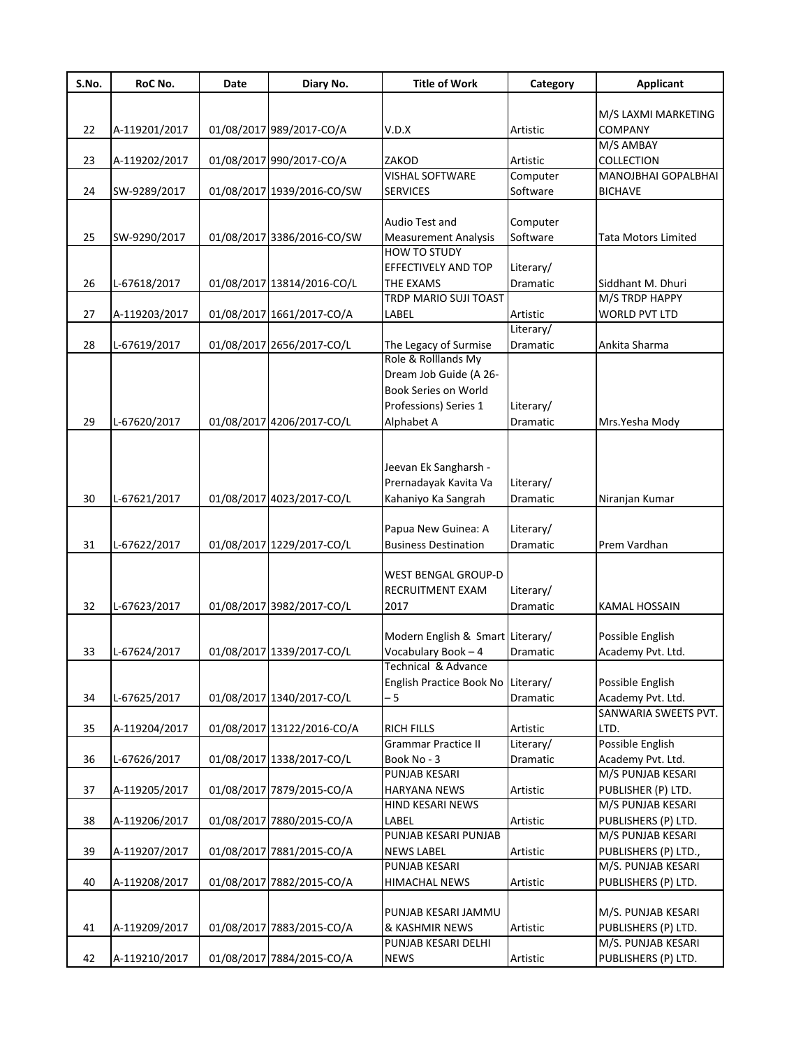| S.No. | RoC No.       | Date | Diary No.                  | <b>Title of Work</b>               | Category        | <b>Applicant</b>               |
|-------|---------------|------|----------------------------|------------------------------------|-----------------|--------------------------------|
|       |               |      |                            |                                    |                 |                                |
|       |               |      |                            |                                    |                 | M/S LAXMI MARKETING<br>COMPANY |
| 22    | A-119201/2017 |      | 01/08/2017 989/2017-CO/A   | V.D.X                              | Artistic        | M/S AMBAY                      |
| 23    | A-119202/2017 |      | 01/08/2017 990/2017-CO/A   | ZAKOD                              | Artistic        | COLLECTION                     |
|       |               |      |                            | <b>VISHAL SOFTWARE</b>             | Computer        | MANOJBHAI GOPALBHAI            |
| 24    | SW-9289/2017  |      | 01/08/2017 1939/2016-CO/SW | <b>SERVICES</b>                    | Software        | <b>BICHAVE</b>                 |
|       |               |      |                            |                                    |                 |                                |
|       |               |      |                            | Audio Test and                     | Computer        |                                |
| 25    | SW-9290/2017  |      | 01/08/2017 3386/2016-CO/SW | <b>Measurement Analysis</b>        | Software        | <b>Tata Motors Limited</b>     |
|       |               |      |                            | <b>HOW TO STUDY</b>                |                 |                                |
|       |               |      |                            | EFFECTIVELY AND TOP                | Literary/       |                                |
| 26    | L-67618/2017  |      | 01/08/2017 13814/2016-CO/L | <b>THE EXAMS</b>                   | Dramatic        | Siddhant M. Dhuri              |
|       |               |      |                            | TRDP MARIO SUJI TOAST              |                 | M/S TRDP HAPPY                 |
| 27    | A-119203/2017 |      | 01/08/2017 1661/2017-CO/A  | LABEL                              | Artistic        | <b>WORLD PVT LTD</b>           |
|       |               |      |                            |                                    | Literary/       |                                |
| 28    | L-67619/2017  |      | 01/08/2017 2656/2017-CO/L  | The Legacy of Surmise              | Dramatic        | Ankita Sharma                  |
|       |               |      |                            | Role & Rolllands My                |                 |                                |
|       |               |      |                            | Dream Job Guide (A 26-             |                 |                                |
|       |               |      |                            | Book Series on World               |                 |                                |
|       |               |      |                            | Professions) Series 1              | Literary/       |                                |
| 29    | L-67620/2017  |      | 01/08/2017 4206/2017-CO/L  | Alphabet A                         | Dramatic        | Mrs.Yesha Mody                 |
|       |               |      |                            |                                    |                 |                                |
|       |               |      |                            |                                    |                 |                                |
|       |               |      |                            | Jeevan Ek Sangharsh -              |                 |                                |
|       |               |      |                            | Prernadayak Kavita Va              | Literary/       |                                |
| 30    | L-67621/2017  |      | 01/08/2017 4023/2017-CO/L  | Kahaniyo Ka Sangrah                | Dramatic        | Niranjan Kumar                 |
|       |               |      |                            |                                    |                 |                                |
|       |               |      |                            | Papua New Guinea: A                | Literary/       |                                |
| 31    | L-67622/2017  |      | 01/08/2017 1229/2017-CO/L  | <b>Business Destination</b>        | <b>Dramatic</b> | Prem Vardhan                   |
|       |               |      |                            | <b>WEST BENGAL GROUP-D</b>         |                 |                                |
|       |               |      |                            | RECRUITMENT EXAM                   | Literary/       |                                |
| 32    | L-67623/2017  |      | 01/08/2017 3982/2017-CO/L  | 2017                               | Dramatic        | <b>KAMAL HOSSAIN</b>           |
|       |               |      |                            |                                    |                 |                                |
|       |               |      |                            | Modern English & Smart Literary/   |                 | Possible English               |
| 33    | L-67624/2017  |      | 01/08/2017 1339/2017-CO/L  | Vocabulary Book - 4                | Dramatic        | Academy Pvt. Ltd.              |
|       |               |      |                            | Technical & Advance                |                 |                                |
|       |               |      |                            | English Practice Book No Literary/ |                 | Possible English               |
| 34    | L-67625/2017  |      | 01/08/2017 1340/2017-CO/L  | - 5                                | Dramatic        | Academy Pvt. Ltd.              |
|       |               |      |                            |                                    |                 | SANWARIA SWEETS PVT.           |
| 35    | A-119204/2017 |      | 01/08/2017 13122/2016-CO/A | <b>RICH FILLS</b>                  | Artistic        | LTD.                           |
|       |               |      |                            | <b>Grammar Practice II</b>         | Literary/       | Possible English               |
| 36    | L-67626/2017  |      | 01/08/2017 1338/2017-CO/L  | Book No - 3                        | Dramatic        | Academy Pvt. Ltd.              |
|       |               |      |                            | <b>PUNJAB KESARI</b>               |                 | M/S PUNJAB KESARI              |
| 37    | A-119205/2017 |      | 01/08/2017 7879/2015-CO/A  | <b>HARYANA NEWS</b>                | Artistic        | PUBLISHER (P) LTD.             |
|       |               |      |                            | HIND KESARI NEWS                   |                 | M/S PUNJAB KESARI              |
| 38    | A-119206/2017 |      | 01/08/2017 7880/2015-CO/A  | LABEL                              | Artistic        | PUBLISHERS (P) LTD.            |
|       |               |      |                            | PUNJAB KESARI PUNJAB               |                 | M/S PUNJAB KESARI              |
| 39    | A-119207/2017 |      | 01/08/2017 7881/2015-CO/A  | <b>NEWS LABEL</b>                  | Artistic        | PUBLISHERS (P) LTD.,           |
|       |               |      |                            | PUNJAB KESARI                      |                 | M/S. PUNJAB KESARI             |
| 40    | A-119208/2017 |      | 01/08/2017 7882/2015-CO/A  | <b>HIMACHAL NEWS</b>               | Artistic        | PUBLISHERS (P) LTD.            |
|       |               |      |                            |                                    |                 |                                |
|       |               |      |                            | PUNJAB KESARI JAMMU                |                 | M/S. PUNJAB KESARI             |
| 41    | A-119209/2017 |      | 01/08/2017 7883/2015-CO/A  | & KASHMIR NEWS                     | Artistic        | PUBLISHERS (P) LTD.            |
|       |               |      |                            | PUNJAB KESARI DELHI                |                 | M/S. PUNJAB KESARI             |
| 42    | A-119210/2017 |      | 01/08/2017 7884/2015-CO/A  | <b>NEWS</b>                        | Artistic        | PUBLISHERS (P) LTD.            |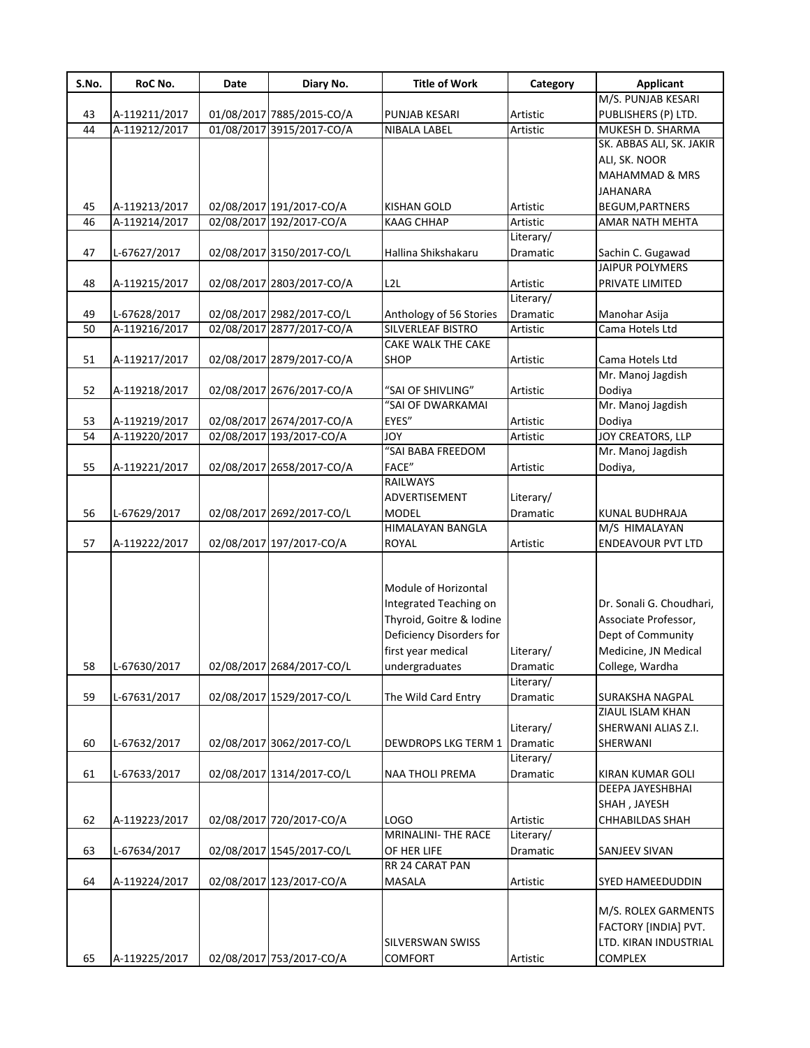| S.No. | RoC No.       | Date | Diary No.                 | <b>Title of Work</b>     | Category  | <b>Applicant</b>         |
|-------|---------------|------|---------------------------|--------------------------|-----------|--------------------------|
|       |               |      |                           |                          |           | M/S. PUNJAB KESARI       |
| 43    | A-119211/2017 |      | 01/08/2017 7885/2015-CO/A | PUNJAB KESARI            | Artistic  | PUBLISHERS (P) LTD.      |
| 44    | A-119212/2017 |      | 01/08/2017 3915/2017-CO/A | NIBALA LABEL             | Artistic  | MUKESH D. SHARMA         |
|       |               |      |                           |                          |           | SK. ABBAS ALI, SK. JAKIR |
|       |               |      |                           |                          |           | ALI, SK. NOOR            |
|       |               |      |                           |                          |           | MAHAMMAD & MRS           |
|       |               |      |                           |                          |           | JAHANARA                 |
| 45    | A-119213/2017 |      | 02/08/2017 191/2017-CO/A  | <b>KISHAN GOLD</b>       | Artistic  | BEGUM, PARTNERS          |
| 46    | A-119214/2017 |      | 02/08/2017 192/2017-CO/A  | <b>KAAG CHHAP</b>        | Artistic  | <b>AMAR NATH MEHTA</b>   |
|       |               |      |                           |                          | Literary/ |                          |
| 47    | L-67627/2017  |      | 02/08/2017 3150/2017-CO/L | Hallina Shikshakaru      | Dramatic  | Sachin C. Gugawad        |
|       |               |      |                           |                          |           | <b>JAIPUR POLYMERS</b>   |
|       |               |      |                           |                          |           |                          |
| 48    | A-119215/2017 |      | 02/08/2017 2803/2017-CO/A | L <sub>2</sub> L         | Artistic  | PRIVATE LIMITED          |
|       |               |      |                           |                          | Literary/ |                          |
| 49    | L-67628/2017  |      | 02/08/2017 2982/2017-CO/L | Anthology of 56 Stories  | Dramatic  | Manohar Asija            |
| 50    | A-119216/2017 |      | 02/08/2017 2877/2017-CO/A | SILVERLEAF BISTRO        | Artistic  | Cama Hotels Ltd          |
|       |               |      |                           | CAKE WALK THE CAKE       |           |                          |
| 51    | A-119217/2017 |      | 02/08/2017 2879/2017-CO/A | <b>SHOP</b>              | Artistic  | Cama Hotels Ltd          |
|       |               |      |                           |                          |           | Mr. Manoj Jagdish        |
| 52    | A-119218/2017 |      | 02/08/2017 2676/2017-CO/A | "SAI OF SHIVLING"        | Artistic  | Dodiya                   |
|       |               |      |                           | "SAI OF DWARKAMAI        |           | Mr. Manoj Jagdish        |
| 53    | A-119219/2017 |      | 02/08/2017 2674/2017-CO/A | EYES"                    | Artistic  | Dodiya                   |
| 54    | A-119220/2017 |      | 02/08/2017 193/2017-CO/A  | <b>JOY</b>               | Artistic  | <b>JOY CREATORS, LLP</b> |
|       |               |      |                           | "SAI BABA FREEDOM        |           | Mr. Manoj Jagdish        |
| 55    | A-119221/2017 |      | 02/08/2017 2658/2017-CO/A | FACE"                    | Artistic  | Dodiya,                  |
|       |               |      |                           | RAILWAYS                 |           |                          |
|       |               |      |                           | ADVERTISEMENT            | Literary/ |                          |
| 56    | L-67629/2017  |      | 02/08/2017 2692/2017-CO/L | <b>MODEL</b>             | Dramatic  | KUNAL BUDHRAJA           |
|       |               |      |                           | HIMALAYAN BANGLA         |           | M/S HIMALAYAN            |
| 57    | A-119222/2017 |      | 02/08/2017 197/2017-CO/A  | <b>ROYAL</b>             | Artistic  | <b>ENDEAVOUR PVT LTD</b> |
|       |               |      |                           |                          |           |                          |
|       |               |      |                           |                          |           |                          |
|       |               |      |                           | Module of Horizontal     |           |                          |
|       |               |      |                           | Integrated Teaching on   |           | Dr. Sonali G. Choudhari, |
|       |               |      |                           | Thyroid, Goitre & Iodine |           | Associate Professor,     |
|       |               |      |                           | Deficiency Disorders for |           | Dept of Community        |
|       |               |      |                           | first year medical       | Literary/ | Medicine, JN Medical     |
| 58    | L-67630/2017  |      | 02/08/2017 2684/2017-CO/L | undergraduates           | Dramatic  | College, Wardha          |
|       |               |      |                           |                          | Literary/ |                          |
| 59    | L-67631/2017  |      | 02/08/2017 1529/2017-CO/L | The Wild Card Entry      | Dramatic  | <b>SURAKSHA NAGPAL</b>   |
|       |               |      |                           |                          |           | ZIAUL ISLAM KHAN         |
|       |               |      |                           |                          | Literary/ | SHERWANI ALIAS Z.I.      |
|       |               |      | 02/08/2017 3062/2017-CO/L |                          |           |                          |
| 60    | L-67632/2017  |      |                           | DEWDROPS LKG TERM 1      | Dramatic  | SHERWANI                 |
|       |               |      |                           |                          | Literary/ |                          |
| 61    | L-67633/2017  |      | 02/08/2017 1314/2017-CO/L | <b>NAA THOLI PREMA</b>   | Dramatic  | <b>KIRAN KUMAR GOLI</b>  |
|       |               |      |                           |                          |           | DEEPA JAYESHBHAI         |
|       |               |      |                           |                          |           | SHAH, JAYESH             |
| 62    | A-119223/2017 |      | 02/08/2017 720/2017-CO/A  | LOGO                     | Artistic  | CHHABILDAS SHAH          |
|       |               |      |                           | MRINALINI- THE RACE      | Literary/ |                          |
| 63    | L-67634/2017  |      | 02/08/2017 1545/2017-CO/L | OF HER LIFE              | Dramatic  | SANJEEV SIVAN            |
|       |               |      |                           | RR 24 CARAT PAN          |           |                          |
| 64    | A-119224/2017 |      | 02/08/2017 123/2017-CO/A  | MASALA                   | Artistic  | SYED HAMEEDUDDIN         |
|       |               |      |                           |                          |           |                          |
|       |               |      |                           |                          |           | M/S. ROLEX GARMENTS      |
|       |               |      |                           |                          |           | FACTORY [INDIA] PVT.     |
|       |               |      |                           | SILVERSWAN SWISS         |           | LTD. KIRAN INDUSTRIAL    |
| 65    | A-119225/2017 |      | 02/08/2017 753/2017-CO/A  | <b>COMFORT</b>           | Artistic  | COMPLEX                  |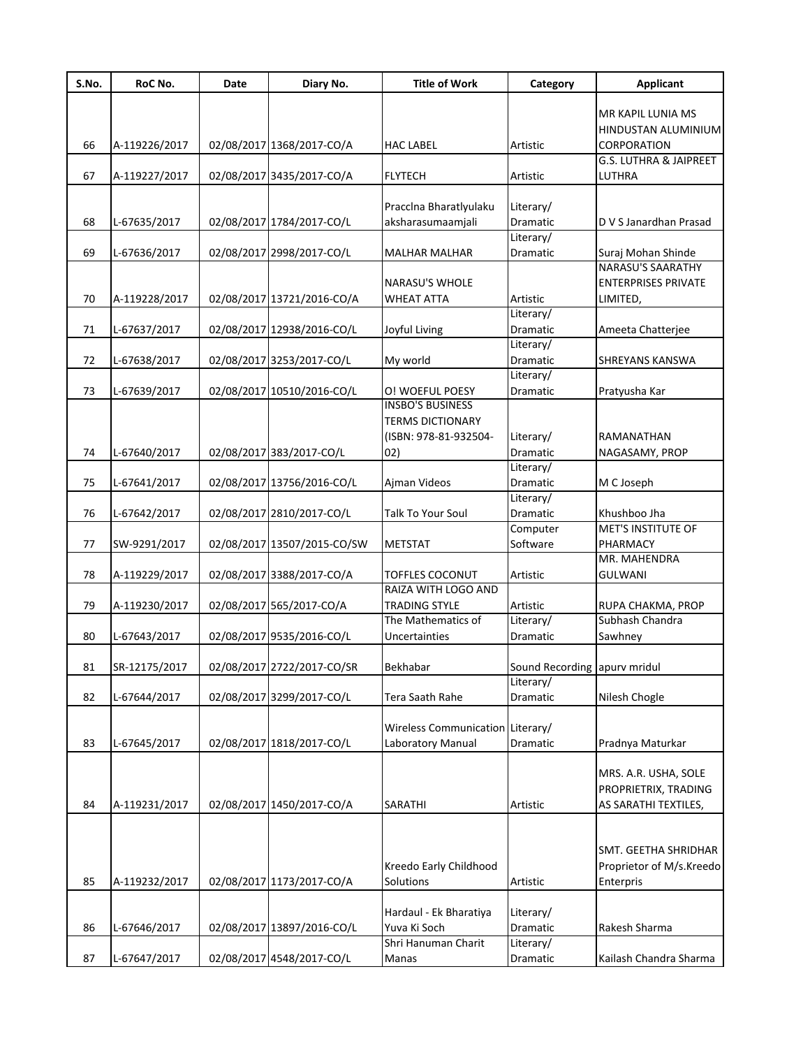| S.No. | RoC No.       | Date | Diary No.                   | <b>Title of Work</b>             | Category                     | <b>Applicant</b>                  |
|-------|---------------|------|-----------------------------|----------------------------------|------------------------------|-----------------------------------|
|       |               |      |                             |                                  |                              |                                   |
|       |               |      |                             |                                  |                              | MR KAPIL LUNIA MS                 |
|       |               |      |                             |                                  |                              | HINDUSTAN ALUMINIUM               |
| 66    | A-119226/2017 |      | 02/08/2017 1368/2017-CO/A   | <b>HAC LABEL</b>                 | Artistic                     | CORPORATION                       |
|       |               |      |                             |                                  |                              | <b>G.S. LUTHRA &amp; JAIPREET</b> |
| 67    | A-119227/2017 |      | 02/08/2017 3435/2017-CO/A   | <b>FLYTECH</b>                   | Artistic                     | LUTHRA                            |
|       |               |      |                             |                                  |                              |                                   |
|       |               |      |                             | Praccina Bharatiyulaku           | Literary/                    |                                   |
| 68    | L-67635/2017  |      | 02/08/2017 1784/2017-CO/L   | aksharasumaamjali                | Dramatic                     | D V S Janardhan Prasad            |
|       |               |      |                             |                                  | Literary/                    |                                   |
| 69    | L-67636/2017  |      | 02/08/2017 2998/2017-CO/L   | <b>MALHAR MALHAR</b>             | Dramatic                     | Suraj Mohan Shinde                |
|       |               |      |                             |                                  |                              | <b>NARASU'S SAARATHY</b>          |
|       |               |      |                             | <b>NARASU'S WHOLE</b>            |                              | <b>ENTERPRISES PRIVATE</b>        |
| 70    | A-119228/2017 |      | 02/08/2017 13721/2016-CO/A  | <b>WHEAT ATTA</b>                | Artistic                     | LIMITED,                          |
|       |               |      |                             |                                  | Literary/                    |                                   |
| 71    | L-67637/2017  |      | 02/08/2017 12938/2016-CO/L  | Joyful Living                    | Dramatic                     | Ameeta Chatterjee                 |
|       |               |      |                             |                                  | Literary/                    |                                   |
| 72    | L-67638/2017  |      | 02/08/2017 3253/2017-CO/L   | My world                         | Dramatic                     | <b>SHREYANS KANSWA</b>            |
|       |               |      |                             |                                  | Literary/                    |                                   |
| 73    | L-67639/2017  |      | 02/08/2017 10510/2016-CO/L  | O! WOEFUL POESY                  | Dramatic                     | Pratyusha Kar                     |
|       |               |      |                             | <b>INSBO'S BUSINESS</b>          |                              |                                   |
|       |               |      |                             | <b>TERMS DICTIONARY</b>          |                              |                                   |
|       |               |      |                             | (ISBN: 978-81-932504-            | Literary/                    | RAMANATHAN                        |
| 74    | L-67640/2017  |      | 02/08/2017 383/2017-CO/L    | (02)                             | Dramatic                     | NAGASAMY, PROP                    |
|       |               |      |                             |                                  | Literary/                    |                                   |
| 75    | L-67641/2017  |      | 02/08/2017 13756/2016-CO/L  | Ajman Videos                     | Dramatic                     | M C Joseph                        |
|       |               |      |                             |                                  | Literary/                    |                                   |
| 76    | L-67642/2017  |      | 02/08/2017 2810/2017-CO/L   | Talk To Your Soul                | Dramatic                     | Khushboo Jha                      |
|       |               |      |                             |                                  | Computer                     | <b>MET'S INSTITUTE OF</b>         |
| 77    | SW-9291/2017  |      | 02/08/2017 13507/2015-CO/SW | <b>METSTAT</b>                   | Software                     | PHARMACY                          |
|       |               |      |                             |                                  |                              | MR. MAHENDRA                      |
| 78    | A-119229/2017 |      | 02/08/2017 3388/2017-CO/A   | TOFFLES COCONUT                  | Artistic                     | <b>GULWANI</b>                    |
|       |               |      |                             | RAIZA WITH LOGO AND              |                              |                                   |
| 79    | A-119230/2017 |      | 02/08/2017 565/2017-CO/A    | TRADING STYLE                    | Artistic                     | RUPA CHAKMA, PROP                 |
|       |               |      |                             | The Mathematics of               | Literary/                    | Subhash Chandra                   |
| 80    | L-67643/2017  |      | 02/08/2017 9535/2016-CO/L   | Uncertainties                    | Dramatic                     | Sawhney                           |
|       |               |      |                             |                                  |                              |                                   |
| 81    | SR-12175/2017 |      | 02/08/2017 2722/2017-CO/SR  | Bekhabar                         | Sound Recording apurv mridul |                                   |
|       |               |      |                             |                                  | Literary/                    |                                   |
| 82    | L-67644/2017  |      | 02/08/2017 3299/2017-CO/L   | Tera Saath Rahe                  | Dramatic                     | Nilesh Chogle                     |
|       |               |      |                             |                                  |                              |                                   |
|       |               |      |                             | Wireless Communication Literary/ |                              |                                   |
| 83    | L-67645/2017  |      | 02/08/2017 1818/2017-CO/L   | Laboratory Manual                | Dramatic                     | Pradnya Maturkar                  |
|       |               |      |                             |                                  |                              |                                   |
|       |               |      |                             |                                  |                              | MRS. A.R. USHA, SOLE              |
|       |               |      |                             |                                  |                              | PROPRIETRIX, TRADING              |
| 84    | A-119231/2017 |      | 02/08/2017 1450/2017-CO/A   | SARATHI                          | Artistic                     | AS SARATHI TEXTILES,              |
|       |               |      |                             |                                  |                              |                                   |
|       |               |      |                             |                                  |                              |                                   |
|       |               |      |                             |                                  |                              | SMT. GEETHA SHRIDHAR              |
|       |               |      |                             | Kreedo Early Childhood           |                              | Proprietor of M/s.Kreedo          |
| 85    | A-119232/2017 |      | 02/08/2017 1173/2017-CO/A   | Solutions                        | Artistic                     | Enterpris                         |
|       |               |      |                             |                                  |                              |                                   |
|       |               |      |                             | Hardaul - Ek Bharatiya           | Literary/                    |                                   |
| 86    | L-67646/2017  |      | 02/08/2017 13897/2016-CO/L  | Yuva Ki Soch                     | Dramatic                     | Rakesh Sharma                     |
|       |               |      |                             | Shri Hanuman Charit              | Literary/                    |                                   |
| 87    | L-67647/2017  |      | 02/08/2017 4548/2017-CO/L   | Manas                            | Dramatic                     | Kailash Chandra Sharma            |
|       |               |      |                             |                                  |                              |                                   |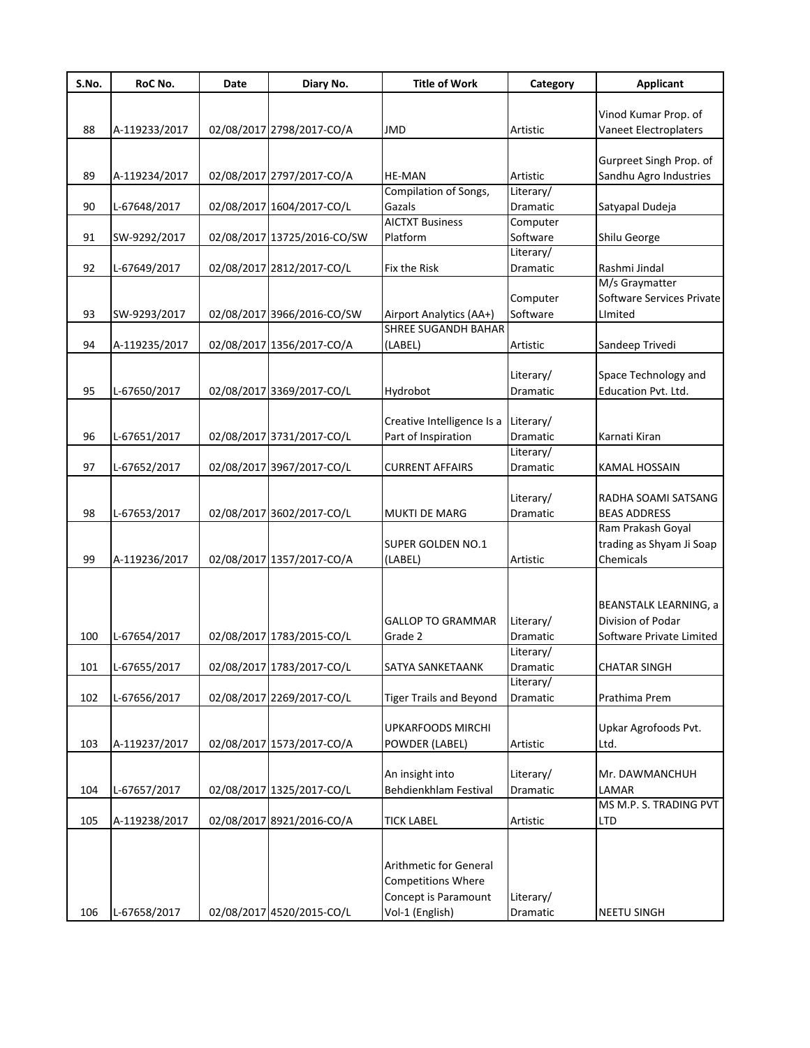| S.No. | RoC No.       | Date | Diary No.                   | <b>Title of Work</b>           | Category  | <b>Applicant</b>             |
|-------|---------------|------|-----------------------------|--------------------------------|-----------|------------------------------|
|       |               |      |                             |                                |           |                              |
|       |               |      |                             |                                |           | Vinod Kumar Prop. of         |
| 88    | A-119233/2017 |      | 02/08/2017 2798/2017-CO/A   | <b>JMD</b>                     | Artistic  | Vaneet Electroplaters        |
|       |               |      |                             |                                |           |                              |
|       |               |      |                             |                                |           | Gurpreet Singh Prop. of      |
| 89    | A-119234/2017 |      | 02/08/2017 2797/2017-CO/A   | <b>HE-MAN</b>                  | Artistic  | Sandhu Agro Industries       |
|       |               |      |                             | Compilation of Songs,          | Literary/ |                              |
| 90    | L-67648/2017  |      | 02/08/2017 1604/2017-CO/L   | Gazals                         | Dramatic  | Satyapal Dudeja              |
|       |               |      |                             | <b>AICTXT Business</b>         | Computer  |                              |
| 91    | SW-9292/2017  |      | 02/08/2017 13725/2016-CO/SW | Platform                       | Software  | Shilu George                 |
|       |               |      |                             |                                | Literary/ |                              |
| 92    | L-67649/2017  |      | 02/08/2017 2812/2017-CO/L   | Fix the Risk                   | Dramatic  | Rashmi Jindal                |
|       |               |      |                             |                                |           | M/s Graymatter               |
|       |               |      |                             |                                | Computer  | Software Services Private    |
| 93    | SW-9293/2017  |      | 02/08/2017 3966/2016-CO/SW  | Airport Analytics (AA+)        | Software  | LImited                      |
|       |               |      |                             | <b>SHREE SUGANDH BAHAR</b>     |           |                              |
| 94    | A-119235/2017 |      | 02/08/2017 1356/2017-CO/A   | (LABEL)                        | Artistic  | Sandeep Trivedi              |
|       |               |      |                             |                                |           |                              |
|       |               |      |                             |                                | Literary/ | Space Technology and         |
| 95    | L-67650/2017  |      | 02/08/2017 3369/2017-CO/L   | Hydrobot                       | Dramatic  | Education Pvt. Ltd.          |
|       |               |      |                             |                                |           |                              |
|       |               |      |                             | Creative Intelligence Is a     | Literary/ |                              |
| 96    | L-67651/2017  |      | 02/08/2017 3731/2017-CO/L   | Part of Inspiration            | Dramatic  | Karnati Kiran                |
|       |               |      |                             |                                | Literary/ |                              |
| 97    | L-67652/2017  |      | 02/08/2017 3967/2017-CO/L   | <b>CURRENT AFFAIRS</b>         | Dramatic  | <b>KAMAL HOSSAIN</b>         |
|       |               |      |                             |                                |           |                              |
|       |               |      |                             |                                | Literary/ | RADHA SOAMI SATSANG          |
| 98    | L-67653/2017  |      | 02/08/2017 3602/2017-CO/L   | <b>MUKTI DE MARG</b>           | Dramatic  | <b>BEAS ADDRESS</b>          |
|       |               |      |                             |                                |           | Ram Prakash Goyal            |
|       |               |      |                             | <b>SUPER GOLDEN NO.1</b>       |           | trading as Shyam Ji Soap     |
| 99    | A-119236/2017 |      | 02/08/2017 1357/2017-CO/A   | (LABEL)                        | Artistic  | Chemicals                    |
|       |               |      |                             |                                |           |                              |
|       |               |      |                             |                                |           |                              |
|       |               |      |                             |                                |           | <b>BEANSTALK LEARNING, a</b> |
|       |               |      |                             | <b>GALLOP TO GRAMMAR</b>       | Literary/ | Division of Podar            |
| 100   | L-67654/2017  |      | 02/08/2017 1783/2015-CO/L   | Grade 2                        | Dramatic  | Software Private Limited     |
|       |               |      |                             |                                | Literary/ |                              |
| 101   | L-67655/2017  |      | 02/08/2017 1783/2017-CO/L   | SATYA SANKETAANK               | Dramatic  | <b>CHATAR SINGH</b>          |
|       |               |      |                             |                                | Literary/ |                              |
| 102   | L-67656/2017  |      | 02/08/2017 2269/2017-CO/L   | <b>Tiger Trails and Beyond</b> | Dramatic  | Prathima Prem                |
|       |               |      |                             |                                |           |                              |
|       |               |      |                             | <b>UPKARFOODS MIRCHI</b>       |           | Upkar Agrofoods Pvt.         |
| 103   | A-119237/2017 |      | 02/08/2017 1573/2017-CO/A   | POWDER (LABEL)                 | Artistic  | Ltd.                         |
|       |               |      |                             |                                |           |                              |
|       |               |      |                             | An insight into                | Literary/ | Mr. DAWMANCHUH               |
| 104   | L-67657/2017  |      | 02/08/2017 1325/2017-CO/L   | Behdienkhlam Festival          | Dramatic  | LAMAR                        |
|       |               |      |                             |                                |           | MS M.P. S. TRADING PVT       |
| 105   | A-119238/2017 |      | 02/08/2017 8921/2016-CO/A   | <b>TICK LABEL</b>              | Artistic  | LTD                          |
|       |               |      |                             |                                |           |                              |
|       |               |      |                             |                                |           |                              |
|       |               |      |                             | Arithmetic for General         |           |                              |
|       |               |      |                             | Competitions Where             |           |                              |
|       |               |      |                             | Concept is Paramount           | Literary/ |                              |
| 106   | L-67658/2017  |      | 02/08/2017 4520/2015-CO/L   | Vol-1 (English)                | Dramatic  | <b>NEETU SINGH</b>           |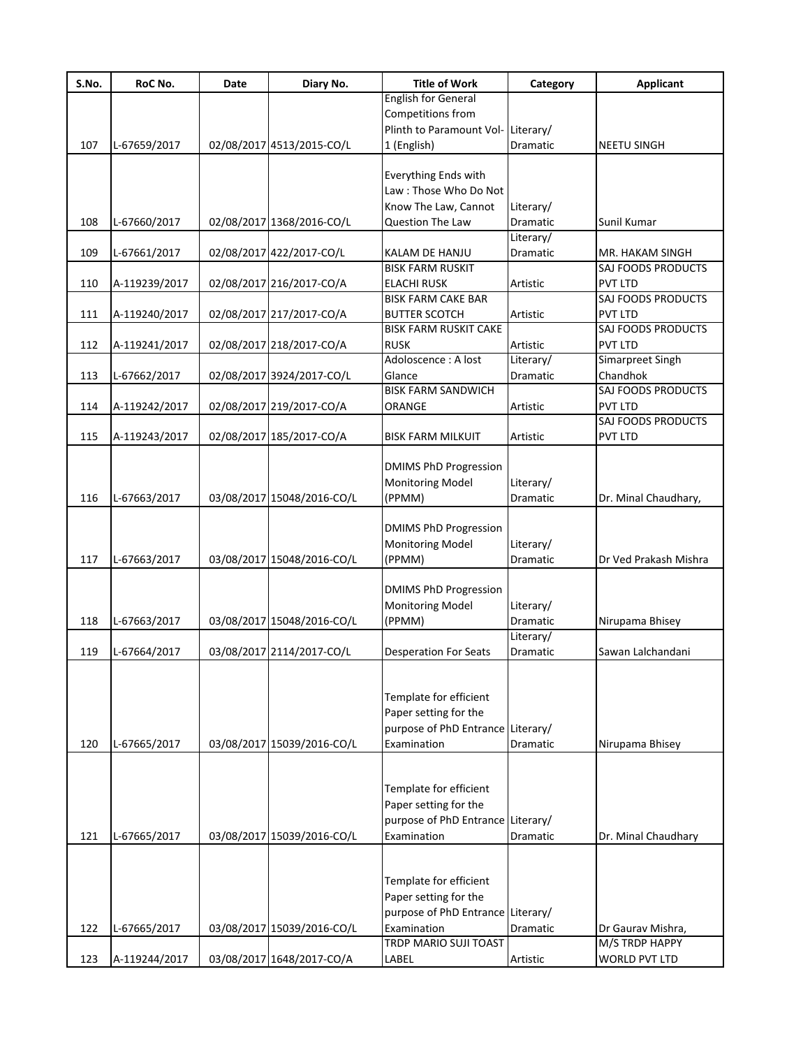| S.No. | RoC No.       | Date | Diary No.                  | <b>Title of Work</b>              | Category        | <b>Applicant</b>        |
|-------|---------------|------|----------------------------|-----------------------------------|-----------------|-------------------------|
|       |               |      |                            | <b>English for General</b>        |                 |                         |
|       |               |      |                            | Competitions from                 |                 |                         |
|       |               |      |                            | Plinth to Paramount Vol-          | Literary/       |                         |
| 107   | L-67659/2017  |      | 02/08/2017 4513/2015-CO/L  | 1 (English)                       | Dramatic        | <b>NEETU SINGH</b>      |
|       |               |      |                            |                                   |                 |                         |
|       |               |      |                            | Everything Ends with              |                 |                         |
|       |               |      |                            | Law: Those Who Do Not             |                 |                         |
|       |               |      |                            | Know The Law, Cannot              | Literary/       |                         |
| 108   | L-67660/2017  |      | 02/08/2017 1368/2016-CO/L  | Question The Law                  | Dramatic        | Sunil Kumar             |
|       |               |      |                            |                                   | Literary/       |                         |
| 109   | L-67661/2017  |      | 02/08/2017 422/2017-CO/L   | KALAM DE HANJU                    | Dramatic        | MR. HAKAM SINGH         |
|       |               |      |                            | <b>BISK FARM RUSKIT</b>           |                 | SAJ FOODS PRODUCTS      |
|       |               |      |                            |                                   |                 |                         |
| 110   | A-119239/2017 |      | 02/08/2017 216/2017-CO/A   | <b>ELACHI RUSK</b>                | Artistic        | PVT LTD                 |
|       |               |      |                            | <b>BISK FARM CAKE BAR</b>         |                 | SAJ FOODS PRODUCTS      |
| 111   | A-119240/2017 |      | 02/08/2017 217/2017-CO/A   | <b>BUTTER SCOTCH</b>              | Artistic        | <b>PVT LTD</b>          |
|       |               |      |                            | <b>BISK FARM RUSKIT CAKE</b>      |                 | SAJ FOODS PRODUCTS      |
| 112   | A-119241/2017 |      | 02/08/2017 218/2017-CO/A   | <b>RUSK</b>                       | Artistic        | <b>PVT LTD</b>          |
|       |               |      |                            | Adoloscence : A lost              | Literary/       | <b>Simarpreet Singh</b> |
| 113   | L-67662/2017  |      | 02/08/2017 3924/2017-CO/L  | Glance                            | Dramatic        | Chandhok                |
|       |               |      |                            | <b>BISK FARM SANDWICH</b>         |                 | SAJ FOODS PRODUCTS      |
| 114   | A-119242/2017 |      | 02/08/2017 219/2017-CO/A   | ORANGE                            | Artistic        | PVT LTD                 |
|       |               |      |                            |                                   |                 | SAJ FOODS PRODUCTS      |
| 115   | A-119243/2017 |      | 02/08/2017 185/2017-CO/A   | <b>BISK FARM MILKUIT</b>          | Artistic        | PVT LTD                 |
|       |               |      |                            |                                   |                 |                         |
|       |               |      |                            | <b>DMIMS PhD Progression</b>      |                 |                         |
|       |               |      |                            | <b>Monitoring Model</b>           | Literary/       |                         |
| 116   | L-67663/2017  |      | 03/08/2017 15048/2016-CO/L | (PPMM)                            | Dramatic        | Dr. Minal Chaudhary,    |
|       |               |      |                            |                                   |                 |                         |
|       |               |      |                            |                                   |                 |                         |
|       |               |      |                            | <b>DMIMS PhD Progression</b>      |                 |                         |
|       |               |      |                            | <b>Monitoring Model</b>           | Literary/       |                         |
| 117   | L-67663/2017  |      | 03/08/2017 15048/2016-CO/L | (PPMM)                            | Dramatic        | Dr Ved Prakash Mishra   |
|       |               |      |                            |                                   |                 |                         |
|       |               |      |                            | <b>DMIMS PhD Progression</b>      |                 |                         |
|       |               |      |                            | <b>Monitoring Model</b>           | Literary/       |                         |
| 118   | L-67663/2017  |      | 03/08/2017 15048/2016-CO/L | (PPMM)                            | <b>Dramatic</b> | Nirupama Bhisey         |
|       |               |      |                            |                                   | Literary/       |                         |
| 119   | L-67664/2017  |      | 03/08/2017 2114/2017-CO/L  | <b>Desperation For Seats</b>      | Dramatic        | Sawan Lalchandani       |
|       |               |      |                            |                                   |                 |                         |
|       |               |      |                            |                                   |                 |                         |
|       |               |      |                            | Template for efficient            |                 |                         |
|       |               |      |                            | Paper setting for the             |                 |                         |
|       |               |      |                            | purpose of PhD Entrance Literary/ |                 |                         |
| 120   | L-67665/2017  |      | 03/08/2017 15039/2016-CO/L | Examination                       | Dramatic        | Nirupama Bhisey         |
|       |               |      |                            |                                   |                 |                         |
|       |               |      |                            |                                   |                 |                         |
|       |               |      |                            | Template for efficient            |                 |                         |
|       |               |      |                            |                                   |                 |                         |
|       |               |      |                            | Paper setting for the             |                 |                         |
|       |               |      |                            | purpose of PhD Entrance Literary/ |                 |                         |
| 121   | L-67665/2017  |      | 03/08/2017 15039/2016-CO/L | Examination                       | Dramatic        | Dr. Minal Chaudhary     |
|       |               |      |                            |                                   |                 |                         |
|       |               |      |                            |                                   |                 |                         |
|       |               |      |                            | Template for efficient            |                 |                         |
|       |               |      |                            | Paper setting for the             |                 |                         |
|       |               |      |                            | purpose of PhD Entrance Literary/ |                 |                         |
| 122   | L-67665/2017  |      | 03/08/2017 15039/2016-CO/L | Examination                       | Dramatic        | Dr Gaurav Mishra,       |
|       |               |      |                            | TRDP MARIO SUJI TOAST             |                 | M/S TRDP HAPPY          |
| 123   | A-119244/2017 |      | 03/08/2017 1648/2017-CO/A  | LABEL                             | Artistic        | <b>WORLD PVT LTD</b>    |
|       |               |      |                            |                                   |                 |                         |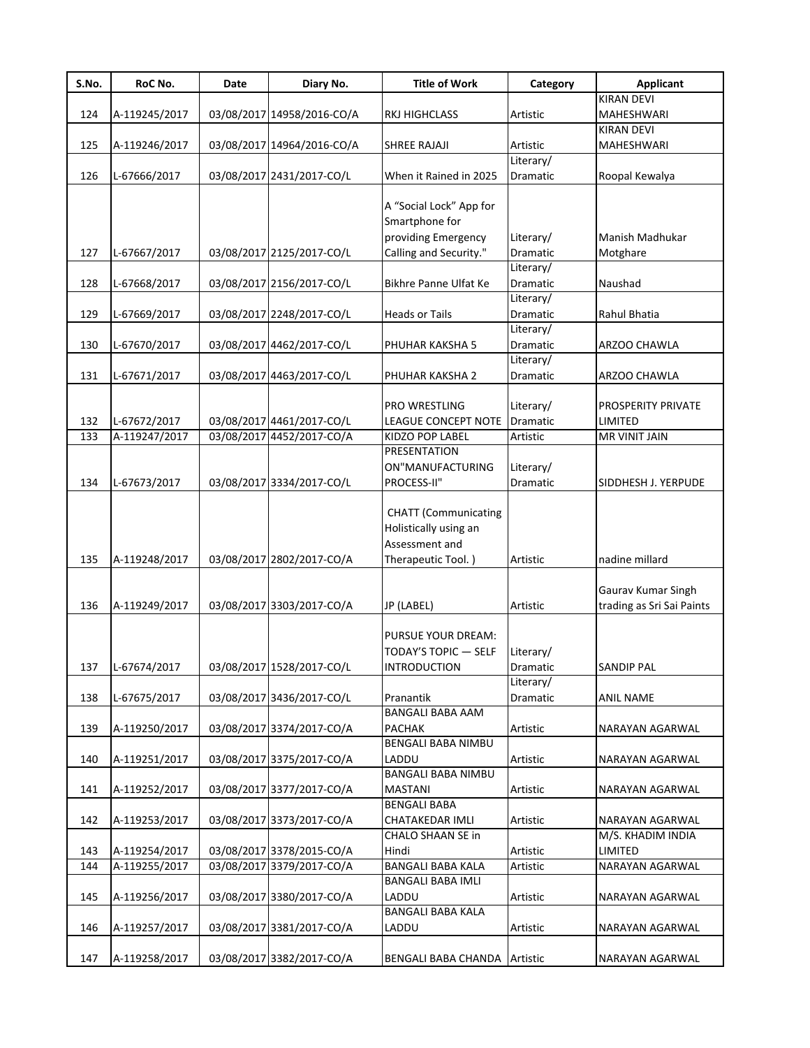| S.No. | RoC No.       | Date | Diary No.                  | <b>Title of Work</b>         | Category              | <b>Applicant</b>          |
|-------|---------------|------|----------------------------|------------------------------|-----------------------|---------------------------|
|       |               |      |                            |                              |                       | <b>KIRAN DEVI</b>         |
| 124   | A-119245/2017 |      | 03/08/2017 14958/2016-CO/A | <b>RKJ HIGHCLASS</b>         | Artistic              | MAHESHWARI                |
|       |               |      |                            |                              |                       | <b>KIRAN DEVI</b>         |
| 125   | A-119246/2017 |      | 03/08/2017 14964/2016-CO/A | <b>SHREE RAJAJI</b>          | Artistic              | MAHESHWARI                |
|       |               |      |                            |                              | Literary/             |                           |
| 126   | L-67666/2017  |      | 03/08/2017 2431/2017-CO/L  | When it Rained in 2025       | Dramatic              | Roopal Kewalya            |
|       |               |      |                            |                              |                       |                           |
|       |               |      |                            | A "Social Lock" App for      |                       |                           |
|       |               |      |                            | Smartphone for               |                       |                           |
|       |               |      |                            | providing Emergency          | Literary/             | Manish Madhukar           |
| 127   | L-67667/2017  |      | 03/08/2017 2125/2017-CO/L  | Calling and Security."       | Dramatic              | Motghare                  |
| 128   |               |      |                            |                              | Literary/             |                           |
|       | L-67668/2017  |      | 03/08/2017 2156/2017-CO/L  | Bikhre Panne Ulfat Ke        | Dramatic<br>Literary/ | Naushad                   |
|       |               |      |                            |                              |                       | Rahul Bhatia              |
| 129   | L-67669/2017  |      | 03/08/2017 2248/2017-CO/L  | <b>Heads or Tails</b>        | Dramatic<br>Literary/ |                           |
| 130   | L-67670/2017  |      | 03/08/2017 4462/2017-CO/L  | PHUHAR KAKSHA 5              | Dramatic              | ARZOO CHAWLA              |
|       |               |      |                            |                              | Literary/             |                           |
| 131   | L-67671/2017  |      | 03/08/2017 4463/2017-CO/L  | PHUHAR KAKSHA 2              | Dramatic              | ARZOO CHAWLA              |
|       |               |      |                            |                              |                       |                           |
|       |               |      |                            | PRO WRESTLING                | Literary/             | PROSPERITY PRIVATE        |
| 132   | L-67672/2017  |      | 03/08/2017 4461/2017-CO/L  | <b>LEAGUE CONCEPT NOTE</b>   | Dramatic              | LIMITED                   |
| 133   | A-119247/2017 |      | 03/08/2017 4452/2017-CO/A  | KIDZO POP LABEL              | Artistic              | <b>MR VINIT JAIN</b>      |
|       |               |      |                            | <b>PRESENTATION</b>          |                       |                           |
|       |               |      |                            | ON"MANUFACTURING             | Literary/             |                           |
| 134   | L-67673/2017  |      | 03/08/2017 3334/2017-CO/L  | PROCESS-II"                  | Dramatic              | SIDDHESH J. YERPUDE       |
|       |               |      |                            |                              |                       |                           |
|       |               |      |                            | <b>CHATT</b> (Communicating  |                       |                           |
|       |               |      |                            | Holistically using an        |                       |                           |
|       |               |      |                            | Assessment and               |                       |                           |
| 135   | A-119248/2017 |      | 03/08/2017 2802/2017-CO/A  | Therapeutic Tool.)           | Artistic              | nadine millard            |
|       |               |      |                            |                              |                       |                           |
|       |               |      |                            |                              |                       | Gaurav Kumar Singh        |
| 136   | A-119249/2017 |      | 03/08/2017 3303/2017-CO/A  | JP (LABEL)                   | Artistic              | trading as Sri Sai Paints |
|       |               |      |                            |                              |                       |                           |
|       |               |      |                            | PURSUE YOUR DREAM:           |                       |                           |
|       |               |      |                            | TODAY'S TOPIC - SELF         | Literary/             |                           |
| 137   | L-67674/2017  |      | 03/08/2017 1528/2017-CO/L  | <b>INTRODUCTION</b>          | Dramatic              | <b>SANDIP PAL</b>         |
|       |               |      |                            |                              | Literary/             |                           |
| 138   | L-67675/2017  |      | 03/08/2017 3436/2017-CO/L  | Pranantik                    | Dramatic              | ANIL NAME                 |
|       |               |      |                            | <b>BANGALI BABA AAM</b>      |                       |                           |
| 139   | A-119250/2017 |      | 03/08/2017 3374/2017-CO/A  | <b>PACHAK</b>                | Artistic              | NARAYAN AGARWAL           |
|       |               |      |                            | BENGALI BABA NIMBU           |                       |                           |
| 140   | A-119251/2017 |      | 03/08/2017 3375/2017-CO/A  | LADDU                        | Artistic              | NARAYAN AGARWAL           |
|       |               |      |                            | <b>BANGALI BABA NIMBU</b>    |                       |                           |
| 141   | A-119252/2017 |      | 03/08/2017 3377/2017-CO/A  | <b>MASTANI</b>               | Artistic              | NARAYAN AGARWAL           |
|       |               |      |                            | <b>BENGALI BABA</b>          |                       |                           |
| 142   | A-119253/2017 |      | 03/08/2017 3373/2017-CO/A  | CHATAKEDAR IMLI              | Artistic              | NARAYAN AGARWAL           |
|       |               |      |                            | CHALO SHAAN SE in            |                       | M/S. KHADIM INDIA         |
| 143   | A-119254/2017 |      | 03/08/2017 3378/2015-CO/A  | Hindi                        | Artistic              | LIMITED                   |
| 144   | A-119255/2017 |      | 03/08/2017 3379/2017-CO/A  | <b>BANGALI BABA KALA</b>     | Artistic              | NARAYAN AGARWAL           |
|       |               |      |                            | <b>BANGALI BABA IMLI</b>     |                       |                           |
| 145   | A-119256/2017 |      | 03/08/2017 3380/2017-CO/A  | LADDU                        | Artistic              | NARAYAN AGARWAL           |
|       |               |      |                            | <b>BANGALI BABA KALA</b>     |                       |                           |
| 146   | A-119257/2017 |      | 03/08/2017 3381/2017-CO/A  | LADDU                        | Artistic              | NARAYAN AGARWAL           |
|       |               |      |                            |                              |                       |                           |
| 147   | A-119258/2017 |      | 03/08/2017 3382/2017-CO/A  | BENGALI BABA CHANDA Artistic |                       | NARAYAN AGARWAL           |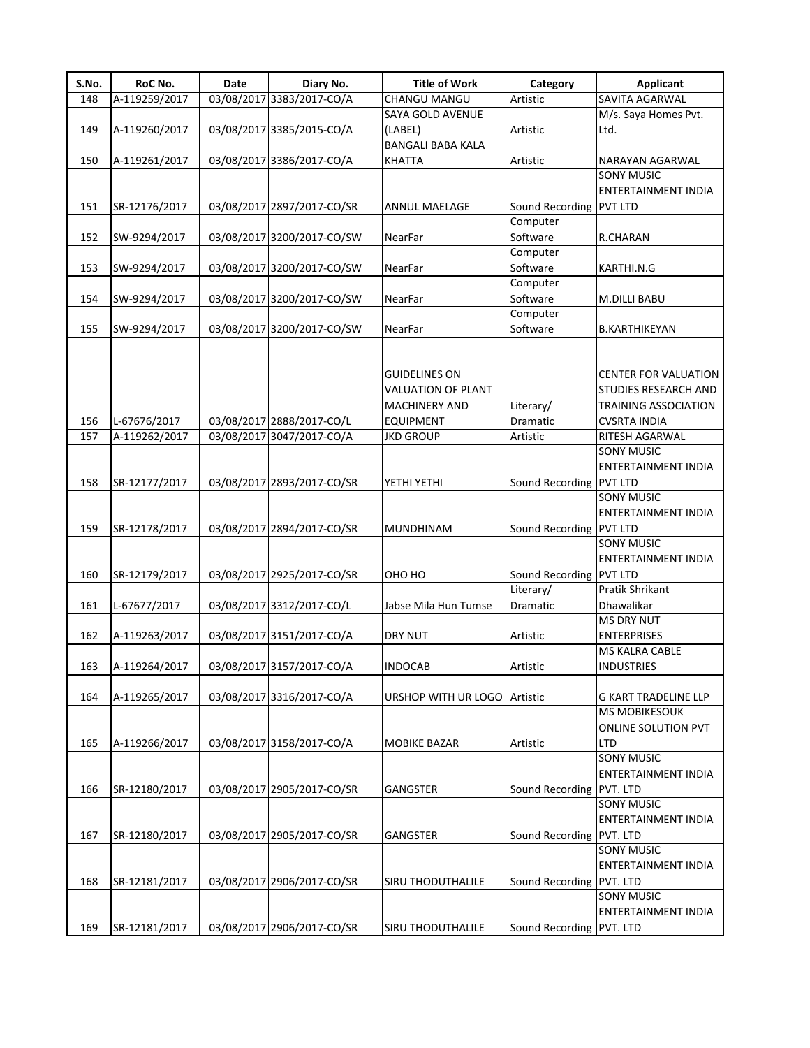| S.No. | RoC No.       | Date | Diary No.                  | <b>Title of Work</b>      | Category                 | <b>Applicant</b>            |
|-------|---------------|------|----------------------------|---------------------------|--------------------------|-----------------------------|
| 148   | A-119259/2017 |      | 03/08/2017 3383/2017-CO/A  | CHANGU MANGU              | Artistic                 | SAVITA AGARWAL              |
|       |               |      |                            | SAYA GOLD AVENUE          |                          | M/s. Saya Homes Pvt.        |
| 149   | A-119260/2017 |      | 03/08/2017 3385/2015-CO/A  | (LABEL)                   | Artistic                 | Ltd.                        |
|       |               |      |                            | <b>BANGALI BABA KALA</b>  |                          |                             |
| 150   | A-119261/2017 |      | 03/08/2017 3386/2017-CO/A  | <b>KHATTA</b>             | Artistic                 | NARAYAN AGARWAL             |
|       |               |      |                            |                           |                          | <b>SONY MUSIC</b>           |
|       |               |      |                            |                           |                          | ENTERTAINMENT INDIA         |
| 151   | SR-12176/2017 |      | 03/08/2017 2897/2017-CO/SR | ANNUL MAELAGE             | Sound Recording PVT LTD  |                             |
|       |               |      |                            |                           | Computer                 |                             |
| 152   | SW-9294/2017  |      | 03/08/2017 3200/2017-CO/SW | NearFar                   | Software                 | R.CHARAN                    |
|       |               |      |                            |                           | Computer                 |                             |
| 153   | SW-9294/2017  |      | 03/08/2017 3200/2017-CO/SW | NearFar                   | Software                 | KARTHI.N.G                  |
|       |               |      |                            |                           | Computer                 |                             |
| 154   | SW-9294/2017  |      | 03/08/2017 3200/2017-CO/SW | NearFar                   | Software                 | <b>M.DILLI BABU</b>         |
|       |               |      |                            |                           | Computer                 |                             |
| 155   | SW-9294/2017  |      | 03/08/2017 3200/2017-CO/SW | NearFar                   | Software                 | <b>B.KARTHIKEYAN</b>        |
|       |               |      |                            |                           |                          |                             |
|       |               |      |                            |                           |                          |                             |
|       |               |      |                            | <b>GUIDELINES ON</b>      |                          | <b>CENTER FOR VALUATION</b> |
|       |               |      |                            | <b>VALUATION OF PLANT</b> |                          | STUDIES RESEARCH AND        |
|       |               |      |                            | MACHINERY AND             | Literary/                | <b>TRAINING ASSOCIATION</b> |
| 156   | L-67676/2017  |      | 03/08/2017 2888/2017-CO/L  | <b>EQUIPMENT</b>          | Dramatic                 | <b>CVSRTA INDIA</b>         |
| 157   | A-119262/2017 |      | 03/08/2017 3047/2017-CO/A  | <b>JKD GROUP</b>          | Artistic                 | RITESH AGARWAL              |
|       |               |      |                            |                           |                          | <b>SONY MUSIC</b>           |
|       |               |      |                            |                           |                          | <b>ENTERTAINMENT INDIA</b>  |
| 158   | SR-12177/2017 |      | 03/08/2017 2893/2017-CO/SR | YETHI YETHI               | Sound Recording PVT LTD  |                             |
|       |               |      |                            |                           |                          | <b>SONY MUSIC</b>           |
|       |               |      |                            |                           |                          | ENTERTAINMENT INDIA         |
| 159   | SR-12178/2017 |      | 03/08/2017 2894/2017-CO/SR | <b>MUNDHINAM</b>          | Sound Recording PVT LTD  |                             |
|       |               |      |                            |                           |                          | <b>SONY MUSIC</b>           |
|       |               |      |                            |                           |                          | <b>ENTERTAINMENT INDIA</b>  |
| 160   | SR-12179/2017 |      | 03/08/2017 2925/2017-CO/SR | OHO HO                    | Sound Recording PVT LTD  |                             |
|       |               |      |                            |                           | Literary/                | Pratik Shrikant             |
| 161   | L-67677/2017  |      | 03/08/2017 3312/2017-CO/L  | Jabse Mila Hun Tumse      | Dramatic                 | Dhawalikar                  |
|       |               |      |                            |                           |                          | <b>MS DRY NUT</b>           |
| 162   | A-119263/2017 |      | 03/08/2017 3151/2017-CO/A  | <b>DRY NUT</b>            | Artistic                 | <b>ENTERPRISES</b>          |
|       |               |      |                            |                           |                          | <b>MS KALRA CABLE</b>       |
| 163   | A-119264/2017 |      | 03/08/2017 3157/2017-CO/A  | <b>INDOCAB</b>            | Artistic                 | <b>INDUSTRIES</b>           |
|       |               |      |                            |                           |                          |                             |
| 164   | A-119265/2017 |      | 03/08/2017 3316/2017-CO/A  | URSHOP WITH UR LOGO       | Artistic                 | <b>G KART TRADELINE LLP</b> |
|       |               |      |                            |                           |                          | <b>MS MOBIKESOUK</b>        |
|       |               |      |                            |                           |                          | <b>ONLINE SOLUTION PVT</b>  |
| 165   | A-119266/2017 |      | 03/08/2017 3158/2017-CO/A  | <b>MOBIKE BAZAR</b>       | Artistic                 | <b>LTD</b>                  |
|       |               |      |                            |                           |                          | <b>SONY MUSIC</b>           |
|       |               |      |                            |                           |                          | ENTERTAINMENT INDIA         |
| 166   | SR-12180/2017 |      | 03/08/2017 2905/2017-CO/SR | <b>GANGSTER</b>           | Sound Recording PVT. LTD |                             |
|       |               |      |                            |                           |                          | <b>SONY MUSIC</b>           |
|       |               |      |                            |                           |                          | ENTERTAINMENT INDIA         |
| 167   | SR-12180/2017 |      | 03/08/2017 2905/2017-CO/SR | <b>GANGSTER</b>           | Sound Recording PVT. LTD |                             |
|       |               |      |                            |                           |                          | <b>SONY MUSIC</b>           |
|       |               |      |                            |                           |                          | ENTERTAINMENT INDIA         |
| 168   | SR-12181/2017 |      | 03/08/2017 2906/2017-CO/SR | <b>SIRU THODUTHALILE</b>  | Sound Recording PVT. LTD |                             |
|       |               |      |                            |                           |                          | <b>SONY MUSIC</b>           |
|       |               |      |                            |                           |                          | ENTERTAINMENT INDIA         |
| 169   |               |      | 03/08/2017 2906/2017-CO/SR |                           |                          |                             |
|       | SR-12181/2017 |      |                            | SIRU THODUTHALILE         | Sound Recording PVT. LTD |                             |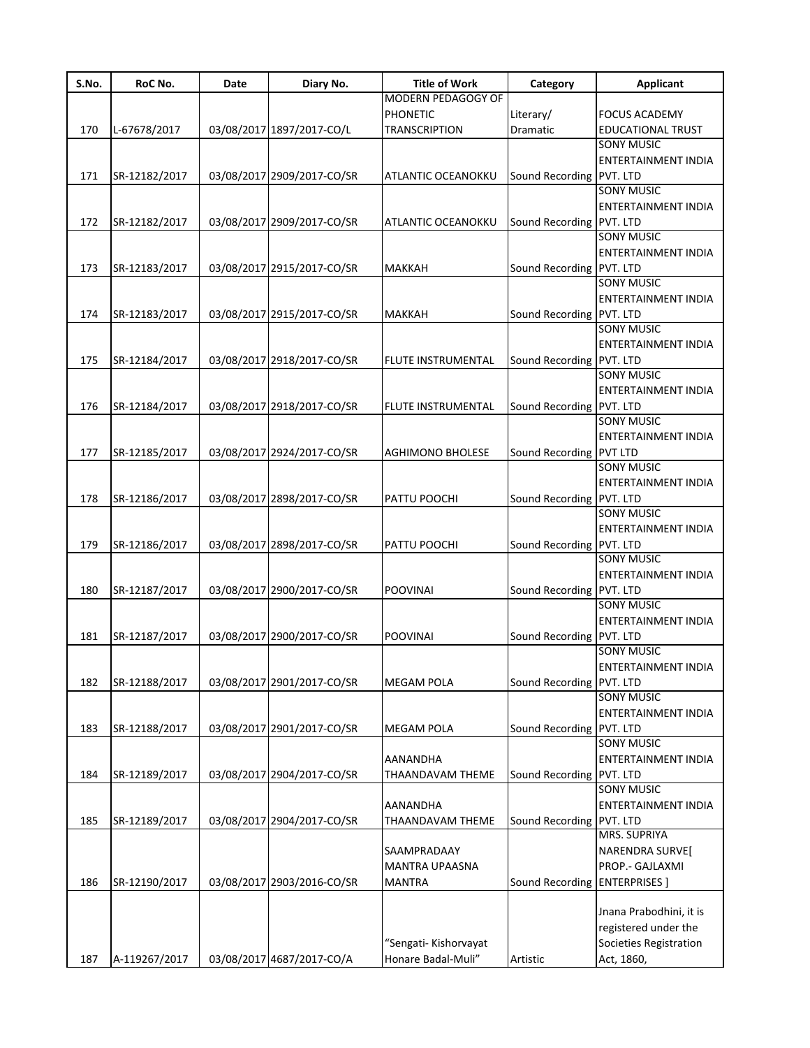| S.No. | RoC No.       | Date | Diary No.                  | <b>Title of Work</b>      | Category                      | <b>Applicant</b>           |
|-------|---------------|------|----------------------------|---------------------------|-------------------------------|----------------------------|
|       |               |      |                            | MODERN PEDAGOGY OF        |                               |                            |
|       |               |      |                            | <b>PHONETIC</b>           | Literary/                     | <b>FOCUS ACADEMY</b>       |
| 170   | L-67678/2017  |      | 03/08/2017 1897/2017-CO/L  | <b>TRANSCRIPTION</b>      | Dramatic                      | <b>EDUCATIONAL TRUST</b>   |
|       |               |      |                            |                           |                               | <b>SONY MUSIC</b>          |
|       |               |      |                            |                           |                               | ENTERTAINMENT INDIA        |
| 171   | SR-12182/2017 |      | 03/08/2017 2909/2017-CO/SR | ATLANTIC OCEANOKKU        | Sound Recording PVT. LTD      |                            |
|       |               |      |                            |                           |                               | <b>SONY MUSIC</b>          |
|       |               |      |                            |                           |                               | ENTERTAINMENT INDIA        |
| 172   | SR-12182/2017 |      | 03/08/2017 2909/2017-CO/SR | ATLANTIC OCEANOKKU        | Sound Recording PVT. LTD      |                            |
|       |               |      |                            |                           |                               | <b>SONY MUSIC</b>          |
|       |               |      |                            |                           |                               | <b>ENTERTAINMENT INDIA</b> |
| 173   | SR-12183/2017 |      | 03/08/2017 2915/2017-CO/SR | <b>MAKKAH</b>             | Sound Recording PVT. LTD      |                            |
|       |               |      |                            |                           |                               | <b>SONY MUSIC</b>          |
|       |               |      |                            |                           |                               | <b>ENTERTAINMENT INDIA</b> |
| 174   | SR-12183/2017 |      | 03/08/2017 2915/2017-CO/SR | <b>MAKKAH</b>             | Sound Recording PVT. LTD      |                            |
|       |               |      |                            |                           |                               | <b>SONY MUSIC</b>          |
|       |               |      |                            |                           |                               | <b>ENTERTAINMENT INDIA</b> |
| 175   | SR-12184/2017 |      | 03/08/2017 2918/2017-CO/SR | <b>FLUTE INSTRUMENTAL</b> | Sound Recording PVT. LTD      |                            |
|       |               |      |                            |                           |                               | <b>SONY MUSIC</b>          |
|       |               |      |                            |                           |                               | ENTERTAINMENT INDIA        |
| 176   | SR-12184/2017 |      | 03/08/2017 2918/2017-CO/SR | <b>FLUTE INSTRUMENTAL</b> | Sound Recording PVT. LTD      |                            |
|       |               |      |                            |                           |                               | <b>SONY MUSIC</b>          |
|       |               |      |                            |                           |                               | <b>ENTERTAINMENT INDIA</b> |
|       |               |      |                            |                           |                               |                            |
| 177   | SR-12185/2017 |      | 03/08/2017 2924/2017-CO/SR | <b>AGHIMONO BHOLESE</b>   | Sound Recording PVT LTD       | <b>SONY MUSIC</b>          |
|       |               |      |                            |                           |                               |                            |
|       |               |      |                            |                           |                               | <b>ENTERTAINMENT INDIA</b> |
| 178   | SR-12186/2017 |      | 03/08/2017 2898/2017-CO/SR | PATTU POOCHI              | Sound Recording PVT. LTD      |                            |
|       |               |      |                            |                           |                               | <b>SONY MUSIC</b>          |
|       |               |      |                            |                           |                               | <b>ENTERTAINMENT INDIA</b> |
| 179   | SR-12186/2017 |      | 03/08/2017 2898/2017-CO/SR | PATTU POOCHI              | Sound Recording PVT. LTD      |                            |
|       |               |      |                            |                           |                               | <b>SONY MUSIC</b>          |
|       |               |      |                            |                           |                               | <b>ENTERTAINMENT INDIA</b> |
| 180   | SR-12187/2017 |      | 03/08/2017 2900/2017-CO/SR | <b>POOVINAI</b>           | Sound Recording PVT. LTD      |                            |
|       |               |      |                            |                           |                               | <b>SONY MUSIC</b>          |
|       |               |      |                            |                           |                               | ENTERTAINMENT INDIA        |
| 181   | SR-12187/2017 |      | 03/08/2017 2900/2017-CO/SR | <b>POOVINAI</b>           | Sound Recording PVT. LTD      |                            |
|       |               |      |                            |                           |                               | <b>SONY MUSIC</b>          |
|       |               |      |                            |                           |                               | ENTERTAINMENT INDIA        |
| 182   | SR-12188/2017 |      | 03/08/2017 2901/2017-CO/SR | <b>MEGAM POLA</b>         | Sound Recording   PVT. LTD    |                            |
|       |               |      |                            |                           |                               | <b>SONY MUSIC</b>          |
|       |               |      |                            |                           |                               | ENTERTAINMENT INDIA        |
| 183   | SR-12188/2017 |      | 03/08/2017 2901/2017-CO/SR | <b>MEGAM POLA</b>         | Sound Recording               | PVT. LTD                   |
|       |               |      |                            |                           |                               | <b>SONY MUSIC</b>          |
|       |               |      |                            | <b>AANANDHA</b>           |                               | <b>ENTERTAINMENT INDIA</b> |
| 184   | SR-12189/2017 |      | 03/08/2017 2904/2017-CO/SR | THAANDAVAM THEME          | Sound Recording PVT. LTD      |                            |
|       |               |      |                            |                           |                               | <b>SONY MUSIC</b>          |
|       |               |      |                            | AANANDHA                  |                               | ENTERTAINMENT INDIA        |
| 185   | SR-12189/2017 |      | 03/08/2017 2904/2017-CO/SR | THAANDAVAM THEME          | Sound Recording               | PVT. LTD                   |
|       |               |      |                            |                           |                               | MRS. SUPRIYA               |
|       |               |      |                            | SAAMPRADAAY               |                               | NARENDRA SURVEJ            |
|       |               |      |                            | <b>MANTRA UPAASNA</b>     |                               | PROP.- GAJLAXMI            |
| 186   | SR-12190/2017 |      | 03/08/2017 2903/2016-CO/SR | <b>MANTRA</b>             | Sound Recording ENTERPRISES ] |                            |
|       |               |      |                            |                           |                               |                            |
|       |               |      |                            |                           |                               |                            |
|       |               |      |                            |                           |                               | Jnana Prabodhini, it is    |
|       |               |      |                            |                           |                               | registered under the       |
|       |               |      |                            | "Sengati- Kishorvayat     |                               | Societies Registration     |
| 187   | A-119267/2017 |      | 03/08/2017 4687/2017-CO/A  | Honare Badal-Muli"        | Artistic                      | Act, 1860,                 |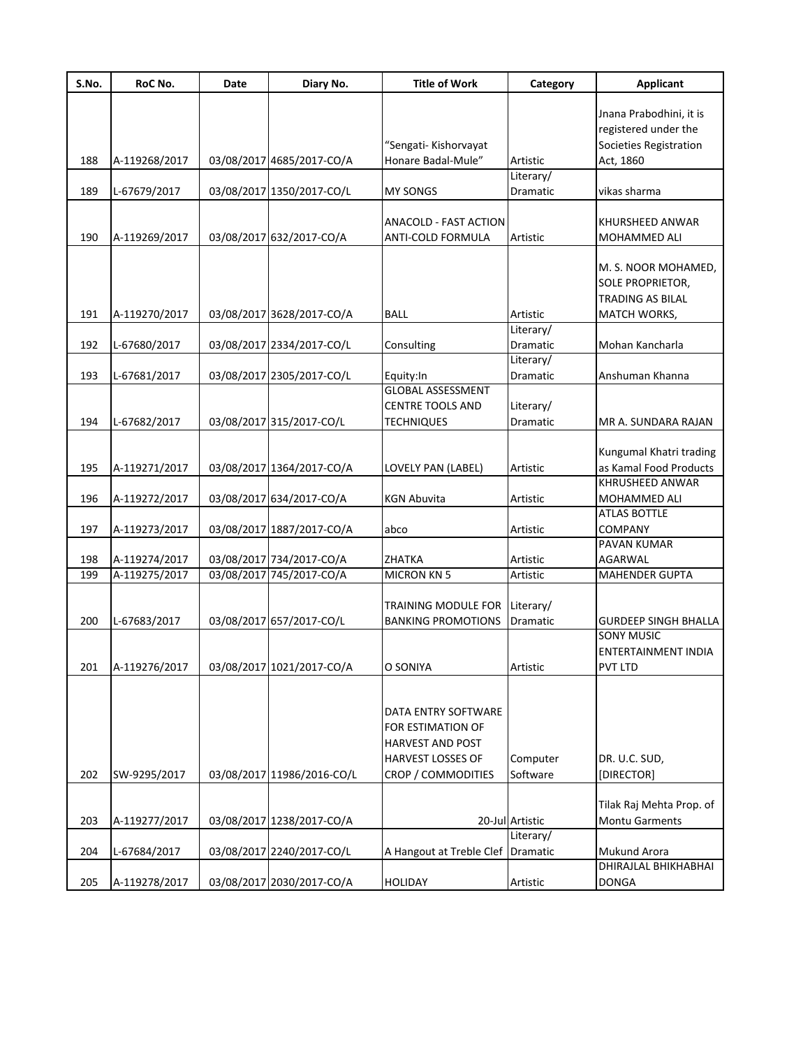| S.No. | RoC No.       | Date | Diary No.                  | <b>Title of Work</b>                                                                            | Category              | <b>Applicant</b>                                                            |
|-------|---------------|------|----------------------------|-------------------------------------------------------------------------------------------------|-----------------------|-----------------------------------------------------------------------------|
|       |               |      |                            |                                                                                                 |                       | Jnana Prabodhini, it is<br>registered under the                             |
| 188   | A-119268/2017 |      | 03/08/2017 4685/2017-CO/A  | "Sengati- Kishorvayat<br>Honare Badal-Mule"                                                     | Artistic              | Societies Registration<br>Act, 1860                                         |
|       |               |      |                            |                                                                                                 | Literary/             |                                                                             |
| 189   | L-67679/2017  |      | 03/08/2017 1350/2017-CO/L  | <b>MY SONGS</b>                                                                                 | Dramatic              | vikas sharma                                                                |
| 190   | A-119269/2017 |      | 03/08/2017 632/2017-CO/A   | ANACOLD - FAST ACTION<br>ANTI-COLD FORMULA                                                      | Artistic              | KHURSHEED ANWAR<br>MOHAMMED ALI                                             |
| 191   | A-119270/2017 |      | 03/08/2017 3628/2017-CO/A  | <b>BALL</b>                                                                                     | Artistic              | M. S. NOOR MOHAMED,<br>SOLE PROPRIETOR,<br>TRADING AS BILAL<br>MATCH WORKS, |
|       |               |      |                            |                                                                                                 | Literary/             |                                                                             |
| 192   | L-67680/2017  |      | 03/08/2017 2334/2017-CO/L  | Consulting                                                                                      | Dramatic              | Mohan Kancharla                                                             |
| 193   | L-67681/2017  |      | 03/08/2017 2305/2017-CO/L  | Equity:In                                                                                       | Literary/<br>Dramatic | Anshuman Khanna                                                             |
|       |               |      |                            | <b>GLOBAL ASSESSMENT</b><br><b>CENTRE TOOLS AND</b>                                             | Literary/             |                                                                             |
| 194   | L-67682/2017  |      | 03/08/2017 315/2017-CO/L   | <b>TECHNIQUES</b>                                                                               | Dramatic              | MR A. SUNDARA RAJAN                                                         |
| 195   | A-119271/2017 |      | 03/08/2017 1364/2017-CO/A  | LOVELY PAN (LABEL)                                                                              | Artistic              | Kungumal Khatri trading<br>as Kamal Food Products                           |
|       |               |      |                            |                                                                                                 |                       | KHRUSHEED ANWAR                                                             |
| 196   | A-119272/2017 |      | 03/08/2017 634/2017-CO/A   | <b>KGN Abuvita</b>                                                                              | Artistic              | MOHAMMED ALI                                                                |
|       |               |      |                            |                                                                                                 |                       | <b>ATLAS BOTTLE</b>                                                         |
| 197   | A-119273/2017 |      | 03/08/2017 1887/2017-CO/A  | abco                                                                                            | Artistic              | <b>COMPANY</b><br>PAVAN KUMAR                                               |
| 198   | A-119274/2017 |      | 03/08/2017 734/2017-CO/A   | ZHATKA                                                                                          | Artistic              | AGARWAL                                                                     |
| 199   | A-119275/2017 |      | 03/08/2017 745/2017-CO/A   | <b>MICRON KN 5</b>                                                                              | Artistic              | <b>MAHENDER GUPTA</b>                                                       |
|       |               |      |                            | <b>TRAINING MODULE FOR</b>                                                                      | Literary/             |                                                                             |
| 200   | L-67683/2017  |      | 03/08/2017 657/2017-CO/L   | <b>BANKING PROMOTIONS</b>                                                                       | Dramatic              | <b>GURDEEP SINGH BHALLA</b>                                                 |
| 201   | A-119276/2017 |      | 03/08/2017 1021/2017-CO/A  | O SONIYA                                                                                        | Artistic              | <b>SONY MUSIC</b><br>ENTERTAINMENT INDIA<br>PVT LTD                         |
|       |               |      |                            | DATA ENTRY SOFTWARE<br>FOR ESTIMATION OF<br><b>HARVEST AND POST</b><br><b>HARVEST LOSSES OF</b> | Computer              | DR. U.C. SUD,                                                               |
| 202   | SW-9295/2017  |      | 03/08/2017 11986/2016-CO/L | CROP / COMMODITIES                                                                              | Software              | [DIRECTOR]                                                                  |
| 203   | A-119277/2017 |      | 03/08/2017 1238/2017-CO/A  |                                                                                                 | 20-Jul Artistic       | Tilak Raj Mehta Prop. of<br><b>Montu Garments</b>                           |
|       |               |      |                            |                                                                                                 | Literary/             |                                                                             |
| 204   | L-67684/2017  |      | 03/08/2017 2240/2017-CO/L  | A Hangout at Treble Clef Dramatic                                                               |                       | Mukund Arora                                                                |
| 205   | A-119278/2017 |      | 03/08/2017 2030/2017-CO/A  | <b>HOLIDAY</b>                                                                                  | Artistic              | DHIRAJLAL BHIKHABHAI<br><b>DONGA</b>                                        |
|       |               |      |                            |                                                                                                 |                       |                                                                             |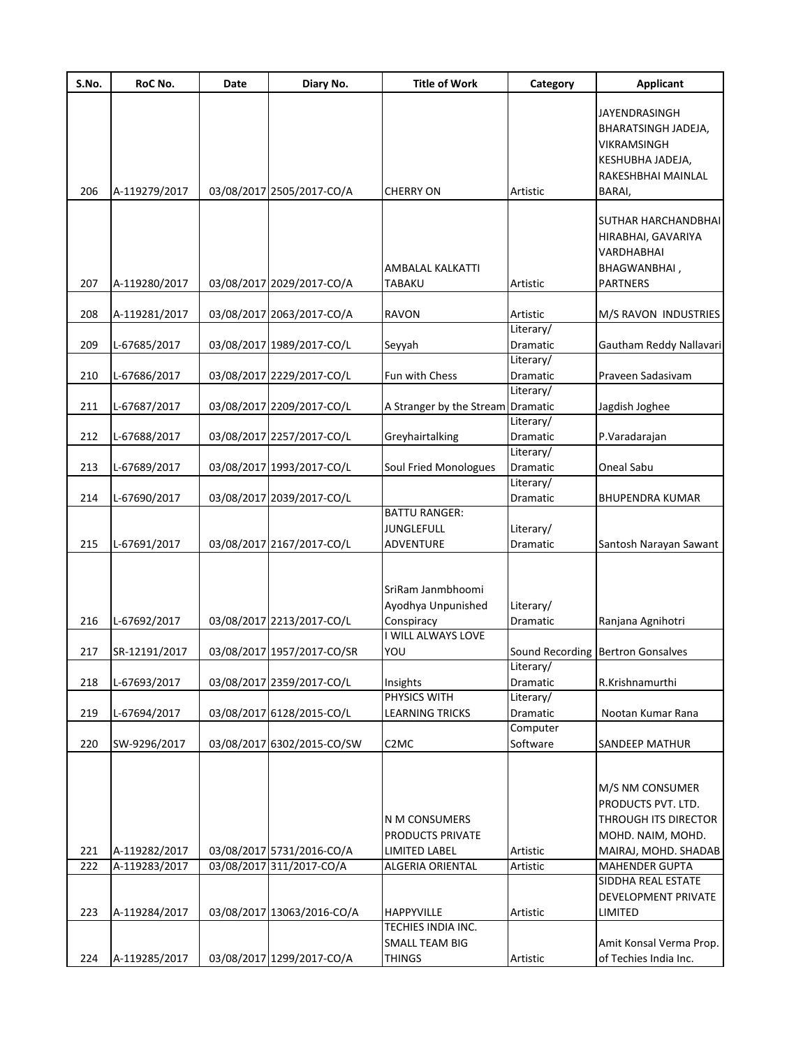| S.No. | RoC No.       | Date | Diary No.                  | <b>Title of Work</b>                                                        | Category              | <b>Applicant</b>                                                                              |
|-------|---------------|------|----------------------------|-----------------------------------------------------------------------------|-----------------------|-----------------------------------------------------------------------------------------------|
|       |               |      |                            |                                                                             |                       | JAYENDRASINGH<br>BHARATSINGH JADEJA,<br>VIKRAMSINGH<br>KESHUBHA JADEJA,<br>RAKESHBHAI MAINLAL |
| 206   | A-119279/2017 |      | 03/08/2017 2505/2017-CO/A  | <b>CHERRY ON</b>                                                            | Artistic              | BARAI,                                                                                        |
| 207   | A-119280/2017 |      | 03/08/2017 2029/2017-CO/A  | AMBALAL KALKATTI<br><b>TABAKU</b>                                           | Artistic              | SUTHAR HARCHANDBHAI<br>HIRABHAI, GAVARIYA<br>VARDHABHAI<br>BHAGWANBHAI,<br><b>PARTNERS</b>    |
| 208   | A-119281/2017 |      | 03/08/2017 2063/2017-CO/A  | <b>RAVON</b>                                                                | Artistic              | M/S RAVON INDUSTRIES                                                                          |
|       |               |      |                            |                                                                             | Literary/             |                                                                                               |
| 209   | L-67685/2017  |      | 03/08/2017 1989/2017-CO/L  | Seyyah                                                                      | Dramatic              | Gautham Reddy Nallavari                                                                       |
| 210   | L-67686/2017  |      | 03/08/2017 2229/2017-CO/L  | Fun with Chess                                                              | Literary/<br>Dramatic | Praveen Sadasivam                                                                             |
|       |               |      |                            |                                                                             | Literary/             |                                                                                               |
| 211   | L-67687/2017  |      | 03/08/2017 2209/2017-CO/L  | A Stranger by the Stream                                                    | Dramatic              | Jagdish Joghee                                                                                |
|       |               |      |                            |                                                                             | Literary/             |                                                                                               |
| 212   | L-67688/2017  |      | 03/08/2017 2257/2017-CO/L  | Greyhairtalking                                                             | Dramatic              | P.Varadarajan                                                                                 |
|       |               |      |                            |                                                                             | Literary/             |                                                                                               |
| 213   | L-67689/2017  |      | 03/08/2017 1993/2017-CO/L  | Soul Fried Monologues                                                       | Dramatic              | Oneal Sabu                                                                                    |
| 214   | L-67690/2017  |      | 03/08/2017 2039/2017-CO/L  |                                                                             | Literary/<br>Dramatic | <b>BHUPENDRA KUMAR</b>                                                                        |
|       |               |      |                            | <b>BATTU RANGER:</b>                                                        |                       |                                                                                               |
|       |               |      |                            | <b>JUNGLEFULL</b>                                                           | Literary/             |                                                                                               |
| 215   | L-67691/2017  |      | 03/08/2017 2167/2017-CO/L  | <b>ADVENTURE</b>                                                            | Dramatic              | Santosh Narayan Sawant                                                                        |
| 216   | L-67692/2017  |      | 03/08/2017 2213/2017-CO/L  | SriRam Janmbhoomi<br>Ayodhya Unpunished<br>Conspiracy<br>I WILL ALWAYS LOVE | Literary/<br>Dramatic | Ranjana Agnihotri                                                                             |
| 217   | SR-12191/2017 |      | 03/08/2017 1957/2017-CO/SR | YOU                                                                         |                       | Sound Recording Bertron Gonsalves                                                             |
|       |               |      |                            |                                                                             | Literary/             |                                                                                               |
| 218   | L-67693/2017  |      | 03/08/2017 2359/2017-CO/L  | Insights                                                                    | Dramatic              | R.Krishnamurthi                                                                               |
|       |               |      |                            | PHYSICS WITH                                                                | Literary/             |                                                                                               |
| 219   | L-67694/2017  |      | 03/08/2017 6128/2015-CO/L  | <b>LEARNING TRICKS</b>                                                      | Dramatic              | Nootan Kumar Rana                                                                             |
| 220   | SW-9296/2017  |      | 03/08/2017 6302/2015-CO/SW | C <sub>2</sub> MC                                                           | Computer<br>Software  | SANDEEP MATHUR                                                                                |
|       |               |      |                            |                                                                             |                       |                                                                                               |
|       |               |      |                            | N M CONSUMERS<br>PRODUCTS PRIVATE                                           |                       | M/S NM CONSUMER<br>PRODUCTS PVT. LTD.<br>THROUGH ITS DIRECTOR<br>MOHD. NAIM, MOHD.            |
| 221   | A-119282/2017 |      | 03/08/2017 5731/2016-CO/A  | <b>LIMITED LABEL</b>                                                        | Artistic              | MAIRAJ, MOHD. SHADAB                                                                          |
| 222   | A-119283/2017 |      | 03/08/2017 311/2017-CO/A   | ALGERIA ORIENTAL                                                            | Artistic              | MAHENDER GUPTA<br>SIDDHA REAL ESTATE                                                          |
| 223   | A-119284/2017 |      | 03/08/2017 13063/2016-CO/A | <b>HAPPYVILLE</b>                                                           | Artistic              | DEVELOPMENT PRIVATE<br>LIMITED                                                                |
|       |               |      |                            | TECHIES INDIA INC.                                                          |                       |                                                                                               |
|       |               |      |                            | <b>SMALL TEAM BIG</b>                                                       |                       | Amit Konsal Verma Prop.                                                                       |
| 224   | A-119285/2017 |      | 03/08/2017 1299/2017-CO/A  | <b>THINGS</b>                                                               | Artistic              | of Techies India Inc.                                                                         |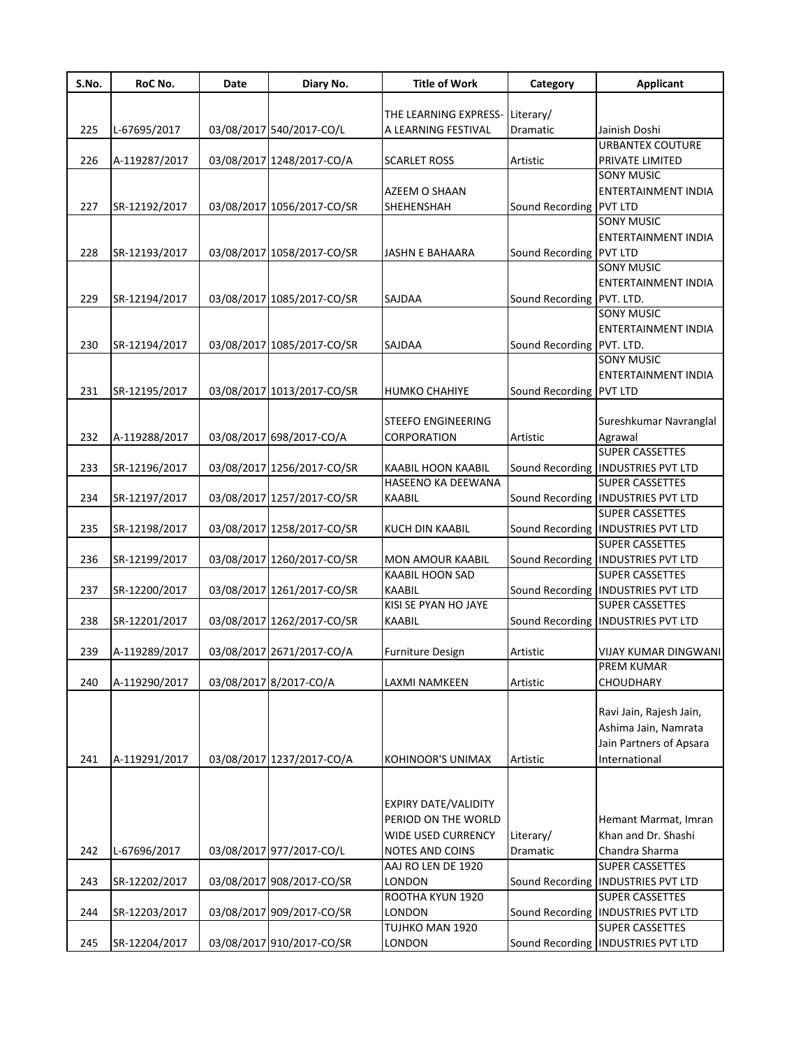| S.No. | RoC No.       | Date | Diary No.                  | <b>Title of Work</b>        | Category                  | <b>Applicant</b>                                               |
|-------|---------------|------|----------------------------|-----------------------------|---------------------------|----------------------------------------------------------------|
|       |               |      |                            |                             |                           |                                                                |
|       |               |      |                            | THE LEARNING EXPRESS-       | Literary/                 |                                                                |
| 225   | L-67695/2017  |      | 03/08/2017 540/2017-CO/L   | A LEARNING FESTIVAL         | Dramatic                  | Jainish Doshi<br><b>URBANTEX COUTURE</b>                       |
|       |               |      |                            |                             |                           |                                                                |
| 226   | A-119287/2017 |      | 03/08/2017 1248/2017-CO/A  | <b>SCARLET ROSS</b>         | Artistic                  | PRIVATE LIMITED<br><b>SONY MUSIC</b>                           |
|       |               |      |                            | AZEEM O SHAAN               |                           | ENTERTAINMENT INDIA                                            |
| 227   |               |      |                            | <b>SHEHENSHAH</b>           |                           |                                                                |
|       | SR-12192/2017 |      | 03/08/2017 1056/2017-CO/SR |                             | Sound Recording PVT LTD   | <b>SONY MUSIC</b>                                              |
|       |               |      |                            |                             |                           | <b>ENTERTAINMENT INDIA</b>                                     |
| 228   | SR-12193/2017 |      | 03/08/2017 1058/2017-CO/SR | <b>JASHN E BAHAARA</b>      | Sound Recording PVT LTD   |                                                                |
|       |               |      |                            |                             |                           | <b>SONY MUSIC</b>                                              |
|       |               |      |                            |                             |                           | <b>ENTERTAINMENT INDIA</b>                                     |
| 229   | SR-12194/2017 |      | 03/08/2017 1085/2017-CO/SR | <b>SAJDAA</b>               | Sound Recording PVT. LTD. |                                                                |
|       |               |      |                            |                             |                           | <b>SONY MUSIC</b>                                              |
|       |               |      |                            |                             |                           | <b>ENTERTAINMENT INDIA</b>                                     |
| 230   | SR-12194/2017 |      | 03/08/2017 1085/2017-CO/SR | <b>SAJDAA</b>               | Sound Recording PVT. LTD. |                                                                |
|       |               |      |                            |                             |                           | <b>SONY MUSIC</b>                                              |
|       |               |      |                            |                             |                           | ENTERTAINMENT INDIA                                            |
| 231   |               |      | 03/08/2017 1013/2017-CO/SR | <b>HUMKO CHAHIYE</b>        |                           |                                                                |
|       | SR-12195/2017 |      |                            |                             | Sound Recording PVT LTD   |                                                                |
|       |               |      |                            | <b>STEEFO ENGINEERING</b>   |                           | Sureshkumar Navranglal                                         |
| 232   | A-119288/2017 |      | 03/08/2017 698/2017-CO/A   | CORPORATION                 | Artistic                  |                                                                |
|       |               |      |                            |                             |                           | Agrawal<br><b>SUPER CASSETTES</b>                              |
| 233   | SR-12196/2017 |      | 03/08/2017 1256/2017-CO/SR | <b>KAABIL HOON KAABIL</b>   |                           | Sound Recording   INDUSTRIES PVT LTD                           |
|       |               |      |                            | HASEENO KA DEEWANA          |                           | <b>SUPER CASSETTES</b>                                         |
|       |               |      |                            |                             |                           |                                                                |
| 234   | SR-12197/2017 |      | 03/08/2017 1257/2017-CO/SR | <b>KAABIL</b>               |                           | Sound Recording   INDUSTRIES PVT LTD<br><b>SUPER CASSETTES</b> |
|       |               |      |                            |                             |                           |                                                                |
| 235   | SR-12198/2017 |      | 03/08/2017 1258/2017-CO/SR | <b>KUCH DIN KAABIL</b>      |                           | Sound Recording   INDUSTRIES PVT LTD                           |
|       |               |      |                            |                             |                           | <b>SUPER CASSETTES</b>                                         |
| 236   | SR-12199/2017 |      | 03/08/2017 1260/2017-CO/SR | <b>MON AMOUR KAABIL</b>     |                           | Sound Recording   INDUSTRIES PVT LTD                           |
|       |               |      |                            | <b>KAABIL HOON SAD</b>      |                           | <b>SUPER CASSETTES</b>                                         |
| 237   | SR-12200/2017 |      | 03/08/2017 1261/2017-CO/SR | <b>KAABIL</b>               |                           | Sound Recording   INDUSTRIES PVT LTD                           |
|       |               |      |                            | KISI SE PYAN HO JAYE        |                           | <b>SUPER CASSETTES</b>                                         |
| 238   | SR-12201/2017 |      | 03/08/2017 1262/2017-CO/SR | <b>KAABIL</b>               |                           | Sound Recording   INDUSTRIES PVT LTD                           |
|       |               |      |                            |                             |                           |                                                                |
| 239   | A-119289/2017 |      | 03/08/2017 2671/2017-CO/A  | <b>Furniture Design</b>     | Artistic                  | VIJAY KUMAR DINGWANI                                           |
|       |               |      |                            |                             |                           | <b>PREM KUMAR</b>                                              |
| 240   | A-119290/2017 |      | 03/08/2017 8/2017-CO/A     | LAXMI NAMKEEN               | Artistic                  | <b>CHOUDHARY</b>                                               |
|       |               |      |                            |                             |                           |                                                                |
|       |               |      |                            |                             |                           | Ravi Jain, Rajesh Jain,                                        |
|       |               |      |                            |                             |                           | Ashima Jain, Namrata                                           |
|       |               |      |                            |                             |                           | Jain Partners of Apsara                                        |
| 241   | A-119291/2017 |      | 03/08/2017 1237/2017-CO/A  | <b>KOHINOOR'S UNIMAX</b>    | Artistic                  | International                                                  |
|       |               |      |                            |                             |                           |                                                                |
|       |               |      |                            |                             |                           |                                                                |
|       |               |      |                            | <b>EXPIRY DATE/VALIDITY</b> |                           |                                                                |
|       |               |      |                            | PERIOD ON THE WORLD         |                           | Hemant Marmat, Imran                                           |
|       |               |      |                            | <b>WIDE USED CURRENCY</b>   | Literary/                 | Khan and Dr. Shashi                                            |
| 242   | L-67696/2017  |      | 03/08/2017 977/2017-CO/L   | NOTES AND COINS             | Dramatic                  | Chandra Sharma                                                 |
|       |               |      |                            | AAJ RO LEN DE 1920          |                           | <b>SUPER CASSETTES</b>                                         |
| 243   | SR-12202/2017 |      | 03/08/2017 908/2017-CO/SR  | LONDON                      |                           | Sound Recording   INDUSTRIES PVT LTD                           |
|       |               |      |                            | ROOTHA KYUN 1920            |                           | <b>SUPER CASSETTES</b>                                         |
| 244   | SR-12203/2017 |      | 03/08/2017 909/2017-CO/SR  | LONDON                      |                           | Sound Recording   INDUSTRIES PVT LTD                           |
|       |               |      |                            | TUJHKO MAN 1920             |                           | <b>SUPER CASSETTES</b>                                         |
| 245   | SR-12204/2017 |      | 03/08/2017 910/2017-CO/SR  | LONDON                      |                           | Sound Recording   INDUSTRIES PVT LTD                           |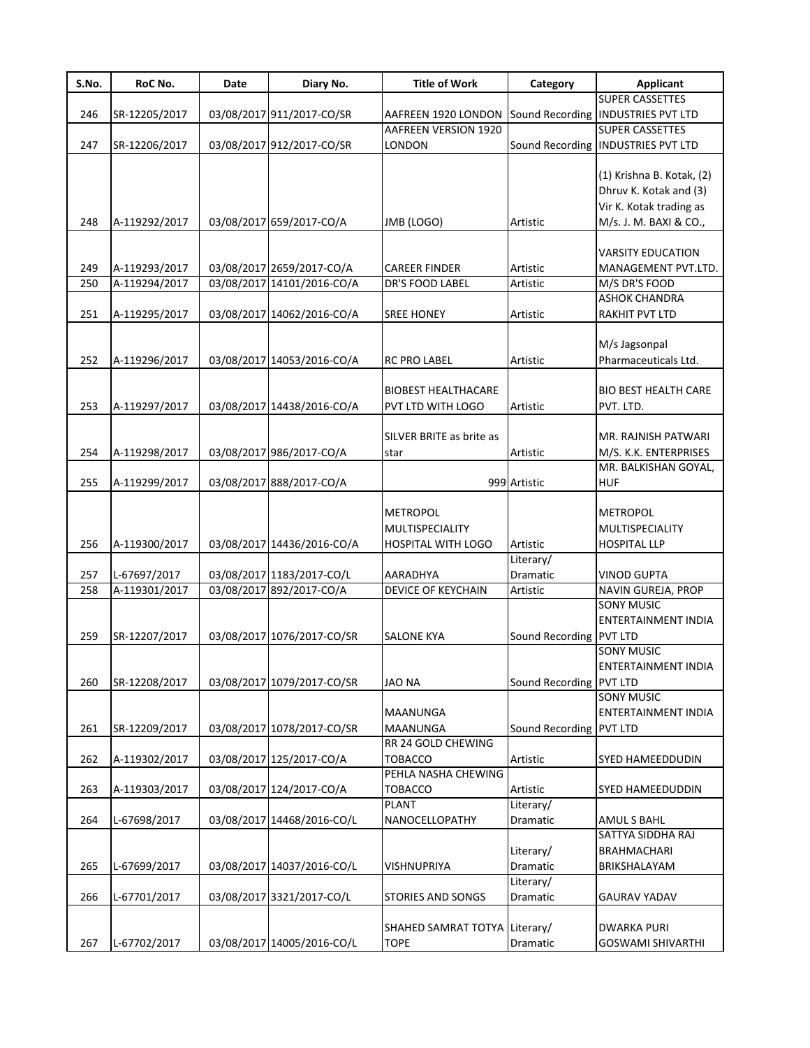| S.No. | RoC No.       | Date | Diary No.                  | <b>Title of Work</b>                                            | Category                | <b>Applicant</b>                                                                                         |
|-------|---------------|------|----------------------------|-----------------------------------------------------------------|-------------------------|----------------------------------------------------------------------------------------------------------|
|       |               |      |                            |                                                                 |                         | <b>SUPER CASSETTES</b>                                                                                   |
| 246   | SR-12205/2017 |      | 03/08/2017 911/2017-CO/SR  | AAFREEN 1920 LONDON                                             |                         | Sound Recording INDUSTRIES PVT LTD                                                                       |
|       |               |      |                            | AAFREEN VERSION 1920                                            |                         | <b>SUPER CASSETTES</b>                                                                                   |
| 247   | SR-12206/2017 |      | 03/08/2017 912/2017-CO/SR  | LONDON                                                          |                         | Sound Recording   INDUSTRIES PVT LTD                                                                     |
| 248   | A-119292/2017 |      | 03/08/2017 659/2017-CO/A   | JMB (LOGO)                                                      | Artistic                | (1) Krishna B. Kotak, (2)<br>Dhruv K. Kotak and (3)<br>Vir K. Kotak trading as<br>M/s. J. M. BAXI & CO., |
|       |               |      |                            |                                                                 |                         |                                                                                                          |
|       |               |      |                            |                                                                 |                         | <b>VARSITY EDUCATION</b>                                                                                 |
| 249   | A-119293/2017 |      | 03/08/2017 2659/2017-CO/A  | <b>CAREER FINDER</b>                                            | Artistic                | MANAGEMENT PVT.LTD.                                                                                      |
| 250   | A-119294/2017 |      | 03/08/2017 14101/2016-CO/A | DR'S FOOD LABEL                                                 | Artistic                | M/S DR'S FOOD                                                                                            |
|       |               |      |                            |                                                                 |                         | <b>ASHOK CHANDRA</b>                                                                                     |
| 251   | A-119295/2017 |      | 03/08/2017 14062/2016-CO/A | <b>SREE HONEY</b>                                               | Artistic                | RAKHIT PVT LTD                                                                                           |
|       |               |      |                            |                                                                 |                         |                                                                                                          |
| 252   | A-119296/2017 |      | 03/08/2017 14053/2016-CO/A | <b>RC PRO LABEL</b>                                             | Artistic                | M/s Jagsonpal<br>Pharmaceuticals Ltd.                                                                    |
|       |               |      |                            | <b>BIOBEST HEALTHACARE</b>                                      |                         | <b>BIO BEST HEALTH CARE</b>                                                                              |
| 253   | A-119297/2017 |      | 03/08/2017 14438/2016-CO/A | PVT LTD WITH LOGO                                               | Artistic                | PVT. LTD.                                                                                                |
|       |               |      |                            |                                                                 |                         |                                                                                                          |
|       |               |      |                            | SILVER BRITE as brite as                                        |                         | MR. RAJNISH PATWARI                                                                                      |
| 254   |               |      | 03/08/2017 986/2017-CO/A   |                                                                 | Artistic                | M/S. K.K. ENTERPRISES                                                                                    |
|       | A-119298/2017 |      |                            | star                                                            |                         | MR. BALKISHAN GOYAL,                                                                                     |
|       |               |      |                            |                                                                 |                         |                                                                                                          |
| 255   | A-119299/2017 |      | 03/08/2017 888/2017-CO/A   |                                                                 | 999 Artistic            | <b>HUF</b>                                                                                               |
| 256   | A-119300/2017 |      | 03/08/2017 14436/2016-CO/A | <b>METROPOL</b><br>MULTISPECIALITY<br><b>HOSPITAL WITH LOGO</b> | Artistic                | <b>METROPOL</b><br>MULTISPECIALITY<br><b>HOSPITAL LLP</b>                                                |
|       |               |      |                            |                                                                 | Literary/               |                                                                                                          |
| 257   | L-67697/2017  |      | 03/08/2017 1183/2017-CO/L  | AARADHYA                                                        | Dramatic                | <b>VINOD GUPTA</b>                                                                                       |
| 258   | A-119301/2017 |      | 03/08/2017 892/2017-CO/A   | DEVICE OF KEYCHAIN                                              | Artistic                | NAVIN GUREJA, PROP                                                                                       |
| 259   | SR-12207/2017 |      | 03/08/2017 1076/2017-CO/SR | <b>SALONE KYA</b>                                               | Sound Recording PVT LTD | <b>SONY MUSIC</b><br><b>ENTERTAINMENT INDIA</b><br><b>SONY MUSIC</b><br>ENTERTAINMENT INDIA              |
|       |               |      |                            |                                                                 |                         |                                                                                                          |
| 260   | SR-12208/2017 |      | 03/08/2017 1079/2017-CO/SR | <b>JAO NA</b>                                                   | Sound Recording PVT LTD | <b>SONY MUSIC</b>                                                                                        |
| 261   | SR-12209/2017 |      | 03/08/2017 1078/2017-CO/SR | <b>MAANUNGA</b><br>MAANUNGA                                     | Sound Recording PVT LTD | ENTERTAINMENT INDIA                                                                                      |
|       |               |      |                            | RR 24 GOLD CHEWING                                              |                         |                                                                                                          |
| 262   | A-119302/2017 |      | 03/08/2017 125/2017-CO/A   | <b>TOBACCO</b>                                                  | Artistic                | SYED HAMEEDDUDIN                                                                                         |
|       |               |      |                            | PEHLA NASHA CHEWING                                             |                         |                                                                                                          |
| 263   | A-119303/2017 |      | 03/08/2017 124/2017-CO/A   | <b>TOBACCO</b>                                                  | Artistic                | SYED HAMEEDUDDIN                                                                                         |
|       |               |      |                            | <b>PLANT</b>                                                    | Literary/               |                                                                                                          |
| 264   | L-67698/2017  |      | 03/08/2017 14468/2016-CO/L | NANOCELLOPATHY                                                  | Dramatic                | <b>AMULS BAHL</b>                                                                                        |
|       |               |      |                            |                                                                 |                         | SATTYA SIDDHA RAJ                                                                                        |
|       |               |      |                            |                                                                 |                         |                                                                                                          |
|       |               |      |                            |                                                                 | Literary/               | <b>BRAHMACHARI</b>                                                                                       |
| 265   | L-67699/2017  |      | 03/08/2017 14037/2016-CO/L | <b>VISHNUPRIYA</b>                                              | Dramatic                | BRIKSHALAYAM                                                                                             |
|       |               |      |                            |                                                                 | Literary/               |                                                                                                          |
| 266   | L-67701/2017  |      | 03/08/2017 3321/2017-CO/L  | <b>STORIES AND SONGS</b>                                        | Dramatic                | <b>GAURAV YADAV</b>                                                                                      |
|       |               |      |                            | SHAHED SAMRAT TOTYA Literary/                                   |                         | <b>DWARKA PURI</b>                                                                                       |
| 267   | L-67702/2017  |      | 03/08/2017 14005/2016-CO/L | <b>TOPE</b>                                                     | Dramatic                | <b>GOSWAMI SHIVARTHI</b>                                                                                 |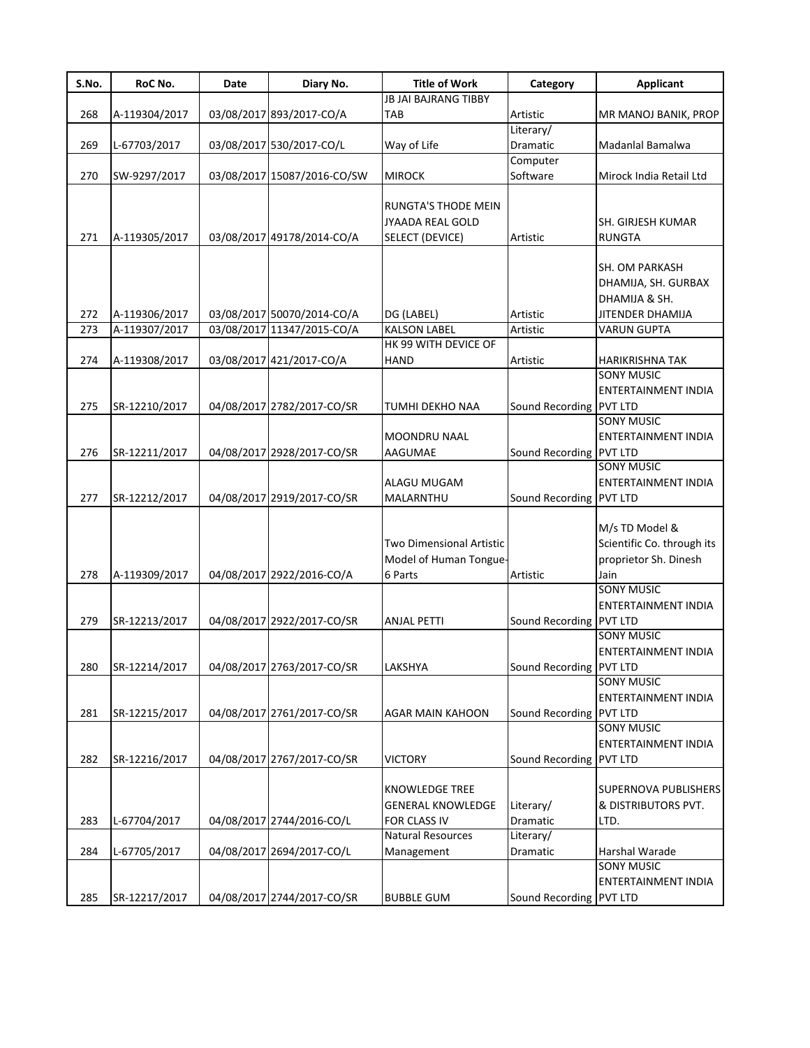| S.No. | RoC No.       | Date | Diary No.                   | <b>Title of Work</b>        | Category                       | <b>Applicant</b>            |
|-------|---------------|------|-----------------------------|-----------------------------|--------------------------------|-----------------------------|
|       |               |      |                             | <b>JB JAI BAJRANG TIBBY</b> |                                |                             |
| 268   | A-119304/2017 |      | 03/08/2017 893/2017-CO/A    | <b>TAB</b>                  | Artistic                       | MR MANOJ BANIK, PROP        |
|       |               |      |                             |                             | Literary/                      |                             |
| 269   | L-67703/2017  |      | 03/08/2017 530/2017-CO/L    | Way of Life                 | Dramatic                       | Madanlal Bamalwa            |
|       |               |      |                             |                             | Computer                       |                             |
| 270   | SW-9297/2017  |      | 03/08/2017 15087/2016-CO/SW | <b>MIROCK</b>               | Software                       | Mirock India Retail Ltd     |
|       |               |      |                             |                             |                                |                             |
|       |               |      |                             | RUNGTA'S THODE MEIN         |                                |                             |
|       |               |      |                             | <b>JYAADA REAL GOLD</b>     |                                | SH. GIRJESH KUMAR           |
| 271   | A-119305/2017 |      | 03/08/2017 49178/2014-CO/A  | SELECT (DEVICE)             | Artistic                       | <b>RUNGTA</b>               |
|       |               |      |                             |                             |                                |                             |
|       |               |      |                             |                             |                                | SH. OM PARKASH              |
|       |               |      |                             |                             |                                | DHAMIJA, SH. GURBAX         |
|       |               |      |                             |                             |                                | DHAMIJA & SH.               |
| 272   | A-119306/2017 |      | 03/08/2017 50070/2014-CO/A  | DG (LABEL)                  | Artistic                       | <b>JITENDER DHAMIJA</b>     |
| 273   | A-119307/2017 |      | 03/08/2017 11347/2015-CO/A  | <b>KALSON LABEL</b>         | Artistic                       | <b>VARUN GUPTA</b>          |
|       |               |      |                             | HK 99 WITH DEVICE OF        |                                |                             |
| 274   |               |      | 03/08/2017 421/2017-CO/A    | <b>HAND</b>                 | Artistic                       |                             |
|       | A-119308/2017 |      |                             |                             |                                | <b>HARIKRISHNA TAK</b>      |
|       |               |      |                             |                             |                                | <b>SONY MUSIC</b>           |
|       |               |      |                             |                             |                                | <b>ENTERTAINMENT INDIA</b>  |
| 275   | SR-12210/2017 |      | 04/08/2017 2782/2017-CO/SR  | TUMHI DEKHO NAA             | Sound Recording PVT LTD        |                             |
|       |               |      |                             |                             |                                | <b>SONY MUSIC</b>           |
|       |               |      |                             | MOONDRU NAAL                |                                | ENTERTAINMENT INDIA         |
| 276   | SR-12211/2017 |      | 04/08/2017 2928/2017-CO/SR  | AAGUMAE                     | Sound Recording PVT LTD        |                             |
|       |               |      |                             |                             |                                | <b>SONY MUSIC</b>           |
|       |               |      |                             | ALAGU MUGAM                 |                                | ENTERTAINMENT INDIA         |
| 277   | SR-12212/2017 |      | 04/08/2017 2919/2017-CO/SR  | MALARNTHU                   | Sound Recording PVT LTD        |                             |
|       |               |      |                             |                             |                                |                             |
|       |               |      |                             |                             |                                | M/s TD Model &              |
|       |               |      |                             | Two Dimensional Artistic    |                                | Scientific Co. through its  |
|       |               |      |                             | Model of Human Tongue-      |                                | proprietor Sh. Dinesh       |
| 278   | A-119309/2017 |      | 04/08/2017 2922/2016-CO/A   | 6 Parts                     | Artistic                       | Jain                        |
|       |               |      |                             |                             |                                | <b>SONY MUSIC</b>           |
|       |               |      |                             |                             |                                | ENTERTAINMENT INDIA         |
| 279   | SR-12213/2017 |      | 04/08/2017 2922/2017-CO/SR  | <b>ANJAL PETTI</b>          | Sound Recording PVT LTD        |                             |
|       |               |      |                             |                             |                                | <b>SONY MUSIC</b>           |
|       |               |      |                             |                             |                                | <b>ENTERTAINMENT INDIA</b>  |
| 280   | SR-12214/2017 |      | 04/08/2017 2763/2017-CO/SR  | LAKSHYA                     | Sound Recording <b>PVT LTD</b> |                             |
|       |               |      |                             |                             |                                | <b>SONY MUSIC</b>           |
|       |               |      |                             |                             |                                | ENTERTAINMENT INDIA         |
|       |               |      |                             |                             |                                |                             |
| 281   | SR-12215/2017 |      | 04/08/2017 2761/2017-CO/SR  | <b>AGAR MAIN KAHOON</b>     | Sound Recording PVT LTD        |                             |
|       |               |      |                             |                             |                                | <b>SONY MUSIC</b>           |
|       |               |      |                             |                             |                                | ENTERTAINMENT INDIA         |
| 282   | SR-12216/2017 |      | 04/08/2017 2767/2017-CO/SR  | <b>VICTORY</b>              | Sound Recording PVT LTD        |                             |
|       |               |      |                             |                             |                                |                             |
|       |               |      |                             | <b>KNOWLEDGE TREE</b>       |                                | <b>SUPERNOVA PUBLISHERS</b> |
|       |               |      |                             | <b>GENERAL KNOWLEDGE</b>    | Literary/                      | & DISTRIBUTORS PVT.         |
| 283   | L-67704/2017  |      | 04/08/2017 2744/2016-CO/L   | <b>FOR CLASS IV</b>         | Dramatic                       | LTD.                        |
|       |               |      |                             | <b>Natural Resources</b>    | Literary/                      |                             |
| 284   | L-67705/2017  |      | 04/08/2017 2694/2017-CO/L   | Management                  | Dramatic                       | Harshal Warade              |
|       |               |      |                             |                             |                                | <b>SONY MUSIC</b>           |
|       |               |      |                             |                             |                                | ENTERTAINMENT INDIA         |
| 285   | SR-12217/2017 |      | 04/08/2017 2744/2017-CO/SR  | <b>BUBBLE GUM</b>           | Sound Recording PVT LTD        |                             |
|       |               |      |                             |                             |                                |                             |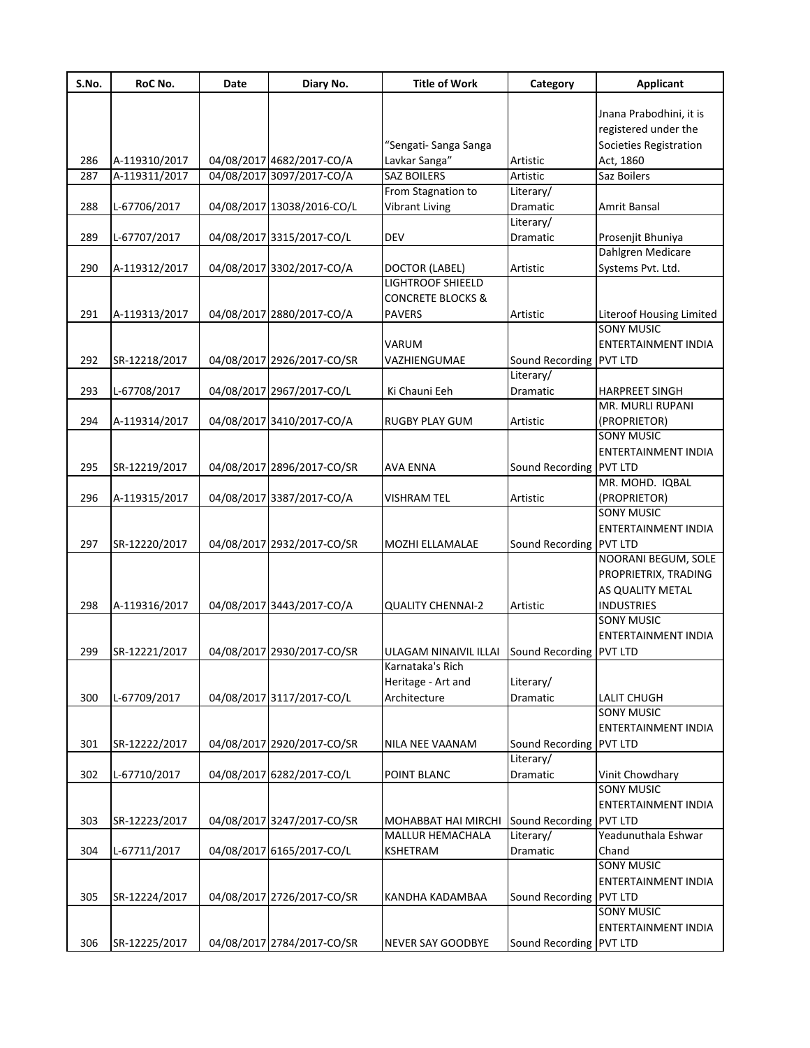| S.No. | RoC No.       | Date | Diary No.                  | <b>Title of Work</b>                | Category                | <b>Applicant</b>                              |
|-------|---------------|------|----------------------------|-------------------------------------|-------------------------|-----------------------------------------------|
|       |               |      |                            |                                     |                         |                                               |
|       |               |      |                            |                                     |                         | Jnana Prabodhini, it is                       |
|       |               |      |                            |                                     |                         | registered under the                          |
|       |               |      |                            | "Sengati- Sanga Sanga               |                         | Societies Registration                        |
| 286   | A-119310/2017 |      | 04/08/2017 4682/2017-CO/A  | Lavkar Sanga"                       | Artistic                | Act, 1860                                     |
| 287   | A-119311/2017 |      | 04/08/2017 3097/2017-CO/A  | SAZ BOILERS                         | Artistic                | Saz Boilers                                   |
|       |               |      |                            | From Stagnation to                  | Literary/               |                                               |
| 288   | L-67706/2017  |      | 04/08/2017 13038/2016-CO/L | <b>Vibrant Living</b>               | Dramatic                | Amrit Bansal                                  |
| 289   |               |      |                            | <b>DEV</b>                          | Literary/               |                                               |
|       | L-67707/2017  |      | 04/08/2017 3315/2017-CO/L  |                                     | Dramatic                | Prosenjit Bhuniya<br>Dahlgren Medicare        |
| 290   | A-119312/2017 |      | 04/08/2017 3302/2017-CO/A  |                                     | Artistic                | Systems Pvt. Ltd.                             |
|       |               |      |                            | DOCTOR (LABEL)<br>LIGHTROOF SHIEELD |                         |                                               |
|       |               |      |                            | <b>CONCRETE BLOCKS &amp;</b>        |                         |                                               |
|       |               |      |                            |                                     |                         |                                               |
| 291   | A-119313/2017 |      | 04/08/2017 2880/2017-CO/A  | <b>PAVERS</b>                       | Artistic                | Literoof Housing Limited<br><b>SONY MUSIC</b> |
|       |               |      |                            |                                     |                         |                                               |
|       |               |      |                            | VARUM                               |                         | <b>ENTERTAINMENT INDIA</b>                    |
| 292   | SR-12218/2017 |      | 04/08/2017 2926/2017-CO/SR | VAZHIENGUMAE                        | Sound Recording         | <b>PVT LTD</b>                                |
|       |               |      |                            |                                     | Literary/               |                                               |
| 293   | L-67708/2017  |      | 04/08/2017 2967/2017-CO/L  | Ki Chauni Eeh                       | Dramatic                | <b>HARPREET SINGH</b>                         |
|       |               |      |                            |                                     |                         | MR. MURLI RUPANI                              |
| 294   | A-119314/2017 |      | 04/08/2017 3410/2017-CO/A  | RUGBY PLAY GUM                      | Artistic                | (PROPRIETOR)                                  |
|       |               |      |                            |                                     |                         | <b>SONY MUSIC</b>                             |
|       |               |      |                            |                                     |                         | <b>ENTERTAINMENT INDIA</b>                    |
| 295   | SR-12219/2017 |      | 04/08/2017 2896/2017-CO/SR | AVA ENNA                            | Sound Recording PVT LTD |                                               |
|       |               |      |                            |                                     |                         | MR. MOHD. IQBAL                               |
| 296   | A-119315/2017 |      | 04/08/2017 3387/2017-CO/A  | VISHRAM TEL                         | Artistic                | (PROPRIETOR)                                  |
|       |               |      |                            |                                     |                         | <b>SONY MUSIC</b>                             |
|       |               |      |                            |                                     |                         | <b>ENTERTAINMENT INDIA</b>                    |
| 297   | SR-12220/2017 |      | 04/08/2017 2932/2017-CO/SR | MOZHI ELLAMALAE                     | Sound Recording PVT LTD |                                               |
|       |               |      |                            |                                     |                         | NOORANI BEGUM, SOLE                           |
|       |               |      |                            |                                     |                         | PROPRIETRIX, TRADING                          |
|       |               |      |                            |                                     |                         | AS QUALITY METAL                              |
| 298   | A-119316/2017 |      | 04/08/2017 3443/2017-CO/A  | <b>QUALITY CHENNAI-2</b>            | Artistic                | <b>INDUSTRIES</b>                             |
|       |               |      |                            |                                     |                         | <b>SONY MUSIC</b>                             |
|       |               |      |                            |                                     |                         | ENTERTAINMENT INDIA                           |
| 299   | SR-12221/2017 |      | 04/08/2017 2930/2017-CO/SR | ULAGAM NINAIVIL ILLAI               | Sound Recording         | <b>PVT LTD</b>                                |
|       |               |      |                            | Karnataka's Rich                    |                         |                                               |
|       |               |      |                            | Heritage - Art and                  | Literary/               |                                               |
| 300   | L-67709/2017  |      | 04/08/2017 3117/2017-CO/L  | Architecture                        | Dramatic                | LALIT CHUGH                                   |
|       |               |      |                            |                                     |                         | <b>SONY MUSIC</b>                             |
|       |               |      |                            |                                     |                         | ENTERTAINMENT INDIA                           |
| 301   | SR-12222/2017 |      | 04/08/2017 2920/2017-CO/SR | NILA NEE VAANAM                     | Sound Recording PVT LTD |                                               |
|       |               |      |                            |                                     | Literary/               |                                               |
| 302   | L-67710/2017  |      | 04/08/2017 6282/2017-CO/L  | POINT BLANC                         | Dramatic                | Vinit Chowdhary                               |
|       |               |      |                            |                                     |                         | <b>SONY MUSIC</b>                             |
|       |               |      |                            |                                     |                         | ENTERTAINMENT INDIA                           |
| 303   | SR-12223/2017 |      | 04/08/2017 3247/2017-CO/SR | MOHABBAT HAI MIRCHI                 | Sound Recording         | <b>PVT LTD</b>                                |
|       |               |      |                            | <b>MALLUR HEMACHALA</b>             | Literary/               | Yeadunuthala Eshwar                           |
| 304   | L-67711/2017  |      | 04/08/2017 6165/2017-CO/L  | KSHETRAM                            | Dramatic                | Chand                                         |
|       |               |      |                            |                                     |                         | <b>SONY MUSIC</b>                             |
|       |               |      |                            |                                     |                         | ENTERTAINMENT INDIA                           |
| 305   | SR-12224/2017 |      | 04/08/2017 2726/2017-CO/SR | KANDHA KADAMBAA                     | Sound Recording PVT LTD |                                               |
|       |               |      |                            |                                     |                         | <b>SONY MUSIC</b>                             |
|       |               |      |                            |                                     |                         | ENTERTAINMENT INDIA                           |
|       |               |      |                            |                                     |                         |                                               |
| 306   | SR-12225/2017 |      | 04/08/2017 2784/2017-CO/SR | NEVER SAY GOODBYE                   | Sound Recording PVT LTD |                                               |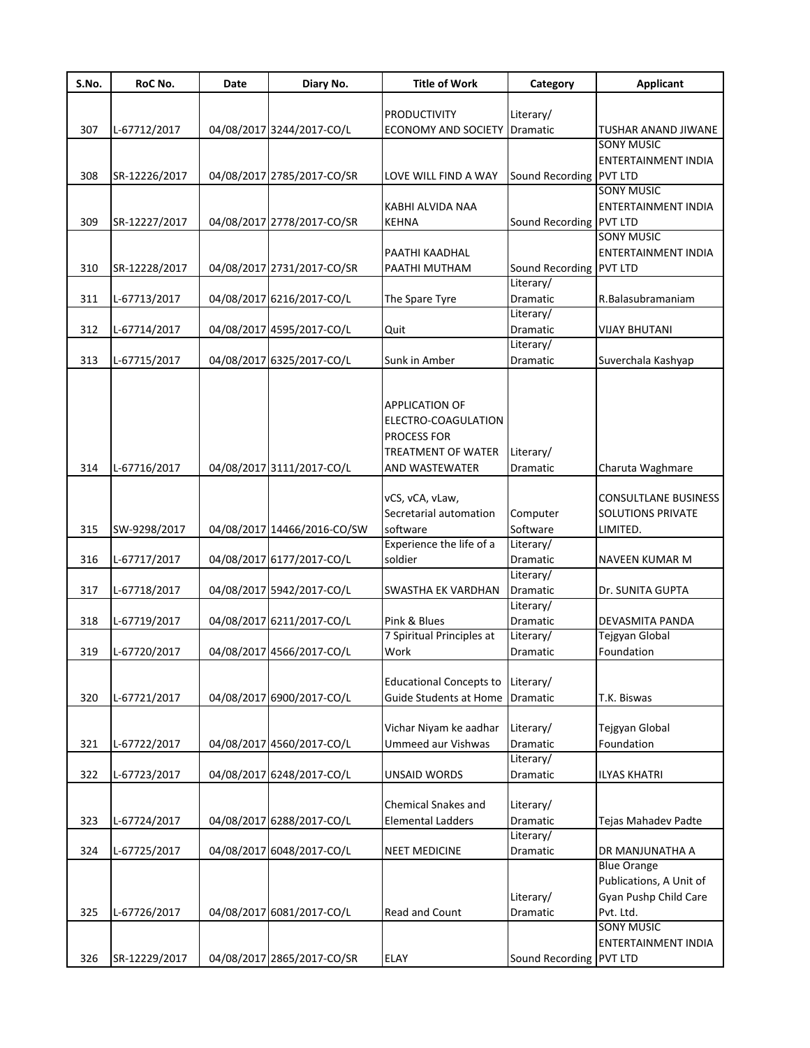| S.No. | RoC No.       | Date | Diary No.                   | <b>Title of Work</b>              | Category                | <b>Applicant</b>            |
|-------|---------------|------|-----------------------------|-----------------------------------|-------------------------|-----------------------------|
|       |               |      |                             |                                   |                         |                             |
|       |               |      |                             | <b>PRODUCTIVITY</b>               | Literary/               |                             |
| 307   | L-67712/2017  |      | 04/08/2017 3244/2017-CO/L   | <b>ECONOMY AND SOCIETY</b>        | <b>Dramatic</b>         | <b>TUSHAR ANAND JIWANE</b>  |
|       |               |      |                             |                                   |                         | <b>SONY MUSIC</b>           |
|       |               |      |                             |                                   | Sound Recording PVT LTD | <b>ENTERTAINMENT INDIA</b>  |
| 308   | SR-12226/2017 |      | 04/08/2017 2785/2017-CO/SR  | LOVE WILL FIND A WAY              |                         | <b>SONY MUSIC</b>           |
|       |               |      |                             | KABHI ALVIDA NAA                  |                         | ENTERTAINMENT INDIA         |
| 309   | SR-12227/2017 |      | 04/08/2017 2778/2017-CO/SR  | <b>KEHNA</b>                      | Sound Recording PVT LTD |                             |
|       |               |      |                             |                                   |                         | <b>SONY MUSIC</b>           |
|       |               |      |                             | PAATHI KAADHAL                    |                         | ENTERTAINMENT INDIA         |
| 310   | SR-12228/2017 |      | 04/08/2017 2731/2017-CO/SR  | PAATHI MUTHAM                     | Sound Recording         | <b>PVT LTD</b>              |
|       |               |      |                             |                                   | Literary/               |                             |
| 311   | L-67713/2017  |      | 04/08/2017 6216/2017-CO/L   | The Spare Tyre                    | Dramatic                | R.Balasubramaniam           |
|       |               |      |                             |                                   | Literary/               |                             |
| 312   | L-67714/2017  |      | 04/08/2017 4595/2017-CO/L   | Quit                              | Dramatic                | <b>VIJAY BHUTANI</b>        |
|       |               |      |                             |                                   | Literary/               |                             |
| 313   | L-67715/2017  |      | 04/08/2017 6325/2017-CO/L   | Sunk in Amber                     | <b>Dramatic</b>         | Suverchala Kashyap          |
|       |               |      |                             |                                   |                         |                             |
|       |               |      |                             |                                   |                         |                             |
|       |               |      |                             | <b>APPLICATION OF</b>             |                         |                             |
|       |               |      |                             | ELECTRO-COAGULATION               |                         |                             |
|       |               |      |                             | PROCESS FOR                       |                         |                             |
|       |               |      |                             | TREATMENT OF WATER                | Literary/               |                             |
| 314   | L-67716/2017  |      | 04/08/2017 3111/2017-CO/L   | AND WASTEWATER                    | Dramatic                | Charuta Waghmare            |
|       |               |      |                             | vCS, vCA, vLaw,                   |                         | <b>CONSULTLANE BUSINESS</b> |
|       |               |      |                             | Secretarial automation            | Computer                | <b>SOLUTIONS PRIVATE</b>    |
| 315   | SW-9298/2017  |      | 04/08/2017 14466/2016-CO/SW | software                          | Software                | LIMITED.                    |
|       |               |      |                             | Experience the life of a          | Literary/               |                             |
| 316   | L-67717/2017  |      | 04/08/2017 6177/2017-CO/L   | soldier                           | Dramatic                | NAVEEN KUMAR M              |
|       |               |      |                             |                                   | Literary/               |                             |
| 317   | L-67718/2017  |      | 04/08/2017 5942/2017-CO/L   | SWASTHA EK VARDHAN                | <b>Dramatic</b>         | Dr. SUNITA GUPTA            |
|       |               |      |                             |                                   | Literary/               |                             |
| 318   | L-67719/2017  |      | 04/08/2017 6211/2017-CO/L   | Pink & Blues                      | Dramatic                | DEVASMITA PANDA             |
|       |               |      |                             | 7 Spiritual Principles at         | Literary/               | Tejgyan Global              |
| 319   | L-67720/2017  |      | 04/08/2017 4566/2017-CO/L   | Work                              | Dramatic                | Foundation                  |
|       |               |      |                             |                                   |                         |                             |
|       |               |      |                             | Educational Concepts to Literary/ |                         |                             |
| 320   | L-67721/2017  |      | 04/08/2017 6900/2017-CO/L   | Guide Students at Home            | Dramatic                | T.K. Biswas                 |
|       |               |      |                             |                                   |                         |                             |
|       |               |      |                             | Vichar Niyam ke aadhar            | Literary/               | Tejgyan Global              |
| 321   | L-67722/2017  |      | 04/08/2017 4560/2017-CO/L   | <b>Ummeed aur Vishwas</b>         | Dramatic                | Foundation                  |
|       |               |      |                             |                                   | Literary/               |                             |
| 322   | L-67723/2017  |      | 04/08/2017 6248/2017-CO/L   | UNSAID WORDS                      | Dramatic                | <b>ILYAS KHATRI</b>         |
|       |               |      |                             |                                   |                         |                             |
|       |               |      |                             | <b>Chemical Snakes and</b>        | Literary/               |                             |
| 323   | L-67724/2017  |      | 04/08/2017 6288/2017-CO/L   | <b>Elemental Ladders</b>          | Dramatic<br>Literary/   | Tejas Mahadev Padte         |
| 324   | L-67725/2017  |      | 04/08/2017 6048/2017-CO/L   | <b>NEET MEDICINE</b>              | Dramatic                | DR MANJUNATHA A             |
|       |               |      |                             |                                   |                         | <b>Blue Orange</b>          |
|       |               |      |                             |                                   |                         | Publications, A Unit of     |
|       |               |      |                             |                                   | Literary/               | Gyan Pushp Child Care       |
| 325   | L-67726/2017  |      | 04/08/2017 6081/2017-CO/L   | Read and Count                    | Dramatic                | Pvt. Ltd.                   |
|       |               |      |                             |                                   |                         | <b>SONY MUSIC</b>           |
|       |               |      |                             |                                   |                         | ENTERTAINMENT INDIA         |
| 326   | SR-12229/2017 |      | 04/08/2017 2865/2017-CO/SR  | <b>ELAY</b>                       | Sound Recording PVT LTD |                             |
|       |               |      |                             |                                   |                         |                             |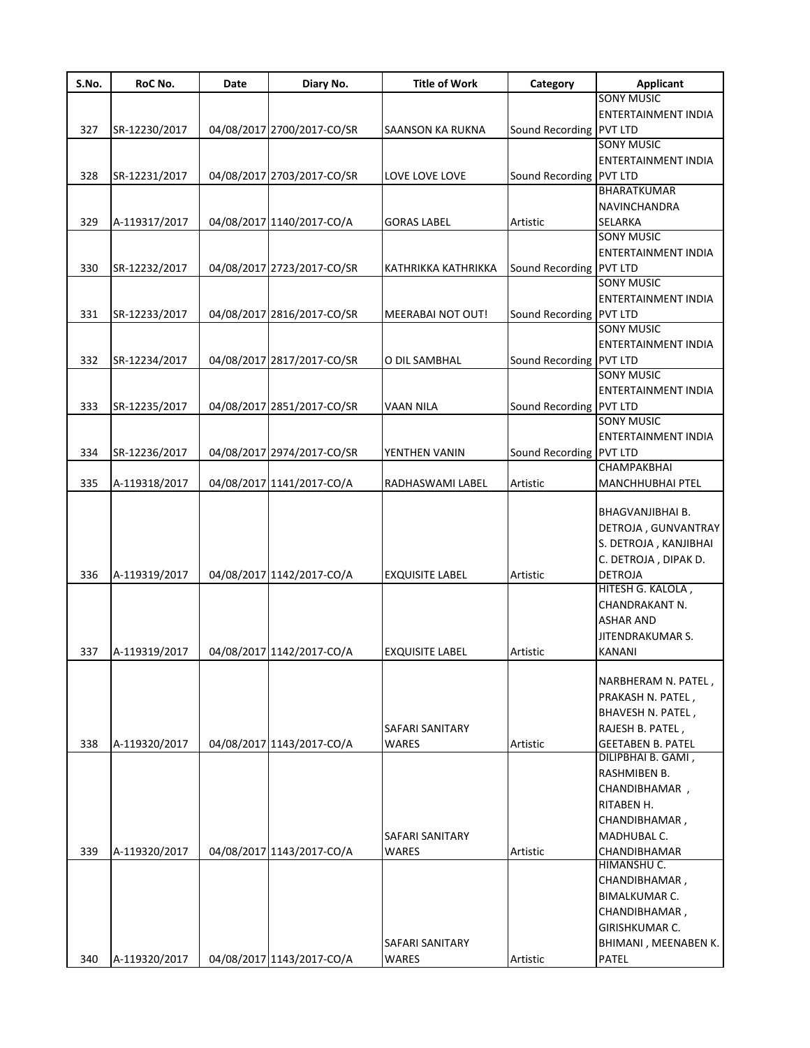| S.No. | RoC No.       | Date | Diary No.                  | <b>Title of Work</b>                   | Category                | Applicant                                                                                                                                                                 |
|-------|---------------|------|----------------------------|----------------------------------------|-------------------------|---------------------------------------------------------------------------------------------------------------------------------------------------------------------------|
|       |               |      |                            |                                        |                         | <b>SONY MUSIC</b>                                                                                                                                                         |
|       |               |      |                            |                                        |                         | <b>ENTERTAINMENT INDIA</b>                                                                                                                                                |
| 327   | SR-12230/2017 |      | 04/08/2017 2700/2017-CO/SR | SAANSON KA RUKNA                       | Sound Recording PVT LTD |                                                                                                                                                                           |
|       |               |      |                            |                                        |                         | <b>SONY MUSIC</b>                                                                                                                                                         |
|       |               |      |                            |                                        |                         | <b>ENTERTAINMENT INDIA</b>                                                                                                                                                |
| 328   | SR-12231/2017 |      | 04/08/2017 2703/2017-CO/SR | LOVE LOVE LOVE                         | Sound Recording PVT LTD |                                                                                                                                                                           |
|       |               |      |                            |                                        |                         | BHARATKUMAR                                                                                                                                                               |
|       |               |      |                            |                                        |                         | <b>NAVINCHANDRA</b>                                                                                                                                                       |
| 329   | A-119317/2017 |      | 04/08/2017 1140/2017-CO/A  | <b>GORAS LABEL</b>                     | Artistic                | SELARKA                                                                                                                                                                   |
|       |               |      |                            |                                        |                         | <b>SONY MUSIC</b>                                                                                                                                                         |
|       |               |      |                            |                                        |                         | ENTERTAINMENT INDIA                                                                                                                                                       |
| 330   | SR-12232/2017 |      | 04/08/2017 2723/2017-CO/SR | KATHRIKKA KATHRIKKA                    | Sound Recording PVT LTD |                                                                                                                                                                           |
|       |               |      |                            |                                        |                         | <b>SONY MUSIC</b>                                                                                                                                                         |
|       |               |      |                            |                                        |                         | ENTERTAINMENT INDIA                                                                                                                                                       |
| 331   | SR-12233/2017 |      | 04/08/2017 2816/2017-CO/SR | MEERABAI NOT OUT!                      | Sound Recording PVT LTD |                                                                                                                                                                           |
|       |               |      |                            |                                        |                         | <b>SONY MUSIC</b>                                                                                                                                                         |
|       |               |      |                            |                                        |                         | ENTERTAINMENT INDIA                                                                                                                                                       |
| 332   | SR-12234/2017 |      | 04/08/2017 2817/2017-CO/SR | O DIL SAMBHAL                          | Sound Recording PVT LTD |                                                                                                                                                                           |
|       |               |      |                            |                                        |                         | <b>SONY MUSIC</b>                                                                                                                                                         |
|       |               |      |                            |                                        |                         | <b>ENTERTAINMENT INDIA</b>                                                                                                                                                |
| 333   | SR-12235/2017 |      | 04/08/2017 2851/2017-CO/SR | <b>VAAN NILA</b>                       | Sound Recording PVT LTD |                                                                                                                                                                           |
|       |               |      |                            |                                        |                         | <b>SONY MUSIC</b>                                                                                                                                                         |
|       |               |      |                            |                                        |                         | <b>ENTERTAINMENT INDIA</b>                                                                                                                                                |
| 334   | SR-12236/2017 |      | 04/08/2017 2974/2017-CO/SR | YENTHEN VANIN                          | Sound Recording PVT LTD |                                                                                                                                                                           |
|       |               |      |                            |                                        |                         | CHAMPAKBHAI                                                                                                                                                               |
| 335   | A-119318/2017 |      | 04/08/2017 1141/2017-CO/A  | RADHASWAMI LABEL                       | Artistic                | MANCHHUBHAI PTEL                                                                                                                                                          |
| 336   | A-119319/2017 |      | 04/08/2017 1142/2017-CO/A  | <b>EXQUISITE LABEL</b>                 | Artistic                | BHAGVANJIBHAI B.<br>DETROJA, GUNVANTRAY<br>S. DETROJA, KANJIBHAI<br>C. DETROJA, DIPAK D.<br>DETROJA                                                                       |
| 337   | A-119319/2017 |      | 04/08/2017 1142/2017-CO/A  | <b>EXQUISITE LABEL</b>                 | Artistic                | HITESH G. KALOLA,<br>CHANDRAKANT N.<br><b>ASHAR AND</b><br>JITENDRAKUMAR S.<br>KANANI                                                                                     |
| 338   | A-119320/2017 |      | 04/08/2017 1143/2017-CO/A  | <b>SAFARI SANITARY</b><br><b>WARES</b> | Artistic                | NARBHERAM N. PATEL,<br>PRAKASH N. PATEL,<br>BHAVESH N. PATEL,<br>RAJESH B. PATEL,<br><b>GEETABEN B. PATEL</b>                                                             |
| 339   | A-119320/2017 |      | 04/08/2017 1143/2017-CO/A  | SAFARI SANITARY<br><b>WARES</b>        | Artistic                | DILIPBHAI B. GAMI,<br>RASHMIBEN B.<br>CHANDIBHAMAR,<br>RITABEN H.<br>CHANDIBHAMAR,<br>MADHUBAL C.<br>CHANDIBHAMAR<br>HIMANSHU C.<br>CHANDIBHAMAR,<br><b>BIMALKUMAR C.</b> |
| 340   | A-119320/2017 |      | 04/08/2017 1143/2017-CO/A  | <b>SAFARI SANITARY</b><br><b>WARES</b> | Artistic                | CHANDIBHAMAR,<br>GIRISHKUMAR C.<br>BHIMANI, MEENABEN K.<br>PATEL                                                                                                          |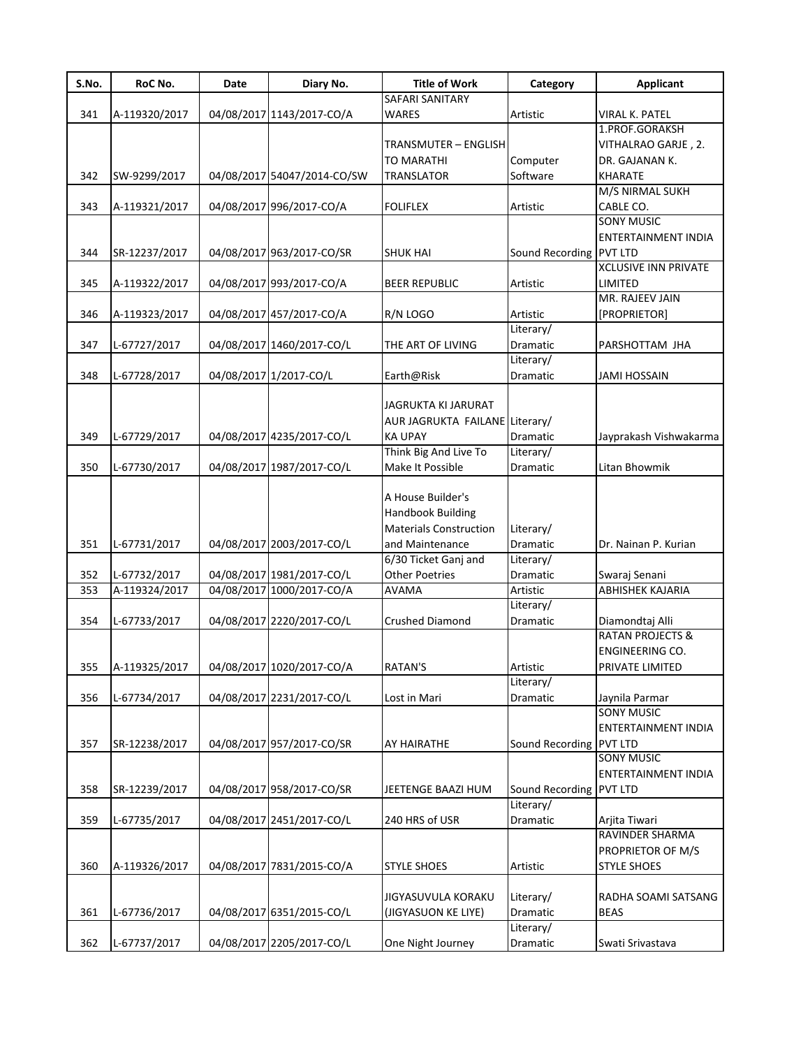| S.No. | RoC No.       | Date | Diary No.                   | <b>Title of Work</b>           | Category                | <b>Applicant</b>            |
|-------|---------------|------|-----------------------------|--------------------------------|-------------------------|-----------------------------|
|       |               |      |                             | SAFARI SANITARY                |                         |                             |
| 341   | A-119320/2017 |      | 04/08/2017 1143/2017-CO/A   | <b>WARES</b>                   | Artistic                | <b>VIRAL K. PATEL</b>       |
|       |               |      |                             |                                |                         | 1.PROF.GORAKSH              |
|       |               |      |                             | <b>TRANSMUTER - ENGLISH</b>    |                         | VITHALRAO GARJE, 2.         |
|       |               |      |                             | <b>TO MARATHI</b>              | Computer                | DR. GAJANAN K.              |
| 342   | SW-9299/2017  |      | 04/08/2017 54047/2014-CO/SW | <b>TRANSLATOR</b>              | Software                | <b>KHARATE</b>              |
|       |               |      |                             |                                |                         | M/S NIRMAL SUKH             |
| 343   | A-119321/2017 |      | 04/08/2017 996/2017-CO/A    | <b>FOLIFLEX</b>                | Artistic                | CABLE CO.                   |
|       |               |      |                             |                                |                         | <b>SONY MUSIC</b>           |
|       |               |      |                             |                                |                         | <b>ENTERTAINMENT INDIA</b>  |
| 344   | SR-12237/2017 |      | 04/08/2017 963/2017-CO/SR   | <b>SHUK HAI</b>                | Sound Recording PVT LTD |                             |
|       |               |      |                             |                                |                         | <b>XCLUSIVE INN PRIVATE</b> |
| 345   | A-119322/2017 |      | 04/08/2017 993/2017-CO/A    | <b>BEER REPUBLIC</b>           | Artistic                | <b>LIMITED</b>              |
|       |               |      |                             |                                |                         | MR. RAJEEV JAIN             |
| 346   | A-119323/2017 |      | 04/08/2017 457/2017-CO/A    | R/N LOGO                       | Artistic                | [PROPRIETOR]                |
|       |               |      |                             |                                | Literary/               |                             |
| 347   | L-67727/2017  |      | 04/08/2017 1460/2017-CO/L   | THE ART OF LIVING              | <b>Dramatic</b>         | PARSHOTTAM JHA              |
|       |               |      |                             |                                | Literary/               |                             |
| 348   | L-67728/2017  |      | 04/08/2017 1/2017-CO/L      | Earth@Risk                     | Dramatic                | <b>JAMI HOSSAIN</b>         |
|       |               |      |                             |                                |                         |                             |
|       |               |      |                             | JAGRUKTA KI JARURAT            |                         |                             |
|       |               |      |                             | AUR JAGRUKTA FAILANE Literary/ |                         |                             |
| 349   | L-67729/2017  |      | 04/08/2017 4235/2017-CO/L   | <b>KA UPAY</b>                 | Dramatic                | Jayprakash Vishwakarma      |
|       |               |      |                             | Think Big And Live To          | Literary/               |                             |
| 350   | L-67730/2017  |      | 04/08/2017 1987/2017-CO/L   | Make It Possible               | Dramatic                | Litan Bhowmik               |
|       |               |      |                             |                                |                         |                             |
|       |               |      |                             | A House Builder's              |                         |                             |
|       |               |      |                             | <b>Handbook Building</b>       |                         |                             |
|       |               |      |                             | <b>Materials Construction</b>  | Literary/               |                             |
| 351   | L-67731/2017  |      | 04/08/2017 2003/2017-CO/L   | and Maintenance                | Dramatic                | Dr. Nainan P. Kurian        |
|       |               |      |                             | 6/30 Ticket Ganj and           | Literary/               |                             |
|       |               |      |                             |                                |                         |                             |
| 352   | L-67732/2017  |      | 04/08/2017 1981/2017-CO/L   | <b>Other Poetries</b>          | Dramatic                | Swaraj Senani               |
| 353   | A-119324/2017 |      | 04/08/2017 1000/2017-CO/A   | <b>AVAMA</b>                   | Artistic                | ABHISHEK KAJARIA            |
|       |               |      |                             |                                | Literary/               |                             |
| 354   | L-67733/2017  |      | 04/08/2017 2220/2017-CO/L   | <b>Crushed Diamond</b>         | <b>Dramatic</b>         | Diamondtaj Alli             |
|       |               |      |                             |                                |                         | <b>RATAN PROJECTS &amp;</b> |
|       |               |      |                             |                                |                         | <b>ENGINEERING CO.</b>      |
| 355   | A-119325/2017 |      | 04/08/2017 1020/2017-CO/A   | <b>RATAN'S</b>                 | Artistic                | PRIVATE LIMITED             |
|       |               |      |                             |                                | Literary/               |                             |
| 356   | L-67734/2017  |      | 04/08/2017 2231/2017-CO/L   | Lost in Mari                   | Dramatic                | Jaynila Parmar              |
|       |               |      |                             |                                |                         | <b>SONY MUSIC</b>           |
|       |               |      |                             |                                |                         | ENTERTAINMENT INDIA         |
| 357   | SR-12238/2017 |      | 04/08/2017 957/2017-CO/SR   | AY HAIRATHE                    | Sound Recording         | <b>PVT LTD</b>              |
|       |               |      |                             |                                |                         | <b>SONY MUSIC</b>           |
|       |               |      |                             |                                |                         | <b>ENTERTAINMENT INDIA</b>  |
| 358   | SR-12239/2017 |      | 04/08/2017 958/2017-CO/SR   | JEETENGE BAAZI HUM             | Sound Recording PVT LTD |                             |
|       |               |      |                             |                                | Literary/               |                             |
| 359   | L-67735/2017  |      | 04/08/2017 2451/2017-CO/L   | 240 HRS of USR                 | Dramatic                | Arjita Tiwari               |
|       |               |      |                             |                                |                         | RAVINDER SHARMA             |
|       |               |      |                             |                                |                         | PROPRIETOR OF M/S           |
| 360   | A-119326/2017 |      | 04/08/2017 7831/2015-CO/A   | <b>STYLE SHOES</b>             | Artistic                | <b>STYLE SHOES</b>          |
|       |               |      |                             |                                |                         |                             |
|       |               |      |                             | JIGYASUVULA KORAKU             | Literary/               | RADHA SOAMI SATSANG         |
| 361   | L-67736/2017  |      | 04/08/2017 6351/2015-CO/L   | (JIGYASUON KE LIYE)            | Dramatic                | <b>BEAS</b>                 |
|       |               |      |                             |                                | Literary/               |                             |
| 362   | L-67737/2017  |      | 04/08/2017 2205/2017-CO/L   | One Night Journey              |                         |                             |
|       |               |      |                             |                                | Dramatic                | Swati Srivastava            |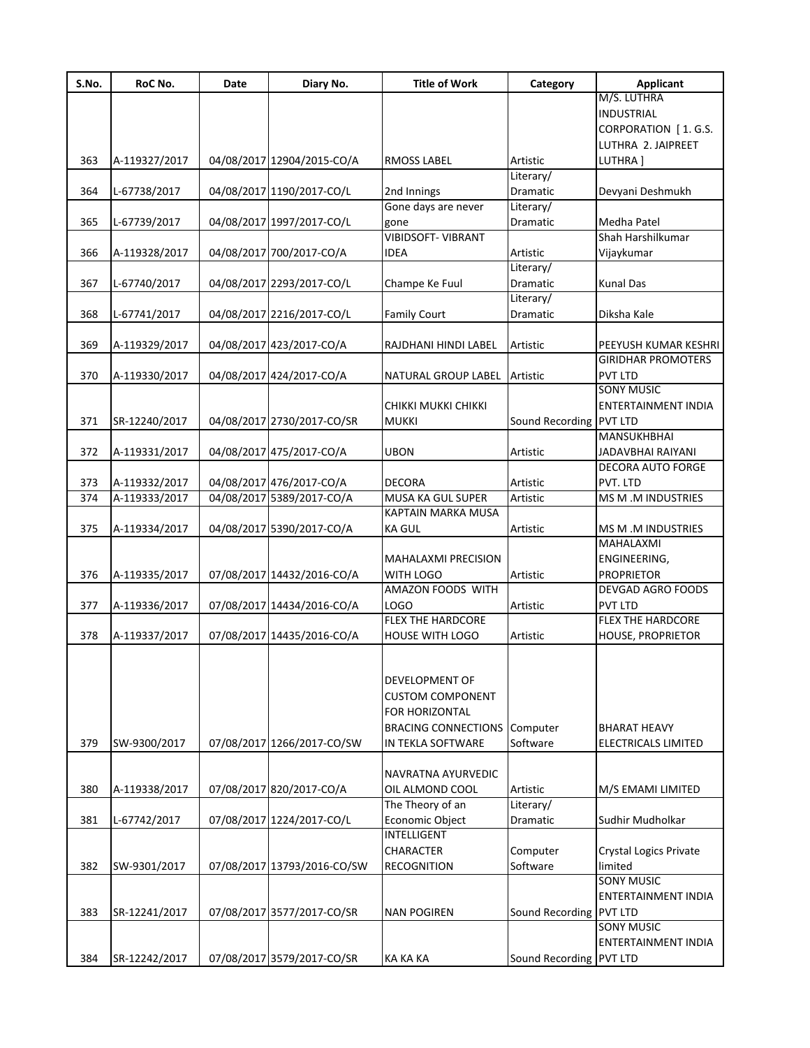| S.No. | RoC No.       | Date | Diary No.                   | <b>Title of Work</b>                | Category                | <b>Applicant</b>           |
|-------|---------------|------|-----------------------------|-------------------------------------|-------------------------|----------------------------|
|       |               |      |                             |                                     |                         | M/S. LUTHRA                |
|       |               |      |                             |                                     |                         | <b>INDUSTRIAL</b>          |
|       |               |      |                             |                                     |                         | CORPORATION [1.G.S.        |
|       |               |      |                             |                                     |                         | LUTHRA 2. JAIPREET         |
| 363   | A-119327/2017 |      | 04/08/2017 12904/2015-CO/A  | <b>RMOSS LABEL</b>                  | Artistic                | LUTHRA]                    |
|       |               |      |                             |                                     | Literary/               |                            |
| 364   | L-67738/2017  |      | 04/08/2017 1190/2017-CO/L   | 2nd Innings                         | Dramatic                | Devyani Deshmukh           |
|       |               |      |                             | Gone days are never                 | Literary/               |                            |
| 365   | L-67739/2017  |      | 04/08/2017 1997/2017-CO/L   | gone                                | Dramatic                | <b>Medha Patel</b>         |
|       |               |      |                             | <b>VIBIDSOFT- VIBRANT</b>           |                         | Shah Harshilkumar          |
| 366   | A-119328/2017 |      | 04/08/2017 700/2017-CO/A    | <b>IDEA</b>                         | Artistic                | Vijaykumar                 |
|       |               |      |                             |                                     | Literary/               |                            |
| 367   | L-67740/2017  |      | 04/08/2017 2293/2017-CO/L   | Champe Ke Fuul                      | Dramatic                | <b>Kunal Das</b>           |
|       |               |      |                             |                                     | Literary/               |                            |
| 368   | L-67741/2017  |      | 04/08/2017 2216/2017-CO/L   | <b>Family Court</b>                 | Dramatic                | Diksha Kale                |
|       |               |      |                             |                                     |                         |                            |
| 369   | A-119329/2017 |      | 04/08/2017 423/2017-CO/A    | RAJDHANI HINDI LABEL                | Artistic                | PEEYUSH KUMAR KESHRI       |
|       |               |      |                             |                                     |                         | <b>GIRIDHAR PROMOTERS</b>  |
| 370   | A-119330/2017 |      | 04/08/2017 424/2017-CO/A    | NATURAL GROUP LABEL                 | Artistic                | <b>PVT LTD</b>             |
|       |               |      |                             |                                     |                         | <b>SONY MUSIC</b>          |
|       |               |      |                             | CHIKKI MUKKI CHIKKI                 |                         | ENTERTAINMENT INDIA        |
| 371   | SR-12240/2017 |      | 04/08/2017 2730/2017-CO/SR  | <b>MUKKI</b>                        | Sound Recording PVT LTD |                            |
|       |               |      |                             |                                     |                         | MANSUKHBHAI                |
| 372   | A-119331/2017 |      | 04/08/2017 475/2017-CO/A    | <b>UBON</b>                         | Artistic                | JADAVBHAI RAIYANI          |
|       |               |      |                             |                                     |                         | DECORA AUTO FORGE          |
| 373   | A-119332/2017 |      | 04/08/2017 476/2017-CO/A    | <b>DECORA</b>                       | Artistic                | PVT. LTD                   |
| 374   | A-119333/2017 |      | 04/08/2017 5389/2017-CO/A   | MUSA KA GUL SUPER                   | Artistic                | MS M .M INDUSTRIES         |
|       |               |      |                             | KAPTAIN MARKA MUSA                  |                         |                            |
| 375   | A-119334/2017 |      | 04/08/2017 5390/2017-CO/A   | <b>KA GUL</b>                       | Artistic                | MS M .M INDUSTRIES         |
|       |               |      |                             |                                     |                         | MAHALAXMI                  |
|       |               |      |                             | <b>MAHALAXMI PRECISION</b>          |                         | ENGINEERING,               |
|       |               |      |                             |                                     |                         |                            |
| 376   | A-119335/2017 |      | 07/08/2017 14432/2016-CO/A  | WITH LOGO<br>AMAZON FOODS WITH      | Artistic                | <b>PROPRIETOR</b>          |
|       |               |      |                             |                                     |                         | <b>DEVGAD AGRO FOODS</b>   |
| 377   | A-119336/2017 |      | 07/08/2017 14434/2016-CO/A  | LOGO                                | Artistic                | <b>PVT LTD</b>             |
|       |               |      |                             | <b>FLEX THE HARDCORE</b>            |                         | <b>FLEX THE HARDCORE</b>   |
| 378   | A-119337/2017 |      | 07/08/2017 14435/2016-CO/A  | <b>HOUSE WITH LOGO</b>              | Artistic                | <b>HOUSE, PROPRIETOR</b>   |
|       |               |      |                             |                                     |                         |                            |
|       |               |      |                             |                                     |                         |                            |
|       |               |      |                             | DEVELOPMENT OF                      |                         |                            |
|       |               |      |                             | <b>CUSTOM COMPONENT</b>             |                         |                            |
|       |               |      |                             | FOR HORIZONTAL                      |                         |                            |
|       |               |      |                             | <b>BRACING CONNECTIONS Computer</b> |                         | <b>BHARAT HEAVY</b>        |
| 379   | SW-9300/2017  |      | 07/08/2017 1266/2017-CO/SW  | IN TEKLA SOFTWARE                   | Software                | <b>ELECTRICALS LIMITED</b> |
|       |               |      |                             |                                     |                         |                            |
|       |               |      |                             | NAVRATNA AYURVEDIC                  |                         |                            |
| 380   | A-119338/2017 |      | 07/08/2017 820/2017-CO/A    | OIL ALMOND COOL                     | Artistic                | M/S EMAMI LIMITED          |
|       |               |      |                             | The Theory of an                    | Literary/               |                            |
| 381   | L-67742/2017  |      | 07/08/2017 1224/2017-CO/L   | Economic Object                     | Dramatic                | Sudhir Mudholkar           |
|       |               |      |                             | INTELLIGENT                         |                         |                            |
|       |               |      |                             | <b>CHARACTER</b>                    | Computer                | Crystal Logics Private     |
| 382   | SW-9301/2017  |      | 07/08/2017 13793/2016-CO/SW | <b>RECOGNITION</b>                  | Software                | limited                    |
|       |               |      |                             |                                     |                         | <b>SONY MUSIC</b>          |
|       |               |      |                             |                                     |                         | ENTERTAINMENT INDIA        |
| 383   | SR-12241/2017 |      | 07/08/2017 3577/2017-CO/SR  | <b>NAN POGIREN</b>                  | Sound Recording PVT LTD |                            |
|       |               |      |                             |                                     |                         | <b>SONY MUSIC</b>          |
|       |               |      |                             |                                     |                         | ENTERTAINMENT INDIA        |
|       |               |      |                             |                                     |                         |                            |
| 384   | SR-12242/2017 |      | 07/08/2017 3579/2017-CO/SR  | KA KA KA                            | Sound Recording PVT LTD |                            |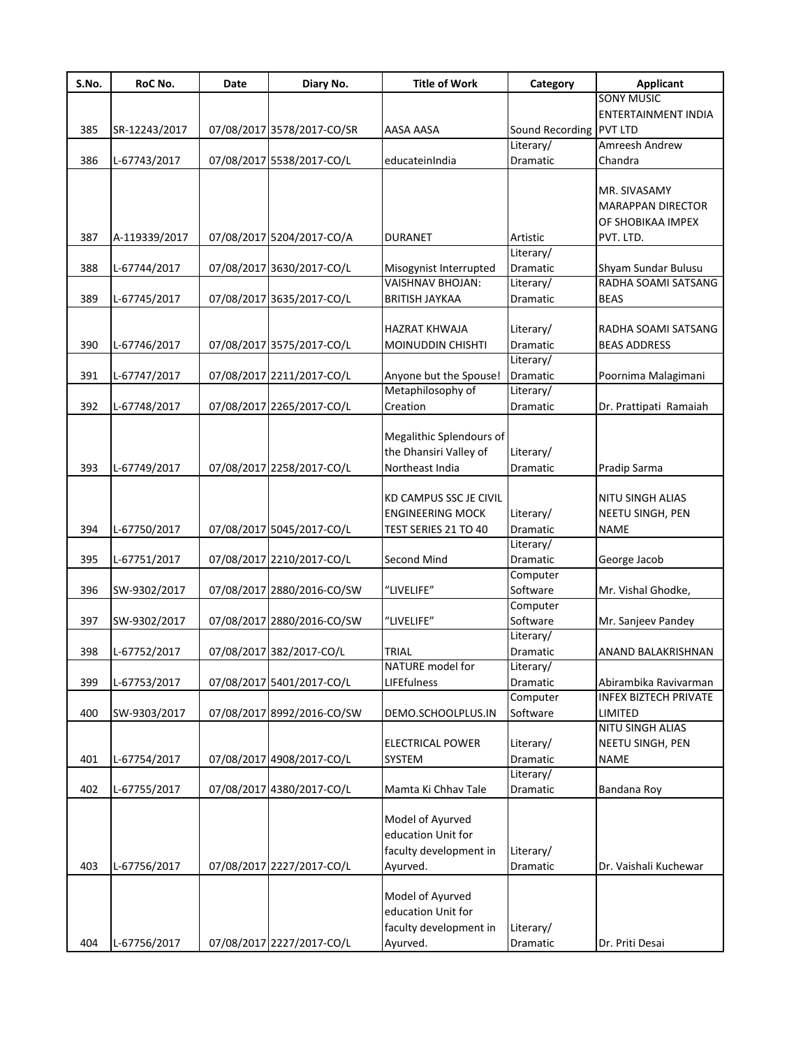| S.No. | RoC No.       | Date | Diary No.                  | <b>Title of Work</b>                              | Category        | <b>Applicant</b>                           |
|-------|---------------|------|----------------------------|---------------------------------------------------|-----------------|--------------------------------------------|
|       |               |      |                            |                                                   |                 | <b>SONY MUSIC</b>                          |
|       |               |      |                            |                                                   |                 | ENTERTAINMENT INDIA                        |
| 385   | SR-12243/2017 |      | 07/08/2017 3578/2017-CO/SR | AASA AASA                                         | Sound Recording | <b>PVT LTD</b>                             |
|       |               |      |                            |                                                   | Literary/       | Amreesh Andrew                             |
| 386   | L-67743/2017  |      | 07/08/2017 5538/2017-CO/L  | educateinIndia                                    | Dramatic        | Chandra                                    |
|       |               |      |                            |                                                   |                 |                                            |
|       |               |      |                            |                                                   |                 | MR. SIVASAMY                               |
|       |               |      |                            |                                                   |                 | <b>MARAPPAN DIRECTOR</b>                   |
|       |               |      |                            |                                                   |                 | OF SHOBIKAA IMPEX                          |
| 387   | A-119339/2017 |      | 07/08/2017 5204/2017-CO/A  | <b>DURANET</b>                                    | Artistic        | PVT. LTD.                                  |
|       |               |      |                            |                                                   | Literary/       |                                            |
| 388   | L-67744/2017  |      | 07/08/2017 3630/2017-CO/L  |                                                   | Dramatic        |                                            |
|       |               |      |                            | Misogynist Interrupted<br><b>VAISHNAV BHOJAN:</b> | Literary/       | Shyam Sundar Bulusu<br>RADHA SOAMI SATSANG |
| 389   |               |      |                            | <b>BRITISH JAYKAA</b>                             | Dramatic        | <b>BEAS</b>                                |
|       | L-67745/2017  |      | 07/08/2017 3635/2017-CO/L  |                                                   |                 |                                            |
|       |               |      |                            |                                                   |                 |                                            |
|       |               |      |                            | HAZRAT KHWAJA                                     | Literary/       | RADHA SOAMI SATSANG                        |
| 390   | L-67746/2017  |      | 07/08/2017 3575/2017-CO/L  | MOINUDDIN CHISHTI                                 | Dramatic        | <b>BEAS ADDRESS</b>                        |
|       |               |      |                            |                                                   | Literary/       |                                            |
| 391   | L-67747/2017  |      | 07/08/2017 2211/2017-CO/L  | Anyone but the Spouse!                            | Dramatic        | Poornima Malagimani                        |
|       |               |      |                            | Metaphilosophy of                                 | Literary/       |                                            |
| 392   | L-67748/2017  |      | 07/08/2017 2265/2017-CO/L  | Creation                                          | Dramatic        | Dr. Prattipati Ramaiah                     |
|       |               |      |                            |                                                   |                 |                                            |
|       |               |      |                            | Megalithic Splendours of                          |                 |                                            |
|       |               |      |                            | the Dhansiri Valley of                            | Literary/       |                                            |
| 393   | L-67749/2017  |      | 07/08/2017 2258/2017-CO/L  | Northeast India                                   | Dramatic        | Pradip Sarma                               |
|       |               |      |                            |                                                   |                 |                                            |
|       |               |      |                            | KD CAMPUS SSC JE CIVIL                            |                 | NITU SINGH ALIAS                           |
|       |               |      |                            | <b>ENGINEERING MOCK</b>                           | Literary/       | NEETU SINGH, PEN                           |
| 394   | L-67750/2017  |      | 07/08/2017 5045/2017-CO/L  | TEST SERIES 21 TO 40                              | <b>Dramatic</b> | <b>NAME</b>                                |
|       |               |      |                            |                                                   | Literary/       |                                            |
| 395   | L-67751/2017  |      | 07/08/2017 2210/2017-CO/L  | Second Mind                                       | Dramatic        | George Jacob                               |
|       |               |      |                            |                                                   | Computer        |                                            |
| 396   | SW-9302/2017  |      | 07/08/2017 2880/2016-CO/SW | "LIVELIFE"                                        | Software        | Mr. Vishal Ghodke,                         |
|       |               |      |                            |                                                   |                 |                                            |
|       |               |      |                            |                                                   | Computer        |                                            |
| 397   | SW-9302/2017  |      | 07/08/2017 2880/2016-CO/SW | "LIVELIFE"                                        | Software        | Mr. Sanjeev Pandey                         |
|       |               |      |                            |                                                   | Literary/       |                                            |
| 398   | L-67752/2017  |      | 07/08/2017 382/2017-CO/L   | <b>TRIAL</b>                                      | Dramatic        | ANAND BALAKRISHNAN                         |
|       |               |      |                            | NATURE model for                                  | Literary/       |                                            |
| 399   | L-67753/2017  |      | 07/08/2017 5401/2017-CO/L  | <b>LIFEfulness</b>                                | Dramatic        | Abirambika Ravivarman                      |
|       |               |      |                            |                                                   | Computer        | <b>INFEX BIZTECH PRIVATE</b>               |
| 400   | SW-9303/2017  |      | 07/08/2017 8992/2016-CO/SW | DEMO.SCHOOLPLUS.IN                                | Software        | LIMITED                                    |
|       |               |      |                            |                                                   |                 | NITU SINGH ALIAS                           |
|       |               |      |                            | <b>ELECTRICAL POWER</b>                           | Literary/       | NEETU SINGH, PEN                           |
| 401   | L-67754/2017  |      | 07/08/2017 4908/2017-CO/L  | <b>SYSTEM</b>                                     | Dramatic        | <b>NAME</b>                                |
|       |               |      |                            |                                                   | Literary/       |                                            |
| 402   | L-67755/2017  |      | 07/08/2017 4380/2017-CO/L  | Mamta Ki Chhav Tale                               | Dramatic        | Bandana Roy                                |
|       |               |      |                            |                                                   |                 |                                            |
|       |               |      |                            | Model of Ayurved                                  |                 |                                            |
|       |               |      |                            | education Unit for                                |                 |                                            |
|       |               |      |                            | faculty development in                            | Literary/       |                                            |
| 403   | L-67756/2017  |      | 07/08/2017 2227/2017-CO/L  | Ayurved.                                          | Dramatic        | Dr. Vaishali Kuchewar                      |
|       |               |      |                            |                                                   |                 |                                            |
|       |               |      |                            | Model of Ayurved                                  |                 |                                            |
|       |               |      |                            |                                                   |                 |                                            |
|       |               |      |                            | education Unit for                                |                 |                                            |
|       |               |      |                            | faculty development in                            | Literary/       |                                            |
| 404   | L-67756/2017  |      | 07/08/2017 2227/2017-CO/L  | Ayurved.                                          | Dramatic        | Dr. Priti Desai                            |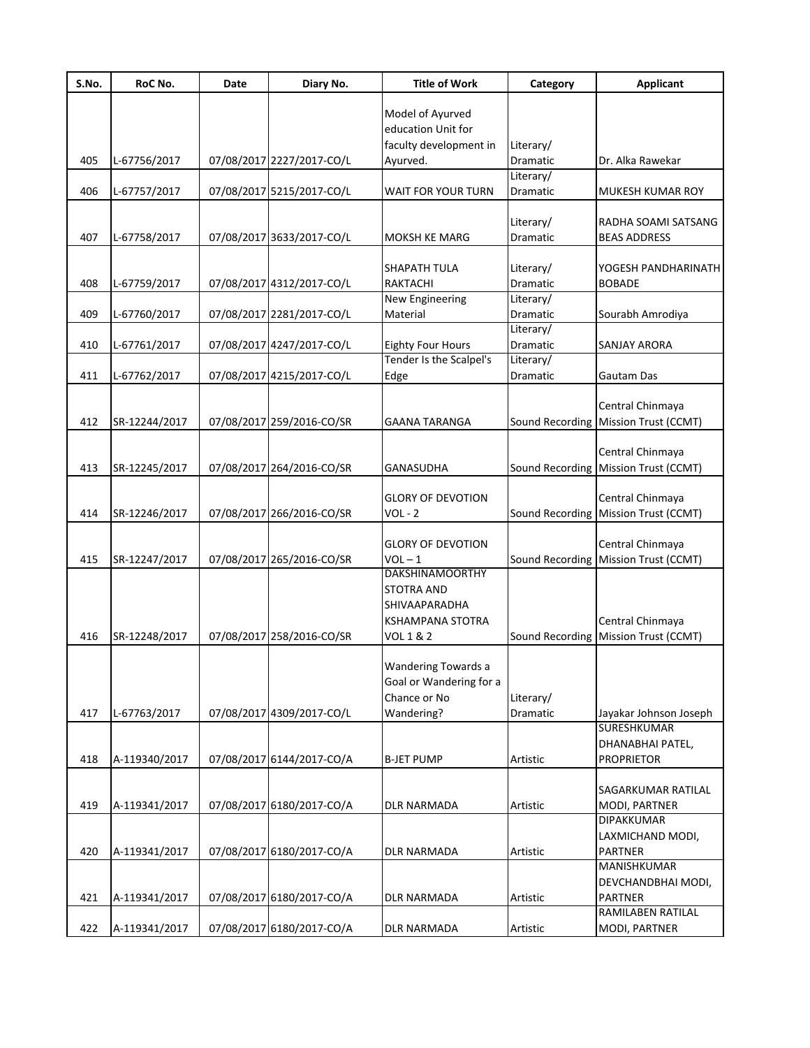| S.No. | RoC No.       | Date | Diary No.                 | <b>Title of Work</b>     | Category              | <b>Applicant</b>                                         |
|-------|---------------|------|---------------------------|--------------------------|-----------------------|----------------------------------------------------------|
|       |               |      |                           |                          |                       |                                                          |
|       |               |      |                           | Model of Ayurved         |                       |                                                          |
|       |               |      |                           | education Unit for       |                       |                                                          |
| 405   |               |      |                           | faculty development in   | Literary/             |                                                          |
|       | L-67756/2017  |      | 07/08/2017 2227/2017-CO/L | Ayurved.                 | Dramatic<br>Literary/ | Dr. Alka Rawekar                                         |
| 406   | L-67757/2017  |      | 07/08/2017 5215/2017-CO/L | WAIT FOR YOUR TURN       | Dramatic              | MUKESH KUMAR ROY                                         |
|       |               |      |                           |                          | Literary/             | RADHA SOAMI SATSANG                                      |
| 407   |               |      | 07/08/2017 3633/2017-CO/L | MOKSH KE MARG            | Dramatic              | <b>BEAS ADDRESS</b>                                      |
|       | L-67758/2017  |      |                           |                          |                       |                                                          |
|       |               |      |                           | <b>SHAPATH TULA</b>      | Literary/             | YOGESH PANDHARINATH                                      |
| 408   | L-67759/2017  |      | 07/08/2017 4312/2017-CO/L | RAKTACHI                 | Dramatic              | <b>BOBADE</b>                                            |
|       |               |      |                           | New Engineering          | Literary/             |                                                          |
| 409   | L-67760/2017  |      | 07/08/2017 2281/2017-CO/L | Material                 | Dramatic              | Sourabh Amrodiya                                         |
|       |               |      |                           |                          | Literary/             |                                                          |
| 410   | L-67761/2017  |      | 07/08/2017 4247/2017-CO/L | <b>Eighty Four Hours</b> | <b>Dramatic</b>       | <b>SANJAY ARORA</b>                                      |
|       |               |      |                           | Tender Is the Scalpel's  | Literary/             |                                                          |
| 411   | L-67762/2017  |      | 07/08/2017 4215/2017-CO/L | Edge                     | Dramatic              | Gautam Das                                               |
|       |               |      |                           |                          |                       |                                                          |
|       |               |      |                           |                          |                       | Central Chinmaya                                         |
| 412   | SR-12244/2017 |      | 07/08/2017 259/2016-CO/SR | <b>GAANA TARANGA</b>     |                       | Sound Recording Mission Trust (CCMT)                     |
|       |               |      |                           |                          |                       |                                                          |
|       |               |      |                           |                          |                       | Central Chinmaya                                         |
| 413   | SR-12245/2017 |      | 07/08/2017 264/2016-CO/SR | <b>GANASUDHA</b>         |                       | Sound Recording Mission Trust (CCMT)                     |
|       |               |      |                           | <b>GLORY OF DEVOTION</b> |                       |                                                          |
| 414   | SR-12246/2017 |      | 07/08/2017 266/2016-CO/SR | $VOL - 2$                |                       | Central Chinmaya<br>Sound Recording Mission Trust (CCMT) |
|       |               |      |                           |                          |                       |                                                          |
|       |               |      |                           | <b>GLORY OF DEVOTION</b> |                       | Central Chinmaya                                         |
| 415   | SR-12247/2017 |      | 07/08/2017 265/2016-CO/SR | $VOL - 1$                |                       | Sound Recording Mission Trust (CCMT)                     |
|       |               |      |                           | <b>DAKSHINAMOORTHY</b>   |                       |                                                          |
|       |               |      |                           | <b>STOTRA AND</b>        |                       |                                                          |
|       |               |      |                           | SHIVAAPARADHA            |                       |                                                          |
|       |               |      |                           | <b>KSHAMPANA STOTRA</b>  |                       | Central Chinmaya                                         |
| 416   | SR-12248/2017 |      | 07/08/2017 258/2016-CO/SR | VOL 1 & 2                |                       | Sound Recording   Mission Trust (CCMT)                   |
|       |               |      |                           |                          |                       |                                                          |
|       |               |      |                           | Wandering Towards a      |                       |                                                          |
|       |               |      |                           | Goal or Wandering for a  |                       |                                                          |
|       |               |      |                           | Chance or No             | Literary/             |                                                          |
| 417   | L-67763/2017  |      | 07/08/2017 4309/2017-CO/L | Wandering?               | Dramatic              | Jayakar Johnson Joseph                                   |
|       |               |      |                           |                          |                       | <b>SURESHKUMAR</b>                                       |
|       |               |      |                           |                          |                       | DHANABHAI PATEL,                                         |
| 418   | A-119340/2017 |      | 07/08/2017 6144/2017-CO/A | <b>B-JET PUMP</b>        | Artistic              | <b>PROPRIETOR</b>                                        |
|       |               |      |                           |                          |                       |                                                          |
| 419   |               |      | 07/08/2017 6180/2017-CO/A | <b>DLR NARMADA</b>       |                       | SAGARKUMAR RATILAL                                       |
|       | A-119341/2017 |      |                           |                          | Artistic              | MODI, PARTNER<br><b>DIPAKKUMAR</b>                       |
|       |               |      |                           |                          |                       | LAXMICHAND MODI,                                         |
| 420   | A-119341/2017 |      | 07/08/2017 6180/2017-CO/A | DLR NARMADA              | Artistic              | PARTNER                                                  |
|       |               |      |                           |                          |                       | MANISHKUMAR                                              |
|       |               |      |                           |                          |                       | DEVCHANDBHAI MODI,                                       |
| 421   | A-119341/2017 |      | 07/08/2017 6180/2017-CO/A | DLR NARMADA              | Artistic              | <b>PARTNER</b>                                           |
|       |               |      |                           |                          |                       | RAMILABEN RATILAL                                        |
| 422   | A-119341/2017 |      | 07/08/2017 6180/2017-CO/A | <b>DLR NARMADA</b>       | Artistic              | MODI, PARTNER                                            |
|       |               |      |                           |                          |                       |                                                          |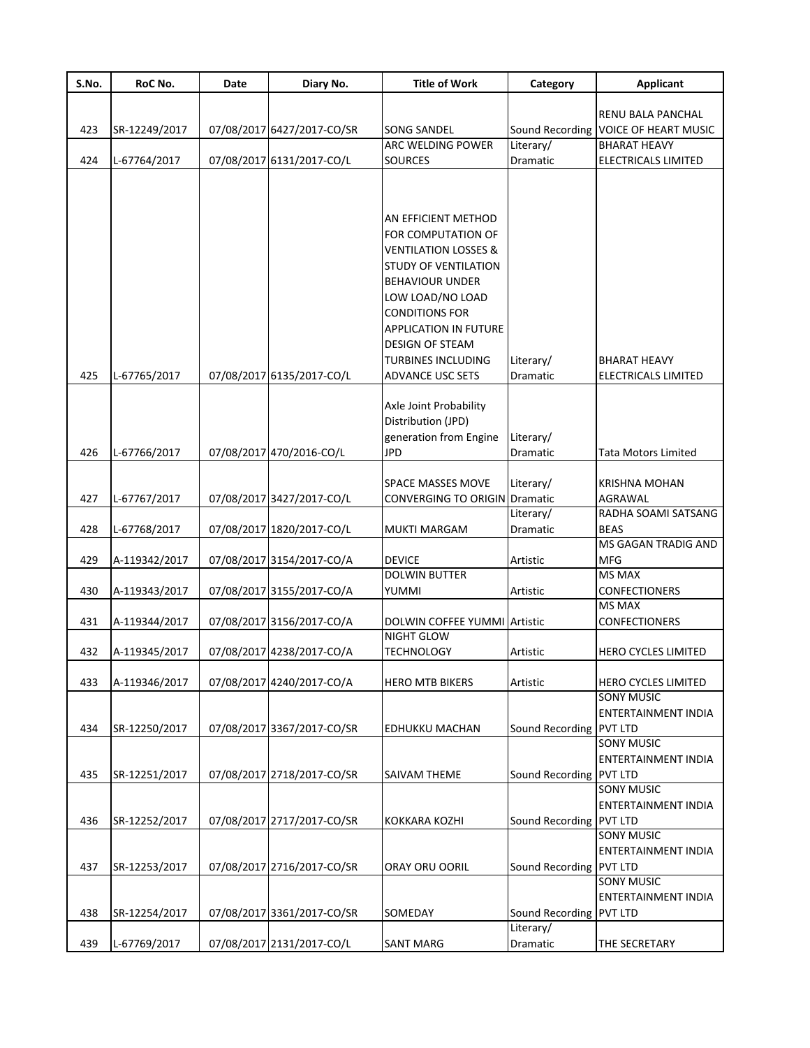| S.No. | RoC No.       | Date | Diary No.                  | <b>Title of Work</b>                    | Category                | <b>Applicant</b>            |
|-------|---------------|------|----------------------------|-----------------------------------------|-------------------------|-----------------------------|
|       |               |      |                            |                                         |                         | RENU BALA PANCHAL           |
|       |               |      |                            |                                         |                         |                             |
| 423   | SR-12249/2017 |      | 07/08/2017 6427/2017-CO/SR | <b>SONG SANDEL</b><br>ARC WELDING POWER | Sound Recording         | <b>VOICE OF HEART MUSIC</b> |
|       |               |      |                            |                                         | Literary/               | <b>BHARAT HEAVY</b>         |
| 424   | L-67764/2017  |      | 07/08/2017 6131/2017-CO/L  | <b>SOURCES</b>                          | Dramatic                | ELECTRICALS LIMITED         |
|       |               |      |                            |                                         |                         |                             |
|       |               |      |                            |                                         |                         |                             |
|       |               |      |                            | AN EFFICIENT METHOD                     |                         |                             |
|       |               |      |                            | FOR COMPUTATION OF                      |                         |                             |
|       |               |      |                            | <b>VENTILATION LOSSES &amp;</b>         |                         |                             |
|       |               |      |                            | <b>STUDY OF VENTILATION</b>             |                         |                             |
|       |               |      |                            | <b>BEHAVIOUR UNDER</b>                  |                         |                             |
|       |               |      |                            | LOW LOAD/NO LOAD                        |                         |                             |
|       |               |      |                            | <b>CONDITIONS FOR</b>                   |                         |                             |
|       |               |      |                            | <b>APPLICATION IN FUTURE</b>            |                         |                             |
|       |               |      |                            | <b>DESIGN OF STEAM</b>                  |                         |                             |
|       |               |      |                            | <b>TURBINES INCLUDING</b>               | Literary/               | <b>BHARAT HEAVY</b>         |
| 425   | L-67765/2017  |      | 07/08/2017 6135/2017-CO/L  | <b>ADVANCE USC SETS</b>                 | Dramatic                | <b>ELECTRICALS LIMITED</b>  |
|       |               |      |                            |                                         |                         |                             |
|       |               |      |                            | Axle Joint Probability                  |                         |                             |
|       |               |      |                            | Distribution (JPD)                      |                         |                             |
|       |               |      |                            | generation from Engine                  | Literary/               |                             |
| 426   | L-67766/2017  |      | 07/08/2017 470/2016-CO/L   | JPD                                     | Dramatic                | <b>Tata Motors Limited</b>  |
|       |               |      |                            | <b>SPACE MASSES MOVE</b>                | Literary/               | <b>KRISHNA MOHAN</b>        |
| 427   | L-67767/2017  |      | 07/08/2017 3427/2017-CO/L  | <b>CONVERGING TO ORIGIN Dramatic</b>    |                         | AGRAWAL                     |
|       |               |      |                            |                                         | Literary/               | RADHA SOAMI SATSANG         |
| 428   | L-67768/2017  |      | 07/08/2017 1820/2017-CO/L  | <b>MUKTI MARGAM</b>                     | Dramatic                | <b>BEAS</b>                 |
|       |               |      |                            |                                         |                         | MS GAGAN TRADIG AND         |
| 429   | A-119342/2017 |      | 07/08/2017 3154/2017-CO/A  | <b>DEVICE</b>                           | Artistic                | <b>MFG</b>                  |
|       |               |      |                            | <b>DOLWIN BUTTER</b>                    |                         | <b>MS MAX</b>               |
| 430   | A-119343/2017 |      | 07/08/2017 3155/2017-CO/A  | YUMMI                                   | Artistic                | <b>CONFECTIONERS</b>        |
|       |               |      |                            |                                         |                         | <b>MS MAX</b>               |
| 431   | A-119344/2017 |      | 07/08/2017 3156/2017-CO/A  | DOLWIN COFFEE YUMMI Artistic            |                         | <b>CONFECTIONERS</b>        |
|       |               |      |                            | NIGHT GLOW                              |                         |                             |
| 432   | A-119345/2017 |      | 07/08/2017 4238/2017-CO/A  | <b>TECHNOLOGY</b>                       | Artistic                | HERO CYCLES LIMITED         |
| 433   | A-119346/2017 |      | 07/08/2017 4240/2017-CO/A  | <b>HERO MTB BIKERS</b>                  | Artistic                | HERO CYCLES LIMITED         |
|       |               |      |                            |                                         |                         | <b>SONY MUSIC</b>           |
|       |               |      |                            |                                         |                         | ENTERTAINMENT INDIA         |
| 434   | SR-12250/2017 |      | 07/08/2017 3367/2017-CO/SR | <b>EDHUKKU MACHAN</b>                   | Sound Recording PVT LTD |                             |
|       |               |      |                            |                                         |                         | <b>SONY MUSIC</b>           |
|       |               |      |                            |                                         |                         | ENTERTAINMENT INDIA         |
| 435   | SR-12251/2017 |      | 07/08/2017 2718/2017-CO/SR | <b>SAIVAM THEME</b>                     | Sound Recording PVT LTD |                             |
|       |               |      |                            |                                         |                         | <b>SONY MUSIC</b>           |
|       |               |      |                            |                                         |                         | <b>ENTERTAINMENT INDIA</b>  |
| 436   | SR-12252/2017 |      | 07/08/2017 2717/2017-CO/SR | KOKKARA KOZHI                           | Sound Recording PVT LTD |                             |
|       |               |      |                            |                                         |                         | <b>SONY MUSIC</b>           |
|       |               |      |                            |                                         |                         | ENTERTAINMENT INDIA         |
| 437   | SR-12253/2017 |      | 07/08/2017 2716/2017-CO/SR | ORAY ORU OORIL                          | Sound Recording PVT LTD |                             |
|       |               |      |                            |                                         |                         | <b>SONY MUSIC</b>           |
|       |               |      |                            |                                         |                         | ENTERTAINMENT INDIA         |
| 438   | SR-12254/2017 |      | 07/08/2017 3361/2017-CO/SR | SOMEDAY                                 | Sound Recording PVT LTD |                             |
|       |               |      |                            |                                         | Literary/               |                             |
| 439   | L-67769/2017  |      | 07/08/2017 2131/2017-CO/L  | <b>SANT MARG</b>                        | Dramatic                | THE SECRETARY               |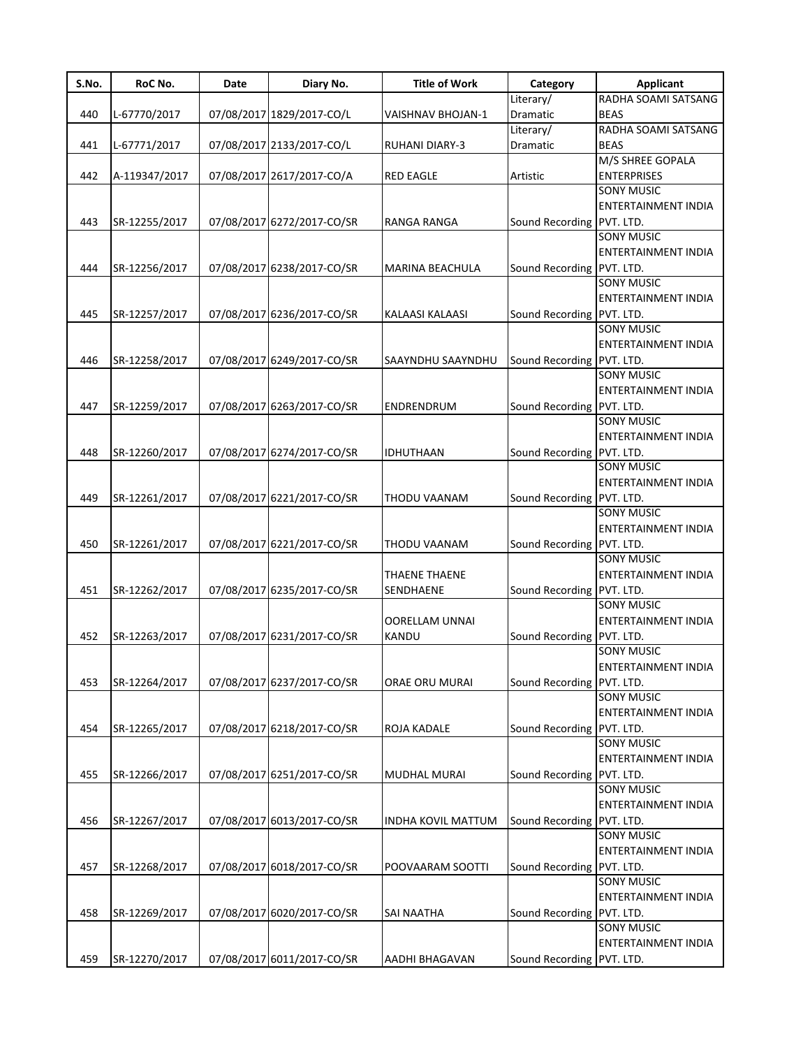| S.No. | RoC No.       | Date | Diary No.                  | <b>Title of Work</b>      | Category                  | <b>Applicant</b>           |
|-------|---------------|------|----------------------------|---------------------------|---------------------------|----------------------------|
|       |               |      |                            |                           | Literary/                 | RADHA SOAMI SATSANG        |
| 440   | L-67770/2017  |      | 07/08/2017 1829/2017-CO/L  | VAISHNAV BHOJAN-1         | Dramatic                  | <b>BEAS</b>                |
|       |               |      |                            |                           | Literary/                 | RADHA SOAMI SATSANG        |
| 441   | L-67771/2017  |      | 07/08/2017 2133/2017-CO/L  | <b>RUHANI DIARY-3</b>     | Dramatic                  | <b>BEAS</b>                |
|       |               |      |                            |                           |                           | M/S SHREE GOPALA           |
| 442   | A-119347/2017 |      | 07/08/2017 2617/2017-CO/A  | <b>RED EAGLE</b>          | Artistic                  | <b>ENTERPRISES</b>         |
|       |               |      |                            |                           |                           | <b>SONY MUSIC</b>          |
|       |               |      |                            |                           |                           | <b>ENTERTAINMENT INDIA</b> |
| 443   | SR-12255/2017 |      | 07/08/2017 6272/2017-CO/SR | <b>RANGA RANGA</b>        | Sound Recording PVT. LTD. |                            |
|       |               |      |                            |                           |                           | <b>SONY MUSIC</b>          |
|       |               |      |                            |                           |                           |                            |
|       |               |      |                            |                           |                           | <b>ENTERTAINMENT INDIA</b> |
| 444   | SR-12256/2017 |      | 07/08/2017 6238/2017-CO/SR | <b>MARINA BEACHULA</b>    | Sound Recording           | PVT. LTD.                  |
|       |               |      |                            |                           |                           | <b>SONY MUSIC</b>          |
|       |               |      |                            |                           |                           | ENTERTAINMENT INDIA        |
| 445   | SR-12257/2017 |      | 07/08/2017 6236/2017-CO/SR | <b>KALAASI KALAASI</b>    | Sound Recording           | PVT. LTD.                  |
|       |               |      |                            |                           |                           | <b>SONY MUSIC</b>          |
|       |               |      |                            |                           |                           | <b>ENTERTAINMENT INDIA</b> |
| 446   | SR-12258/2017 |      | 07/08/2017 6249/2017-CO/SR | SAAYNDHU SAAYNDHU         | Sound Recording           | PVT. LTD.                  |
|       |               |      |                            |                           |                           | <b>SONY MUSIC</b>          |
|       |               |      |                            |                           |                           |                            |
|       |               |      |                            |                           |                           | ENTERTAINMENT INDIA        |
| 447   | SR-12259/2017 |      | 07/08/2017 6263/2017-CO/SR | ENDRENDRUM                | Sound Recording           | PVT. LTD.                  |
|       |               |      |                            |                           |                           | <b>SONY MUSIC</b>          |
|       |               |      |                            |                           |                           | ENTERTAINMENT INDIA        |
| 448   | SR-12260/2017 |      | 07/08/2017 6274/2017-CO/SR | IDHUTHAAN                 | Sound Recording           | PVT. LTD.                  |
|       |               |      |                            |                           |                           | <b>SONY MUSIC</b>          |
|       |               |      |                            |                           |                           | ENTERTAINMENT INDIA        |
| 449   | SR-12261/2017 |      | 07/08/2017 6221/2017-CO/SR | THODU VAANAM              | Sound Recording           | PVT. LTD.                  |
|       |               |      |                            |                           |                           | <b>SONY MUSIC</b>          |
|       |               |      |                            |                           |                           | <b>ENTERTAINMENT INDIA</b> |
| 450   | SR-12261/2017 |      | 07/08/2017 6221/2017-CO/SR | THODU VAANAM              | Sound Recording           | PVT. LTD.                  |
|       |               |      |                            |                           |                           | <b>SONY MUSIC</b>          |
|       |               |      |                            |                           |                           |                            |
|       |               |      |                            | THAENE THAENE             |                           | <b>ENTERTAINMENT INDIA</b> |
| 451   | SR-12262/2017 |      | 07/08/2017 6235/2017-CO/SR | SENDHAENE                 | Sound Recording           | PVT. LTD.                  |
|       |               |      |                            |                           |                           | <b>SONY MUSIC</b>          |
|       |               |      |                            | <b>OORELLAM UNNAI</b>     |                           | ENTERTAINMENT INDIA        |
| 452   | SR-12263/2017 |      | 07/08/2017 6231/2017-CO/SR | KANDU                     | Sound Recording           | PVT. LTD.                  |
|       |               |      |                            |                           |                           | <b>SONY MUSIC</b>          |
|       |               |      |                            |                           |                           | <b>ENTERTAINMENT INDIA</b> |
| 453   | SR-12264/2017 |      | 07/08/2017 6237/2017-CO/SR | ORAE ORU MURAI            | Sound Recording           | PVT. LTD.                  |
|       |               |      |                            |                           |                           | <b>SONY MUSIC</b>          |
|       |               |      |                            |                           |                           | <b>ENTERTAINMENT INDIA</b> |
|       |               |      |                            |                           |                           |                            |
| 454   | SR-12265/2017 |      | 07/08/2017 6218/2017-CO/SR | ROJA KADALE               | Sound Recording           | PVT. LTD.                  |
|       |               |      |                            |                           |                           | <b>SONY MUSIC</b>          |
|       |               |      |                            |                           |                           | ENTERTAINMENT INDIA        |
| 455   | SR-12266/2017 |      | 07/08/2017 6251/2017-CO/SR | <b>MUDHAL MURAI</b>       | Sound Recording           | PVT. LTD.                  |
|       |               |      |                            |                           |                           | <b>SONY MUSIC</b>          |
|       |               |      |                            |                           |                           | ENTERTAINMENT INDIA        |
| 456   | SR-12267/2017 |      | 07/08/2017 6013/2017-CO/SR | <b>INDHA KOVIL MATTUM</b> | Sound Recording           | PVT. LTD.                  |
|       |               |      |                            |                           |                           | <b>SONY MUSIC</b>          |
|       |               |      |                            |                           |                           | ENTERTAINMENT INDIA        |
|       |               |      |                            |                           |                           |                            |
| 457   | SR-12268/2017 |      | 07/08/2017 6018/2017-CO/SR | POOVAARAM SOOTTI          | Sound Recording           | PVT. LTD.                  |
|       |               |      |                            |                           |                           | <b>SONY MUSIC</b>          |
|       |               |      |                            |                           |                           | ENTERTAINMENT INDIA        |
| 458   | SR-12269/2017 |      | 07/08/2017 6020/2017-CO/SR | <b>SAI NAATHA</b>         | Sound Recording           | PVT. LTD.                  |
|       |               |      |                            |                           |                           | <b>SONY MUSIC</b>          |
|       |               |      |                            |                           |                           | ENTERTAINMENT INDIA        |
| 459   | SR-12270/2017 |      | 07/08/2017 6011/2017-CO/SR | AADHI BHAGAVAN            | Sound Recording           | PVT. LTD.                  |
|       |               |      |                            |                           |                           |                            |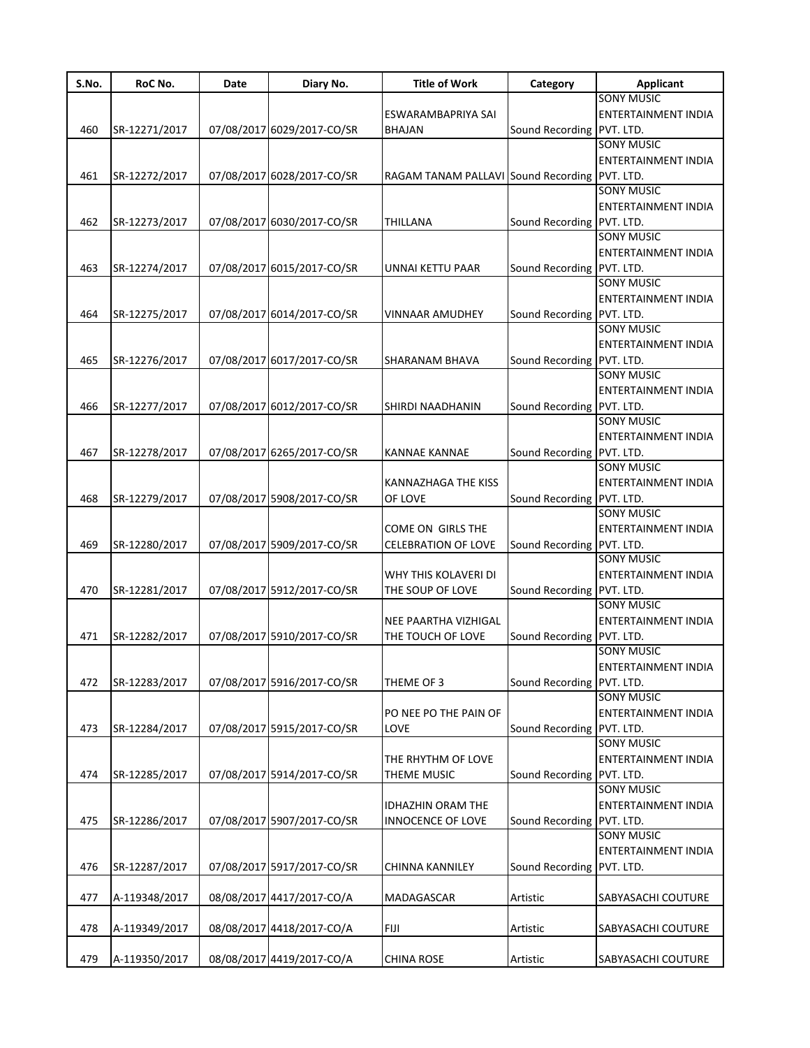| S.No. | RoC No.       | Date | Diary No.                  | <b>Title of Work</b>                          | Category                  | <b>Applicant</b>           |
|-------|---------------|------|----------------------------|-----------------------------------------------|---------------------------|----------------------------|
|       |               |      |                            |                                               |                           | <b>SONY MUSIC</b>          |
|       |               |      |                            | ESWARAMBAPRIYA SAI                            |                           | <b>ENTERTAINMENT INDIA</b> |
| 460   | SR-12271/2017 |      | 07/08/2017 6029/2017-CO/SR | <b>BHAJAN</b>                                 | Sound Recording PVT. LTD. |                            |
|       |               |      |                            |                                               |                           | <b>SONY MUSIC</b>          |
|       |               |      |                            |                                               |                           | <b>ENTERTAINMENT INDIA</b> |
| 461   | SR-12272/2017 |      | 07/08/2017 6028/2017-CO/SR | RAGAM TANAM PALLAVI Sound Recording PVT. LTD. |                           |                            |
|       |               |      |                            |                                               |                           | <b>SONY MUSIC</b>          |
|       |               |      |                            |                                               |                           | ENTERTAINMENT INDIA        |
| 462   | SR-12273/2017 |      | 07/08/2017 6030/2017-CO/SR | <b>THILLANA</b>                               | Sound Recording PVT. LTD. |                            |
|       |               |      |                            |                                               |                           | <b>SONY MUSIC</b>          |
|       |               |      |                            |                                               |                           | ENTERTAINMENT INDIA        |
| 463   | SR-12274/2017 |      | 07/08/2017 6015/2017-CO/SR | UNNAI KETTU PAAR                              | Sound Recording PVT. LTD. |                            |
|       |               |      |                            |                                               |                           | <b>SONY MUSIC</b>          |
|       |               |      |                            |                                               |                           | ENTERTAINMENT INDIA        |
| 464   | SR-12275/2017 |      | 07/08/2017 6014/2017-CO/SR | <b>VINNAAR AMUDHEY</b>                        | Sound Recording PVT. LTD. |                            |
|       |               |      |                            |                                               |                           | <b>SONY MUSIC</b>          |
|       |               |      |                            |                                               |                           | ENTERTAINMENT INDIA        |
|       |               |      |                            |                                               |                           |                            |
| 465   | SR-12276/2017 |      | 07/08/2017 6017/2017-CO/SR | SHARANAM BHAVA                                | Sound Recording PVT. LTD. |                            |
|       |               |      |                            |                                               |                           | <b>SONY MUSIC</b>          |
|       |               |      |                            |                                               |                           | ENTERTAINMENT INDIA        |
| 466   | SR-12277/2017 |      | 07/08/2017 6012/2017-CO/SR | SHIRDI NAADHANIN                              | Sound Recording PVT. LTD. |                            |
|       |               |      |                            |                                               |                           | <b>SONY MUSIC</b>          |
|       |               |      |                            |                                               |                           | ENTERTAINMENT INDIA        |
| 467   | SR-12278/2017 |      | 07/08/2017 6265/2017-CO/SR | <b>KANNAE KANNAE</b>                          | Sound Recording PVT. LTD. |                            |
|       |               |      |                            |                                               |                           | <b>SONY MUSIC</b>          |
|       |               |      |                            | KANNAZHAGA THE KISS                           |                           | ENTERTAINMENT INDIA        |
| 468   | SR-12279/2017 |      | 07/08/2017 5908/2017-CO/SR | OF LOVE                                       | Sound Recording PVT. LTD. |                            |
|       |               |      |                            |                                               |                           | <b>SONY MUSIC</b>          |
|       |               |      |                            | COME ON GIRLS THE                             |                           | ENTERTAINMENT INDIA        |
| 469   | SR-12280/2017 |      | 07/08/2017 5909/2017-CO/SR | <b>CELEBRATION OF LOVE</b>                    | Sound Recording PVT. LTD. |                            |
|       |               |      |                            |                                               |                           | <b>SONY MUSIC</b>          |
|       |               |      |                            | WHY THIS KOLAVERI DI                          |                           | ENTERTAINMENT INDIA        |
| 470   | SR-12281/2017 |      | 07/08/2017 5912/2017-CO/SR | THE SOUP OF LOVE                              | Sound Recording PVT. LTD. |                            |
|       |               |      |                            |                                               |                           | <b>SONY MUSIC</b>          |
|       |               |      |                            | NEE PAARTHA VIZHIGAL                          |                           | ENTERTAINMENT INDIA        |
| 471   | SR-12282/2017 |      | 07/08/2017 5910/2017-CO/SR | THE TOUCH OF LOVE                             | Sound Recording PVT. LTD. |                            |
|       |               |      |                            |                                               |                           | <b>SONY MUSIC</b>          |
|       |               |      |                            |                                               |                           | <b>ENTERTAINMENT INDIA</b> |
| 472   | SR-12283/2017 |      | 07/08/2017 5916/2017-CO/SR | THEME OF 3                                    | Sound Recording PVT. LTD. |                            |
|       |               |      |                            |                                               |                           | <b>SONY MUSIC</b>          |
|       |               |      |                            | PO NEE PO THE PAIN OF                         |                           | <b>ENTERTAINMENT INDIA</b> |
| 473   | SR-12284/2017 |      | 07/08/2017 5915/2017-CO/SR | LOVE                                          | Sound Recording PVT. LTD. |                            |
|       |               |      |                            |                                               |                           | <b>SONY MUSIC</b>          |
|       |               |      |                            | THE RHYTHM OF LOVE                            |                           | ENTERTAINMENT INDIA        |
| 474   |               |      |                            |                                               |                           |                            |
|       | SR-12285/2017 |      | 07/08/2017 5914/2017-CO/SR | THEME MUSIC                                   | Sound Recording PVT. LTD. | <b>SONY MUSIC</b>          |
|       |               |      |                            |                                               |                           |                            |
|       |               |      |                            | <b>IDHAZHIN ORAM THE</b>                      |                           | ENTERTAINMENT INDIA        |
| 475   | SR-12286/2017 |      | 07/08/2017 5907/2017-CO/SR | <b>INNOCENCE OF LOVE</b>                      | Sound Recording PVT. LTD. |                            |
|       |               |      |                            |                                               |                           | <b>SONY MUSIC</b>          |
|       |               |      |                            |                                               |                           | ENTERTAINMENT INDIA        |
| 476   | SR-12287/2017 |      | 07/08/2017 5917/2017-CO/SR | <b>CHINNA KANNILEY</b>                        | Sound Recording PVT. LTD. |                            |
|       |               |      |                            |                                               |                           |                            |
| 477   | A-119348/2017 |      | 08/08/2017 4417/2017-CO/A  | MADAGASCAR                                    | Artistic                  | SABYASACHI COUTURE         |
|       |               |      |                            |                                               |                           |                            |
| 478   | A-119349/2017 |      | 08/08/2017 4418/2017-CO/A  | FIJI                                          | Artistic                  | SABYASACHI COUTURE         |
|       |               |      |                            |                                               |                           |                            |
| 479   | A-119350/2017 |      | 08/08/2017 4419/2017-CO/A  | <b>CHINA ROSE</b>                             | Artistic                  | SABYASACHI COUTURE         |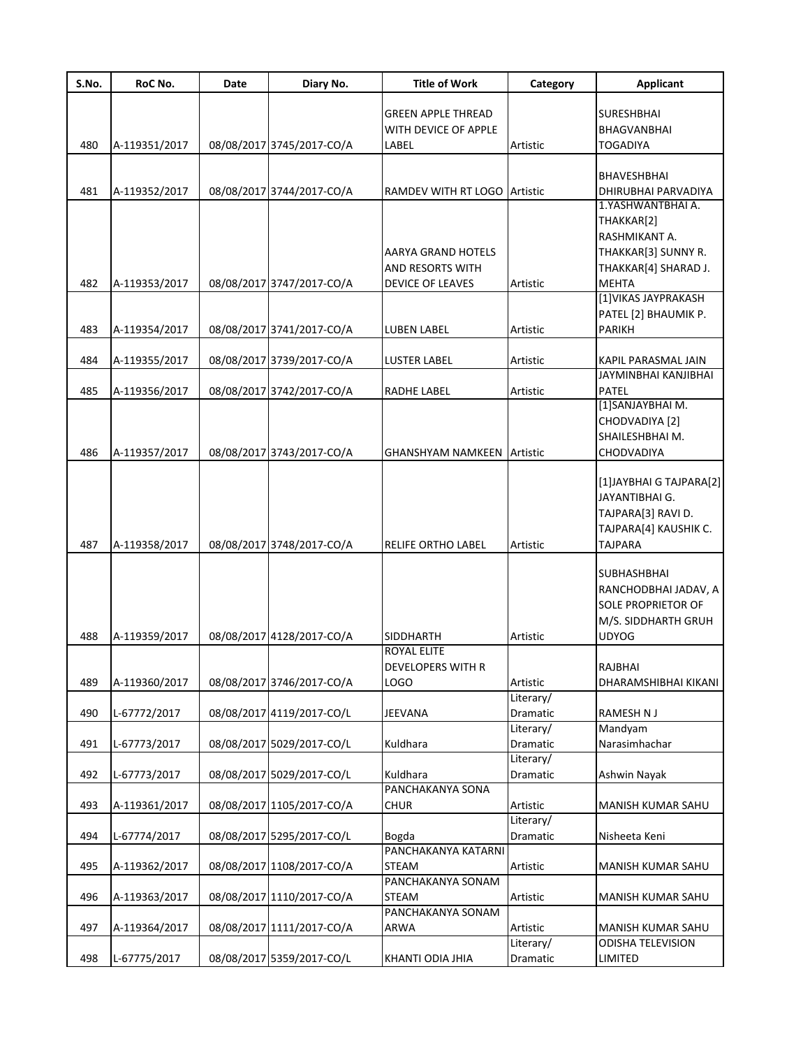| S.No. | RoC No.       | Date | Diary No.                 | <b>Title of Work</b>              | Category        | <b>Applicant</b>          |
|-------|---------------|------|---------------------------|-----------------------------------|-----------------|---------------------------|
|       |               |      |                           | <b>GREEN APPLE THREAD</b>         |                 | <b>SURESHBHAI</b>         |
|       |               |      |                           | WITH DEVICE OF APPLE              |                 | BHAGVANBHAI               |
| 480   | A-119351/2017 |      | 08/08/2017 3745/2017-CO/A | LABEL                             | Artistic        | TOGADIYA                  |
|       |               |      |                           |                                   |                 | BHAVESHBHAI               |
| 481   | A-119352/2017 |      | 08/08/2017 3744/2017-CO/A | RAMDEV WITH RT LOGO Artistic      |                 | DHIRUBHAI PARVADIYA       |
|       |               |      |                           |                                   |                 | 1.YASHWANTBHAI A.         |
|       |               |      |                           |                                   |                 | THAKKAR[2]                |
|       |               |      |                           |                                   |                 | RASHMIKANT A.             |
|       |               |      |                           | AARYA GRAND HOTELS                |                 | THAKKAR[3] SUNNY R.       |
|       |               |      |                           | AND RESORTS WITH                  |                 | THAKKAR[4] SHARAD J.      |
| 482   | A-119353/2017 |      | 08/08/2017 3747/2017-CO/A | <b>DEVICE OF LEAVES</b>           | Artistic        | <b>MEHTA</b>              |
|       |               |      |                           |                                   |                 | [1] VIKAS JAYPRAKASH      |
|       |               |      |                           |                                   |                 | PATEL [2] BHAUMIK P.      |
|       |               |      |                           |                                   |                 | <b>PARIKH</b>             |
| 483   | A-119354/2017 |      | 08/08/2017 3741/2017-CO/A | LUBEN LABEL                       | Artistic        |                           |
| 484   | A-119355/2017 |      | 08/08/2017 3739/2017-CO/A | <b>LUSTER LABEL</b>               | Artistic        | KAPIL PARASMAL JAIN       |
|       |               |      |                           |                                   |                 | JAYMINBHAI KANJIBHAI      |
| 485   | A-119356/2017 |      | 08/08/2017 3742/2017-CO/A | RADHE LABEL                       | Artistic        | PATEL                     |
|       |               |      |                           |                                   |                 | [1]SANJAYBHAI M.          |
|       |               |      |                           |                                   |                 | CHODVADIYA [2]            |
|       |               |      |                           |                                   |                 | SHAILESHBHAI M.           |
| 486   | A-119357/2017 |      | 08/08/2017 3743/2017-CO/A | <b>GHANSHYAM NAMKEEN Artistic</b> |                 | CHODVADIYA                |
|       |               |      |                           |                                   |                 |                           |
|       |               |      |                           |                                   |                 | [1] JAYBHAI G TAJPARA [2] |
|       |               |      |                           |                                   |                 | JAYANTIBHAI G.            |
|       |               |      |                           |                                   |                 | TAJPARA[3] RAVI D.        |
|       |               |      |                           |                                   |                 | TAJPARA[4] KAUSHIK C.     |
| 487   | A-119358/2017 |      | 08/08/2017 3748/2017-CO/A | RELIFE ORTHO LABEL                | Artistic        | <b>TAJPARA</b>            |
|       |               |      |                           |                                   |                 |                           |
|       |               |      |                           |                                   |                 | SUBHASHBHAI               |
|       |               |      |                           |                                   |                 | RANCHODBHAI JADAV, A      |
|       |               |      |                           |                                   |                 | SOLE PROPRIETOR OF        |
|       |               |      |                           |                                   |                 | M/S. SIDDHARTH GRUH       |
| 488   | A-119359/2017 |      | 08/08/2017 4128/2017-CO/A | <b>SIDDHARTH</b>                  | Artistic        | <b>UDYOG</b>              |
|       |               |      |                           | <b>ROYAL ELITE</b>                |                 |                           |
|       |               |      |                           | DEVELOPERS WITH R                 |                 | RAJBHAI                   |
| 489   | A-119360/2017 |      | 08/08/2017 3746/2017-CO/A | LOGO                              | Artistic        | DHARAMSHIBHAI KIKANI      |
|       |               |      |                           |                                   | Literary/       |                           |
| 490   | L-67772/2017  |      | 08/08/2017 4119/2017-CO/L | JEEVANA                           | Dramatic        | RAMESH N J                |
|       |               |      |                           |                                   | Literary/       | Mandyam                   |
| 491   | L-67773/2017  |      | 08/08/2017 5029/2017-CO/L | Kuldhara                          | <b>Dramatic</b> | Narasimhachar             |
|       |               |      |                           |                                   | Literary/       |                           |
| 492   | L-67773/2017  |      | 08/08/2017 5029/2017-CO/L | Kuldhara                          | Dramatic        | Ashwin Nayak              |
|       |               |      |                           | PANCHAKANYA SONA                  |                 |                           |
| 493   | A-119361/2017 |      | 08/08/2017 1105/2017-CO/A | <b>CHUR</b>                       | Artistic        | MANISH KUMAR SAHU         |
|       |               |      |                           |                                   | Literary/       |                           |
| 494   | L-67774/2017  |      | 08/08/2017 5295/2017-CO/L | Bogda                             | Dramatic        | Nisheeta Keni             |
|       |               |      |                           | PANCHAKANYA KATARNI               |                 |                           |
| 495   | A-119362/2017 |      | 08/08/2017 1108/2017-CO/A | <b>STEAM</b>                      | Artistic        | MANISH KUMAR SAHU         |
|       |               |      |                           | PANCHAKANYA SONAM                 |                 |                           |
| 496   | A-119363/2017 |      | 08/08/2017 1110/2017-CO/A | <b>STEAM</b>                      | Artistic        | MANISH KUMAR SAHU         |
|       |               |      |                           | PANCHAKANYA SONAM                 |                 |                           |
| 497   | A-119364/2017 |      | 08/08/2017 1111/2017-CO/A | ARWA                              | Artistic        | MANISH KUMAR SAHU         |
|       |               |      |                           |                                   | Literary/       | <b>ODISHA TELEVISION</b>  |
| 498   | L-67775/2017  |      | 08/08/2017 5359/2017-CO/L | KHANTI ODIA JHIA                  | Dramatic        | LIMITED                   |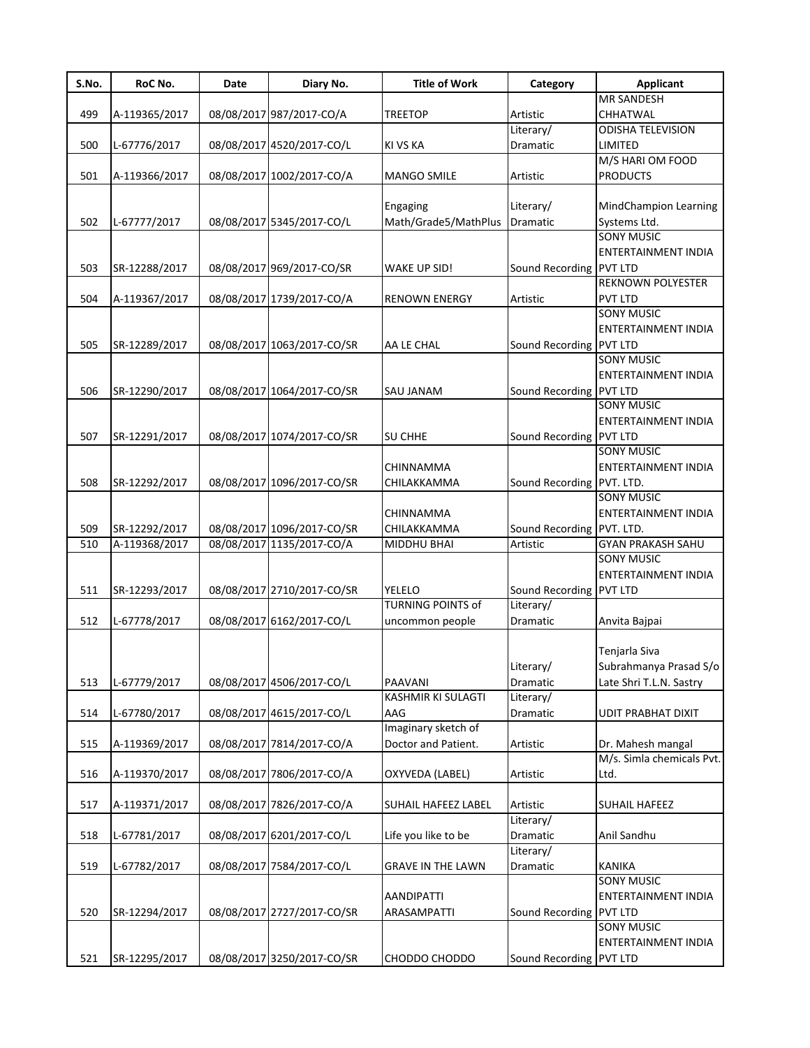| S.No. | RoC No.       | Date | Diary No.                  | <b>Title of Work</b>       | Category                  | <b>Applicant</b>           |
|-------|---------------|------|----------------------------|----------------------------|---------------------------|----------------------------|
|       |               |      |                            |                            |                           | <b>MR SANDESH</b>          |
| 499   | A-119365/2017 |      | 08/08/2017 987/2017-CO/A   | <b>TREETOP</b>             | Artistic                  | CHHATWAL                   |
|       |               |      |                            |                            | Literary/                 | <b>ODISHA TELEVISION</b>   |
| 500   | L-67776/2017  |      | 08/08/2017 4520/2017-CO/L  | <b>KI VS KA</b>            | Dramatic                  | LIMITED                    |
|       |               |      |                            |                            |                           | M/S HARI OM FOOD           |
| 501   | A-119366/2017 |      | 08/08/2017 1002/2017-CO/A  | <b>MANGO SMILE</b>         | Artistic                  | <b>PRODUCTS</b>            |
|       |               |      |                            |                            |                           |                            |
|       |               |      |                            | Engaging                   | Literary/                 | MindChampion Learning      |
| 502   | L-67777/2017  |      | 08/08/2017 5345/2017-CO/L  | Math/Grade5/MathPlus       | Dramatic                  | Systems Ltd.               |
|       |               |      |                            |                            |                           | <b>SONY MUSIC</b>          |
|       |               |      |                            |                            |                           | ENTERTAINMENT INDIA        |
| 503   | SR-12288/2017 |      | 08/08/2017 969/2017-CO/SR  | <b>WAKE UP SID!</b>        | Sound Recording PVT LTD   |                            |
|       |               |      |                            |                            |                           | <b>REKNOWN POLYESTER</b>   |
| 504   | A-119367/2017 |      | 08/08/2017 1739/2017-CO/A  | <b>RENOWN ENERGY</b>       | Artistic                  | PVT LTD                    |
|       |               |      |                            |                            |                           | <b>SONY MUSIC</b>          |
|       |               |      |                            |                            |                           | ENTERTAINMENT INDIA        |
|       |               |      |                            |                            |                           |                            |
| 505   | SR-12289/2017 |      | 08/08/2017 1063/2017-CO/SR | AA LE CHAL                 | Sound Recording PVT LTD   |                            |
|       |               |      |                            |                            |                           | <b>SONY MUSIC</b>          |
|       |               |      |                            |                            |                           | ENTERTAINMENT INDIA        |
| 506   | SR-12290/2017 |      | 08/08/2017 1064/2017-CO/SR | <b>SAU JANAM</b>           | Sound Recording PVT LTD   |                            |
|       |               |      |                            |                            |                           | <b>SONY MUSIC</b>          |
|       |               |      |                            |                            |                           | ENTERTAINMENT INDIA        |
| 507   | SR-12291/2017 |      | 08/08/2017 1074/2017-CO/SR | <b>SU CHHE</b>             | Sound Recording PVT LTD   |                            |
|       |               |      |                            |                            |                           | <b>SONY MUSIC</b>          |
|       |               |      |                            | CHINNAMMA                  |                           | ENTERTAINMENT INDIA        |
| 508   | SR-12292/2017 |      | 08/08/2017 1096/2017-CO/SR | CHILAKKAMMA                | Sound Recording PVT. LTD. |                            |
|       |               |      |                            |                            |                           | SONY MUSIC                 |
|       |               |      |                            | <b>CHINNAMMA</b>           |                           | ENTERTAINMENT INDIA        |
| 509   | SR-12292/2017 |      | 08/08/2017 1096/2017-CO/SR | <b>CHILAKKAMMA</b>         | Sound Recording PVT. LTD. |                            |
| 510   | A-119368/2017 |      | 08/08/2017 1135/2017-CO/A  | <b>MIDDHU BHAI</b>         | Artistic                  | <b>GYAN PRAKASH SAHU</b>   |
|       |               |      |                            |                            |                           | <b>SONY MUSIC</b>          |
|       |               |      |                            |                            |                           | <b>ENTERTAINMENT INDIA</b> |
| 511   | SR-12293/2017 |      | 08/08/2017 2710/2017-CO/SR | <b>YELELO</b>              | Sound Recording           | <b>PVT LTD</b>             |
|       |               |      |                            | <b>TURNING POINTS of</b>   | Literary/                 |                            |
| 512   | L-67778/2017  |      | 08/08/2017 6162/2017-CO/L  | uncommon people            | Dramatic                  | Anvita Bajpai              |
|       |               |      |                            |                            |                           |                            |
|       |               |      |                            |                            |                           |                            |
|       |               |      |                            |                            |                           | Tenjarla Siva              |
|       |               |      |                            |                            | Literary/                 | Subrahmanya Prasad S/o     |
| 513   | L-67779/2017  |      | 08/08/2017 4506/2017-CO/L  | <b>PAAVANI</b>             | Dramatic                  | Late Shri T.L.N. Sastry    |
|       |               |      |                            | <b>KASHMIR KI SULAGTI</b>  | Literary/                 |                            |
| 514   | L-67780/2017  |      | 08/08/2017 4615/2017-CO/L  | AAG                        | Dramatic                  | <b>UDIT PRABHAT DIXIT</b>  |
|       |               |      |                            | Imaginary sketch of        |                           |                            |
| 515   | A-119369/2017 |      | 08/08/2017 7814/2017-CO/A  | Doctor and Patient.        | Artistic                  | Dr. Mahesh mangal          |
|       |               |      |                            |                            |                           | M/s. Simla chemicals Pvt.  |
| 516   | A-119370/2017 |      | 08/08/2017 7806/2017-CO/A  | OXYVEDA (LABEL)            | Artistic                  | Ltd.                       |
|       |               |      |                            |                            |                           |                            |
| 517   | A-119371/2017 |      | 08/08/2017 7826/2017-CO/A  | <b>SUHAIL HAFEEZ LABEL</b> | Artistic                  | <b>SUHAIL HAFEEZ</b>       |
|       |               |      |                            |                            | Literary/                 |                            |
| 518   | L-67781/2017  |      | 08/08/2017 6201/2017-CO/L  | Life you like to be        | Dramatic                  | Anil Sandhu                |
|       |               |      |                            |                            | Literary/                 |                            |
| 519   | L-67782/2017  |      | 08/08/2017 7584/2017-CO/L  | <b>GRAVE IN THE LAWN</b>   | Dramatic                  | <b>KANIKA</b>              |
|       |               |      |                            |                            |                           | <b>SONY MUSIC</b>          |
|       |               |      |                            | <b>AANDIPATTI</b>          |                           | ENTERTAINMENT INDIA        |
| 520   | SR-12294/2017 |      | 08/08/2017 2727/2017-CO/SR | ARASAMPATTI                | Sound Recording PVT LTD   |                            |
|       |               |      |                            |                            |                           | <b>SONY MUSIC</b>          |
|       |               |      |                            |                            |                           | ENTERTAINMENT INDIA        |
| 521   | SR-12295/2017 |      | 08/08/2017 3250/2017-CO/SR | CHODDO CHODDO              | Sound Recording PVT LTD   |                            |
|       |               |      |                            |                            |                           |                            |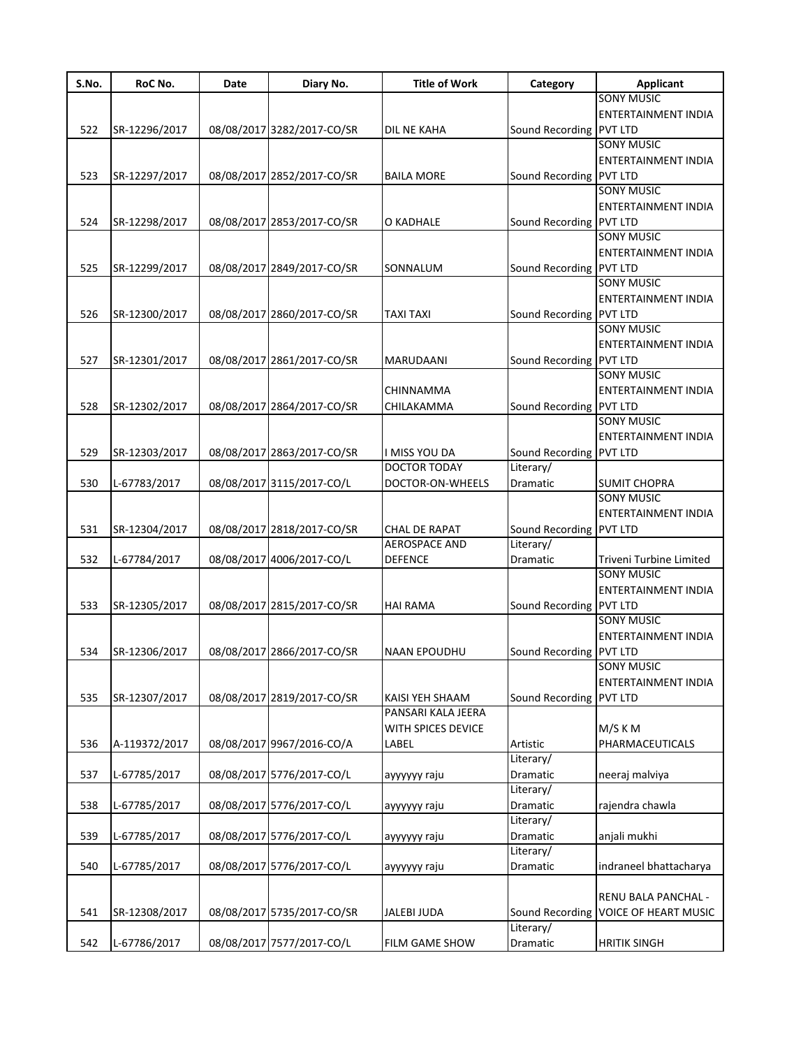| S.No. | RoC No.       | Date | Diary No.                  | <b>Title of Work</b> | Category                             | Applicant                   |
|-------|---------------|------|----------------------------|----------------------|--------------------------------------|-----------------------------|
|       |               |      |                            |                      |                                      | <b>SONY MUSIC</b>           |
|       |               |      |                            |                      |                                      | <b>ENTERTAINMENT INDIA</b>  |
| 522   | SR-12296/2017 |      | 08/08/2017 3282/2017-CO/SR | <b>DIL NE KAHA</b>   | Sound Recording PVT LTD              |                             |
|       |               |      |                            |                      |                                      | <b>SONY MUSIC</b>           |
|       |               |      |                            |                      |                                      | <b>ENTERTAINMENT INDIA</b>  |
| 523   | SR-12297/2017 |      | 08/08/2017 2852/2017-CO/SR | <b>BAILA MORE</b>    | Sound Recording PVT LTD              |                             |
|       |               |      |                            |                      |                                      | <b>SONY MUSIC</b>           |
|       |               |      |                            |                      |                                      | ENTERTAINMENT INDIA         |
| 524   | SR-12298/2017 |      | 08/08/2017 2853/2017-CO/SR | O KADHALE            | Sound Recording PVT LTD              |                             |
|       |               |      |                            |                      |                                      | <b>SONY MUSIC</b>           |
|       |               |      |                            |                      |                                      | ENTERTAINMENT INDIA         |
|       |               |      |                            |                      |                                      |                             |
| 525   | SR-12299/2017 |      | 08/08/2017 2849/2017-CO/SR | SONNALUM             | Sound Recording PVT LTD              |                             |
|       |               |      |                            |                      |                                      | <b>SONY MUSIC</b>           |
|       |               |      |                            |                      |                                      | ENTERTAINMENT INDIA         |
| 526   | SR-12300/2017 |      | 08/08/2017 2860/2017-CO/SR | <b>TAXI TAXI</b>     | Sound Recording PVT LTD              |                             |
|       |               |      |                            |                      |                                      | <b>SONY MUSIC</b>           |
|       |               |      |                            |                      |                                      | <b>ENTERTAINMENT INDIA</b>  |
| 527   | SR-12301/2017 |      | 08/08/2017 2861/2017-CO/SR | MARUDAANI            | Sound Recording PVT LTD              |                             |
|       |               |      |                            |                      |                                      | <b>SONY MUSIC</b>           |
|       |               |      |                            | <b>CHINNAMMA</b>     |                                      | <b>ENTERTAINMENT INDIA</b>  |
| 528   | SR-12302/2017 |      | 08/08/2017 2864/2017-CO/SR | CHILAKAMMA           | Sound Recording PVT LTD              |                             |
|       |               |      |                            |                      |                                      | <b>SONY MUSIC</b>           |
|       |               |      |                            |                      |                                      | <b>ENTERTAINMENT INDIA</b>  |
| 529   | SR-12303/2017 |      | 08/08/2017 2863/2017-CO/SR | I MISS YOU DA        | Sound Recording PVT LTD              |                             |
|       |               |      |                            | <b>DOCTOR TODAY</b>  | Literary/                            |                             |
| 530   | L-67783/2017  |      | 08/08/2017 3115/2017-CO/L  | DOCTOR-ON-WHEELS     | Dramatic                             | <b>SUMIT CHOPRA</b>         |
|       |               |      |                            |                      |                                      | <b>SONY MUSIC</b>           |
|       |               |      |                            |                      |                                      | <b>ENTERTAINMENT INDIA</b>  |
|       |               |      |                            |                      |                                      |                             |
| 531   | SR-12304/2017 |      | 08/08/2017 2818/2017-CO/SR | CHAL DE RAPAT        | Sound Recording PVT LTD<br>Literary/ |                             |
|       |               |      |                            | <b>AEROSPACE AND</b> |                                      |                             |
| 532   | L-67784/2017  |      | 08/08/2017 4006/2017-CO/L  | <b>DEFENCE</b>       | Dramatic                             | Triveni Turbine Limited     |
|       |               |      |                            |                      |                                      | <b>SONY MUSIC</b>           |
|       |               |      |                            |                      |                                      | <b>ENTERTAINMENT INDIA</b>  |
| 533   | SR-12305/2017 |      | 08/08/2017 2815/2017-CO/SR | <b>HAI RAMA</b>      | Sound Recording PVT LTD              |                             |
|       |               |      |                            |                      |                                      | <b>SONY MUSIC</b>           |
|       |               |      |                            |                      |                                      | ENTERTAINMENT INDIA         |
| 534   | SR-12306/2017 |      | 08/08/2017 2866/2017-CO/SR | <b>NAAN EPOUDHU</b>  | Sound Recording PVT LTD              |                             |
|       |               |      |                            |                      |                                      | <b>SONY MUSIC</b>           |
|       |               |      |                            |                      |                                      | <b>ENTERTAINMENT INDIA</b>  |
| 535   | SR-12307/2017 |      | 08/08/2017 2819/2017-CO/SR | KAISI YEH SHAAM      | Sound Recording PVT LTD              |                             |
|       |               |      |                            | PANSARI KALA JEERA   |                                      |                             |
|       |               |      |                            | WITH SPICES DEVICE   |                                      | M/S K M                     |
| 536   | A-119372/2017 |      | 08/08/2017 9967/2016-CO/A  | LABEL                | Artistic                             | PHARMACEUTICALS             |
|       |               |      |                            |                      | Literary/                            |                             |
| 537   | L-67785/2017  |      | 08/08/2017 5776/2017-CO/L  | ayyyyyy raju         | Dramatic                             | neeraj malviya              |
|       |               |      |                            |                      | Literary/                            |                             |
|       |               |      |                            |                      |                                      |                             |
| 538   | L-67785/2017  |      | 08/08/2017 5776/2017-CO/L  | ayyyyyy raju         | Dramatic                             | rajendra chawla             |
|       |               |      |                            |                      | Literary/                            |                             |
| 539   | L-67785/2017  |      | 08/08/2017 5776/2017-CO/L  | ayyyyyy raju         | Dramatic                             | anjali mukhi                |
|       |               |      |                            |                      | Literary/                            |                             |
| 540   | L-67785/2017  |      | 08/08/2017 5776/2017-CO/L  | ayyyyyy raju         | Dramatic                             | indraneel bhattacharya      |
|       |               |      |                            |                      |                                      |                             |
|       |               |      |                            |                      |                                      | RENU BALA PANCHAL -         |
| 541   | SR-12308/2017 |      | 08/08/2017 5735/2017-CO/SR | <b>JALEBI JUDA</b>   | Sound Recording                      | <b>VOICE OF HEART MUSIC</b> |
|       |               |      |                            |                      | Literary/                            |                             |
| 542   | L-67786/2017  |      | 08/08/2017 7577/2017-CO/L  | FILM GAME SHOW       | Dramatic                             | <b>HRITIK SINGH</b>         |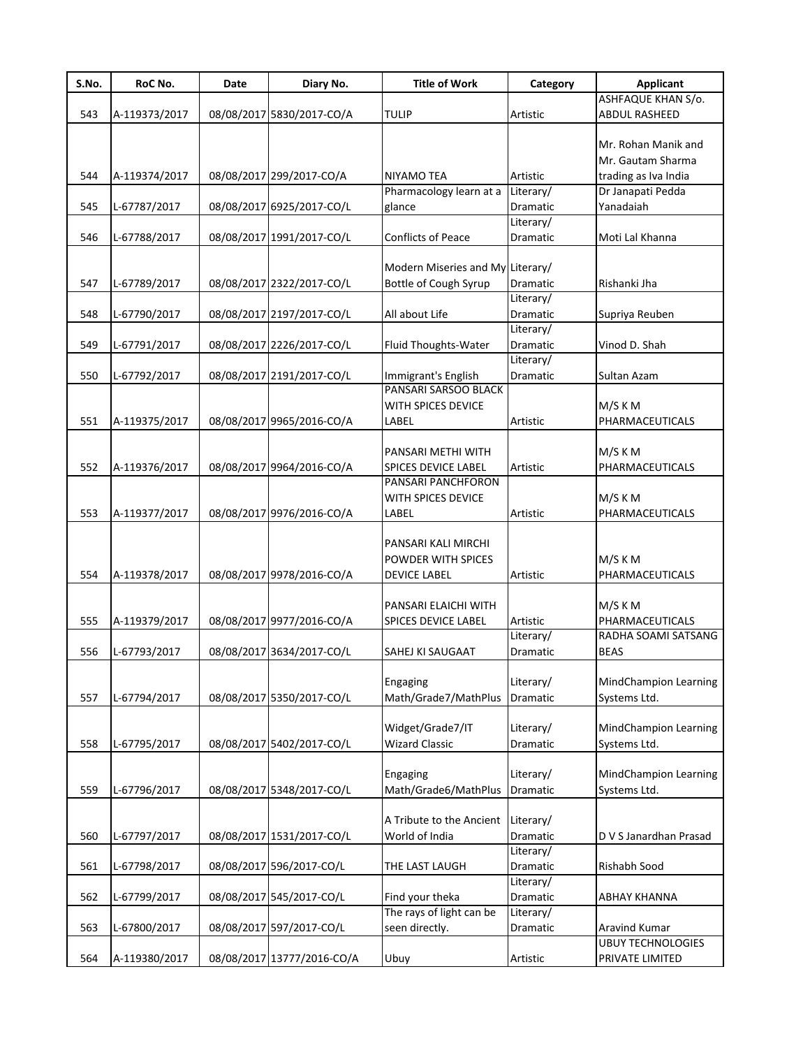| S.No. | RoC No.       | Date | Diary No.                  | <b>Title of Work</b>             | Category        | <b>Applicant</b>             |
|-------|---------------|------|----------------------------|----------------------------------|-----------------|------------------------------|
|       |               |      |                            |                                  |                 | ASHFAQUE KHAN S/o.           |
| 543   | A-119373/2017 |      | 08/08/2017 5830/2017-CO/A  | <b>TULIP</b>                     | Artistic        | ABDUL RASHEED                |
|       |               |      |                            |                                  |                 |                              |
|       |               |      |                            |                                  |                 | Mr. Rohan Manik and          |
|       |               |      |                            |                                  |                 | Mr. Gautam Sharma            |
| 544   | A-119374/2017 |      | 08/08/2017 299/2017-CO/A   | NIYAMO TEA                       | Artistic        | trading as Iva India         |
|       |               |      |                            | Pharmacology learn at a          | Literary/       | Dr Janapati Pedda            |
| 545   | L-67787/2017  |      | 08/08/2017 6925/2017-CO/L  | glance                           | Dramatic        | Yanadaiah                    |
|       |               |      |                            |                                  | Literary/       |                              |
| 546   | L-67788/2017  |      | 08/08/2017 1991/2017-CO/L  | <b>Conflicts of Peace</b>        | Dramatic        | Moti Lal Khanna              |
|       |               |      |                            |                                  |                 |                              |
|       |               |      |                            | Modern Miseries and My Literary/ |                 |                              |
| 547   | L-67789/2017  |      | 08/08/2017 2322/2017-CO/L  | Bottle of Cough Syrup            | Dramatic        | Rishanki Jha                 |
|       |               |      |                            |                                  | Literary/       |                              |
| 548   | L-67790/2017  |      | 08/08/2017 2197/2017-CO/L  | All about Life                   | Dramatic        | Supriya Reuben               |
|       |               |      |                            |                                  | Literary/       |                              |
| 549   | L-67791/2017  |      | 08/08/2017 2226/2017-CO/L  | Fluid Thoughts-Water             | Dramatic        | Vinod D. Shah                |
|       |               |      |                            |                                  | Literary/       |                              |
| 550   | L-67792/2017  |      | 08/08/2017 2191/2017-CO/L  | Immigrant's English              | Dramatic        | Sultan Azam                  |
|       |               |      |                            | PANSARI SARSOO BLACK             |                 |                              |
|       |               |      |                            | WITH SPICES DEVICE               |                 | M/S K M                      |
| 551   | A-119375/2017 |      | 08/08/2017 9965/2016-CO/A  | LABEL                            | Artistic        | PHARMACEUTICALS              |
|       |               |      |                            |                                  |                 |                              |
|       |               |      |                            | PANSARI METHI WITH               |                 | M/S K M                      |
| 552   | A-119376/2017 |      | 08/08/2017 9964/2016-CO/A  | SPICES DEVICE LABEL              | Artistic        | PHARMACEUTICALS              |
|       |               |      |                            | PANSARI PANCHFORON               |                 |                              |
|       |               |      |                            | WITH SPICES DEVICE               |                 | M/S K M                      |
| 553   | A-119377/2017 |      | 08/08/2017 9976/2016-CO/A  | LABEL                            | Artistic        | PHARMACEUTICALS              |
|       |               |      |                            |                                  |                 |                              |
|       |               |      |                            | PANSARI KALI MIRCHI              |                 |                              |
|       |               |      |                            | POWDER WITH SPICES               |                 | M/S K M                      |
| 554   | A-119378/2017 |      | 08/08/2017 9978/2016-CO/A  | <b>DEVICE LABEL</b>              | Artistic        | PHARMACEUTICALS              |
|       |               |      |                            |                                  |                 |                              |
|       |               |      |                            | PANSARI ELAICHI WITH             |                 | M/S K M                      |
| 555   | A-119379/2017 |      | 08/08/2017 9977/2016-CO/A  | <b>SPICES DEVICE LABEL</b>       | Artistic        | PHARMACEUTICALS              |
|       |               |      |                            |                                  | Literary/       | RADHA SOAMI SATSANG          |
| 556   | L-67793/2017  |      | 08/08/2017 3634/2017-CO/L  | SAHEJ KI SAUGAAT                 | <b>Dramatic</b> | <b>BEAS</b>                  |
|       |               |      |                            |                                  |                 |                              |
|       |               |      |                            | Engaging                         | Literary/       | <b>MindChampion Learning</b> |
| 557   | L-67794/2017  |      | 08/08/2017 5350/2017-CO/L  | Math/Grade7/MathPlus             | Dramatic        | Systems Ltd.                 |
|       |               |      |                            |                                  |                 |                              |
|       |               |      |                            | Widget/Grade7/IT                 | Literary/       | <b>MindChampion Learning</b> |
| 558   | L-67795/2017  |      | 08/08/2017 5402/2017-CO/L  | <b>Wizard Classic</b>            | Dramatic        | Systems Ltd.                 |
|       |               |      |                            |                                  |                 |                              |
|       |               |      |                            | Engaging                         | Literary/       | <b>MindChampion Learning</b> |
| 559   | L-67796/2017  |      | 08/08/2017 5348/2017-CO/L  | Math/Grade6/MathPlus             | Dramatic        | Systems Ltd.                 |
|       |               |      |                            |                                  |                 |                              |
|       |               |      |                            | A Tribute to the Ancient         | Literary/       |                              |
| 560   | L-67797/2017  |      | 08/08/2017 1531/2017-CO/L  | World of India                   | Dramatic        | D V S Janardhan Prasad       |
|       |               |      |                            |                                  | Literary/       |                              |
| 561   | L-67798/2017  |      | 08/08/2017 596/2017-CO/L   | THE LAST LAUGH                   | Dramatic        | Rishabh Sood                 |
|       |               |      |                            |                                  | Literary/       |                              |
| 562   | L-67799/2017  |      | 08/08/2017 545/2017-CO/L   | Find your theka                  | Dramatic        | <b>ABHAY KHANNA</b>          |
|       |               |      |                            | The rays of light can be         | Literary/       |                              |
| 563   | L-67800/2017  |      | 08/08/2017 597/2017-CO/L   | seen directly.                   | Dramatic        | Aravind Kumar                |
|       |               |      |                            |                                  |                 | <b>UBUY TECHNOLOGIES</b>     |
| 564   | A-119380/2017 |      | 08/08/2017 13777/2016-CO/A | Ubuy                             | Artistic        | PRIVATE LIMITED              |
|       |               |      |                            |                                  |                 |                              |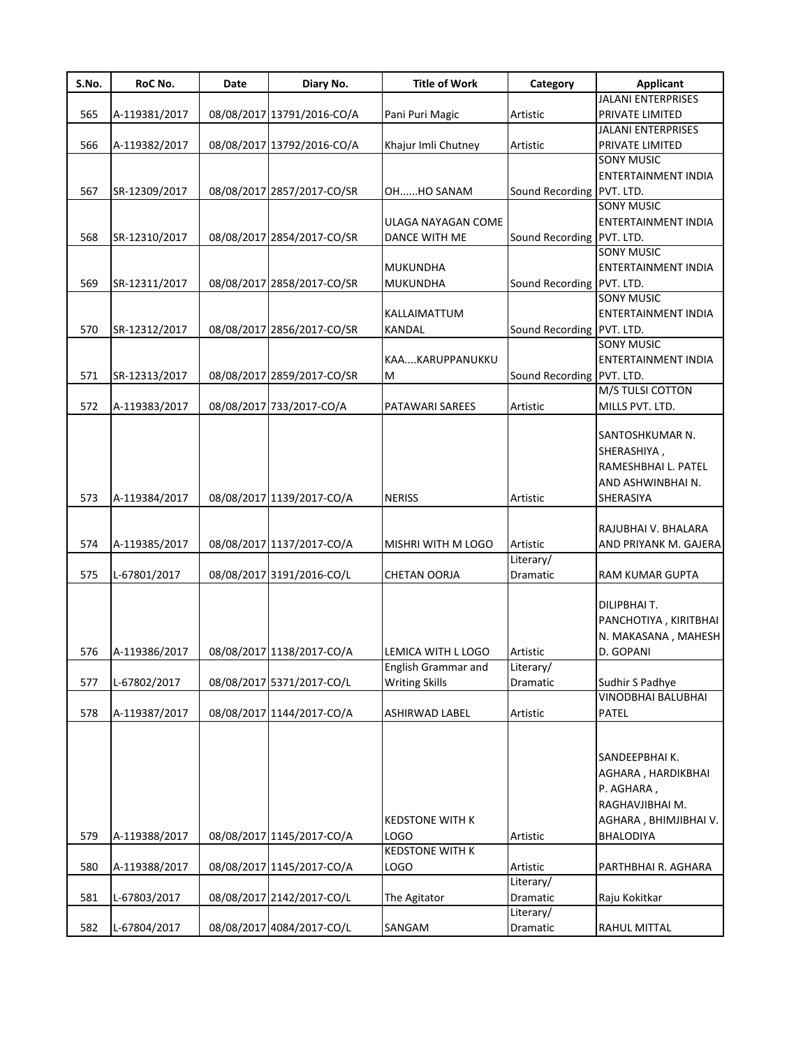| S.No. | RoC No.       | Date | Diary No.                  | <b>Title of Work</b>   | Category                  | <b>Applicant</b>          |
|-------|---------------|------|----------------------------|------------------------|---------------------------|---------------------------|
|       |               |      |                            |                        |                           | <b>JALANI ENTERPRISES</b> |
| 565   | A-119381/2017 |      | 08/08/2017 13791/2016-CO/A | Pani Puri Magic        | Artistic                  | PRIVATE LIMITED           |
|       |               |      |                            |                        |                           | <b>JALANI ENTERPRISES</b> |
| 566   | A-119382/2017 |      | 08/08/2017 13792/2016-CO/A | Khajur Imli Chutney    | Artistic                  | PRIVATE LIMITED           |
|       |               |      |                            |                        |                           | <b>SONY MUSIC</b>         |
|       |               |      |                            |                        |                           | ENTERTAINMENT INDIA       |
| 567   | SR-12309/2017 |      | 08/08/2017 2857/2017-CO/SR | OHHO SANAM             | Sound Recording PVT. LTD. |                           |
|       |               |      |                            |                        |                           | <b>SONY MUSIC</b>         |
|       |               |      |                            | ULAGA NAYAGAN COME     |                           | ENTERTAINMENT INDIA       |
| 568   | SR-12310/2017 |      | 08/08/2017 2854/2017-CO/SR | DANCE WITH ME          | Sound Recording PVT. LTD. |                           |
|       |               |      |                            |                        |                           | <b>SONY MUSIC</b>         |
|       |               |      |                            | <b>MUKUNDHA</b>        |                           | ENTERTAINMENT INDIA       |
| 569   | SR-12311/2017 |      | 08/08/2017 2858/2017-CO/SR | <b>MUKUNDHA</b>        | Sound Recording PVT. LTD. |                           |
|       |               |      |                            |                        |                           | <b>SONY MUSIC</b>         |
|       |               |      |                            | KALLAIMATTUM           |                           | ENTERTAINMENT INDIA       |
| 570   | SR-12312/2017 |      | 08/08/2017 2856/2017-CO/SR | <b>KANDAL</b>          | Sound Recording PVT. LTD. |                           |
|       |               |      |                            |                        |                           | <b>SONY MUSIC</b>         |
|       |               |      |                            | KAAKARUPPANUKKU        |                           | ENTERTAINMENT INDIA       |
| 571   | SR-12313/2017 |      | 08/08/2017 2859/2017-CO/SR | M                      | Sound Recording PVT. LTD. |                           |
|       |               |      |                            |                        |                           | M/S TULSI COTTON          |
| 572   | A-119383/2017 |      | 08/08/2017 733/2017-CO/A   | PATAWARI SAREES        | Artistic                  | MILLS PVT. LTD.           |
|       |               |      |                            |                        |                           |                           |
|       |               |      |                            |                        |                           | SANTOSHKUMAR N.           |
|       |               |      |                            |                        |                           | SHERASHIYA,               |
|       |               |      |                            |                        |                           | RAMESHBHAI L. PATEL       |
|       |               |      |                            |                        |                           | AND ASHWINBHAI N.         |
| 573   | A-119384/2017 |      | 08/08/2017 1139/2017-CO/A  | <b>NERISS</b>          | Artistic                  | SHERASIYA                 |
|       |               |      |                            |                        |                           |                           |
|       |               |      |                            |                        |                           |                           |
|       |               |      |                            |                        |                           | RAJUBHAI V. BHALARA       |
| 574   | A-119385/2017 |      | 08/08/2017 1137/2017-CO/A  | MISHRI WITH M LOGO     | Artistic                  | AND PRIYANK M. GAJERA     |
|       |               |      |                            |                        | Literary/                 |                           |
| 575   | L-67801/2017  |      | 08/08/2017 3191/2016-CO/L  | <b>CHETAN OORJA</b>    | Dramatic                  | RAM KUMAR GUPTA           |
|       |               |      |                            |                        |                           |                           |
|       |               |      |                            |                        |                           | DILIPBHAI T.              |
|       |               |      |                            |                        |                           | PANCHOTIYA, KIRITBHAI     |
|       |               |      |                            |                        |                           | N. MAKASANA, MAHESH       |
| 576   | A-119386/2017 |      | 08/08/2017 1138/2017-CO/A  | LEMICA WITH L LOGO     | Artistic                  | D. GOPANI                 |
|       |               |      |                            | English Grammar and    | Literary/                 |                           |
| 577   | L-67802/2017  |      | 08/08/2017 5371/2017-CO/L  | <b>Writing Skills</b>  | Dramatic                  | Sudhir S Padhye           |
|       |               |      |                            |                        |                           | VINODBHAI BALUBHAI        |
| 578   | A-119387/2017 |      | 08/08/2017 1144/2017-CO/A  | <b>ASHIRWAD LABEL</b>  | Artistic                  | PATEL                     |
|       |               |      |                            |                        |                           |                           |
|       |               |      |                            |                        |                           |                           |
|       |               |      |                            |                        |                           | SANDEEPBHAIK.             |
|       |               |      |                            |                        |                           | AGHARA, HARDIKBHAI        |
|       |               |      |                            |                        |                           | P. AGHARA,                |
|       |               |      |                            |                        |                           | RAGHAVJIBHAI M.           |
|       |               |      |                            | <b>KEDSTONE WITH K</b> |                           | AGHARA, BHIMJIBHAI V.     |
| 579   | A-119388/2017 |      | 08/08/2017 1145/2017-CO/A  | LOGO                   | Artistic                  | BHALODIYA                 |
|       |               |      |                            | <b>KEDSTONE WITH K</b> |                           |                           |
|       |               |      |                            |                        |                           |                           |
| 580   | A-119388/2017 |      | 08/08/2017 1145/2017-CO/A  | <b>LOGO</b>            | Artistic                  | PARTHBHAI R. AGHARA       |
|       |               |      |                            |                        | Literary/                 |                           |
| 581   | L-67803/2017  |      | 08/08/2017 2142/2017-CO/L  | The Agitator           | Dramatic                  | Raju Kokitkar             |
|       |               |      |                            |                        | Literary/                 |                           |
| 582   | L-67804/2017  |      | 08/08/2017 4084/2017-CO/L  | SANGAM                 | Dramatic                  | RAHUL MITTAL              |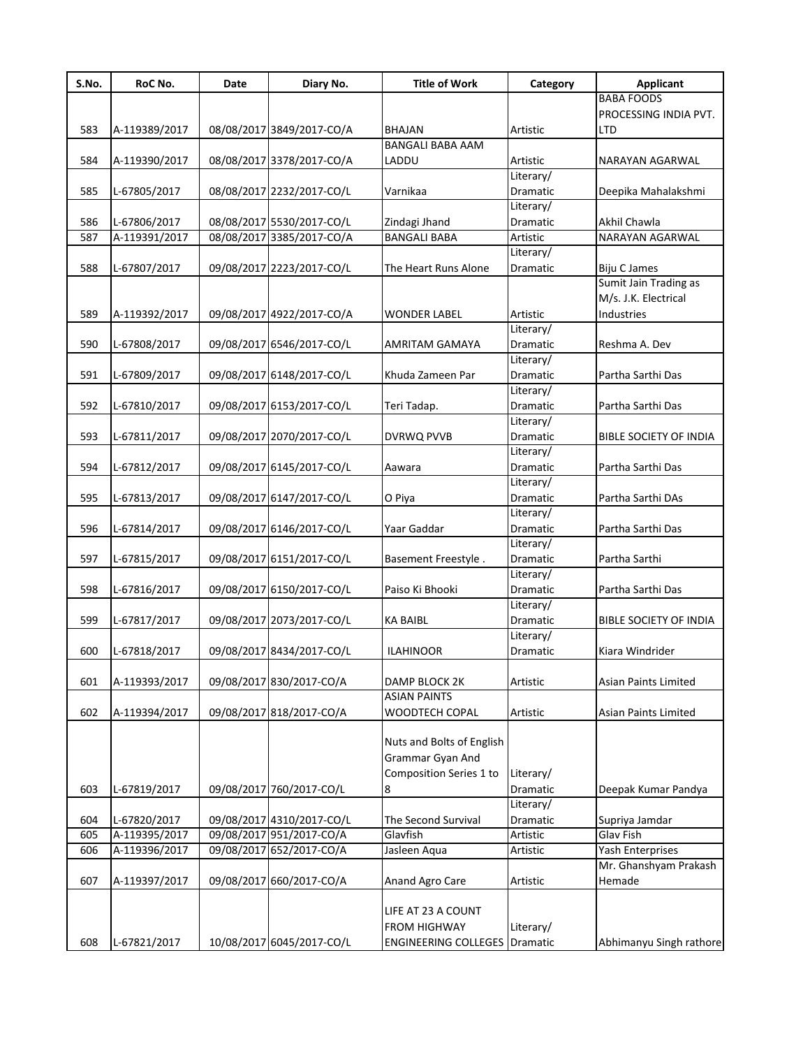| S.No. | RoC No.       | Date       | Diary No.                 | <b>Title of Work</b>        | Category              | <b>Applicant</b>              |
|-------|---------------|------------|---------------------------|-----------------------------|-----------------------|-------------------------------|
|       |               |            |                           |                             |                       | <b>BABA FOODS</b>             |
|       |               |            |                           |                             |                       | PROCESSING INDIA PVT.         |
| 583   | A-119389/2017 |            | 08/08/2017 3849/2017-CO/A | <b>BHAJAN</b>               | Artistic              | LTD                           |
|       |               |            |                           | <b>BANGALI BABA AAM</b>     |                       |                               |
| 584   | A-119390/2017 |            | 08/08/2017 3378/2017-CO/A | LADDU                       | Artistic              | NARAYAN AGARWAL               |
|       |               |            |                           |                             | Literary/             |                               |
| 585   | L-67805/2017  |            | 08/08/2017 2232/2017-CO/L | Varnikaa                    | Dramatic<br>Literary/ | Deepika Mahalakshmi           |
| 586   | L-67806/2017  |            | 08/08/2017 5530/2017-CO/L | Zindagi Jhand               | Dramatic              | Akhil Chawla                  |
| 587   | A-119391/2017 |            | 08/08/2017 3385/2017-CO/A | <b>BANGALI BABA</b>         | Artistic              | NARAYAN AGARWAL               |
|       |               |            |                           |                             | Literary/             |                               |
| 588   | L-67807/2017  |            | 09/08/2017 2223/2017-CO/L | The Heart Runs Alone        | Dramatic              | <b>Biju C James</b>           |
|       |               |            |                           |                             |                       | Sumit Jain Trading as         |
|       |               |            |                           |                             |                       | M/s. J.K. Electrical          |
| 589   | A-119392/2017 |            | 09/08/2017 4922/2017-CO/A | <b>WONDER LABEL</b>         | Artistic              | Industries                    |
|       |               |            |                           |                             | Literary/             |                               |
| 590   | L-67808/2017  |            | 09/08/2017 6546/2017-CO/L | <b>AMRITAM GAMAYA</b>       | Dramatic              | Reshma A. Dev                 |
|       |               |            |                           |                             | Literary/             |                               |
| 591   | L-67809/2017  |            | 09/08/2017 6148/2017-CO/L | Khuda Zameen Par            | Dramatic              | Partha Sarthi Das             |
|       |               |            |                           |                             | Literary/             |                               |
| 592   | L-67810/2017  |            | 09/08/2017 6153/2017-CO/L | Teri Tadap.                 | Dramatic              | Partha Sarthi Das             |
|       |               |            |                           |                             | Literary/             |                               |
| 593   | L-67811/2017  |            | 09/08/2017 2070/2017-CO/L | DVRWQ PVVB                  | Dramatic              | <b>BIBLE SOCIETY OF INDIA</b> |
|       |               |            |                           |                             | Literary/             |                               |
| 594   | L-67812/2017  |            | 09/08/2017 6145/2017-CO/L | Aawara                      | Dramatic              | Partha Sarthi Das             |
| 595   | L-67813/2017  |            | 09/08/2017 6147/2017-CO/L | O Piya                      | Literary/<br>Dramatic | Partha Sarthi DAs             |
|       |               |            |                           |                             | Literary/             |                               |
| 596   | L-67814/2017  |            | 09/08/2017 6146/2017-CO/L | Yaar Gaddar                 | Dramatic              | Partha Sarthi Das             |
|       |               |            |                           |                             | Literary/             |                               |
| 597   | L-67815/2017  |            | 09/08/2017 6151/2017-CO/L | Basement Freestyle.         | Dramatic              | Partha Sarthi                 |
|       |               |            |                           |                             | Literary/             |                               |
| 598   | L-67816/2017  |            | 09/08/2017 6150/2017-CO/L | Paiso Ki Bhooki             | Dramatic              | Partha Sarthi Das             |
|       |               |            |                           |                             | Literary/             |                               |
| 599   | L-67817/2017  |            | 09/08/2017 2073/2017-CO/L | <b>KA BAIBL</b>             | Dramatic              | BIBLE SOCIETY OF INDIA        |
|       |               |            |                           |                             | Literary/             |                               |
| 600   | L-67818/2017  |            | 09/08/2017 8434/2017-CO/L | <b>ILAHINOOR</b>            | Dramatic              | Kiara Windrider               |
|       |               |            |                           |                             |                       |                               |
| 601   | A-119393/2017 |            | 09/08/2017 830/2017-CO/A  | DAMP BLOCK 2K               | Artistic              | Asian Paints Limited          |
|       |               |            |                           | <b>ASIAN PAINTS</b>         |                       |                               |
| 602   | A-119394/2017 |            | 09/08/2017 818/2017-CO/A  | WOODTECH COPAL              | Artistic              | Asian Paints Limited          |
|       |               |            |                           | Nuts and Bolts of English   |                       |                               |
|       |               |            |                           | Grammar Gyan And            |                       |                               |
|       |               |            |                           | Composition Series 1 to     | Literary/             |                               |
| 603   | L-67819/2017  |            | 09/08/2017 760/2017-CO/L  | 8                           | Dramatic              | Deepak Kumar Pandya           |
|       |               |            |                           |                             | Literary/             |                               |
| 604   | L-67820/2017  |            | 09/08/2017 4310/2017-CO/L | The Second Survival         | Dramatic              | Supriya Jamdar                |
| 605   | A-119395/2017 |            | 09/08/2017 951/2017-CO/A  | Glavfish                    | Artistic              | Glav Fish                     |
| 606   | A-119396/2017 |            | 09/08/2017 652/2017-CO/A  | Jasleen Aqua                | Artistic              | Yash Enterprises              |
|       |               |            |                           |                             |                       | Mr. Ghanshyam Prakash         |
| 607   | A-119397/2017 | 09/08/2017 | 660/2017-CO/A             | Anand Agro Care             | Artistic              | Hemade                        |
|       |               |            |                           |                             |                       |                               |
|       |               |            |                           | LIFE AT 23 A COUNT          |                       |                               |
|       |               |            |                           | <b>FROM HIGHWAY</b>         | Literary/             |                               |
| 608   | L-67821/2017  |            | 10/08/2017 6045/2017-CO/L | <b>ENGINEERING COLLEGES</b> | Dramatic              | Abhimanyu Singh rathore       |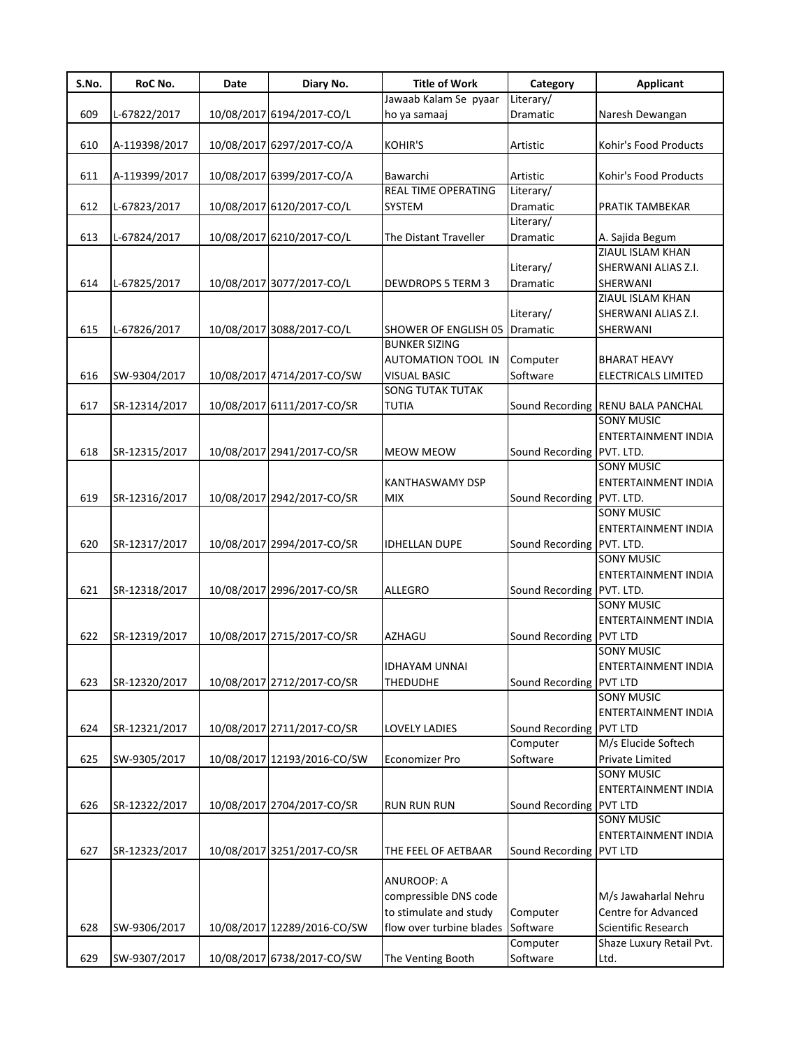| Jawaab Kalam Se pyaar<br>Literary/<br>609<br>10/08/2017 6194/2017-CO/L<br>Dramatic<br>L-67822/2017<br>ho ya samaaj<br>Naresh Dewangan<br>610<br>10/08/2017 6297/2017-CO/A<br><b>KOHIR'S</b><br>Kohir's Food Products<br>A-119398/2017<br>Artistic<br>611<br>10/08/2017 6399/2017-CO/A<br>Bawarchi<br>Kohir's Food Products<br>A-119399/2017<br>Artistic<br><b>REAL TIME OPERATING</b><br>Literary/<br>612<br>10/08/2017 6120/2017-CO/L<br>Dramatic<br>L-67823/2017<br><b>SYSTEM</b><br>PRATIK TAMBEKAR<br>Literary/<br>613<br>10/08/2017 6210/2017-CO/L<br>Dramatic<br>L-67824/2017<br>The Distant Traveller<br>A. Sajida Begum<br>ZIAUL ISLAM KHAN<br>SHERWANI ALIAS Z.I.<br>Literary/<br>10/08/2017 3077/2017-CO/L<br>614<br>L-67825/2017<br>Dramatic<br>SHERWANI<br><b>DEWDROPS 5 TERM 3</b><br>ZIAUL ISLAM KHAN<br>SHERWANI ALIAS Z.I.<br>Literary/<br>10/08/2017 3088/2017-CO/L<br>615<br>L-67826/2017<br><b>SHOWER OF ENGLISH 05 Dramatic</b><br>SHERWANI<br><b>BUNKER SIZING</b><br>AUTOMATION TOOL IN<br>Computer<br><b>BHARAT HEAVY</b><br>Software<br>616<br>SW-9304/2017<br>10/08/2017 4714/2017-CO/SW<br><b>VISUAL BASIC</b><br><b>ELECTRICALS LIMITED</b><br><b>SONG TUTAK TUTAK</b><br>617<br>10/08/2017 6111/2017-CO/SR<br><b>TUTIA</b><br>Sound Recording RENU BALA PANCHAL<br>SR-12314/2017<br><b>SONY MUSIC</b><br><b>ENTERTAINMENT INDIA</b><br>618<br>SR-12315/2017<br>10/08/2017 2941/2017-CO/SR<br>Sound Recording PVT. LTD.<br><b>MEOW MEOW</b><br><b>SONY MUSIC</b><br>ENTERTAINMENT INDIA<br><b>KANTHASWAMY DSP</b><br>619<br>10/08/2017 2942/2017-CO/SR<br><b>MIX</b><br>Sound Recording PVT. LTD.<br>SR-12316/2017<br><b>SONY MUSIC</b><br>ENTERTAINMENT INDIA<br>10/08/2017 2994/2017-CO/SR<br>620<br>Sound Recording PVT. LTD.<br>SR-12317/2017<br><b>IDHELLAN DUPE</b><br><b>SONY MUSIC</b><br>ENTERTAINMENT INDIA<br>621<br>10/08/2017 2996/2017-CO/SR<br><b>ALLEGRO</b><br>Sound Recording PVT. LTD.<br>SR-12318/2017<br><b>SONY MUSIC</b><br><b>ENTERTAINMENT INDIA</b><br>622<br>10/08/2017 2715/2017-CO/SR<br>Sound Recording PVT LTD<br>SR-12319/2017<br><b>AZHAGU</b><br><b>SONY MUSIC</b><br><b>IDHAYAM UNNAI</b><br>ENTERTAINMENT INDIA<br>623<br>10/08/2017 2712/2017-CO/SR<br>Sound Recording PVT LTD<br>SR-12320/2017<br><b>THEDUDHE</b><br><b>SONY MUSIC</b><br>ENTERTAINMENT INDIA<br>10/08/2017 2711/2017-CO/SR<br>624<br>SR-12321/2017<br><b>LOVELY LADIES</b><br>Sound Recording PVT LTD<br>M/s Elucide Softech<br>Computer<br>625<br>SW-9305/2017<br>10/08/2017 12193/2016-CO/SW<br>Software<br><b>Economizer Pro</b><br>Private Limited<br><b>SONY MUSIC</b><br>ENTERTAINMENT INDIA<br>626<br>10/08/2017 2704/2017-CO/SR<br>Sound Recording PVT LTD<br>SR-12322/2017<br><b>RUN RUN RUN</b><br><b>SONY MUSIC</b><br>ENTERTAINMENT INDIA<br>627<br>10/08/2017 3251/2017-CO/SR<br>Sound Recording PVT LTD<br>SR-12323/2017<br>THE FEEL OF AETBAAR<br><b>ANUROOP: A</b><br>compressible DNS code<br>M/s Jawaharlal Nehru<br>Centre for Advanced<br>to stimulate and study<br>Computer<br>flow over turbine blades Software<br>Scientific Research<br>628<br>10/08/2017 12289/2016-CO/SW<br>SW-9306/2017<br>Computer<br>Shaze Luxury Retail Pvt.<br>10/08/2017 6738/2017-CO/SW<br>Ltd. | S.No. | RoC No.      | Date | Diary No. | <b>Title of Work</b> | Category | <b>Applicant</b> |
|------------------------------------------------------------------------------------------------------------------------------------------------------------------------------------------------------------------------------------------------------------------------------------------------------------------------------------------------------------------------------------------------------------------------------------------------------------------------------------------------------------------------------------------------------------------------------------------------------------------------------------------------------------------------------------------------------------------------------------------------------------------------------------------------------------------------------------------------------------------------------------------------------------------------------------------------------------------------------------------------------------------------------------------------------------------------------------------------------------------------------------------------------------------------------------------------------------------------------------------------------------------------------------------------------------------------------------------------------------------------------------------------------------------------------------------------------------------------------------------------------------------------------------------------------------------------------------------------------------------------------------------------------------------------------------------------------------------------------------------------------------------------------------------------------------------------------------------------------------------------------------------------------------------------------------------------------------------------------------------------------------------------------------------------------------------------------------------------------------------------------------------------------------------------------------------------------------------------------------------------------------------------------------------------------------------------------------------------------------------------------------------------------------------------------------------------------------------------------------------------------------------------------------------------------------------------------------------------------------------------------------------------------------------------------------------------------------------------------------------------------------------------------------------------------------------------------------------------------------------------------------------------------------------------------------------------------------------------------------------------------------------------------------------------------------------------------------------------------------------------------------------------------------------------------------------------------------------------------------|-------|--------------|------|-----------|----------------------|----------|------------------|
|                                                                                                                                                                                                                                                                                                                                                                                                                                                                                                                                                                                                                                                                                                                                                                                                                                                                                                                                                                                                                                                                                                                                                                                                                                                                                                                                                                                                                                                                                                                                                                                                                                                                                                                                                                                                                                                                                                                                                                                                                                                                                                                                                                                                                                                                                                                                                                                                                                                                                                                                                                                                                                                                                                                                                                                                                                                                                                                                                                                                                                                                                                                                                                                                                                    |       |              |      |           |                      |          |                  |
|                                                                                                                                                                                                                                                                                                                                                                                                                                                                                                                                                                                                                                                                                                                                                                                                                                                                                                                                                                                                                                                                                                                                                                                                                                                                                                                                                                                                                                                                                                                                                                                                                                                                                                                                                                                                                                                                                                                                                                                                                                                                                                                                                                                                                                                                                                                                                                                                                                                                                                                                                                                                                                                                                                                                                                                                                                                                                                                                                                                                                                                                                                                                                                                                                                    |       |              |      |           |                      |          |                  |
|                                                                                                                                                                                                                                                                                                                                                                                                                                                                                                                                                                                                                                                                                                                                                                                                                                                                                                                                                                                                                                                                                                                                                                                                                                                                                                                                                                                                                                                                                                                                                                                                                                                                                                                                                                                                                                                                                                                                                                                                                                                                                                                                                                                                                                                                                                                                                                                                                                                                                                                                                                                                                                                                                                                                                                                                                                                                                                                                                                                                                                                                                                                                                                                                                                    |       |              |      |           |                      |          |                  |
|                                                                                                                                                                                                                                                                                                                                                                                                                                                                                                                                                                                                                                                                                                                                                                                                                                                                                                                                                                                                                                                                                                                                                                                                                                                                                                                                                                                                                                                                                                                                                                                                                                                                                                                                                                                                                                                                                                                                                                                                                                                                                                                                                                                                                                                                                                                                                                                                                                                                                                                                                                                                                                                                                                                                                                                                                                                                                                                                                                                                                                                                                                                                                                                                                                    |       |              |      |           |                      |          |                  |
|                                                                                                                                                                                                                                                                                                                                                                                                                                                                                                                                                                                                                                                                                                                                                                                                                                                                                                                                                                                                                                                                                                                                                                                                                                                                                                                                                                                                                                                                                                                                                                                                                                                                                                                                                                                                                                                                                                                                                                                                                                                                                                                                                                                                                                                                                                                                                                                                                                                                                                                                                                                                                                                                                                                                                                                                                                                                                                                                                                                                                                                                                                                                                                                                                                    |       |              |      |           |                      |          |                  |
|                                                                                                                                                                                                                                                                                                                                                                                                                                                                                                                                                                                                                                                                                                                                                                                                                                                                                                                                                                                                                                                                                                                                                                                                                                                                                                                                                                                                                                                                                                                                                                                                                                                                                                                                                                                                                                                                                                                                                                                                                                                                                                                                                                                                                                                                                                                                                                                                                                                                                                                                                                                                                                                                                                                                                                                                                                                                                                                                                                                                                                                                                                                                                                                                                                    |       |              |      |           |                      |          |                  |
|                                                                                                                                                                                                                                                                                                                                                                                                                                                                                                                                                                                                                                                                                                                                                                                                                                                                                                                                                                                                                                                                                                                                                                                                                                                                                                                                                                                                                                                                                                                                                                                                                                                                                                                                                                                                                                                                                                                                                                                                                                                                                                                                                                                                                                                                                                                                                                                                                                                                                                                                                                                                                                                                                                                                                                                                                                                                                                                                                                                                                                                                                                                                                                                                                                    |       |              |      |           |                      |          |                  |
|                                                                                                                                                                                                                                                                                                                                                                                                                                                                                                                                                                                                                                                                                                                                                                                                                                                                                                                                                                                                                                                                                                                                                                                                                                                                                                                                                                                                                                                                                                                                                                                                                                                                                                                                                                                                                                                                                                                                                                                                                                                                                                                                                                                                                                                                                                                                                                                                                                                                                                                                                                                                                                                                                                                                                                                                                                                                                                                                                                                                                                                                                                                                                                                                                                    |       |              |      |           |                      |          |                  |
|                                                                                                                                                                                                                                                                                                                                                                                                                                                                                                                                                                                                                                                                                                                                                                                                                                                                                                                                                                                                                                                                                                                                                                                                                                                                                                                                                                                                                                                                                                                                                                                                                                                                                                                                                                                                                                                                                                                                                                                                                                                                                                                                                                                                                                                                                                                                                                                                                                                                                                                                                                                                                                                                                                                                                                                                                                                                                                                                                                                                                                                                                                                                                                                                                                    |       |              |      |           |                      |          |                  |
|                                                                                                                                                                                                                                                                                                                                                                                                                                                                                                                                                                                                                                                                                                                                                                                                                                                                                                                                                                                                                                                                                                                                                                                                                                                                                                                                                                                                                                                                                                                                                                                                                                                                                                                                                                                                                                                                                                                                                                                                                                                                                                                                                                                                                                                                                                                                                                                                                                                                                                                                                                                                                                                                                                                                                                                                                                                                                                                                                                                                                                                                                                                                                                                                                                    |       |              |      |           |                      |          |                  |
|                                                                                                                                                                                                                                                                                                                                                                                                                                                                                                                                                                                                                                                                                                                                                                                                                                                                                                                                                                                                                                                                                                                                                                                                                                                                                                                                                                                                                                                                                                                                                                                                                                                                                                                                                                                                                                                                                                                                                                                                                                                                                                                                                                                                                                                                                                                                                                                                                                                                                                                                                                                                                                                                                                                                                                                                                                                                                                                                                                                                                                                                                                                                                                                                                                    |       |              |      |           |                      |          |                  |
|                                                                                                                                                                                                                                                                                                                                                                                                                                                                                                                                                                                                                                                                                                                                                                                                                                                                                                                                                                                                                                                                                                                                                                                                                                                                                                                                                                                                                                                                                                                                                                                                                                                                                                                                                                                                                                                                                                                                                                                                                                                                                                                                                                                                                                                                                                                                                                                                                                                                                                                                                                                                                                                                                                                                                                                                                                                                                                                                                                                                                                                                                                                                                                                                                                    |       |              |      |           |                      |          |                  |
|                                                                                                                                                                                                                                                                                                                                                                                                                                                                                                                                                                                                                                                                                                                                                                                                                                                                                                                                                                                                                                                                                                                                                                                                                                                                                                                                                                                                                                                                                                                                                                                                                                                                                                                                                                                                                                                                                                                                                                                                                                                                                                                                                                                                                                                                                                                                                                                                                                                                                                                                                                                                                                                                                                                                                                                                                                                                                                                                                                                                                                                                                                                                                                                                                                    |       |              |      |           |                      |          |                  |
|                                                                                                                                                                                                                                                                                                                                                                                                                                                                                                                                                                                                                                                                                                                                                                                                                                                                                                                                                                                                                                                                                                                                                                                                                                                                                                                                                                                                                                                                                                                                                                                                                                                                                                                                                                                                                                                                                                                                                                                                                                                                                                                                                                                                                                                                                                                                                                                                                                                                                                                                                                                                                                                                                                                                                                                                                                                                                                                                                                                                                                                                                                                                                                                                                                    |       |              |      |           |                      |          |                  |
|                                                                                                                                                                                                                                                                                                                                                                                                                                                                                                                                                                                                                                                                                                                                                                                                                                                                                                                                                                                                                                                                                                                                                                                                                                                                                                                                                                                                                                                                                                                                                                                                                                                                                                                                                                                                                                                                                                                                                                                                                                                                                                                                                                                                                                                                                                                                                                                                                                                                                                                                                                                                                                                                                                                                                                                                                                                                                                                                                                                                                                                                                                                                                                                                                                    |       |              |      |           |                      |          |                  |
|                                                                                                                                                                                                                                                                                                                                                                                                                                                                                                                                                                                                                                                                                                                                                                                                                                                                                                                                                                                                                                                                                                                                                                                                                                                                                                                                                                                                                                                                                                                                                                                                                                                                                                                                                                                                                                                                                                                                                                                                                                                                                                                                                                                                                                                                                                                                                                                                                                                                                                                                                                                                                                                                                                                                                                                                                                                                                                                                                                                                                                                                                                                                                                                                                                    |       |              |      |           |                      |          |                  |
|                                                                                                                                                                                                                                                                                                                                                                                                                                                                                                                                                                                                                                                                                                                                                                                                                                                                                                                                                                                                                                                                                                                                                                                                                                                                                                                                                                                                                                                                                                                                                                                                                                                                                                                                                                                                                                                                                                                                                                                                                                                                                                                                                                                                                                                                                                                                                                                                                                                                                                                                                                                                                                                                                                                                                                                                                                                                                                                                                                                                                                                                                                                                                                                                                                    |       |              |      |           |                      |          |                  |
|                                                                                                                                                                                                                                                                                                                                                                                                                                                                                                                                                                                                                                                                                                                                                                                                                                                                                                                                                                                                                                                                                                                                                                                                                                                                                                                                                                                                                                                                                                                                                                                                                                                                                                                                                                                                                                                                                                                                                                                                                                                                                                                                                                                                                                                                                                                                                                                                                                                                                                                                                                                                                                                                                                                                                                                                                                                                                                                                                                                                                                                                                                                                                                                                                                    |       |              |      |           |                      |          |                  |
|                                                                                                                                                                                                                                                                                                                                                                                                                                                                                                                                                                                                                                                                                                                                                                                                                                                                                                                                                                                                                                                                                                                                                                                                                                                                                                                                                                                                                                                                                                                                                                                                                                                                                                                                                                                                                                                                                                                                                                                                                                                                                                                                                                                                                                                                                                                                                                                                                                                                                                                                                                                                                                                                                                                                                                                                                                                                                                                                                                                                                                                                                                                                                                                                                                    |       |              |      |           |                      |          |                  |
|                                                                                                                                                                                                                                                                                                                                                                                                                                                                                                                                                                                                                                                                                                                                                                                                                                                                                                                                                                                                                                                                                                                                                                                                                                                                                                                                                                                                                                                                                                                                                                                                                                                                                                                                                                                                                                                                                                                                                                                                                                                                                                                                                                                                                                                                                                                                                                                                                                                                                                                                                                                                                                                                                                                                                                                                                                                                                                                                                                                                                                                                                                                                                                                                                                    |       |              |      |           |                      |          |                  |
|                                                                                                                                                                                                                                                                                                                                                                                                                                                                                                                                                                                                                                                                                                                                                                                                                                                                                                                                                                                                                                                                                                                                                                                                                                                                                                                                                                                                                                                                                                                                                                                                                                                                                                                                                                                                                                                                                                                                                                                                                                                                                                                                                                                                                                                                                                                                                                                                                                                                                                                                                                                                                                                                                                                                                                                                                                                                                                                                                                                                                                                                                                                                                                                                                                    |       |              |      |           |                      |          |                  |
|                                                                                                                                                                                                                                                                                                                                                                                                                                                                                                                                                                                                                                                                                                                                                                                                                                                                                                                                                                                                                                                                                                                                                                                                                                                                                                                                                                                                                                                                                                                                                                                                                                                                                                                                                                                                                                                                                                                                                                                                                                                                                                                                                                                                                                                                                                                                                                                                                                                                                                                                                                                                                                                                                                                                                                                                                                                                                                                                                                                                                                                                                                                                                                                                                                    |       |              |      |           |                      |          |                  |
|                                                                                                                                                                                                                                                                                                                                                                                                                                                                                                                                                                                                                                                                                                                                                                                                                                                                                                                                                                                                                                                                                                                                                                                                                                                                                                                                                                                                                                                                                                                                                                                                                                                                                                                                                                                                                                                                                                                                                                                                                                                                                                                                                                                                                                                                                                                                                                                                                                                                                                                                                                                                                                                                                                                                                                                                                                                                                                                                                                                                                                                                                                                                                                                                                                    |       |              |      |           |                      |          |                  |
|                                                                                                                                                                                                                                                                                                                                                                                                                                                                                                                                                                                                                                                                                                                                                                                                                                                                                                                                                                                                                                                                                                                                                                                                                                                                                                                                                                                                                                                                                                                                                                                                                                                                                                                                                                                                                                                                                                                                                                                                                                                                                                                                                                                                                                                                                                                                                                                                                                                                                                                                                                                                                                                                                                                                                                                                                                                                                                                                                                                                                                                                                                                                                                                                                                    |       |              |      |           |                      |          |                  |
|                                                                                                                                                                                                                                                                                                                                                                                                                                                                                                                                                                                                                                                                                                                                                                                                                                                                                                                                                                                                                                                                                                                                                                                                                                                                                                                                                                                                                                                                                                                                                                                                                                                                                                                                                                                                                                                                                                                                                                                                                                                                                                                                                                                                                                                                                                                                                                                                                                                                                                                                                                                                                                                                                                                                                                                                                                                                                                                                                                                                                                                                                                                                                                                                                                    |       |              |      |           |                      |          |                  |
|                                                                                                                                                                                                                                                                                                                                                                                                                                                                                                                                                                                                                                                                                                                                                                                                                                                                                                                                                                                                                                                                                                                                                                                                                                                                                                                                                                                                                                                                                                                                                                                                                                                                                                                                                                                                                                                                                                                                                                                                                                                                                                                                                                                                                                                                                                                                                                                                                                                                                                                                                                                                                                                                                                                                                                                                                                                                                                                                                                                                                                                                                                                                                                                                                                    |       |              |      |           |                      |          |                  |
|                                                                                                                                                                                                                                                                                                                                                                                                                                                                                                                                                                                                                                                                                                                                                                                                                                                                                                                                                                                                                                                                                                                                                                                                                                                                                                                                                                                                                                                                                                                                                                                                                                                                                                                                                                                                                                                                                                                                                                                                                                                                                                                                                                                                                                                                                                                                                                                                                                                                                                                                                                                                                                                                                                                                                                                                                                                                                                                                                                                                                                                                                                                                                                                                                                    |       |              |      |           |                      |          |                  |
|                                                                                                                                                                                                                                                                                                                                                                                                                                                                                                                                                                                                                                                                                                                                                                                                                                                                                                                                                                                                                                                                                                                                                                                                                                                                                                                                                                                                                                                                                                                                                                                                                                                                                                                                                                                                                                                                                                                                                                                                                                                                                                                                                                                                                                                                                                                                                                                                                                                                                                                                                                                                                                                                                                                                                                                                                                                                                                                                                                                                                                                                                                                                                                                                                                    |       |              |      |           |                      |          |                  |
|                                                                                                                                                                                                                                                                                                                                                                                                                                                                                                                                                                                                                                                                                                                                                                                                                                                                                                                                                                                                                                                                                                                                                                                                                                                                                                                                                                                                                                                                                                                                                                                                                                                                                                                                                                                                                                                                                                                                                                                                                                                                                                                                                                                                                                                                                                                                                                                                                                                                                                                                                                                                                                                                                                                                                                                                                                                                                                                                                                                                                                                                                                                                                                                                                                    |       |              |      |           |                      |          |                  |
|                                                                                                                                                                                                                                                                                                                                                                                                                                                                                                                                                                                                                                                                                                                                                                                                                                                                                                                                                                                                                                                                                                                                                                                                                                                                                                                                                                                                                                                                                                                                                                                                                                                                                                                                                                                                                                                                                                                                                                                                                                                                                                                                                                                                                                                                                                                                                                                                                                                                                                                                                                                                                                                                                                                                                                                                                                                                                                                                                                                                                                                                                                                                                                                                                                    |       |              |      |           |                      |          |                  |
|                                                                                                                                                                                                                                                                                                                                                                                                                                                                                                                                                                                                                                                                                                                                                                                                                                                                                                                                                                                                                                                                                                                                                                                                                                                                                                                                                                                                                                                                                                                                                                                                                                                                                                                                                                                                                                                                                                                                                                                                                                                                                                                                                                                                                                                                                                                                                                                                                                                                                                                                                                                                                                                                                                                                                                                                                                                                                                                                                                                                                                                                                                                                                                                                                                    |       |              |      |           |                      |          |                  |
|                                                                                                                                                                                                                                                                                                                                                                                                                                                                                                                                                                                                                                                                                                                                                                                                                                                                                                                                                                                                                                                                                                                                                                                                                                                                                                                                                                                                                                                                                                                                                                                                                                                                                                                                                                                                                                                                                                                                                                                                                                                                                                                                                                                                                                                                                                                                                                                                                                                                                                                                                                                                                                                                                                                                                                                                                                                                                                                                                                                                                                                                                                                                                                                                                                    |       |              |      |           |                      |          |                  |
|                                                                                                                                                                                                                                                                                                                                                                                                                                                                                                                                                                                                                                                                                                                                                                                                                                                                                                                                                                                                                                                                                                                                                                                                                                                                                                                                                                                                                                                                                                                                                                                                                                                                                                                                                                                                                                                                                                                                                                                                                                                                                                                                                                                                                                                                                                                                                                                                                                                                                                                                                                                                                                                                                                                                                                                                                                                                                                                                                                                                                                                                                                                                                                                                                                    |       |              |      |           |                      |          |                  |
|                                                                                                                                                                                                                                                                                                                                                                                                                                                                                                                                                                                                                                                                                                                                                                                                                                                                                                                                                                                                                                                                                                                                                                                                                                                                                                                                                                                                                                                                                                                                                                                                                                                                                                                                                                                                                                                                                                                                                                                                                                                                                                                                                                                                                                                                                                                                                                                                                                                                                                                                                                                                                                                                                                                                                                                                                                                                                                                                                                                                                                                                                                                                                                                                                                    |       |              |      |           |                      |          |                  |
|                                                                                                                                                                                                                                                                                                                                                                                                                                                                                                                                                                                                                                                                                                                                                                                                                                                                                                                                                                                                                                                                                                                                                                                                                                                                                                                                                                                                                                                                                                                                                                                                                                                                                                                                                                                                                                                                                                                                                                                                                                                                                                                                                                                                                                                                                                                                                                                                                                                                                                                                                                                                                                                                                                                                                                                                                                                                                                                                                                                                                                                                                                                                                                                                                                    |       |              |      |           |                      |          |                  |
|                                                                                                                                                                                                                                                                                                                                                                                                                                                                                                                                                                                                                                                                                                                                                                                                                                                                                                                                                                                                                                                                                                                                                                                                                                                                                                                                                                                                                                                                                                                                                                                                                                                                                                                                                                                                                                                                                                                                                                                                                                                                                                                                                                                                                                                                                                                                                                                                                                                                                                                                                                                                                                                                                                                                                                                                                                                                                                                                                                                                                                                                                                                                                                                                                                    |       |              |      |           |                      |          |                  |
|                                                                                                                                                                                                                                                                                                                                                                                                                                                                                                                                                                                                                                                                                                                                                                                                                                                                                                                                                                                                                                                                                                                                                                                                                                                                                                                                                                                                                                                                                                                                                                                                                                                                                                                                                                                                                                                                                                                                                                                                                                                                                                                                                                                                                                                                                                                                                                                                                                                                                                                                                                                                                                                                                                                                                                                                                                                                                                                                                                                                                                                                                                                                                                                                                                    |       |              |      |           |                      |          |                  |
|                                                                                                                                                                                                                                                                                                                                                                                                                                                                                                                                                                                                                                                                                                                                                                                                                                                                                                                                                                                                                                                                                                                                                                                                                                                                                                                                                                                                                                                                                                                                                                                                                                                                                                                                                                                                                                                                                                                                                                                                                                                                                                                                                                                                                                                                                                                                                                                                                                                                                                                                                                                                                                                                                                                                                                                                                                                                                                                                                                                                                                                                                                                                                                                                                                    |       |              |      |           |                      |          |                  |
|                                                                                                                                                                                                                                                                                                                                                                                                                                                                                                                                                                                                                                                                                                                                                                                                                                                                                                                                                                                                                                                                                                                                                                                                                                                                                                                                                                                                                                                                                                                                                                                                                                                                                                                                                                                                                                                                                                                                                                                                                                                                                                                                                                                                                                                                                                                                                                                                                                                                                                                                                                                                                                                                                                                                                                                                                                                                                                                                                                                                                                                                                                                                                                                                                                    |       |              |      |           |                      |          |                  |
|                                                                                                                                                                                                                                                                                                                                                                                                                                                                                                                                                                                                                                                                                                                                                                                                                                                                                                                                                                                                                                                                                                                                                                                                                                                                                                                                                                                                                                                                                                                                                                                                                                                                                                                                                                                                                                                                                                                                                                                                                                                                                                                                                                                                                                                                                                                                                                                                                                                                                                                                                                                                                                                                                                                                                                                                                                                                                                                                                                                                                                                                                                                                                                                                                                    |       |              |      |           |                      |          |                  |
|                                                                                                                                                                                                                                                                                                                                                                                                                                                                                                                                                                                                                                                                                                                                                                                                                                                                                                                                                                                                                                                                                                                                                                                                                                                                                                                                                                                                                                                                                                                                                                                                                                                                                                                                                                                                                                                                                                                                                                                                                                                                                                                                                                                                                                                                                                                                                                                                                                                                                                                                                                                                                                                                                                                                                                                                                                                                                                                                                                                                                                                                                                                                                                                                                                    |       |              |      |           |                      |          |                  |
|                                                                                                                                                                                                                                                                                                                                                                                                                                                                                                                                                                                                                                                                                                                                                                                                                                                                                                                                                                                                                                                                                                                                                                                                                                                                                                                                                                                                                                                                                                                                                                                                                                                                                                                                                                                                                                                                                                                                                                                                                                                                                                                                                                                                                                                                                                                                                                                                                                                                                                                                                                                                                                                                                                                                                                                                                                                                                                                                                                                                                                                                                                                                                                                                                                    |       |              |      |           |                      |          |                  |
|                                                                                                                                                                                                                                                                                                                                                                                                                                                                                                                                                                                                                                                                                                                                                                                                                                                                                                                                                                                                                                                                                                                                                                                                                                                                                                                                                                                                                                                                                                                                                                                                                                                                                                                                                                                                                                                                                                                                                                                                                                                                                                                                                                                                                                                                                                                                                                                                                                                                                                                                                                                                                                                                                                                                                                                                                                                                                                                                                                                                                                                                                                                                                                                                                                    |       |              |      |           |                      |          |                  |
|                                                                                                                                                                                                                                                                                                                                                                                                                                                                                                                                                                                                                                                                                                                                                                                                                                                                                                                                                                                                                                                                                                                                                                                                                                                                                                                                                                                                                                                                                                                                                                                                                                                                                                                                                                                                                                                                                                                                                                                                                                                                                                                                                                                                                                                                                                                                                                                                                                                                                                                                                                                                                                                                                                                                                                                                                                                                                                                                                                                                                                                                                                                                                                                                                                    |       |              |      |           |                      |          |                  |
|                                                                                                                                                                                                                                                                                                                                                                                                                                                                                                                                                                                                                                                                                                                                                                                                                                                                                                                                                                                                                                                                                                                                                                                                                                                                                                                                                                                                                                                                                                                                                                                                                                                                                                                                                                                                                                                                                                                                                                                                                                                                                                                                                                                                                                                                                                                                                                                                                                                                                                                                                                                                                                                                                                                                                                                                                                                                                                                                                                                                                                                                                                                                                                                                                                    |       |              |      |           |                      |          |                  |
|                                                                                                                                                                                                                                                                                                                                                                                                                                                                                                                                                                                                                                                                                                                                                                                                                                                                                                                                                                                                                                                                                                                                                                                                                                                                                                                                                                                                                                                                                                                                                                                                                                                                                                                                                                                                                                                                                                                                                                                                                                                                                                                                                                                                                                                                                                                                                                                                                                                                                                                                                                                                                                                                                                                                                                                                                                                                                                                                                                                                                                                                                                                                                                                                                                    |       |              |      |           |                      |          |                  |
|                                                                                                                                                                                                                                                                                                                                                                                                                                                                                                                                                                                                                                                                                                                                                                                                                                                                                                                                                                                                                                                                                                                                                                                                                                                                                                                                                                                                                                                                                                                                                                                                                                                                                                                                                                                                                                                                                                                                                                                                                                                                                                                                                                                                                                                                                                                                                                                                                                                                                                                                                                                                                                                                                                                                                                                                                                                                                                                                                                                                                                                                                                                                                                                                                                    |       |              |      |           |                      |          |                  |
|                                                                                                                                                                                                                                                                                                                                                                                                                                                                                                                                                                                                                                                                                                                                                                                                                                                                                                                                                                                                                                                                                                                                                                                                                                                                                                                                                                                                                                                                                                                                                                                                                                                                                                                                                                                                                                                                                                                                                                                                                                                                                                                                                                                                                                                                                                                                                                                                                                                                                                                                                                                                                                                                                                                                                                                                                                                                                                                                                                                                                                                                                                                                                                                                                                    |       |              |      |           |                      |          |                  |
|                                                                                                                                                                                                                                                                                                                                                                                                                                                                                                                                                                                                                                                                                                                                                                                                                                                                                                                                                                                                                                                                                                                                                                                                                                                                                                                                                                                                                                                                                                                                                                                                                                                                                                                                                                                                                                                                                                                                                                                                                                                                                                                                                                                                                                                                                                                                                                                                                                                                                                                                                                                                                                                                                                                                                                                                                                                                                                                                                                                                                                                                                                                                                                                                                                    |       |              |      |           |                      |          |                  |
|                                                                                                                                                                                                                                                                                                                                                                                                                                                                                                                                                                                                                                                                                                                                                                                                                                                                                                                                                                                                                                                                                                                                                                                                                                                                                                                                                                                                                                                                                                                                                                                                                                                                                                                                                                                                                                                                                                                                                                                                                                                                                                                                                                                                                                                                                                                                                                                                                                                                                                                                                                                                                                                                                                                                                                                                                                                                                                                                                                                                                                                                                                                                                                                                                                    |       |              |      |           |                      |          |                  |
|                                                                                                                                                                                                                                                                                                                                                                                                                                                                                                                                                                                                                                                                                                                                                                                                                                                                                                                                                                                                                                                                                                                                                                                                                                                                                                                                                                                                                                                                                                                                                                                                                                                                                                                                                                                                                                                                                                                                                                                                                                                                                                                                                                                                                                                                                                                                                                                                                                                                                                                                                                                                                                                                                                                                                                                                                                                                                                                                                                                                                                                                                                                                                                                                                                    |       |              |      |           |                      |          |                  |
|                                                                                                                                                                                                                                                                                                                                                                                                                                                                                                                                                                                                                                                                                                                                                                                                                                                                                                                                                                                                                                                                                                                                                                                                                                                                                                                                                                                                                                                                                                                                                                                                                                                                                                                                                                                                                                                                                                                                                                                                                                                                                                                                                                                                                                                                                                                                                                                                                                                                                                                                                                                                                                                                                                                                                                                                                                                                                                                                                                                                                                                                                                                                                                                                                                    |       |              |      |           |                      |          |                  |
|                                                                                                                                                                                                                                                                                                                                                                                                                                                                                                                                                                                                                                                                                                                                                                                                                                                                                                                                                                                                                                                                                                                                                                                                                                                                                                                                                                                                                                                                                                                                                                                                                                                                                                                                                                                                                                                                                                                                                                                                                                                                                                                                                                                                                                                                                                                                                                                                                                                                                                                                                                                                                                                                                                                                                                                                                                                                                                                                                                                                                                                                                                                                                                                                                                    |       |              |      |           |                      |          |                  |
|                                                                                                                                                                                                                                                                                                                                                                                                                                                                                                                                                                                                                                                                                                                                                                                                                                                                                                                                                                                                                                                                                                                                                                                                                                                                                                                                                                                                                                                                                                                                                                                                                                                                                                                                                                                                                                                                                                                                                                                                                                                                                                                                                                                                                                                                                                                                                                                                                                                                                                                                                                                                                                                                                                                                                                                                                                                                                                                                                                                                                                                                                                                                                                                                                                    |       |              |      |           |                      |          |                  |
|                                                                                                                                                                                                                                                                                                                                                                                                                                                                                                                                                                                                                                                                                                                                                                                                                                                                                                                                                                                                                                                                                                                                                                                                                                                                                                                                                                                                                                                                                                                                                                                                                                                                                                                                                                                                                                                                                                                                                                                                                                                                                                                                                                                                                                                                                                                                                                                                                                                                                                                                                                                                                                                                                                                                                                                                                                                                                                                                                                                                                                                                                                                                                                                                                                    |       |              |      |           |                      |          |                  |
|                                                                                                                                                                                                                                                                                                                                                                                                                                                                                                                                                                                                                                                                                                                                                                                                                                                                                                                                                                                                                                                                                                                                                                                                                                                                                                                                                                                                                                                                                                                                                                                                                                                                                                                                                                                                                                                                                                                                                                                                                                                                                                                                                                                                                                                                                                                                                                                                                                                                                                                                                                                                                                                                                                                                                                                                                                                                                                                                                                                                                                                                                                                                                                                                                                    |       |              |      |           |                      |          |                  |
|                                                                                                                                                                                                                                                                                                                                                                                                                                                                                                                                                                                                                                                                                                                                                                                                                                                                                                                                                                                                                                                                                                                                                                                                                                                                                                                                                                                                                                                                                                                                                                                                                                                                                                                                                                                                                                                                                                                                                                                                                                                                                                                                                                                                                                                                                                                                                                                                                                                                                                                                                                                                                                                                                                                                                                                                                                                                                                                                                                                                                                                                                                                                                                                                                                    |       |              |      |           |                      |          |                  |
|                                                                                                                                                                                                                                                                                                                                                                                                                                                                                                                                                                                                                                                                                                                                                                                                                                                                                                                                                                                                                                                                                                                                                                                                                                                                                                                                                                                                                                                                                                                                                                                                                                                                                                                                                                                                                                                                                                                                                                                                                                                                                                                                                                                                                                                                                                                                                                                                                                                                                                                                                                                                                                                                                                                                                                                                                                                                                                                                                                                                                                                                                                                                                                                                                                    | 629   | SW-9307/2017 |      |           | The Venting Booth    | Software |                  |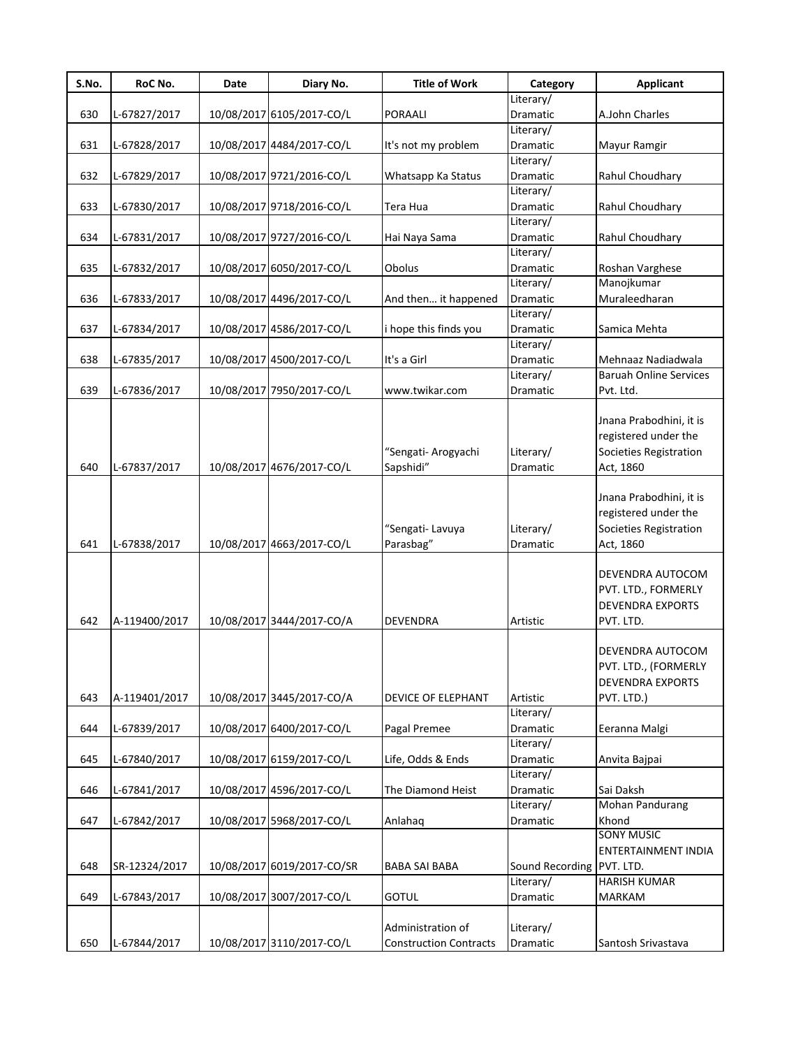| S.No. | RoC No.       | <b>Date</b> | Diary No.                  | <b>Title of Work</b>             | Category              | <b>Applicant</b>                                                                       |
|-------|---------------|-------------|----------------------------|----------------------------------|-----------------------|----------------------------------------------------------------------------------------|
|       |               |             |                            |                                  | Literary/             |                                                                                        |
| 630   | L-67827/2017  |             | 10/08/2017 6105/2017-CO/L  | <b>PORAALI</b>                   | Dramatic              | A.John Charles                                                                         |
|       |               |             |                            |                                  | Literary/             |                                                                                        |
| 631   | L-67828/2017  |             | 10/08/2017 4484/2017-CO/L  | It's not my problem              | Dramatic              | Mayur Ramgir                                                                           |
|       |               |             |                            |                                  | Literary/             |                                                                                        |
| 632   | L-67829/2017  |             | 10/08/2017 9721/2016-CO/L  | Whatsapp Ka Status               | Dramatic              | Rahul Choudhary                                                                        |
|       |               |             |                            |                                  | Literary/             |                                                                                        |
| 633   | L-67830/2017  |             | 10/08/2017 9718/2016-CO/L  | Tera Hua                         | Dramatic              | Rahul Choudhary                                                                        |
|       |               |             |                            |                                  | Literary/             |                                                                                        |
| 634   | L-67831/2017  |             | 10/08/2017 9727/2016-CO/L  | Hai Naya Sama                    | Dramatic              | Rahul Choudhary                                                                        |
|       |               |             |                            |                                  | Literary/             |                                                                                        |
| 635   | L-67832/2017  |             | 10/08/2017 6050/2017-CO/L  | Obolus                           | Dramatic              | Roshan Varghese                                                                        |
|       |               |             |                            |                                  | Literary/             | Manojkumar                                                                             |
| 636   | L-67833/2017  |             | 10/08/2017 4496/2017-CO/L  | And then it happened             | Dramatic              | Muraleedharan                                                                          |
|       |               |             |                            |                                  | Literary/             |                                                                                        |
| 637   | L-67834/2017  |             | 10/08/2017 4586/2017-CO/L  | i hope this finds you            | Dramatic              | Samica Mehta                                                                           |
|       |               |             |                            |                                  | Literary/             |                                                                                        |
| 638   | L-67835/2017  |             | 10/08/2017 4500/2017-CO/L  | It's a Girl                      | Dramatic              | Mehnaaz Nadiadwala                                                                     |
|       |               |             |                            |                                  | Literary/             | <b>Baruah Online Services</b>                                                          |
| 639   | L-67836/2017  |             | 10/08/2017 7950/2017-CO/L  | www.twikar.com                   | Dramatic              | Pvt. Ltd.                                                                              |
| 640   | L-67837/2017  |             | 10/08/2017 4676/2017-CO/L  | "Sengati- Arogyachi<br>Sapshidi" | Literary/<br>Dramatic | Jnana Prabodhini, it is<br>registered under the<br>Societies Registration<br>Act, 1860 |
| 641   | L-67838/2017  |             | 10/08/2017 4663/2017-CO/L  | "Sengati-Lavuya<br>Parasbag"     | Literary/<br>Dramatic | Jnana Prabodhini, it is<br>registered under the<br>Societies Registration<br>Act, 1860 |
| 642   | A-119400/2017 |             | 10/08/2017 3444/2017-CO/A  | DEVENDRA                         | Artistic              | DEVENDRA AUTOCOM<br>PVT. LTD., FORMERLY<br><b>DEVENDRA EXPORTS</b><br>PVT. LTD.        |
| 643   | A-119401/2017 |             | 10/08/2017 3445/2017-CO/A  | <b>DEVICE OF ELEPHANT</b>        | Artistic              | DEVENDRA AUTOCOM<br>PVT. LTD., (FORMERLY<br><b>DEVENDRA EXPORTS</b><br>PVT. LTD.)      |
| 644   | L-67839/2017  |             | 10/08/2017 6400/2017-CO/L  | Pagal Premee                     | Literary/<br>Dramatic | Eeranna Malgi                                                                          |
|       |               |             |                            |                                  | Literary/             |                                                                                        |
| 645   |               |             | 10/08/2017 6159/2017-CO/L  |                                  |                       |                                                                                        |
|       | L-67840/2017  |             |                            | Life, Odds & Ends                | Dramatic<br>Literary/ | Anvita Bajpai                                                                          |
|       |               |             |                            |                                  |                       |                                                                                        |
| 646   | L-67841/2017  |             | 10/08/2017 4596/2017-CO/L  | The Diamond Heist                | Dramatic              | Sai Daksh<br>Mohan Pandurang                                                           |
|       |               |             |                            |                                  | Literary/             |                                                                                        |
| 647   | L-67842/2017  |             | 10/08/2017 5968/2017-CO/L  | Anlahaq                          | Dramatic              | Khond<br><b>SONY MUSIC</b>                                                             |
|       |               |             |                            |                                  |                       |                                                                                        |
|       |               |             |                            |                                  |                       | ENTERTAINMENT INDIA                                                                    |
| 648   | SR-12324/2017 |             | 10/08/2017 6019/2017-CO/SR | <b>BABA SAI BABA</b>             | Sound Recording       | PVT. LTD.                                                                              |
|       |               |             |                            |                                  | Literary/             | <b>HARISH KUMAR</b>                                                                    |
| 649   | L-67843/2017  |             | 10/08/2017 3007/2017-CO/L  | <b>GOTUL</b>                     | Dramatic              | <b>MARKAM</b>                                                                          |
|       |               |             |                            | Administration of                | Literary/             |                                                                                        |
| 650   | L-67844/2017  |             | 10/08/2017 3110/2017-CO/L  | <b>Construction Contracts</b>    | Dramatic              | Santosh Srivastava                                                                     |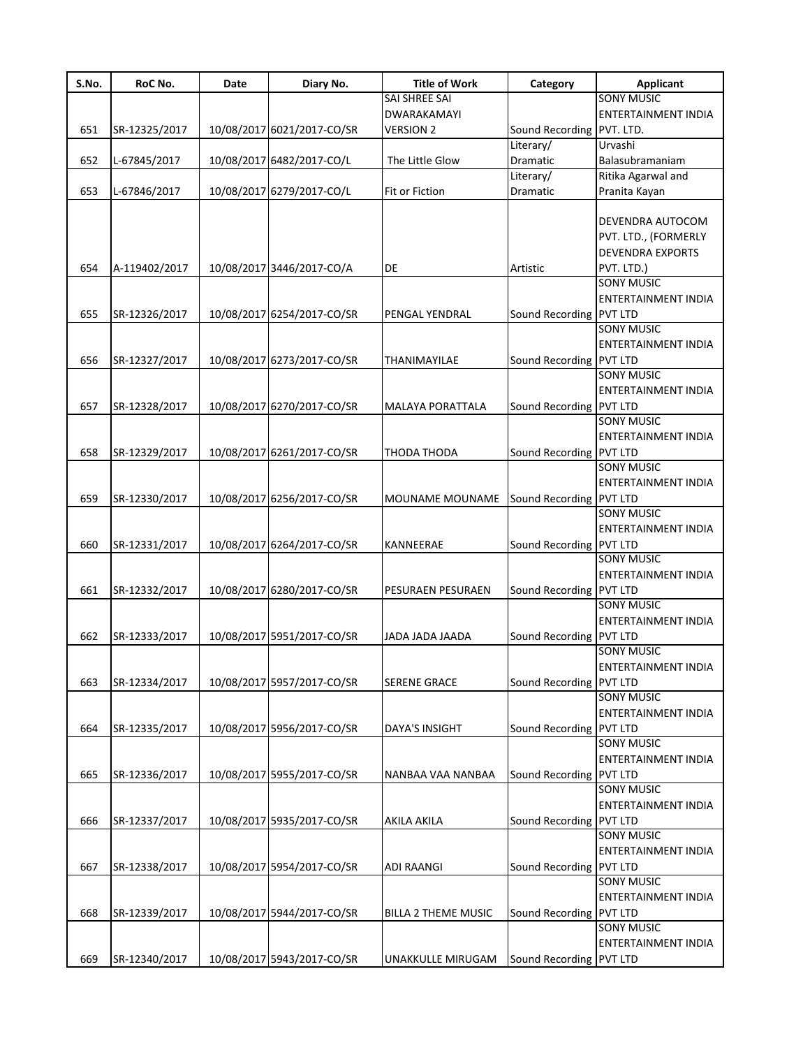| S.No. | RoC No.       | Date | Diary No.                  | <b>Title of Work</b>       | Category                | <b>Applicant</b>           |
|-------|---------------|------|----------------------------|----------------------------|-------------------------|----------------------------|
|       |               |      |                            | SAI SHREE SAI              |                         | <b>SONY MUSIC</b>          |
|       |               |      |                            | <b>DWARAKAMAYI</b>         |                         | <b>ENTERTAINMENT INDIA</b> |
| 651   | SR-12325/2017 |      | 10/08/2017 6021/2017-CO/SR | <b>VERSION 2</b>           | Sound Recording         | PVT. LTD.                  |
|       |               |      |                            |                            | Literary/               | Urvashi                    |
| 652   | L-67845/2017  |      | 10/08/2017 6482/2017-CO/L  | The Little Glow            | Dramatic                | Balasubramaniam            |
|       |               |      |                            |                            | Literary/               | Ritika Agarwal and         |
| 653   | L-67846/2017  |      | 10/08/2017 6279/2017-CO/L  | Fit or Fiction             | Dramatic                | Pranita Kayan              |
|       |               |      |                            |                            |                         |                            |
|       |               |      |                            |                            |                         | DEVENDRA AUTOCOM           |
|       |               |      |                            |                            |                         | PVT. LTD., (FORMERLY       |
|       |               |      |                            |                            |                         | <b>DEVENDRA EXPORTS</b>    |
| 654   | A-119402/2017 |      | 10/08/2017 3446/2017-CO/A  | DE                         | Artistic                | PVT. LTD.)                 |
|       |               |      |                            |                            |                         | <b>SONY MUSIC</b>          |
|       |               |      |                            |                            |                         |                            |
|       |               |      |                            |                            |                         | ENTERTAINMENT INDIA        |
| 655   | SR-12326/2017 |      | 10/08/2017 6254/2017-CO/SR | PENGAL YENDRAL             | Sound Recording PVT LTD |                            |
|       |               |      |                            |                            |                         | <b>SONY MUSIC</b>          |
|       |               |      |                            |                            |                         | <b>ENTERTAINMENT INDIA</b> |
| 656   | SR-12327/2017 |      | 10/08/2017 6273/2017-CO/SR | THANIMAYILAE               | Sound Recording         | <b>PVT LTD</b>             |
|       |               |      |                            |                            |                         | <b>SONY MUSIC</b>          |
|       |               |      |                            |                            |                         | <b>ENTERTAINMENT INDIA</b> |
| 657   | SR-12328/2017 |      | 10/08/2017 6270/2017-CO/SR | MALAYA PORATTALA           | Sound Recording         | <b>PVT LTD</b>             |
|       |               |      |                            |                            |                         | <b>SONY MUSIC</b>          |
|       |               |      |                            |                            |                         | <b>ENTERTAINMENT INDIA</b> |
| 658   | SR-12329/2017 |      | 10/08/2017 6261/2017-CO/SR | THODA THODA                | Sound Recording         | <b>PVT LTD</b>             |
|       |               |      |                            |                            |                         | <b>SONY MUSIC</b>          |
|       |               |      |                            |                            |                         | <b>ENTERTAINMENT INDIA</b> |
| 659   | SR-12330/2017 |      | 10/08/2017 6256/2017-CO/SR | MOUNAME MOUNAME            | Sound Recording         | <b>PVT LTD</b>             |
|       |               |      |                            |                            |                         | <b>SONY MUSIC</b>          |
|       |               |      |                            |                            |                         | <b>ENTERTAINMENT INDIA</b> |
| 660   | SR-12331/2017 |      | 10/08/2017 6264/2017-CO/SR | KANNEERAE                  | Sound Recording PVT LTD |                            |
|       |               |      |                            |                            |                         | <b>SONY MUSIC</b>          |
|       |               |      |                            |                            |                         | <b>ENTERTAINMENT INDIA</b> |
| 661   | SR-12332/2017 |      | 10/08/2017 6280/2017-CO/SR | PESURAEN PESURAEN          | Sound Recording         | <b>PVT LTD</b>             |
|       |               |      |                            |                            |                         | <b>SONY MUSIC</b>          |
|       |               |      |                            |                            |                         | <b>ENTERTAINMENT INDIA</b> |
|       |               |      |                            |                            |                         |                            |
| 662   | SR-12333/2017 |      | 10/08/2017 5951/2017-CO/SR | AADA JADA JAADA            | Sound Recording PVT LTD |                            |
|       |               |      |                            |                            |                         | <b>SONY MUSIC</b>          |
|       |               |      |                            |                            |                         | <b>ENTERTAINMENT INDIA</b> |
| 663   | SR-12334/2017 |      | 10/08/2017 5957/2017-CO/SR | <b>SERENE GRACE</b>        | Sound Recording PVT LTD |                            |
|       |               |      |                            |                            |                         | <b>SONY MUSIC</b>          |
|       |               |      |                            |                            |                         | ENTERTAINMENT INDIA        |
| 664   | SR-12335/2017 |      | 10/08/2017 5956/2017-CO/SR | <b>DAYA'S INSIGHT</b>      | Sound Recording         | <b>PVT LTD</b>             |
|       |               |      |                            |                            |                         | <b>SONY MUSIC</b>          |
|       |               |      |                            |                            |                         | <b>ENTERTAINMENT INDIA</b> |
| 665   | SR-12336/2017 |      | 10/08/2017 5955/2017-CO/SR | NANBAA VAA NANBAA          | Sound Recording PVT LTD |                            |
|       |               |      |                            |                            |                         | <b>SONY MUSIC</b>          |
|       |               |      |                            |                            |                         | <b>ENTERTAINMENT INDIA</b> |
| 666   | SR-12337/2017 |      | 10/08/2017 5935/2017-CO/SR | AKILA AKILA                | Sound Recording         | <b>PVT LTD</b>             |
|       |               |      |                            |                            |                         | <b>SONY MUSIC</b>          |
|       |               |      |                            |                            |                         | <b>ENTERTAINMENT INDIA</b> |
| 667   | SR-12338/2017 |      | 10/08/2017 5954/2017-CO/SR | <b>ADI RAANGI</b>          | Sound Recording PVT LTD |                            |
|       |               |      |                            |                            |                         | <b>SONY MUSIC</b>          |
|       |               |      |                            |                            |                         | ENTERTAINMENT INDIA        |
| 668   | SR-12339/2017 |      | 10/08/2017 5944/2017-CO/SR | <b>BILLA 2 THEME MUSIC</b> | Sound Recording PVT LTD |                            |
|       |               |      |                            |                            |                         | <b>SONY MUSIC</b>          |
|       |               |      |                            |                            |                         | ENTERTAINMENT INDIA        |
|       |               |      |                            |                            |                         |                            |
| 669   | SR-12340/2017 |      | 10/08/2017 5943/2017-CO/SR | UNAKKULLE MIRUGAM          | Sound Recording PVT LTD |                            |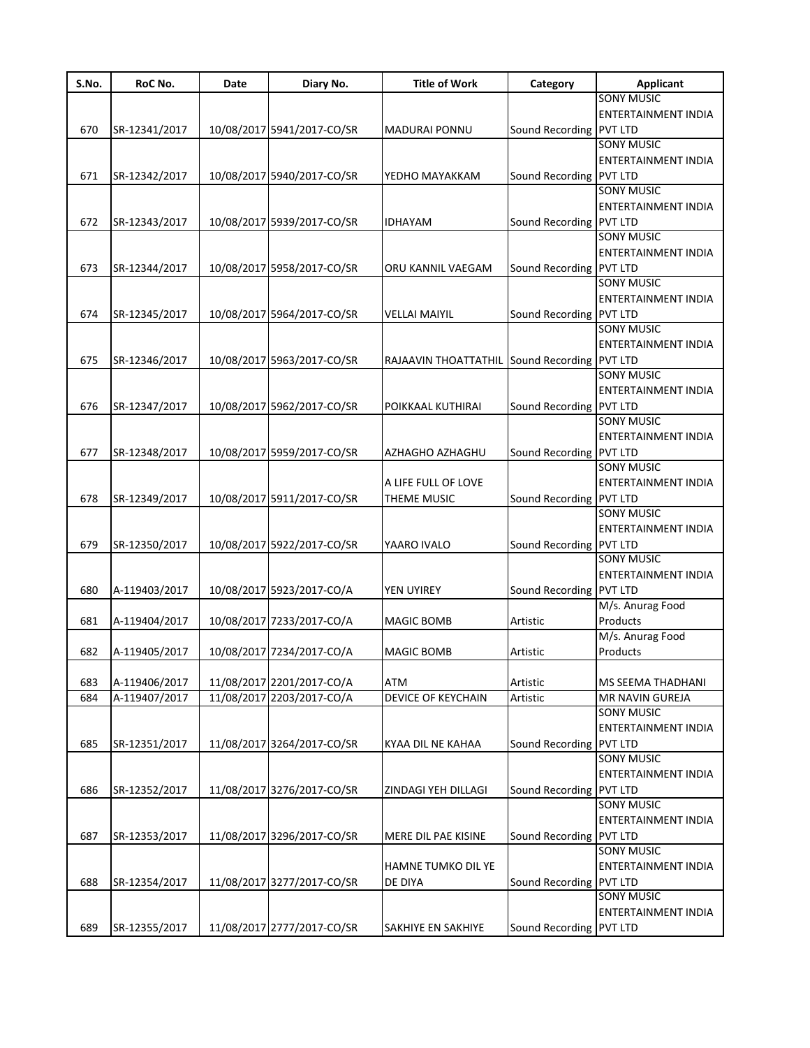| S.No. | RoC No.       | Date | Diary No.                  | <b>Title of Work</b>                         | Category                | Applicant                  |
|-------|---------------|------|----------------------------|----------------------------------------------|-------------------------|----------------------------|
|       |               |      |                            |                                              |                         | <b>SONY MUSIC</b>          |
|       |               |      |                            |                                              |                         | <b>ENTERTAINMENT INDIA</b> |
| 670   | SR-12341/2017 |      | 10/08/2017 5941/2017-CO/SR | <b>MADURAI PONNU</b>                         | Sound Recording PVT LTD |                            |
|       |               |      |                            |                                              |                         | <b>SONY MUSIC</b>          |
|       |               |      |                            |                                              |                         | ENTERTAINMENT INDIA        |
| 671   | SR-12342/2017 |      | 10/08/2017 5940/2017-CO/SR | YEDHO MAYAKKAM                               | Sound Recording PVT LTD |                            |
|       |               |      |                            |                                              |                         | <b>SONY MUSIC</b>          |
|       |               |      |                            |                                              |                         | <b>ENTERTAINMENT INDIA</b> |
| 672   | SR-12343/2017 |      | 10/08/2017 5939/2017-CO/SR | <b>IDHAYAM</b>                               | Sound Recording PVT LTD |                            |
|       |               |      |                            |                                              |                         | <b>SONY MUSIC</b>          |
|       |               |      |                            |                                              |                         | <b>ENTERTAINMENT INDIA</b> |
| 673   | SR-12344/2017 |      | 10/08/2017 5958/2017-CO/SR | ORU KANNIL VAEGAM                            | Sound Recording PVT LTD |                            |
|       |               |      |                            |                                              |                         | <b>SONY MUSIC</b>          |
|       |               |      |                            |                                              |                         | ENTERTAINMENT INDIA        |
| 674   | SR-12345/2017 |      | 10/08/2017 5964/2017-CO/SR | <b>VELLAI MAIYIL</b>                         | Sound Recording PVT LTD |                            |
|       |               |      |                            |                                              |                         | <b>SONY MUSIC</b>          |
|       |               |      |                            |                                              |                         | ENTERTAINMENT INDIA        |
|       |               |      |                            |                                              |                         |                            |
| 675   | SR-12346/2017 |      | 10/08/2017 5963/2017-CO/SR | RAJAAVIN THOATTATHIL Sound Recording PVT LTD |                         |                            |
|       |               |      |                            |                                              |                         | <b>SONY MUSIC</b>          |
|       |               |      |                            |                                              |                         | <b>ENTERTAINMENT INDIA</b> |
| 676   | SR-12347/2017 |      | 10/08/2017 5962/2017-CO/SR | POIKKAAL KUTHIRAI                            | Sound Recording PVT LTD |                            |
|       |               |      |                            |                                              |                         | <b>SONY MUSIC</b>          |
|       |               |      |                            |                                              |                         | <b>ENTERTAINMENT INDIA</b> |
| 677   | SR-12348/2017 |      | 10/08/2017 5959/2017-CO/SR | AZHAGHO AZHAGHU                              | Sound Recording PVT LTD |                            |
|       |               |      |                            |                                              |                         | <b>SONY MUSIC</b>          |
|       |               |      |                            | A LIFE FULL OF LOVE                          |                         | <b>ENTERTAINMENT INDIA</b> |
| 678   | SR-12349/2017 |      | 10/08/2017 5911/2017-CO/SR | THEME MUSIC                                  | Sound Recording PVT LTD |                            |
|       |               |      |                            |                                              |                         | <b>SONY MUSIC</b>          |
|       |               |      |                            |                                              |                         | <b>ENTERTAINMENT INDIA</b> |
| 679   | SR-12350/2017 |      | 10/08/2017 5922/2017-CO/SR | YAARO IVALO                                  | Sound Recording PVT LTD |                            |
|       |               |      |                            |                                              |                         | <b>SONY MUSIC</b>          |
|       |               |      |                            |                                              |                         | ENTERTAINMENT INDIA        |
| 680   | A-119403/2017 |      | 10/08/2017 5923/2017-CO/A  | YEN UYIREY                                   | Sound Recording PVT LTD |                            |
|       |               |      |                            |                                              |                         | M/s. Anurag Food           |
| 681   | A-119404/2017 |      | 10/08/2017 7233/2017-CO/A  | <b>MAGIC BOMB</b>                            | Artistic                | Products                   |
|       |               |      |                            |                                              |                         | M/s. Anurag Food           |
| 682   | A-119405/2017 |      | 10/08/2017 7234/2017-CO/A  | <b>MAGIC BOMB</b>                            | Artistic                | Products                   |
|       |               |      |                            |                                              |                         |                            |
| 683   | A-119406/2017 |      | 11/08/2017 2201/2017-CO/A  | ATM                                          | Artistic                | <b>MS SEEMA THADHANI</b>   |
| 684   | A-119407/2017 |      | 11/08/2017 2203/2017-CO/A  | <b>DEVICE OF KEYCHAIN</b>                    | Artistic                | MR NAVIN GUREJA            |
|       |               |      |                            |                                              |                         | <b>SONY MUSIC</b>          |
|       |               |      |                            |                                              |                         | ENTERTAINMENT INDIA        |
| 685   | SR-12351/2017 |      | 11/08/2017 3264/2017-CO/SR | KYAA DIL NE KAHAA                            | Sound Recording PVT LTD |                            |
|       |               |      |                            |                                              |                         | <b>SONY MUSIC</b>          |
|       |               |      |                            |                                              |                         | ENTERTAINMENT INDIA        |
| 686   | SR-12352/2017 |      | 11/08/2017 3276/2017-CO/SR | <b>ZINDAGI YEH DILLAGI</b>                   | Sound Recording PVT LTD |                            |
|       |               |      |                            |                                              |                         | <b>SONY MUSIC</b>          |
|       |               |      |                            |                                              |                         |                            |
|       |               |      |                            |                                              |                         | ENTERTAINMENT INDIA        |
| 687   | SR-12353/2017 |      | 11/08/2017 3296/2017-CO/SR | MERE DIL PAE KISINE                          | Sound Recording PVT LTD |                            |
|       |               |      |                            |                                              |                         | <b>SONY MUSIC</b>          |
|       |               |      |                            | <b>HAMNE TUMKO DIL YE</b>                    |                         | ENTERTAINMENT INDIA        |
| 688   | SR-12354/2017 |      | 11/08/2017 3277/2017-CO/SR | DE DIYA                                      | Sound Recording PVT LTD |                            |
|       |               |      |                            |                                              |                         | <b>SONY MUSIC</b>          |
|       |               |      |                            |                                              |                         | ENTERTAINMENT INDIA        |
| 689   | SR-12355/2017 |      | 11/08/2017 2777/2017-CO/SR | <b>SAKHIYE EN SAKHIYE</b>                    | Sound Recording PVT LTD |                            |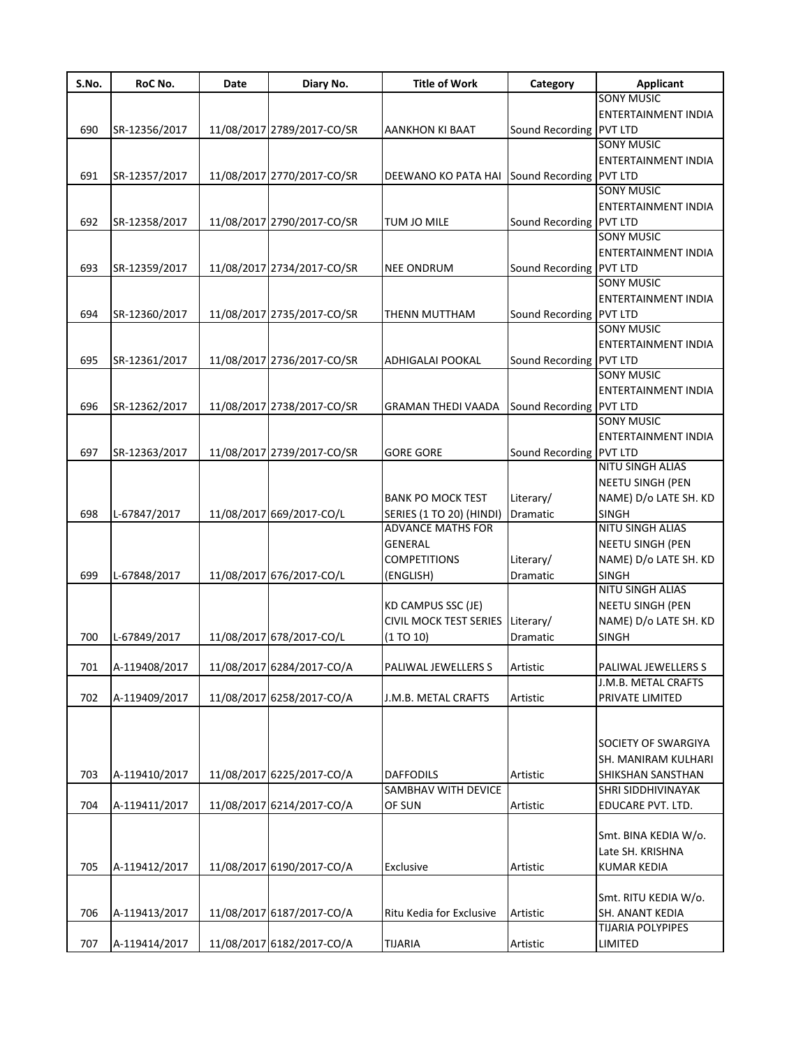| S.No. | RoC No.       | Date | Diary No.                  | <b>Title of Work</b>          | Category                | <b>Applicant</b>           |
|-------|---------------|------|----------------------------|-------------------------------|-------------------------|----------------------------|
|       |               |      |                            |                               |                         | <b>SONY MUSIC</b>          |
|       |               |      |                            |                               |                         | ENTERTAINMENT INDIA        |
| 690   | SR-12356/2017 |      | 11/08/2017 2789/2017-CO/SR | AANKHON KI BAAT               | Sound Recording PVT LTD |                            |
|       |               |      |                            |                               |                         | <b>SONY MUSIC</b>          |
|       |               |      |                            |                               |                         | <b>ENTERTAINMENT INDIA</b> |
| 691   | SR-12357/2017 |      | 11/08/2017 2770/2017-CO/SR | DEEWANO KO PATA HAI           | Sound Recording PVT LTD |                            |
|       |               |      |                            |                               |                         | <b>SONY MUSIC</b>          |
|       |               |      |                            |                               |                         |                            |
|       |               |      |                            |                               |                         | ENTERTAINMENT INDIA        |
| 692   | SR-12358/2017 |      | 11/08/2017 2790/2017-CO/SR | TUM JO MILE                   | Sound Recording PVT LTD |                            |
|       |               |      |                            |                               |                         | <b>SONY MUSIC</b>          |
|       |               |      |                            |                               |                         | ENTERTAINMENT INDIA        |
| 693   | SR-12359/2017 |      | 11/08/2017 2734/2017-CO/SR | <b>NEE ONDRUM</b>             | Sound Recording PVT LTD |                            |
|       |               |      |                            |                               |                         | <b>SONY MUSIC</b>          |
|       |               |      |                            |                               |                         | ENTERTAINMENT INDIA        |
| 694   | SR-12360/2017 |      | 11/08/2017 2735/2017-CO/SR | THENN MUTTHAM                 | Sound Recording         | <b>PVT LTD</b>             |
|       |               |      |                            |                               |                         | <b>SONY MUSIC</b>          |
|       |               |      |                            |                               |                         | <b>ENTERTAINMENT INDIA</b> |
| 695   | SR-12361/2017 |      | 11/08/2017 2736/2017-CO/SR | <b>ADHIGALAI POOKAL</b>       | Sound Recording PVT LTD |                            |
|       |               |      |                            |                               |                         | <b>SONY MUSIC</b>          |
|       |               |      |                            |                               |                         |                            |
|       |               |      |                            |                               |                         | ENTERTAINMENT INDIA        |
| 696   | SR-12362/2017 |      | 11/08/2017 2738/2017-CO/SR | <b>GRAMAN THEDI VAADA</b>     | Sound Recording PVT LTD |                            |
|       |               |      |                            |                               |                         | <b>SONY MUSIC</b>          |
|       |               |      |                            |                               |                         | ENTERTAINMENT INDIA        |
| 697   | SR-12363/2017 |      | 11/08/2017 2739/2017-CO/SR | <b>GORE GORE</b>              | Sound Recording PVT LTD |                            |
|       |               |      |                            |                               |                         | <b>NITU SINGH ALIAS</b>    |
|       |               |      |                            |                               |                         | NEETU SINGH (PEN           |
|       |               |      |                            | <b>BANK PO MOCK TEST</b>      | Literary/               | NAME) D/o LATE SH. KD      |
| 698   | L-67847/2017  |      | 11/08/2017 669/2017-CO/L   | SERIES (1 TO 20) (HINDI)      | Dramatic                | <b>SINGH</b>               |
|       |               |      |                            | <b>ADVANCE MATHS FOR</b>      |                         | NITU SINGH ALIAS           |
|       |               |      |                            | <b>GENERAL</b>                |                         | <b>NEETU SINGH (PEN</b>    |
|       |               |      |                            |                               |                         |                            |
|       |               |      |                            | <b>COMPETITIONS</b>           | Literary/               | NAME) D/o LATE SH. KD      |
| 699   | L-67848/2017  |      | 11/08/2017 676/2017-CO/L   | (ENGLISH)                     | Dramatic                | <b>SINGH</b>               |
|       |               |      |                            |                               |                         | NITU SINGH ALIAS           |
|       |               |      |                            | KD CAMPUS SSC (JE)            |                         | NEETU SINGH (PEN           |
|       |               |      |                            | <b>CIVIL MOCK TEST SERIES</b> | Literary/               | NAME) D/o LATE SH. KD      |
| 700   | L-67849/2017  |      | 11/08/2017 678/2017-CO/L   | (1 T0 10)                     | <b>Dramatic</b>         | <b>SINGH</b>               |
|       |               |      |                            |                               |                         |                            |
| 701   | A-119408/2017 |      | 11/08/2017 6284/2017-CO/A  | PALIWAL JEWELLERS S           | Artistic                | PALIWAL JEWELLERS S        |
|       |               |      |                            |                               |                         | J.M.B. METAL CRAFTS        |
| 702   | A-119409/2017 |      | 11/08/2017 6258/2017-CO/A  | J.M.B. METAL CRAFTS           | Artistic                | PRIVATE LIMITED            |
|       |               |      |                            |                               |                         |                            |
|       |               |      |                            |                               |                         |                            |
|       |               |      |                            |                               |                         |                            |
|       |               |      |                            |                               |                         | SOCIETY OF SWARGIYA        |
|       |               |      |                            |                               |                         | SH. MANIRAM KULHARI        |
| 703   | A-119410/2017 |      | 11/08/2017 6225/2017-CO/A  | <b>DAFFODILS</b>              | Artistic                | SHIKSHAN SANSTHAN          |
|       |               |      |                            | SAMBHAV WITH DEVICE           |                         | <b>SHRI SIDDHIVINAYAK</b>  |
| 704   | A-119411/2017 |      | 11/08/2017 6214/2017-CO/A  | OF SUN                        | Artistic                | EDUCARE PVT. LTD.          |
|       |               |      |                            |                               |                         |                            |
|       |               |      |                            |                               |                         | Smt. BINA KEDIA W/o.       |
|       |               |      |                            |                               |                         | Late SH. KRISHNA           |
| 705   | A-119412/2017 |      | 11/08/2017 6190/2017-CO/A  | Exclusive                     | Artistic                | <b>KUMAR KEDIA</b>         |
|       |               |      |                            |                               |                         |                            |
|       |               |      |                            |                               |                         | Smt. RITU KEDIA W/o.       |
|       |               |      |                            |                               |                         |                            |
| 706   | A-119413/2017 |      | 11/08/2017 6187/2017-CO/A  | Ritu Kedia for Exclusive      | Artistic                | SH. ANANT KEDIA            |
|       |               |      |                            |                               |                         | TIJARIA POLYPIPES          |
| 707   | A-119414/2017 |      | 11/08/2017 6182/2017-CO/A  | <b>TIJARIA</b>                | Artistic                | LIMITED                    |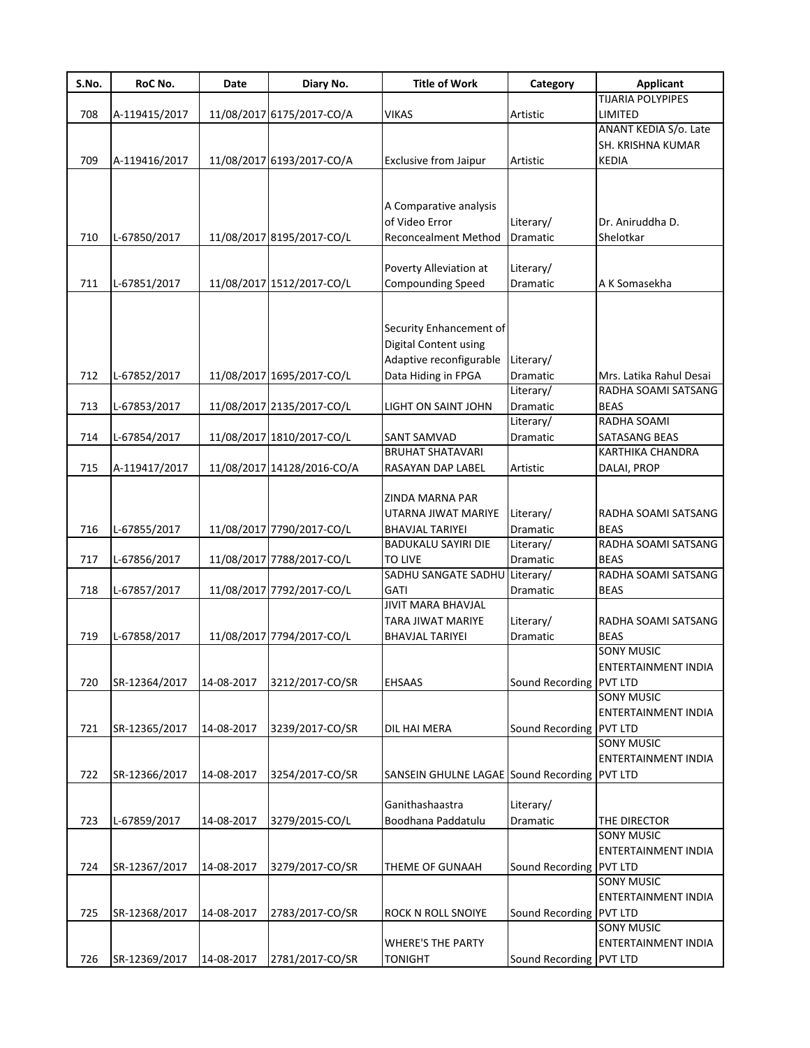| S.No. | RoC No.       | Date       | Diary No.                  | <b>Title of Work</b>                                 | Category                | <b>Applicant</b>           |
|-------|---------------|------------|----------------------------|------------------------------------------------------|-------------------------|----------------------------|
|       |               |            |                            |                                                      |                         | <b>TIJARIA POLYPIPES</b>   |
| 708   | A-119415/2017 |            | 11/08/2017 6175/2017-CO/A  | <b>VIKAS</b>                                         | Artistic                | LIMITED                    |
|       |               |            |                            |                                                      |                         | ANANT KEDIA S/o. Late      |
|       |               |            |                            |                                                      |                         | SH. KRISHNA KUMAR          |
| 709   | A-119416/2017 |            | 11/08/2017 6193/2017-CO/A  | Exclusive from Jaipur                                | Artistic                | <b>KEDIA</b>               |
|       |               |            |                            |                                                      |                         |                            |
|       |               |            |                            |                                                      |                         |                            |
|       |               |            |                            | A Comparative analysis                               |                         |                            |
|       |               |            |                            | of Video Error                                       | Literary/               | Dr. Aniruddha D.           |
| 710   | L-67850/2017  |            | 11/08/2017 8195/2017-CO/L  | <b>Reconcealment Method</b>                          | Dramatic                | Shelotkar                  |
|       |               |            |                            |                                                      |                         |                            |
|       |               |            |                            | Poverty Alleviation at                               | Literary/               |                            |
| 711   | L-67851/2017  |            | 11/08/2017 1512/2017-CO/L  | Compounding Speed                                    | Dramatic                | A K Somasekha              |
|       |               |            |                            |                                                      |                         |                            |
|       |               |            |                            |                                                      |                         |                            |
|       |               |            |                            | Security Enhancement of                              |                         |                            |
|       |               |            |                            | Digital Content using                                |                         |                            |
|       |               |            |                            | Adaptive reconfigurable                              | Literary/               |                            |
| 712   | L-67852/2017  |            | 11/08/2017 1695/2017-CO/L  | Data Hiding in FPGA                                  | Dramatic                | Mrs. Latika Rahul Desai    |
|       |               |            |                            |                                                      | Literary/               | RADHA SOAMI SATSANG        |
| 713   | L-67853/2017  |            | 11/08/2017 2135/2017-CO/L  | LIGHT ON SAINT JOHN                                  | <b>Dramatic</b>         | <b>BEAS</b>                |
|       |               |            |                            |                                                      | Literary/               | RADHA SOAMI                |
| 714   | L-67854/2017  |            | 11/08/2017 1810/2017-CO/L  | SANT SAMVAD                                          | Dramatic                | <b>SATASANG BEAS</b>       |
|       |               |            |                            | <b>BRUHAT SHATAVARI</b>                              |                         | <b>KARTHIKA CHANDRA</b>    |
| 715   | A-119417/2017 |            | 11/08/2017 14128/2016-CO/A | RASAYAN DAP LABEL                                    | Artistic                | DALAI, PROP                |
|       |               |            |                            |                                                      |                         |                            |
|       |               |            |                            | ZINDA MARNA PAR                                      |                         |                            |
|       |               |            |                            | UTARNA JIWAT MARIYE                                  | Literary/               | RADHA SOAMI SATSANG        |
| 716   |               |            |                            |                                                      | Dramatic                | <b>BEAS</b>                |
|       | L-67855/2017  |            | 11/08/2017 7790/2017-CO/L  | <b>BHAVJAL TARIYEI</b><br><b>BADUKALU SAYIRI DIE</b> |                         | RADHA SOAMI SATSANG        |
|       |               |            |                            |                                                      | Literary/               |                            |
| 717   | L-67856/2017  |            | 11/08/2017 7788/2017-CO/L  | <b>TO LIVE</b>                                       | Dramatic                | <b>BEAS</b>                |
|       |               |            |                            | SADHU SANGATE SADHU                                  | Literary/               | RADHA SOAMI SATSANG        |
| 718   | L-67857/2017  |            | 11/08/2017 7792/2017-CO/L  | GATI                                                 | <b>Dramatic</b>         | <b>BEAS</b>                |
|       |               |            |                            | <b>JIVIT MARA BHAVJAL</b>                            |                         |                            |
|       |               |            |                            | TARA JIWAT MARIYE                                    | Literary/               | RADHA SOAMI SATSANG        |
| 719   | L-67858/2017  |            | 11/08/2017 7794/2017-CO/L  | <b>BHAVJAL TARIYEI</b>                               | Dramatic                | <b>BEAS</b>                |
|       |               |            |                            |                                                      |                         | <b>SONY MUSIC</b>          |
|       |               |            |                            |                                                      |                         | <b>ENTERTAINMENT INDIA</b> |
| 720   | SR-12364/2017 | 14-08-2017 | 3212/2017-CO/SR            | <b>EHSAAS</b>                                        | Sound Recording         | PVT LTD                    |
|       |               |            |                            |                                                      |                         | <b>SONY MUSIC</b>          |
|       |               |            |                            |                                                      |                         | ENTERTAINMENT INDIA        |
| 721   | SR-12365/2017 | 14-08-2017 | 3239/2017-CO/SR            | DIL HAI MERA                                         | Sound Recording         | PVT LTD                    |
|       |               |            |                            |                                                      |                         | <b>SONY MUSIC</b>          |
|       |               |            |                            |                                                      |                         | ENTERTAINMENT INDIA        |
| 722   | SR-12366/2017 | 14-08-2017 | 3254/2017-CO/SR            | SANSEIN GHULNE LAGAE Sound Recording                 |                         | <b>PVT LTD</b>             |
|       |               |            |                            |                                                      |                         |                            |
|       |               |            |                            | Ganithashaastra                                      | Literary/               |                            |
| 723   | L-67859/2017  | 14-08-2017 | 3279/2015-CO/L             | Boodhana Paddatulu                                   | Dramatic                | THE DIRECTOR               |
|       |               |            |                            |                                                      |                         | <b>SONY MUSIC</b>          |
|       |               |            |                            |                                                      |                         | ENTERTAINMENT INDIA        |
| 724   | SR-12367/2017 | 14-08-2017 | 3279/2017-CO/SR            | THEME OF GUNAAH                                      | Sound Recording         | PVT LTD                    |
|       |               |            |                            |                                                      |                         | <b>SONY MUSIC</b>          |
|       |               |            |                            |                                                      |                         | ENTERTAINMENT INDIA        |
| 725   | SR-12368/2017 | 14-08-2017 | 2783/2017-CO/SR            | ROCK N ROLL SNOIYE                                   | Sound Recording         | PVT LTD                    |
|       |               |            |                            |                                                      |                         | <b>SONY MUSIC</b>          |
|       |               |            |                            | <b>WHERE'S THE PARTY</b>                             |                         | ENTERTAINMENT INDIA        |
| 726   | SR-12369/2017 | 14-08-2017 | 2781/2017-CO/SR            | <b>TONIGHT</b>                                       | Sound Recording PVT LTD |                            |
|       |               |            |                            |                                                      |                         |                            |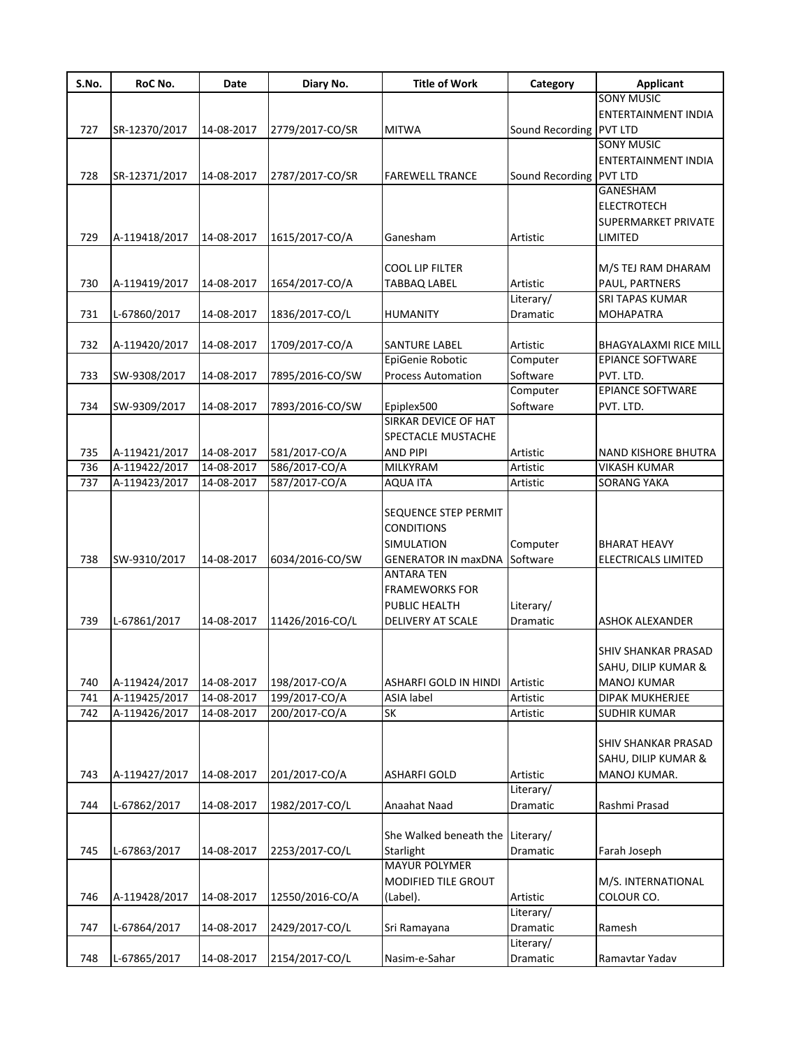| S.No. | RoC No.       | Date       | Diary No.       | <b>Title of Work</b>                                                                                         | Category                | <b>Applicant</b>                                                 |
|-------|---------------|------------|-----------------|--------------------------------------------------------------------------------------------------------------|-------------------------|------------------------------------------------------------------|
|       |               |            |                 |                                                                                                              |                         | <b>SONY MUSIC</b>                                                |
|       |               |            |                 |                                                                                                              |                         | <b>ENTERTAINMENT INDIA</b>                                       |
| 727   | SR-12370/2017 | 14-08-2017 | 2779/2017-CO/SR | <b>MITWA</b>                                                                                                 | Sound Recording PVT LTD |                                                                  |
|       |               |            |                 |                                                                                                              |                         | <b>SONY MUSIC</b>                                                |
|       |               |            |                 |                                                                                                              |                         | ENTERTAINMENT INDIA                                              |
| 728   | SR-12371/2017 | 14-08-2017 | 2787/2017-CO/SR | <b>FAREWELL TRANCE</b>                                                                                       | Sound Recording PVT LTD |                                                                  |
|       |               |            |                 |                                                                                                              |                         | <b>GANESHAM</b>                                                  |
|       |               |            |                 |                                                                                                              |                         | <b>ELECTROTECH</b>                                               |
|       |               |            |                 |                                                                                                              |                         | SUPERMARKET PRIVATE                                              |
| 729   | A-119418/2017 | 14-08-2017 | 1615/2017-CO/A  | Ganesham                                                                                                     | Artistic                | LIMITED                                                          |
|       |               |            |                 |                                                                                                              |                         |                                                                  |
|       |               |            |                 | <b>COOL LIP FILTER</b>                                                                                       |                         | M/S TEJ RAM DHARAM                                               |
| 730   | A-119419/2017 | 14-08-2017 | 1654/2017-CO/A  | <b>TABBAQ LABEL</b>                                                                                          | Artistic                | PAUL, PARTNERS                                                   |
|       |               |            |                 |                                                                                                              | Literary/               | <b>SRI TAPAS KUMAR</b>                                           |
| 731   | L-67860/2017  | 14-08-2017 | 1836/2017-CO/L  | <b>HUMANITY</b>                                                                                              | Dramatic                | <b>MOHAPATRA</b>                                                 |
|       |               |            |                 |                                                                                                              |                         |                                                                  |
| 732   | A-119420/2017 | 14-08-2017 | 1709/2017-CO/A  | <b>SANTURE LABEL</b>                                                                                         | Artistic                | <b>BHAGYALAXMI RICE MILL</b>                                     |
|       |               |            |                 | EpiGenie Robotic                                                                                             | Computer                | <b>EPIANCE SOFTWARE</b>                                          |
|       |               |            |                 |                                                                                                              |                         |                                                                  |
| 733   | SW-9308/2017  | 14-08-2017 | 7895/2016-CO/SW | <b>Process Automation</b>                                                                                    | Software                | PVT. LTD.                                                        |
|       |               |            |                 |                                                                                                              | Computer                | <b>EPIANCE SOFTWARE</b>                                          |
| 734   | SW-9309/2017  | 14-08-2017 | 7893/2016-CO/SW | Epiplex500                                                                                                   | Software                | PVT. LTD.                                                        |
|       |               |            |                 | <b>SIRKAR DEVICE OF HAT</b>                                                                                  |                         |                                                                  |
|       |               |            |                 | SPECTACLE MUSTACHE                                                                                           |                         |                                                                  |
| 735   | A-119421/2017 | 14-08-2017 | 581/2017-CO/A   | <b>AND PIPI</b>                                                                                              | Artistic                | <b>NAND KISHORE BHUTRA</b>                                       |
| 736   | A-119422/2017 | 14-08-2017 | 586/2017-CO/A   | MILKYRAM                                                                                                     | Artistic                | <b>VIKASH KUMAR</b>                                              |
| 737   | A-119423/2017 | 14-08-2017 | 587/2017-CO/A   | <b>AQUA ITA</b>                                                                                              | Artistic                | <b>SORANG YAKA</b>                                               |
| 738   | SW-9310/2017  | 14-08-2017 | 6034/2016-CO/SW | <b>SEQUENCE STEP PERMIT</b><br><b>CONDITIONS</b><br><b>SIMULATION</b><br><b>GENERATOR IN maxDNA Software</b> | Computer                | <b>BHARAT HEAVY</b><br>ELECTRICALS LIMITED                       |
|       |               |            |                 | <b>ANTARA TEN</b><br><b>FRAMEWORKS FOR</b><br>PUBLIC HEALTH                                                  | Literary/               |                                                                  |
| 739   | L-67861/2017  | 14-08-2017 | 11426/2016-CO/L | DELIVERY AT SCALE                                                                                            | Dramatic                | ASHOK ALEXANDER                                                  |
| 740   | A-119424/2017 | 14-08-2017 | 198/2017-CO/A   | ASHARFI GOLD IN HINDI Artistic                                                                               |                         | SHIV SHANKAR PRASAD<br>SAHU, DILIP KUMAR &<br><b>MANOJ KUMAR</b> |
| 741   | A-119425/2017 | 14-08-2017 | 199/2017-CO/A   | ASIA label                                                                                                   | Artistic                | DIPAK MUKHERJEE                                                  |
| 742   | A-119426/2017 | 14-08-2017 | 200/2017-CO/A   | SK                                                                                                           | Artistic                | <b>SUDHIR KUMAR</b>                                              |
| 743   | A-119427/2017 | 14-08-2017 | 201/2017-CO/A   | <b>ASHARFI GOLD</b>                                                                                          | Artistic                | SHIV SHANKAR PRASAD<br>SAHU, DILIP KUMAR &<br>MANOJ KUMAR.       |
| 744   | L-67862/2017  | 14-08-2017 | 1982/2017-CO/L  | Anaahat Naad                                                                                                 | Literary/<br>Dramatic   | Rashmi Prasad                                                    |
| 745   | L-67863/2017  | 14-08-2017 | 2253/2017-CO/L  | She Walked beneath the Literary/<br>Starlight                                                                | Dramatic                | Farah Joseph                                                     |
| 746   | A-119428/2017 | 14-08-2017 | 12550/2016-CO/A | <b>MAYUR POLYMER</b><br>MODIFIED TILE GROUT<br>(Label).                                                      | Artistic                | M/S. INTERNATIONAL<br>COLOUR CO.                                 |
| 747   | L-67864/2017  | 14-08-2017 | 2429/2017-CO/L  | Sri Ramayana                                                                                                 | Literary/<br>Dramatic   | Ramesh                                                           |
|       |               |            |                 |                                                                                                              | Literary/               |                                                                  |
| 748   | L-67865/2017  | 14-08-2017 | 2154/2017-CO/L  | Nasim-e-Sahar                                                                                                | Dramatic                | Ramavtar Yadav                                                   |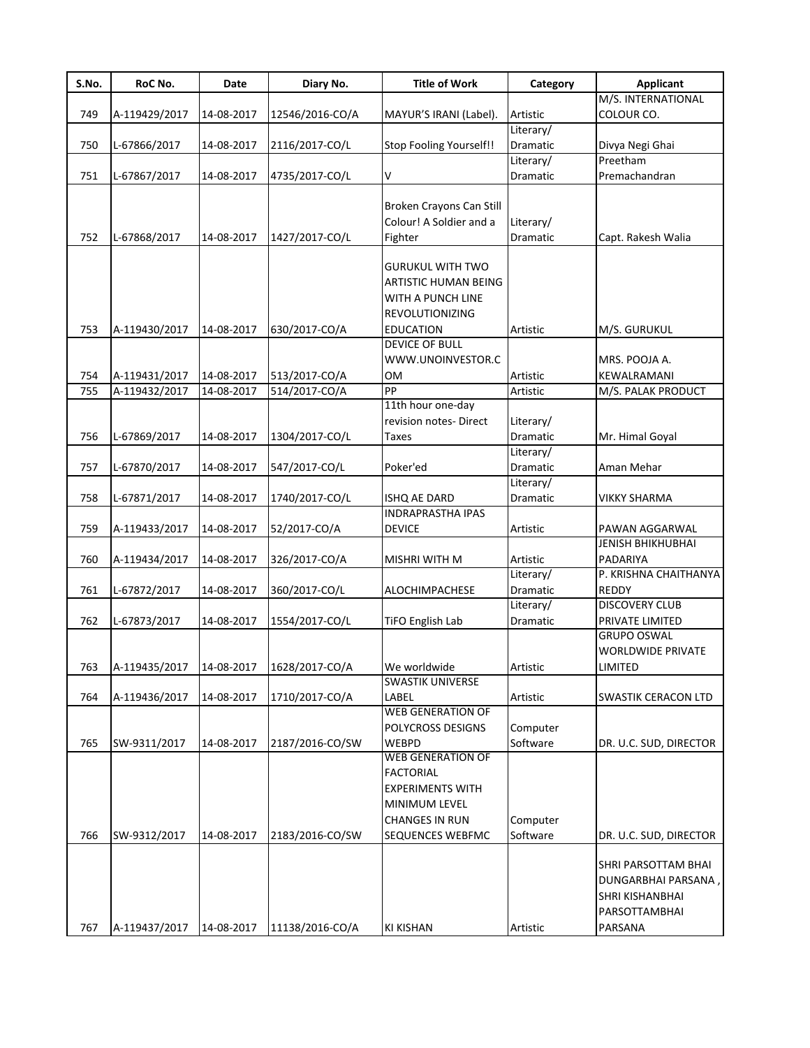| S.No. | RoC No.       | Date       | Diary No.       | <b>Title of Work</b>           | Category        | <b>Applicant</b>         |
|-------|---------------|------------|-----------------|--------------------------------|-----------------|--------------------------|
|       |               |            |                 |                                |                 | M/S. INTERNATIONAL       |
| 749   | A-119429/2017 | 14-08-2017 | 12546/2016-CO/A | MAYUR'S IRANI (Label).         | Artistic        | COLOUR CO.               |
|       |               |            |                 |                                | Literary/       |                          |
| 750   | L-67866/2017  | 14-08-2017 | 2116/2017-CO/L  | <b>Stop Fooling Yourself!!</b> | <b>Dramatic</b> | Divya Negi Ghai          |
|       |               |            |                 |                                | Literary/       | Preetham                 |
| 751   | L-67867/2017  | 14-08-2017 | 4735/2017-CO/L  | v                              | Dramatic        | Premachandran            |
|       |               |            |                 |                                |                 |                          |
|       |               |            |                 | Broken Crayons Can Still       |                 |                          |
|       |               |            |                 | Colour! A Soldier and a        | Literary/       |                          |
| 752   | L-67868/2017  | 14-08-2017 | 1427/2017-CO/L  | Fighter                        | Dramatic        | Capt. Rakesh Walia       |
|       |               |            |                 |                                |                 |                          |
|       |               |            |                 | <b>GURUKUL WITH TWO</b>        |                 |                          |
|       |               |            |                 | ARTISTIC HUMAN BEING           |                 |                          |
|       |               |            |                 | WITH A PUNCH LINE              |                 |                          |
|       |               |            |                 | <b>REVOLUTIONIZING</b>         |                 |                          |
| 753   | A-119430/2017 | 14-08-2017 | 630/2017-CO/A   | <b>EDUCATION</b>               | Artistic        | M/S. GURUKUL             |
|       |               |            |                 | <b>DEVICE OF BULL</b>          |                 |                          |
|       |               |            |                 | WWW.UNOINVESTOR.C              |                 | MRS. POOJA A.            |
| 754   | A-119431/2017 | 14-08-2017 | 513/2017-CO/A   | <b>OM</b>                      | Artistic        | KEWALRAMANI              |
| 755   | A-119432/2017 | 14-08-2017 | 514/2017-CO/A   | PP                             | Artistic        | M/S. PALAK PRODUCT       |
|       |               |            |                 | 11th hour one-day              |                 |                          |
|       |               |            |                 | revision notes-Direct          | Literary/       |                          |
| 756   | L-67869/2017  | 14-08-2017 | 1304/2017-CO/L  | <b>Taxes</b>                   | <b>Dramatic</b> | Mr. Himal Goyal          |
|       |               |            |                 |                                | Literary/       |                          |
| 757   | L-67870/2017  | 14-08-2017 | 547/2017-CO/L   | Poker'ed                       | Dramatic        | Aman Mehar               |
|       |               |            |                 |                                | Literary/       |                          |
| 758   | L-67871/2017  | 14-08-2017 | 1740/2017-CO/L  | ISHQ AE DARD                   | Dramatic        | <b>VIKKY SHARMA</b>      |
|       |               |            |                 | <b>INDRAPRASTHA IPAS</b>       |                 |                          |
| 759   | A-119433/2017 | 14-08-2017 | 52/2017-CO/A    | <b>DEVICE</b>                  | Artistic        | PAWAN AGGARWAL           |
|       |               |            |                 |                                |                 | <b>JENISH BHIKHUBHAI</b> |
| 760   | A-119434/2017 | 14-08-2017 | 326/2017-CO/A   | <b>MISHRI WITH M</b>           | Artistic        | PADARIYA                 |
|       |               |            |                 |                                | Literary/       | P. KRISHNA CHAITHANYA    |
| 761   | L-67872/2017  | 14-08-2017 | 360/2017-CO/L   | <b>ALOCHIMPACHESE</b>          | <b>Dramatic</b> | REDDY                    |
|       |               |            |                 |                                | Literary/       | <b>DISCOVERY CLUB</b>    |
| 762   | L-67873/2017  | 14-08-2017 | 1554/2017-CO/L  | TiFO English Lab               | Dramatic        | PRIVATE LIMITED          |
|       |               |            |                 |                                |                 | <b>GRUPO OSWAL</b>       |
|       |               |            |                 |                                |                 | <b>WORLDWIDE PRIVATE</b> |
|       |               |            |                 | We worldwide                   |                 |                          |
| 763   | A-119435/2017 | 14-08-2017 | 1628/2017-CO/A  | SWASTIK UNIVERSE               | Artistic        | LIMITED                  |
| 764   | A-119436/2017 | 14-08-2017 | 1710/2017-CO/A  | LABEL                          |                 | SWASTIK CERACON LTD      |
|       |               |            |                 | <b>WEB GENERATION OF</b>       | Artistic        |                          |
|       |               |            |                 | POLYCROSS DESIGNS              | Computer        |                          |
| 765   | SW-9311/2017  | 14-08-2017 | 2187/2016-CO/SW | WEBPD                          | Software        | DR. U.C. SUD, DIRECTOR   |
|       |               |            |                 | <b>WEB GENERATION OF</b>       |                 |                          |
|       |               |            |                 | <b>FACTORIAL</b>               |                 |                          |
|       |               |            |                 | <b>EXPERIMENTS WITH</b>        |                 |                          |
|       |               |            |                 | MINIMUM LEVEL                  |                 |                          |
|       |               |            |                 |                                |                 |                          |
|       |               |            |                 | <b>CHANGES IN RUN</b>          | Computer        |                          |
| 766   | SW-9312/2017  | 14-08-2017 | 2183/2016-CO/SW | SEQUENCES WEBFMC               | Software        | DR. U.C. SUD, DIRECTOR   |
|       |               |            |                 |                                |                 | SHRI PARSOTTAM BHAI      |
|       |               |            |                 |                                |                 |                          |
|       |               |            |                 |                                |                 | DUNGARBHAI PARSANA,      |
|       |               |            |                 |                                |                 | SHRI KISHANBHAI          |
|       |               |            |                 |                                |                 | PARSOTTAMBHAI            |
| 767   | A-119437/2017 | 14-08-2017 | 11138/2016-CO/A | <b>KI KISHAN</b>               | Artistic        | PARSANA                  |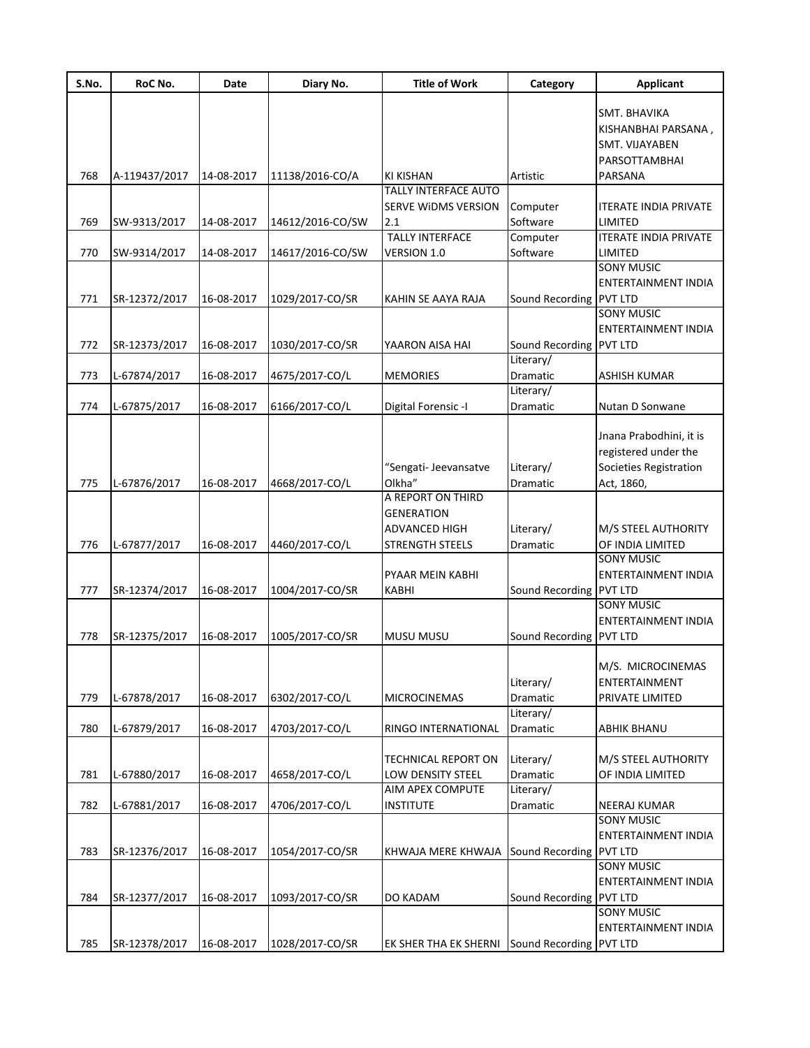| S.No. | RoC No.       | Date       | Diary No.        | <b>Title of Work</b>         | Category                | <b>Applicant</b>             |
|-------|---------------|------------|------------------|------------------------------|-------------------------|------------------------------|
|       |               |            |                  |                              |                         | SMT. BHAVIKA                 |
|       |               |            |                  |                              |                         | KISHANBHAI PARSANA,          |
|       |               |            |                  |                              |                         | SMT. VIJAYABEN               |
|       |               |            |                  |                              |                         | PARSOTTAMBHAI                |
| 768   | A-119437/2017 | 14-08-2017 | 11138/2016-CO/A  | <b>KI KISHAN</b>             | Artistic                | PARSANA                      |
|       |               |            |                  | <b>TALLY INTERFACE AUTO</b>  |                         |                              |
|       |               |            |                  | SERVE WIDMS VERSION          | Computer                | <b>ITERATE INDIA PRIVATE</b> |
| 769   | SW-9313/2017  | 14-08-2017 | 14612/2016-CO/SW | 2.1                          | Software                | LIMITED                      |
|       |               |            |                  | <b>TALLY INTERFACE</b>       | Computer                | <b>ITERATE INDIA PRIVATE</b> |
| 770   | SW-9314/2017  | 14-08-2017 | 14617/2016-CO/SW | VERSION 1.0                  | Software                | LIMITED                      |
|       |               |            |                  |                              |                         | <b>SONY MUSIC</b>            |
|       |               |            |                  |                              |                         | <b>ENTERTAINMENT INDIA</b>   |
| 771   | SR-12372/2017 | 16-08-2017 | 1029/2017-CO/SR  | KAHIN SE AAYA RAJA           | Sound Recording PVT LTD |                              |
|       |               |            |                  |                              |                         | <b>SONY MUSIC</b>            |
|       |               |            |                  |                              |                         | <b>ENTERTAINMENT INDIA</b>   |
| 772   | SR-12373/2017 | 16-08-2017 | 1030/2017-CO/SR  | YAARON AISA HAI              | Sound Recording PVT LTD |                              |
|       |               |            |                  |                              | Literary/               |                              |
| 773   | L-67874/2017  | 16-08-2017 | 4675/2017-CO/L   | <b>MEMORIES</b>              | Dramatic                | <b>ASHISH KUMAR</b>          |
|       |               |            |                  |                              | Literary/               |                              |
| 774   | L-67875/2017  | 16-08-2017 | 6166/2017-CO/L   | Digital Forensic -I          | Dramatic                | Nutan D Sonwane              |
|       |               |            |                  |                              |                         |                              |
|       |               |            |                  |                              |                         | Jnana Prabodhini, it is      |
|       |               |            |                  |                              |                         | registered under the         |
|       |               |            |                  | "Sengati- Jeevansatve        | Literary/               | Societies Registration       |
| 775   | L-67876/2017  | 16-08-2017 | 4668/2017-CO/L   | Olkha"                       | Dramatic                | Act, 1860,                   |
|       |               |            |                  | A REPORT ON THIRD            |                         |                              |
|       |               |            |                  | <b>GENERATION</b>            |                         |                              |
|       |               |            |                  | <b>ADVANCED HIGH</b>         | Literary/               | M/S STEEL AUTHORITY          |
| 776   | L-67877/2017  | 16-08-2017 | 4460/2017-CO/L   | <b>STRENGTH STEELS</b>       | Dramatic                | OF INDIA LIMITED             |
|       |               |            |                  |                              |                         | <b>SONY MUSIC</b>            |
|       |               |            |                  | PYAAR MEIN KABHI             |                         | ENTERTAINMENT INDIA          |
| 777   | SR-12374/2017 | 16-08-2017 | 1004/2017-CO/SR  | <b>KABHI</b>                 | Sound Recording PVT LTD |                              |
|       |               |            |                  |                              |                         | <b>SONY MUSIC</b>            |
|       |               |            |                  |                              |                         | <b>ENTERTAINMENT INDIA</b>   |
| 778   | SR-12375/2017 | 16-08-2017 | 1005/2017-CO/SR  | <b>MUSU MUSU</b>             | Sound Recording PVT LTD |                              |
|       |               |            |                  |                              |                         |                              |
|       |               |            |                  |                              |                         | M/S. MICROCINEMAS            |
|       |               |            |                  |                              | Literary/               | ENTERTAINMENT                |
| 779   | L-67878/2017  | 16-08-2017 | 6302/2017-CO/L   | <b>MICROCINEMAS</b>          | Dramatic                | PRIVATE LIMITED              |
|       |               |            |                  |                              | Literary/               |                              |
| 780   | L-67879/2017  | 16-08-2017 | 4703/2017-CO/L   | RINGO INTERNATIONAL          | Dramatic                | <b>ABHIK BHANU</b>           |
|       |               |            |                  | <b>TECHNICAL REPORT ON</b>   |                         | M/S STEEL AUTHORITY          |
| 781   | L-67880/2017  | 16-08-2017 | 4658/2017-CO/L   | LOW DENSITY STEEL            | Literary/<br>Dramatic   | OF INDIA LIMITED             |
|       |               |            |                  | AIM APEX COMPUTE             | Literary/               |                              |
| 782   | L-67881/2017  | 16-08-2017 | 4706/2017-CO/L   | <b>INSTITUTE</b>             | Dramatic                | <b>NEERAJ KUMAR</b>          |
|       |               |            |                  |                              |                         | <b>SONY MUSIC</b>            |
|       |               |            |                  |                              |                         | <b>ENTERTAINMENT INDIA</b>   |
| 783   | SR-12376/2017 | 16-08-2017 | 1054/2017-CO/SR  | KHWAJA MERE KHWAJA           | Sound Recording PVT LTD |                              |
|       |               |            |                  |                              |                         | <b>SONY MUSIC</b>            |
|       |               |            |                  |                              |                         | ENTERTAINMENT INDIA          |
| 784   | SR-12377/2017 | 16-08-2017 | 1093/2017-CO/SR  | DO KADAM                     | Sound Recording         | <b>PVT LTD</b>               |
|       |               |            |                  |                              |                         | <b>SONY MUSIC</b>            |
|       |               |            |                  |                              |                         | ENTERTAINMENT INDIA          |
| 785   | SR-12378/2017 | 16-08-2017 | 1028/2017-CO/SR  | <b>EK SHER THA EK SHERNI</b> | Sound Recording PVT LTD |                              |
|       |               |            |                  |                              |                         |                              |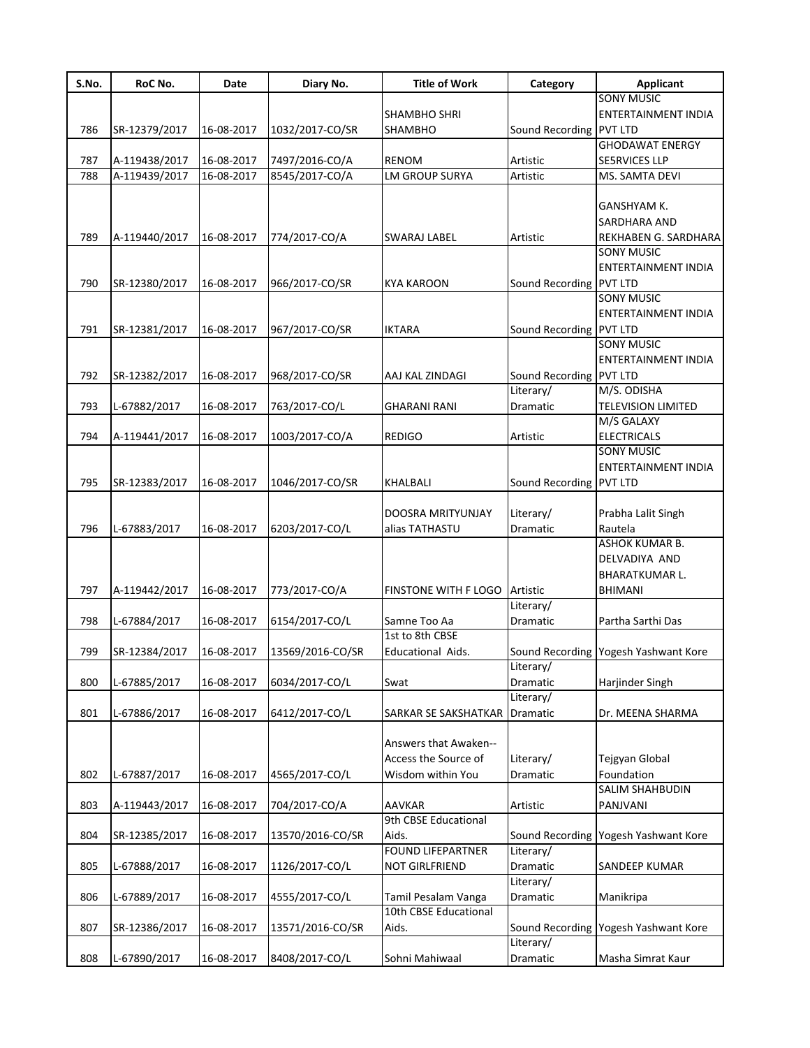| S.No. | RoC No.       | Date       | Diary No.        | <b>Title of Work</b>            | Category                | <b>Applicant</b>                     |
|-------|---------------|------------|------------------|---------------------------------|-------------------------|--------------------------------------|
|       |               |            |                  |                                 |                         | <b>SONY MUSIC</b>                    |
|       |               |            |                  | SHAMBHO SHRI                    |                         | <b>ENTERTAINMENT INDIA</b>           |
| 786   | SR-12379/2017 | 16-08-2017 | 1032/2017-CO/SR  | SHAMBHO                         | Sound Recording         | <b>PVT LTD</b>                       |
|       |               |            |                  |                                 |                         | <b>GHODAWAT ENERGY</b>               |
| 787   | A-119438/2017 | 16-08-2017 | 7497/2016-CO/A   | <b>RENOM</b>                    | Artistic                | <b>SE5RVICES LLP</b>                 |
| 788   | A-119439/2017 | 16-08-2017 | 8545/2017-CO/A   | LM GROUP SURYA                  | Artistic                | MS. SAMTA DEVI                       |
|       |               |            |                  |                                 |                         |                                      |
|       |               |            |                  |                                 |                         | GANSHYAM K.                          |
|       |               |            |                  |                                 |                         | SARDHARA AND                         |
| 789   | A-119440/2017 | 16-08-2017 | 774/2017-CO/A    | SWARAJ LABEL                    | Artistic                | REKHABEN G. SARDHARA                 |
|       |               |            |                  |                                 |                         | <b>SONY MUSIC</b>                    |
|       |               |            |                  |                                 |                         | ENTERTAINMENT INDIA                  |
| 790   | SR-12380/2017 | 16-08-2017 | 966/2017-CO/SR   | <b>KYA KAROON</b>               | Sound Recording         | <b>PVT LTD</b>                       |
|       |               |            |                  |                                 |                         | <b>SONY MUSIC</b>                    |
|       |               |            |                  |                                 |                         | ENTERTAINMENT INDIA                  |
| 791   | SR-12381/2017 | 16-08-2017 | 967/2017-CO/SR   | <b>IKTARA</b>                   | Sound Recording         | <b>PVT LTD</b>                       |
|       |               |            |                  |                                 |                         | <b>SONY MUSIC</b>                    |
|       |               |            |                  |                                 |                         | ENTERTAINMENT INDIA                  |
| 792   | SR-12382/2017 | 16-08-2017 | 968/2017-CO/SR   | AAJ KAL ZINDAGI                 | Sound Recording PVT LTD |                                      |
|       |               |            |                  |                                 | Literary/               | M/S. ODISHA                          |
| 793   | L-67882/2017  | 16-08-2017 | 763/2017-CO/L    | GHARANI RANI                    | Dramatic                | <b>TELEVISION LIMITED</b>            |
|       |               |            |                  |                                 |                         | M/S GALAXY                           |
| 794   | A-119441/2017 | 16-08-2017 | 1003/2017-CO/A   | <b>REDIGO</b>                   | Artistic                | <b>ELECTRICALS</b>                   |
|       |               |            |                  |                                 |                         | <b>SONY MUSIC</b>                    |
|       |               |            |                  |                                 |                         | ENTERTAINMENT INDIA                  |
| 795   | SR-12383/2017 | 16-08-2017 | 1046/2017-CO/SR  | KHALBALI                        | Sound Recording PVT LTD |                                      |
|       |               |            |                  |                                 |                         |                                      |
|       |               |            |                  | DOOSRA MRITYUNJAY               | Literary/               | Prabha Lalit Singh                   |
| 796   | L-67883/2017  | 16-08-2017 | 6203/2017-CO/L   | alias TATHASTU                  | Dramatic                | Rautela                              |
|       |               |            |                  |                                 |                         | ASHOK KUMAR B.                       |
|       |               |            |                  |                                 |                         | DELVADIYA AND                        |
|       |               |            |                  |                                 |                         | BHARATKUMAR L.                       |
| 797   | A-119442/2017 | 16-08-2017 | 773/2017-CO/A    | FINSTONE WITH F LOGO            | Artistic                | BHIMANI                              |
|       |               |            |                  |                                 | Literary/               |                                      |
| 798   |               |            |                  |                                 | Dramatic                | Partha Sarthi Das                    |
|       | L-67884/2017  | 16-08-2017 | 6154/2017-CO/L   | Samne Too Aa<br>1st to 8th CBSE |                         |                                      |
| 799   |               | 16-08-2017 | 13569/2016-CO/SR |                                 |                         |                                      |
|       | SR-12384/2017 |            |                  | Educational Aids.               | Literary/               | Sound Recording Yogesh Yashwant Kore |
|       |               |            |                  |                                 |                         |                                      |
| 800   | L-67885/2017  | 16-08-2017 | 6034/2017-CO/L   | Swat                            | Dramatic                | Harjinder Singh                      |
|       |               |            |                  |                                 | Literary/               | Dr. MEENA SHARMA                     |
| 801   | L-67886/2017  | 16-08-2017 | 6412/2017-CO/L   | SARKAR SE SAKSHATKAR            | Dramatic                |                                      |
|       |               |            |                  | Answers that Awaken--           |                         |                                      |
|       |               |            |                  |                                 |                         |                                      |
|       |               |            |                  | Access the Source of            | Literary/               | Tejgyan Global                       |
| 802   | L-67887/2017  | 16-08-2017 | 4565/2017-CO/L   | Wisdom within You               | Dramatic                | Foundation                           |
|       |               |            |                  |                                 |                         | SALIM SHAHBUDIN                      |
| 803   | A-119443/2017 | 16-08-2017 | 704/2017-CO/A    | <b>AAVKAR</b>                   | Artistic                | PANJVANI                             |
|       |               |            |                  | 9th CBSE Educational            |                         |                                      |
| 804   | SR-12385/2017 | 16-08-2017 | 13570/2016-CO/SR | Aids.                           | Sound Recording         | Yogesh Yashwant Kore                 |
|       |               |            |                  | <b>FOUND LIFEPARTNER</b>        | Literary/               |                                      |
| 805   | L-67888/2017  | 16-08-2017 | 1126/2017-CO/L   | NOT GIRLFRIEND                  | Dramatic                | SANDEEP KUMAR                        |
|       |               |            |                  |                                 | Literary/               |                                      |
| 806   | L-67889/2017  | 16-08-2017 | 4555/2017-CO/L   | Tamil Pesalam Vanga             | Dramatic                | Manikripa                            |
|       |               |            |                  | 10th CBSE Educational           |                         |                                      |
| 807   | SR-12386/2017 | 16-08-2017 | 13571/2016-CO/SR | Aids.                           |                         | Sound Recording Yogesh Yashwant Kore |
|       |               |            |                  |                                 | Literary/               |                                      |
| 808   | L-67890/2017  | 16-08-2017 | 8408/2017-CO/L   | Sohni Mahiwaal                  | Dramatic                | Masha Simrat Kaur                    |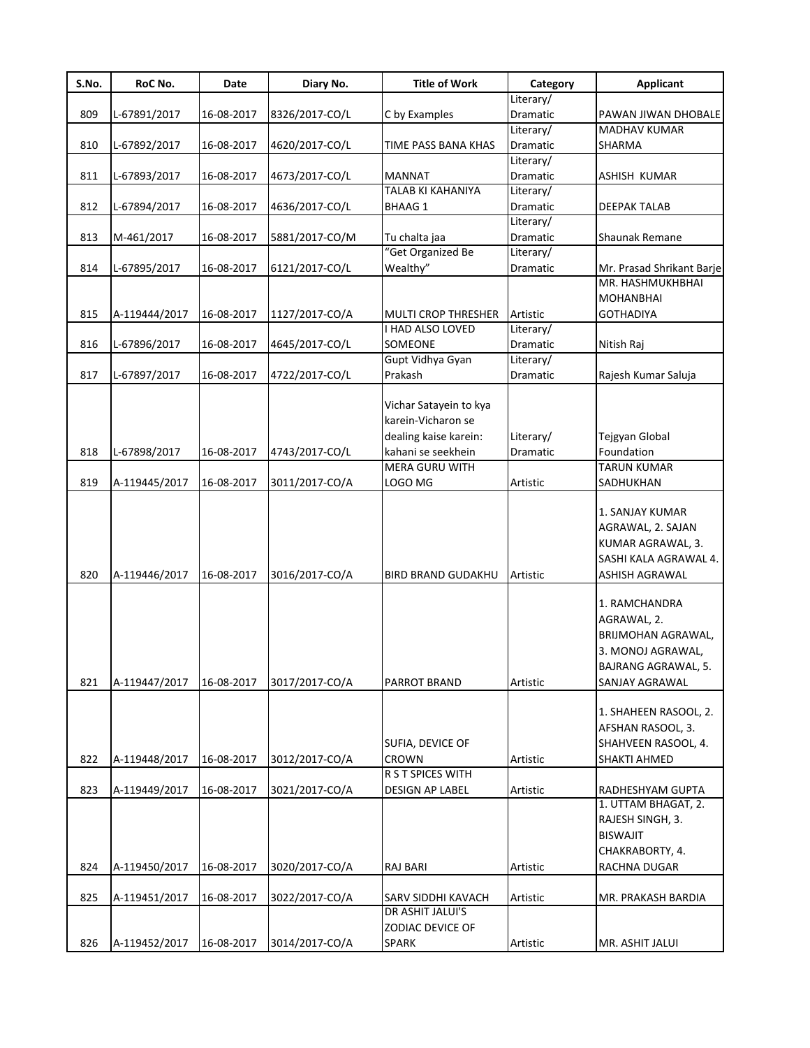| S.No. | RoC No.       | Date       | Diary No.      | <b>Title of Work</b>               | Category              | <b>Applicant</b>          |
|-------|---------------|------------|----------------|------------------------------------|-----------------------|---------------------------|
|       |               |            |                |                                    | Literary/             |                           |
| 809   | L-67891/2017  | 16-08-2017 | 8326/2017-CO/L | C by Examples                      | Dramatic              | PAWAN JIWAN DHOBALE       |
|       |               |            |                |                                    | Literary/             | MADHAV KUMAR              |
| 810   | L-67892/2017  | 16-08-2017 | 4620/2017-CO/L | TIME PASS BANA KHAS                | Dramatic              | SHARMA                    |
|       |               |            |                |                                    | Literary/             |                           |
| 811   | L-67893/2017  | 16-08-2017 | 4673/2017-CO/L | <b>MANNAT</b>                      | Dramatic              | ASHISH KUMAR              |
|       |               |            |                | TALAB KI KAHANIYA                  | Literary/             |                           |
| 812   | L-67894/2017  | 16-08-2017 | 4636/2017-CO/L | <b>BHAAG 1</b>                     | Dramatic              | DEEPAK TALAB              |
| 813   | M-461/2017    | 16-08-2017 |                |                                    | Literary/<br>Dramatic | Shaunak Remane            |
|       |               |            | 5881/2017-CO/M | Tu chalta jaa<br>"Get Organized Be | Literary/             |                           |
| 814   | L-67895/2017  | 16-08-2017 | 6121/2017-CO/L | Wealthy"                           | Dramatic              | Mr. Prasad Shrikant Barje |
|       |               |            |                |                                    |                       | MR. HASHMUKHBHAI          |
|       |               |            |                |                                    |                       | <b>MOHANBHAI</b>          |
| 815   | A-119444/2017 | 16-08-2017 | 1127/2017-CO/A | <b>MULTI CROP THRESHER</b>         | Artistic              | <b>GOTHADIYA</b>          |
|       |               |            |                | I HAD ALSO LOVED                   | Literary/             |                           |
| 816   | L-67896/2017  | 16-08-2017 | 4645/2017-CO/L | SOMEONE                            | Dramatic              | Nitish Raj                |
|       |               |            |                | Gupt Vidhya Gyan                   | Literary/             |                           |
| 817   | L-67897/2017  | 16-08-2017 | 4722/2017-CO/L | Prakash                            | Dramatic              | Rajesh Kumar Saluja       |
|       |               |            |                |                                    |                       |                           |
|       |               |            |                | Vichar Satayein to kya             |                       |                           |
|       |               |            |                | karein-Vicharon se                 |                       |                           |
|       |               |            |                | dealing kaise karein:              | Literary/             | Tejgyan Global            |
| 818   | L-67898/2017  | 16-08-2017 | 4743/2017-CO/L | kahani se seekhein                 | <b>Dramatic</b>       | Foundation                |
|       |               |            |                | <b>MERA GURU WITH</b>              |                       | <b>TARUN KUMAR</b>        |
| 819   | A-119445/2017 | 16-08-2017 | 3011/2017-CO/A | LOGO MG                            | Artistic              | SADHUKHAN                 |
|       |               |            |                |                                    |                       |                           |
|       |               |            |                |                                    |                       | 1. SANJAY KUMAR           |
|       |               |            |                |                                    |                       | AGRAWAL, 2. SAJAN         |
|       |               |            |                |                                    |                       | KUMAR AGRAWAL, 3.         |
|       |               |            |                |                                    |                       | SASHI KALA AGRAWAL 4.     |
| 820   | A-119446/2017 | 16-08-2017 | 3016/2017-CO/A | BIRD BRAND GUDAKHU                 | Artistic              | ASHISH AGRAWAL            |
|       |               |            |                |                                    |                       |                           |
|       |               |            |                |                                    |                       | 1. RAMCHANDRA             |
|       |               |            |                |                                    |                       | AGRAWAL, 2.               |
|       |               |            |                |                                    |                       | BRIJMOHAN AGRAWAL,        |
|       |               |            |                |                                    |                       | 3. MONOJ AGRAWAL,         |
|       |               |            |                |                                    |                       | BAJRANG AGRAWAL, 5.       |
|       |               | 16-08-2017 |                |                                    |                       |                           |
| 821   | A-119447/2017 |            | 3017/2017-CO/A | <b>PARROT BRAND</b>                | Artistic              | SANJAY AGRAWAL            |
|       |               |            |                |                                    |                       | 1. SHAHEEN RASOOL, 2.     |
|       |               |            |                |                                    |                       | AFSHAN RASOOL, 3.         |
|       |               |            |                | SUFIA, DEVICE OF                   |                       | SHAHVEEN RASOOL, 4.       |
|       |               |            | 3012/2017-CO/A | <b>CROWN</b>                       | Artistic              | SHAKTI AHMED              |
| 822   | A-119448/2017 | 16-08-2017 |                | R S T SPICES WITH                  |                       |                           |
| 823   | A-119449/2017 |            | 3021/2017-CO/A | <b>DESIGN AP LABEL</b>             | Artistic              | RADHESHYAM GUPTA          |
|       |               | 16-08-2017 |                |                                    |                       | 1. UTTAM BHAGAT, 2.       |
|       |               |            |                |                                    |                       | RAJESH SINGH, 3.          |
|       |               |            |                |                                    |                       | <b>BISWAJIT</b>           |
|       |               |            |                |                                    |                       |                           |
|       |               |            |                |                                    |                       | CHAKRABORTY, 4.           |
| 824   | A-119450/2017 | 16-08-2017 | 3020/2017-CO/A | <b>RAJ BARI</b>                    | Artistic              | RACHNA DUGAR              |
|       |               |            |                |                                    |                       |                           |
| 825   | A-119451/2017 | 16-08-2017 | 3022/2017-CO/A | SARV SIDDHI KAVACH                 | Artistic              | MR. PRAKASH BARDIA        |
|       |               |            |                | DR ASHIT JALUI'S                   |                       |                           |
|       |               |            |                | ZODIAC DEVICE OF                   |                       |                           |
| 826   | A-119452/2017 | 16-08-2017 | 3014/2017-CO/A | <b>SPARK</b>                       | Artistic              | MR. ASHIT JALUI           |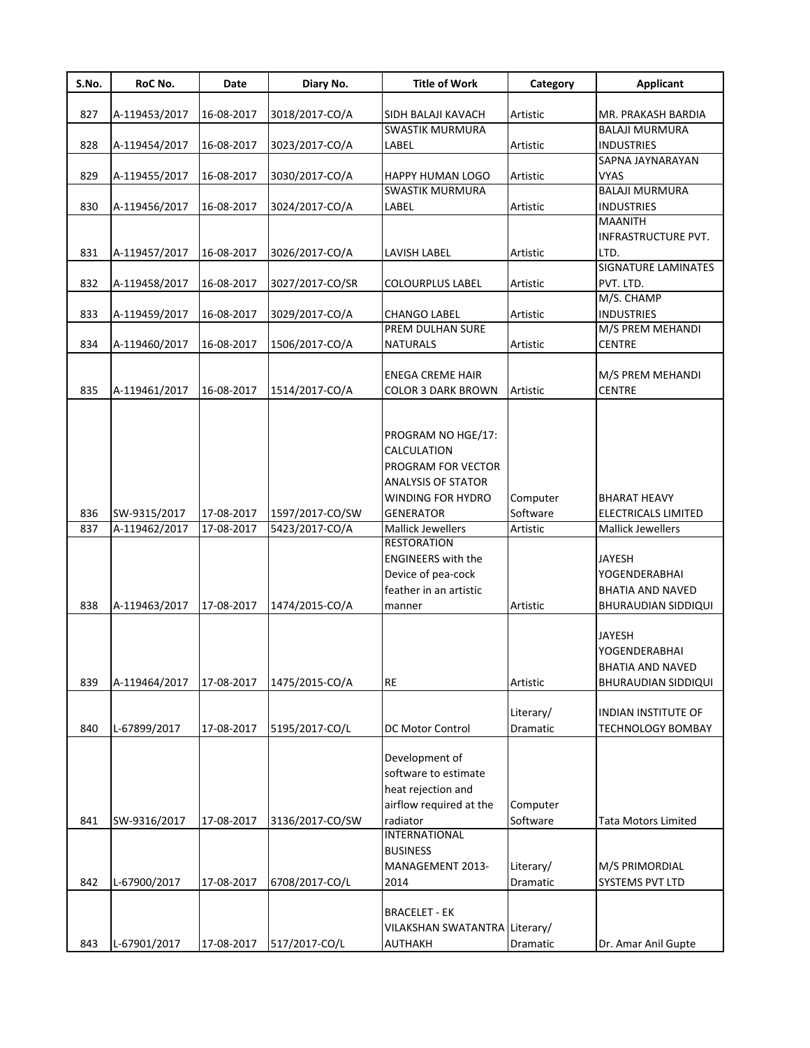| S.No. | RoC No.       | Date       | Diary No.       | <b>Title of Work</b>                                                                                                          | Category                     | <b>Applicant</b>                                                          |
|-------|---------------|------------|-----------------|-------------------------------------------------------------------------------------------------------------------------------|------------------------------|---------------------------------------------------------------------------|
|       |               |            |                 |                                                                                                                               |                              |                                                                           |
| 827   | A-119453/2017 | 16-08-2017 | 3018/2017-CO/A  | SIDH BALAJI KAVACH<br><b>SWASTIK MURMURA</b>                                                                                  | Artistic                     | MR. PRAKASH BARDIA<br><b>BALAJI MURMURA</b>                               |
| 828   | A-119454/2017 | 16-08-2017 | 3023/2017-CO/A  | LABEL                                                                                                                         |                              | <b>INDUSTRIES</b>                                                         |
|       |               |            |                 |                                                                                                                               | Artistic                     | SAPNA JAYNARAYAN                                                          |
| 829   | A-119455/2017 | 16-08-2017 | 3030/2017-CO/A  | HAPPY HUMAN LOGO                                                                                                              | Artistic                     | VYAS                                                                      |
|       |               |            |                 | SWASTIK MURMURA                                                                                                               |                              | <b>BALAJI MURMURA</b>                                                     |
| 830   | A-119456/2017 | 16-08-2017 | 3024/2017-CO/A  | LABEL                                                                                                                         | Artistic                     | <b>INDUSTRIES</b>                                                         |
|       |               |            |                 |                                                                                                                               |                              | <b>MAANITH</b>                                                            |
|       |               |            |                 |                                                                                                                               |                              | INFRASTRUCTURE PVT.                                                       |
| 831   | A-119457/2017 | 16-08-2017 | 3026/2017-CO/A  | LAVISH LABEL                                                                                                                  | Artistic                     | LTD.                                                                      |
|       |               |            |                 |                                                                                                                               |                              | <b>SIGNATURE LAMINATES</b>                                                |
| 832   | A-119458/2017 | 16-08-2017 | 3027/2017-CO/SR | <b>COLOURPLUS LABEL</b>                                                                                                       | Artistic                     | PVT. LTD.                                                                 |
|       |               |            |                 |                                                                                                                               |                              | M/S. CHAMP                                                                |
| 833   | A-119459/2017 | 16-08-2017 | 3029/2017-CO/A  | <b>CHANGO LABEL</b>                                                                                                           | Artistic                     | <b>INDUSTRIES</b>                                                         |
|       |               |            |                 | PREM DULHAN SURE                                                                                                              |                              | M/S PREM MEHANDI                                                          |
| 834   | A-119460/2017 | 16-08-2017 | 1506/2017-CO/A  | <b>NATURALS</b>                                                                                                               | Artistic                     | <b>CENTRE</b>                                                             |
|       |               |            |                 |                                                                                                                               |                              |                                                                           |
|       |               |            |                 | ENEGA CREME HAIR                                                                                                              |                              | M/S PREM MEHANDI                                                          |
| 835   | A-119461/2017 | 16-08-2017 | 1514/2017-CO/A  | COLOR 3 DARK BROWN                                                                                                            | Artistic                     | <b>CENTRE</b>                                                             |
| 836   | SW-9315/2017  | 17-08-2017 | 1597/2017-CO/SW | PROGRAM NO HGE/17:<br>CALCULATION<br>PROGRAM FOR VECTOR<br><b>ANALYSIS OF STATOR</b><br>WINDING FOR HYDRO<br><b>GENERATOR</b> | Computer<br>Software         | <b>BHARAT HEAVY</b><br>ELECTRICALS LIMITED                                |
|       |               |            |                 |                                                                                                                               |                              |                                                                           |
| 837   | A-119462/2017 | 17-08-2017 | 5423/2017-CO/A  | <b>Mallick Jewellers</b><br><b>RESTORATION</b>                                                                                | Artistic                     | <b>Mallick Jewellers</b>                                                  |
| 838   | A-119463/2017 | 17-08-2017 | 1474/2015-CO/A  | ENGINEERS with the<br>Device of pea-cock<br>feather in an artistic<br>manner                                                  | Artistic                     | <b>JAYESH</b><br>YOGENDERABHAI<br>BHATIA AND NAVED<br>BHURAUDIAN SIDDIQUI |
| 839   | A-119464/2017 | 17-08-2017 | 1475/2015-CO/A  | <b>RE</b>                                                                                                                     | Artistic                     | <b>JAYESH</b><br>YOGENDERABHAI<br>BHATIA AND NAVED<br>BHURAUDIAN SIDDIQUI |
| 840   | L-67899/2017  | 17-08-2017 | 5195/2017-CO/L  | DC Motor Control                                                                                                              | Literary/<br>Dramatic        | INDIAN INSTITUTE OF<br><b>TECHNOLOGY BOMBAY</b>                           |
| 841   | SW-9316/2017  | 17-08-2017 | 3136/2017-CO/SW | Development of<br>software to estimate<br>heat rejection and<br>airflow required at the<br>radiator                           | Computer<br>Software         | <b>Tata Motors Limited</b>                                                |
| 842   | L-67900/2017  | 17-08-2017 | 6708/2017-CO/L  | <b>INTERNATIONAL</b><br>BUSINESS<br>MANAGEMENT 2013-<br>2014                                                                  | Literary/<br><b>Dramatic</b> | M/S PRIMORDIAL<br>SYSTEMS PVT LTD                                         |
| 843   | L-67901/2017  | 17-08-2017 | 517/2017-CO/L   | BRACELET - EK<br>VILAKSHAN SWATANTRA Literary/<br>AUTHAKH                                                                     | Dramatic                     | Dr. Amar Anil Gupte                                                       |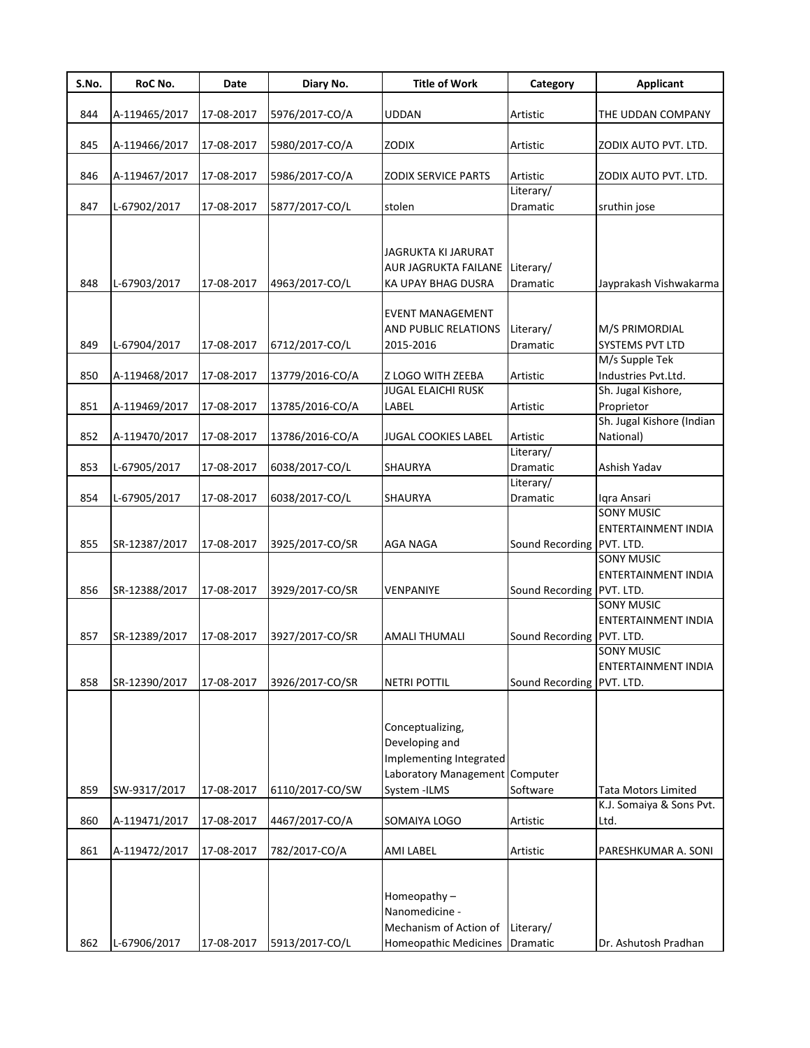| S.No. | RoC No.       | Date       | Diary No.       | <b>Title of Work</b>                                                                                            | Category                  | <b>Applicant</b>                                |
|-------|---------------|------------|-----------------|-----------------------------------------------------------------------------------------------------------------|---------------------------|-------------------------------------------------|
|       |               |            |                 |                                                                                                                 |                           |                                                 |
| 844   | A-119465/2017 | 17-08-2017 | 5976/2017-CO/A  | <b>UDDAN</b>                                                                                                    | Artistic                  | THE UDDAN COMPANY                               |
| 845   | A-119466/2017 | 17-08-2017 | 5980/2017-CO/A  | <b>ZODIX</b>                                                                                                    | Artistic                  | ZODIX AUTO PVT. LTD.                            |
|       |               |            |                 |                                                                                                                 |                           |                                                 |
| 846   | A-119467/2017 | 17-08-2017 | 5986/2017-CO/A  | <b>ZODIX SERVICE PARTS</b>                                                                                      | Artistic                  | ZODIX AUTO PVT. LTD.                            |
|       |               |            |                 |                                                                                                                 | Literary/                 |                                                 |
| 847   | L-67902/2017  | 17-08-2017 | 5877/2017-CO/L  | stolen                                                                                                          | Dramatic                  | sruthin jose                                    |
| 848   | L-67903/2017  | 17-08-2017 | 4963/2017-CO/L  | JAGRUKTA KI JARURAT<br>AUR JAGRUKTA FAILANE Literary/<br>KA UPAY BHAG DUSRA                                     | Dramatic                  | Jayprakash Vishwakarma                          |
| 849   | L-67904/2017  | 17-08-2017 | 6712/2017-CO/L  | <b>EVENT MANAGEMENT</b><br><b>AND PUBLIC RELATIONS</b><br>2015-2016                                             | Literary/<br>Dramatic     | M/S PRIMORDIAL<br><b>SYSTEMS PVT LTD</b>        |
|       |               |            |                 |                                                                                                                 |                           | M/s Supple Tek                                  |
| 850   | A-119468/2017 | 17-08-2017 | 13779/2016-CO/A | Z LOGO WITH ZEEBA<br><b>JUGAL ELAICHI RUSK</b>                                                                  | Artistic                  | Industries Pvt.Ltd.<br>Sh. Jugal Kishore,       |
| 851   | A-119469/2017 | 17-08-2017 | 13785/2016-CO/A | LABEL                                                                                                           | Artistic                  | Proprietor                                      |
|       |               |            |                 |                                                                                                                 |                           | Sh. Jugal Kishore (Indian                       |
| 852   | A-119470/2017 | 17-08-2017 | 13786/2016-CO/A | <b>JUGAL COOKIES LABEL</b>                                                                                      | Artistic                  | National)                                       |
|       |               |            |                 |                                                                                                                 | Literary/                 |                                                 |
| 853   | L-67905/2017  | 17-08-2017 | 6038/2017-CO/L  | SHAURYA                                                                                                         | Dramatic                  | Ashish Yadav                                    |
|       |               |            |                 |                                                                                                                 | Literary/                 |                                                 |
| 854   | L-67905/2017  | 17-08-2017 | 6038/2017-CO/L  | SHAURYA                                                                                                         | Dramatic                  | Iqra Ansari                                     |
| 855   | SR-12387/2017 | 17-08-2017 | 3925/2017-CO/SR | <b>AGA NAGA</b>                                                                                                 | Sound Recording PVT. LTD. | <b>SONY MUSIC</b><br><b>ENTERTAINMENT INDIA</b> |
| 856   | SR-12388/2017 | 17-08-2017 | 3929/2017-CO/SR | <b>VENPANIYE</b>                                                                                                | Sound Recording PVT. LTD. | <b>SONY MUSIC</b><br><b>ENTERTAINMENT INDIA</b> |
| 857   | SR-12389/2017 | 17-08-2017 | 3927/2017-CO/SR | <b>AMALI THUMALI</b>                                                                                            | Sound Recording PVT. LTD. | <b>SONY MUSIC</b><br><b>ENTERTAINMENT INDIA</b> |
|       |               |            |                 |                                                                                                                 |                           | <b>SONY MUSIC</b>                               |
|       |               |            |                 |                                                                                                                 |                           | <b>ENTERTAINMENT INDIA</b>                      |
| 858   | SR-12390/2017 | 17-08-2017 | 3926/2017-CO/SR | <b>NETRI POTTIL</b>                                                                                             | Sound Recording PVT. LTD. |                                                 |
| 859   | SW-9317/2017  | 17-08-2017 | 6110/2017-CO/SW | Conceptualizing,<br>Developing and<br>Implementing Integrated<br>Laboratory Management Computer<br>System -ILMS | Software                  | <b>Tata Motors Limited</b>                      |
|       |               |            |                 |                                                                                                                 |                           | K.J. Somaiya & Sons Pvt.                        |
| 860   | A-119471/2017 | 17-08-2017 | 4467/2017-CO/A  | SOMAIYA LOGO                                                                                                    | Artistic                  | Ltd.                                            |
|       |               |            |                 |                                                                                                                 |                           |                                                 |
| 861   | A-119472/2017 | 17-08-2017 | 782/2017-CO/A   | <b>AMI LABEL</b>                                                                                                | Artistic                  | PARESHKUMAR A. SONI                             |
| 862   | L-67906/2017  | 17-08-2017 | 5913/2017-CO/L  | Homeopathy-<br>Nanomedicine -<br>Mechanism of Action of<br>Homeopathic Medicines Dramatic                       | Literary/                 | Dr. Ashutosh Pradhan                            |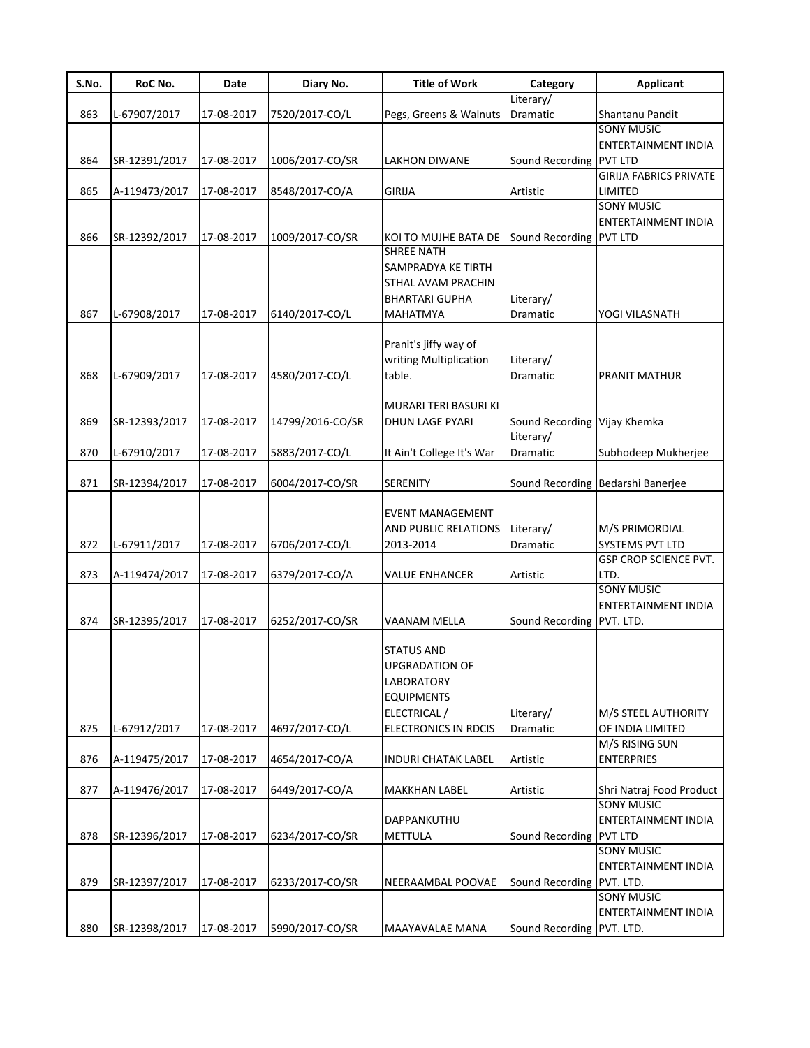| S.No. | RoC No.       | Date       | Diary No.        | <b>Title of Work</b>                      | Category                                  | <b>Applicant</b>                              |
|-------|---------------|------------|------------------|-------------------------------------------|-------------------------------------------|-----------------------------------------------|
|       |               |            |                  |                                           | Literary/                                 |                                               |
| 863   | L-67907/2017  | 17-08-2017 | 7520/2017-CO/L   | Pegs, Greens & Walnuts                    | Dramatic                                  | Shantanu Pandit                               |
|       |               |            |                  |                                           |                                           | <b>SONY MUSIC</b>                             |
|       |               |            |                  |                                           |                                           | ENTERTAINMENT INDIA                           |
| 864   | SR-12391/2017 | 17-08-2017 | 1006/2017-CO/SR  | <b>LAKHON DIWANE</b>                      | Sound Recording PVT LTD                   |                                               |
|       |               |            |                  |                                           |                                           | <b>GIRIJA FABRICS PRIVATE</b>                 |
| 865   | A-119473/2017 | 17-08-2017 | 8548/2017-CO/A   | <b>GIRIJA</b>                             | Artistic                                  | LIMITED                                       |
|       |               |            |                  |                                           |                                           | <b>SONY MUSIC</b>                             |
|       |               |            |                  |                                           |                                           | ENTERTAINMENT INDIA                           |
| 866   | SR-12392/2017 | 17-08-2017 | 1009/2017-CO/SR  | KOI TO MUJHE BATA DE<br><b>SHREE NATH</b> | Sound Recording PVT LTD                   |                                               |
|       |               |            |                  | SAMPRADYA KE TIRTH                        |                                           |                                               |
|       |               |            |                  | STHAL AVAM PRACHIN                        |                                           |                                               |
|       |               |            |                  |                                           |                                           |                                               |
| 867   |               |            |                  | <b>BHARTARI GUPHA</b>                     | Literary/                                 |                                               |
|       | L-67908/2017  | 17-08-2017 | 6140/2017-CO/L   | <b>MAHATMYA</b>                           | Dramatic                                  | YOGI VILASNATH                                |
|       |               |            |                  |                                           |                                           |                                               |
|       |               |            |                  | Pranit's jiffy way of                     |                                           |                                               |
|       |               |            |                  | writing Multiplication                    | Literary/                                 |                                               |
| 868   | L-67909/2017  | 17-08-2017 | 4580/2017-CO/L   | table.                                    | Dramatic                                  | PRANIT MATHUR                                 |
|       |               |            |                  |                                           |                                           |                                               |
|       |               |            |                  | MURARI TERI BASURI KI                     |                                           |                                               |
| 869   | SR-12393/2017 | 17-08-2017 | 14799/2016-CO/SR | DHUN LAGE PYARI                           | Sound Recording Vijay Khemka<br>Literary/ |                                               |
|       |               |            |                  |                                           |                                           |                                               |
| 870   | L-67910/2017  | 17-08-2017 | 5883/2017-CO/L   | It Ain't College It's War                 | Dramatic                                  | Subhodeep Mukherjee                           |
|       |               |            |                  |                                           |                                           |                                               |
| 871   | SR-12394/2017 | 17-08-2017 | 6004/2017-CO/SR  | <b>SERENITY</b>                           |                                           | Sound Recording Bedarshi Banerjee             |
|       |               |            |                  | <b>EVENT MANAGEMENT</b>                   |                                           |                                               |
|       |               |            |                  | AND PUBLIC RELATIONS                      | Literary/                                 | M/S PRIMORDIAL                                |
| 872   | L-67911/2017  | 17-08-2017 | 6706/2017-CO/L   | 2013-2014                                 | Dramatic                                  | SYSTEMS PVT LTD                               |
|       |               |            |                  |                                           |                                           | <b>GSP CROP SCIENCE PVT.</b>                  |
| 873   | A-119474/2017 | 17-08-2017 | 6379/2017-CO/A   |                                           | Artistic                                  | LTD.                                          |
|       |               |            |                  | <b>VALUE ENHANCER</b>                     |                                           | <b>SONY MUSIC</b>                             |
|       |               |            |                  |                                           |                                           | <b>ENTERTAINMENT INDIA</b>                    |
| 874   | SR-12395/2017 | 17-08-2017 | 6252/2017-CO/SR  | <b>VAANAM MELLA</b>                       | Sound Recording PVT. LTD.                 |                                               |
|       |               |            |                  |                                           |                                           |                                               |
|       |               |            |                  | <b>STATUS AND</b>                         |                                           |                                               |
|       |               |            |                  | <b>UPGRADATION OF</b>                     |                                           |                                               |
|       |               |            |                  | <b>LABORATORY</b>                         |                                           |                                               |
|       |               |            |                  | <b>EQUIPMENTS</b>                         |                                           |                                               |
|       |               |            |                  | ELECTRICAL /                              | Literary/                                 | M/S STEEL AUTHORITY                           |
| 875   |               |            |                  |                                           |                                           |                                               |
|       | L-67912/2017  | 17-08-2017 | 4697/2017-CO/L   | <b>ELECTRONICS IN RDCIS</b>               | Dramatic                                  | OF INDIA LIMITED<br>M/S RISING SUN            |
|       |               |            |                  |                                           |                                           |                                               |
| 876   | A-119475/2017 | 17-08-2017 | 4654/2017-CO/A   | <b>INDURI CHATAK LABEL</b>                | Artistic                                  | <b>ENTERPRIES</b>                             |
|       |               |            |                  |                                           |                                           |                                               |
| 877   | A-119476/2017 | 17-08-2017 | 6449/2017-CO/A   | <b>MAKKHAN LABEL</b>                      | Artistic                                  | Shri Natraj Food Product<br><b>SONY MUSIC</b> |
|       |               |            |                  |                                           |                                           |                                               |
|       |               |            |                  | DAPPANKUTHU                               |                                           | ENTERTAINMENT INDIA                           |
| 878   | SR-12396/2017 | 17-08-2017 | 6234/2017-CO/SR  | <b>METTULA</b>                            | Sound Recording PVT LTD                   |                                               |
|       |               |            |                  |                                           |                                           | <b>SONY MUSIC</b>                             |
|       |               |            |                  |                                           |                                           | ENTERTAINMENT INDIA                           |
| 879   | SR-12397/2017 | 17-08-2017 | 6233/2017-CO/SR  | NEERAAMBAL POOVAE                         | Sound Recording PVT. LTD.                 |                                               |
|       |               |            |                  |                                           |                                           | <b>SONY MUSIC</b>                             |
|       |               |            |                  |                                           |                                           | ENTERTAINMENT INDIA                           |
| 880   | SR-12398/2017 | 17-08-2017 | 5990/2017-CO/SR  | MAAYAVALAE MANA                           | Sound Recording PVT. LTD.                 |                                               |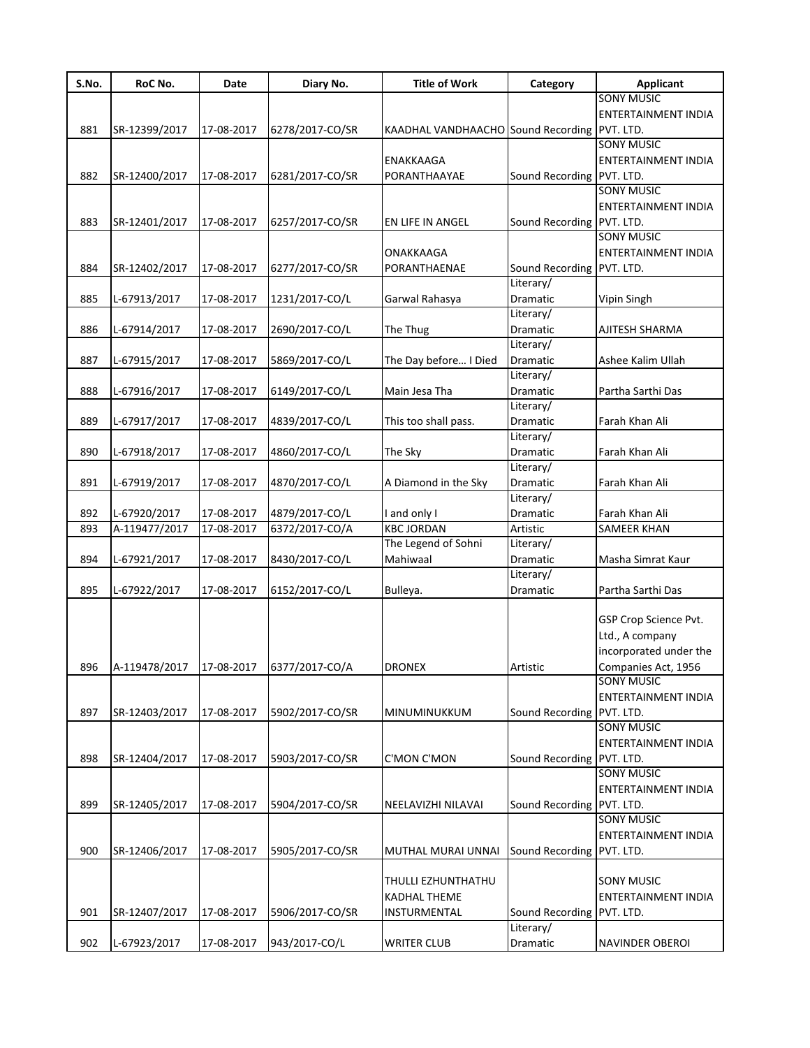| S.No. | RoC No.                                 | Date       | Diary No.       | <b>Title of Work</b>                         | Category                  | <b>Applicant</b>           |
|-------|-----------------------------------------|------------|-----------------|----------------------------------------------|---------------------------|----------------------------|
|       |                                         |            |                 |                                              |                           | <b>SONY MUSIC</b>          |
|       |                                         |            |                 |                                              |                           | <b>ENTERTAINMENT INDIA</b> |
| 881   | SR-12399/2017                           | 17-08-2017 | 6278/2017-CO/SR | KAADHAL VANDHAACHO Sound Recording PVT. LTD. |                           |                            |
|       |                                         |            |                 |                                              |                           | <b>SONY MUSIC</b>          |
|       |                                         |            |                 | <b>ENAKKAAGA</b>                             |                           | ENTERTAINMENT INDIA        |
| 882   | SR-12400/2017                           | 17-08-2017 | 6281/2017-CO/SR | PORANTHAAYAE                                 | Sound Recording PVT. LTD. |                            |
|       |                                         |            |                 |                                              |                           | <b>SONY MUSIC</b>          |
|       |                                         |            |                 |                                              |                           | ENTERTAINMENT INDIA        |
| 883   | SR-12401/2017                           | 17-08-2017 | 6257/2017-CO/SR | EN LIFE IN ANGEL                             | Sound Recording           | PVT. LTD.                  |
|       |                                         |            |                 |                                              |                           | <b>SONY MUSIC</b>          |
|       |                                         |            |                 | <b>ONAKKAAGA</b>                             |                           | ENTERTAINMENT INDIA        |
| 884   | SR-12402/2017                           | 17-08-2017 | 6277/2017-CO/SR | PORANTHAENAE                                 | Sound Recording PVT. LTD. |                            |
|       |                                         |            |                 |                                              | Literary/                 |                            |
| 885   | L-67913/2017                            | 17-08-2017 | 1231/2017-CO/L  | Garwal Rahasya                               | Dramatic                  | Vipin Singh                |
|       |                                         |            |                 |                                              | Literary/                 |                            |
| 886   |                                         |            |                 |                                              |                           |                            |
|       | L-67914/2017                            | 17-08-2017 | 2690/2017-CO/L  | The Thug                                     | Dramatic                  | AJITESH SHARMA             |
|       |                                         |            |                 |                                              | Literary/                 |                            |
| 887   | L-67915/2017                            | 17-08-2017 | 5869/2017-CO/L  | The Day before I Died                        | Dramatic                  | Ashee Kalim Ullah          |
|       |                                         |            |                 |                                              | Literary/                 |                            |
| 888   | L-67916/2017                            | 17-08-2017 | 6149/2017-CO/L  | Main Jesa Tha                                | Dramatic                  | Partha Sarthi Das          |
|       |                                         |            |                 |                                              | Literary/                 |                            |
| 889   | L-67917/2017                            | 17-08-2017 | 4839/2017-CO/L  | This too shall pass.                         | Dramatic                  | Farah Khan Ali             |
|       |                                         |            |                 |                                              | Literary/                 |                            |
| 890   | L-67918/2017                            | 17-08-2017 | 4860/2017-CO/L  | The Sky                                      | Dramatic                  | Farah Khan Ali             |
|       |                                         |            |                 |                                              | Literary/                 |                            |
| 891   | L-67919/2017                            | 17-08-2017 | 4870/2017-CO/L  | A Diamond in the Sky                         | Dramatic                  | Farah Khan Ali             |
|       |                                         |            |                 |                                              | Literary/                 |                            |
| 892   | L-67920/2017                            | 17-08-2017 | 4879/2017-CO/L  | and only I                                   | Dramatic                  | Farah Khan Ali             |
| 893   | A-119477/2017                           | 17-08-2017 | 6372/2017-CO/A  | <b>KBC JORDAN</b>                            | Artistic                  | <b>SAMEER KHAN</b>         |
|       |                                         |            |                 | The Legend of Sohni                          | Literary/                 |                            |
| 894   | L-67921/2017                            | 17-08-2017 | 8430/2017-CO/L  | Mahiwaal                                     | Dramatic                  | Masha Simrat Kaur          |
|       |                                         |            |                 |                                              | Literary/                 |                            |
| 895   | L-67922/2017                            | 17-08-2017 | 6152/2017-CO/L  | Bulleya.                                     | Dramatic                  | Partha Sarthi Das          |
|       |                                         |            |                 |                                              |                           |                            |
|       |                                         |            |                 |                                              |                           | GSP Crop Science Pvt.      |
|       |                                         |            |                 |                                              |                           | Ltd., A company            |
|       |                                         |            |                 |                                              |                           | incorporated under the     |
|       |                                         |            |                 |                                              |                           |                            |
| 896   | A-119478/2017 17-08-2017 6377/2017-CO/A |            |                 | <b>DRONEX</b>                                | Artistic                  | Companies Act, 1956        |
|       |                                         |            |                 |                                              |                           | <b>SONY MUSIC</b>          |
|       |                                         |            |                 |                                              |                           | ENTERTAINMENT INDIA        |
| 897   | SR-12403/2017                           | 17-08-2017 | 5902/2017-CO/SR | MINUMINUKKUM                                 | Sound Recording PVT. LTD. |                            |
|       |                                         |            |                 |                                              |                           | <b>SONY MUSIC</b>          |
|       |                                         |            |                 |                                              |                           | <b>ENTERTAINMENT INDIA</b> |
| 898   | SR-12404/2017                           | 17-08-2017 | 5903/2017-CO/SR | <b>C'MON C'MON</b>                           | Sound Recording PVT. LTD. |                            |
|       |                                         |            |                 |                                              |                           | <b>SONY MUSIC</b>          |
|       |                                         |            |                 |                                              |                           | ENTERTAINMENT INDIA        |
| 899   | SR-12405/2017                           | 17-08-2017 | 5904/2017-CO/SR | NEELAVIZHI NILAVAI                           | Sound Recording PVT. LTD. |                            |
|       |                                         |            |                 |                                              |                           | <b>SONY MUSIC</b>          |
|       |                                         |            |                 |                                              |                           | ENTERTAINMENT INDIA        |
| 900   | SR-12406/2017                           | 17-08-2017 | 5905/2017-CO/SR | MUTHAL MURAI UNNAI                           | Sound Recording           | PVT. LTD.                  |
|       |                                         |            |                 |                                              |                           |                            |
|       |                                         |            |                 | THULLI EZHUNTHATHU                           |                           | <b>SONY MUSIC</b>          |
|       |                                         |            |                 | <b>KADHAL THEME</b>                          |                           | ENTERTAINMENT INDIA        |
| 901   | SR-12407/2017                           | 17-08-2017 | 5906/2017-CO/SR | INSTURMENTAL                                 | Sound Recording           | PVT. LTD.                  |
|       |                                         |            |                 |                                              | Literary/                 |                            |
|       |                                         |            |                 |                                              |                           |                            |
| 902   | L-67923/2017                            | 17-08-2017 | 943/2017-CO/L   | <b>WRITER CLUB</b>                           | Dramatic                  | NAVINDER OBEROI            |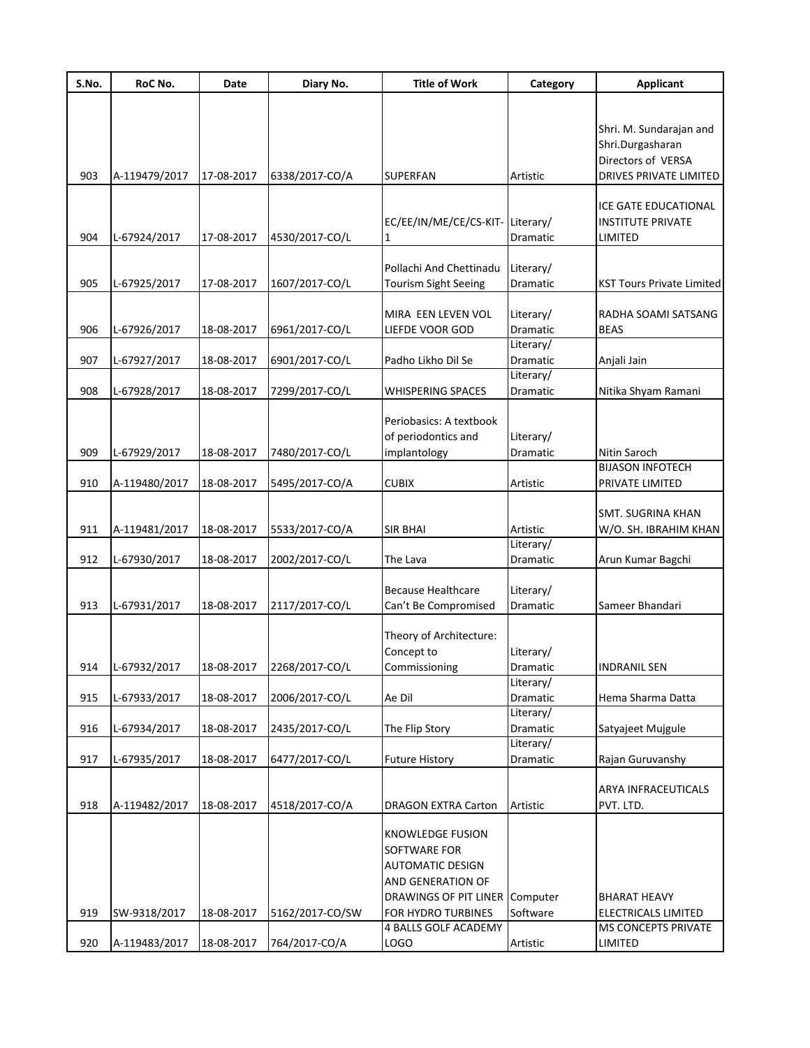| S.No. | RoC No.       | Date       | Diary No.       | <b>Title of Work</b>                                                                                                      | Category              | <b>Applicant</b>                                                  |
|-------|---------------|------------|-----------------|---------------------------------------------------------------------------------------------------------------------------|-----------------------|-------------------------------------------------------------------|
|       |               |            |                 |                                                                                                                           |                       |                                                                   |
|       |               |            |                 |                                                                                                                           |                       | Shri. M. Sundarajan and<br>Shri.Durgasharan<br>Directors of VERSA |
| 903   | A-119479/2017 | 17-08-2017 | 6338/2017-CO/A  | <b>SUPERFAN</b>                                                                                                           | Artistic              | DRIVES PRIVATE LIMITED                                            |
| 904   | L-67924/2017  | 17-08-2017 | 4530/2017-CO/L  | EC/EE/IN/ME/CE/CS-KIT-Literary/                                                                                           | Dramatic              | ICE GATE EDUCATIONAL<br><b>INSTITUTE PRIVATE</b><br>LIMITED       |
|       |               |            |                 |                                                                                                                           |                       |                                                                   |
|       |               |            |                 | Pollachi And Chettinadu                                                                                                   | Literary/             |                                                                   |
| 905   | L-67925/2017  | 17-08-2017 | 1607/2017-CO/L  | <b>Tourism Sight Seeing</b>                                                                                               | Dramatic              | <b>KST Tours Private Limited</b>                                  |
| 906   | L-67926/2017  | 18-08-2017 | 6961/2017-CO/L  | MIRA EEN LEVEN VOL<br>LIEFDE VOOR GOD                                                                                     | Literary/<br>Dramatic | RADHA SOAMI SATSANG<br><b>BEAS</b>                                |
|       |               |            |                 |                                                                                                                           | Literary/             |                                                                   |
| 907   | L-67927/2017  | 18-08-2017 | 6901/2017-CO/L  | Padho Likho Dil Se                                                                                                        | Dramatic              | Anjali Jain                                                       |
| 908   | L-67928/2017  | 18-08-2017 |                 | <b>WHISPERING SPACES</b>                                                                                                  | Literary/<br>Dramatic | Nitika Shyam Ramani                                               |
|       |               |            | 7299/2017-CO/L  |                                                                                                                           |                       |                                                                   |
| 909   | L-67929/2017  | 18-08-2017 | 7480/2017-CO/L  | Periobasics: A textbook<br>of periodontics and<br>implantology                                                            | Literary/<br>Dramatic | Nitin Saroch                                                      |
|       |               |            |                 |                                                                                                                           |                       | <b>BIJASON INFOTECH</b>                                           |
| 910   | A-119480/2017 | 18-08-2017 | 5495/2017-CO/A  | <b>CUBIX</b>                                                                                                              | Artistic              | PRIVATE LIMITED                                                   |
| 911   | A-119481/2017 | 18-08-2017 | 5533/2017-CO/A  | <b>SIR BHAI</b>                                                                                                           | Artistic              | <b>SMT. SUGRINA KHAN</b><br>W/O. SH. IBRAHIM KHAN                 |
|       |               |            |                 |                                                                                                                           | Literary/             |                                                                   |
| 912   | L-67930/2017  | 18-08-2017 | 2002/2017-CO/L  | The Lava                                                                                                                  | Dramatic              | Arun Kumar Bagchi                                                 |
| 913   | L-67931/2017  | 18-08-2017 | 2117/2017-CO/L  | <b>Because Healthcare</b><br>Can't Be Compromised                                                                         | Literary/<br>Dramatic | Sameer Bhandari                                                   |
| 914   | L-67932/2017  | 18-08-2017 | 2268/2017-CO/L  | Theory of Architecture:<br>Concept to<br>Commissioning                                                                    | Literary/<br>Dramatic | <b>INDRANIL SEN</b>                                               |
|       |               |            |                 |                                                                                                                           | Literary/             |                                                                   |
| 915   | L-67933/2017  | 18-08-2017 | 2006/2017-CO/L  | Ae Dil                                                                                                                    | Dramatic              | Hema Sharma Datta                                                 |
| 916   | L-67934/2017  | 18-08-2017 | 2435/2017-CO/L  | The Flip Story                                                                                                            | Literary/<br>Dramatic | Satyajeet Mujgule                                                 |
|       |               |            |                 |                                                                                                                           | Literary/             |                                                                   |
| 917   | L-67935/2017  | 18-08-2017 | 6477/2017-CO/L  | <b>Future History</b>                                                                                                     | Dramatic              | Rajan Guruvanshy                                                  |
| 918   | A-119482/2017 | 18-08-2017 | 4518/2017-CO/A  | <b>DRAGON EXTRA Carton</b>                                                                                                | Artistic              | ARYA INFRACEUTICALS<br>PVT. LTD.                                  |
|       |               |            |                 | <b>KNOWLEDGE FUSION</b><br>SOFTWARE FOR<br><b>AUTOMATIC DESIGN</b><br>AND GENERATION OF<br>DRAWINGS OF PIT LINER Computer |                       | <b>BHARAT HEAVY</b>                                               |
| 919   | SW-9318/2017  | 18-08-2017 | 5162/2017-CO/SW | FOR HYDRO TURBINES                                                                                                        | Software              | ELECTRICALS LIMITED                                               |
|       |               |            |                 | 4 BALLS GOLF ACADEMY                                                                                                      |                       | <b>MS CONCEPTS PRIVATE</b>                                        |
| 920   | A-119483/2017 | 18-08-2017 | 764/2017-CO/A   | <b>LOGO</b>                                                                                                               | Artistic              | LIMITED                                                           |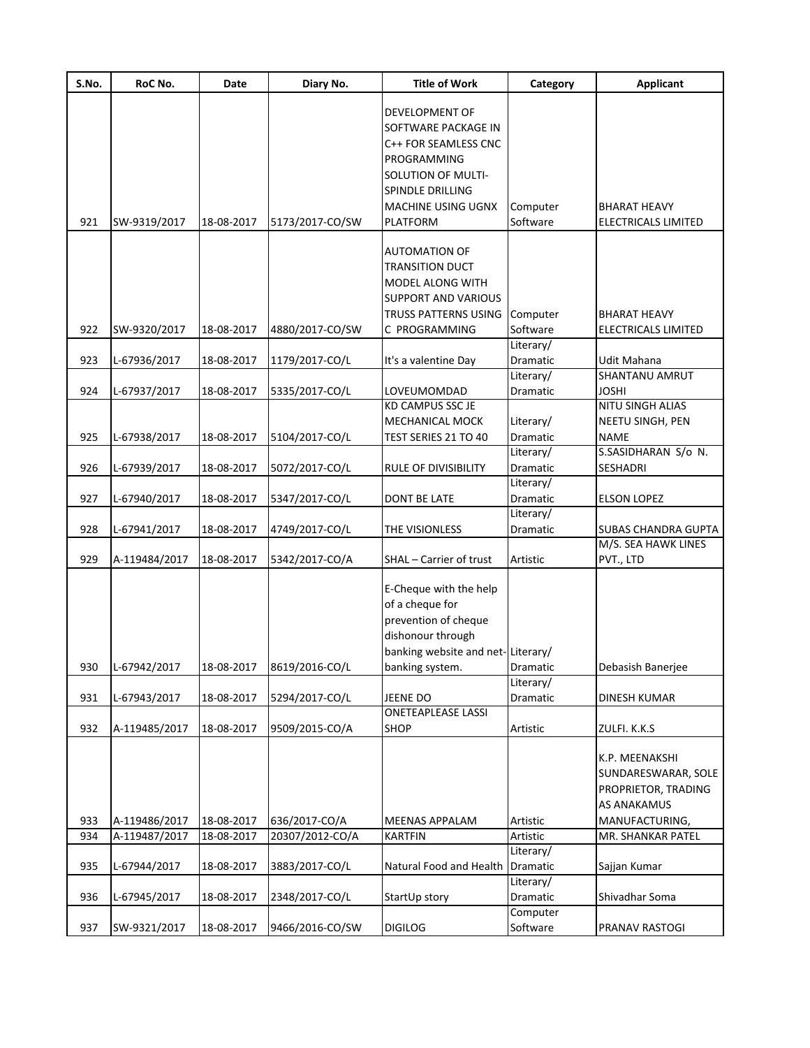| S.No. | RoC No.       | Date       | Diary No.       | <b>Title of Work</b>              | Category              | <b>Applicant</b>           |
|-------|---------------|------------|-----------------|-----------------------------------|-----------------------|----------------------------|
|       |               |            |                 | DEVELOPMENT OF                    |                       |                            |
|       |               |            |                 | SOFTWARE PACKAGE IN               |                       |                            |
|       |               |            |                 |                                   |                       |                            |
|       |               |            |                 | C++ FOR SEAMLESS CNC              |                       |                            |
|       |               |            |                 | PROGRAMMING                       |                       |                            |
|       |               |            |                 | SOLUTION OF MULTI-                |                       |                            |
|       |               |            |                 | <b>SPINDLE DRILLING</b>           |                       |                            |
|       |               |            |                 | <b>MACHINE USING UGNX</b>         | Computer              | <b>BHARAT HEAVY</b>        |
| 921   | SW-9319/2017  | 18-08-2017 | 5173/2017-CO/SW | <b>PLATFORM</b>                   | Software              | ELECTRICALS LIMITED        |
|       |               |            |                 | <b>AUTOMATION OF</b>              |                       |                            |
|       |               |            |                 | <b>TRANSITION DUCT</b>            |                       |                            |
|       |               |            |                 | <b>MODEL ALONG WITH</b>           |                       |                            |
|       |               |            |                 | <b>SUPPORT AND VARIOUS</b>        |                       |                            |
|       |               |            |                 | <b>TRUSS PATTERNS USING</b>       | Computer              | <b>BHARAT HEAVY</b>        |
| 922   |               | 18-08-2017 |                 | C PROGRAMMING                     |                       |                            |
|       | SW-9320/2017  |            | 4880/2017-CO/SW |                                   | Software<br>Literary/ | ELECTRICALS LIMITED        |
| 923   | L-67936/2017  | 18-08-2017 | 1179/2017-CO/L  | It's a valentine Day              | Dramatic              | Udit Mahana                |
|       |               |            |                 |                                   | Literary/             | SHANTANU AMRUT             |
| 924   | L-67937/2017  | 18-08-2017 | 5335/2017-CO/L  | LOVEUMOMDAD                       | Dramatic              | <b>JOSHI</b>               |
|       |               |            |                 | <b>KD CAMPUS SSC JE</b>           |                       | NITU SINGH ALIAS           |
|       |               |            |                 | <b>MECHANICAL MOCK</b>            | Literary/             | NEETU SINGH, PEN           |
| 925   | L-67938/2017  | 18-08-2017 | 5104/2017-CO/L  | TEST SERIES 21 TO 40              | Dramatic              | <b>NAME</b>                |
|       |               |            |                 |                                   | Literary/             | S.SASIDHARAN S/o N.        |
| 926   |               | 18-08-2017 |                 | RULE OF DIVISIBILITY              | Dramatic              | SESHADRI                   |
|       | L-67939/2017  |            | 5072/2017-CO/L  |                                   | Literary/             |                            |
| 927   | L-67940/2017  | 18-08-2017 |                 | <b>DONT BE LATE</b>               | Dramatic              | <b>ELSON LOPEZ</b>         |
|       |               |            | 5347/2017-CO/L  |                                   | Literary/             |                            |
| 928   | L-67941/2017  | 18-08-2017 | 4749/2017-CO/L  | THE VISIONLESS                    | Dramatic              | <b>SUBAS CHANDRA GUPTA</b> |
|       |               |            |                 |                                   |                       | M/S. SEA HAWK LINES        |
| 929   | A-119484/2017 | 18-08-2017 | 5342/2017-CO/A  | SHAL - Carrier of trust           | Artistic              | PVT., LTD                  |
|       |               |            |                 |                                   |                       |                            |
|       |               |            |                 | E-Cheque with the help            |                       |                            |
|       |               |            |                 | of a cheque for                   |                       |                            |
|       |               |            |                 | prevention of cheque              |                       |                            |
|       |               |            |                 | dishonour through                 |                       |                            |
|       |               |            |                 | banking website and net-Literary/ |                       |                            |
| 930   | L-67942/2017  | 18-08-2017 | 8619/2016-CO/L  | banking system.                   | Dramatic              | Debasish Banerjee          |
|       |               |            |                 |                                   | Literary/             |                            |
| 931   | L-67943/2017  | 18-08-2017 | 5294/2017-CO/L  | JEENE DO                          | Dramatic              | <b>DINESH KUMAR</b>        |
|       |               |            |                 | <b>ONETEAPLEASE LASSI</b>         |                       |                            |
| 932   | A-119485/2017 | 18-08-2017 | 9509/2015-CO/A  | <b>SHOP</b>                       | Artistic              | ZULFI. K.K.S               |
|       |               |            |                 |                                   |                       |                            |
|       |               |            |                 |                                   |                       | K.P. MEENAKSHI             |
|       |               |            |                 |                                   |                       | SUNDARESWARAR, SOLE        |
|       |               |            |                 |                                   |                       | PROPRIETOR, TRADING        |
|       |               |            |                 |                                   |                       | AS ANAKAMUS                |
| 933   | A-119486/2017 | 18-08-2017 | 636/2017-CO/A   | <b>MEENAS APPALAM</b>             | Artistic              | MANUFACTURING,             |
| 934   | A-119487/2017 | 18-08-2017 | 20307/2012-CO/A | <b>KARTFIN</b>                    | Artistic              | MR. SHANKAR PATEL          |
|       |               |            |                 |                                   | Literary/             |                            |
| 935   | L-67944/2017  | 18-08-2017 | 3883/2017-CO/L  | Natural Food and Health           | Dramatic              | Sajjan Kumar               |
|       |               |            |                 |                                   | Literary/             |                            |
| 936   | L-67945/2017  | 18-08-2017 | 2348/2017-CO/L  | StartUp story                     | Dramatic              | Shivadhar Soma             |
|       |               |            |                 |                                   | Computer              |                            |
| 937   | SW-9321/2017  | 18-08-2017 | 9466/2016-CO/SW | <b>DIGILOG</b>                    | Software              | PRANAV RASTOGI             |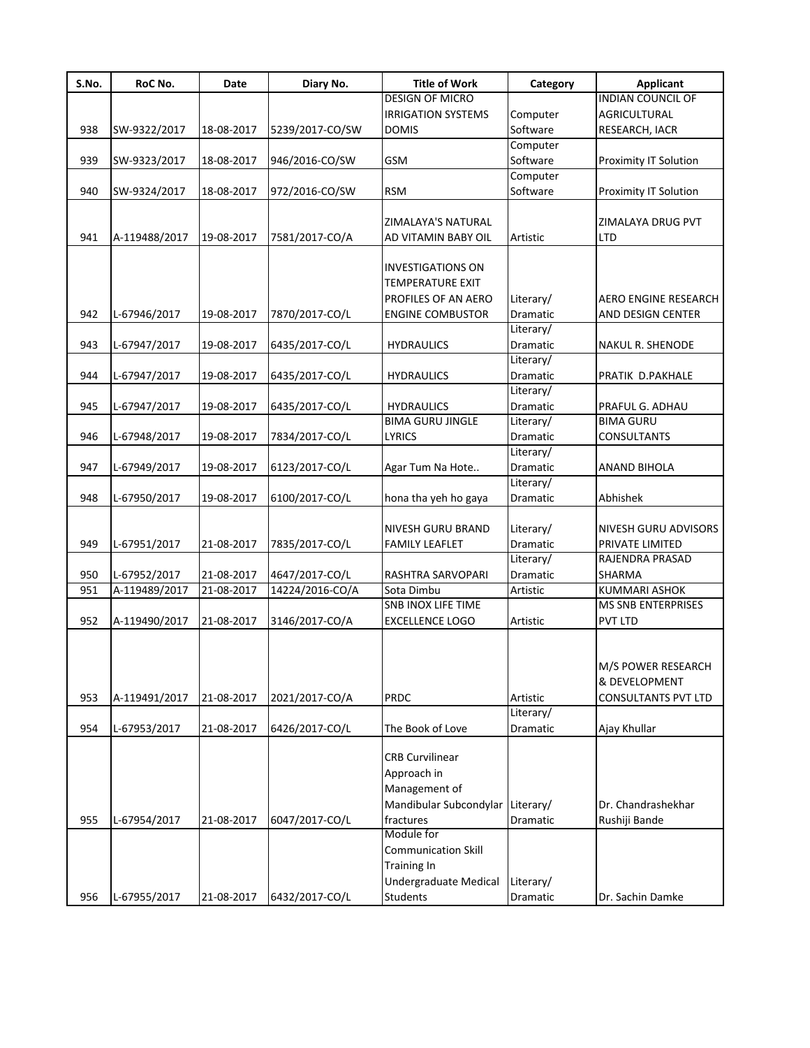| S.No. | RoC No.       | Date       | Diary No.       | <b>Title of Work</b>       | Category        | <b>Applicant</b>             |
|-------|---------------|------------|-----------------|----------------------------|-----------------|------------------------------|
|       |               |            |                 | DESIGN OF MICRO            |                 | <b>INDIAN COUNCIL OF</b>     |
|       |               |            |                 | <b>IRRIGATION SYSTEMS</b>  | Computer        | AGRICULTURAL                 |
| 938   | SW-9322/2017  | 18-08-2017 | 5239/2017-CO/SW | <b>DOMIS</b>               | Software        | RESEARCH, IACR               |
|       |               |            |                 |                            | Computer        |                              |
| 939   | SW-9323/2017  | 18-08-2017 | 946/2016-CO/SW  | <b>GSM</b>                 | Software        | <b>Proximity IT Solution</b> |
|       |               |            |                 |                            | Computer        |                              |
| 940   | SW-9324/2017  | 18-08-2017 | 972/2016-CO/SW  | <b>RSM</b>                 | Software        | Proximity IT Solution        |
|       |               |            |                 |                            |                 |                              |
|       |               |            |                 | ZIMALAYA'S NATURAL         |                 | ZIMALAYA DRUG PVT            |
| 941   | A-119488/2017 | 19-08-2017 | 7581/2017-CO/A  | AD VITAMIN BABY OIL        | Artistic        | LTD                          |
|       |               |            |                 |                            |                 |                              |
|       |               |            |                 | <b>INVESTIGATIONS ON</b>   |                 |                              |
|       |               |            |                 | <b>TEMPERATURE EXIT</b>    |                 |                              |
|       |               |            |                 | PROFILES OF AN AERO        | Literary/       | AERO ENGINE RESEARCH         |
| 942   | L-67946/2017  | 19-08-2017 | 7870/2017-CO/L  | <b>ENGINE COMBUSTOR</b>    | Dramatic        | AND DESIGN CENTER            |
|       |               |            |                 |                            | Literary/       |                              |
| 943   | L-67947/2017  | 19-08-2017 | 6435/2017-CO/L  | <b>HYDRAULICS</b>          | Dramatic        | NAKUL R. SHENODE             |
|       |               |            |                 |                            | Literary/       |                              |
| 944   |               |            |                 |                            |                 |                              |
|       | L-67947/2017  | 19-08-2017 | 6435/2017-CO/L  | <b>HYDRAULICS</b>          | Dramatic        | PRATIK D.PAKHALE             |
|       |               |            |                 |                            | Literary/       |                              |
| 945   | L-67947/2017  | 19-08-2017 | 6435/2017-CO/L  | <b>HYDRAULICS</b>          | Dramatic        | PRAFUL G. ADHAU              |
|       |               |            |                 | <b>BIMA GURU JINGLE</b>    | Literary/       | <b>BIMA GURU</b>             |
| 946   | L-67948/2017  | 19-08-2017 | 7834/2017-CO/L  | <b>LYRICS</b>              | Dramatic        | CONSULTANTS                  |
|       |               |            |                 |                            | Literary/       |                              |
| 947   | L-67949/2017  | 19-08-2017 | 6123/2017-CO/L  | Agar Tum Na Hote           | Dramatic        | ANAND BIHOLA                 |
|       |               |            |                 |                            | Literary/       |                              |
| 948   | L-67950/2017  | 19-08-2017 | 6100/2017-CO/L  | hona tha yeh ho gaya       | Dramatic        | Abhishek                     |
|       |               |            |                 |                            |                 |                              |
|       |               |            |                 | <b>NIVESH GURU BRAND</b>   | Literary/       | NIVESH GURU ADVISORS         |
| 949   | L-67951/2017  | 21-08-2017 | 7835/2017-CO/L  | <b>FAMILY LEAFLET</b>      | Dramatic        | PRIVATE LIMITED              |
|       |               |            |                 |                            | Literary/       | RAJENDRA PRASAD              |
| 950   | L-67952/2017  | 21-08-2017 | 4647/2017-CO/L  | RASHTRA SARVOPARI          | <b>Dramatic</b> | SHARMA                       |
| 951   | A-119489/2017 | 21-08-2017 | 14224/2016-CO/A | Sota Dimbu                 | Artistic        | <b>KUMMARI ASHOK</b>         |
|       |               |            |                 | <b>SNB INOX LIFE TIME</b>  |                 | <b>MS SNB ENTERPRISES</b>    |
| 952   | A-119490/2017 | 21-08-2017 | 3146/2017-CO/A  | <b>EXCELLENCE LOGO</b>     | Artistic        | <b>PVT LTD</b>               |
|       |               |            |                 |                            |                 |                              |
|       |               |            |                 |                            |                 |                              |
|       |               |            |                 |                            |                 | M/S POWER RESEARCH           |
|       |               |            |                 |                            |                 | & DEVELOPMENT                |
| 953   | A-119491/2017 | 21-08-2017 | 2021/2017-CO/A  | <b>PRDC</b>                | Artistic        | <b>CONSULTANTS PVT LTD</b>   |
|       |               |            |                 |                            | Literary/       |                              |
| 954   | L-67953/2017  | 21-08-2017 | 6426/2017-CO/L  | The Book of Love           | Dramatic        | Ajay Khullar                 |
|       |               |            |                 |                            |                 |                              |
|       |               |            |                 | <b>CRB Curvilinear</b>     |                 |                              |
|       |               |            |                 | Approach in                |                 |                              |
|       |               |            |                 | Management of              |                 |                              |
|       |               |            |                 | Mandibular Subcondylar     | Literary/       | Dr. Chandrashekhar           |
| 955   |               |            |                 |                            |                 |                              |
|       | L-67954/2017  | 21-08-2017 | 6047/2017-CO/L  | fractures<br>Module for    | Dramatic        | Rushiji Bande                |
|       |               |            |                 |                            |                 |                              |
|       |               |            |                 | <b>Communication Skill</b> |                 |                              |
|       |               |            |                 | <b>Training In</b>         |                 |                              |
|       |               |            |                 | Undergraduate Medical      | Literary/       |                              |
| 956   | L-67955/2017  | 21-08-2017 | 6432/2017-CO/L  | <b>Students</b>            | Dramatic        | Dr. Sachin Damke             |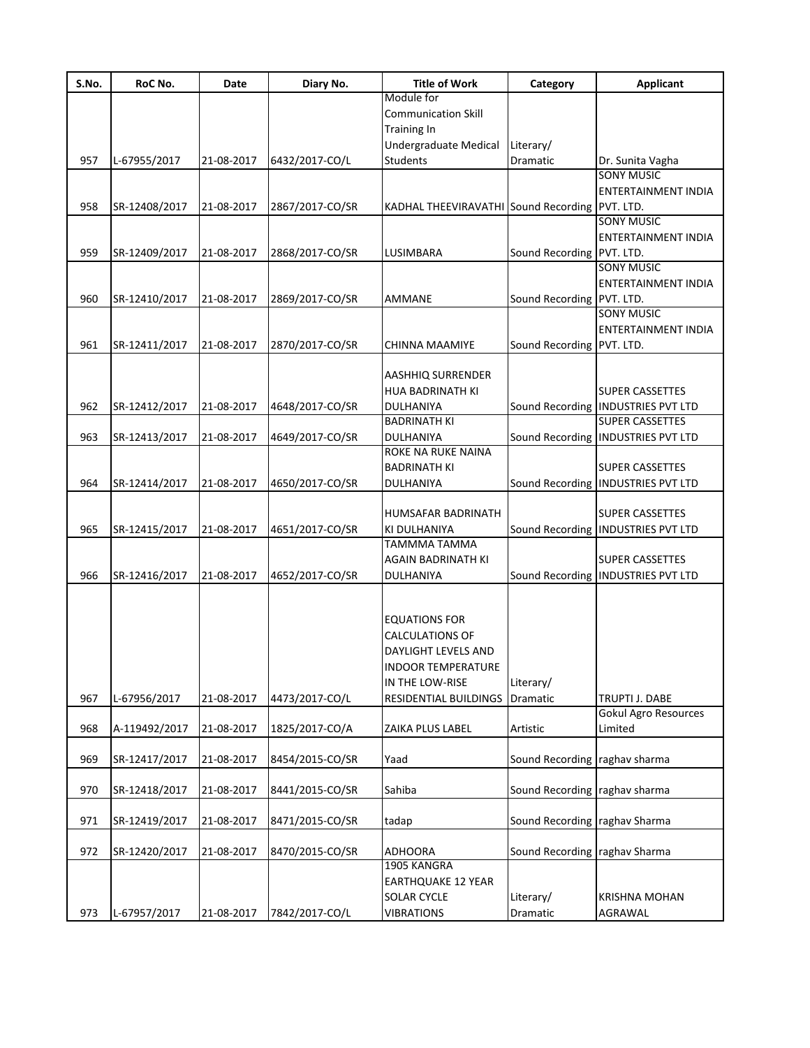| S.No. | RoC No.       | Date       | Diary No.       | <b>Title of Work</b>                           | Category                      | <b>Applicant</b>                                               |
|-------|---------------|------------|-----------------|------------------------------------------------|-------------------------------|----------------------------------------------------------------|
|       |               |            |                 | Module for<br><b>Communication Skill</b>       |                               |                                                                |
|       |               |            |                 | <b>Training In</b>                             |                               |                                                                |
|       |               |            |                 | Undergraduate Medical                          | Literary/                     |                                                                |
| 957   | L-67955/2017  | 21-08-2017 | 6432/2017-CO/L  | Students                                       | <b>Dramatic</b>               | Dr. Sunita Vagha                                               |
|       |               |            |                 |                                                |                               | <b>SONY MUSIC</b>                                              |
|       |               |            |                 |                                                |                               | ENTERTAINMENT INDIA                                            |
| 958   | SR-12408/2017 | 21-08-2017 | 2867/2017-CO/SR | KADHAL THEEVIRAVATHI Sound Recording PVT. LTD. |                               |                                                                |
|       |               |            |                 |                                                |                               | <b>SONY MUSIC</b>                                              |
| 959   |               |            |                 |                                                |                               | ENTERTAINMENT INDIA                                            |
|       | SR-12409/2017 | 21-08-2017 | 2868/2017-CO/SR | LUSIMBARA                                      | Sound Recording PVT. LTD.     | <b>SONY MUSIC</b>                                              |
|       |               |            |                 |                                                |                               | ENTERTAINMENT INDIA                                            |
| 960   | SR-12410/2017 | 21-08-2017 | 2869/2017-CO/SR | <b>AMMANE</b>                                  | Sound Recording PVT. LTD.     |                                                                |
|       |               |            |                 |                                                |                               | <b>SONY MUSIC</b>                                              |
|       |               |            |                 |                                                |                               | ENTERTAINMENT INDIA                                            |
| 961   | SR-12411/2017 | 21-08-2017 | 2870/2017-CO/SR | CHINNA MAAMIYE                                 | Sound Recording PVT. LTD.     |                                                                |
|       |               |            |                 |                                                |                               |                                                                |
|       |               |            |                 | <b>AASHHIQ SURRENDER</b>                       |                               |                                                                |
| 962   |               | 21-08-2017 |                 | <b>HUA BADRINATH KI</b>                        |                               | <b>SUPER CASSETTES</b><br>Sound Recording   INDUSTRIES PVT LTD |
|       | SR-12412/2017 |            | 4648/2017-CO/SR | DULHANIYA<br><b>BADRINATH KI</b>               |                               | <b>SUPER CASSETTES</b>                                         |
| 963   | SR-12413/2017 | 21-08-2017 | 4649/2017-CO/SR | DULHANIYA                                      |                               | Sound Recording   INDUSTRIES PVT LTD                           |
|       |               |            |                 | ROKE NA RUKE NAINA                             |                               |                                                                |
|       |               |            |                 | <b>BADRINATH KI</b>                            |                               | <b>SUPER CASSETTES</b>                                         |
| 964   | SR-12414/2017 | 21-08-2017 | 4650/2017-CO/SR | DULHANIYA                                      | Sound Recording               | <b>INDUSTRIES PVT LTD</b>                                      |
|       |               |            |                 |                                                |                               |                                                                |
|       |               |            |                 | HUMSAFAR BADRINATH                             |                               | <b>SUPER CASSETTES</b>                                         |
| 965   | SR-12415/2017 | 21-08-2017 | 4651/2017-CO/SR | KI DULHANIYA                                   |                               | Sound Recording   INDUSTRIES PVT LTD                           |
|       |               |            |                 | TAMMMA TAMMA<br><b>AGAIN BADRINATH KI</b>      |                               | <b>SUPER CASSETTES</b>                                         |
| 966   | SR-12416/2017 | 21-08-2017 | 4652/2017-CO/SR | <b>DULHANIYA</b>                               |                               | Sound Recording   INDUSTRIES PVT LTD                           |
|       |               |            |                 |                                                |                               |                                                                |
|       |               |            |                 |                                                |                               |                                                                |
|       |               |            |                 | <b>EQUATIONS FOR</b>                           |                               |                                                                |
|       |               |            |                 | <b>CALCULATIONS OF</b>                         |                               |                                                                |
|       |               |            |                 | DAYLIGHT LEVELS AND                            |                               |                                                                |
|       |               |            |                 | <b>INDOOR TEMPERATURE</b>                      |                               |                                                                |
|       |               |            |                 | IN THE LOW-RISE                                | Literary/                     |                                                                |
| 967   | L-67956/2017  | 21-08-2017 | 4473/2017-CO/L  | RESIDENTIAL BUILDINGS                          | Dramatic                      | TRUPTI J. DABE<br><b>Gokul Agro Resources</b>                  |
| 968   | A-119492/2017 | 21-08-2017 | 1825/2017-CO/A  | ZAIKA PLUS LABEL                               | Artistic                      | Limited                                                        |
|       |               |            |                 |                                                |                               |                                                                |
| 969   | SR-12417/2017 | 21-08-2017 | 8454/2015-CO/SR | Yaad                                           | Sound Recording               | raghav sharma                                                  |
|       |               |            |                 |                                                |                               |                                                                |
| 970   | SR-12418/2017 | 21-08-2017 | 8441/2015-CO/SR | Sahiba                                         | Sound Recording raghav sharma |                                                                |
|       |               |            |                 |                                                |                               |                                                                |
| 971   | SR-12419/2017 | 21-08-2017 | 8471/2015-CO/SR | tadap                                          | Sound Recording raghav Sharma |                                                                |
| 972   |               |            |                 |                                                |                               |                                                                |
|       | SR-12420/2017 | 21-08-2017 | 8470/2015-CO/SR | <b>ADHOORA</b><br>1905 KANGRA                  | Sound Recording raghav Sharma |                                                                |
|       |               |            |                 | <b>EARTHQUAKE 12 YEAR</b>                      |                               |                                                                |
|       |               |            |                 | <b>SOLAR CYCLE</b>                             | Literary/                     | <b>KRISHNA MOHAN</b>                                           |
| 973   | L-67957/2017  | 21-08-2017 | 7842/2017-CO/L  | <b>VIBRATIONS</b>                              | Dramatic                      | AGRAWAL                                                        |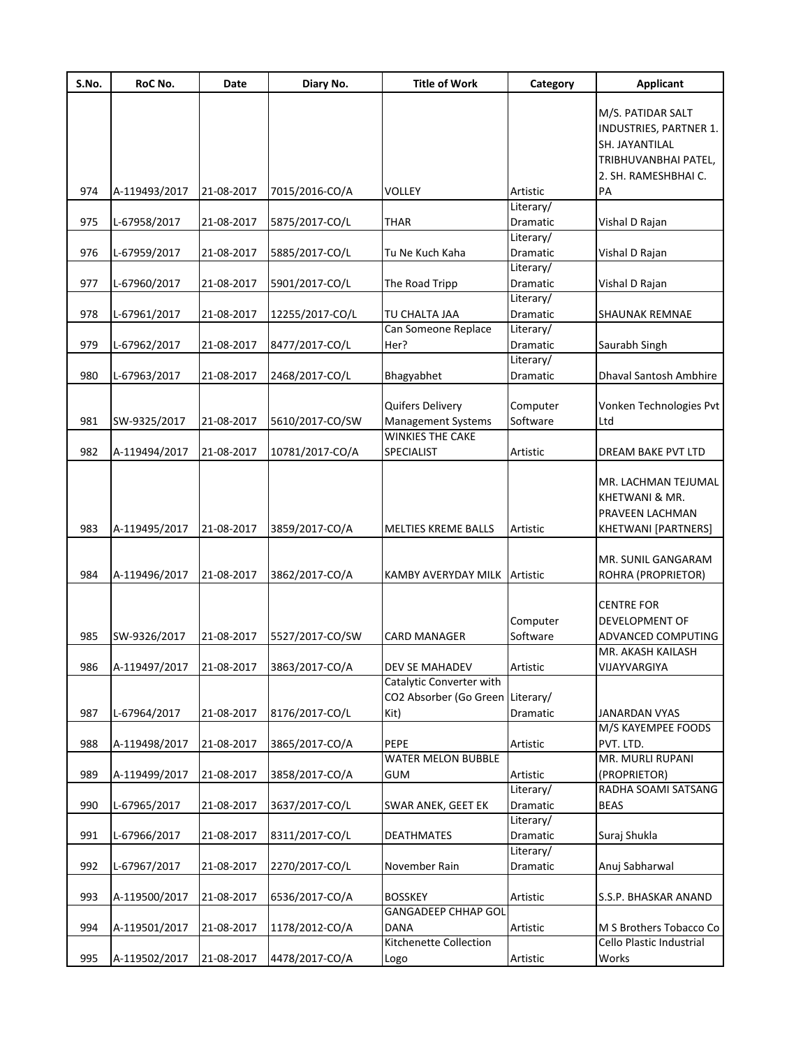| S.No. | RoC No.       | Date       | Diary No.       | <b>Title of Work</b>                       | Category              | <b>Applicant</b>                           |
|-------|---------------|------------|-----------------|--------------------------------------------|-----------------------|--------------------------------------------|
|       |               |            |                 |                                            |                       | M/S. PATIDAR SALT                          |
|       |               |            |                 |                                            |                       | INDUSTRIES, PARTNER 1.                     |
|       |               |            |                 |                                            |                       | SH. JAYANTILAL                             |
|       |               |            |                 |                                            |                       | TRIBHUVANBHAI PATEL,                       |
|       |               |            |                 |                                            |                       | 2. SH. RAMESHBHAI C.                       |
| 974   | A-119493/2017 | 21-08-2017 | 7015/2016-CO/A  | <b>VOLLEY</b>                              | Artistic              | PA                                         |
|       |               |            |                 |                                            | Literary/             |                                            |
| 975   | L-67958/2017  | 21-08-2017 | 5875/2017-CO/L  | <b>THAR</b>                                | Dramatic              | Vishal D Rajan                             |
| 976   | L-67959/2017  | 21-08-2017 |                 | Tu Ne Kuch Kaha                            | Literary/<br>Dramatic |                                            |
|       |               |            | 5885/2017-CO/L  |                                            | Literary/             | Vishal D Rajan                             |
| 977   | L-67960/2017  | 21-08-2017 | 5901/2017-CO/L  | The Road Tripp                             | Dramatic              | Vishal D Rajan                             |
|       |               |            |                 |                                            | Literary/             |                                            |
| 978   | L-67961/2017  | 21-08-2017 | 12255/2017-CO/L | TU CHALTA JAA                              | Dramatic              | <b>SHAUNAK REMNAE</b>                      |
|       |               |            |                 | Can Someone Replace                        | Literary/             |                                            |
| 979   | L-67962/2017  | 21-08-2017 | 8477/2017-CO/L  | Her?                                       | Dramatic              | Saurabh Singh                              |
|       |               |            |                 |                                            | Literary/             |                                            |
| 980   | L-67963/2017  | 21-08-2017 | 2468/2017-CO/L  | Bhagyabhet                                 | Dramatic              | <b>Dhaval Santosh Ambhire</b>              |
|       |               |            |                 |                                            |                       |                                            |
|       |               |            |                 | Quifers Delivery                           | Computer              | Vonken Technologies Pvt                    |
| 981   | SW-9325/2017  | 21-08-2017 | 5610/2017-CO/SW | <b>Management Systems</b>                  | Software              | Ltd                                        |
|       |               |            |                 | <b>WINKIES THE CAKE</b>                    |                       |                                            |
| 982   | A-119494/2017 | 21-08-2017 | 10781/2017-CO/A | <b>SPECIALIST</b>                          | Artistic              | DREAM BAKE PVT LTD                         |
|       |               |            |                 |                                            |                       |                                            |
|       |               |            |                 |                                            |                       | MR. LACHMAN TEJUMAL                        |
|       |               |            |                 |                                            |                       | KHETWANI & MR.                             |
|       |               |            |                 |                                            |                       | PRAVEEN LACHMAN                            |
| 983   | A-119495/2017 | 21-08-2017 | 3859/2017-CO/A  | MELTIES KREME BALLS                        | Artistic              | KHETWANI [PARTNERS]                        |
|       |               |            |                 |                                            |                       |                                            |
|       |               |            |                 |                                            |                       | MR. SUNIL GANGARAM                         |
| 984   | A-119496/2017 | 21-08-2017 | 3862/2017-CO/A  | KAMBY AVERYDAY MILK Artistic               |                       | ROHRA (PROPRIETOR)                         |
|       |               |            |                 |                                            |                       |                                            |
|       |               |            |                 |                                            |                       | <b>CENTRE FOR</b>                          |
|       |               |            |                 |                                            | Computer              | DEVELOPMENT OF                             |
| 985   | SW-9326/2017  | 21-08-2017 | 5527/2017-CO/SW | <b>CARD MANAGER</b>                        | Software              | ADVANCED COMPUTING                         |
|       |               |            |                 |                                            |                       | MR. AKASH KAILASH                          |
| 986   | A-119497/2017 | 21-08-2017 | 3863/2017-CO/A  | DEV SE MAHADEV<br>Catalytic Converter with | Artistic              | VIJAYVARGIYA                               |
|       |               |            |                 | CO2 Absorber (Go Green Literary/           |                       |                                            |
| 987   |               |            |                 |                                            |                       |                                            |
|       | L-67964/2017  | 21-08-2017 | 8176/2017-CO/L  | Kit)                                       | Dramatic              | <b>JANARDAN VYAS</b><br>M/S KAYEMPEE FOODS |
| 988   | A-119498/2017 | 21-08-2017 | 3865/2017-CO/A  | PEPE                                       | Artistic              | PVT. LTD.                                  |
|       |               |            |                 | <b>WATER MELON BUBBLE</b>                  |                       | MR. MURLI RUPANI                           |
| 989   | A-119499/2017 | 21-08-2017 | 3858/2017-CO/A  | <b>GUM</b>                                 | Artistic              | (PROPRIETOR)                               |
|       |               |            |                 |                                            | Literary/             | RADHA SOAMI SATSANG                        |
| 990   | L-67965/2017  | 21-08-2017 | 3637/2017-CO/L  | SWAR ANEK, GEET EK                         | Dramatic              | <b>BEAS</b>                                |
|       |               |            |                 |                                            | Literary/             |                                            |
| 991   | L-67966/2017  | 21-08-2017 | 8311/2017-CO/L  | <b>DEATHMATES</b>                          | Dramatic              | Suraj Shukla                               |
|       |               |            |                 |                                            | Literary/             |                                            |
| 992   | L-67967/2017  | 21-08-2017 | 2270/2017-CO/L  | November Rain                              | Dramatic              | Anuj Sabharwal                             |
|       |               |            |                 |                                            |                       |                                            |
| 993   | A-119500/2017 | 21-08-2017 | 6536/2017-CO/A  | <b>BOSSKEY</b>                             | Artistic              | S.S.P. BHASKAR ANAND                       |
|       |               |            |                 | <b>GANGADEEP CHHAP GOL</b>                 |                       |                                            |
| 994   | A-119501/2017 | 21-08-2017 | 1178/2012-CO/A  | <b>DANA</b>                                | Artistic              | M S Brothers Tobacco Co                    |
|       |               |            |                 | Kitchenette Collection                     |                       | Cello Plastic Industrial                   |
|       | A-119502/2017 | 21-08-2017 | 4478/2017-CO/A  | Logo                                       | Artistic              | Works                                      |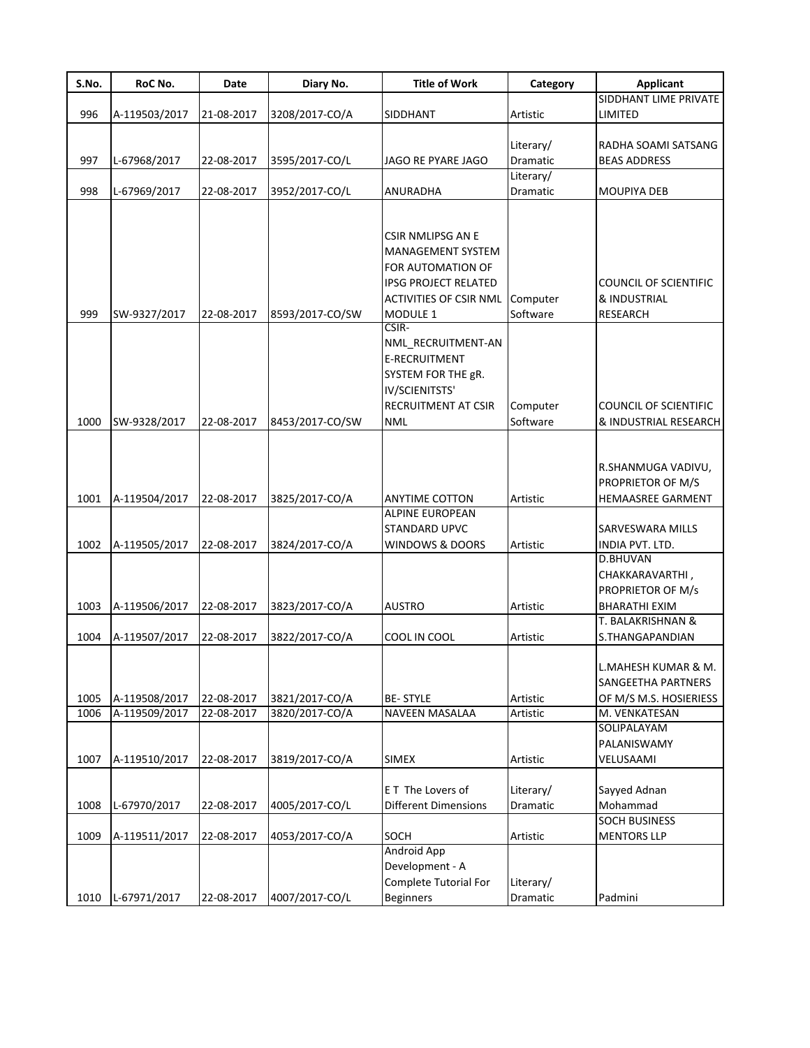| S.No. | RoC No.       | Date       | Diary No.       | <b>Title of Work</b>          | Category  | <b>Applicant</b>             |
|-------|---------------|------------|-----------------|-------------------------------|-----------|------------------------------|
|       |               |            |                 |                               |           | SIDDHANT LIME PRIVATE        |
| 996   | A-119503/2017 | 21-08-2017 | 3208/2017-CO/A  | SIDDHANT                      | Artistic  | LIMITED                      |
|       |               |            |                 |                               |           |                              |
|       |               |            |                 |                               | Literary/ | RADHA SOAMI SATSANG          |
| 997   | L-67968/2017  | 22-08-2017 | 3595/2017-CO/L  | JAGO RE PYARE JAGO            | Dramatic  | <b>BEAS ADDRESS</b>          |
|       |               |            |                 |                               | Literary/ |                              |
| 998   | L-67969/2017  | 22-08-2017 | 3952/2017-CO/L  | ANURADHA                      | Dramatic  | <b>MOUPIYA DEB</b>           |
|       |               |            |                 |                               |           |                              |
|       |               |            |                 | CSIR NMLIPSG AN E             |           |                              |
|       |               |            |                 | <b>MANAGEMENT SYSTEM</b>      |           |                              |
|       |               |            |                 | FOR AUTOMATION OF             |           |                              |
|       |               |            |                 | <b>IPSG PROJECT RELATED</b>   |           | <b>COUNCIL OF SCIENTIFIC</b> |
|       |               |            |                 | <b>ACTIVITIES OF CSIR NML</b> | Computer  | & INDUSTRIAL                 |
| 999   | SW-9327/2017  | 22-08-2017 | 8593/2017-CO/SW | MODULE 1                      | Software  | <b>RESEARCH</b>              |
|       |               |            |                 | CSIR-                         |           |                              |
|       |               |            |                 | NML_RECRUITMENT-AN            |           |                              |
|       |               |            |                 | E-RECRUITMENT                 |           |                              |
|       |               |            |                 | SYSTEM FOR THE gR.            |           |                              |
|       |               |            |                 | IV/SCIENITSTS'                |           |                              |
|       |               |            |                 | <b>RECRUITMENT AT CSIR</b>    | Computer  | <b>COUNCIL OF SCIENTIFIC</b> |
| 1000  | SW-9328/2017  | 22-08-2017 | 8453/2017-CO/SW | <b>NML</b>                    | Software  | & INDUSTRIAL RESEARCH        |
|       |               |            |                 |                               |           |                              |
|       |               |            |                 |                               |           |                              |
|       |               |            |                 |                               |           | R.SHANMUGA VADIVU,           |
|       |               |            |                 |                               |           | PROPRIETOR OF M/S            |
| 1001  | A-119504/2017 | 22-08-2017 | 3825/2017-CO/A  | <b>ANYTIME COTTON</b>         | Artistic  | <b>HEMAASREE GARMENT</b>     |
|       |               |            |                 | <b>ALPINE EUROPEAN</b>        |           |                              |
|       |               |            |                 | STANDARD UPVC                 |           | SARVESWARA MILLS             |
| 1002  | A-119505/2017 | 22-08-2017 | 3824/2017-CO/A  | <b>WINDOWS &amp; DOORS</b>    | Artistic  | INDIA PVT. LTD.              |
|       |               |            |                 |                               |           | D.BHUVAN                     |
|       |               |            |                 |                               |           | CHAKKARAVARTHI,              |
|       |               |            |                 |                               |           | PROPRIETOR OF M/s            |
| 1003  | A-119506/2017 | 22-08-2017 | 3823/2017-CO/A  | <b>AUSTRO</b>                 | Artistic  | <b>BHARATHI EXIM</b>         |
|       |               |            |                 |                               |           | T. BALAKRISHNAN &            |
| 1004  | A-119507/2017 | 22-08-2017 | 3822/2017-CO/A  | COOL IN COOL                  | Artistic  | S.THANGAPANDIAN              |
|       |               |            |                 |                               |           |                              |
|       |               |            |                 |                               |           | L.MAHESH KUMAR & M.          |
|       |               |            |                 |                               |           | <b>SANGEETHA PARTNERS</b>    |
| 1005  | A-119508/2017 | 22-08-2017 | 3821/2017-CO/A  | <b>BE-STYLE</b>               | Artistic  | OF M/S M.S. HOSIERIESS       |
| 1006  | A-119509/2017 | 22-08-2017 | 3820/2017-CO/A  | NAVEEN MASALAA                | Artistic  | M. VENKATESAN<br>SOLIPALAYAM |
|       |               |            |                 |                               |           | PALANISWAMY                  |
| 1007  | A-119510/2017 | 22-08-2017 | 3819/2017-CO/A  | <b>SIMEX</b>                  | Artistic  | VELUSAAMI                    |
|       |               |            |                 |                               |           |                              |
|       |               |            |                 | ET The Lovers of              | Literary/ | Sayyed Adnan                 |
| 1008  | L-67970/2017  | 22-08-2017 | 4005/2017-CO/L  | Different Dimensions          | Dramatic  | Mohammad                     |
|       |               |            |                 |                               |           | <b>SOCH BUSINESS</b>         |
| 1009  | A-119511/2017 | 22-08-2017 | 4053/2017-CO/A  | SOCH                          | Artistic  | <b>MENTORS LLP</b>           |
|       |               |            |                 | <b>Android App</b>            |           |                              |
|       |               |            |                 | Development - A               |           |                              |
|       |               |            |                 | Complete Tutorial For         | Literary/ |                              |
| 1010  | L-67971/2017  | 22-08-2017 | 4007/2017-CO/L  | <b>Beginners</b>              | Dramatic  | Padmini                      |
|       |               |            |                 |                               |           |                              |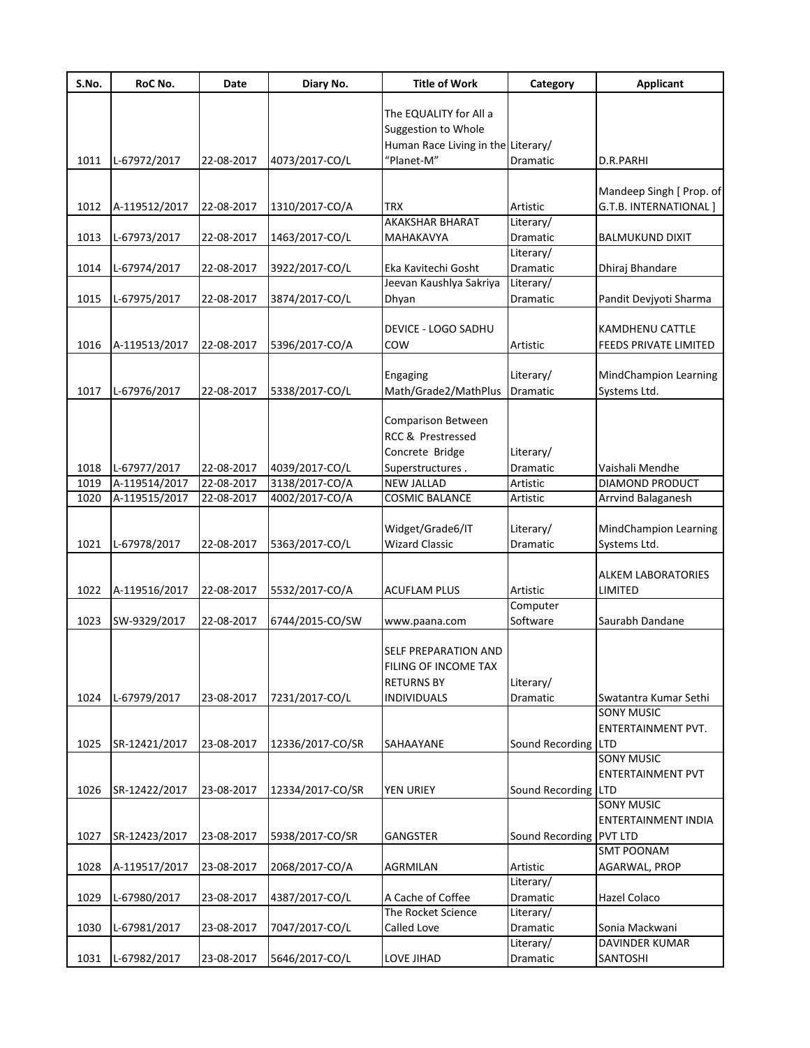| S.No.        | RoC No.                       | Date                     | Diary No.                        | <b>Title of Work</b>                    | Category                | <b>Applicant</b>                              |
|--------------|-------------------------------|--------------------------|----------------------------------|-----------------------------------------|-------------------------|-----------------------------------------------|
|              |                               |                          |                                  | The EQUALITY for All a                  |                         |                                               |
|              |                               |                          |                                  | Suggestion to Whole                     |                         |                                               |
|              |                               |                          |                                  | Human Race Living in the Literary/      |                         |                                               |
| 1011         | L-67972/2017                  | 22-08-2017               | 4073/2017-CO/L                   | "Planet-M"                              | Dramatic                | D.R.PARHI                                     |
|              |                               |                          |                                  |                                         |                         |                                               |
| 1012         |                               |                          |                                  | <b>TRX</b>                              |                         | Mandeep Singh [ Prop. of                      |
|              | A-119512/2017                 | 22-08-2017               | 1310/2017-CO/A                   | AKAKSHAR BHARAT                         | Artistic<br>Literary/   | G.T.B. INTERNATIONAL]                         |
| 1013         | L-67973/2017                  | 22-08-2017               | 1463/2017-CO/L                   | MAHAKAVYA                               | Dramatic                | <b>BALMUKUND DIXIT</b>                        |
|              |                               |                          |                                  |                                         | Literary/               |                                               |
| 1014         | L-67974/2017                  | 22-08-2017               | 3922/2017-CO/L                   | Eka Kavitechi Gosht                     | Dramatic                | Dhiraj Bhandare                               |
|              |                               |                          |                                  | Jeevan Kaushlya Sakriya                 | Literary/               |                                               |
| 1015         | L-67975/2017                  | 22-08-2017               | 3874/2017-CO/L                   | Dhyan                                   | Dramatic                | Pandit Devjyoti Sharma                        |
|              |                               |                          |                                  | DEVICE - LOGO SADHU                     |                         | KAMDHENU CATTLE                               |
| 1016         | A-119513/2017                 | 22-08-2017               | 5396/2017-CO/A                   | COW                                     | Artistic                | FEEDS PRIVATE LIMITED                         |
|              |                               |                          |                                  |                                         |                         |                                               |
|              |                               |                          |                                  | Engaging                                | Literary/               | <b>MindChampion Learning</b>                  |
| 1017         | L-67976/2017                  | 22-08-2017               | 5338/2017-CO/L                   | Math/Grade2/MathPlus                    | Dramatic                | Systems Ltd.                                  |
|              |                               |                          |                                  |                                         |                         |                                               |
|              |                               |                          |                                  | <b>Comparison Between</b>               |                         |                                               |
|              |                               |                          |                                  | RCC & Prestressed                       |                         |                                               |
|              |                               |                          |                                  | Concrete Bridge                         | Literary/               |                                               |
| 1018<br>1019 | L-67977/2017<br>A-119514/2017 | 22-08-2017<br>22-08-2017 | 4039/2017-CO/L<br>3138/2017-CO/A | Superstructures.<br><b>NEW JALLAD</b>   | Dramatic<br>Artistic    | Vaishali Mendhe<br><b>DIAMOND PRODUCT</b>     |
| 1020         | A-119515/2017                 | 22-08-2017               | 4002/2017-CO/A                   | <b>COSMIC BALANCE</b>                   | Artistic                | Arrvind Balaganesh                            |
|              |                               |                          |                                  |                                         |                         |                                               |
|              |                               |                          |                                  | Widget/Grade6/IT                        | Literary/               | <b>MindChampion Learning</b>                  |
| 1021         | L-67978/2017                  | 22-08-2017               | 5363/2017-CO/L                   | <b>Wizard Classic</b>                   | Dramatic                | Systems Ltd.                                  |
|              |                               |                          |                                  |                                         |                         |                                               |
|              |                               |                          |                                  |                                         |                         | <b>ALKEM LABORATORIES</b>                     |
| 1022         | A-119516/2017                 | 22-08-2017               | 5532/2017-CO/A                   | <b>ACUFLAM PLUS</b>                     | Artistic                | LIMITED                                       |
| 1023         |                               | 22-08-2017               |                                  |                                         | Computer<br>Software    | Saurabh Dandane                               |
|              | SW-9329/2017                  |                          | 6744/2015-CO/SW                  | www.paana.com                           |                         |                                               |
|              |                               |                          |                                  | SELF PREPARATION AND                    |                         |                                               |
|              |                               |                          |                                  | FILING OF INCOME TAX                    |                         |                                               |
|              |                               |                          |                                  | <b>RETURNS BY</b>                       | Literary/               |                                               |
| 1024         | L-67979/2017                  | 23-08-2017               | 7231/2017-CO/L                   | <b>INDIVIDUALS</b>                      | Dramatic                | Swatantra Kumar Sethi                         |
|              |                               |                          |                                  |                                         |                         | <b>SONY MUSIC</b>                             |
|              |                               |                          |                                  |                                         |                         | ENTERTAINMENT PVT.                            |
| 1025         | SR-12421/2017                 | 23-08-2017               | 12336/2017-CO/SR                 | SAHAAYANE                               | Sound Recording LTD     |                                               |
|              |                               |                          |                                  |                                         |                         | <b>SONY MUSIC</b><br><b>ENTERTAINMENT PVT</b> |
| 1026         | SR-12422/2017                 | 23-08-2017               | 12334/2017-CO/SR                 | <b>YEN URIEY</b>                        | Sound Recording LTD     |                                               |
|              |                               |                          |                                  |                                         |                         | <b>SONY MUSIC</b>                             |
|              |                               |                          |                                  |                                         |                         | <b>ENTERTAINMENT INDIA</b>                    |
| 1027         | SR-12423/2017                 | 23-08-2017               | 5938/2017-CO/SR                  | <b>GANGSTER</b>                         | Sound Recording PVT LTD |                                               |
|              |                               |                          |                                  |                                         |                         | <b>SMT POONAM</b>                             |
| 1028         | A-119517/2017                 | 23-08-2017               | 2068/2017-CO/A                   | AGRMILAN                                | Artistic                | AGARWAL, PROP                                 |
|              |                               |                          |                                  |                                         | Literary/               |                                               |
| 1029         | L-67980/2017                  | 23-08-2017               | 4387/2017-CO/L                   | A Cache of Coffee<br>The Rocket Science | Dramatic                | Hazel Colaco                                  |
| 1030         | L-67981/2017                  | 23-08-2017               | 7047/2017-CO/L                   | Called Love                             | Literary/<br>Dramatic   | Sonia Mackwani                                |
|              |                               |                          |                                  |                                         | Literary/               | DAVINDER KUMAR                                |
| 1031         | L-67982/2017                  | 23-08-2017               | 5646/2017-CO/L                   | LOVE JIHAD                              | Dramatic                | SANTOSHI                                      |
|              |                               |                          |                                  |                                         |                         |                                               |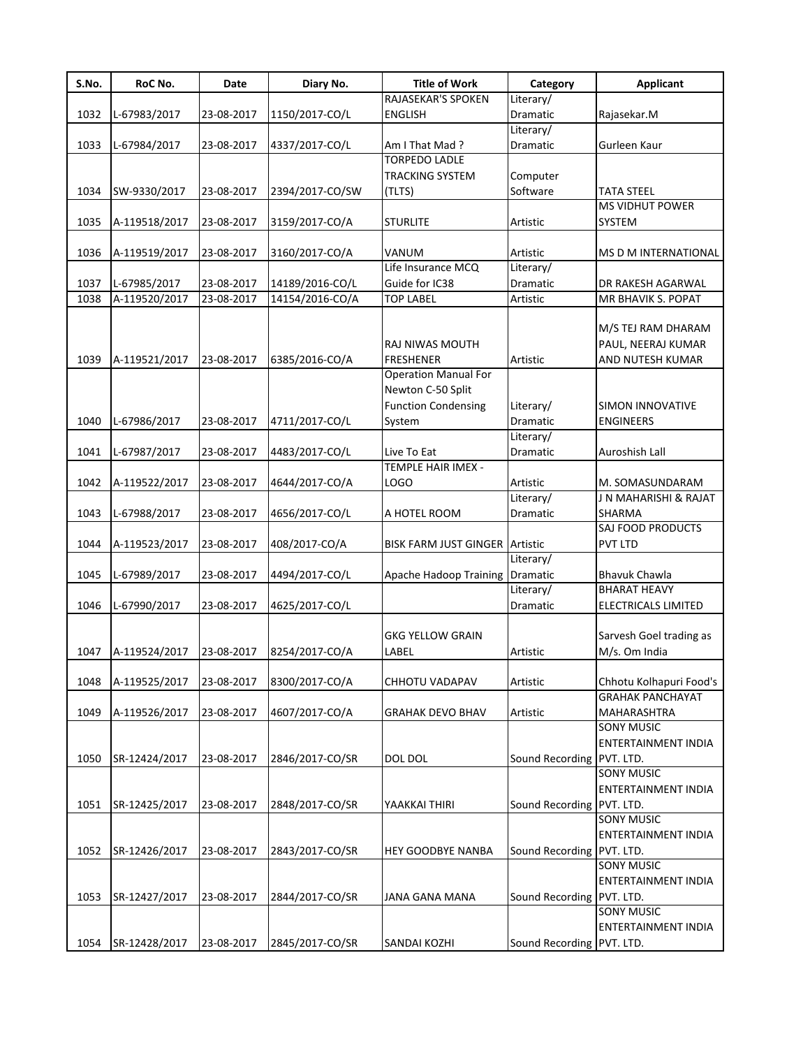| S.No. | RoC No.       | Date       | Diary No.       | <b>Title of Work</b>                  | Category                  | <b>Applicant</b>           |
|-------|---------------|------------|-----------------|---------------------------------------|---------------------------|----------------------------|
|       |               |            |                 | RAJASEKAR'S SPOKEN                    | Literary/                 |                            |
| 1032  | L-67983/2017  | 23-08-2017 | 1150/2017-CO/L  | <b>ENGLISH</b>                        | Dramatic                  | Rajasekar.M                |
|       |               |            |                 |                                       | Literary/                 |                            |
| 1033  | L-67984/2017  | 23-08-2017 | 4337/2017-CO/L  | Am I That Mad?                        | Dramatic                  | Gurleen Kaur               |
|       |               |            |                 | <b>TORPEDO LADLE</b>                  |                           |                            |
|       |               |            |                 | TRACKING SYSTEM                       | Computer                  |                            |
| 1034  | SW-9330/2017  | 23-08-2017 | 2394/2017-CO/SW | (TLTS)                                | Software                  | <b>TATA STEEL</b>          |
|       |               |            |                 |                                       |                           | <b>MS VIDHUT POWER</b>     |
| 1035  | A-119518/2017 | 23-08-2017 | 3159/2017-CO/A  | <b>STURLITE</b>                       | Artistic                  | SYSTEM                     |
|       |               |            |                 |                                       |                           |                            |
| 1036  | A-119519/2017 | 23-08-2017 | 3160/2017-CO/A  | VANUM                                 | Artistic                  | MS D M INTERNATIONAL       |
|       |               |            |                 | Life Insurance MCQ                    | Literary/                 |                            |
| 1037  | L-67985/2017  | 23-08-2017 | 14189/2016-CO/L | Guide for IC38                        | Dramatic                  | DR RAKESH AGARWAL          |
| 1038  | A-119520/2017 | 23-08-2017 | 14154/2016-CO/A | <b>TOP LABEL</b>                      | Artistic                  | MR BHAVIK S. POPAT         |
|       |               |            |                 |                                       |                           |                            |
|       |               |            |                 |                                       |                           | M/S TEJ RAM DHARAM         |
|       |               |            |                 | RAJ NIWAS MOUTH                       |                           | PAUL, NEERAJ KUMAR         |
| 1039  | A-119521/2017 | 23-08-2017 | 6385/2016-CO/A  | <b>FRESHENER</b>                      | Artistic                  | AND NUTESH KUMAR           |
|       |               |            |                 | <b>Operation Manual For</b>           |                           |                            |
|       |               |            |                 | Newton C-50 Split                     |                           |                            |
|       |               |            |                 | <b>Function Condensing</b>            | Literary/                 | <b>SIMON INNOVATIVE</b>    |
| 1040  | L-67986/2017  | 23-08-2017 | 4711/2017-CO/L  | System                                | Dramatic                  | <b>ENGINEERS</b>           |
|       |               |            |                 |                                       | Literary/                 |                            |
| 1041  | L-67987/2017  | 23-08-2017 | 4483/2017-CO/L  | Live To Eat                           | Dramatic                  | Auroshish Lall             |
|       |               |            |                 | TEMPLE HAIR IMEX -                    |                           |                            |
| 1042  | A-119522/2017 | 23-08-2017 | 4644/2017-CO/A  | LOGO                                  | Artistic                  | M. SOMASUNDARAM            |
|       |               |            |                 |                                       | Literary/                 | J N MAHARISHI & RAJAT      |
| 1043  | L-67988/2017  | 23-08-2017 | 4656/2017-CO/L  | A HOTEL ROOM                          | Dramatic                  | SHARMA                     |
|       |               |            |                 |                                       |                           | SAJ FOOD PRODUCTS          |
| 1044  | A-119523/2017 | 23-08-2017 | 408/2017-CO/A   | <b>BISK FARM JUST GINGER Artistic</b> |                           | PVT LTD                    |
|       |               |            |                 |                                       | Literary/                 |                            |
| 1045  | L-67989/2017  | 23-08-2017 | 4494/2017-CO/L  | Apache Hadoop Training Dramatic       |                           | <b>Bhavuk Chawla</b>       |
|       |               |            |                 |                                       | Literary/                 | <b>BHARAT HEAVY</b>        |
| 1046  | L-67990/2017  | 23-08-2017 | 4625/2017-CO/L  |                                       | Dramatic                  | ELECTRICALS LIMITED        |
|       |               |            |                 |                                       |                           |                            |
|       |               |            |                 | <b>GKG YELLOW GRAIN</b>               |                           | Sarvesh Goel trading as    |
| 1047  | A-119524/2017 | 23-08-2017 | 8254/2017-CO/A  | LABEL                                 | Artistic                  | M/s. Om India              |
|       |               |            |                 |                                       |                           |                            |
| 1048  | A-119525/2017 | 23-08-2017 | 8300/2017-CO/A  | <b>CHHOTU VADAPAV</b>                 | Artistic                  | Chhotu Kolhapuri Food's    |
|       |               |            |                 |                                       |                           | <b>GRAHAK PANCHAYAT</b>    |
| 1049  | A-119526/2017 | 23-08-2017 | 4607/2017-CO/A  | <b>GRAHAK DEVO BHAV</b>               | Artistic                  | MAHARASHTRA                |
|       |               |            |                 |                                       |                           | <b>SONY MUSIC</b>          |
|       |               |            |                 |                                       |                           | <b>ENTERTAINMENT INDIA</b> |
| 1050  | SR-12424/2017 | 23-08-2017 | 2846/2017-CO/SR | <b>DOL DOL</b>                        | Sound Recording PVT. LTD. |                            |
|       |               |            |                 |                                       |                           | <b>SONY MUSIC</b>          |
|       |               |            |                 |                                       |                           | ENTERTAINMENT INDIA        |
| 1051  | SR-12425/2017 | 23-08-2017 | 2848/2017-CO/SR | YAAKKAI THIRI                         | Sound Recording PVT. LTD. |                            |
|       |               |            |                 |                                       |                           | <b>SONY MUSIC</b>          |
|       |               |            |                 |                                       |                           |                            |
|       |               |            |                 |                                       |                           | ENTERTAINMENT INDIA        |
| 1052  | SR-12426/2017 | 23-08-2017 | 2843/2017-CO/SR | <b>HEY GOODBYE NANBA</b>              | Sound Recording           | PVT. LTD.                  |
|       |               |            |                 |                                       |                           | <b>SONY MUSIC</b>          |
|       |               |            |                 |                                       |                           | ENTERTAINMENT INDIA        |
| 1053  | SR-12427/2017 | 23-08-2017 | 2844/2017-CO/SR | JANA GANA MANA                        | Sound Recording PVT. LTD. |                            |
|       |               |            |                 |                                       |                           | <b>SONY MUSIC</b>          |
|       |               |            |                 |                                       |                           | ENTERTAINMENT INDIA        |
| 1054  | SR-12428/2017 | 23-08-2017 | 2845/2017-CO/SR | SANDAI KOZHI                          | Sound Recording PVT. LTD. |                            |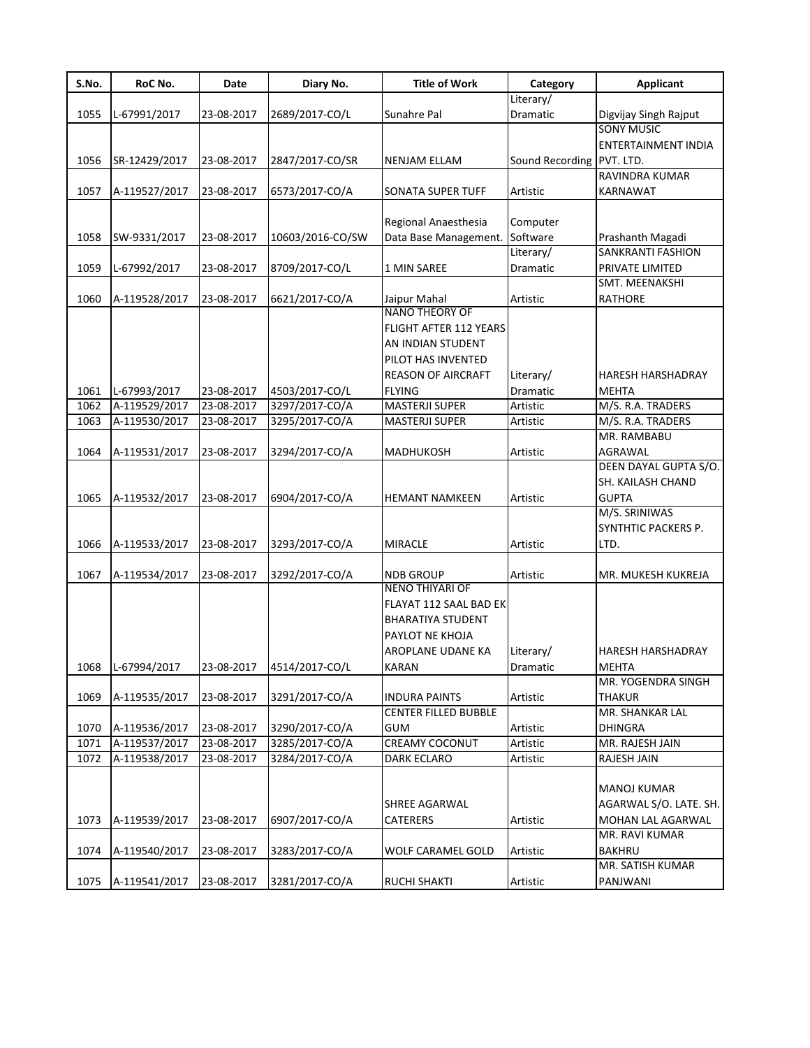| S.No. | RoC No.       | Date       | Diary No.        | <b>Title of Work</b>        | Category                  | <b>Applicant</b>           |
|-------|---------------|------------|------------------|-----------------------------|---------------------------|----------------------------|
|       |               |            |                  |                             | Literary/                 |                            |
| 1055  | L-67991/2017  | 23-08-2017 | 2689/2017-CO/L   | Sunahre Pal                 | Dramatic                  | Digvijay Singh Rajput      |
|       |               |            |                  |                             |                           | <b>SONY MUSIC</b>          |
|       |               |            |                  |                             |                           | <b>ENTERTAINMENT INDIA</b> |
| 1056  | SR-12429/2017 | 23-08-2017 | 2847/2017-CO/SR  | NENJAM ELLAM                | Sound Recording PVT. LTD. |                            |
|       |               |            |                  |                             |                           | RAVINDRA KUMAR             |
| 1057  | A-119527/2017 | 23-08-2017 | 6573/2017-CO/A   | SONATA SUPER TUFF           | Artistic                  | <b>KARNAWAT</b>            |
|       |               |            |                  |                             |                           |                            |
|       |               |            |                  | Regional Anaesthesia        | Computer                  |                            |
| 1058  | SW-9331/2017  | 23-08-2017 | 10603/2016-CO/SW | Data Base Management.       | Software                  | Prashanth Magadi           |
|       |               |            |                  |                             | Literary/                 | SANKRANTI FASHION          |
| 1059  | L-67992/2017  | 23-08-2017 | 8709/2017-CO/L   | 1 MIN SAREE                 | Dramatic                  | PRIVATE LIMITED            |
|       |               |            |                  |                             |                           | SMT. MEENAKSHI             |
| 1060  | A-119528/2017 | 23-08-2017 | 6621/2017-CO/A   | Jaipur Mahal                | Artistic                  | <b>RATHORE</b>             |
|       |               |            |                  | <b>NANO THEORY OF</b>       |                           |                            |
|       |               |            |                  | FLIGHT AFTER 112 YEARS      |                           |                            |
|       |               |            |                  | AN INDIAN STUDENT           |                           |                            |
|       |               |            |                  | PILOT HAS INVENTED          |                           |                            |
|       |               |            |                  | <b>REASON OF AIRCRAFT</b>   | Literary/                 | <b>HARESH HARSHADRAY</b>   |
| 1061  | L-67993/2017  | 23-08-2017 | 4503/2017-CO/L   | <b>FLYING</b>               | Dramatic                  | <b>MEHTA</b>               |
| 1062  | A-119529/2017 | 23-08-2017 | 3297/2017-CO/A   | MASTERJI SUPER              | Artistic                  | M/S. R.A. TRADERS          |
| 1063  | A-119530/2017 | 23-08-2017 | 3295/2017-CO/A   | MASTERJI SUPER              | Artistic                  | M/S. R.A. TRADERS          |
|       |               |            |                  |                             |                           | MR. RAMBABU                |
| 1064  | A-119531/2017 | 23-08-2017 | 3294/2017-CO/A   | <b>MADHUKOSH</b>            | Artistic                  | AGRAWAL                    |
|       |               |            |                  |                             |                           | DEEN DAYAL GUPTA S/O.      |
|       |               |            |                  |                             |                           | SH. KAILASH CHAND          |
| 1065  | A-119532/2017 | 23-08-2017 | 6904/2017-CO/A   | <b>HEMANT NAMKEEN</b>       | Artistic                  | <b>GUPTA</b>               |
|       |               |            |                  |                             |                           | M/S. SRINIWAS              |
|       |               |            |                  |                             |                           | SYNTHTIC PACKERS P.        |
| 1066  | A-119533/2017 | 23-08-2017 | 3293/2017-CO/A   | <b>MIRACLE</b>              | Artistic                  | LTD.                       |
|       |               |            |                  |                             |                           |                            |
| 1067  | A-119534/2017 | 23-08-2017 | 3292/2017-CO/A   | <b>NDB GROUP</b>            | Artistic                  | MR. MUKESH KUKREJA         |
|       |               |            |                  | <b>NENO THIYARI OF</b>      |                           |                            |
|       |               |            |                  | FLAYAT 112 SAAL BAD EK      |                           |                            |
|       |               |            |                  | <b>BHARATIYA STUDENT</b>    |                           |                            |
|       |               |            |                  | PAYLOT NE KHOJA             |                           |                            |
|       |               |            |                  | AROPLANE UDANE KA           | Literary/                 | <b>HARESH HARSHADRAY</b>   |
| 1068  | L-67994/2017  | 23-08-2017 | 4514/2017-CO/L   | KARAN                       | Dramatic                  | <b>MEHTA</b>               |
|       |               |            |                  |                             |                           | MR. YOGENDRA SINGH         |
| 1069  | A-119535/2017 | 23-08-2017 | 3291/2017-CO/A   | INDURA PAINTS               | Artistic                  | <b>THAKUR</b>              |
|       |               |            |                  | <b>CENTER FILLED BUBBLE</b> |                           | MR. SHANKAR LAL            |
| 1070  | A-119536/2017 | 23-08-2017 | 3290/2017-CO/A   | <b>GUM</b>                  | Artistic                  | <b>DHINGRA</b>             |
| 1071  | A-119537/2017 | 23-08-2017 | 3285/2017-CO/A   | CREAMY COCONUT              | Artistic                  | MR. RAJESH JAIN            |
| 1072  | A-119538/2017 | 23-08-2017 | 3284/2017-CO/A   | DARK ECLARO                 | Artistic                  | RAJESH JAIN                |
|       |               |            |                  |                             |                           |                            |
|       |               |            |                  |                             |                           | MANOJ KUMAR                |
|       |               |            |                  | SHREE AGARWAL               |                           | AGARWAL S/O. LATE. SH.     |
| 1073  | A-119539/2017 | 23-08-2017 | 6907/2017-CO/A   | <b>CATERERS</b>             | Artistic                  | MOHAN LAL AGARWAL          |
|       |               |            |                  |                             |                           | MR. RAVI KUMAR             |
| 1074  | A-119540/2017 | 23-08-2017 | 3283/2017-CO/A   | <b>WOLF CARAMEL GOLD</b>    | Artistic                  | <b>BAKHRU</b>              |
|       |               |            |                  |                             |                           | MR. SATISH KUMAR           |
| 1075  | A-119541/2017 | 23-08-2017 | 3281/2017-CO/A   | <b>RUCHI SHAKTI</b>         | Artistic                  | PANJWANI                   |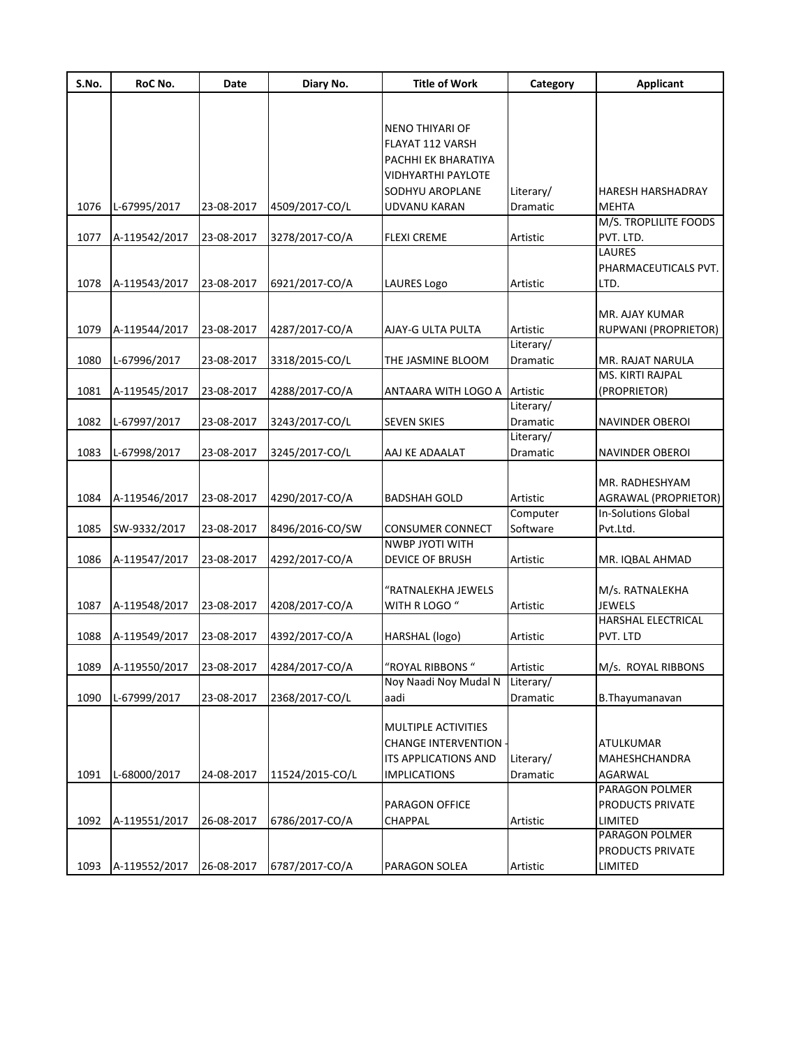| S.No. | RoC No.       | Date       | Diary No.       | <b>Title of Work</b>                              | Category        | <b>Applicant</b>           |
|-------|---------------|------------|-----------------|---------------------------------------------------|-----------------|----------------------------|
|       |               |            |                 |                                                   |                 |                            |
|       |               |            |                 |                                                   |                 |                            |
|       |               |            |                 | <b>NENO THIYARI OF</b>                            |                 |                            |
|       |               |            |                 | <b>FLAYAT 112 VARSH</b><br>PACHHI EK BHARATIYA    |                 |                            |
|       |               |            |                 | <b>VIDHYARTHI PAYLOTE</b>                         |                 |                            |
|       |               |            |                 | SODHYU AROPLANE                                   | Literary/       | <b>HARESH HARSHADRAY</b>   |
| 1076  | L-67995/2017  | 23-08-2017 | 4509/2017-CO/L  | UDVANU KARAN                                      | Dramatic        | <b>MEHTA</b>               |
|       |               |            |                 |                                                   |                 | M/S. TROPLILITE FOODS      |
| 1077  | A-119542/2017 | 23-08-2017 | 3278/2017-CO/A  | <b>FLEXI CREME</b>                                | Artistic        | PVT. LTD.                  |
|       |               |            |                 |                                                   |                 | <b>LAURES</b>              |
|       |               |            |                 |                                                   |                 | PHARMACEUTICALS PVT.       |
| 1078  | A-119543/2017 | 23-08-2017 | 6921/2017-CO/A  | <b>LAURES Logo</b>                                | Artistic        | LTD.                       |
|       |               |            |                 |                                                   |                 |                            |
|       |               |            |                 |                                                   |                 | MR. AJAY KUMAR             |
| 1079  | A-119544/2017 | 23-08-2017 | 4287/2017-CO/A  | AJAY-G ULTA PULTA                                 | Artistic        | RUPWANI (PROPRIETOR)       |
|       |               |            |                 |                                                   | Literary/       |                            |
| 1080  | L-67996/2017  | 23-08-2017 | 3318/2015-CO/L  | THE JASMINE BLOOM                                 | <b>Dramatic</b> | MR. RAJAT NARULA           |
|       |               |            |                 |                                                   |                 | MS. KIRTI RAJPAL           |
| 1081  | A-119545/2017 | 23-08-2017 | 4288/2017-CO/A  | ANTAARA WITH LOGO A Artistic                      |                 | (PROPRIETOR)               |
|       |               |            |                 |                                                   | Literary/       |                            |
| 1082  | L-67997/2017  | 23-08-2017 | 3243/2017-CO/L  | <b>SEVEN SKIES</b>                                | Dramatic        | <b>NAVINDER OBEROI</b>     |
|       |               |            |                 |                                                   | Literary/       |                            |
| 1083  | L-67998/2017  | 23-08-2017 | 3245/2017-CO/L  | AAJ KE ADAALAT                                    | Dramatic        | NAVINDER OBEROI            |
|       |               |            |                 |                                                   |                 |                            |
|       |               |            |                 |                                                   |                 | MR. RADHESHYAM             |
| 1084  | A-119546/2017 | 23-08-2017 | 4290/2017-CO/A  | <b>BADSHAH GOLD</b>                               | Artistic        | AGRAWAL (PROPRIETOR)       |
|       |               |            |                 |                                                   | Computer        | <b>In-Solutions Global</b> |
| 1085  | SW-9332/2017  | 23-08-2017 | 8496/2016-CO/SW | <b>CONSUMER CONNECT</b><br><b>NWBP JYOTI WITH</b> | Software        | Pvt.Ltd.                   |
| 1086  | A-119547/2017 | 23-08-2017 | 4292/2017-CO/A  | <b>DEVICE OF BRUSH</b>                            | Artistic        | MR. IQBAL AHMAD            |
|       |               |            |                 |                                                   |                 |                            |
|       |               |            |                 | "RATNALEKHA JEWELS                                |                 | M/s. RATNALEKHA            |
| 1087  | A-119548/2017 | 23-08-2017 | 4208/2017-CO/A  | WITH R LOGO "                                     | Artistic        | <b>JEWELS</b>              |
|       |               |            |                 |                                                   |                 | HARSHAL ELECTRICAL         |
| 1088  | A-119549/2017 | 23-08-2017 | 4392/2017-CO/A  | HARSHAL (logo)                                    | Artistic        | PVT. LTD                   |
|       |               |            |                 |                                                   |                 |                            |
| 1089  | A-119550/2017 | 23-08-2017 | 4284/2017-CO/A  | 'ROYAL RIBBONS"                                   | Artistic        | M/s. ROYAL RIBBONS         |
|       |               |            |                 | Noy Naadi Noy Mudal N                             | Literary/       |                            |
| 1090  | L-67999/2017  | 23-08-2017 | 2368/2017-CO/L  | aadi                                              | Dramatic        | B. Thayumanavan            |
|       |               |            |                 |                                                   |                 |                            |
|       |               |            |                 | MULTIPLE ACTIVITIES                               |                 |                            |
|       |               |            |                 | <b>CHANGE INTERVENTION</b>                        |                 | <b>ATULKUMAR</b>           |
|       |               |            |                 | ITS APPLICATIONS AND                              | Literary/       | MAHESHCHANDRA              |
| 1091  | L-68000/2017  | 24-08-2017 | 11524/2015-CO/L | <b>IMPLICATIONS</b>                               | Dramatic        | AGARWAL                    |
|       |               |            |                 |                                                   |                 | PARAGON POLMER             |
|       |               |            |                 | PARAGON OFFICE                                    |                 | PRODUCTS PRIVATE           |
| 1092  | A-119551/2017 | 26-08-2017 | 6786/2017-CO/A  | <b>CHAPPAL</b>                                    | Artistic        | LIMITED                    |
|       |               |            |                 |                                                   |                 | PARAGON POLMER             |
|       |               |            |                 |                                                   |                 | PRODUCTS PRIVATE           |
| 1093  | A-119552/2017 | 26-08-2017 | 6787/2017-CO/A  | PARAGON SOLEA                                     | Artistic        | LIMITED                    |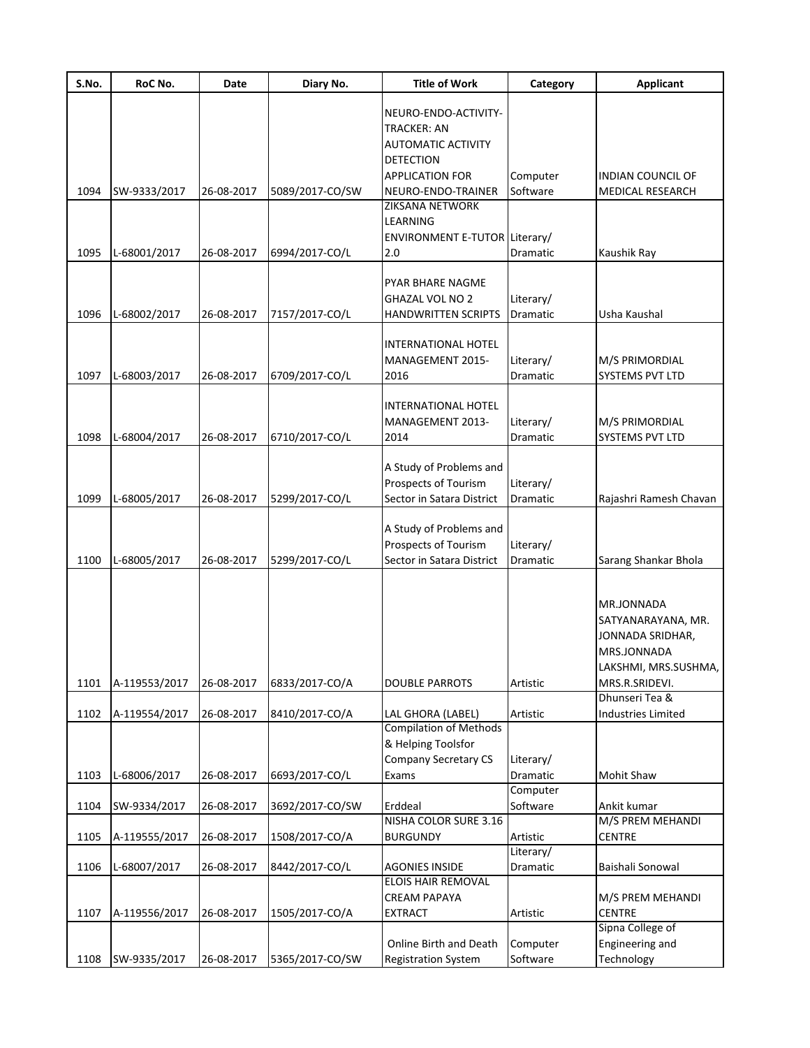| S.No. | RoC No.       | Date       | Diary No.       | <b>Title of Work</b>                                | Category  | <b>Applicant</b>                  |
|-------|---------------|------------|-----------------|-----------------------------------------------------|-----------|-----------------------------------|
|       |               |            |                 | NEURO-ENDO-ACTIVITY-                                |           |                                   |
|       |               |            |                 | <b>TRACKER: AN</b>                                  |           |                                   |
|       |               |            |                 | <b>AUTOMATIC ACTIVITY</b>                           |           |                                   |
|       |               |            |                 | <b>DETECTION</b>                                    |           |                                   |
|       |               |            |                 | <b>APPLICATION FOR</b>                              | Computer  | <b>INDIAN COUNCIL OF</b>          |
| 1094  | SW-9333/2017  | 26-08-2017 | 5089/2017-CO/SW | NEURO-ENDO-TRAINER                                  | Software  | <b>MEDICAL RESEARCH</b>           |
|       |               |            |                 | <b>ZIKSANA NETWORK</b>                              |           |                                   |
|       |               |            |                 | LEARNING                                            |           |                                   |
|       |               |            |                 | ENVIRONMENT E-TUTOR Literary/                       |           |                                   |
| 1095  | L-68001/2017  | 26-08-2017 | 6994/2017-CO/L  | 2.0                                                 | Dramatic  | Kaushik Ray                       |
|       |               |            |                 | PYAR BHARE NAGME                                    |           |                                   |
|       |               |            |                 | <b>GHAZAL VOL NO 2</b>                              | Literary/ |                                   |
| 1096  | L-68002/2017  | 26-08-2017 | 7157/2017-CO/L  | <b>HANDWRITTEN SCRIPTS</b>                          | Dramatic  | Usha Kaushal                      |
|       |               |            |                 |                                                     |           |                                   |
|       |               |            |                 | INTERNATIONAL HOTEL                                 |           |                                   |
|       |               |            |                 | MANAGEMENT 2015-                                    | Literary/ | M/S PRIMORDIAL                    |
| 1097  | L-68003/2017  | 26-08-2017 | 6709/2017-CO/L  | 2016                                                | Dramatic  | SYSTEMS PVT LTD                   |
|       |               |            |                 |                                                     |           |                                   |
|       |               |            |                 | <b>INTERNATIONAL HOTEL</b>                          |           |                                   |
|       |               |            |                 | MANAGEMENT 2013-                                    | Literary/ | M/S PRIMORDIAL                    |
| 1098  | L-68004/2017  | 26-08-2017 | 6710/2017-CO/L  | 2014                                                | Dramatic  | SYSTEMS PVT LTD                   |
|       |               |            |                 | A Study of Problems and                             |           |                                   |
|       |               |            |                 | Prospects of Tourism                                | Literary/ |                                   |
| 1099  | L-68005/2017  | 26-08-2017 | 5299/2017-CO/L  | Sector in Satara District                           | Dramatic  | Rajashri Ramesh Chavan            |
|       |               |            |                 |                                                     |           |                                   |
|       |               |            |                 | A Study of Problems and                             |           |                                   |
|       |               |            |                 | Prospects of Tourism                                | Literary/ |                                   |
| 1100  | L-68005/2017  | 26-08-2017 | 5299/2017-CO/L  | Sector in Satara District                           | Dramatic  | Sarang Shankar Bhola              |
|       |               |            |                 |                                                     |           |                                   |
|       |               |            |                 |                                                     |           | MR.JONNADA                        |
|       |               |            |                 |                                                     |           | SATYANARAYANA, MR.                |
|       |               |            |                 |                                                     |           | JONNADA SRIDHAR,                  |
|       |               |            |                 |                                                     |           | MRS.JONNADA                       |
|       |               |            |                 |                                                     |           | LAKSHMI, MRS.SUSHMA,              |
| 1101  | A-119553/2017 | 26-08-2017 | 6833/2017-CO/A  | <b>DOUBLE PARROTS</b>                               | Artistic  | MRS.R.SRIDEVI.                    |
|       |               |            |                 |                                                     |           | Dhunseri Tea &                    |
| 1102  | A-119554/2017 | 26-08-2017 | 8410/2017-CO/A  | LAL GHORA (LABEL)                                   | Artistic  | <b>Industries Limited</b>         |
|       |               |            |                 | <b>Compilation of Methods</b><br>& Helping Toolsfor |           |                                   |
|       |               |            |                 | <b>Company Secretary CS</b>                         | Literary/ |                                   |
| 1103  | L-68006/2017  | 26-08-2017 | 6693/2017-CO/L  | Exams                                               | Dramatic  | Mohit Shaw                        |
|       |               |            |                 |                                                     | Computer  |                                   |
| 1104  | SW-9334/2017  | 26-08-2017 | 3692/2017-CO/SW | Erddeal                                             | Software  | Ankit kumar                       |
|       |               |            |                 | NISHA COLOR SURE 3.16                               |           | M/S PREM MEHANDI                  |
| 1105  | A-119555/2017 | 26-08-2017 | 1508/2017-CO/A  | <b>BURGUNDY</b>                                     | Artistic  | <b>CENTRE</b>                     |
|       |               |            |                 |                                                     | Literary/ |                                   |
| 1106  | L-68007/2017  | 26-08-2017 | 8442/2017-CO/L  | <b>AGONIES INSIDE</b>                               | Dramatic  | Baishali Sonowal                  |
|       |               |            |                 | ELOIS HAIR REMOVAL                                  |           |                                   |
| 1107  | A-119556/2017 | 26-08-2017 | 1505/2017-CO/A  | <b>CREAM PAPAYA</b><br><b>EXTRACT</b>               | Artistic  | M/S PREM MEHANDI<br><b>CENTRE</b> |
|       |               |            |                 |                                                     |           | Sipna College of                  |
|       |               |            |                 | Online Birth and Death                              | Computer  | Engineering and                   |
| 1108  | SW-9335/2017  | 26-08-2017 | 5365/2017-CO/SW | <b>Registration System</b>                          | Software  | Technology                        |
|       |               |            |                 |                                                     |           |                                   |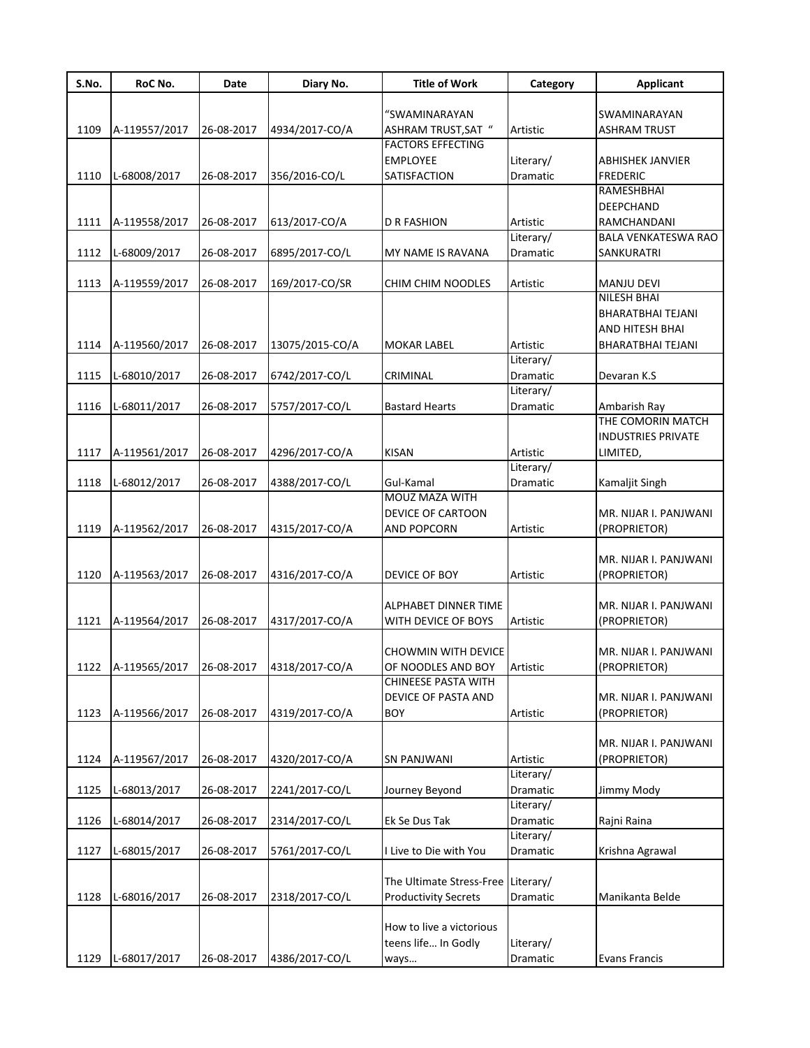| S.No. | RoC No.                  | Date       | Diary No.       | <b>Title of Work</b>                 | Category  | <b>Applicant</b>                    |
|-------|--------------------------|------------|-----------------|--------------------------------------|-----------|-------------------------------------|
|       |                          |            |                 |                                      |           |                                     |
| 1109  | A-119557/2017            | 26-08-2017 | 4934/2017-CO/A  | "SWAMINARAYAN<br>ASHRAM TRUST, SAT " | Artistic  | SWAMINARAYAN<br><b>ASHRAM TRUST</b> |
|       |                          |            |                 | FACTORS EFFECTING                    |           |                                     |
|       |                          |            |                 | EMPLOYEE                             | Literary/ | ABHISHEK JANVIER                    |
| 1110  | L-68008/2017             | 26-08-2017 | 356/2016-CO/L   | SATISFACTION                         | Dramatic  | <b>FREDERIC</b>                     |
|       |                          |            |                 |                                      |           | RAMESHBHAI                          |
|       |                          |            |                 |                                      |           | <b>DEEPCHAND</b>                    |
| 1111  | A-119558/2017            | 26-08-2017 | 613/2017-CO/A   | <b>D R FASHION</b>                   | Artistic  | RAMCHANDANI                         |
|       |                          |            |                 |                                      | Literary/ | BALA VENKATESWA RAO                 |
| 1112  | L-68009/2017             | 26-08-2017 | 6895/2017-CO/L  | MY NAME IS RAVANA                    | Dramatic  | SANKURATRI                          |
|       |                          |            |                 |                                      |           |                                     |
| 1113  | A-119559/2017            | 26-08-2017 | 169/2017-CO/SR  | CHIM CHIM NOODLES                    | Artistic  | <b>MANJU DEVI</b>                   |
|       |                          |            |                 |                                      |           | <b>NILESH BHAI</b>                  |
|       |                          |            |                 |                                      |           | BHARATBHAI TEJANI                   |
|       |                          |            |                 |                                      |           | AND HITESH BHAI                     |
| 1114  | A-119560/2017            | 26-08-2017 | 13075/2015-CO/A | MOKAR LABEL                          | Artistic  | <b>BHARATBHAI TEJANI</b>            |
|       |                          |            |                 |                                      | Literary/ |                                     |
| 1115  | L-68010/2017             | 26-08-2017 | 6742/2017-CO/L  | CRIMINAL                             | Dramatic  | Devaran K.S                         |
|       |                          |            |                 |                                      | Literary/ |                                     |
| 1116  | L-68011/2017             | 26-08-2017 | 5757/2017-CO/L  | <b>Bastard Hearts</b>                | Dramatic  | Ambarish Ray<br>THE COMORIN MATCH   |
|       |                          |            |                 |                                      |           | <b>INDUSTRIES PRIVATE</b>           |
| 1117  | A-119561/2017            | 26-08-2017 | 4296/2017-CO/A  | KISAN                                | Artistic  | LIMITED,                            |
|       |                          |            |                 |                                      | Literary/ |                                     |
| 1118  | L-68012/2017             | 26-08-2017 | 4388/2017-CO/L  | Gul-Kamal                            | Dramatic  | Kamaljit Singh                      |
|       |                          |            |                 | MOUZ MAZA WITH                       |           |                                     |
|       |                          |            |                 | DEVICE OF CARTOON                    |           | MR. NIJAR I. PANJWANI               |
| 1119  | A-119562/2017            | 26-08-2017 | 4315/2017-CO/A  | AND POPCORN                          | Artistic  | (PROPRIETOR)                        |
|       |                          |            |                 |                                      |           |                                     |
|       |                          |            |                 |                                      |           | MR. NIJAR I. PANJWANI               |
| 1120  | A-119563/2017            | 26-08-2017 | 4316/2017-CO/A  | DEVICE OF BOY                        | Artistic  | (PROPRIETOR)                        |
|       |                          |            |                 |                                      |           |                                     |
|       |                          |            |                 | ALPHABET DINNER TIME                 |           | MR. NIJAR I. PANJWANI               |
| 1121  | A-119564/2017            | 26-08-2017 | 4317/2017-CO/A  | WITH DEVICE OF BOYS                  | Artistic  | (PROPRIETOR)                        |
|       |                          |            |                 |                                      |           |                                     |
|       |                          |            |                 | CHOWMIN WITH DEVICE                  |           | MR. NIJAR I. PANJWANI               |
| 1122  | A-119565/2017 26-08-2017 |            | 4318/2017-CO/A  | OF NOODLES AND BOY                   | Artistic  | (PROPRIETOR)                        |
|       |                          |            |                 | CHINEESE PASTA WITH                  |           |                                     |
|       |                          |            |                 | DEVICE OF PASTA AND                  |           | MR. NIJAR I. PANJWANI               |
| 1123  | A-119566/2017            | 26-08-2017 | 4319/2017-CO/A  | <b>BOY</b>                           | Artistic  | (PROPRIETOR)                        |
|       |                          |            |                 |                                      |           | MR. NIJAR I. PANJWANI               |
| 1124  | A-119567/2017            | 26-08-2017 | 4320/2017-CO/A  | <b>SN PANJWANI</b>                   | Artistic  | (PROPRIETOR)                        |
|       |                          |            |                 |                                      | Literary/ |                                     |
| 1125  | L-68013/2017             | 26-08-2017 | 2241/2017-CO/L  | Journey Beyond                       | Dramatic  | Jimmy Mody                          |
|       |                          |            |                 |                                      | Literary/ |                                     |
| 1126  | L-68014/2017             | 26-08-2017 | 2314/2017-CO/L  | Ek Se Dus Tak                        | Dramatic  | Rajni Raina                         |
|       |                          |            |                 |                                      | Literary/ |                                     |
| 1127  | L-68015/2017             | 26-08-2017 | 5761/2017-CO/L  | I Live to Die with You               | Dramatic  | Krishna Agrawal                     |
|       |                          |            |                 |                                      |           |                                     |
|       |                          |            |                 | The Ultimate Stress-Free             | Literary/ |                                     |
| 1128  | L-68016/2017             | 26-08-2017 | 2318/2017-CO/L  | <b>Productivity Secrets</b>          | Dramatic  | Manikanta Belde                     |
|       |                          |            |                 |                                      |           |                                     |
|       |                          |            |                 | How to live a victorious             |           |                                     |
|       |                          |            |                 | teens life In Godly                  | Literary/ |                                     |
| 1129  | L-68017/2017             | 26-08-2017 | 4386/2017-CO/L  | ways                                 | Dramatic  | Evans Francis                       |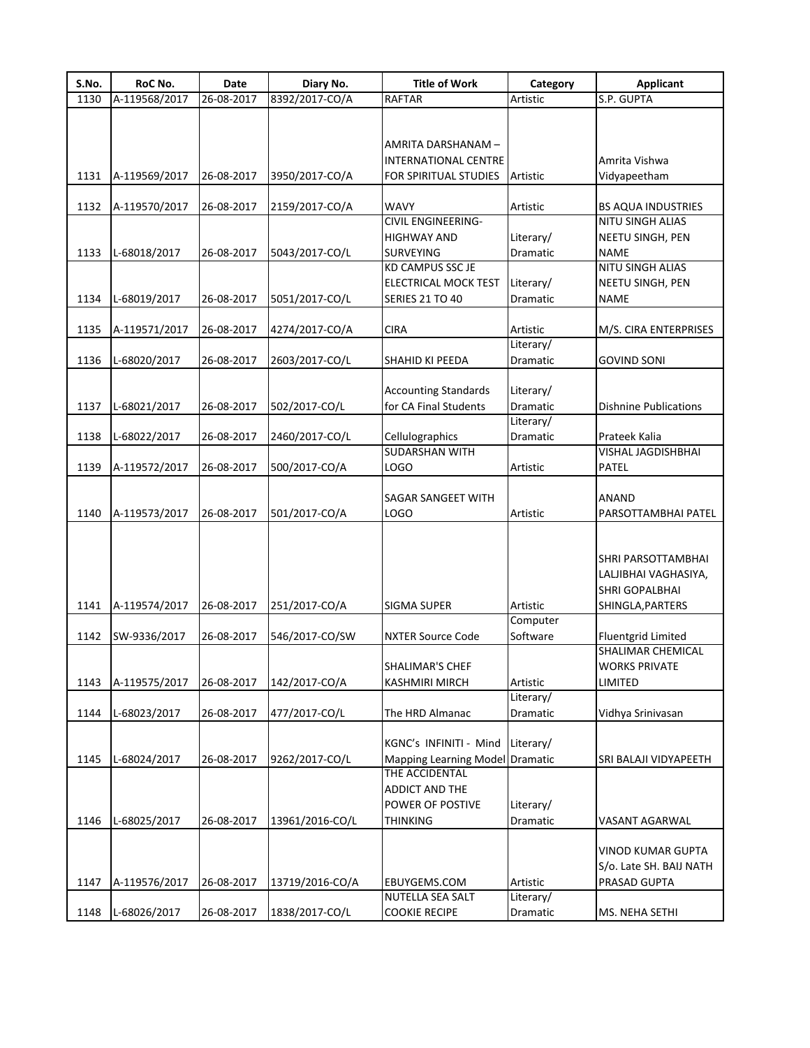| S.No. | RoC No.       | <b>Date</b> | Diary No.       | <b>Title of Work</b>            | Category  | <b>Applicant</b>             |
|-------|---------------|-------------|-----------------|---------------------------------|-----------|------------------------------|
| 1130  | A-119568/2017 | 26-08-2017  | 8392/2017-CO/A  | <b>RAFTAR</b>                   | Artistic  | S.P. GUPTA                   |
|       |               |             |                 |                                 |           |                              |
|       |               |             |                 |                                 |           |                              |
|       |               |             |                 | AMRITA DARSHANAM –              |           |                              |
|       |               |             |                 | INTERNATIONAL CENTRE            |           | Amrita Vishwa                |
| 1131  | A-119569/2017 | 26-08-2017  | 3950/2017-CO/A  | FOR SPIRITUAL STUDIES           | Artistic  | Vidyapeetham                 |
|       |               |             |                 |                                 |           |                              |
| 1132  | A-119570/2017 | 26-08-2017  | 2159/2017-CO/A  | WAVY                            | Artistic  | <b>BS AQUA INDUSTRIES</b>    |
|       |               |             |                 | <b>CIVIL ENGINEERING-</b>       |           | <b>NITU SINGH ALIAS</b>      |
|       |               |             |                 | HIGHWAY AND                     | Literary/ | NEETU SINGH, PEN             |
| 1133  | L-68018/2017  | 26-08-2017  | 5043/2017-CO/L  | SURVEYING                       | Dramatic  | <b>NAME</b>                  |
|       |               |             |                 | KD CAMPUS SSC JE                |           | NITU SINGH ALIAS             |
|       |               |             |                 | ELECTRICAL MOCK TEST            | Literary/ | NEETU SINGH, PEN             |
| 1134  | L-68019/2017  | 26-08-2017  | 5051/2017-CO/L  | <b>SERIES 21 TO 40</b>          | Dramatic  | <b>NAME</b>                  |
|       |               |             |                 |                                 |           |                              |
| 1135  | A-119571/2017 | 26-08-2017  | 4274/2017-CO/A  | <b>CIRA</b>                     | Artistic  | M/S. CIRA ENTERPRISES        |
|       |               |             |                 |                                 | Literary/ |                              |
| 1136  | L-68020/2017  | 26-08-2017  | 2603/2017-CO/L  | SHAHID KI PEEDA                 | Dramatic  | <b>GOVIND SONI</b>           |
|       |               |             |                 |                                 |           |                              |
|       |               |             |                 | <b>Accounting Standards</b>     | Literary/ |                              |
| 1137  | L-68021/2017  | 26-08-2017  | 502/2017-CO/L   | for CA Final Students           | Dramatic  | <b>Dishnine Publications</b> |
|       |               |             |                 |                                 | Literary/ |                              |
| 1138  | L-68022/2017  | 26-08-2017  | 2460/2017-CO/L  | Cellulographics                 | Dramatic  | Prateek Kalia                |
|       |               |             |                 | <b>SUDARSHAN WITH</b>           |           | <b>VISHAL JAGDISHBHAI</b>    |
| 1139  | A-119572/2017 | 26-08-2017  | 500/2017-CO/A   | LOGO                            | Artistic  | PATEL                        |
|       |               |             |                 |                                 |           |                              |
|       |               |             |                 | SAGAR SANGEET WITH              |           | ANAND                        |
| 1140  | A-119573/2017 | 26-08-2017  | 501/2017-CO/A   | <b>LOGO</b>                     | Artistic  | PARSOTTAMBHAI PATEL          |
|       |               |             |                 |                                 |           |                              |
|       |               |             |                 |                                 |           |                              |
|       |               |             |                 |                                 |           | SHRI PARSOTTAMBHAI           |
|       |               |             |                 |                                 |           | LALJIBHAI VAGHASIYA,         |
|       |               |             |                 |                                 |           | SHRI GOPALBHAI               |
| 1141  | A-119574/2017 | 26-08-2017  | 251/2017-CO/A   | <b>SIGMA SUPER</b>              | Artistic  | SHINGLA, PARTERS             |
|       |               |             |                 |                                 | Computer  |                              |
| 1142  | SW-9336/2017  | 26-08-2017  | 546/2017-CO/SW  | <b>NXTER Source Code</b>        | Software  | <b>Fluentgrid Limited</b>    |
|       |               |             |                 |                                 |           | SHALIMAR CHEMICAL            |
|       |               |             |                 | <b>SHALIMAR'S CHEF</b>          |           | <b>WORKS PRIVATE</b>         |
| 1143  | A-119575/2017 | 26-08-2017  | 142/2017-CO/A   | KASHMIRI MIRCH                  | Artistic  | LIMITED                      |
|       |               |             |                 |                                 | Literary/ |                              |
| 1144  | L-68023/2017  | 26-08-2017  | 477/2017-CO/L   | The HRD Almanac                 | Dramatic  | Vidhya Srinivasan            |
|       |               |             |                 |                                 |           |                              |
|       |               |             |                 | KGNC's INFINITI - Mind          | Literary/ |                              |
| 1145  | L-68024/2017  | 26-08-2017  | 9262/2017-CO/L  | Mapping Learning Model Dramatic |           | SRI BALAJI VIDYAPEETH        |
|       |               |             |                 | THE ACCIDENTAL                  |           |                              |
|       |               |             |                 | ADDICT AND THE                  |           |                              |
|       |               |             |                 | POWER OF POSTIVE                | Literary/ |                              |
| 1146  | L-68025/2017  | 26-08-2017  | 13961/2016-CO/L | <b>THINKING</b>                 | Dramatic  | VASANT AGARWAL               |
|       |               |             |                 |                                 |           |                              |
|       |               |             |                 |                                 |           | <b>VINOD KUMAR GUPTA</b>     |
|       |               |             |                 |                                 |           | S/o. Late SH. BAIJ NATH      |
| 1147  | A-119576/2017 | 26-08-2017  | 13719/2016-CO/A | EBUYGEMS.COM                    | Artistic  | PRASAD GUPTA                 |
|       |               |             |                 | NUTELLA SEA SALT                | Literary/ |                              |
| 1148  | L-68026/2017  | 26-08-2017  | 1838/2017-CO/L  | <b>COOKIE RECIPE</b>            | Dramatic  | MS. NEHA SETHI               |
|       |               |             |                 |                                 |           |                              |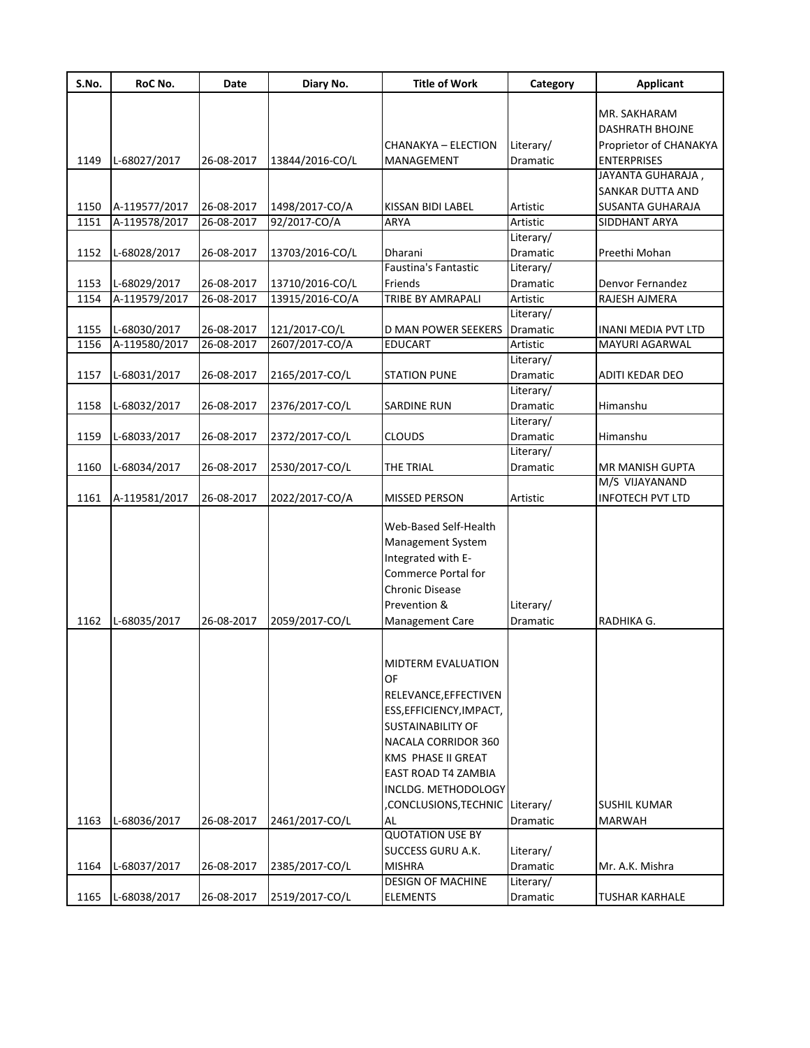| S.No. | RoC No.       | Date       | Diary No.       | <b>Title of Work</b>           | Category        | <b>Applicant</b>           |
|-------|---------------|------------|-----------------|--------------------------------|-----------------|----------------------------|
|       |               |            |                 |                                |                 | MR. SAKHARAM               |
|       |               |            |                 |                                |                 | DASHRATH BHOJNE            |
|       |               |            |                 | CHANAKYA – ELECTION            | Literary/       | Proprietor of CHANAKYA     |
| 1149  | L-68027/2017  | 26-08-2017 | 13844/2016-CO/L | MANAGEMENT                     | <b>Dramatic</b> | <b>ENTERPRISES</b>         |
|       |               |            |                 |                                |                 | JAYANTA GUHARAJA,          |
|       |               |            |                 |                                |                 | SANKAR DUTTA AND           |
| 1150  | A-119577/2017 | 26-08-2017 | 1498/2017-CO/A  | KISSAN BIDI LABEL              | Artistic        | SUSANTA GUHARAJA           |
| 1151  | A-119578/2017 | 26-08-2017 | 92/2017-CO/A    | <b>ARYA</b>                    | Artistic        | SIDDHANT ARYA              |
|       |               |            |                 |                                | Literary/       |                            |
| 1152  | L-68028/2017  | 26-08-2017 | 13703/2016-CO/L | Dharani                        | Dramatic        | Preethi Mohan              |
|       |               |            |                 | <b>Faustina's Fantastic</b>    | Literary/       |                            |
| 1153  | L-68029/2017  | 26-08-2017 | 13710/2016-CO/L | Friends                        | Dramatic        | Denvor Fernandez           |
| 1154  | A-119579/2017 | 26-08-2017 | 13915/2016-CO/A | <b>TRIBE BY AMRAPALI</b>       | Artistic        | RAJESH AJMERA              |
|       |               |            |                 |                                | Literary/       |                            |
| 1155  | L-68030/2017  | 26-08-2017 | 121/2017-CO/L   | <b>D MAN POWER SEEKERS</b>     | <b>Dramatic</b> | <b>INANI MEDIA PVT LTD</b> |
| 1156  | A-119580/2017 | 26-08-2017 | 2607/2017-CO/A  | <b>EDUCART</b>                 | Artistic        | <b>MAYURI AGARWAL</b>      |
|       |               |            |                 |                                | Literary/       |                            |
| 1157  | L-68031/2017  | 26-08-2017 | 2165/2017-CO/L  | <b>STATION PUNE</b>            | Dramatic        | ADITI KEDAR DEO            |
|       |               |            |                 |                                | Literary/       |                            |
| 1158  | L-68032/2017  | 26-08-2017 | 2376/2017-CO/L  | <b>SARDINE RUN</b>             | Dramatic        | Himanshu                   |
|       |               |            |                 |                                | Literary/       |                            |
| 1159  | L-68033/2017  | 26-08-2017 | 2372/2017-CO/L  | <b>CLOUDS</b>                  | Dramatic        | Himanshu                   |
|       |               |            |                 |                                | Literary/       |                            |
| 1160  | L-68034/2017  | 26-08-2017 | 2530/2017-CO/L  | THE TRIAL                      | Dramatic        | MR MANISH GUPTA            |
|       |               |            |                 |                                |                 | M/S VIJAYANAND             |
| 1161  | A-119581/2017 | 26-08-2017 | 2022/2017-CO/A  | <b>MISSED PERSON</b>           | Artistic        | INFOTECH PVT LTD           |
|       |               |            |                 |                                |                 |                            |
|       |               |            |                 | Web-Based Self-Health          |                 |                            |
|       |               |            |                 | Management System              |                 |                            |
|       |               |            |                 | Integrated with E-             |                 |                            |
|       |               |            |                 | <b>Commerce Portal for</b>     |                 |                            |
|       |               |            |                 | <b>Chronic Disease</b>         |                 |                            |
|       |               |            |                 | Prevention &                   | Literary/       |                            |
| 1162  | L-68035/2017  | 26-08-2017 | 2059/2017-CO/L  | Management Care                | Dramatic        | RADHIKA G.                 |
|       |               |            |                 |                                |                 |                            |
|       |               |            |                 |                                |                 |                            |
|       |               |            |                 | MIDTERM EVALUATION             |                 |                            |
|       |               |            |                 | OF                             |                 |                            |
|       |               |            |                 | RELEVANCE, EFFECTIVEN          |                 |                            |
|       |               |            |                 | ESS, EFFICIENCY, IMPACT,       |                 |                            |
|       |               |            |                 | <b>SUSTAINABILITY OF</b>       |                 |                            |
|       |               |            |                 | NACALA CORRIDOR 360            |                 |                            |
|       |               |            |                 | KMS PHASE II GREAT             |                 |                            |
|       |               |            |                 | EAST ROAD T4 ZAMBIA            |                 |                            |
|       |               |            |                 | INCLDG. METHODOLOGY            |                 |                            |
|       |               |            |                 | CONCLUSIONS, TECHNIC Literary/ |                 | SUSHIL KUMAR               |
| 1163  | L-68036/2017  | 26-08-2017 | 2461/2017-CO/L  | AL                             | Dramatic        | <b>MARWAH</b>              |
|       |               |            |                 | <b>QUOTATION USE BY</b>        |                 |                            |
|       |               |            |                 | SUCCESS GURU A.K.              | Literary/       |                            |
| 1164  | L-68037/2017  | 26-08-2017 | 2385/2017-CO/L  | <b>MISHRA</b>                  | Dramatic        | Mr. A.K. Mishra            |
|       |               |            |                 | <b>DESIGN OF MACHINE</b>       | Literary/       |                            |
| 1165  | L-68038/2017  | 26-08-2017 | 2519/2017-CO/L  | <b>ELEMENTS</b>                | Dramatic        | <b>TUSHAR KARHALE</b>      |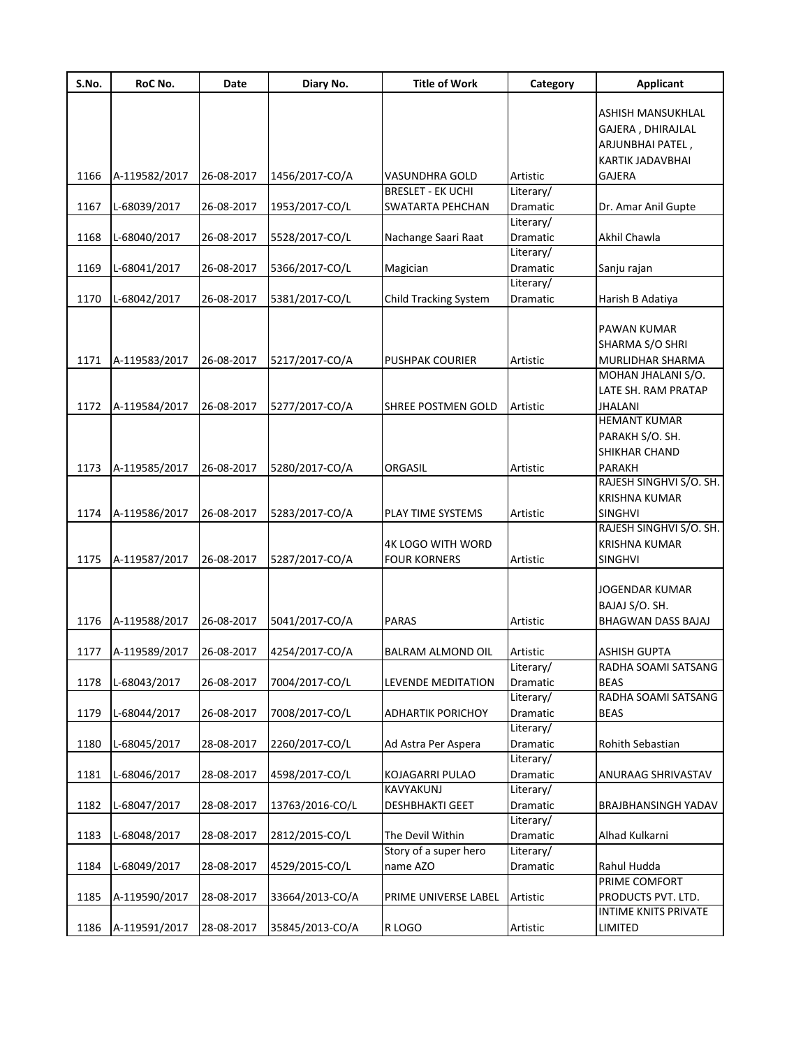| S.No. | RoC No.       | Date       | Diary No.       | <b>Title of Work</b>     | Category              | <b>Applicant</b>                            |
|-------|---------------|------------|-----------------|--------------------------|-----------------------|---------------------------------------------|
|       |               |            |                 |                          |                       | ASHISH MANSUKHLAL                           |
|       |               |            |                 |                          |                       |                                             |
|       |               |            |                 |                          |                       | GAJERA, DHIRAJLAL                           |
|       |               |            |                 |                          |                       | ARJUNBHAI PATEL,<br><b>KARTIK JADAVBHAI</b> |
|       |               |            |                 |                          |                       |                                             |
| 1166  | A-119582/2017 | 26-08-2017 | 1456/2017-CO/A  | VASUNDHRA GOLD           | Artistic              | GAJERA                                      |
|       |               |            |                 | <b>BRESLET - EK UCHI</b> | Literary/             |                                             |
| 1167  | L-68039/2017  | 26-08-2017 | 1953/2017-CO/L  | SWATARTA PEHCHAN         | Dramatic              | Dr. Amar Anil Gupte                         |
|       |               | 26-08-2017 |                 |                          | Literary/             | Akhil Chawla                                |
| 1168  | L-68040/2017  |            | 5528/2017-CO/L  | Nachange Saari Raat      | Dramatic<br>Literary/ |                                             |
| 1169  | L-68041/2017  | 26-08-2017 |                 |                          | Dramatic              |                                             |
|       |               |            | 5366/2017-CO/L  | Magician                 | Literary/             | Sanju rajan                                 |
| 1170  | L-68042/2017  | 26-08-2017 |                 |                          | Dramatic              |                                             |
|       |               |            | 5381/2017-CO/L  | Child Tracking System    |                       | Harish B Adatiya                            |
|       |               |            |                 |                          |                       | PAWAN KUMAR                                 |
|       |               |            |                 |                          |                       |                                             |
|       |               |            |                 |                          |                       | SHARMA S/O SHRI                             |
| 1171  | A-119583/2017 | 26-08-2017 | 5217/2017-CO/A  | <b>PUSHPAK COURIER</b>   | Artistic              | MURLIDHAR SHARMA                            |
|       |               |            |                 |                          |                       | MOHAN JHALANI S/O.                          |
|       |               |            |                 |                          |                       | LATE SH. RAM PRATAP                         |
| 1172  | A-119584/2017 | 26-08-2017 | 5277/2017-CO/A  | SHREE POSTMEN GOLD       | Artistic              | <b>JHALANI</b><br><b>HEMANT KUMAR</b>       |
|       |               |            |                 |                          |                       |                                             |
|       |               |            |                 |                          |                       | PARAKH S/O. SH.                             |
|       |               |            |                 |                          |                       | SHIKHAR CHAND                               |
| 1173  | A-119585/2017 | 26-08-2017 | 5280/2017-CO/A  | ORGASIL                  | Artistic              | PARAKH                                      |
|       |               |            |                 |                          |                       | RAJESH SINGHVI S/O. SH.                     |
|       |               |            |                 |                          |                       | <b>KRISHNA KUMAR</b>                        |
| 1174  | A-119586/2017 | 26-08-2017 | 5283/2017-CO/A  | PLAY TIME SYSTEMS        | Artistic              | <b>SINGHVI</b>                              |
|       |               |            |                 |                          |                       | RAJESH SINGHVI S/O. SH.                     |
|       |               |            |                 | <b>4K LOGO WITH WORD</b> |                       | <b>KRISHNA KUMAR</b>                        |
| 1175  | A-119587/2017 | 26-08-2017 | 5287/2017-CO/A  | FOUR KORNERS             | Artistic              | <b>SINGHVI</b>                              |
|       |               |            |                 |                          |                       |                                             |
|       |               |            |                 |                          |                       | JOGENDAR KUMAR                              |
|       |               |            |                 |                          |                       | BAJAJ S/O. SH.                              |
| 1176  | A-119588/2017 | 26-08-2017 | 5041/2017-CO/A  | <b>PARAS</b>             | Artistic              | BHAGWAN DASS BAJAJ                          |
|       |               |            |                 |                          |                       |                                             |
| 1177  | A-119589/2017 | 26-08-2017 | 4254/2017-CO/A  | BALRAM ALMOND OIL        | Artistic<br>Literary/ | ASHISH GUPTA<br>RADHA SOAMI SATSANG         |
| 1178  | L-68043/2017  | 26-08-2017 | 7004/2017-CO/L  | LEVENDE MEDITATION       |                       | <b>BEAS</b>                                 |
|       |               |            |                 |                          | Dramatic              | RADHA SOAMI SATSANG                         |
|       |               |            |                 |                          | Literary/             |                                             |
| 1179  | L-68044/2017  | 26-08-2017 | 7008/2017-CO/L  | <b>ADHARTIK PORICHOY</b> | Dramatic<br>Literary/ | <b>BEAS</b>                                 |
|       |               |            |                 |                          |                       |                                             |
| 1180  | L-68045/2017  | 28-08-2017 | 2260/2017-CO/L  | Ad Astra Per Aspera      | Dramatic              | Rohith Sebastian                            |
|       |               |            |                 |                          | Literary/             |                                             |
| 1181  | L-68046/2017  | 28-08-2017 | 4598/2017-CO/L  | KOJAGARRI PULAO          | Dramatic              | ANURAAG SHRIVASTAV                          |
|       |               |            |                 | KAVYAKUNJ                | Literary/             |                                             |
| 1182  | L-68047/2017  | 28-08-2017 | 13763/2016-CO/L | <b>DESHBHAKTI GEET</b>   | Dramatic              | <b>BRAJBHANSINGH YADAV</b>                  |
|       |               |            |                 |                          | Literary/             |                                             |
| 1183  | L-68048/2017  | 28-08-2017 | 2812/2015-CO/L  | The Devil Within         | Dramatic              | Alhad Kulkarni                              |
|       |               |            |                 | Story of a super hero    | Literary/             |                                             |
| 1184  | L-68049/2017  | 28-08-2017 | 4529/2015-CO/L  | name AZO                 | Dramatic              | Rahul Hudda                                 |
|       |               |            |                 |                          |                       | PRIME COMFORT                               |
| 1185  | A-119590/2017 | 28-08-2017 | 33664/2013-CO/A | PRIME UNIVERSE LABEL     | Artistic              | PRODUCTS PVT. LTD.                          |
|       |               |            |                 |                          |                       | INTIME KNITS PRIVATE                        |
| 1186  | A-119591/2017 | 28-08-2017 | 35845/2013-CO/A | R LOGO                   | Artistic              | LIMITED                                     |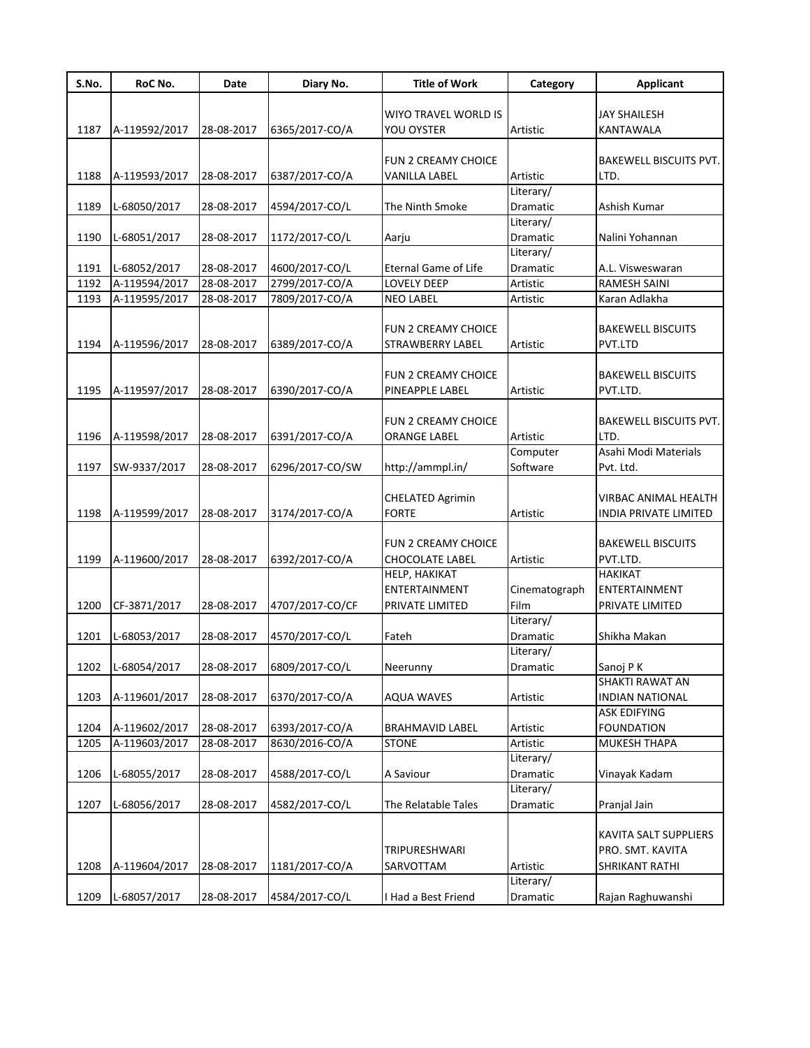| S.No. | RoC No.       | Date       | Diary No.       | <b>Title of Work</b>       | Category      | <b>Applicant</b>              |
|-------|---------------|------------|-----------------|----------------------------|---------------|-------------------------------|
|       |               |            |                 |                            |               |                               |
|       |               |            |                 | WIYO TRAVEL WORLD IS       |               | <b>JAY SHAILESH</b>           |
| 1187  | A-119592/2017 | 28-08-2017 | 6365/2017-CO/A  | YOU OYSTER                 | Artistic      | KANTAWALA                     |
|       |               |            |                 |                            |               |                               |
|       |               |            |                 | <b>FUN 2 CREAMY CHOICE</b> |               | BAKEWELL BISCUITS PVT.        |
| 1188  | A-119593/2017 | 28-08-2017 | 6387/2017-CO/A  | <b>VANILLA LABEL</b>       | Artistic      | LTD.                          |
|       |               |            |                 |                            | Literary/     |                               |
| 1189  | L-68050/2017  | 28-08-2017 | 4594/2017-CO/L  | The Ninth Smoke            | Dramatic      | Ashish Kumar                  |
|       |               |            |                 |                            | Literary/     |                               |
| 1190  | L-68051/2017  | 28-08-2017 | 1172/2017-CO/L  | Aarju                      | Dramatic      | Nalini Yohannan               |
|       |               |            |                 |                            | Literary/     |                               |
| 1191  | L-68052/2017  | 28-08-2017 | 4600/2017-CO/L  | Eternal Game of Life       | Dramatic      | A.L. Visweswaran              |
| 1192  | A-119594/2017 | 28-08-2017 | 2799/2017-CO/A  | LOVELY DEEP                | Artistic      | <b>RAMESH SAINI</b>           |
| 1193  | A-119595/2017 | 28-08-2017 | 7809/2017-CO/A  | <b>NEO LABEL</b>           | Artistic      | Karan Adlakha                 |
|       |               |            |                 |                            |               |                               |
|       |               |            |                 | <b>FUN 2 CREAMY CHOICE</b> |               | <b>BAKEWELL BISCUITS</b>      |
| 1194  | A-119596/2017 | 28-08-2017 | 6389/2017-CO/A  | <b>STRAWBERRY LABEL</b>    | Artistic      | PVT.LTD                       |
|       |               |            |                 |                            |               |                               |
|       |               |            |                 | <b>FUN 2 CREAMY CHOICE</b> |               | <b>BAKEWELL BISCUITS</b>      |
| 1195  | A-119597/2017 | 28-08-2017 | 6390/2017-CO/A  | PINEAPPLE LABEL            | Artistic      | PVT.LTD.                      |
|       |               |            |                 |                            |               |                               |
|       |               |            |                 | <b>FUN 2 CREAMY CHOICE</b> |               | <b>BAKEWELL BISCUITS PVT.</b> |
| 1196  | A-119598/2017 | 28-08-2017 | 6391/2017-CO/A  | <b>ORANGE LABEL</b>        | Artistic      | LTD.                          |
|       |               |            |                 |                            | Computer      | Asahi Modi Materials          |
| 1197  | SW-9337/2017  | 28-08-2017 | 6296/2017-CO/SW | http://ammpl.in/           | Software      | Pvt. Ltd.                     |
|       |               |            |                 |                            |               |                               |
|       |               |            |                 | <b>CHELATED Agrimin</b>    |               | VIRBAC ANIMAL HEALTH          |
| 1198  | A-119599/2017 | 28-08-2017 | 3174/2017-CO/A  | <b>FORTE</b>               | Artistic      | INDIA PRIVATE LIMITED         |
|       |               |            |                 |                            |               |                               |
|       |               |            |                 | <b>FUN 2 CREAMY CHOICE</b> |               | <b>BAKEWELL BISCUITS</b>      |
| 1199  | A-119600/2017 | 28-08-2017 | 6392/2017-CO/A  | <b>CHOCOLATE LABEL</b>     | Artistic      | PVT.LTD.                      |
|       |               |            |                 | HELP, HAKIKAT              |               | <b>HAKIKAT</b>                |
|       |               |            |                 | ENTERTAINMENT              | Cinematograph | ENTERTAINMENT                 |
| 1200  | CF-3871/2017  | 28-08-2017 | 4707/2017-CO/CF | PRIVATE LIMITED            | Film          | PRIVATE LIMITED               |
|       |               |            |                 |                            | Literary/     |                               |
| 1201  | L-68053/2017  | 28-08-2017 | 4570/2017-CO/L  | Fateh                      | Dramatic      | Shikha Makan                  |
|       |               |            |                 |                            | Literary/     |                               |
| 1202  | L-68054/2017  | 28-08-2017 | 6809/2017-CO/L  | Neerunny                   | Dramatic      | Sanoj PK                      |
|       |               |            |                 |                            |               | SHAKTI RAWAT AN               |
| 1203  | A-119601/2017 | 28-08-2017 | 6370/2017-CO/A  | <b>AQUA WAVES</b>          | Artistic      | INDIAN NATIONAL               |
|       |               |            |                 |                            |               | ASK EDIFYING                  |
| 1204  | A-119602/2017 | 28-08-2017 | 6393/2017-CO/A  | <b>BRAHMAVID LABEL</b>     | Artistic      | <b>FOUNDATION</b>             |
| 1205  | A-119603/2017 | 28-08-2017 | 8630/2016-CO/A  | <b>STONE</b>               | Artistic      | MUKESH THAPA                  |
|       |               |            |                 |                            | Literary/     |                               |
| 1206  | L-68055/2017  | 28-08-2017 | 4588/2017-CO/L  | A Saviour                  | Dramatic      | Vinayak Kadam                 |
|       |               |            |                 |                            | Literary/     |                               |
| 1207  | L-68056/2017  | 28-08-2017 | 4582/2017-CO/L  |                            | Dramatic      | Pranjal Jain                  |
|       |               |            |                 | The Relatable Tales        |               |                               |
|       |               |            |                 |                            |               |                               |
|       |               |            |                 |                            |               | KAVITA SALT SUPPLIERS         |
|       |               |            |                 | TRIPURESHWARI              |               | PRO. SMT. KAVITA              |
| 1208  | A-119604/2017 | 28-08-2017 | 1181/2017-CO/A  | SARVOTTAM                  | Artistic      | SHRIKANT RATHI                |
|       |               |            |                 |                            | Literary/     |                               |
| 1209  | L-68057/2017  | 28-08-2017 | 4584/2017-CO/L  | I Had a Best Friend        | Dramatic      | Rajan Raghuwanshi             |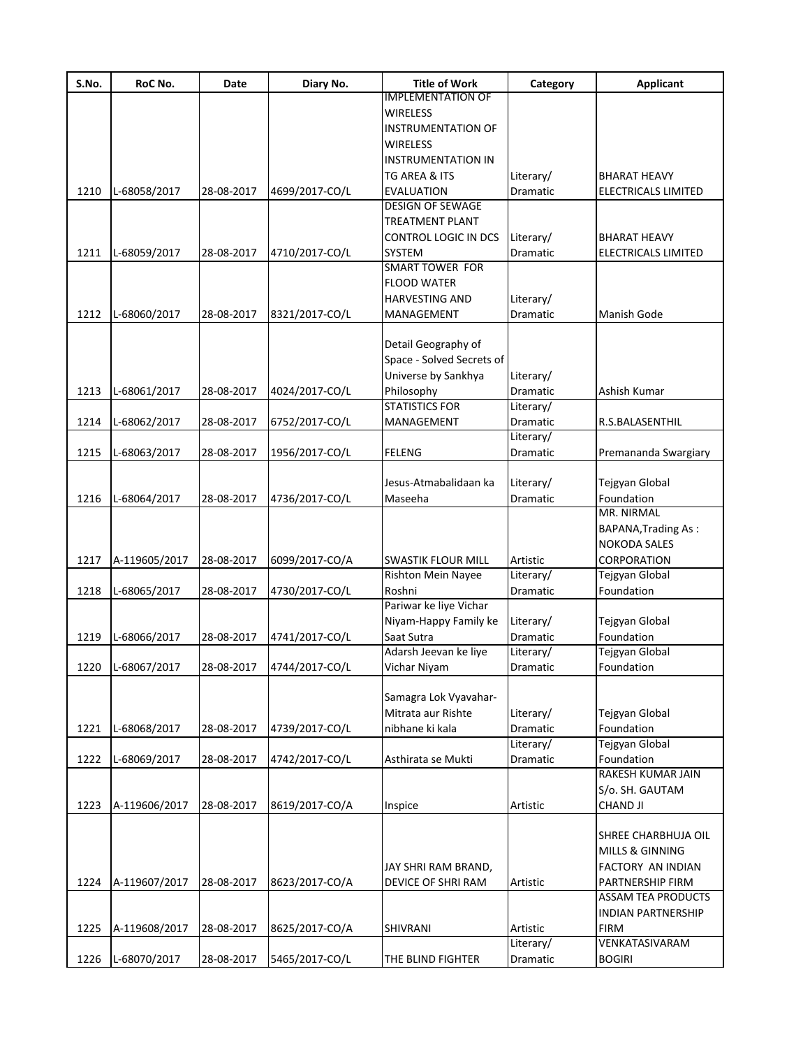| S.No. | RoC No.       | Date       | Diary No.      | <b>Title of Work</b>                            | Category              | <b>Applicant</b>           |
|-------|---------------|------------|----------------|-------------------------------------------------|-----------------------|----------------------------|
|       |               |            |                | <b>IMPLEMENTATION OF</b>                        |                       |                            |
|       |               |            |                | <b>WIRELESS</b>                                 |                       |                            |
|       |               |            |                | <b>INSTRUMENTATION OF</b>                       |                       |                            |
|       |               |            |                | <b>WIRELESS</b>                                 |                       |                            |
|       |               |            |                | <b>INSTRUMENTATION IN</b>                       |                       |                            |
|       |               |            |                | TG AREA & ITS                                   | Literary/             | BHARAT HEAVY               |
| 1210  | L-68058/2017  | 28-08-2017 | 4699/2017-CO/L | <b>EVALUATION</b>                               | Dramatic              | ELECTRICALS LIMITED        |
|       |               |            |                | <b>DESIGN OF SEWAGE</b>                         |                       |                            |
|       |               |            |                | <b>TREATMENT PLANT</b>                          |                       |                            |
|       |               |            |                | CONTROL LOGIC IN DCS                            | Literary/             | <b>BHARAT HEAVY</b>        |
| 1211  | L-68059/2017  | 28-08-2017 | 4710/2017-CO/L | <b>SYSTEM</b>                                   | Dramatic              | ELECTRICALS LIMITED        |
|       |               |            |                | <b>SMART TOWER FOR</b>                          |                       |                            |
|       |               |            |                | <b>FLOOD WATER</b>                              |                       |                            |
|       |               |            |                | <b>HARVESTING AND</b>                           | Literary/             |                            |
| 1212  | L-68060/2017  | 28-08-2017 | 8321/2017-CO/L | MANAGEMENT                                      | Dramatic              | <b>Manish Gode</b>         |
|       |               |            |                |                                                 |                       |                            |
|       |               |            |                | Detail Geography of                             |                       |                            |
|       |               |            |                | Space - Solved Secrets of                       |                       |                            |
|       |               |            |                | Universe by Sankhya                             | Literary/             |                            |
| 1213  | L-68061/2017  | 28-08-2017 | 4024/2017-CO/L | Philosophy                                      | Dramatic              | Ashish Kumar               |
|       |               |            |                | <b>STATISTICS FOR</b>                           | Literary/             |                            |
| 1214  | L-68062/2017  | 28-08-2017 | 6752/2017-CO/L | MANAGEMENT                                      | Dramatic              | R.S.BALASENTHIL            |
|       |               |            |                |                                                 | Literary/             |                            |
| 1215  | L-68063/2017  | 28-08-2017 | 1956/2017-CO/L | <b>FELENG</b>                                   | Dramatic              | Premananda Swargiary       |
|       |               |            |                |                                                 |                       |                            |
|       |               |            |                | Jesus-Atmabalidaan ka                           | Literary/             | Tejgyan Global             |
| 1216  | L-68064/2017  | 28-08-2017 | 4736/2017-CO/L | Maseeha                                         | Dramatic              | Foundation                 |
|       |               |            |                |                                                 |                       | MR. NIRMAL                 |
|       |               |            |                |                                                 |                       | <b>BAPANA, Trading As:</b> |
|       |               |            |                |                                                 |                       | <b>NOKODA SALES</b>        |
|       |               |            |                |                                                 |                       | CORPORATION                |
| 1217  | A-119605/2017 | 28-08-2017 | 6099/2017-CO/A | <b>SWASTIK FLOUR MILL</b><br>Rishton Mein Nayee | Artistic<br>Literary/ | Tejgyan Global             |
|       |               |            | 4730/2017-CO/L | Roshni                                          | Dramatic              | Foundation                 |
| 1218  | L-68065/2017  | 28-08-2017 |                | Pariwar ke liye Vichar                          |                       |                            |
|       |               |            |                |                                                 |                       |                            |
|       |               |            |                | Niyam-Happy Family ke                           | Literary/             | Tejgyan Global             |
| 1219  | L-68066/2017  | 28-08-2017 | 4741/2017-CO/L | Saat Sutra                                      | Dramatic              | Foundation                 |
|       |               |            |                | Adarsh Jeevan ke liye                           | Literary/             | Tejgyan Global             |
| 1220  | L-68067/2017  | 28-08-2017 | 4744/2017-CO/L | Vichar Niyam                                    | Dramatic              | Foundation                 |
|       |               |            |                |                                                 |                       |                            |
|       |               |            |                | Samagra Lok Vyavahar-                           |                       |                            |
|       |               |            |                | Mitrata aur Rishte                              | Literary/             | Tejgyan Global             |
| 1221  | L-68068/2017  | 28-08-2017 | 4739/2017-CO/L | nibhane ki kala                                 | Dramatic              | Foundation                 |
|       |               |            |                |                                                 | Literary/             | Tejgyan Global             |
| 1222  | L-68069/2017  | 28-08-2017 | 4742/2017-CO/L | Asthirata se Mukti                              | Dramatic              | Foundation                 |
|       |               |            |                |                                                 |                       | RAKESH KUMAR JAIN          |
|       |               |            |                |                                                 |                       | S/o. SH. GAUTAM            |
| 1223  | A-119606/2017 | 28-08-2017 | 8619/2017-CO/A | Inspice                                         | Artistic              | <b>CHAND JI</b>            |
|       |               |            |                |                                                 |                       |                            |
|       |               |            |                |                                                 |                       | SHREE CHARBHUJA OIL        |
|       |               |            |                |                                                 |                       | <b>MILLS &amp; GINNING</b> |
|       |               |            |                | JAY SHRI RAM BRAND,                             |                       | FACTORY AN INDIAN          |
| 1224  | A-119607/2017 | 28-08-2017 | 8623/2017-CO/A | DEVICE OF SHRI RAM                              | Artistic              | PARTNERSHIP FIRM           |
|       |               |            |                |                                                 |                       | <b>ASSAM TEA PRODUCTS</b>  |
|       |               |            |                |                                                 |                       | INDIAN PARTNERSHIP         |
| 1225  | A-119608/2017 | 28-08-2017 | 8625/2017-CO/A | SHIVRANI                                        | Artistic              | <b>FIRM</b>                |
|       |               |            |                |                                                 | Literary/             | VENKATASIVARAM             |
| 1226  | L-68070/2017  | 28-08-2017 | 5465/2017-CO/L | THE BLIND FIGHTER                               | Dramatic              | <b>BOGIRI</b>              |
|       |               |            |                |                                                 |                       |                            |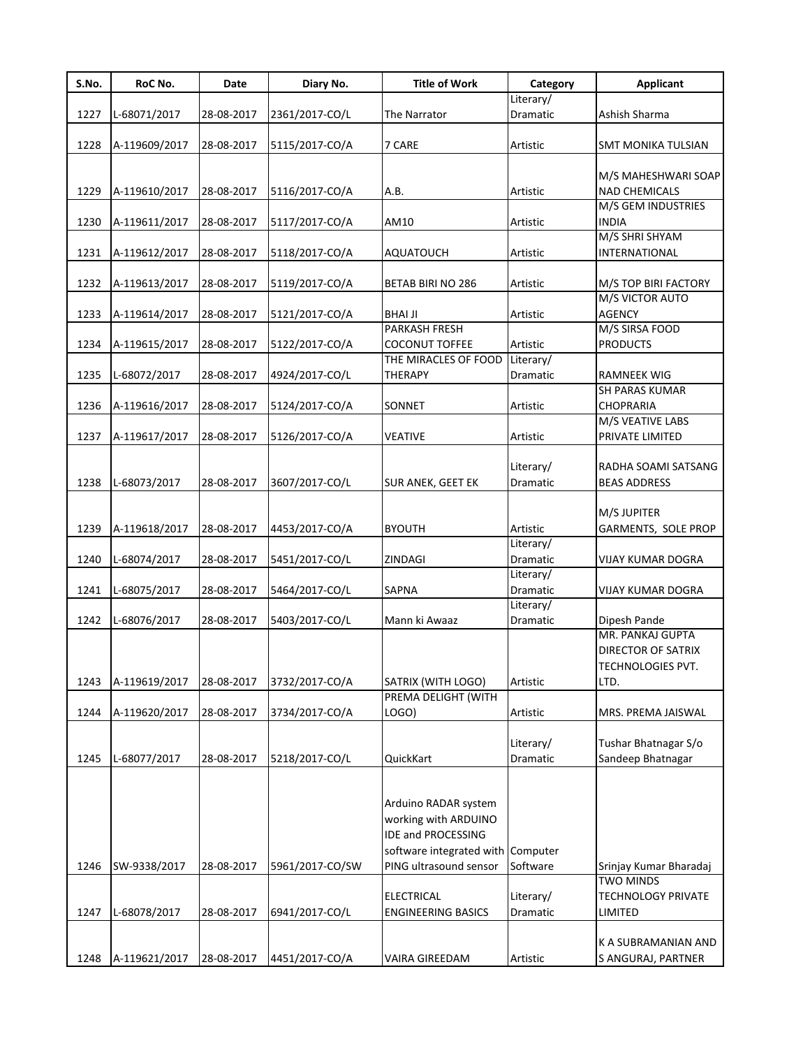| S.No. | RoC No.       | Date       | Diary No.       | <b>Title of Work</b>              | Category        | <b>Applicant</b>                   |
|-------|---------------|------------|-----------------|-----------------------------------|-----------------|------------------------------------|
|       |               |            |                 |                                   | Literary/       |                                    |
| 1227  | L-68071/2017  | 28-08-2017 | 2361/2017-CO/L  | The Narrator                      | Dramatic        | Ashish Sharma                      |
|       |               |            |                 |                                   |                 |                                    |
| 1228  | A-119609/2017 | 28-08-2017 | 5115/2017-CO/A  | 7 CARE                            | Artistic        | SMT MONIKA TULSIAN                 |
|       |               |            |                 |                                   |                 |                                    |
|       |               |            |                 |                                   |                 | M/S MAHESHWARI SOAP                |
| 1229  | A-119610/2017 | 28-08-2017 | 5116/2017-CO/A  | A.B.                              | Artistic        | <b>NAD CHEMICALS</b>               |
| 1230  |               | 28-08-2017 |                 | AM10                              | Artistic        | M/S GEM INDUSTRIES<br><b>INDIA</b> |
|       | A-119611/2017 |            | 5117/2017-CO/A  |                                   |                 | M/S SHRI SHYAM                     |
| 1231  | A-119612/2017 | 28-08-2017 | 5118/2017-CO/A  | <b>AQUATOUCH</b>                  | Artistic        | INTERNATIONAL                      |
|       |               |            |                 |                                   |                 |                                    |
| 1232  | A-119613/2017 | 28-08-2017 | 5119/2017-CO/A  | BETAB BIRI NO 286                 | Artistic        | M/S TOP BIRI FACTORY               |
|       |               |            |                 |                                   |                 | M/S VICTOR AUTO                    |
| 1233  | A-119614/2017 | 28-08-2017 | 5121/2017-CO/A  | <b>BHAI JI</b>                    | Artistic        | <b>AGENCY</b>                      |
|       |               |            |                 | PARKASH FRESH                     |                 | M/S SIRSA FOOD                     |
| 1234  | A-119615/2017 | 28-08-2017 | 5122/2017-CO/A  | <b>COCONUT TOFFEE</b>             | Artistic        | <b>PRODUCTS</b>                    |
|       |               |            |                 | THE MIRACLES OF FOOD              | Literary/       |                                    |
| 1235  | L-68072/2017  | 28-08-2017 | 4924/2017-CO/L  | THERAPY                           | Dramatic        | <b>RAMNEEK WIG</b>                 |
|       |               |            |                 |                                   |                 | <b>SH PARAS KUMAR</b>              |
| 1236  | A-119616/2017 | 28-08-2017 | 5124/2017-CO/A  | SONNET                            | Artistic        | <b>CHOPRARIA</b>                   |
|       |               |            |                 |                                   |                 | M/S VEATIVE LABS                   |
| 1237  | A-119617/2017 | 28-08-2017 | 5126/2017-CO/A  | <b>VEATIVE</b>                    | Artistic        | PRIVATE LIMITED                    |
|       |               |            |                 |                                   |                 |                                    |
|       |               |            |                 |                                   | Literary/       | RADHA SOAMI SATSANG                |
| 1238  | L-68073/2017  | 28-08-2017 | 3607/2017-CO/L  | <b>SUR ANEK, GEET EK</b>          | Dramatic        | <b>BEAS ADDRESS</b>                |
|       |               |            |                 |                                   |                 |                                    |
|       |               |            |                 |                                   |                 | M/S JUPITER                        |
| 1239  | A-119618/2017 | 28-08-2017 | 4453/2017-CO/A  | <b>BYOUTH</b>                     | Artistic        | GARMENTS, SOLE PROP                |
|       |               |            |                 |                                   | Literary/       |                                    |
| 1240  | L-68074/2017  | 28-08-2017 | 5451/2017-CO/L  | ZINDAGI                           | Dramatic        | <b>VIJAY KUMAR DOGRA</b>           |
|       |               |            |                 |                                   | Literary/       |                                    |
| 1241  | L-68075/2017  | 28-08-2017 | 5464/2017-CO/L  | SAPNA                             | Dramatic        | <b>VIJAY KUMAR DOGRA</b>           |
|       |               |            |                 |                                   | Literary/       |                                    |
| 1242  | L-68076/2017  | 28-08-2017 | 5403/2017-CO/L  | Mann ki Awaaz                     | <b>Dramatic</b> | Dipesh Pande                       |
|       |               |            |                 |                                   |                 | MR. PANKAJ GUPTA                   |
|       |               |            |                 |                                   |                 | DIRECTOR OF SATRIX                 |
|       |               |            |                 |                                   |                 | TECHNOLOGIES PVT.                  |
| 1243  | A-119619/2017 | 28-08-2017 | 3732/2017-CO/A  | SATRIX (WITH LOGO)                | Artistic        | LTD.                               |
|       |               |            |                 | PREMA DELIGHT (WITH               |                 |                                    |
| 1244  | A-119620/2017 | 28-08-2017 | 3734/2017-CO/A  | LOGO)                             | Artistic        | MRS. PREMA JAISWAL                 |
|       |               |            |                 |                                   |                 |                                    |
|       |               |            |                 |                                   | Literary/       | Tushar Bhatnagar S/o               |
| 1245  | L-68077/2017  | 28-08-2017 | 5218/2017-CO/L  | QuickKart                         | Dramatic        | Sandeep Bhatnagar                  |
|       |               |            |                 |                                   |                 |                                    |
|       |               |            |                 |                                   |                 |                                    |
|       |               |            |                 | Arduino RADAR system              |                 |                                    |
|       |               |            |                 | working with ARDUINO              |                 |                                    |
|       |               |            |                 | IDE and PROCESSING                |                 |                                    |
|       |               |            |                 | software integrated with Computer |                 |                                    |
| 1246  | SW-9338/2017  | 28-08-2017 | 5961/2017-CO/SW | PING ultrasound sensor            | Software        | Srinjay Kumar Bharadaj             |
|       |               |            |                 |                                   |                 | <b>TWO MINDS</b>                   |
|       |               |            |                 | <b>ELECTRICAL</b>                 | Literary/       | <b>TECHNOLOGY PRIVATE</b>          |
| 1247  | L-68078/2017  | 28-08-2017 | 6941/2017-CO/L  | <b>ENGINEERING BASICS</b>         | Dramatic        | LIMITED                            |
|       |               |            |                 |                                   |                 |                                    |
|       |               |            |                 |                                   |                 | K A SUBRAMANIAN AND                |
| 1248  | A-119621/2017 | 28-08-2017 | 4451/2017-CO/A  | VAIRA GIREEDAM                    | Artistic        | S ANGURAJ, PARTNER                 |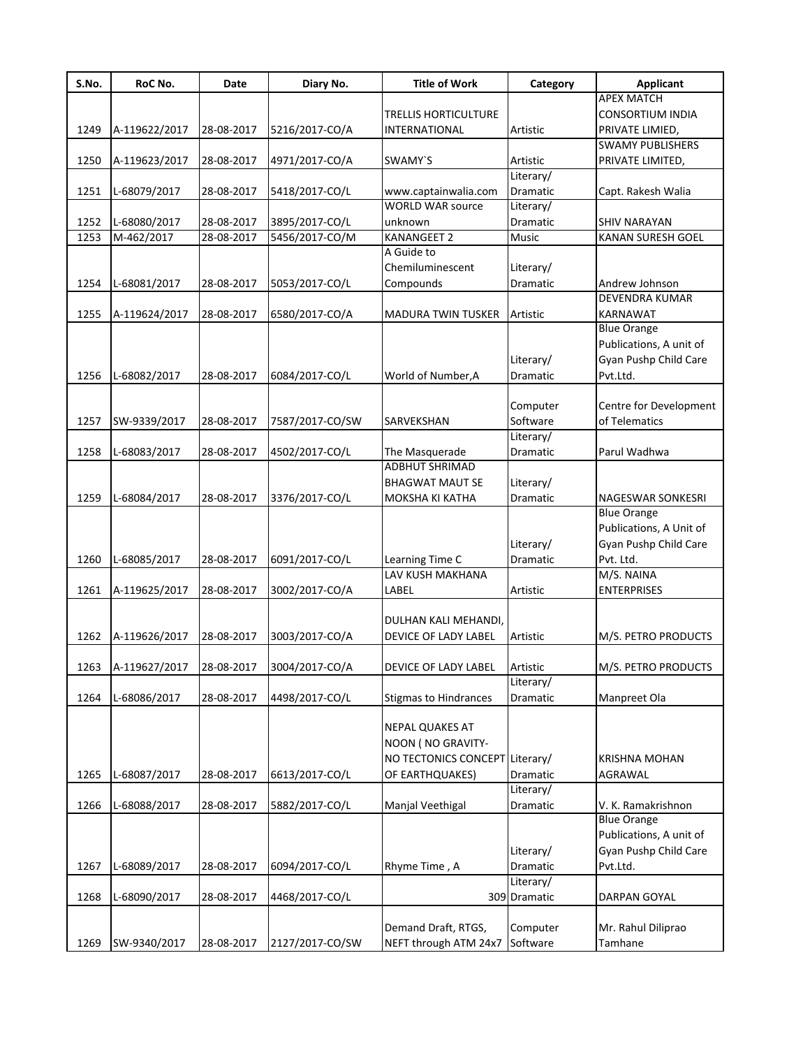| S.No. | RoC No.       | Date       | Diary No.       | <b>Title of Work</b>           | Category     | <b>Applicant</b>                 |
|-------|---------------|------------|-----------------|--------------------------------|--------------|----------------------------------|
|       |               |            |                 |                                |              | <b>APEX MATCH</b>                |
|       |               |            |                 | TRELLIS HORTICULTURE           |              | <b>CONSORTIUM INDIA</b>          |
| 1249  | A-119622/2017 | 28-08-2017 | 5216/2017-CO/A  | <b>INTERNATIONAL</b>           | Artistic     | PRIVATE LIMIED,                  |
|       |               |            |                 |                                |              | <b>SWAMY PUBLISHERS</b>          |
| 1250  | A-119623/2017 | 28-08-2017 | 4971/2017-CO/A  | SWAMY'S                        | Artistic     | PRIVATE LIMITED,                 |
|       |               |            |                 |                                | Literary/    |                                  |
| 1251  | L-68079/2017  | 28-08-2017 | 5418/2017-CO/L  | www.captainwalia.com           | Dramatic     | Capt. Rakesh Walia               |
|       |               |            |                 | <b>WORLD WAR source</b>        | Literary/    |                                  |
| 1252  | L-68080/2017  | 28-08-2017 | 3895/2017-CO/L  | unknown                        | Dramatic     | <b>SHIV NARAYAN</b>              |
| 1253  | M-462/2017    | 28-08-2017 | 5456/2017-CO/M  | KANANGEET 2                    | <b>Music</b> | KANAN SURESH GOEL                |
|       |               |            |                 | A Guide to<br>Chemiluminescent |              |                                  |
|       |               |            |                 |                                | Literary/    |                                  |
| 1254  | L-68081/2017  | 28-08-2017 | 5053/2017-CO/L  | Compounds                      | Dramatic     | Andrew Johnson<br>DEVENDRA KUMAR |
|       |               |            |                 | <b>MADURA TWIN TUSKER</b>      | Artistic     | KARNAWAT                         |
| 1255  | A-119624/2017 | 28-08-2017 | 6580/2017-CO/A  |                                |              | <b>Blue Orange</b>               |
|       |               |            |                 |                                |              | Publications, A unit of          |
|       |               |            |                 |                                | Literary/    | Gyan Pushp Child Care            |
| 1256  | L-68082/2017  | 28-08-2017 | 6084/2017-CO/L  | World of Number, A             | Dramatic     | Pvt.Ltd.                         |
|       |               |            |                 |                                |              |                                  |
|       |               |            |                 |                                | Computer     | Centre for Development           |
| 1257  | SW-9339/2017  | 28-08-2017 | 7587/2017-CO/SW | SARVEKSHAN                     | Software     | of Telematics                    |
|       |               |            |                 |                                | Literary/    |                                  |
| 1258  | L-68083/2017  | 28-08-2017 | 4502/2017-CO/L  | The Masquerade                 | Dramatic     | Parul Wadhwa                     |
|       |               |            |                 | <b>ADBHUT SHRIMAD</b>          |              |                                  |
|       |               |            |                 | <b>BHAGWAT MAUT SE</b>         | Literary/    |                                  |
| 1259  | L-68084/2017  | 28-08-2017 | 3376/2017-CO/L  | MOKSHA KI KATHA                | Dramatic     | NAGESWAR SONKESRI                |
|       |               |            |                 |                                |              | <b>Blue Orange</b>               |
|       |               |            |                 |                                |              | Publications, A Unit of          |
|       |               |            |                 |                                | Literary/    | Gyan Pushp Child Care            |
| 1260  | L-68085/2017  | 28-08-2017 | 6091/2017-CO/L  | Learning Time C                | Dramatic     | Pvt. Ltd.                        |
|       |               |            |                 | LAV KUSH MAKHANA               |              | M/S. NAINA                       |
| 1261  | A-119625/2017 | 28-08-2017 | 3002/2017-CO/A  | LABEL                          | Artistic     | <b>ENTERPRISES</b>               |
|       |               |            |                 |                                |              |                                  |
|       |               |            |                 | DULHAN KALI MEHANDI,           |              |                                  |
| 1262  | A-119626/2017 | 28-08-2017 | 3003/2017-CO/A  | DEVICE OF LADY LABEL           | Artistic     | M/S. PETRO PRODUCTS              |
|       |               |            |                 |                                |              |                                  |
| 1263  | A-119627/2017 | 28-08-2017 | 3004/2017-CO/A  | DEVICE OF LADY LABEL           | Artistic     | M/S. PETRO PRODUCTS              |
|       |               |            |                 |                                | Literary/    |                                  |
| 1264  | L-68086/2017  | 28-08-2017 | 4498/2017-CO/L  | <b>Stigmas to Hindrances</b>   | Dramatic     | Manpreet Ola                     |
|       |               |            |                 |                                |              |                                  |
|       |               |            |                 | <b>NEPAL QUAKES AT</b>         |              |                                  |
|       |               |            |                 | NOON ( NO GRAVITY-             |              |                                  |
|       |               |            |                 | NO TECTONICS CONCEPT           | Literary/    | <b>KRISHNA MOHAN</b>             |
| 1265  | L-68087/2017  | 28-08-2017 | 6613/2017-CO/L  | OF EARTHQUAKES)                | Dramatic     | AGRAWAL                          |
|       |               |            |                 |                                | Literary/    |                                  |
| 1266  | L-68088/2017  | 28-08-2017 | 5882/2017-CO/L  | Manjal Veethigal               | Dramatic     | V. K. Ramakrishnon               |
|       |               |            |                 |                                |              | <b>Blue Orange</b>               |
|       |               |            |                 |                                |              | Publications, A unit of          |
|       |               |            |                 |                                | Literary/    | Gyan Pushp Child Care            |
| 1267  | L-68089/2017  | 28-08-2017 | 6094/2017-CO/L  | Rhyme Time, A                  | Dramatic     | Pvt.Ltd.                         |
|       |               |            |                 |                                | Literary/    |                                  |
| 1268  | L-68090/2017  | 28-08-2017 | 4468/2017-CO/L  |                                | 309 Dramatic | DARPAN GOYAL                     |
|       |               |            |                 |                                |              |                                  |
|       |               |            |                 | Demand Draft, RTGS,            | Computer     | Mr. Rahul Diliprao               |
| 1269  | SW-9340/2017  | 28-08-2017 | 2127/2017-CO/SW | NEFT through ATM 24x7          | Software     | Tamhane                          |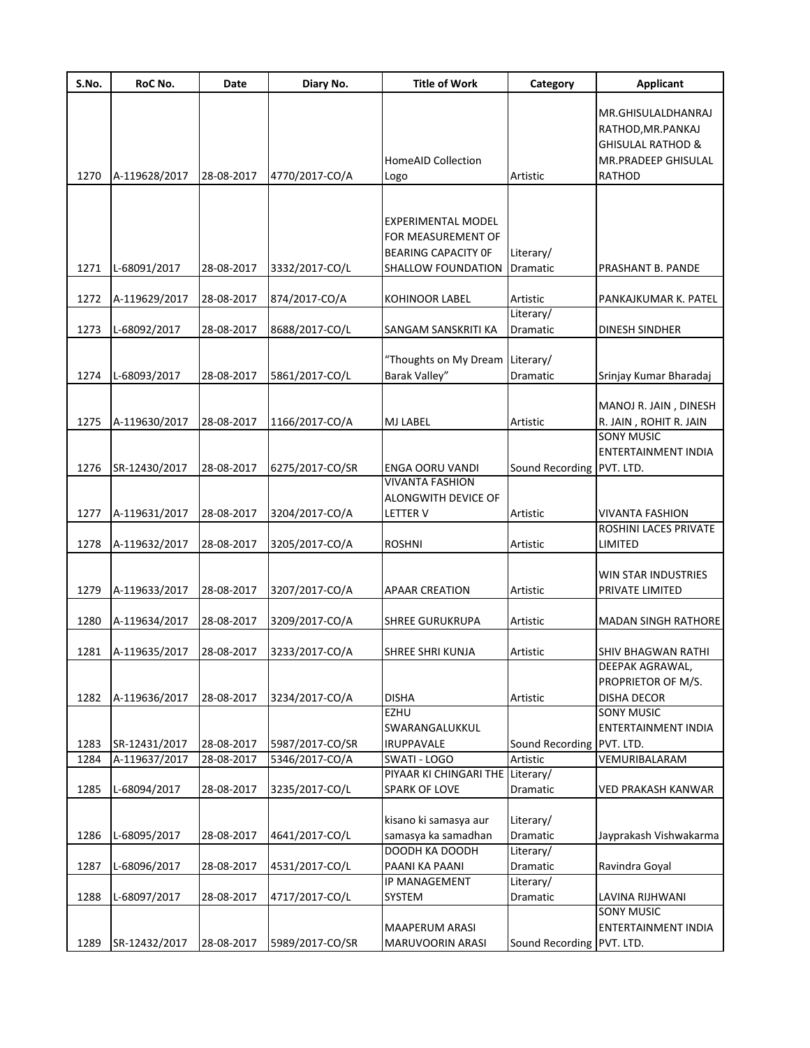| S.No. | RoC No.       | Date       | Diary No.       | <b>Title of Work</b>                                                                         | Category                           | <b>Applicant</b>                                                                               |
|-------|---------------|------------|-----------------|----------------------------------------------------------------------------------------------|------------------------------------|------------------------------------------------------------------------------------------------|
| 1270  | A-119628/2017 | 28-08-2017 | 4770/2017-CO/A  | <b>HomeAID Collection</b><br>Logo                                                            | Artistic                           | MR.GHISULALDHANRAJ<br>RATHOD, MR. PANKAJ<br>GHISULAL RATHOD &<br>MR.PRADEEP GHISULAL<br>RATHOD |
|       |               |            |                 |                                                                                              |                                    |                                                                                                |
| 1271  | L-68091/2017  | 28-08-2017 | 3332/2017-CO/L  | <b>EXPERIMENTAL MODEL</b><br>FOR MEASUREMENT OF<br>BEARING CAPACITY OF<br>SHALLOW FOUNDATION | Literary/<br>Dramatic              | PRASHANT B. PANDE                                                                              |
| 1272  | A-119629/2017 | 28-08-2017 | 874/2017-CO/A   | KOHINOOR LABEL                                                                               | Artistic                           | PANKAJKUMAR K. PATEL                                                                           |
| 1273  | L-68092/2017  | 28-08-2017 | 8688/2017-CO/L  | SANGAM SANSKRITI KA                                                                          | Literary/<br>Dramatic              | DINESH SINDHER                                                                                 |
| 1274  | L-68093/2017  | 28-08-2017 | 5861/2017-CO/L  | "Thoughts on My Dream Literary/<br>Barak Valley"                                             | Dramatic                           | Srinjay Kumar Bharadaj                                                                         |
| 1275  | A-119630/2017 | 28-08-2017 | 1166/2017-CO/A  | MJ LABEL                                                                                     | Artistic                           | MANOJ R. JAIN, DINESH<br>R. JAIN, ROHIT R. JAIN                                                |
| 1276  | SR-12430/2017 | 28-08-2017 | 6275/2017-CO/SR | <b>ENGA OORU VANDI</b><br><b>VIVANTA FASHION</b>                                             | Sound Recording PVT. LTD.          | <b>SONY MUSIC</b><br>ENTERTAINMENT INDIA                                                       |
| 1277  | A-119631/2017 | 28-08-2017 | 3204/2017-CO/A  | ALONGWITH DEVICE OF<br><b>LETTER V</b>                                                       | Artistic                           | <b>VIVANTA FASHION</b>                                                                         |
| 1278  | A-119632/2017 | 28-08-2017 | 3205/2017-CO/A  | <b>ROSHNI</b>                                                                                | Artistic                           | ROSHINI LACES PRIVATE<br>LIMITED                                                               |
| 1279  | A-119633/2017 | 28-08-2017 | 3207/2017-CO/A  | <b>APAAR CREATION</b>                                                                        | Artistic                           | WIN STAR INDUSTRIES<br>PRIVATE LIMITED                                                         |
| 1280  | A-119634/2017 | 28-08-2017 | 3209/2017-CO/A  | SHREE GURUKRUPA                                                                              | Artistic                           | <b>MADAN SINGH RATHORE</b>                                                                     |
| 1281  | A-119635/2017 | 28-08-2017 | 3233/2017-CO/A  | SHREE SHRI KUNJA                                                                             | Artistic                           | SHIV BHAGWAN RATHI                                                                             |
| 1282  | A-119636/2017 | 28-08-2017 | 3234/2017-CO/A  | <b>DISHA</b><br>EZHU                                                                         | Artistic                           | DEEPAK AGRAWAL,<br>PROPRIETOR OF M/S.<br><b>DISHA DECOR</b><br><b>SONY MUSIC</b>               |
| 1283  | SR-12431/2017 | 28-08-2017 | 5987/2017-CO/SR | SWARANGALUKKUL<br><b>IRUPPAVALE</b>                                                          | Sound Recording                    | ENTERTAINMENT INDIA<br>PVT. LTD.                                                               |
| 1284  | A-119637/2017 | 28-08-2017 | 5346/2017-CO/A  | SWATI - LOGO                                                                                 | Artistic                           | VEMURIBALARAM                                                                                  |
| 1285  | L-68094/2017  | 28-08-2017 | 3235/2017-CO/L  | PIYAAR KI CHINGARI THE Literary/<br><b>SPARK OF LOVE</b>                                     | <b>Dramatic</b>                    | VED PRAKASH KANWAR                                                                             |
| 1286  | L-68095/2017  | 28-08-2017 | 4641/2017-CO/L  | kisano ki samasya aur<br>samasya ka samadhan<br>DOODH KA DOODH                               | Literary/<br>Dramatic<br>Literary/ | Jayprakash Vishwakarma                                                                         |
| 1287  | L-68096/2017  | 28-08-2017 | 4531/2017-CO/L  | PAANI KA PAANI                                                                               | Dramatic                           | Ravindra Goyal                                                                                 |
| 1288  | L-68097/2017  | 28-08-2017 | 4717/2017-CO/L  | IP MANAGEMENT<br>SYSTEM                                                                      | Literary/<br>Dramatic              | LAVINA RIJHWANI<br><b>SONY MUSIC</b>                                                           |
| 1289  | SR-12432/2017 | 28-08-2017 | 5989/2017-CO/SR | MAAPERUM ARASI<br>MARUVOORIN ARASI                                                           | Sound Recording PVT. LTD.          | ENTERTAINMENT INDIA                                                                            |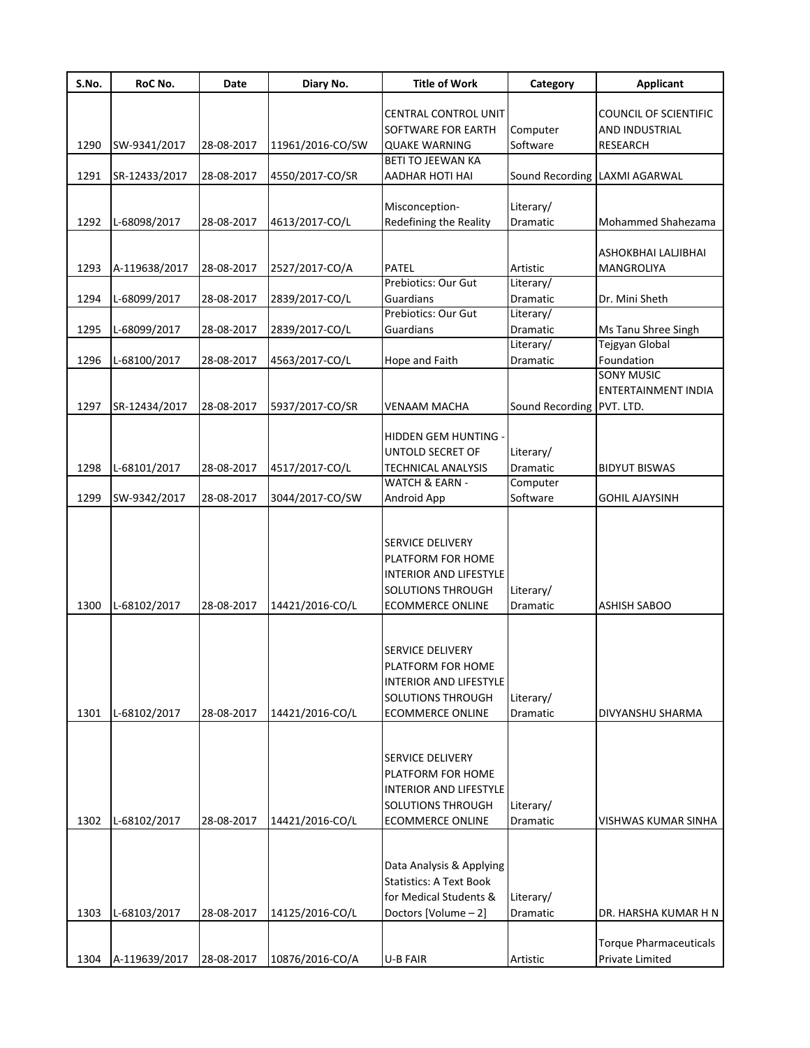| S.No. | RoC No.       | Date       | Diary No.        | <b>Title of Work</b>                                      | Category                  | <b>Applicant</b>                               |
|-------|---------------|------------|------------------|-----------------------------------------------------------|---------------------------|------------------------------------------------|
|       |               |            |                  | CENTRAL CONTROL UNIT<br>SOFTWARE FOR EARTH                | Computer                  | <b>COUNCIL OF SCIENTIFIC</b><br>AND INDUSTRIAL |
| 1290  | SW-9341/2017  | 28-08-2017 | 11961/2016-CO/SW | <b>QUAKE WARNING</b>                                      | Software                  | <b>RESEARCH</b>                                |
| 1291  | SR-12433/2017 | 28-08-2017 | 4550/2017-CO/SR  | <b>BETI TO JEEWAN KA</b><br>AADHAR HOTI HAI               |                           | Sound Recording LAXMI AGARWAL                  |
| 1292  | L-68098/2017  | 28-08-2017 |                  | Misconception-<br>Redefining the Reality                  | Literary/<br>Dramatic     | Mohammed Shahezama                             |
|       |               |            | 4613/2017-CO/L   |                                                           |                           |                                                |
|       |               |            |                  |                                                           |                           | ASHOKBHAI LALJIBHAI                            |
| 1293  | A-119638/2017 | 28-08-2017 | 2527/2017-CO/A   | PATEL                                                     | Artistic                  | MANGROLIYA                                     |
|       |               |            |                  | Prebiotics: Our Gut                                       | Literary/                 |                                                |
| 1294  | L-68099/2017  | 28-08-2017 | 2839/2017-CO/L   | Guardians                                                 | Dramatic                  | Dr. Mini Sheth                                 |
| 1295  | L-68099/2017  | 28-08-2017 | 2839/2017-CO/L   | Prebiotics: Our Gut<br>Guardians                          | Literary/<br>Dramatic     | Ms Tanu Shree Singh                            |
|       |               |            |                  |                                                           | Literary/                 | Tejgyan Global                                 |
| 1296  | L-68100/2017  | 28-08-2017 | 4563/2017-CO/L   | Hope and Faith                                            | Dramatic                  | Foundation                                     |
|       |               |            |                  |                                                           |                           | <b>SONY MUSIC</b>                              |
|       |               |            |                  |                                                           |                           | <b>ENTERTAINMENT INDIA</b>                     |
| 1297  | SR-12434/2017 | 28-08-2017 | 5937/2017-CO/SR  | VENAAM MACHA                                              | Sound Recording PVT. LTD. |                                                |
|       |               |            |                  |                                                           |                           |                                                |
|       |               |            |                  | HIDDEN GEM HUNTING -                                      |                           |                                                |
|       |               |            |                  | UNTOLD SECRET OF                                          | Literary/                 |                                                |
| 1298  | L-68101/2017  | 28-08-2017 | 4517/2017-CO/L   | <b>TECHNICAL ANALYSIS</b><br>WATCH & EARN -               | Dramatic<br>Computer      | <b>BIDYUT BISWAS</b>                           |
| 1299  | SW-9342/2017  | 28-08-2017 | 3044/2017-CO/SW  | Android App                                               | Software                  | <b>GOHIL AJAYSINH</b>                          |
|       |               |            |                  |                                                           |                           |                                                |
|       |               |            |                  |                                                           |                           |                                                |
|       |               |            |                  | SERVICE DELIVERY                                          |                           |                                                |
|       |               |            |                  | PLATFORM FOR HOME                                         |                           |                                                |
|       |               |            |                  | <b>INTERIOR AND LIFESTYLE</b>                             |                           |                                                |
|       |               |            |                  | SOLUTIONS THROUGH                                         | Literary/                 |                                                |
| 1300  | L-68102/2017  | 28-08-2017 | 14421/2016-CO/L  | <b>ECOMMERCE ONLINE</b>                                   | <b>Dramatic</b>           | <b>ASHISH SABOO</b>                            |
|       |               |            |                  |                                                           |                           |                                                |
|       |               |            |                  | SERVICE DELIVERY                                          |                           |                                                |
|       |               |            |                  | PLATFORM FOR HOME                                         |                           |                                                |
|       |               |            |                  | <b>INTERIOR AND LIFESTYLE</b>                             |                           |                                                |
|       |               |            |                  | SOLUTIONS THROUGH                                         | Literary/                 |                                                |
| 1301  | L-68102/2017  | 28-08-2017 | 14421/2016-CO/L  | <b>ECOMMERCE ONLINE</b>                                   | Dramatic                  | DIVYANSHU SHARMA                               |
|       |               |            |                  |                                                           |                           |                                                |
|       |               |            |                  |                                                           |                           |                                                |
|       |               |            |                  | SERVICE DELIVERY                                          |                           |                                                |
|       |               |            |                  | PLATFORM FOR HOME                                         |                           |                                                |
|       |               |            |                  | <b>INTERIOR AND LIFESTYLE</b><br><b>SOLUTIONS THROUGH</b> | Literary/                 |                                                |
| 1302  | L-68102/2017  | 28-08-2017 | 14421/2016-CO/L  | <b>ECOMMERCE ONLINE</b>                                   | Dramatic                  | VISHWAS KUMAR SINHA                            |
|       |               |            |                  |                                                           |                           |                                                |
|       |               |            |                  |                                                           |                           |                                                |
|       |               |            |                  | Data Analysis & Applying                                  |                           |                                                |
|       |               |            |                  | <b>Statistics: A Text Book</b>                            |                           |                                                |
|       |               |            |                  | for Medical Students &                                    | Literary/                 |                                                |
| 1303  | L-68103/2017  | 28-08-2017 | 14125/2016-CO/L  | Doctors [Volume - 2]                                      | Dramatic                  | DR. HARSHA KUMAR H N                           |
|       |               |            |                  |                                                           |                           |                                                |
|       |               |            |                  |                                                           |                           | <b>Torque Pharmaceuticals</b>                  |
| 1304  | A-119639/2017 | 28-08-2017 | 10876/2016-CO/A  | <b>U-B FAIR</b>                                           | Artistic                  | Private Limited                                |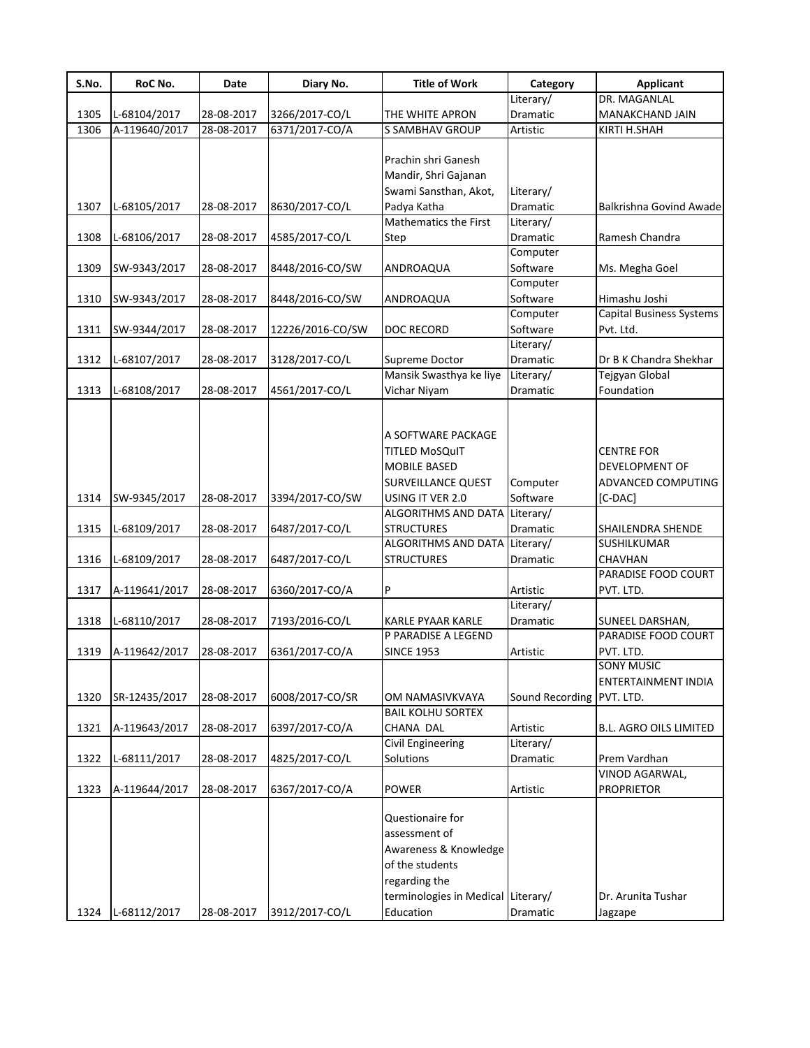| S.No. | RoC No.       | Date       | Diary No.        | <b>Title of Work</b>                                                                                         | Category             | <b>Applicant</b>                                                     |
|-------|---------------|------------|------------------|--------------------------------------------------------------------------------------------------------------|----------------------|----------------------------------------------------------------------|
|       |               |            |                  |                                                                                                              | Literary/            | DR. MAGANLAL                                                         |
| 1305  | L-68104/2017  | 28-08-2017 | 3266/2017-CO/L   | THE WHITE APRON                                                                                              | Dramatic             | MANAKCHAND JAIN                                                      |
| 1306  | A-119640/2017 | 28-08-2017 | 6371/2017-CO/A   | <b>S SAMBHAV GROUP</b>                                                                                       | Artistic             | KIRTI H.SHAH                                                         |
|       |               |            |                  | Prachin shri Ganesh<br>Mandir, Shri Gajanan                                                                  |                      |                                                                      |
|       |               |            |                  | Swami Sansthan, Akot,                                                                                        | Literary/            |                                                                      |
| 1307  | L-68105/2017  | 28-08-2017 | 8630/2017-CO/L   | Padya Katha                                                                                                  | Dramatic             | Balkrishna Govind Awade                                              |
|       |               |            |                  | Mathematics the First                                                                                        | Literary/            |                                                                      |
| 1308  | L-68106/2017  | 28-08-2017 | 4585/2017-CO/L   | Step                                                                                                         | Dramatic             | Ramesh Chandra                                                       |
|       |               |            |                  |                                                                                                              | Computer             |                                                                      |
| 1309  | SW-9343/2017  | 28-08-2017 | 8448/2016-CO/SW  | ANDROAQUA                                                                                                    | Software             | Ms. Megha Goel                                                       |
|       |               |            |                  |                                                                                                              | Computer             |                                                                      |
| 1310  | SW-9343/2017  | 28-08-2017 | 8448/2016-CO/SW  | ANDROAQUA                                                                                                    | Software             | Himashu Joshi                                                        |
|       |               |            |                  |                                                                                                              | Computer             | <b>Capital Business Systems</b>                                      |
| 1311  | SW-9344/2017  | 28-08-2017 | 12226/2016-CO/SW | <b>DOC RECORD</b>                                                                                            | Software             | Pvt. Ltd.                                                            |
|       |               |            |                  |                                                                                                              | Literary/            |                                                                      |
| 1312  | L-68107/2017  | 28-08-2017 | 3128/2017-CO/L   | <b>Supreme Doctor</b>                                                                                        | Dramatic             | Dr B K Chandra Shekhar                                               |
|       |               |            |                  | Mansik Swasthya ke liye                                                                                      | Literary/            | <b>Tejgyan Global</b>                                                |
| 1313  | L-68108/2017  | 28-08-2017 | 4561/2017-CO/L   | Vichar Niyam                                                                                                 | Dramatic             | Foundation                                                           |
| 1314  | SW-9345/2017  | 28-08-2017 | 3394/2017-CO/SW  | A SOFTWARE PACKAGE<br><b>TITLED MoSQuIT</b><br>MOBILE BASED<br><b>SURVEILLANCE QUEST</b><br>USING IT VER 2.0 | Computer<br>Software | <b>CENTRE FOR</b><br>DEVELOPMENT OF<br>ADVANCED COMPUTING<br>[C-DAC] |
|       |               |            |                  | <b>ALGORITHMS AND DATA</b>                                                                                   | Literary/            |                                                                      |
| 1315  | L-68109/2017  | 28-08-2017 | 6487/2017-CO/L   | <b>STRUCTURES</b>                                                                                            | Dramatic             | SHAILENDRA SHENDE                                                    |
|       |               |            |                  | ALGORITHMS AND DATA                                                                                          | Literary/            | SUSHILKUMAR                                                          |
| 1316  | L-68109/2017  | 28-08-2017 | 6487/2017-CO/L   | <b>STRUCTURES</b>                                                                                            | Dramatic             | CHAVHAN                                                              |
|       |               |            |                  |                                                                                                              |                      | PARADISE FOOD COURT                                                  |
| 1317  | A-119641/2017 | 28-08-2017 | 6360/2017-CO/A   | P                                                                                                            | Artistic             | PVT. LTD.                                                            |
|       |               |            |                  |                                                                                                              | Literary/            |                                                                      |
| 1318  | L-68110/2017  | 28-08-2017 | 7193/2016-CO/L   | KARLE PYAAR KARLE                                                                                            | Dramatic             | SUNEEL DARSHAN,                                                      |
|       |               |            |                  | P PARADISE A LEGEND                                                                                          |                      | PARADISE FOOD COURT                                                  |
| 1319  | A-119642/2017 | 28-08-2017 | 6361/2017-CO/A   | <b>SINCE 1953</b>                                                                                            | Artistic             | PVT. LTD.                                                            |
|       |               |            |                  |                                                                                                              |                      | <b>SONY MUSIC</b>                                                    |
|       |               |            |                  |                                                                                                              |                      | ENTERTAINMENT INDIA                                                  |
| 1320  | SR-12435/2017 | 28-08-2017 | 6008/2017-CO/SR  | OM NAMASIVKVAYA                                                                                              | Sound Recording      | PVT. LTD.                                                            |
|       |               |            |                  | <b>BAIL KOLHU SORTEX</b>                                                                                     |                      |                                                                      |
| 1321  | A-119643/2017 | 28-08-2017 | 6397/2017-CO/A   | CHANA DAL                                                                                                    | Artistic             | <b>B.L. AGRO OILS LIMITED</b>                                        |
|       |               |            |                  | <b>Civil Engineering</b>                                                                                     | Literary/            |                                                                      |
| 1322  | L-68111/2017  | 28-08-2017 | 4825/2017-CO/L   | Solutions                                                                                                    | Dramatic             | Prem Vardhan                                                         |
|       |               |            |                  |                                                                                                              |                      | VINOD AGARWAL,                                                       |
| 1323  | A-119644/2017 | 28-08-2017 | 6367/2017-CO/A   | POWER                                                                                                        | Artistic             | <b>PROPRIETOR</b>                                                    |
|       |               |            |                  | Questionaire for<br>assessment of<br>Awareness & Knowledge<br>of the students<br>regarding the               |                      |                                                                      |
|       |               |            |                  | terminologies in Medical Literary/                                                                           |                      | Dr. Arunita Tushar                                                   |
| 1324  | L-68112/2017  | 28-08-2017 | 3912/2017-CO/L   | Education                                                                                                    | Dramatic             | Jagzape                                                              |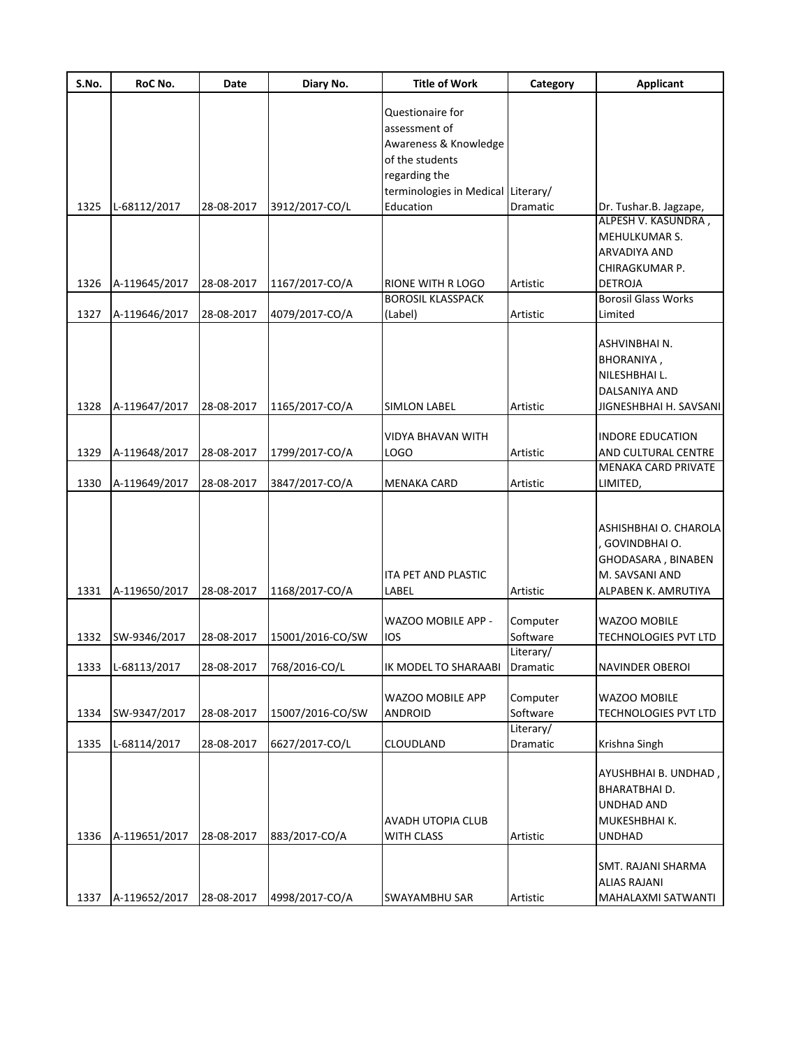| S.No. | RoC No.       | Date       | Diary No.        | <b>Title of Work</b>               | Category  | <b>Applicant</b>            |
|-------|---------------|------------|------------------|------------------------------------|-----------|-----------------------------|
|       |               |            |                  | Questionaire for                   |           |                             |
|       |               |            |                  | assessment of                      |           |                             |
|       |               |            |                  | Awareness & Knowledge              |           |                             |
|       |               |            |                  | of the students                    |           |                             |
|       |               |            |                  | regarding the                      |           |                             |
|       |               |            |                  |                                    |           |                             |
|       |               |            |                  | terminologies in Medical Literary/ |           |                             |
| 1325  | L-68112/2017  | 28-08-2017 | 3912/2017-CO/L   | Education                          | Dramatic  | Dr. Tushar.B. Jagzape,      |
|       |               |            |                  |                                    |           | ALPESH V. KASUNDRA,         |
|       |               |            |                  |                                    |           | MEHULKUMAR S.               |
|       |               |            |                  |                                    |           | ARVADIYA AND                |
|       |               |            |                  |                                    |           | CHIRAGKUMAR P.              |
| 1326  | A-119645/2017 | 28-08-2017 | 1167/2017-CO/A   | RIONE WITH R LOGO                  | Artistic  | <b>DETROJA</b>              |
|       |               |            |                  | <b>BOROSIL KLASSPACK</b>           |           | <b>Borosil Glass Works</b>  |
| 1327  | A-119646/2017 | 28-08-2017 | 4079/2017-CO/A   | (Label)                            | Artistic  | Limited                     |
|       |               |            |                  |                                    |           |                             |
|       |               |            |                  |                                    |           | ASHVINBHAI N.               |
|       |               |            |                  |                                    |           |                             |
|       |               |            |                  |                                    |           | BHORANIYA,                  |
|       |               |            |                  |                                    |           | NILESHBHAI L.               |
|       |               |            |                  |                                    |           | DALSANIYA AND               |
| 1328  | A-119647/2017 | 28-08-2017 | 1165/2017-CO/A   | <b>SIMLON LABEL</b>                | Artistic  | JIGNESHBHAI H. SAVSANI      |
|       |               |            |                  |                                    |           |                             |
|       |               |            |                  | VIDYA BHAVAN WITH                  |           | <b>INDORE EDUCATION</b>     |
| 1329  | A-119648/2017 | 28-08-2017 | 1799/2017-CO/A   | LOGO                               | Artistic  | AND CULTURAL CENTRE         |
|       |               |            |                  |                                    |           | MENAKA CARD PRIVATE         |
| 1330  | A-119649/2017 | 28-08-2017 | 3847/2017-CO/A   | <b>MENAKA CARD</b>                 | Artistic  | LIMITED,                    |
|       |               |            |                  |                                    |           |                             |
|       |               |            |                  |                                    |           |                             |
|       |               |            |                  |                                    |           | ASHISHBHAI O. CHAROLA       |
|       |               |            |                  |                                    |           | , GOVINDBHAI O.             |
|       |               |            |                  |                                    |           | GHODASARA, BINABEN          |
|       |               |            |                  | ITA PET AND PLASTIC                |           | M. SAVSANI AND              |
| 1331  | A-119650/2017 | 28-08-2017 | 1168/2017-CO/A   | LABEL                              | Artistic  | ALPABEN K. AMRUTIYA         |
|       |               |            |                  |                                    |           |                             |
|       |               |            |                  | WAZOO MOBILE APP -                 | Computer  | WAZOO MOBILE                |
|       |               |            |                  |                                    |           |                             |
| 1332  | SW-9346/2017  | 28-08-2017 | 15001/2016-CO/SW | ios                                | Software  | TECHNOLOGIES PVT LTD        |
|       |               |            |                  |                                    | Literary/ |                             |
| 1333  | L-68113/2017  | 28-08-2017 | 768/2016-CO/L    | IK MODEL TO SHARAABI               | Dramatic  | NAVINDER OBEROI             |
|       |               |            |                  |                                    |           |                             |
|       |               |            |                  | WAZOO MOBILE APP                   | Computer  | WAZOO MOBILE                |
| 1334  | SW-9347/2017  | 28-08-2017 | 15007/2016-CO/SW | <b>ANDROID</b>                     | Software  | <b>TECHNOLOGIES PVT LTD</b> |
|       |               |            |                  |                                    | Literary/ |                             |
| 1335  | L-68114/2017  | 28-08-2017 | 6627/2017-CO/L   | CLOUDLAND                          | Dramatic  | Krishna Singh               |
|       |               |            |                  |                                    |           |                             |
|       |               |            |                  |                                    |           | AYUSHBHAI B. UNDHAD,        |
|       |               |            |                  |                                    |           | BHARATBHAI D.               |
|       |               |            |                  |                                    |           | UNDHAD AND                  |
|       |               |            |                  | AVADH UTOPIA CLUB                  |           | MUKESHBHAI K.               |
| 1336  | A-119651/2017 | 28-08-2017 | 883/2017-CO/A    | <b>WITH CLASS</b>                  | Artistic  | <b>UNDHAD</b>               |
|       |               |            |                  |                                    |           |                             |
|       |               |            |                  |                                    |           | SMT. RAJANI SHARMA          |
|       |               |            |                  |                                    |           | ALIAS RAJANI                |
|       |               |            |                  |                                    |           |                             |
| 1337  | A-119652/2017 | 28-08-2017 | 4998/2017-CO/A   | SWAYAMBHU SAR                      | Artistic  | MAHALAXMI SATWANTI          |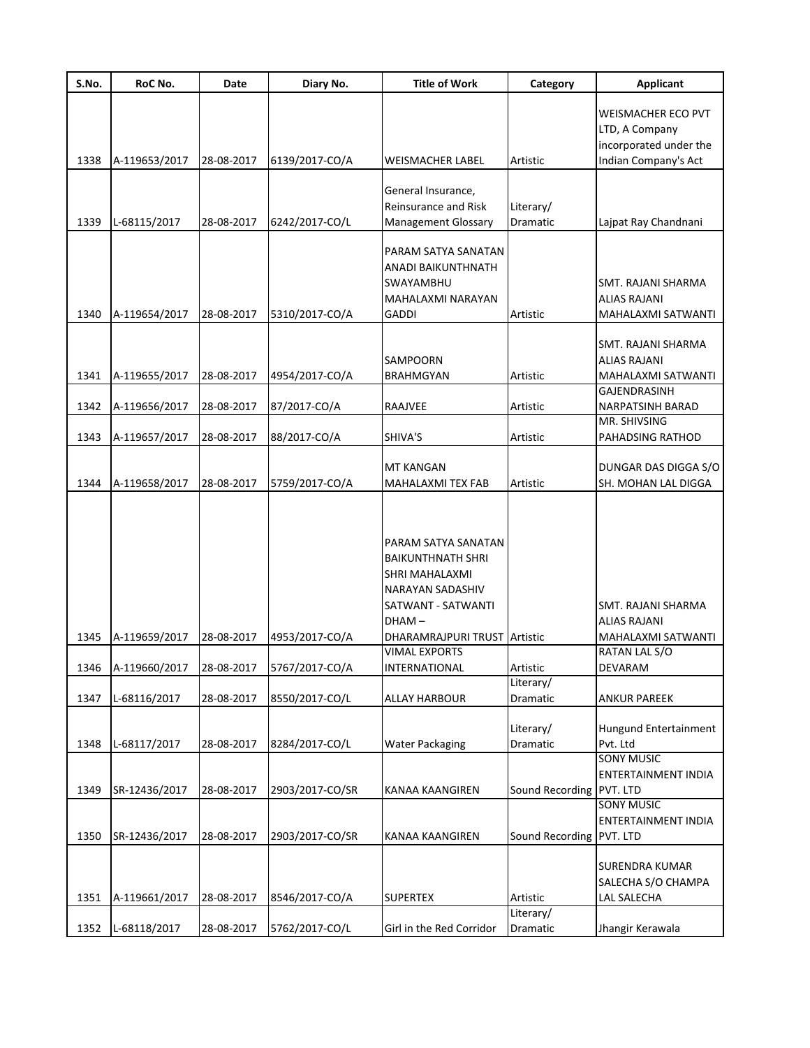| S.No. | RoC No.       | Date       | Diary No.       | <b>Title of Work</b>                                                                                           | Category                 | <b>Applicant</b>                                                          |
|-------|---------------|------------|-----------------|----------------------------------------------------------------------------------------------------------------|--------------------------|---------------------------------------------------------------------------|
|       |               |            |                 |                                                                                                                |                          | WEISMACHER ECO PVT<br>LTD, A Company                                      |
| 1338  | A-119653/2017 | 28-08-2017 | 6139/2017-CO/A  | WEISMACHER LABEL                                                                                               | Artistic                 | incorporated under the<br>Indian Company's Act                            |
|       |               |            |                 |                                                                                                                |                          |                                                                           |
|       |               |            |                 | General Insurance,<br>Reinsurance and Risk                                                                     | Literary/                |                                                                           |
| 1339  | L-68115/2017  | 28-08-2017 | 6242/2017-CO/L  | <b>Management Glossary</b>                                                                                     | Dramatic                 | Lajpat Ray Chandnani                                                      |
|       |               |            |                 | PARAM SATYA SANATAN<br>ANADI BAIKUNTHNATH<br>SWAYAMBHU<br>MAHALAXMI NARAYAN                                    |                          | SMT. RAJANI SHARMA<br>ALIAS RAJANI                                        |
| 1340  | A-119654/2017 | 28-08-2017 | 5310/2017-CO/A  | <b>GADDI</b>                                                                                                   | Artistic                 | MAHALAXMI SATWANTI                                                        |
| 1341  | A-119655/2017 | 28-08-2017 | 4954/2017-CO/A  | <b>SAMPOORN</b><br>BRAHMGYAN                                                                                   | Artistic                 | SMT. RAJANI SHARMA<br>ALIAS RAJANI<br>MAHALAXMI SATWANTI<br>GAJENDRASINH  |
| 1342  | A-119656/2017 | 28-08-2017 | 87/2017-CO/A    | RAAJVEE                                                                                                        | Artistic                 | NARPATSINH BARAD                                                          |
| 1343  | A-119657/2017 | 28-08-2017 | 88/2017-CO/A    | SHIVA'S                                                                                                        | Artistic                 | MR. SHIVSING<br>PAHADSING RATHOD                                          |
|       |               |            |                 |                                                                                                                |                          |                                                                           |
| 1344  | A-119658/2017 | 28-08-2017 | 5759/2017-CO/A  | <b>MT KANGAN</b><br>MAHALAXMI TEX FAB                                                                          | Artistic                 | DUNGAR DAS DIGGA S/O<br>SH. MOHAN LAL DIGGA                               |
|       |               |            |                 | PARAM SATYA SANATAN<br>BAIKUNTHNATH SHRI<br>SHRI MAHALAXMI<br>NARAYAN SADASHIV<br>SATWANT - SATWANTI<br>DHAM – |                          | SMT. RAJANI SHARMA<br>ALIAS RAJANI                                        |
| 1345  | A-119659/2017 | 28-08-2017 | 4953/2017-CO/A  | DHARAMRAJPURI TRUST Artistic                                                                                   |                          | MAHALAXMI SATWANTI                                                        |
|       |               |            |                 | VIMAL EXPORTS                                                                                                  |                          | RATAN LAL S/O                                                             |
| 1346  | A-119660/2017 | 28-08-2017 | 5767/2017-CO/A  | INTERNATIONAL                                                                                                  | Artistic<br>Literary/    | DEVARAM                                                                   |
| 1347  | L-68116/2017  | 28-08-2017 | 8550/2017-CO/L  | ALLAY HARBOUR                                                                                                  | Dramatic                 | <b>ANKUR PAREEK</b>                                                       |
| 1348  | L-68117/2017  | 28-08-2017 | 8284/2017-CO/L  | <b>Water Packaging</b>                                                                                         | Literary/<br>Dramatic    | Hungund Entertainment<br>Pvt. Ltd                                         |
| 1349  | SR-12436/2017 | 28-08-2017 | 2903/2017-CO/SR | KANAA KAANGIREN                                                                                                | Sound Recording          | <b>SONY MUSIC</b><br>ENTERTAINMENT INDIA<br>PVT. LTD<br><b>SONY MUSIC</b> |
| 1350  | SR-12436/2017 | 28-08-2017 | 2903/2017-CO/SR | KANAA KAANGIREN                                                                                                | Sound Recording PVT. LTD | <b>ENTERTAINMENT INDIA</b>                                                |
| 1351  | A-119661/2017 | 28-08-2017 | 8546/2017-CO/A  | <b>SUPERTEX</b>                                                                                                | Artistic                 | <b>SURENDRA KUMAR</b><br>SALECHA S/O CHAMPA<br>LAL SALECHA                |
|       |               |            |                 |                                                                                                                | Literary/                |                                                                           |
| 1352  | L-68118/2017  | 28-08-2017 | 5762/2017-CO/L  | Girl in the Red Corridor                                                                                       | Dramatic                 | Jhangir Kerawala                                                          |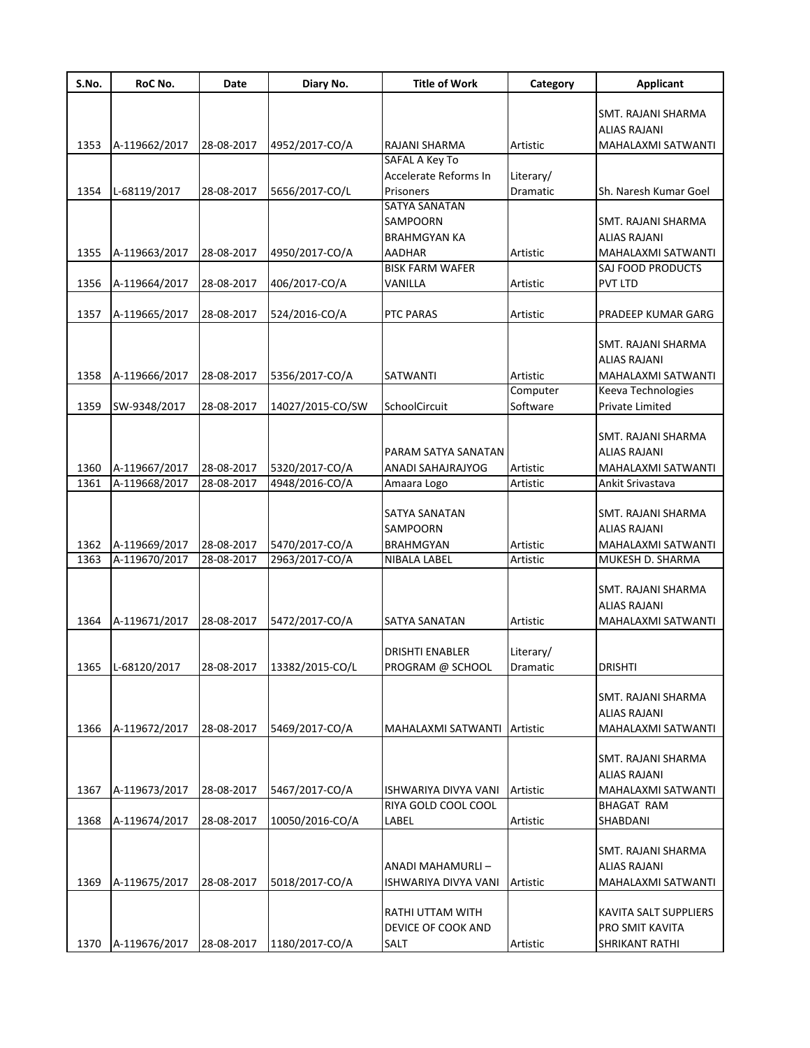| S.No. | RoC No.       | Date       | Diary No.        | <b>Title of Work</b>                     | Category  | <b>Applicant</b>                          |
|-------|---------------|------------|------------------|------------------------------------------|-----------|-------------------------------------------|
|       |               |            |                  |                                          |           | SMT. RAJANI SHARMA<br>ALIAS RAJANI        |
| 1353  | A-119662/2017 | 28-08-2017 | 4952/2017-CO/A   | RAJANI SHARMA<br>SAFAL A Key To          | Artistic  | MAHALAXMI SATWANTI                        |
|       |               |            |                  | Accelerate Reforms In                    | Literary/ |                                           |
| 1354  | L-68119/2017  | 28-08-2017 | 5656/2017-CO/L   | <b>Prisoners</b>                         | Dramatic  | Sh. Naresh Kumar Goel                     |
|       |               |            |                  | SATYA SANATAN                            |           |                                           |
|       |               |            |                  | SAMPOORN                                 |           | SMT. RAJANI SHARMA                        |
|       |               |            |                  | <b>BRAHMGYAN KA</b>                      |           | <b>ALIAS RAJANI</b>                       |
| 1355  | A-119663/2017 | 28-08-2017 | 4950/2017-CO/A   | <b>AADHAR</b>                            | Artistic  | MAHALAXMI SATWANTI                        |
|       |               |            |                  | <b>BISK FARM WAFER</b>                   |           | SAJ FOOD PRODUCTS                         |
| 1356  | A-119664/2017 | 28-08-2017 | 406/2017-CO/A    | VANILLA                                  | Artistic  | <b>PVT LTD</b>                            |
| 1357  | A-119665/2017 | 28-08-2017 | 524/2016-CO/A    | PTC PARAS                                | Artistic  | PRADEEP KUMAR GARG                        |
|       |               |            |                  |                                          |           | SMT. RAJANI SHARMA                        |
|       |               |            |                  |                                          |           | ALIAS RAJANI                              |
| 1358  | A-119666/2017 | 28-08-2017 | 5356/2017-CO/A   | SATWANTI                                 | Artistic  | <b>MAHALAXMI SATWANTI</b>                 |
|       |               |            |                  |                                          | Computer  | Keeva Technologies                        |
| 1359  | SW-9348/2017  | 28-08-2017 | 14027/2015-CO/SW | SchoolCircuit                            | Software  | Private Limited                           |
|       |               |            |                  |                                          |           |                                           |
|       |               |            |                  |                                          |           | SMT. RAJANI SHARMA                        |
|       |               |            |                  | PARAM SATYA SANATAN                      |           | <b>ALIAS RAJANI</b>                       |
| 1360  | A-119667/2017 | 28-08-2017 | 5320/2017-CO/A   | ANADI SAHAJRAJYOG                        | Artistic  | MAHALAXMI SATWANTI                        |
| 1361  | A-119668/2017 | 28-08-2017 | 4948/2016-CO/A   | Amaara Logo                              | Artistic  | Ankit Srivastava                          |
|       |               |            |                  | SATYA SANATAN                            |           | SMT. RAJANI SHARMA                        |
|       |               |            |                  | SAMPOORN                                 |           | ALIAS RAJANI                              |
| 1362  | A-119669/2017 | 28-08-2017 | 5470/2017-CO/A   | <b>BRAHMGYAN</b>                         | Artistic  | MAHALAXMI SATWANTI                        |
| 1363  | A-119670/2017 | 28-08-2017 | 2963/2017-CO/A   | NIBALA LABEL                             | Artistic  | MUKESH D. SHARMA                          |
|       |               |            |                  |                                          |           |                                           |
|       |               |            |                  |                                          |           | SMT. RAJANI SHARMA<br>ALIAS RAJANI        |
| 1364  | A-119671/2017 | 28-08-2017 | 5472/2017-CO/A   | SATYA SANATAN                            | Artistic  | MAHALAXMI SATWANTI                        |
|       |               |            |                  |                                          |           |                                           |
|       |               |            |                  | DRISHTI ENABLER                          | Literary/ |                                           |
| 1365  | L-68120/2017  | 28-08-2017 | 13382/2015-CO/L  | PROGRAM @ SCHOOL                         | Dramatic  | <b>DRISHTI</b>                            |
|       |               |            |                  |                                          |           |                                           |
|       |               |            |                  |                                          |           | SMT. RAJANI SHARMA                        |
|       |               |            |                  |                                          |           | ALIAS RAJANI                              |
| 1366  | A-119672/2017 | 28-08-2017 | 5469/2017-CO/A   | MAHALAXMI SATWANTI Artistic              |           | MAHALAXMI SATWANTI                        |
|       |               |            |                  |                                          |           | SMT. RAJANI SHARMA                        |
|       |               |            |                  |                                          |           | <b>ALIAS RAJANI</b>                       |
| 1367  | A-119673/2017 | 28-08-2017 | 5467/2017-CO/A   | ISHWARIYA DIVYA VANI                     | Artistic  | MAHALAXMI SATWANTI                        |
|       |               |            |                  | RIYA GOLD COOL COOL                      |           | <b>BHAGAT RAM</b>                         |
| 1368  | A-119674/2017 | 28-08-2017 | 10050/2016-CO/A  | LABEL                                    | Artistic  | SHABDANI                                  |
|       |               |            |                  |                                          |           |                                           |
|       |               |            |                  |                                          |           | SMT. RAJANI SHARMA                        |
| 1369  | A-119675/2017 | 28-08-2017 | 5018/2017-CO/A   | ANADI MAHAMURLI-<br>ISHWARIYA DIVYA VANI | Artistic  | <b>ALIAS RAJANI</b><br>MAHALAXMI SATWANTI |
|       |               |            |                  |                                          |           |                                           |
|       |               |            |                  | RATHI UTTAM WITH                         |           | KAVITA SALT SUPPLIERS                     |
|       |               |            |                  | DEVICE OF COOK AND                       |           | PRO SMIT KAVITA                           |
| 1370  | A-119676/2017 | 28-08-2017 | 1180/2017-CO/A   | <b>SALT</b>                              | Artistic  | SHRIKANT RATHI                            |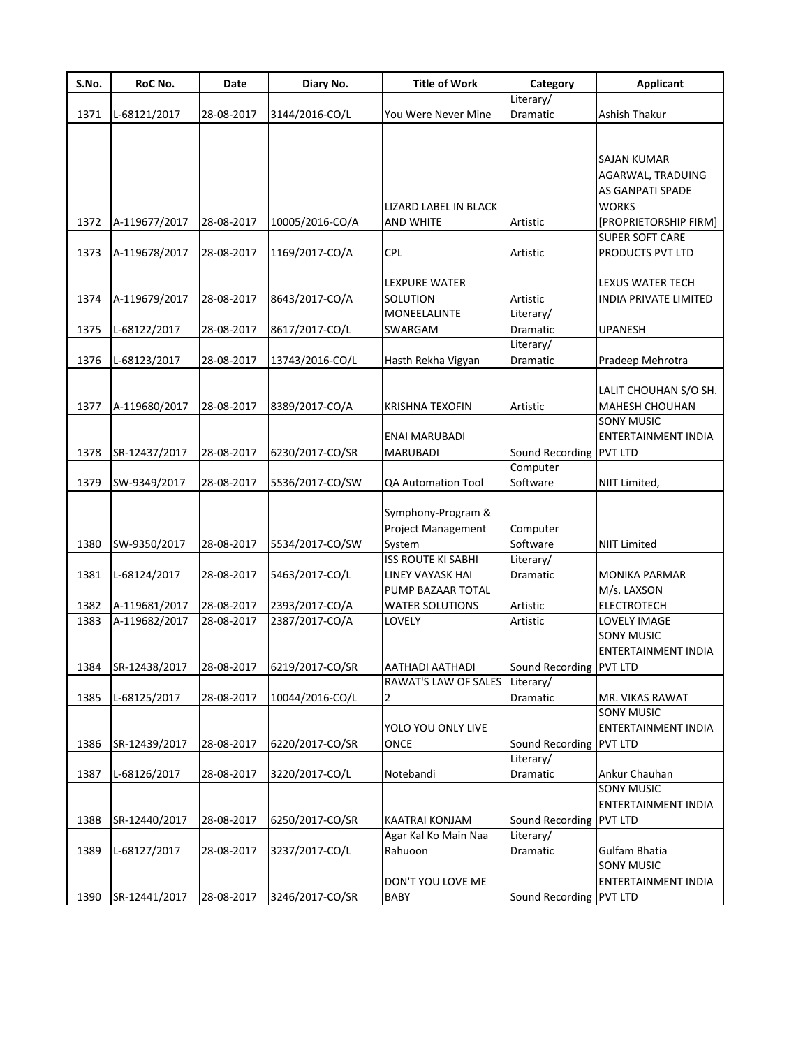| S.No. | RoC No.       | <b>Date</b> | Diary No.       | <b>Title of Work</b>      | Category                | Applicant                  |
|-------|---------------|-------------|-----------------|---------------------------|-------------------------|----------------------------|
|       |               |             |                 |                           | Literary/               |                            |
| 1371  | L-68121/2017  | 28-08-2017  | 3144/2016-CO/L  | You Were Never Mine       | Dramatic                | Ashish Thakur              |
|       |               |             |                 |                           |                         |                            |
|       |               |             |                 |                           |                         | SAJAN KUMAR                |
|       |               |             |                 |                           |                         | AGARWAL, TRADUING          |
|       |               |             |                 |                           |                         | AS GANPATI SPADE           |
|       |               |             |                 | LIZARD LABEL IN BLACK     |                         | <b>WORKS</b>               |
| 1372  | A-119677/2017 | 28-08-2017  | 10005/2016-CO/A | <b>AND WHITE</b>          | Artistic                | [PROPRIETORSHIP FIRM]      |
|       |               |             |                 |                           |                         | <b>SUPER SOFT CARE</b>     |
| 1373  | A-119678/2017 | 28-08-2017  | 1169/2017-CO/A  | <b>CPL</b>                | Artistic                | PRODUCTS PVT LTD           |
|       |               |             |                 |                           |                         |                            |
|       |               |             |                 | LEXPURE WATER             |                         | LEXUS WATER TECH           |
| 1374  | A-119679/2017 | 28-08-2017  | 8643/2017-CO/A  | SOLUTION                  | Artistic                | INDIA PRIVATE LIMITED      |
|       |               |             |                 | <b>MONEELALINTE</b>       | Literary/               |                            |
| 1375  | L-68122/2017  | 28-08-2017  | 8617/2017-CO/L  | SWARGAM                   | Dramatic                | <b>UPANESH</b>             |
|       |               |             |                 |                           | Literary/               |                            |
| 1376  | L-68123/2017  | 28-08-2017  | 13743/2016-CO/L | Hasth Rekha Vigyan        | Dramatic                | Pradeep Mehrotra           |
|       |               |             |                 |                           |                         |                            |
|       |               |             |                 |                           |                         | LALIT CHOUHAN S/O SH.      |
| 1377  | A-119680/2017 | 28-08-2017  | 8389/2017-CO/A  | <b>KRISHNA TEXOFIN</b>    | Artistic                | MAHESH CHOUHAN             |
|       |               |             |                 |                           |                         | <b>SONY MUSIC</b>          |
|       |               |             |                 | <b>ENAI MARUBADI</b>      |                         | ENTERTAINMENT INDIA        |
| 1378  | SR-12437/2017 | 28-08-2017  | 6230/2017-CO/SR | MARUBADI                  | Sound Recording         | <b>PVT LTD</b>             |
| 1379  | SW-9349/2017  | 28-08-2017  | 5536/2017-CO/SW | QA Automation Tool        | Computer<br>Software    | NIIT Limited,              |
|       |               |             |                 |                           |                         |                            |
|       |               |             |                 | Symphony-Program &        |                         |                            |
|       |               |             |                 | <b>Project Management</b> | Computer                |                            |
| 1380  | SW-9350/2017  | 28-08-2017  | 5534/2017-CO/SW | System                    | Software                | <b>NIIT Limited</b>        |
|       |               |             |                 | <b>ISS ROUTE KI SABHI</b> | Literary/               |                            |
| 1381  | L-68124/2017  | 28-08-2017  | 5463/2017-CO/L  | LINEY VAYASK HAI          | Dramatic                | <b>MONIKA PARMAR</b>       |
|       |               |             |                 | PUMP BAZAAR TOTAL         |                         | M/s. LAXSON                |
| 1382  | A-119681/2017 | 28-08-2017  | 2393/2017-CO/A  | <b>WATER SOLUTIONS</b>    | Artistic                | <b>ELECTROTECH</b>         |
| 1383  | A-119682/2017 | 28-08-2017  | 2387/2017-CO/A  | LOVELY                    | Artistic                | LOVELY IMAGE               |
|       |               |             |                 |                           |                         | <b>SONY MUSIC</b>          |
|       |               |             |                 |                           |                         | <b>ENTERTAINMENT INDIA</b> |
| 1384  | SR-12438/2017 | 28-08-2017  | 6219/2017-CO/SR | AATHADI AATHADI           | Sound Recording PVT LTD |                            |
|       |               |             |                 | RAWAT'S LAW OF SALES      | Literary/               |                            |
| 1385  | L-68125/2017  | 28-08-2017  | 10044/2016-CO/L | 2                         | Dramatic                | MR. VIKAS RAWAT            |
|       |               |             |                 |                           |                         | <b>SONY MUSIC</b>          |
|       |               |             |                 | YOLO YOU ONLY LIVE        |                         | <b>ENTERTAINMENT INDIA</b> |
| 1386  | SR-12439/2017 | 28-08-2017  | 6220/2017-CO/SR | ONCE                      | Sound Recording         | <b>PVT LTD</b>             |
| 1387  | L-68126/2017  | 28-08-2017  | 3220/2017-CO/L  | Notebandi                 | Literary/<br>Dramatic   | Ankur Chauhan              |
|       |               |             |                 |                           |                         | <b>SONY MUSIC</b>          |
|       |               |             |                 |                           |                         | ENTERTAINMENT INDIA        |
| 1388  | SR-12440/2017 | 28-08-2017  | 6250/2017-CO/SR | <b>KAATRAI KONJAM</b>     | Sound Recording         | <b>PVT LTD</b>             |
|       |               |             |                 | Agar Kal Ko Main Naa      | Literary/               |                            |
| 1389  | L-68127/2017  | 28-08-2017  | 3237/2017-CO/L  | Rahuoon                   | Dramatic                | Gulfam Bhatia              |
|       |               |             |                 |                           |                         | <b>SONY MUSIC</b>          |
|       |               |             |                 | DON'T YOU LOVE ME         |                         | ENTERTAINMENT INDIA        |
| 1390  | SR-12441/2017 | 28-08-2017  | 3246/2017-CO/SR | BABY                      | Sound Recording         | <b>PVT LTD</b>             |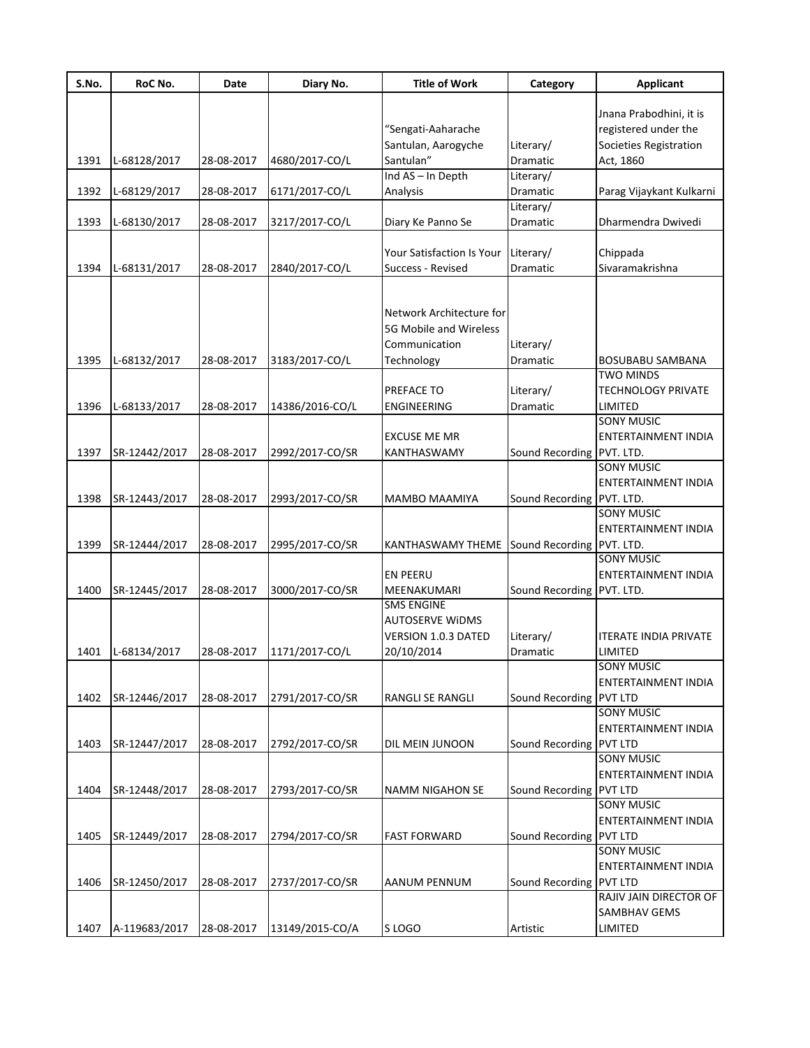| S.No. | RoC No.       | Date       | Diary No.       | <b>Title of Work</b>                        | Category                  | <b>Applicant</b>             |
|-------|---------------|------------|-----------------|---------------------------------------------|---------------------------|------------------------------|
|       |               |            |                 |                                             |                           |                              |
|       |               |            |                 |                                             |                           | Jnana Prabodhini, it is      |
|       |               |            |                 | "Sengati-Aaharache                          |                           | registered under the         |
|       |               |            |                 | Santulan, Aarogyche                         | Literary/                 | Societies Registration       |
| 1391  | L-68128/2017  | 28-08-2017 | 4680/2017-CO/L  | Santulan"                                   | Dramatic                  | Act, 1860                    |
|       |               |            |                 | Ind AS - In Depth                           | Literary/                 |                              |
| 1392  | L-68129/2017  | 28-08-2017 | 6171/2017-CO/L  | Analysis                                    | Dramatic                  | Parag Vijaykant Kulkarni     |
|       |               |            |                 |                                             | Literary/                 |                              |
| 1393  | L-68130/2017  | 28-08-2017 | 3217/2017-CO/L  | Diary Ke Panno Se                           | Dramatic                  | Dharmendra Dwivedi           |
|       |               |            |                 | <b>Your Satisfaction Is Your</b>            | Literary/                 | Chippada                     |
| 1394  | L-68131/2017  | 28-08-2017 | 2840/2017-CO/L  | Success - Revised                           | Dramatic                  | Sivaramakrishna              |
|       |               |            |                 |                                             |                           |                              |
|       |               |            |                 |                                             |                           |                              |
|       |               |            |                 | Network Architecture for                    |                           |                              |
|       |               |            |                 | 5G Mobile and Wireless                      |                           |                              |
|       |               |            |                 | Communication                               | Literary/                 |                              |
| 1395  | L-68132/2017  | 28-08-2017 | 3183/2017-CO/L  | Technology                                  | Dramatic                  | <b>BOSUBABU SAMBANA</b>      |
|       |               |            |                 |                                             |                           | <b>TWO MINDS</b>             |
|       |               |            |                 | PREFACE TO                                  | Literary/                 | <b>TECHNOLOGY PRIVATE</b>    |
| 1396  | L-68133/2017  | 28-08-2017 | 14386/2016-CO/L | ENGINEERING                                 | Dramatic                  | LIMITED                      |
|       |               |            |                 |                                             |                           | <b>SONY MUSIC</b>            |
|       |               |            |                 | <b>EXCUSE ME MR</b>                         |                           | ENTERTAINMENT INDIA          |
| 1397  | SR-12442/2017 | 28-08-2017 | 2992/2017-CO/SR | KANTHASWAMY                                 | Sound Recording PVT. LTD. |                              |
|       |               |            |                 |                                             |                           | <b>SONY MUSIC</b>            |
|       |               |            |                 |                                             |                           | <b>ENTERTAINMENT INDIA</b>   |
| 1398  | SR-12443/2017 | 28-08-2017 | 2993/2017-CO/SR | <b>MAMBO MAAMIYA</b>                        | Sound Recording PVT. LTD. |                              |
|       |               |            |                 |                                             |                           | <b>SONY MUSIC</b>            |
|       |               |            |                 |                                             |                           | <b>ENTERTAINMENT INDIA</b>   |
| 1399  | SR-12444/2017 | 28-08-2017 | 2995/2017-CO/SR | KANTHASWAMY THEME Sound Recording PVT. LTD. |                           |                              |
|       |               |            |                 |                                             |                           | <b>SONY MUSIC</b>            |
|       |               |            |                 | <b>EN PEERU</b>                             |                           | <b>ENTERTAINMENT INDIA</b>   |
| 1400  | SR-12445/2017 | 28-08-2017 | 3000/2017-CO/SR | MEENAKUMARI                                 | Sound Recording PVT. LTD. |                              |
|       |               |            |                 | <b>SMS ENGINE</b>                           |                           |                              |
|       |               |            |                 | <b>AUTOSERVE WIDMS</b>                      |                           |                              |
|       |               |            |                 | VERSION 1.0.3 DATED                         | Literary/                 | <b>ITERATE INDIA PRIVATE</b> |
| 1401  | L-68134/2017  | 28-08-2017 | 1171/2017-CO/L  | 20/10/2014                                  | Dramatic                  | LIMITED                      |
|       |               |            |                 |                                             |                           | <b>SONY MUSIC</b>            |
|       |               |            |                 |                                             |                           | ENTERTAINMENT INDIA          |
| 1402  | SR-12446/2017 | 28-08-2017 | 2791/2017-CO/SR | <b>RANGLI SE RANGLI</b>                     | Sound Recording           | <b>PVT LTD</b>               |
|       |               |            |                 |                                             |                           | <b>SONY MUSIC</b>            |
|       |               |            |                 |                                             |                           | ENTERTAINMENT INDIA          |
| 1403  | SR-12447/2017 | 28-08-2017 | 2792/2017-CO/SR | DIL MEIN JUNOON                             | Sound Recording PVT LTD   |                              |
|       |               |            |                 |                                             |                           | <b>SONY MUSIC</b>            |
|       |               |            |                 |                                             |                           | <b>ENTERTAINMENT INDIA</b>   |
| 1404  | SR-12448/2017 | 28-08-2017 | 2793/2017-CO/SR | NAMM NIGAHON SE                             | Sound Recording PVT LTD   |                              |
|       |               |            |                 |                                             |                           | <b>SONY MUSIC</b>            |
|       |               |            |                 |                                             |                           | ENTERTAINMENT INDIA          |
| 1405  | SR-12449/2017 | 28-08-2017 | 2794/2017-CO/SR | <b>FAST FORWARD</b>                         | Sound Recording PVT LTD   |                              |
|       |               |            |                 |                                             |                           | <b>SONY MUSIC</b>            |
|       |               |            |                 |                                             |                           | ENTERTAINMENT INDIA          |
| 1406  | SR-12450/2017 | 28-08-2017 | 2737/2017-CO/SR | <b>AANUM PENNUM</b>                         | Sound Recording PVT LTD   |                              |
|       |               |            |                 |                                             |                           | RAJIV JAIN DIRECTOR OF       |
|       |               |            |                 |                                             |                           | SAMBHAV GEMS                 |
| 1407  | A-119683/2017 | 28-08-2017 | 13149/2015-CO/A | SLOGO                                       | Artistic                  | LIMITED                      |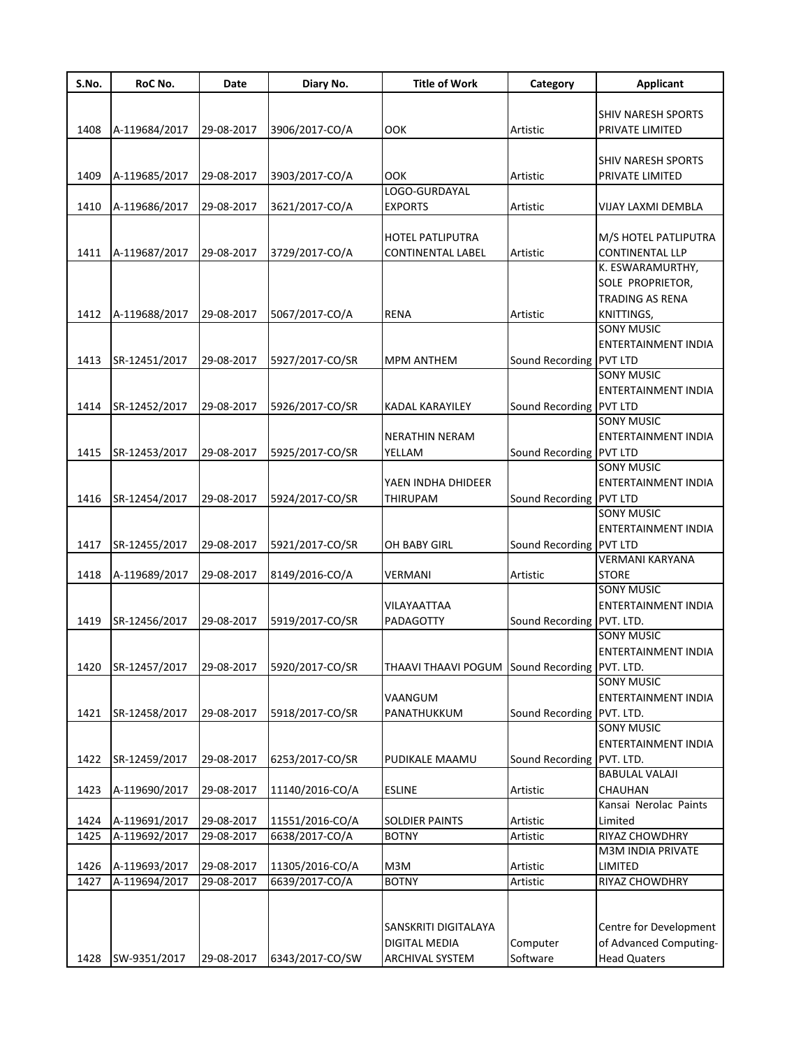| S.No. | RoC No.                  | Date       | Diary No.       | <b>Title of Work</b>                          | Category                  | <b>Applicant</b>                               |
|-------|--------------------------|------------|-----------------|-----------------------------------------------|---------------------------|------------------------------------------------|
|       |                          |            |                 |                                               |                           |                                                |
|       |                          |            |                 |                                               |                           | SHIV NARESH SPORTS                             |
| 1408  | A-119684/2017            | 29-08-2017 | 3906/2017-CO/A  | OOK                                           | Artistic                  | PRIVATE LIMITED                                |
|       |                          |            |                 |                                               |                           |                                                |
|       |                          |            |                 |                                               |                           | SHIV NARESH SPORTS                             |
| 1409  | A-119685/2017            | 29-08-2017 | 3903/2017-CO/A  | OOK                                           | Artistic                  | PRIVATE LIMITED                                |
|       |                          |            |                 | LOGO-GURDAYAL                                 |                           |                                                |
| 1410  | A-119686/2017            | 29-08-2017 | 3621/2017-CO/A  | EXPORTS                                       | Artistic                  | VIJAY LAXMI DEMBLA                             |
|       |                          |            |                 |                                               |                           |                                                |
|       | A-119687/2017            |            | 3729/2017-CO/A  | HOTEL PATLIPUTRA                              |                           | M/S HOTEL PATLIPUTRA<br><b>CONTINENTAL LLP</b> |
| 1411  |                          | 29-08-2017 |                 | <b>CONTINENTAL LABEL</b>                      | Artistic                  | K. ESWARAMURTHY,                               |
|       |                          |            |                 |                                               |                           | SOLE PROPRIETOR,                               |
|       |                          |            |                 |                                               |                           | <b>TRADING AS RENA</b>                         |
| 1412  | A-119688/2017            | 29-08-2017 | 5067/2017-CO/A  | <b>RENA</b>                                   | Artistic                  | KNITTINGS,                                     |
|       |                          |            |                 |                                               |                           | <b>SONY MUSIC</b>                              |
|       |                          |            |                 |                                               |                           | ENTERTAINMENT INDIA                            |
| 1413  | SR-12451/2017            | 29-08-2017 | 5927/2017-CO/SR | <b>MPM ANTHEM</b>                             | Sound Recording           | <b>PVT LTD</b>                                 |
|       |                          |            |                 |                                               |                           | <b>SONY MUSIC</b>                              |
|       |                          |            |                 |                                               |                           | ENTERTAINMENT INDIA                            |
| 1414  | SR-12452/2017            | 29-08-2017 | 5926/2017-CO/SR | KADAL KARAYILEY                               | Sound Recording PVT LTD   |                                                |
|       |                          |            |                 |                                               |                           | <b>SONY MUSIC</b>                              |
|       |                          |            |                 | NERATHIN NERAM                                |                           | ENTERTAINMENT INDIA                            |
| 1415  | SR-12453/2017            | 29-08-2017 | 5925/2017-CO/SR | YELLAM                                        | Sound Recording PVT LTD   |                                                |
|       |                          |            |                 |                                               |                           | <b>SONY MUSIC</b>                              |
|       |                          |            |                 | YAEN INDHA DHIDEER                            |                           | ENTERTAINMENT INDIA                            |
| 1416  | SR-12454/2017            | 29-08-2017 | 5924/2017-CO/SR | <b>THIRUPAM</b>                               | Sound Recording PVT LTD   |                                                |
|       |                          |            |                 |                                               |                           | <b>SONY MUSIC</b>                              |
|       |                          |            |                 |                                               |                           | ENTERTAINMENT INDIA                            |
| 1417  | SR-12455/2017            | 29-08-2017 | 5921/2017-CO/SR | OH BABY GIRL                                  | Sound Recording           | <b>PVT LTD</b>                                 |
|       |                          |            |                 |                                               |                           | VERMANI KARYANA                                |
| 1418  | A-119689/2017            | 29-08-2017 | 8149/2016-CO/A  | VERMANI                                       | Artistic                  | <b>STORE</b>                                   |
|       |                          |            |                 |                                               |                           | <b>SONY MUSIC</b>                              |
|       |                          |            |                 | VILAYAATTAA                                   |                           | ENTERTAINMENT INDIA                            |
| 1419  | SR-12456/2017            | 29-08-2017 | 5919/2017-CO/SR | PADAGOTTY                                     | Sound Recording PVT. LTD. |                                                |
|       |                          |            |                 |                                               |                           | SONY MUSIC                                     |
|       |                          |            |                 |                                               |                           | ENTERTAINMENT INDIA                            |
| 1420  | SR-12457/2017 29-08-2017 |            | 5920/2017-CO/SR | THAAVI THAAVI POGUM Sound Recording PVT. LTD. |                           |                                                |
|       |                          |            |                 |                                               |                           | SONY MUSIC                                     |
|       |                          |            |                 | VAANGUM                                       |                           | ENTERTAINMENT INDIA                            |
| 1421  | SR-12458/2017            | 29-08-2017 | 5918/2017-CO/SR | PANATHUKKUM                                   | Sound Recording PVT. LTD. | <b>SONY MUSIC</b>                              |
|       |                          |            |                 |                                               |                           | ENTERTAINMENT INDIA                            |
| 1422  | SR-12459/2017            | 29-08-2017 | 6253/2017-CO/SR | PUDIKALE MAAMU                                | Sound Recording           | PVT. LTD.                                      |
|       |                          |            |                 |                                               |                           | <b>BABULAL VALAJI</b>                          |
| 1423  | A-119690/2017            | 29-08-2017 | 11140/2016-CO/A | <b>ESLINE</b>                                 | Artistic                  | CHAUHAN                                        |
|       |                          |            |                 |                                               |                           | Kansai Nerolac Paints                          |
| 1424  | A-119691/2017            | 29-08-2017 | 11551/2016-CO/A | <b>SOLDIER PAINTS</b>                         | Artistic                  | Limited                                        |
| 1425  | A-119692/2017            | 29-08-2017 | 6638/2017-CO/A  | <b>BOTNY</b>                                  | Artistic                  | RIYAZ CHOWDHRY                                 |
|       |                          |            |                 |                                               |                           | M3M INDIA PRIVATE                              |
| 1426  | A-119693/2017            | 29-08-2017 | 11305/2016-CO/A | M3M                                           | Artistic                  | LIMITED                                        |
| 1427  | A-119694/2017            | 29-08-2017 | 6639/2017-CO/A  | <b>BOTNY</b>                                  | Artistic                  | RIYAZ CHOWDHRY                                 |
|       |                          |            |                 |                                               |                           |                                                |
|       |                          |            |                 |                                               |                           |                                                |
|       |                          |            |                 | SANSKRITI DIGITALAYA                          |                           | Centre for Development                         |
|       |                          |            |                 | DIGITAL MEDIA                                 | Computer                  | of Advanced Computing-                         |
| 1428  | SW-9351/2017             | 29-08-2017 | 6343/2017-CO/SW | <b>ARCHIVAL SYSTEM</b>                        | Software                  | <b>Head Quaters</b>                            |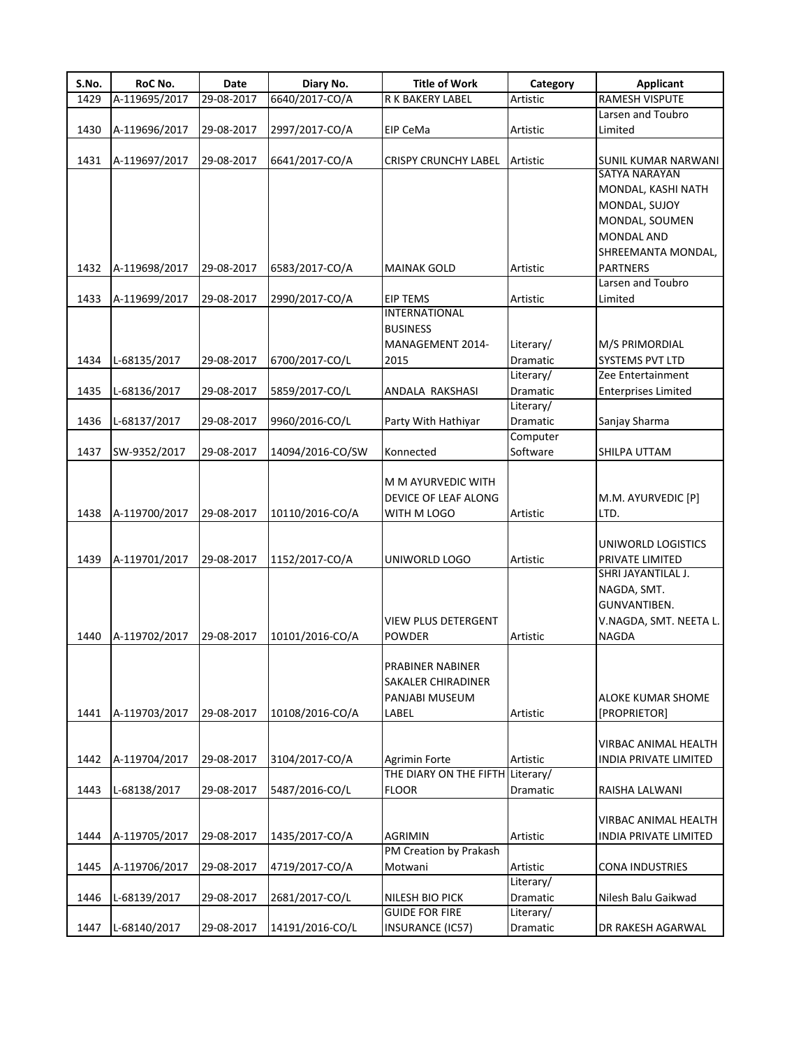| S.No. | RoC No.       | Date       | Diary No.        | <b>Title of Work</b>                                              | Category              | <b>Applicant</b>                                                                               |
|-------|---------------|------------|------------------|-------------------------------------------------------------------|-----------------------|------------------------------------------------------------------------------------------------|
| 1429  | A-119695/2017 | 29-08-2017 | 6640/2017-CO/A   | R K BAKERY LABEL                                                  | Artistic              | <b>RAMESH VISPUTE</b>                                                                          |
|       |               |            |                  |                                                                   |                       | Larsen and Toubro                                                                              |
| 1430  | A-119696/2017 | 29-08-2017 | 2997/2017-CO/A   | EIP CeMa                                                          | Artistic              | Limited                                                                                        |
| 1431  | A-119697/2017 | 29-08-2017 | 6641/2017-CO/A   | <b>CRISPY CRUNCHY LABEL</b>                                       | Artistic              | <b>SUNIL KUMAR NARWANI</b><br><b>SATYA NARAYAN</b>                                             |
|       |               |            |                  |                                                                   |                       | MONDAL, KASHI NATH<br>MONDAL, SUJOY<br>MONDAL, SOUMEN<br><b>MONDAL AND</b>                     |
| 1432  | A-119698/2017 | 29-08-2017 | 6583/2017-CO/A   | <b>MAINAK GOLD</b>                                                | Artistic              | SHREEMANTA MONDAL,<br><b>PARTNERS</b>                                                          |
| 1433  | A-119699/2017 | 29-08-2017 | 2990/2017-CO/A   | <b>EIP TEMS</b>                                                   | Artistic              | Larsen and Toubro<br>Limited                                                                   |
|       |               |            |                  | <b>INTERNATIONAL</b><br><b>BUSINESS</b>                           |                       |                                                                                                |
|       |               |            |                  | MANAGEMENT 2014-                                                  | Literary/             | M/S PRIMORDIAL                                                                                 |
| 1434  | L-68135/2017  | 29-08-2017 | 6700/2017-CO/L   | 2015                                                              | Dramatic              | <b>SYSTEMS PVT LTD</b>                                                                         |
|       |               |            |                  |                                                                   | Literary/             | Zee Entertainment                                                                              |
| 1435  | L-68136/2017  | 29-08-2017 | 5859/2017-CO/L   | ANDALA RAKSHASI                                                   | Dramatic              | <b>Enterprises Limited</b>                                                                     |
|       |               |            |                  |                                                                   | Literary/             |                                                                                                |
| 1436  | L-68137/2017  | 29-08-2017 | 9960/2016-CO/L   | Party With Hathiyar                                               | Dramatic              | Sanjay Sharma                                                                                  |
|       |               |            |                  |                                                                   | Computer              |                                                                                                |
| 1437  | SW-9352/2017  | 29-08-2017 | 14094/2016-CO/SW | Konnected                                                         | Software              | SHILPA UTTAM                                                                                   |
| 1438  | A-119700/2017 | 29-08-2017 | 10110/2016-CO/A  | M M AYURVEDIC WITH<br>DEVICE OF LEAF ALONG<br>WITH M LOGO         | Artistic              | M.M. AYURVEDIC [P]<br>LTD.                                                                     |
|       |               |            |                  |                                                                   |                       | UNIWORLD LOGISTICS                                                                             |
| 1439  | A-119701/2017 | 29-08-2017 | 1152/2017-CO/A   | UNIWORLD LOGO<br><b>VIEW PLUS DETERGENT</b>                       | Artistic              | PRIVATE LIMITED<br>SHRI JAYANTILAL J.<br>NAGDA, SMT.<br>GUNVANTIBEN.<br>V.NAGDA, SMT. NEETA L. |
| 1440  | A-119702/2017 | 29-08-2017 | 10101/2016-CO/A  | POWDER                                                            | Artistic              | NAGDA                                                                                          |
| 1441  | A-119703/2017 | 29-08-2017 | 10108/2016-CO/A  | PRABINER NABINER<br>SAKALER CHIRADINER<br>PANJABI MUSEUM<br>LABEL | Artistic              | ALOKE KUMAR SHOME<br>[PROPRIETOR]                                                              |
| 1442  | A-119704/2017 | 29-08-2017 | 3104/2017-CO/A   | Agrimin Forte                                                     | Artistic              | VIRBAC ANIMAL HEALTH<br>INDIA PRIVATE LIMITED                                                  |
|       |               |            |                  | THE DIARY ON THE FIFTH Literary/                                  |                       |                                                                                                |
| 1443  | L-68138/2017  | 29-08-2017 | 5487/2016-CO/L   | <b>FLOOR</b>                                                      | Dramatic              | RAISHA LALWANI                                                                                 |
| 1444  | A-119705/2017 | 29-08-2017 | 1435/2017-CO/A   | AGRIMIN                                                           | Artistic              | VIRBAC ANIMAL HEALTH<br>INDIA PRIVATE LIMITED                                                  |
|       |               |            |                  | PM Creation by Prakash                                            |                       |                                                                                                |
| 1445  | A-119706/2017 | 29-08-2017 | 4719/2017-CO/A   | Motwani                                                           | Artistic<br>Literary/ | CONA INDUSTRIES                                                                                |
| 1446  | L-68139/2017  | 29-08-2017 | 2681/2017-CO/L   | NILESH BIO PICK                                                   | Dramatic              | Nilesh Balu Gaikwad                                                                            |
|       |               |            |                  | <b>GUIDE FOR FIRE</b>                                             | Literary/             |                                                                                                |
| 1447  | L-68140/2017  | 29-08-2017 | 14191/2016-CO/L  | INSURANCE (IC57)                                                  | Dramatic              | DR RAKESH AGARWAL                                                                              |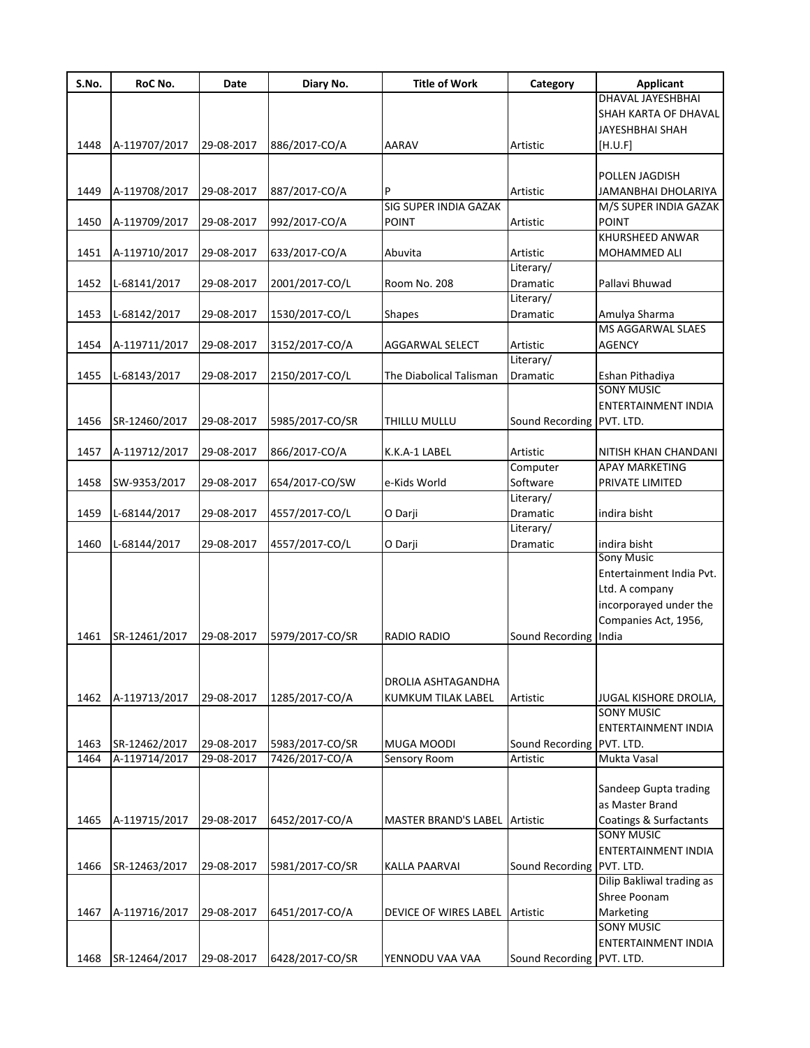| S.No. | RoC No.       | Date       | Diary No.       | <b>Title of Work</b>         | Category                  | Applicant                    |
|-------|---------------|------------|-----------------|------------------------------|---------------------------|------------------------------|
|       |               |            |                 |                              |                           | DHAVAL JAYESHBHAI            |
|       |               |            |                 |                              |                           | SHAH KARTA OF DHAVAL         |
|       |               |            |                 |                              |                           | JAYESHBHAI SHAH              |
| 1448  | A-119707/2017 | 29-08-2017 | 886/2017-CO/A   | AARAV                        | Artistic                  | [H.U.F]                      |
|       |               |            |                 |                              |                           |                              |
|       |               |            |                 |                              |                           | POLLEN JAGDISH               |
| 1449  | A-119708/2017 | 29-08-2017 | 887/2017-CO/A   | P                            | Artistic                  | JAMANBHAI DHOLARIYA          |
|       |               |            |                 | <b>SIG SUPER INDIA GAZAK</b> |                           | M/S SUPER INDIA GAZAK        |
| 1450  | A-119709/2017 | 29-08-2017 | 992/2017-CO/A   | <b>POINT</b>                 | Artistic                  | <b>POINT</b>                 |
|       |               |            |                 |                              |                           | KHURSHEED ANWAR              |
| 1451  | A-119710/2017 | 29-08-2017 | 633/2017-CO/A   | Abuvita                      | Artistic                  | <b>MOHAMMED ALI</b>          |
|       |               |            |                 |                              | Literary/                 |                              |
| 1452  | L-68141/2017  | 29-08-2017 | 2001/2017-CO/L  | Room No. 208                 | Dramatic                  | Pallavi Bhuwad               |
|       |               |            |                 |                              | Literary/                 |                              |
| 1453  | L-68142/2017  | 29-08-2017 | 1530/2017-CO/L  | <b>Shapes</b>                | Dramatic                  | Amulya Sharma                |
|       |               |            |                 |                              |                           | <b>MS AGGARWAL SLAES</b>     |
| 1454  | A-119711/2017 | 29-08-2017 | 3152/2017-CO/A  | AGGARWAL SELECT              | Artistic                  | <b>AGENCY</b>                |
|       |               |            |                 |                              | Literary/                 |                              |
| 1455  |               | 29-08-2017 |                 | The Diabolical Talisman      | Dramatic                  | Eshan Pithadiya              |
|       | L-68143/2017  |            | 2150/2017-CO/L  |                              |                           | <b>SONY MUSIC</b>            |
|       |               |            |                 |                              |                           |                              |
|       |               |            |                 |                              |                           | ENTERTAINMENT INDIA          |
| 1456  | SR-12460/2017 | 29-08-2017 | 5985/2017-CO/SR | THILLU MULLU                 | Sound Recording           | PVT. LTD.                    |
|       |               |            |                 |                              |                           |                              |
| 1457  | A-119712/2017 | 29-08-2017 | 866/2017-CO/A   | K.K.A-1 LABEL                | Artistic                  | NITISH KHAN CHANDANI         |
|       |               |            |                 |                              | Computer                  | <b>APAY MARKETING</b>        |
| 1458  | SW-9353/2017  | 29-08-2017 | 654/2017-CO/SW  | e-Kids World                 | Software                  | PRIVATE LIMITED              |
|       |               |            |                 |                              | Literary/                 |                              |
| 1459  | L-68144/2017  | 29-08-2017 | 4557/2017-CO/L  | O Darji                      | <b>Dramatic</b>           | indira bisht                 |
|       |               |            |                 |                              | Literary/                 |                              |
| 1460  | L-68144/2017  | 29-08-2017 | 4557/2017-CO/L  | O Darji                      | Dramatic                  | indira bisht                 |
|       |               |            |                 |                              |                           | <b>Sony Music</b>            |
|       |               |            |                 |                              |                           | Entertainment India Pvt.     |
|       |               |            |                 |                              |                           | Ltd. A company               |
|       |               |            |                 |                              |                           | incorporayed under the       |
|       |               |            |                 |                              |                           | Companies Act, 1956,         |
| 1461  | SR-12461/2017 | 29-08-2017 | 5979/2017-CO/SR | RADIO RADIO                  | Sound Recording India     |                              |
|       |               |            |                 |                              |                           |                              |
|       |               |            |                 |                              |                           |                              |
|       |               |            |                 |                              |                           |                              |
|       |               |            |                 | DROLIA ASHTAGANDHA           |                           |                              |
| 1462  | A-119713/2017 | 29-08-2017 | 1285/2017-CO/A  | <b>KUMKUM TILAK LABEL</b>    | Artistic                  | <b>JUGAL KISHORE DROLIA,</b> |
|       |               |            |                 |                              |                           | <b>SONY MUSIC</b>            |
|       |               |            |                 |                              |                           | ENTERTAINMENT INDIA          |
| 1463  | SR-12462/2017 | 29-08-2017 | 5983/2017-CO/SR | MUGA MOODI                   | Sound Recording PVT. LTD. |                              |
| 1464  | A-119714/2017 | 29-08-2017 | 7426/2017-CO/A  | Sensory Room                 | Artistic                  | Mukta Vasal                  |
|       |               |            |                 |                              |                           |                              |
|       |               |            |                 |                              |                           | Sandeep Gupta trading        |
|       |               |            |                 |                              |                           | as Master Brand              |
| 1465  | A-119715/2017 | 29-08-2017 | 6452/2017-CO/A  | <b>MASTER BRAND'S LABEL</b>  | Artistic                  | Coatings & Surfactants       |
|       |               |            |                 |                              |                           | <b>SONY MUSIC</b>            |
|       |               |            |                 |                              |                           | ENTERTAINMENT INDIA          |
| 1466  | SR-12463/2017 | 29-08-2017 | 5981/2017-CO/SR | KALLA PAARVAI                | Sound Recording PVT. LTD. |                              |
|       |               |            |                 |                              |                           | Dilip Bakliwal trading as    |
|       |               |            |                 |                              |                           | Shree Poonam                 |
| 1467  | A-119716/2017 | 29-08-2017 | 6451/2017-CO/A  | DEVICE OF WIRES LABEL        | Artistic                  | Marketing                    |
|       |               |            |                 |                              |                           | <b>SONY MUSIC</b>            |
|       |               |            |                 |                              |                           | ENTERTAINMENT INDIA          |
|       |               |            |                 |                              |                           |                              |
| 1468  | SR-12464/2017 | 29-08-2017 | 6428/2017-CO/SR | YENNODU VAA VAA              | Sound Recording PVT. LTD. |                              |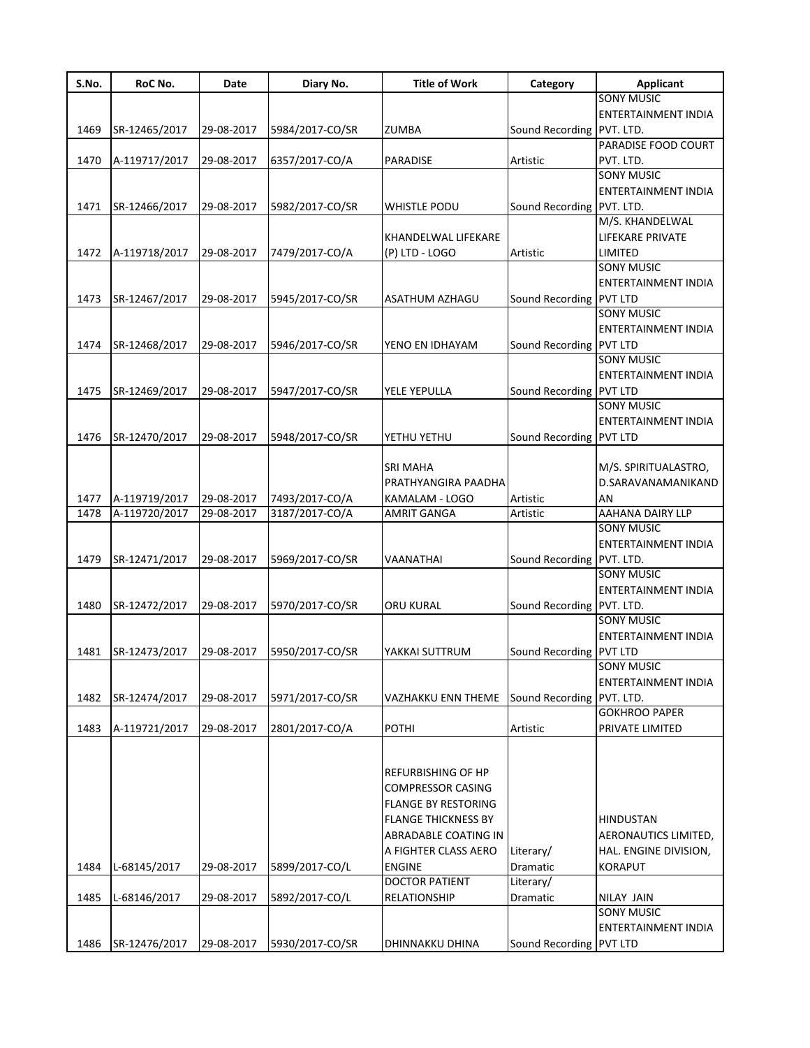| S.No. | RoC No.       | Date       | Diary No.       | <b>Title of Work</b>       | Category                  | <b>Applicant</b>           |
|-------|---------------|------------|-----------------|----------------------------|---------------------------|----------------------------|
|       |               |            |                 |                            |                           | <b>SONY MUSIC</b>          |
|       |               |            |                 |                            |                           | ENTERTAINMENT INDIA        |
| 1469  | SR-12465/2017 | 29-08-2017 | 5984/2017-CO/SR | ZUMBA                      | Sound Recording PVT. LTD. |                            |
|       |               |            |                 |                            |                           | PARADISE FOOD COURT        |
| 1470  | A-119717/2017 | 29-08-2017 | 6357/2017-CO/A  | PARADISE                   | Artistic                  | PVT. LTD.                  |
|       |               |            |                 |                            |                           | <b>SONY MUSIC</b>          |
|       |               |            |                 |                            |                           | <b>ENTERTAINMENT INDIA</b> |
| 1471  | SR-12466/2017 | 29-08-2017 | 5982/2017-CO/SR | <b>WHISTLE PODU</b>        | Sound Recording           | PVT. LTD.                  |
|       |               |            |                 |                            |                           | M/S. KHANDELWAL            |
|       |               |            |                 | KHANDELWAL LIFEKARE        |                           | LIFEKARE PRIVATE           |
| 1472  | A-119718/2017 | 29-08-2017 | 7479/2017-CO/A  | (P) LTD - LOGO             | Artistic                  | LIMITED                    |
|       |               |            |                 |                            |                           | <b>SONY MUSIC</b>          |
|       |               |            |                 |                            |                           | ENTERTAINMENT INDIA        |
| 1473  | SR-12467/2017 | 29-08-2017 | 5945/2017-CO/SR | ASATHUM AZHAGU             | Sound Recording           | <b>PVT LTD</b>             |
|       |               |            |                 |                            |                           | <b>SONY MUSIC</b>          |
|       |               |            |                 |                            |                           | ENTERTAINMENT INDIA        |
|       |               |            |                 |                            |                           |                            |
| 1474  | SR-12468/2017 | 29-08-2017 | 5946/2017-CO/SR | YENO EN IDHAYAM            | Sound Recording PVT LTD   |                            |
|       |               |            |                 |                            |                           | <b>SONY MUSIC</b>          |
|       |               |            |                 |                            |                           | ENTERTAINMENT INDIA        |
| 1475  | SR-12469/2017 | 29-08-2017 | 5947/2017-CO/SR | YELE YEPULLA               | Sound Recording PVT LTD   |                            |
|       |               |            |                 |                            |                           | <b>SONY MUSIC</b>          |
|       |               |            |                 |                            |                           | <b>ENTERTAINMENT INDIA</b> |
| 1476  | SR-12470/2017 | 29-08-2017 | 5948/2017-CO/SR | YETHU YETHU                | Sound Recording           | <b>PVT LTD</b>             |
|       |               |            |                 |                            |                           |                            |
|       |               |            |                 | <b>SRI MAHA</b>            |                           | M/S. SPIRITUALASTRO,       |
|       |               |            |                 | PRATHYANGIRA PAADHA        |                           | D.SARAVANAMANIKAND         |
| 1477  | A-119719/2017 | 29-08-2017 | 7493/2017-CO/A  | KAMALAM - LOGO             | Artistic                  | AN                         |
| 1478  | A-119720/2017 | 29-08-2017 | 3187/2017-CO/A  | AMRIT GANGA                | Artistic                  | AAHANA DAIRY LLP           |
|       |               |            |                 |                            |                           | <b>SONY MUSIC</b>          |
|       |               |            |                 |                            |                           | ENTERTAINMENT INDIA        |
| 1479  | SR-12471/2017 | 29-08-2017 | 5969/2017-CO/SR | VAANATHAI                  | Sound Recording           | PVT. LTD.                  |
|       |               |            |                 |                            |                           | <b>SONY MUSIC</b>          |
|       |               |            |                 |                            |                           | <b>ENTERTAINMENT INDIA</b> |
| 1480  | SR-12472/2017 | 29-08-2017 | 5970/2017-CO/SR | <b>ORU KURAL</b>           | Sound Recording PVT. LTD. |                            |
|       |               |            |                 |                            |                           | <b>SONY MUSIC</b>          |
|       |               |            |                 |                            |                           | <b>ENTERTAINMENT INDIA</b> |
|       |               |            |                 |                            |                           |                            |
| 1481  | SR-12473/2017 | 29-08-2017 | 5950/2017-CO/SR | YAKKAI SUTTRUM             | Sound Recording PVT LTD   | <b>SONY MUSIC</b>          |
|       |               |            |                 |                            |                           |                            |
|       |               |            |                 |                            |                           | <b>ENTERTAINMENT INDIA</b> |
| 1482  | SR-12474/2017 | 29-08-2017 | 5971/2017-CO/SR | VAZHAKKU ENN THEME         | Sound Recording           | PVT. LTD.                  |
|       |               |            |                 |                            |                           | <b>GOKHROO PAPER</b>       |
| 1483  | A-119721/2017 | 29-08-2017 | 2801/2017-CO/A  | POTHI                      | Artistic                  | PRIVATE LIMITED            |
|       |               |            |                 |                            |                           |                            |
|       |               |            |                 |                            |                           |                            |
|       |               |            |                 | <b>REFURBISHING OF HP</b>  |                           |                            |
|       |               |            |                 | <b>COMPRESSOR CASING</b>   |                           |                            |
|       |               |            |                 | <b>FLANGE BY RESTORING</b> |                           |                            |
|       |               |            |                 | <b>FLANGE THICKNESS BY</b> |                           | <b>HINDUSTAN</b>           |
|       |               |            |                 | ABRADABLE COATING IN       |                           | AERONAUTICS LIMITED,       |
|       |               |            |                 | A FIGHTER CLASS AERO       | Literary/                 | HAL. ENGINE DIVISION,      |
| 1484  | L-68145/2017  | 29-08-2017 | 5899/2017-CO/L  | <b>ENGINE</b>              | Dramatic                  | <b>KORAPUT</b>             |
|       |               |            |                 | <b>DOCTOR PATIENT</b>      | Literary/                 |                            |
|       |               |            |                 |                            |                           |                            |
| 1485  | L-68146/2017  | 29-08-2017 | 5892/2017-CO/L  | RELATIONSHIP               | Dramatic                  | <b>NILAY JAIN</b>          |
|       |               |            |                 |                            |                           | <b>SONY MUSIC</b>          |
|       |               |            |                 |                            |                           | <b>ENTERTAINMENT INDIA</b> |
| 1486  | SR-12476/2017 | 29-08-2017 | 5930/2017-CO/SR | DHINNAKKU DHINA            | Sound Recording PVT LTD   |                            |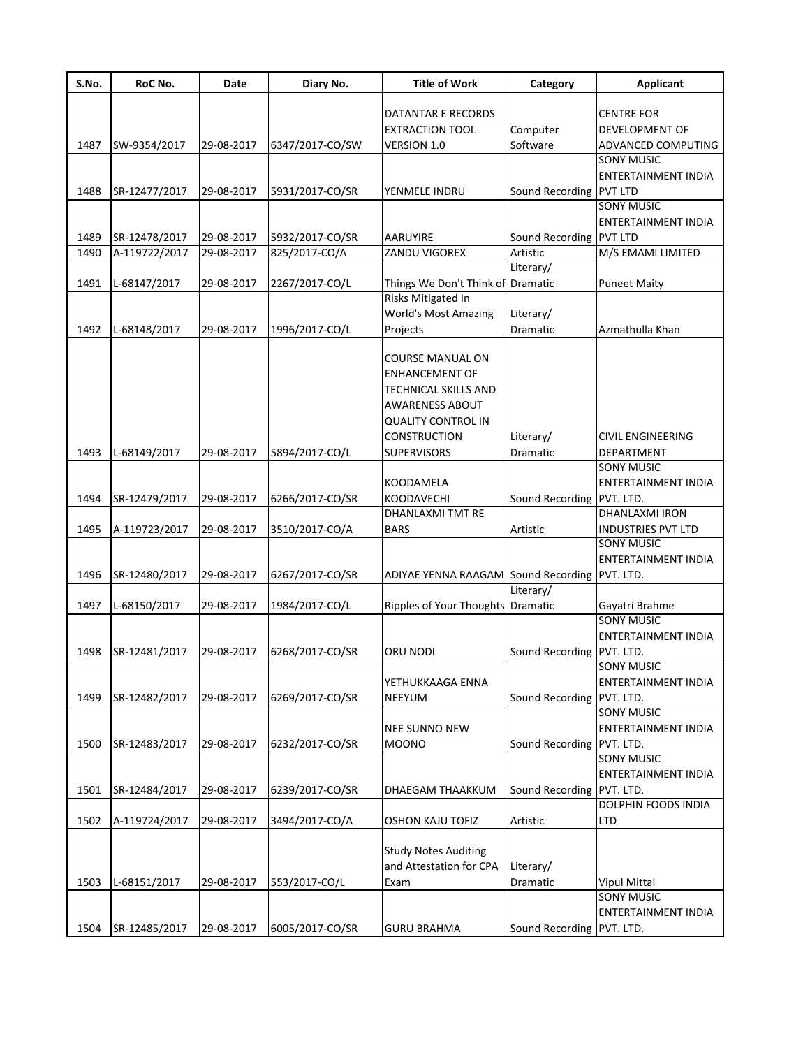| S.No. | RoC No.       | Date       | Diary No.       | <b>Title of Work</b>                | Category        | <b>Applicant</b>           |
|-------|---------------|------------|-----------------|-------------------------------------|-----------------|----------------------------|
|       |               |            |                 |                                     |                 |                            |
|       |               |            |                 | DATANTAR E RECORDS                  |                 | <b>CENTRE FOR</b>          |
|       |               |            |                 | <b>EXTRACTION TOOL</b>              | Computer        | DEVELOPMENT OF             |
| 1487  | SW-9354/2017  | 29-08-2017 | 6347/2017-CO/SW | VERSION 1.0                         | Software        | ADVANCED COMPUTING         |
|       |               |            |                 |                                     |                 | SONY MUSIC                 |
|       |               |            |                 |                                     |                 | ENTERTAINMENT INDIA        |
| 1488  | SR-12477/2017 | 29-08-2017 | 5931/2017-CO/SR | YENMELE INDRU                       | Sound Recording | <b>PVT LTD</b>             |
|       |               |            |                 |                                     |                 | <b>SONY MUSIC</b>          |
|       |               |            |                 |                                     |                 | ENTERTAINMENT INDIA        |
| 1489  | SR-12478/2017 | 29-08-2017 | 5932/2017-CO/SR | <b>AARUYIRE</b>                     | Sound Recording | <b>PVT LTD</b>             |
| 1490  | A-119722/2017 | 29-08-2017 | 825/2017-CO/A   | ZANDU VIGOREX                       | Artistic        | M/S EMAMI LIMITED          |
|       |               |            |                 |                                     | Literary/       |                            |
| 1491  | L-68147/2017  | 29-08-2017 | 2267/2017-CO/L  | Things We Don't Think of Dramatic   |                 | <b>Puneet Maity</b>        |
|       |               |            |                 | Risks Mitigated In                  |                 |                            |
|       |               |            |                 | <b>World's Most Amazing</b>         | Literary/       |                            |
| 1492  | L-68148/2017  | 29-08-2017 | 1996/2017-CO/L  | Projects                            | Dramatic        | Azmathulla Khan            |
|       |               |            |                 |                                     |                 |                            |
|       |               |            |                 | <b>COURSE MANUAL ON</b>             |                 |                            |
|       |               |            |                 | <b>ENHANCEMENT OF</b>               |                 |                            |
|       |               |            |                 | <b>TECHNICAL SKILLS AND</b>         |                 |                            |
|       |               |            |                 | <b>AWARENESS ABOUT</b>              |                 |                            |
|       |               |            |                 | <b>QUALITY CONTROL IN</b>           |                 |                            |
|       |               |            |                 | <b>CONSTRUCTION</b>                 | Literary/       | <b>CIVIL ENGINEERING</b>   |
| 1493  | L-68149/2017  | 29-08-2017 | 5894/2017-CO/L  | <b>SUPERVISORS</b>                  | Dramatic        | DEPARTMENT                 |
|       |               |            |                 |                                     |                 | <b>SONY MUSIC</b>          |
|       |               |            |                 | <b>KOODAMELA</b>                    |                 | <b>ENTERTAINMENT INDIA</b> |
| 1494  | SR-12479/2017 | 29-08-2017 | 6266/2017-CO/SR | <b>KOODAVECHI</b>                   | Sound Recording | PVT. LTD.                  |
|       |               |            |                 | DHANLAXMI TMT RE                    |                 | DHANLAXMI IRON             |
| 1495  | A-119723/2017 | 29-08-2017 | 3510/2017-CO/A  | <b>BARS</b>                         | Artistic        | <b>INDUSTRIES PVT LTD</b>  |
|       |               |            |                 |                                     |                 | <b>SONY MUSIC</b>          |
|       |               |            |                 |                                     |                 | <b>ENTERTAINMENT INDIA</b> |
| 1496  | SR-12480/2017 | 29-08-2017 | 6267/2017-CO/SR | ADIYAE YENNA RAAGAM Sound Recording |                 | PVT. LTD.                  |
|       |               |            |                 |                                     | Literary/       |                            |
| 1497  | L-68150/2017  | 29-08-2017 | 1984/2017-CO/L  | Ripples of Your Thoughts Dramatic   |                 | Gayatri Brahme             |
|       |               |            |                 |                                     |                 | <b>SONY MUSIC</b>          |
|       |               |            |                 |                                     |                 | <b>ENTERTAINMENT INDIA</b> |
| 1498  | SR-12481/2017 | 29-08-2017 | 6268/2017-CO/SR | ORU NODI                            | Sound Recording | PVT. LTD.                  |
|       |               |            |                 |                                     |                 | <b>SONY MUSIC</b>          |
|       |               |            |                 | YETHUKKAAGA ENNA                    |                 | ENTERTAINMENT INDIA        |
| 1499  | SR-12482/2017 | 29-08-2017 | 6269/2017-CO/SR | NEEYUM                              | Sound Recording | PVT. LTD.                  |
|       |               |            |                 |                                     |                 | <b>SONY MUSIC</b>          |
|       |               |            |                 | <b>NEE SUNNO NEW</b>                |                 | ENTERTAINMENT INDIA        |
| 1500  | SR-12483/2017 | 29-08-2017 | 6232/2017-CO/SR | <b>MOONO</b>                        | Sound Recording | PVT. LTD.                  |
|       |               |            |                 |                                     |                 | <b>SONY MUSIC</b>          |
|       |               |            |                 |                                     |                 | ENTERTAINMENT INDIA        |
| 1501  | SR-12484/2017 | 29-08-2017 | 6239/2017-CO/SR | DHAEGAM THAAKKUM                    | Sound Recording | PVT. LTD.                  |
|       |               |            |                 |                                     |                 | <b>DOLPHIN FOODS INDIA</b> |
|       |               | 29-08-2017 | 3494/2017-CO/A  |                                     |                 |                            |
| 1502  | A-119724/2017 |            |                 | <b>OSHON KAJU TOFIZ</b>             | Artistic        | LTD                        |
|       |               |            |                 |                                     |                 |                            |
|       |               |            |                 | <b>Study Notes Auditing</b>         |                 |                            |
|       |               |            |                 | and Attestation for CPA             | Literary/       |                            |
| 1503  | L-68151/2017  | 29-08-2017 | 553/2017-CO/L   | Exam                                | Dramatic        | <b>Vipul Mittal</b>        |
|       |               |            |                 |                                     |                 | <b>SONY MUSIC</b>          |
|       |               |            |                 |                                     |                 | ENTERTAINMENT INDIA        |
| 1504  | SR-12485/2017 | 29-08-2017 | 6005/2017-CO/SR | <b>GURU BRAHMA</b>                  | Sound Recording | PVT. LTD.                  |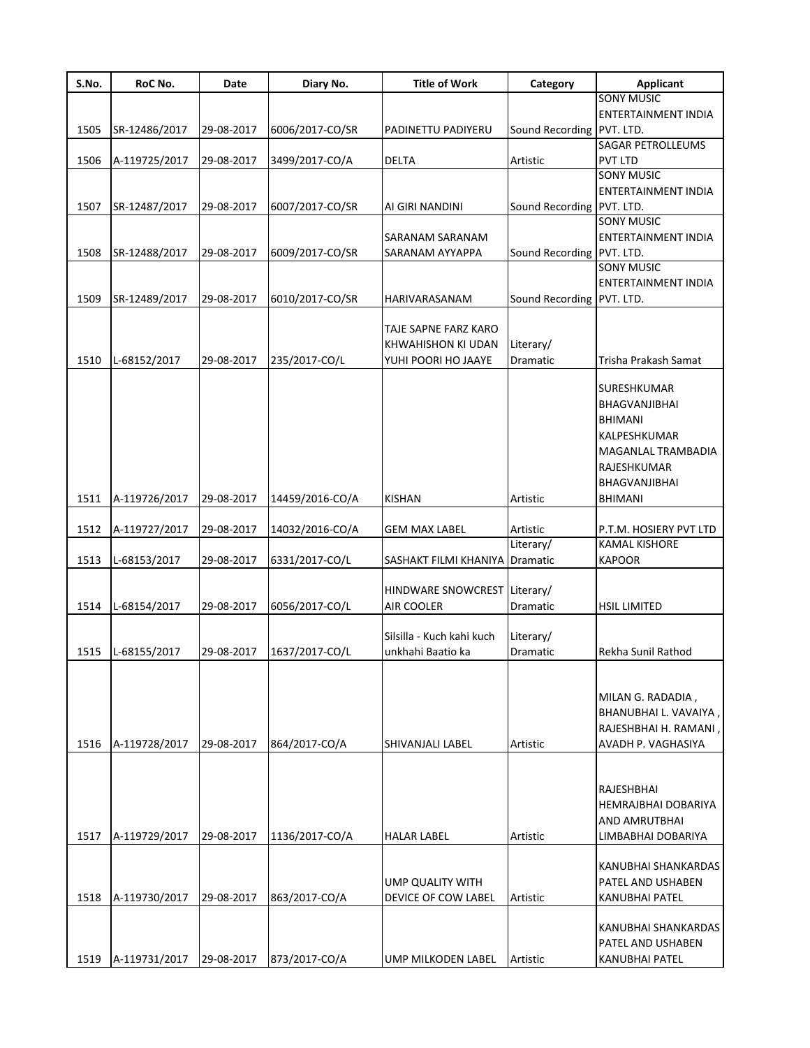| S.No. | RoC No.       | Date       | Diary No.       | <b>Title of Work</b>                       | Category                  | <b>Applicant</b>           |
|-------|---------------|------------|-----------------|--------------------------------------------|---------------------------|----------------------------|
|       |               |            |                 |                                            |                           | <b>SONY MUSIC</b>          |
|       |               |            |                 |                                            |                           | ENTERTAINMENT INDIA        |
| 1505  | SR-12486/2017 | 29-08-2017 | 6006/2017-CO/SR | PADINETTU PADIYERU                         | Sound Recording PVT. LTD. |                            |
|       |               |            |                 |                                            |                           | SAGAR PETROLLEUMS          |
| 1506  | A-119725/2017 | 29-08-2017 | 3499/2017-CO/A  | DELTA                                      | Artistic                  | PVT LTD                    |
|       |               |            |                 |                                            |                           | <b>SONY MUSIC</b>          |
|       |               |            |                 |                                            |                           | <b>ENTERTAINMENT INDIA</b> |
| 1507  | SR-12487/2017 | 29-08-2017 | 6007/2017-CO/SR | AI GIRI NANDINI                            | Sound Recording PVT. LTD. |                            |
|       |               |            |                 |                                            |                           | <b>SONY MUSIC</b>          |
|       |               |            |                 | SARANAM SARANAM                            |                           | <b>ENTERTAINMENT INDIA</b> |
| 1508  | SR-12488/2017 | 29-08-2017 | 6009/2017-CO/SR | SARANAM AYYAPPA                            | Sound Recording PVT. LTD. | <b>SONY MUSIC</b>          |
|       |               |            |                 |                                            |                           | <b>ENTERTAINMENT INDIA</b> |
| 1509  | SR-12489/2017 | 29-08-2017 | 6010/2017-CO/SR | HARIVARASANAM                              | Sound Recording PVT. LTD. |                            |
|       |               |            |                 |                                            |                           |                            |
|       |               |            |                 | TAJE SAPNE FARZ KARO                       |                           |                            |
|       |               |            |                 | KHWAHISHON KI UDAN                         | Literary/                 |                            |
| 1510  | L-68152/2017  | 29-08-2017 | 235/2017-CO/L   | YUHI POORI HO JAAYE                        | Dramatic                  | Trisha Prakash Samat       |
|       |               |            |                 |                                            |                           |                            |
|       |               |            |                 |                                            |                           | SURESHKUMAR                |
|       |               |            |                 |                                            |                           | <b>BHAGVANJIBHAI</b>       |
|       |               |            |                 |                                            |                           | <b>BHIMANI</b>             |
|       |               |            |                 |                                            |                           | KALPESHKUMAR               |
|       |               |            |                 |                                            |                           | MAGANLAL TRAMBADIA         |
|       |               |            |                 |                                            |                           | RAJESHKUMAR                |
|       |               |            |                 |                                            |                           | <b>BHAGVANJIBHAI</b>       |
| 1511  | A-119726/2017 | 29-08-2017 | 14459/2016-CO/A | <b>KISHAN</b>                              | Artistic                  | <b>BHIMANI</b>             |
|       |               |            |                 |                                            |                           |                            |
| 1512  | A-119727/2017 | 29-08-2017 | 14032/2016-CO/A | <b>GEM MAX LABEL</b>                       | Artistic                  | P.T.M. HOSIERY PVT LTD     |
|       |               |            |                 |                                            | Literary/                 | <b>KAMAL KISHORE</b>       |
| 1513  | L-68153/2017  | 29-08-2017 | 6331/2017-CO/L  | SASHAKT FILMI KHANIYA Dramatic             |                           | <b>KAPOOR</b>              |
|       |               |            |                 |                                            |                           |                            |
| 1514  | L-68154/2017  | 29-08-2017 | 6056/2017-CO/L  | HINDWARE SNOWCREST Literary/<br>AIR COOLER | Dramatic                  | <b>HSIL LIMITED</b>        |
|       |               |            |                 |                                            |                           |                            |
|       |               |            |                 | Silsilla - Kuch kahi kuch                  | Literary/                 |                            |
| 1515  | L-68155/2017  | 29-08-2017 | 1637/2017-CO/L  | unkhahi Baatio ka                          | Dramatic                  | Rekha Sunil Rathod         |
|       |               |            |                 |                                            |                           |                            |
|       |               |            |                 |                                            |                           |                            |
|       |               |            |                 |                                            |                           | MILAN G. RADADIA,          |
|       |               |            |                 |                                            |                           | BHANUBHAI L. VAVAIYA,      |
|       |               |            |                 |                                            |                           | RAJESHBHAI H. RAMANI,      |
| 1516  | A-119728/2017 | 29-08-2017 | 864/2017-CO/A   | SHIVANJALI LABEL                           | Artistic                  | AVADH P. VAGHASIYA         |
|       |               |            |                 |                                            |                           |                            |
|       |               |            |                 |                                            |                           |                            |
|       |               |            |                 |                                            |                           | RAJESHBHAI                 |
|       |               |            |                 |                                            |                           | HEMRAJBHAI DOBARIYA        |
|       |               |            |                 |                                            |                           | <b>AND AMRUTBHAI</b>       |
| 1517  | A-119729/2017 | 29-08-2017 | 1136/2017-CO/A  | <b>HALAR LABEL</b>                         | Artistic                  | LIMBABHAI DOBARIYA         |
|       |               |            |                 |                                            |                           |                            |
|       |               |            |                 |                                            |                           | KANUBHAI SHANKARDAS        |
|       |               |            |                 | UMP QUALITY WITH                           |                           | PATEL AND USHABEN          |
| 1518  | A-119730/2017 | 29-08-2017 | 863/2017-CO/A   | DEVICE OF COW LABEL                        | Artistic                  | KANUBHAI PATEL             |
|       |               |            |                 |                                            |                           |                            |
|       |               |            |                 |                                            |                           | KANUBHAI SHANKARDAS        |
|       |               |            |                 |                                            |                           | PATEL AND USHABEN          |
| 1519  | A-119731/2017 | 29-08-2017 | 873/2017-CO/A   | UMP MILKODEN LABEL                         | Artistic                  | <b>KANUBHAI PATEL</b>      |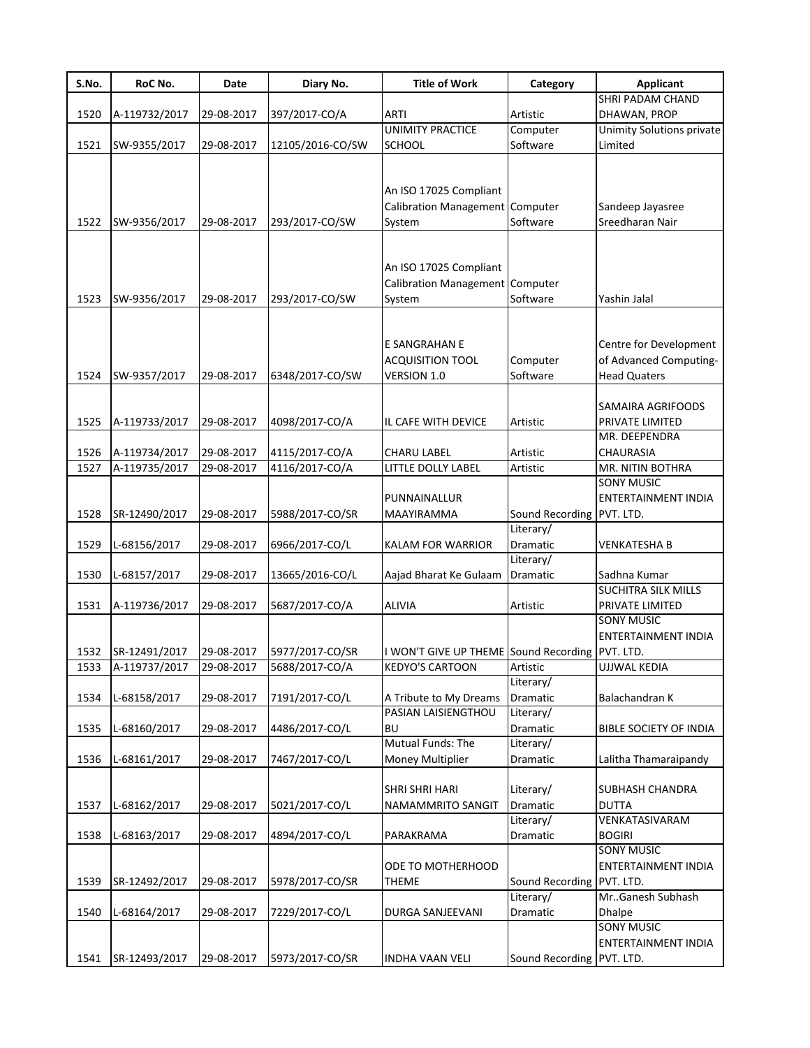| S.No. | RoC No.       | Date       | Diary No.        | <b>Title of Work</b>                                                | Category                  | <b>Applicant</b>                                                        |
|-------|---------------|------------|------------------|---------------------------------------------------------------------|---------------------------|-------------------------------------------------------------------------|
|       |               |            |                  |                                                                     |                           | SHRI PADAM CHAND                                                        |
| 1520  | A-119732/2017 | 29-08-2017 | 397/2017-CO/A    | <b>ARTI</b>                                                         | Artistic                  | DHAWAN, PROP                                                            |
|       |               |            |                  | <b>UNIMITY PRACTICE</b>                                             | Computer                  | <b>Unimity Solutions private</b>                                        |
| 1521  | SW-9355/2017  | 29-08-2017 | 12105/2016-CO/SW | <b>SCHOOL</b>                                                       | Software                  | Limited                                                                 |
| 1522  | SW-9356/2017  | 29-08-2017 | 293/2017-CO/SW   | An ISO 17025 Compliant<br>Calibration Management Computer<br>System | Software                  | Sandeep Jayasree<br>Sreedharan Nair                                     |
|       |               |            |                  |                                                                     |                           |                                                                         |
| 1523  | SW-9356/2017  | 29-08-2017 | 293/2017-CO/SW   | An ISO 17025 Compliant<br>Calibration Management Computer<br>System | Software                  | Yashin Jalal                                                            |
| 1524  | SW-9357/2017  | 29-08-2017 | 6348/2017-CO/SW  | E SANGRAHAN E<br><b>ACQUISITION TOOL</b><br>VERSION 1.0             | Computer<br>Software      | Centre for Development<br>of Advanced Computing-<br><b>Head Quaters</b> |
| 1525  | A-119733/2017 | 29-08-2017 | 4098/2017-CO/A   | IL CAFE WITH DEVICE                                                 | Artistic                  | SAMAIRA AGRIFOODS<br>PRIVATE LIMITED<br>MR. DEEPENDRA                   |
| 1526  | A-119734/2017 | 29-08-2017 | 4115/2017-CO/A   | <b>CHARU LABEL</b>                                                  | Artistic                  | CHAURASIA                                                               |
| 1527  | A-119735/2017 | 29-08-2017 | 4116/2017-CO/A   | LITTLE DOLLY LABEL                                                  | Artistic                  | MR. NITIN BOTHRA                                                        |
|       |               |            |                  |                                                                     |                           | <b>SONY MUSIC</b>                                                       |
| 1528  | SR-12490/2017 | 29-08-2017 | 5988/2017-CO/SR  | PUNNAINALLUR<br>MAAYIRAMMA                                          | Sound Recording PVT. LTD. | ENTERTAINMENT INDIA                                                     |
| 1529  | L-68156/2017  | 29-08-2017 | 6966/2017-CO/L   | <b>KALAM FOR WARRIOR</b>                                            | Literary/<br>Dramatic     | <b>VENKATESHA B</b>                                                     |
|       |               |            |                  |                                                                     | Literary/                 |                                                                         |
| 1530  | L-68157/2017  | 29-08-2017 | 13665/2016-CO/L  | Aajad Bharat Ke Gulaam                                              | Dramatic                  | Sadhna Kumar<br>SUCHITRA SILK MILLS                                     |
| 1531  | A-119736/2017 | 29-08-2017 | 5687/2017-CO/A   | <b>ALIVIA</b>                                                       | Artistic                  | PRIVATE LIMITED<br><b>SONY MUSIC</b>                                    |
| 1532  | SR-12491/2017 | 29-08-2017 | 5977/2017-CO/SR  | I WON'T GIVE UP THEME Sound Recording                               |                           | ENTERTAINMENT INDIA<br>PVT. LTD.                                        |
| 1533  | A-119737/2017 | 29-08-2017 | 5688/2017-CO/A   | <b>KEDYO'S CARTOON</b>                                              | Artistic                  | <b>UJJWAL KEDIA</b>                                                     |
| 1534  | L-68158/2017  | 29-08-2017 | 7191/2017-CO/L   | A Tribute to My Dreams<br><b>PASIAN LAISIENGTHOU</b>                | Literary/<br>Dramatic     | Balachandran K                                                          |
| 1535  | L-68160/2017  | 29-08-2017 | 4486/2017-CO/L   | BU                                                                  | Literary/<br>Dramatic     | <b>BIBLE SOCIETY OF INDIA</b>                                           |
|       |               |            |                  | Mutual Funds: The                                                   | Literary/                 |                                                                         |
| 1536  | L-68161/2017  | 29-08-2017 | 7467/2017-CO/L   | <b>Money Multiplier</b>                                             | Dramatic                  | Lalitha Thamaraipandy                                                   |
| 1537  | L-68162/2017  | 29-08-2017 | 5021/2017-CO/L   | <b>SHRI SHRI HARI</b><br><b>NAMAMMRITO SANGIT</b>                   | Literary/<br>Dramatic     | <b>SUBHASH CHANDRA</b><br><b>DUTTA</b>                                  |
| 1538  | L-68163/2017  | 29-08-2017 | 4894/2017-CO/L   | PARAKRAMA                                                           | Literary/<br>Dramatic     | VENKATASIVARAM<br><b>BOGIRI</b>                                         |
| 1539  | SR-12492/2017 | 29-08-2017 | 5978/2017-CO/SR  | ODE TO MOTHERHOOD<br><b>THEME</b>                                   | Sound Recording PVT. LTD. | <b>SONY MUSIC</b><br>ENTERTAINMENT INDIA                                |
| 1540  | L-68164/2017  | 29-08-2017 | 7229/2017-CO/L   | DURGA SANJEEVANI                                                    | Literary/<br>Dramatic     | MrGanesh Subhash<br>Dhalpe                                              |
|       |               |            |                  |                                                                     |                           | <b>SONY MUSIC</b><br>ENTERTAINMENT INDIA                                |
| 1541  | SR-12493/2017 | 29-08-2017 | 5973/2017-CO/SR  | <b>INDHA VAAN VELI</b>                                              | Sound Recording PVT. LTD. |                                                                         |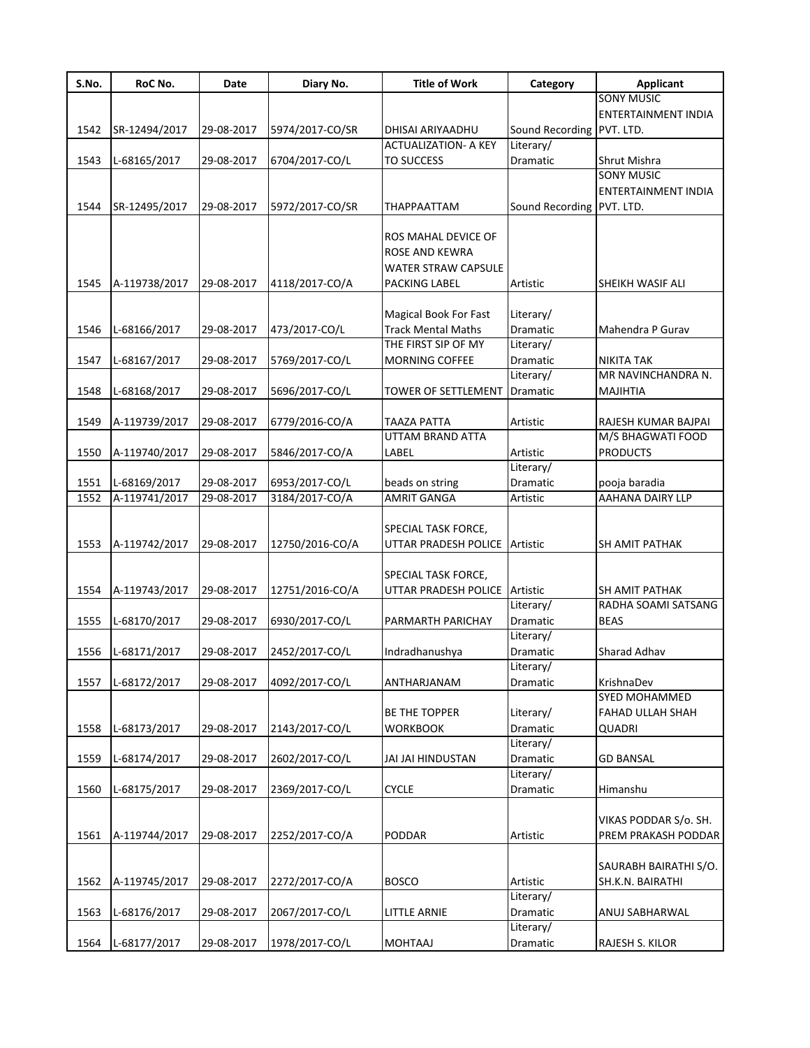| S.No. | RoC No.       | Date       | Diary No.       | <b>Title of Work</b>                   | Category                  | <b>Applicant</b>           |
|-------|---------------|------------|-----------------|----------------------------------------|---------------------------|----------------------------|
|       |               |            |                 |                                        |                           | <b>SONY MUSIC</b>          |
|       |               |            |                 |                                        |                           | <b>ENTERTAINMENT INDIA</b> |
| 1542  | SR-12494/2017 | 29-08-2017 | 5974/2017-CO/SR | <b>DHISAI ARIYAADHU</b>                | Sound Recording PVT. LTD. |                            |
|       |               |            |                 | <b>ACTUALIZATION- A KEY</b>            | Literary/                 |                            |
| 1543  | L-68165/2017  | 29-08-2017 | 6704/2017-CO/L  | <b>TO SUCCESS</b>                      | Dramatic                  | Shrut Mishra               |
|       |               |            |                 |                                        |                           | <b>SONY MUSIC</b>          |
|       |               |            |                 |                                        |                           | ENTERTAINMENT INDIA        |
| 1544  | SR-12495/2017 | 29-08-2017 | 5972/2017-CO/SR | ΤΗΑΡΡΑΑΤΤΑΜ                            | Sound Recording PVT. LTD. |                            |
|       |               |            |                 |                                        |                           |                            |
|       |               |            |                 | ROS MAHAL DEVICE OF                    |                           |                            |
|       |               |            |                 | <b>ROSE AND KEWRA</b>                  |                           |                            |
|       |               |            |                 | WATER STRAW CAPSULE                    |                           |                            |
| 1545  | A-119738/2017 | 29-08-2017 | 4118/2017-CO/A  | PACKING LABEL                          | Artistic                  | SHEIKH WASIF ALI           |
|       |               |            |                 |                                        |                           |                            |
|       |               |            |                 | <b>Magical Book For Fast</b>           | Literary/                 |                            |
| 1546  | L-68166/2017  | 29-08-2017 | 473/2017-CO/L   | <b>Track Mental Maths</b>              | Dramatic                  | Mahendra P Gurav           |
|       |               |            |                 | THE FIRST SIP OF MY                    | Literary/                 |                            |
| 1547  | L-68167/2017  | 29-08-2017 | 5769/2017-CO/L  | MORNING COFFEE                         | Dramatic                  | <b>NIKITA TAK</b>          |
|       |               |            |                 |                                        | Literary/                 | MR NAVINCHANDRA N.         |
|       |               |            |                 |                                        |                           |                            |
| 1548  | L-68168/2017  | 29-08-2017 | 5696/2017-CO/L  | <b>TOWER OF SETTLEMENT</b>             | Dramatic                  | <b>MAJIHTIA</b>            |
|       |               |            |                 |                                        |                           |                            |
| 1549  | A-119739/2017 | 29-08-2017 | 6779/2016-CO/A  | <b>TAAZA PATTA</b><br>UTTAM BRAND ATTA | Artistic                  | RAJESH KUMAR BAJPAI        |
|       |               |            |                 |                                        |                           | M/S BHAGWATI FOOD          |
| 1550  | A-119740/2017 | 29-08-2017 | 5846/2017-CO/A  | LABEL                                  | Artistic                  | <b>PRODUCTS</b>            |
|       |               |            |                 |                                        | Literary/                 |                            |
| 1551  | L-68169/2017  | 29-08-2017 | 6953/2017-CO/L  | beads on string                        | Dramatic                  | pooja baradia              |
| 1552  | A-119741/2017 | 29-08-2017 | 3184/2017-CO/A  | <b>AMRIT GANGA</b>                     | Artistic                  | AAHANA DAIRY LLP           |
|       |               |            |                 |                                        |                           |                            |
|       |               |            |                 | SPECIAL TASK FORCE,                    |                           |                            |
| 1553  | A-119742/2017 | 29-08-2017 | 12750/2016-CO/A | UTTAR PRADESH POLICE                   | Artistic                  | SH AMIT PATHAK             |
|       |               |            |                 |                                        |                           |                            |
|       |               |            |                 | SPECIAL TASK FORCE,                    |                           |                            |
| 1554  | A-119743/2017 | 29-08-2017 | 12751/2016-CO/A | UTTAR PRADESH POLICE                   | Artistic                  | SH AMIT PATHAK             |
|       |               |            |                 |                                        | Literary/                 | RADHA SOAMI SATSANG        |
| 1555  | L-68170/2017  | 29-08-2017 | 6930/2017-CO/L  | PARMARTH PARICHAY                      | Dramatic                  | <b>BEAS</b>                |
|       |               |            |                 |                                        | Literary/                 |                            |
| 1556  | L-68171/2017  | 29-08-2017 | 2452/2017-CO/L  | Indradhanushya                         | Dramatic                  | Sharad Adhav               |
|       |               |            |                 |                                        | Literary/                 |                            |
| 1557  | L-68172/2017  | 29-08-2017 | 4092/2017-CO/L  | ANTHARJANAM                            | Dramatic                  | KrishnaDev                 |
|       |               |            |                 |                                        |                           | SYED MOHAMMED              |
|       |               |            |                 | BE THE TOPPER                          | Literary/                 | FAHAD ULLAH SHAH           |
| 1558  | L-68173/2017  | 29-08-2017 | 2143/2017-CO/L  | <b>WORKBOOK</b>                        | Dramatic                  | QUADRI                     |
|       |               |            |                 |                                        | Literary/                 |                            |
| 1559  | L-68174/2017  | 29-08-2017 | 2602/2017-CO/L  | JAI JAI HINDUSTAN                      | Dramatic                  | <b>GD BANSAL</b>           |
|       |               |            |                 |                                        | Literary/                 |                            |
| 1560  | L-68175/2017  | 29-08-2017 | 2369/2017-CO/L  | <b>CYCLE</b>                           | Dramatic                  | Himanshu                   |
|       |               |            |                 |                                        |                           |                            |
|       |               |            |                 |                                        |                           | VIKAS PODDAR S/o. SH.      |
| 1561  | A-119744/2017 | 29-08-2017 | 2252/2017-CO/A  | PODDAR                                 | Artistic                  | PREM PRAKASH PODDAR        |
|       |               |            |                 |                                        |                           |                            |
|       |               |            |                 |                                        |                           |                            |
|       |               |            |                 |                                        |                           | SAURABH BAIRATHI S/O.      |
| 1562  | A-119745/2017 | 29-08-2017 | 2272/2017-CO/A  | <b>BOSCO</b>                           | Artistic                  | SH.K.N. BAIRATHI           |
|       |               |            |                 |                                        | Literary/                 |                            |
| 1563  | L-68176/2017  | 29-08-2017 | 2067/2017-CO/L  | LITTLE ARNIE                           | Dramatic                  | ANUJ SABHARWAL             |
|       |               |            |                 |                                        | Literary/                 |                            |
| 1564  | L-68177/2017  | 29-08-2017 | 1978/2017-CO/L  | MOHTAAJ                                | Dramatic                  | RAJESH S. KILOR            |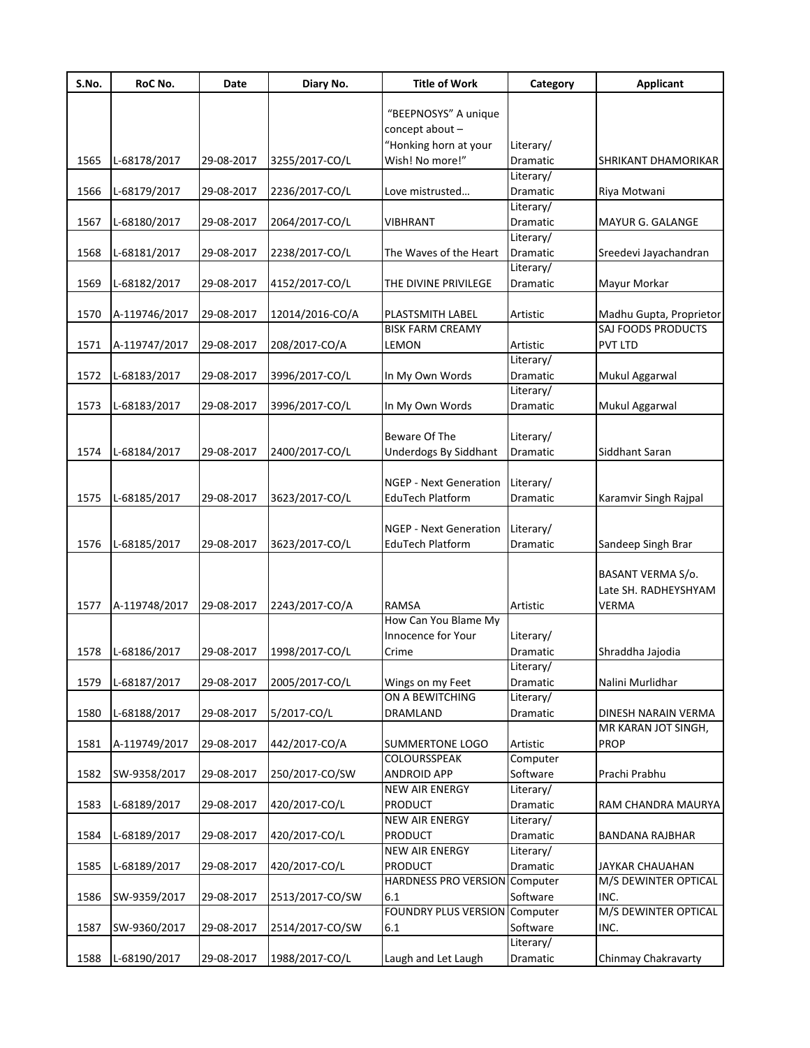| S.No. | RoC No.       | Date       | Diary No.       | <b>Title of Work</b>                   | Category             | <b>Applicant</b>                   |
|-------|---------------|------------|-----------------|----------------------------------------|----------------------|------------------------------------|
|       |               |            |                 | "BEEPNOSYS" A unique                   |                      |                                    |
|       |               |            |                 | concept about -                        |                      |                                    |
|       |               |            |                 | "Honking horn at your                  | Literary/            |                                    |
| 1565  | L-68178/2017  | 29-08-2017 | 3255/2017-CO/L  | Wish! No more!"                        | Dramatic             | SHRIKANT DHAMORIKAR                |
|       |               |            |                 |                                        | Literary/            |                                    |
| 1566  | L-68179/2017  | 29-08-2017 | 2236/2017-CO/L  | Love mistrusted                        | Dramatic             | Riya Motwani                       |
|       |               |            |                 |                                        | Literary/            |                                    |
| 1567  | L-68180/2017  | 29-08-2017 | 2064/2017-CO/L  | <b>VIBHRANT</b>                        | Dramatic             | MAYUR G. GALANGE                   |
|       |               |            |                 |                                        | Literary/            |                                    |
| 1568  | L-68181/2017  | 29-08-2017 | 2238/2017-CO/L  | The Waves of the Heart                 | Dramatic             | Sreedevi Jayachandran              |
|       |               |            |                 |                                        | Literary/            |                                    |
| 1569  | L-68182/2017  | 29-08-2017 | 4152/2017-CO/L  | THE DIVINE PRIVILEGE                   | Dramatic             | Mayur Morkar                       |
|       |               |            |                 |                                        |                      |                                    |
| 1570  | A-119746/2017 | 29-08-2017 | 12014/2016-CO/A | PLASTSMITH LABEL                       | Artistic             | Madhu Gupta, Proprietor            |
|       |               |            |                 | <b>BISK FARM CREAMY</b>                |                      | SAJ FOODS PRODUCTS                 |
| 1571  | A-119747/2017 | 29-08-2017 | 208/2017-CO/A   | <b>LEMON</b>                           | Artistic             | PVT LTD                            |
|       |               |            |                 |                                        | Literary/            |                                    |
| 1572  | L-68183/2017  | 29-08-2017 | 3996/2017-CO/L  | In My Own Words                        | Dramatic             | Mukul Aggarwal                     |
|       |               |            |                 |                                        | Literary/            |                                    |
| 1573  | L-68183/2017  | 29-08-2017 | 3996/2017-CO/L  | In My Own Words                        | Dramatic             | Mukul Aggarwal                     |
|       |               |            |                 | Beware Of The                          | Literary/            |                                    |
| 1574  | L-68184/2017  | 29-08-2017 | 2400/2017-CO/L  | <b>Underdogs By Siddhant</b>           | Dramatic             | Siddhant Saran                     |
|       |               |            |                 |                                        |                      |                                    |
|       |               |            |                 | <b>NGEP - Next Generation</b>          | Literary/            |                                    |
| 1575  | L-68185/2017  | 29-08-2017 | 3623/2017-CO/L  | EduTech Platform                       | Dramatic             | Karamvir Singh Rajpal              |
|       |               |            |                 |                                        |                      |                                    |
|       |               |            |                 | <b>NGEP - Next Generation</b>          | Literary/            |                                    |
| 1576  | L-68185/2017  | 29-08-2017 | 3623/2017-CO/L  | EduTech Platform                       | Dramatic             | Sandeep Singh Brar                 |
|       |               |            |                 |                                        |                      |                                    |
|       |               |            |                 |                                        |                      | BASANT VERMA S/o.                  |
|       |               |            |                 |                                        |                      | Late SH. RADHEYSHYAM               |
| 1577  | A-119748/2017 | 29-08-2017 | 2243/2017-CO/A  | <b>RAMSA</b>                           | Artistic             | <b>VERMA</b>                       |
|       |               |            |                 | How Can You Blame My                   |                      |                                    |
|       |               |            |                 | Innocence for Your                     | Literary/            |                                    |
| 1578  | L-68186/2017  | 29-08-2017 | 1998/2017-CO/L  | Crime                                  | Dramatic             | Shraddha Jajodia                   |
|       |               |            |                 |                                        | Literary/            |                                    |
| 1579  | L-68187/2017  | 29-08-2017 | 2005/2017-CO/L  | Wings on my Feet                       | Dramatic             | Nalini Murlidhar                   |
|       |               |            |                 | ON A BEWITCHING                        | Literary/            |                                    |
| 1580  | L-68188/2017  | 29-08-2017 | 5/2017-CO/L     | <b>DRAMLAND</b>                        | Dramatic             | DINESH NARAIN VERMA                |
|       |               | 29-08-2017 | 442/2017-CO/A   |                                        |                      | MR KARAN JOT SINGH,<br><b>PROP</b> |
| 1581  | A-119749/2017 |            |                 | <b>SUMMERTONE LOGO</b><br>COLOURSSPEAK | Artistic<br>Computer |                                    |
| 1582  | SW-9358/2017  | 29-08-2017 | 250/2017-CO/SW  | <b>ANDROID APP</b>                     | Software             | Prachi Prabhu                      |
|       |               |            |                 | NEW AIR ENERGY                         | Literary/            |                                    |
| 1583  | L-68189/2017  | 29-08-2017 | 420/2017-CO/L   | <b>PRODUCT</b>                         | Dramatic             | RAM CHANDRA MAURYA                 |
|       |               |            |                 | <b>NEW AIR ENERGY</b>                  | Literary/            |                                    |
| 1584  | L-68189/2017  | 29-08-2017 | 420/2017-CO/L   | <b>PRODUCT</b>                         | Dramatic             | <b>BANDANA RAJBHAR</b>             |
|       |               |            |                 | NEW AIR ENERGY                         | Literary/            |                                    |
| 1585  | L-68189/2017  | 29-08-2017 | 420/2017-CO/L   | PRODUCT                                | Dramatic             | JAYKAR CHAUAHAN                    |
|       |               |            |                 | <b>HARDNESS PRO VERSION Computer</b>   |                      | M/S DEWINTER OPTICAL               |
| 1586  | SW-9359/2017  | 29-08-2017 | 2513/2017-CO/SW | 6.1                                    | Software             | INC.                               |
|       |               |            |                 | <b>FOUNDRY PLUS VERSION Computer</b>   |                      | M/S DEWINTER OPTICAL               |
| 1587  | SW-9360/2017  | 29-08-2017 | 2514/2017-CO/SW | 6.1                                    | Software             | INC.                               |
|       |               |            |                 |                                        | Literary/            |                                    |
| 1588  | L-68190/2017  | 29-08-2017 | 1988/2017-CO/L  | Laugh and Let Laugh                    | Dramatic             | Chinmay Chakravarty                |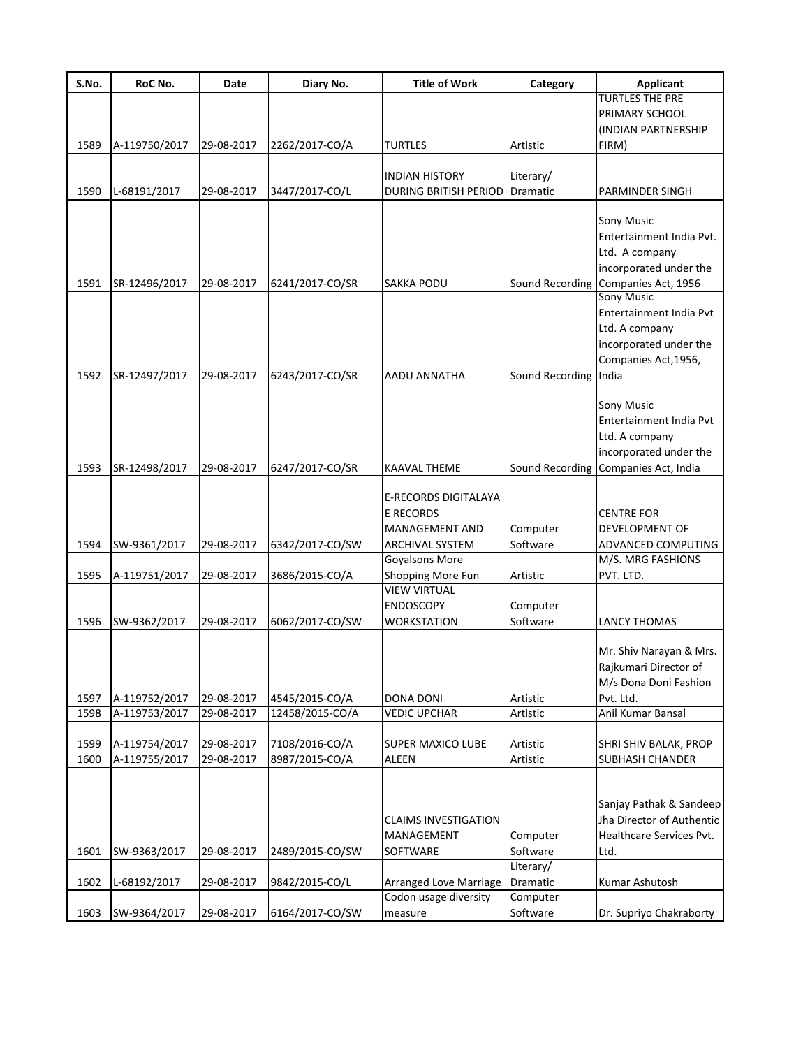| S.No. | RoC No.       | Date       | Diary No.       | <b>Title of Work</b>        | Category        | <b>Applicant</b>          |
|-------|---------------|------------|-----------------|-----------------------------|-----------------|---------------------------|
|       |               |            |                 |                             |                 | <b>TURTLES THE PRE</b>    |
|       |               |            |                 |                             |                 | PRIMARY SCHOOL            |
|       |               |            |                 |                             |                 | (INDIAN PARTNERSHIP       |
| 1589  | A-119750/2017 | 29-08-2017 | 2262/2017-CO/A  | <b>TURTLES</b>              | Artistic        | FIRM)                     |
|       |               |            |                 |                             |                 |                           |
|       |               |            |                 | <b>INDIAN HISTORY</b>       | Literary/       |                           |
| 1590  | L-68191/2017  | 29-08-2017 | 3447/2017-CO/L  | DURING BRITISH PERIOD       | Dramatic        | PARMINDER SINGH           |
|       |               |            |                 |                             |                 |                           |
|       |               |            |                 |                             |                 | Sony Music                |
|       |               |            |                 |                             |                 | Entertainment India Pvt.  |
|       |               |            |                 |                             |                 | Ltd. A company            |
|       |               |            |                 |                             |                 | incorporated under the    |
| 1591  | SR-12496/2017 | 29-08-2017 | 6241/2017-CO/SR | <b>SAKKA PODU</b>           | Sound Recording | Companies Act, 1956       |
|       |               |            |                 |                             |                 | <b>Sony Music</b>         |
|       |               |            |                 |                             |                 | Entertainment India Pvt   |
|       |               |            |                 |                             |                 | Ltd. A company            |
|       |               |            |                 |                             |                 | incorporated under the    |
|       |               |            |                 |                             |                 | Companies Act, 1956,      |
| 1592  | SR-12497/2017 | 29-08-2017 | 6243/2017-CO/SR | AADU ANNATHA                | Sound Recording | India                     |
|       |               |            |                 |                             |                 |                           |
|       |               |            |                 |                             |                 | Sony Music                |
|       |               |            |                 |                             |                 | Entertainment India Pvt   |
|       |               |            |                 |                             |                 | Ltd. A company            |
|       |               |            |                 |                             |                 | incorporated under the    |
| 1593  | SR-12498/2017 | 29-08-2017 | 6247/2017-CO/SR | <b>KAAVAL THEME</b>         | Sound Recording | Companies Act, India      |
|       |               |            |                 |                             |                 |                           |
|       |               |            |                 | E-RECORDS DIGITALAYA        |                 |                           |
|       |               |            |                 | <b>E RECORDS</b>            |                 | <b>CENTRE FOR</b>         |
|       |               |            |                 | MANAGEMENT AND              | Computer        | DEVELOPMENT OF            |
| 1594  | SW-9361/2017  | 29-08-2017 | 6342/2017-CO/SW | <b>ARCHIVAL SYSTEM</b>      | Software        | ADVANCED COMPUTING        |
|       |               |            |                 | Goyalsons More              |                 | M/S. MRG FASHIONS         |
| 1595  | A-119751/2017 | 29-08-2017 | 3686/2015-CO/A  | Shopping More Fun           | Artistic        | PVT. LTD.                 |
|       |               |            |                 | <b>VIEW VIRTUAL</b>         |                 |                           |
|       |               |            |                 | <b>ENDOSCOPY</b>            | Computer        |                           |
| 1596  | SW-9362/2017  | 29-08-2017 | 6062/2017-CO/SW | <b>WORKSTATION</b>          | Software        | <b>LANCY THOMAS</b>       |
|       |               |            |                 |                             |                 |                           |
|       |               |            |                 |                             |                 | Mr. Shiv Narayan & Mrs.   |
|       |               |            |                 |                             |                 | Rajkumari Director of     |
|       |               |            |                 |                             |                 | M/s Dona Doni Fashion     |
| 1597  | A-119752/2017 | 29-08-2017 | 4545/2015-CO/A  | <b>DONA DONI</b>            | Artistic        | Pvt. Ltd.                 |
| 1598  | A-119753/2017 | 29-08-2017 | 12458/2015-CO/A | <b>VEDIC UPCHAR</b>         | Artistic        | Anil Kumar Bansal         |
| 1599  | A-119754/2017 | 29-08-2017 | 7108/2016-CO/A  | <b>SUPER MAXICO LUBE</b>    | Artistic        | SHRI SHIV BALAK, PROP     |
| 1600  | A-119755/2017 | 29-08-2017 | 8987/2015-CO/A  | <b>ALEEN</b>                | Artistic        | <b>SUBHASH CHANDER</b>    |
|       |               |            |                 |                             |                 |                           |
|       |               |            |                 |                             |                 |                           |
|       |               |            |                 |                             |                 | Sanjay Pathak & Sandeep   |
|       |               |            |                 | <b>CLAIMS INVESTIGATION</b> |                 | Jha Director of Authentic |
|       |               |            |                 | MANAGEMENT                  | Computer        | Healthcare Services Pvt.  |
| 1601  | SW-9363/2017  | 29-08-2017 | 2489/2015-CO/SW | SOFTWARE                    | Software        | Ltd.                      |
|       |               |            |                 |                             | Literary/       |                           |
| 1602  | L-68192/2017  | 29-08-2017 | 9842/2015-CO/L  | Arranged Love Marriage      | Dramatic        | Kumar Ashutosh            |
|       |               |            |                 | Codon usage diversity       | Computer        |                           |
| 1603  | SW-9364/2017  | 29-08-2017 | 6164/2017-CO/SW | measure                     | Software        | Dr. Supriyo Chakraborty   |
|       |               |            |                 |                             |                 |                           |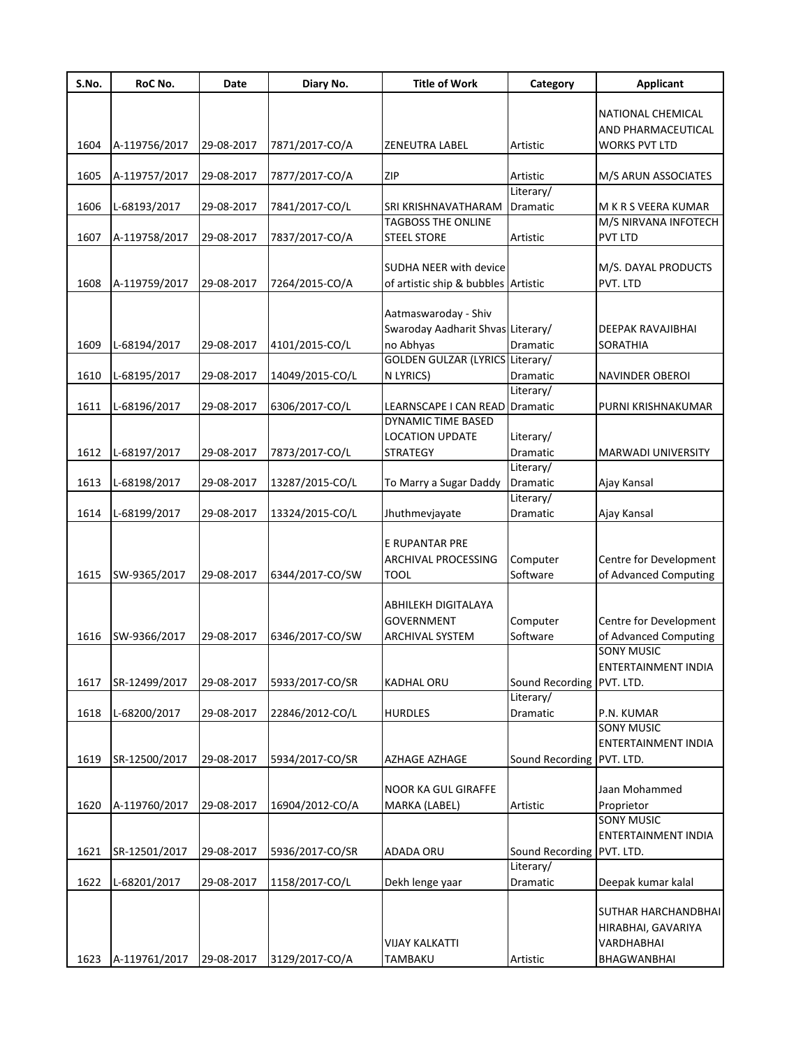| NATIONAL CHEMICAL<br>AND PHARMACEUTICAL<br>1604<br><b>WORKS PVT LTD</b><br>A-119756/2017<br>29-08-2017<br>7871/2017-CO/A<br>ZENEUTRA LABEL<br><b>Artistic</b> |  |
|---------------------------------------------------------------------------------------------------------------------------------------------------------------|--|
|                                                                                                                                                               |  |
|                                                                                                                                                               |  |
|                                                                                                                                                               |  |
|                                                                                                                                                               |  |
| 1605<br><b>ZIP</b><br>A-119757/2017<br>29-08-2017<br>7877/2017-CO/A<br>Artistic<br>M/S ARUN ASSOCIATES                                                        |  |
| Literary/                                                                                                                                                     |  |
| 1606<br>L-68193/2017<br>29-08-2017<br>7841/2017-CO/L<br>SRI KRISHNAVATHARAM<br>Dramatic<br>M K R S VEERA KUMAR                                                |  |
| <b>TAGBOSS THE ONLINE</b><br>M/S NIRVANA INFOTECH                                                                                                             |  |
| 1607<br>A-119758/2017<br>7837/2017-CO/A<br><b>PVT LTD</b><br>29-08-2017<br><b>STEEL STORE</b><br>Artistic                                                     |  |
|                                                                                                                                                               |  |
| <b>SUDHA NEER with device</b><br>M/S. DAYAL PRODUCTS                                                                                                          |  |
| A-119759/2017<br>of artistic ship & bubbles Artistic<br>PVT. LTD<br>1608<br>29-08-2017<br>7264/2015-CO/A                                                      |  |
|                                                                                                                                                               |  |
| Aatmaswaroday - Shiv                                                                                                                                          |  |
| Swaroday Aadharit Shvas Literary/<br>DEEPAK RAVAJIBHAI                                                                                                        |  |
| 4101/2015-CO/L<br>no Abhyas<br><b>Dramatic</b><br>1609<br>L-68194/2017<br>29-08-2017<br><b>SORATHIA</b>                                                       |  |
| <b>GOLDEN GULZAR (LYRICS Literary/</b>                                                                                                                        |  |
| N LYRICS)<br>1610<br>L-68195/2017<br>29-08-2017<br>14049/2015-CO/L<br>Dramatic<br><b>NAVINDER OBEROI</b>                                                      |  |
| Literary/                                                                                                                                                     |  |
| 1611<br>L-68196/2017<br>29-08-2017<br>6306/2017-CO/L<br>LEARNSCAPE I CAN READ<br>Dramatic<br>PURNI KRISHNAKUMAR<br>DYNAMIC TIME BASED                         |  |
| LOCATION UPDATE<br>Literary/                                                                                                                                  |  |
| <b>Dramatic</b><br>1612<br>L-68197/2017<br>29-08-2017<br>7873/2017-CO/L<br><b>STRATEGY</b><br><b>MARWADI UNIVERSITY</b>                                       |  |
| Literary/                                                                                                                                                     |  |
| 1613<br>L-68198/2017<br>29-08-2017<br>To Marry a Sugar Daddy<br>13287/2015-CO/L<br>Dramatic<br>Ajay Kansal                                                    |  |
| Literary/                                                                                                                                                     |  |
| Dramatic<br>1614<br>L-68199/2017<br>29-08-2017<br>13324/2015-CO/L<br>Jhuthmevjayate<br>Ajay Kansal                                                            |  |
|                                                                                                                                                               |  |
| E RUPANTAR PRE                                                                                                                                                |  |
| Computer<br>Centre for Development<br><b>ARCHIVAL PROCESSING</b>                                                                                              |  |
| Software<br>of Advanced Computing<br>1615<br>SW-9365/2017<br>29-08-2017<br>6344/2017-CO/SW<br><b>TOOL</b>                                                     |  |
|                                                                                                                                                               |  |
| ABHILEKH DIGITALAYA                                                                                                                                           |  |
| Centre for Development<br><b>GOVERNMENT</b><br>Computer                                                                                                       |  |
| Software<br>6346/2017-CO/SW<br>of Advanced Computing<br>1616<br>SW-9366/2017<br>29-08-2017<br><b>ARCHIVAL SYSTEM</b>                                          |  |
| <b>SONY MUSIC</b>                                                                                                                                             |  |
| ENTERTAINMENT INDIA                                                                                                                                           |  |
| SR-12499/2017<br>29-08-2017<br>5933/2017-CO/SR<br>Sound Recording PVT. LTD.<br>1617<br><b>KADHAL ORU</b>                                                      |  |
| Literary/                                                                                                                                                     |  |
| 1618<br>L-68200/2017<br>29-08-2017<br>22846/2012-CO/L<br><b>HURDLES</b><br>Dramatic<br>P.N. KUMAR                                                             |  |
| <b>SONY MUSIC</b>                                                                                                                                             |  |
| ENTERTAINMENT INDIA                                                                                                                                           |  |
| SR-12500/2017<br>Sound Recording PVT. LTD.<br>1619<br>29-08-2017<br>5934/2017-CO/SR<br>AZHAGE AZHAGE                                                          |  |
|                                                                                                                                                               |  |
| <b>NOOR KA GUL GIRAFFE</b><br>Jaan Mohammed                                                                                                                   |  |
| 1620<br>16904/2012-CO/A<br>Proprietor<br>A-119760/2017<br>29-08-2017<br>MARKA (LABEL)<br>Artistic<br><b>SONY MUSIC</b>                                        |  |
| ENTERTAINMENT INDIA                                                                                                                                           |  |
| 1621<br>SR-12501/2017<br>29-08-2017<br><b>ADADA ORU</b><br>Sound Recording PVT. LTD.<br>5936/2017-CO/SR                                                       |  |
| Literary/                                                                                                                                                     |  |
| 1622<br>L-68201/2017<br>29-08-2017<br>1158/2017-CO/L<br>Dekh lenge yaar<br>Dramatic<br>Deepak kumar kalal                                                     |  |
|                                                                                                                                                               |  |
| SUTHAR HARCHANDBHAI                                                                                                                                           |  |
| HIRABHAI, GAVARIYA                                                                                                                                            |  |
| <b>VIJAY KALKATTI</b><br>VARDHABHAI                                                                                                                           |  |
| 1623<br>A-119761/2017<br>29-08-2017<br>3129/2017-CO/A<br>TAMBAKU<br>Artistic<br>BHAGWANBHAI                                                                   |  |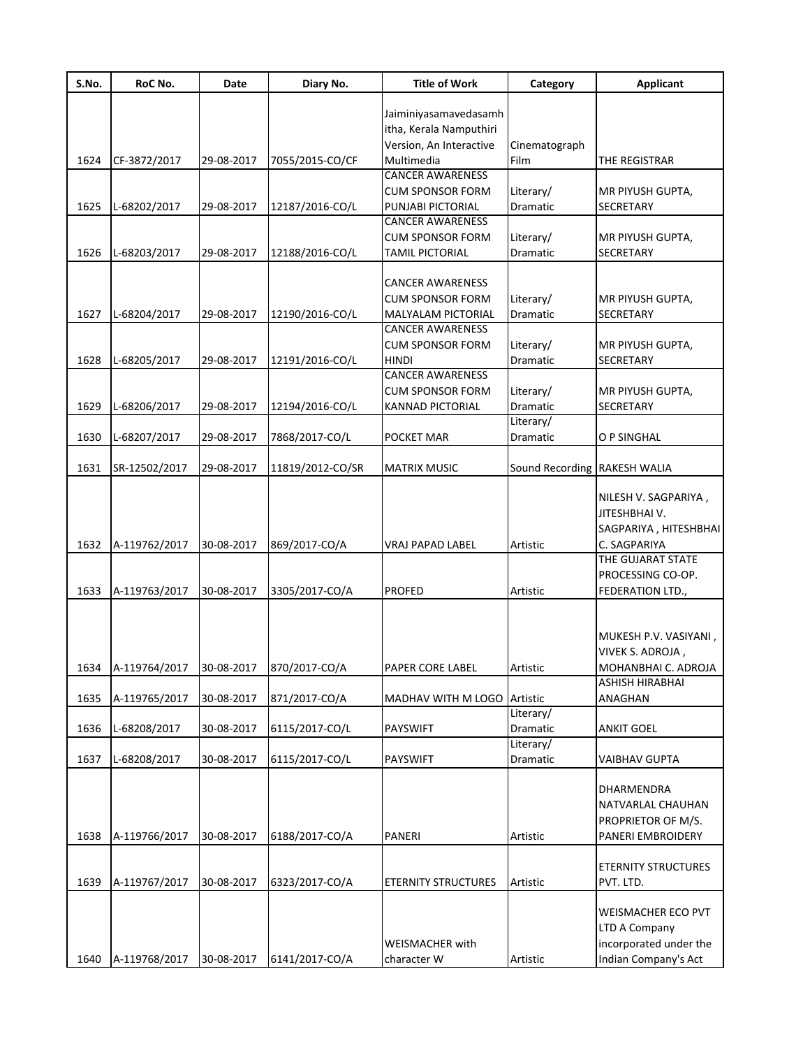| S.No. | RoC No.       | Date       | Diary No.        | <b>Title of Work</b>        | Category        | <b>Applicant</b>           |
|-------|---------------|------------|------------------|-----------------------------|-----------------|----------------------------|
|       |               |            |                  |                             |                 |                            |
|       |               |            |                  | Jaiminiyasamavedasamh       |                 |                            |
|       |               |            |                  | itha, Kerala Namputhiri     |                 |                            |
|       |               |            |                  | Version, An Interactive     | Cinematograph   |                            |
| 1624  | CF-3872/2017  | 29-08-2017 | 7055/2015-CO/CF  | Multimedia                  | Film            | THE REGISTRAR              |
|       |               |            |                  | <b>CANCER AWARENESS</b>     |                 |                            |
|       |               |            |                  | <b>CUM SPONSOR FORM</b>     | Literary/       | MR PIYUSH GUPTA,           |
| 1625  | L-68202/2017  | 29-08-2017 | 12187/2016-CO/L  | PUNJABI PICTORIAL           | Dramatic        | SECRETARY                  |
|       |               |            |                  | <b>CANCER AWARENESS</b>     |                 |                            |
|       |               |            |                  | <b>CUM SPONSOR FORM</b>     | Literary/       | MR PIYUSH GUPTA,           |
| 1626  | L-68203/2017  | 29-08-2017 | 12188/2016-CO/L  | <b>TAMIL PICTORIAL</b>      | <b>Dramatic</b> | SECRETARY                  |
|       |               |            |                  |                             |                 |                            |
|       |               |            |                  | <b>CANCER AWARENESS</b>     |                 |                            |
|       |               |            |                  | <b>CUM SPONSOR FORM</b>     | Literary/       | MR PIYUSH GUPTA,           |
| 1627  | L-68204/2017  | 29-08-2017 | 12190/2016-CO/L  | <b>MALYALAM PICTORIAL</b>   | Dramatic        | SECRETARY                  |
|       |               |            |                  | <b>CANCER AWARENESS</b>     |                 |                            |
|       |               |            |                  | <b>CUM SPONSOR FORM</b>     | Literary/       | MR PIYUSH GUPTA,           |
| 1628  | L-68205/2017  | 29-08-2017 | 12191/2016-CO/L  | <b>HINDI</b>                | Dramatic        | SECRETARY                  |
|       |               |            |                  | <b>CANCER AWARENESS</b>     |                 |                            |
|       |               |            |                  | <b>CUM SPONSOR FORM</b>     | Literary/       | MR PIYUSH GUPTA,           |
| 1629  | L-68206/2017  | 29-08-2017 | 12194/2016-CO/L  | <b>KANNAD PICTORIAL</b>     | <b>Dramatic</b> | SECRETARY                  |
|       |               |            |                  |                             | Literary/       |                            |
|       |               |            |                  |                             |                 |                            |
| 1630  | L-68207/2017  | 29-08-2017 | 7868/2017-CO/L   | POCKET MAR                  | Dramatic        | O P SINGHAL                |
| 1631  | SR-12502/2017 | 29-08-2017 | 11819/2012-CO/SR | <b>MATRIX MUSIC</b>         | Sound Recording | <b>RAKESH WALIA</b>        |
|       |               |            |                  |                             |                 |                            |
|       |               |            |                  |                             |                 | NILESH V. SAGPARIYA,       |
|       |               |            |                  |                             |                 | JITESHBHAI V.              |
|       |               |            |                  |                             |                 | SAGPARIYA, HITESHBHAI      |
| 1632  | A-119762/2017 | 30-08-2017 | 869/2017-CO/A    | <b>VRAJ PAPAD LABEL</b>     | Artistic        | C. SAGPARIYA               |
|       |               |            |                  |                             |                 | THE GUJARAT STATE          |
|       |               |            |                  |                             |                 | PROCESSING CO-OP.          |
| 1633  | A-119763/2017 | 30-08-2017 | 3305/2017-CO/A   | <b>PROFED</b>               | Artistic        | <b>FEDERATION LTD.,</b>    |
|       |               |            |                  |                             |                 |                            |
|       |               |            |                  |                             |                 |                            |
|       |               |            |                  |                             |                 | MUKESH P.V. VASIYANI,      |
|       |               |            |                  |                             |                 | VIVEK S. ADROJA,           |
| 1634  | A-119764/2017 | 30-08-2017 | 870/2017-CO/A    | PAPER CORE LABEL            | Artistic        | MOHANBHAI C. ADROJA        |
|       |               |            |                  |                             |                 | ASHISH HIRABHAI            |
| 1635  | A-119765/2017 | 30-08-2017 | 871/2017-CO/A    | MADHAV WITH M LOGO Artistic |                 | ANAGHAN                    |
|       |               |            |                  |                             | Literary/       |                            |
| 1636  | L-68208/2017  | 30-08-2017 | 6115/2017-CO/L   | <b>PAYSWIFT</b>             | <b>Dramatic</b> | <b>ANKIT GOEL</b>          |
|       |               |            |                  |                             | Literary/       |                            |
| 1637  | L-68208/2017  | 30-08-2017 | 6115/2017-CO/L   | <b>PAYSWIFT</b>             | Dramatic        | <b>VAIBHAV GUPTA</b>       |
|       |               |            |                  |                             |                 |                            |
|       |               |            |                  |                             |                 | DHARMENDRA                 |
|       |               |            |                  |                             |                 | NATVARLAL CHAUHAN          |
|       |               |            |                  |                             |                 | PROPRIETOR OF M/S.         |
| 1638  | A-119766/2017 | 30-08-2017 | 6188/2017-CO/A   | PANERI                      | Artistic        | PANERI EMBROIDERY          |
|       |               |            |                  |                             |                 |                            |
|       |               |            |                  |                             |                 | <b>ETERNITY STRUCTURES</b> |
| 1639  | A-119767/2017 | 30-08-2017 | 6323/2017-CO/A   | <b>ETERNITY STRUCTURES</b>  | Artistic        | PVT. LTD.                  |
|       |               |            |                  |                             |                 |                            |
|       |               |            |                  |                             |                 | WEISMACHER ECO PVT         |
|       |               |            |                  |                             |                 | LTD A Company              |
|       |               |            |                  |                             |                 |                            |
|       |               |            |                  | WEISMACHER with             |                 | incorporated under the     |
| 1640  | A-119768/2017 | 30-08-2017 | 6141/2017-CO/A   | character W                 | Artistic        | Indian Company's Act       |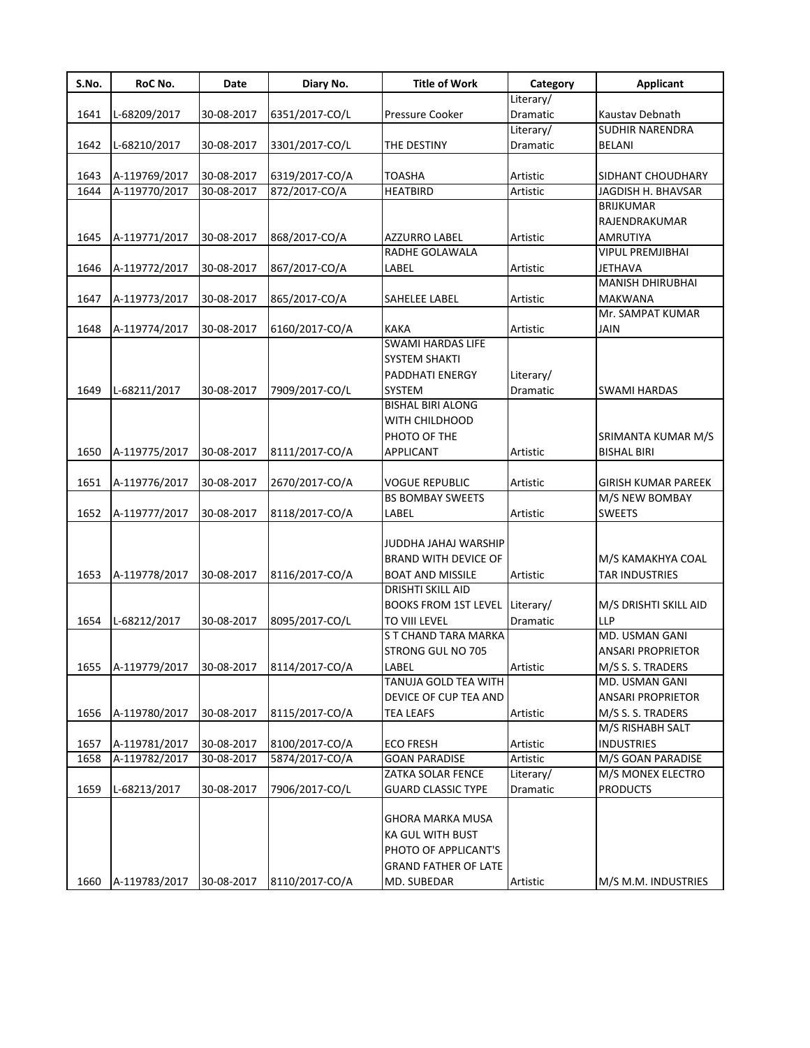| S.No. | RoC No.       | Date       | Diary No.      | <b>Title of Work</b>                                         | Category        | <b>Applicant</b>         |
|-------|---------------|------------|----------------|--------------------------------------------------------------|-----------------|--------------------------|
|       |               |            |                |                                                              | Literary/       |                          |
| 1641  | L-68209/2017  | 30-08-2017 | 6351/2017-CO/L | Pressure Cooker                                              | Dramatic        | Kaustav Debnath          |
|       |               |            |                |                                                              | Literary/       | <b>SUDHIR NARENDRA</b>   |
| 1642  | L-68210/2017  | 30-08-2017 | 3301/2017-CO/L | THE DESTINY                                                  | <b>Dramatic</b> | <b>BELANI</b>            |
| 1643  | A-119769/2017 | 30-08-2017 | 6319/2017-CO/A | <b>TOASHA</b>                                                | Artistic        | SIDHANT CHOUDHARY        |
| 1644  | A-119770/2017 | 30-08-2017 | 872/2017-CO/A  | <b>HEATBIRD</b>                                              | Artistic        | JAGDISH H. BHAVSAR       |
|       |               |            |                |                                                              |                 | <b>BRIJKUMAR</b>         |
|       |               |            |                |                                                              |                 | RAJENDRAKUMAR            |
| 1645  | A-119771/2017 | 30-08-2017 | 868/2017-CO/A  | AZZURRO LABEL                                                | Artistic        | AMRUTIYA                 |
|       |               |            |                | RADHE GOLAWALA                                               |                 | <b>VIPUL PREMJIBHAI</b>  |
| 1646  | A-119772/2017 | 30-08-2017 | 867/2017-CO/A  | LABEL                                                        | Artistic        | <b>JETHAVA</b>           |
|       |               |            |                |                                                              |                 | <b>MANISH DHIRUBHAI</b>  |
| 1647  | A-119773/2017 | 30-08-2017 | 865/2017-CO/A  | SAHELEE LABEL                                                | Artistic        | <b>MAKWANA</b>           |
|       |               |            |                |                                                              |                 | Mr. SAMPAT KUMAR         |
| 1648  | A-119774/2017 | 30-08-2017 | 6160/2017-CO/A | <b>KAKA</b>                                                  | Artistic        | JAIN                     |
|       |               |            |                | <b>SWAMI HARDAS LIFE</b>                                     |                 |                          |
|       |               |            |                | <b>SYSTEM SHAKTI</b>                                         |                 |                          |
|       |               |            |                | PADDHATI ENERGY                                              | Literary/       |                          |
| 1649  | L-68211/2017  | 30-08-2017 | 7909/2017-CO/L | <b>SYSTEM</b>                                                | Dramatic        | <b>SWAMI HARDAS</b>      |
|       |               |            |                | <b>BISHAL BIRI ALONG</b>                                     |                 |                          |
|       |               |            |                | WITH CHILDHOOD                                               |                 |                          |
|       |               |            |                | PHOTO OF THE                                                 |                 | SRIMANTA KUMAR M/S       |
| 1650  | A-119775/2017 | 30-08-2017 | 8111/2017-CO/A | APPLICANT                                                    | Artistic        | <b>BISHAL BIRI</b>       |
|       |               |            |                |                                                              |                 |                          |
| 1651  | A-119776/2017 | 30-08-2017 | 2670/2017-CO/A | VOGUE REPUBLIC                                               | Artistic        | GIRISH KUMAR PAREEK      |
|       |               |            |                | <b>BS BOMBAY SWEETS</b>                                      |                 | M/S NEW BOMBAY           |
| 1652  | A-119777/2017 | 30-08-2017 | 8118/2017-CO/A | LABEL                                                        | Artistic        | <b>SWEETS</b>            |
|       |               |            |                |                                                              |                 |                          |
|       |               |            |                | JUDDHA JAHAJ WARSHIP                                         |                 |                          |
|       |               |            |                | <b>BRAND WITH DEVICE OF</b>                                  |                 | M/S KAMAKHYA COAL        |
| 1653  | A-119778/2017 | 30-08-2017 | 8116/2017-CO/A | <b>BOAT AND MISSILE</b>                                      | Artistic        | <b>TAR INDUSTRIES</b>    |
|       |               |            |                | DRISHTI SKILL AID                                            |                 |                          |
|       |               |            |                | <b>BOOKS FROM 1ST LEVEL</b>                                  | Literary/       | M/S DRISHTI SKILL AID    |
| 1654  | L-68212/2017  | 30-08-2017 | 8095/2017-CO/L | TO VIII LEVEL                                                | Dramatic        | <b>LLP</b>               |
|       |               |            |                | S T CHAND TARA MARKA                                         |                 | MD. USMAN GANI           |
|       |               |            |                | STRONG GUL NO 705                                            |                 | <b>ANSARI PROPRIETOR</b> |
| 1655  | A-119779/2017 | 30-08-2017 | 8114/2017-CO/A | LABEL                                                        | Artistic        | M/S S. S. TRADERS        |
|       |               |            |                | TANUJA GOLD TEA WITH                                         |                 | MD. USMAN GANI           |
|       |               |            |                | DEVICE OF CUP TEA AND                                        |                 | <b>ANSARI PROPRIETOR</b> |
| 1656  | A-119780/2017 | 30-08-2017 | 8115/2017-CO/A | <b>TEA LEAFS</b>                                             | Artistic        | M/S S. S. TRADERS        |
|       |               |            |                |                                                              |                 | M/S RISHABH SALT         |
| 1657  | A-119781/2017 | 30-08-2017 | 8100/2017-CO/A | <b>ECO FRESH</b>                                             | Artistic        | <b>INDUSTRIES</b>        |
| 1658  | A-119782/2017 | 30-08-2017 | 5874/2017-CO/A | <b>GOAN PARADISE</b>                                         | Artistic        | M/S GOAN PARADISE        |
|       |               |            |                | ZATKA SOLAR FENCE                                            | Literary/       | M/S MONEX ELECTRO        |
| 1659  | L-68213/2017  | 30-08-2017 | 7906/2017-CO/L | GUARD CLASSIC TYPE                                           | Dramatic        | <b>PRODUCTS</b>          |
|       |               |            |                | GHORA MARKA MUSA<br>KA GUL WITH BUST<br>PHOTO OF APPLICANT'S |                 |                          |
|       |               |            |                | <b>GRAND FATHER OF LATE</b>                                  |                 |                          |
| 1660  | A-119783/2017 | 30-08-2017 | 8110/2017-CO/A | MD. SUBEDAR                                                  | Artistic        | M/S M.M. INDUSTRIES      |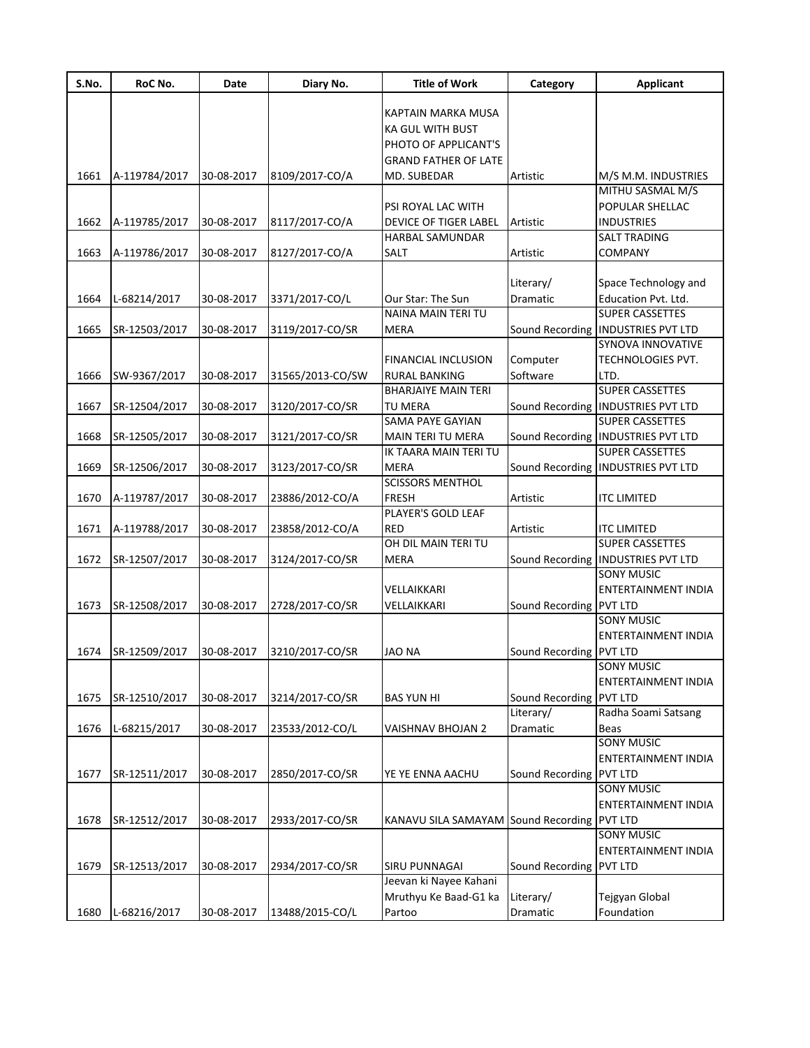| S.No. | RoC No.       | Date       | Diary No.        | <b>Title of Work</b>                        | Category                | <b>Applicant</b>                     |
|-------|---------------|------------|------------------|---------------------------------------------|-------------------------|--------------------------------------|
|       |               |            |                  |                                             |                         |                                      |
|       |               |            |                  | KAPTAIN MARKA MUSA                          |                         |                                      |
|       |               |            |                  | <b>KA GUL WITH BUST</b>                     |                         |                                      |
|       |               |            |                  | PHOTO OF APPLICANT'S                        |                         |                                      |
|       |               |            |                  | <b>GRAND FATHER OF LATE</b>                 |                         |                                      |
| 1661  | A-119784/2017 | 30-08-2017 | 8109/2017-CO/A   | MD. SUBEDAR                                 | Artistic                | M/S M.M. INDUSTRIES                  |
|       |               |            |                  |                                             |                         | MITHU SASMAL M/S                     |
|       |               |            |                  | PSI ROYAL LAC WITH                          |                         | POPULAR SHELLAC                      |
| 1662  | A-119785/2017 | 30-08-2017 | 8117/2017-CO/A   | DEVICE OF TIGER LABEL                       | Artistic                | <b>INDUSTRIES</b>                    |
|       |               |            |                  | HARBAL SAMUNDAR                             |                         | <b>SALT TRADING</b>                  |
| 1663  | A-119786/2017 | 30-08-2017 | 8127/2017-CO/A   | <b>SALT</b>                                 | Artistic                | <b>COMPANY</b>                       |
|       |               |            |                  |                                             |                         |                                      |
|       |               |            |                  |                                             | Literary/               | Space Technology and                 |
| 1664  | L-68214/2017  | 30-08-2017 | 3371/2017-CO/L   | Our Star: The Sun                           | Dramatic                | Education Pvt. Ltd.                  |
|       |               |            |                  | NAINA MAIN TERI TU                          |                         | <b>SUPER CASSETTES</b>               |
| 1665  | SR-12503/2017 | 30-08-2017 | 3119/2017-CO/SR  | <b>MERA</b>                                 |                         | Sound Recording   INDUSTRIES PVT LTD |
|       |               |            |                  |                                             |                         | <b>SYNOVA INNOVATIVE</b>             |
|       |               |            |                  | <b>FINANCIAL INCLUSION</b>                  | Computer                | <b>TECHNOLOGIES PVT.</b>             |
| 1666  | SW-9367/2017  | 30-08-2017 | 31565/2013-CO/SW | <b>RURAL BANKING</b>                        | Software                | LTD.                                 |
|       |               |            |                  | <b>BHARJAIYE MAIN TERI</b>                  |                         | <b>SUPER CASSETTES</b>               |
| 1667  | SR-12504/2017 | 30-08-2017 | 3120/2017-CO/SR  | TU MERA                                     |                         | Sound Recording   INDUSTRIES PVT LTD |
|       |               |            |                  | <b>SAMA PAYE GAYIAN</b>                     |                         | <b>SUPER CASSETTES</b>               |
| 1668  |               | 30-08-2017 |                  | MAIN TERI TU MERA                           |                         | Sound Recording   INDUSTRIES PVT LTD |
|       | SR-12505/2017 |            | 3121/2017-CO/SR  |                                             |                         |                                      |
|       |               |            |                  | IK TAARA MAIN TERI TU                       |                         | <b>SUPER CASSETTES</b>               |
| 1669  | SR-12506/2017 | 30-08-2017 | 3123/2017-CO/SR  | <b>MERA</b>                                 |                         | Sound Recording   INDUSTRIES PVT LTD |
|       |               |            |                  | <b>SCISSORS MENTHOL</b>                     |                         |                                      |
| 1670  | A-119787/2017 | 30-08-2017 | 23886/2012-CO/A  | <b>FRESH</b>                                | Artistic                | <b>ITC LIMITED</b>                   |
|       |               |            |                  | PLAYER'S GOLD LEAF                          |                         |                                      |
| 1671  | A-119788/2017 | 30-08-2017 | 23858/2012-CO/A  | <b>RED</b>                                  | Artistic                | <b>ITC LIMITED</b>                   |
|       |               |            |                  | OH DIL MAIN TERI TU                         |                         | <b>SUPER CASSETTES</b>               |
| 1672  | SR-12507/2017 | 30-08-2017 | 3124/2017-CO/SR  | <b>MERA</b>                                 |                         | Sound Recording   INDUSTRIES PVT LTD |
|       |               |            |                  |                                             |                         | <b>SONY MUSIC</b>                    |
|       |               |            |                  | VELLAIKKARI                                 |                         | <b>ENTERTAINMENT INDIA</b>           |
| 1673  | SR-12508/2017 | 30-08-2017 | 2728/2017-CO/SR  | VELLAIKKARI                                 | Sound Recording PVT LTD |                                      |
|       |               |            |                  |                                             |                         | <b>SONY MUSIC</b>                    |
|       |               |            |                  |                                             |                         | <b>ENTERTAINMENT INDIA</b>           |
| 1674  | SR-12509/2017 | 30-08-2017 | 3210/2017-CO/SR  | <b>JAO NA</b>                               | Sound Recording PVT LTD |                                      |
|       |               |            |                  |                                             |                         | <b>SONY MUSIC</b>                    |
|       |               |            |                  |                                             |                         | ENTERTAINMENT INDIA                  |
| 1675  | SR-12510/2017 | 30-08-2017 | 3214/2017-CO/SR  | <b>BAS YUN HI</b>                           | Sound Recording PVT LTD |                                      |
|       |               |            |                  |                                             | Literary/               | Radha Soami Satsang                  |
| 1676  | L-68215/2017  | 30-08-2017 | 23533/2012-CO/L  | VAISHNAV BHOJAN 2                           | Dramatic                | Beas                                 |
|       |               |            |                  |                                             |                         | <b>SONY MUSIC</b>                    |
|       |               |            |                  |                                             |                         | ENTERTAINMENT INDIA                  |
| 1677  | SR-12511/2017 | 30-08-2017 | 2850/2017-CO/SR  | YE YE ENNA AACHU                            | Sound Recording PVT LTD |                                      |
|       |               |            |                  |                                             |                         | <b>SONY MUSIC</b>                    |
|       |               |            |                  |                                             |                         |                                      |
|       |               |            |                  |                                             |                         | ENTERTAINMENT INDIA                  |
| 1678  | SR-12512/2017 | 30-08-2017 | 2933/2017-CO/SR  | KANAVU SILA SAMAYAM Sound Recording PVT LTD |                         |                                      |
|       |               |            |                  |                                             |                         | <b>SONY MUSIC</b>                    |
|       |               |            |                  |                                             |                         | ENTERTAINMENT INDIA                  |
| 1679  | SR-12513/2017 | 30-08-2017 | 2934/2017-CO/SR  | <b>SIRU PUNNAGAI</b>                        | Sound Recording PVT LTD |                                      |
|       |               |            |                  | Jeevan ki Nayee Kahani                      |                         |                                      |
|       |               |            |                  | Mruthyu Ke Baad-G1 ka                       | Literary/               | Tejgyan Global                       |
| 1680  | L-68216/2017  | 30-08-2017 | 13488/2015-CO/L  | Partoo                                      | Dramatic                | Foundation                           |
|       |               |            |                  |                                             |                         |                                      |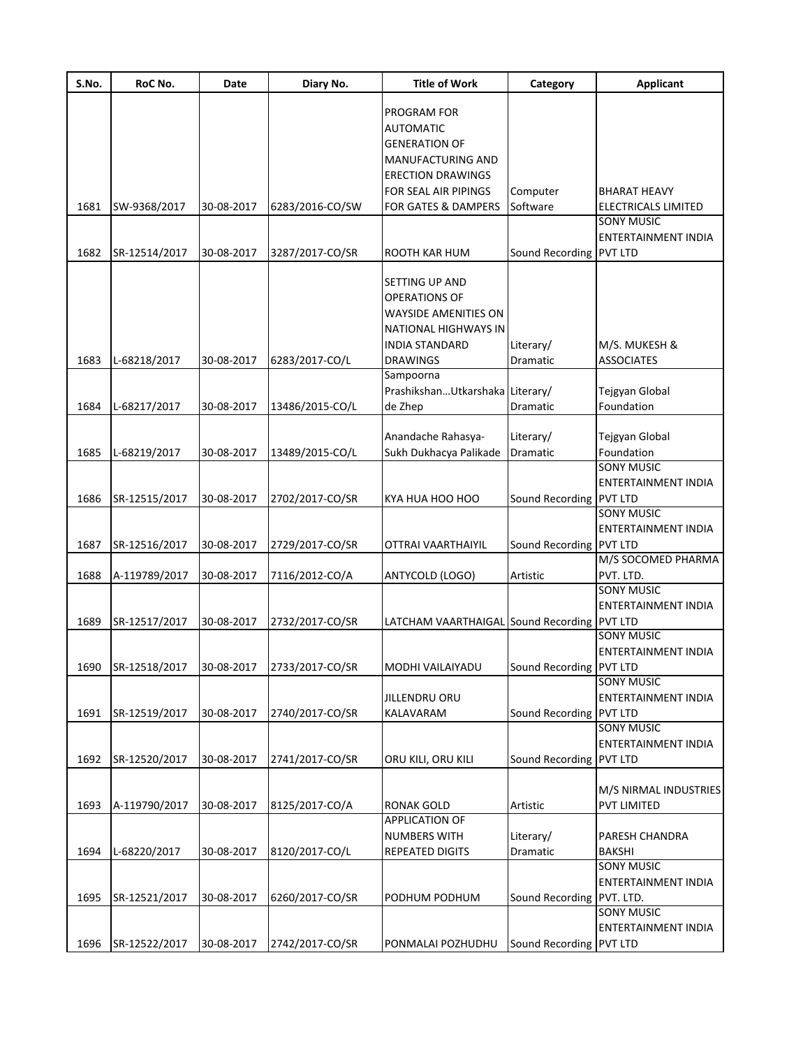| S.No. | RoC No.       | Date       | Diary No.       | <b>Title of Work</b>                        | Category                  | <b>Applicant</b>           |
|-------|---------------|------------|-----------------|---------------------------------------------|---------------------------|----------------------------|
|       |               |            |                 |                                             |                           |                            |
|       |               |            |                 | PROGRAM FOR                                 |                           |                            |
|       |               |            |                 | <b>AUTOMATIC</b>                            |                           |                            |
|       |               |            |                 | <b>GENERATION OF</b>                        |                           |                            |
|       |               |            |                 | MANUFACTURING AND                           |                           |                            |
|       |               |            |                 | <b>ERECTION DRAWINGS</b>                    |                           |                            |
|       |               |            |                 | FOR SEAL AIR PIPINGS                        | Computer                  | BHARAT HEAVY               |
| 1681  | SW-9368/2017  | 30-08-2017 | 6283/2016-CO/SW | FOR GATES & DAMPERS                         | Software                  | ELECTRICALS LIMITED        |
|       |               |            |                 |                                             |                           | <b>SONY MUSIC</b>          |
|       |               |            |                 |                                             |                           | ENTERTAINMENT INDIA        |
| 1682  | SR-12514/2017 | 30-08-2017 | 3287/2017-CO/SR | ROOTH KAR HUM                               | Sound Recording PVT LTD   |                            |
|       |               |            |                 |                                             |                           |                            |
|       |               |            |                 | SETTING UP AND                              |                           |                            |
|       |               |            |                 | <b>OPERATIONS OF</b>                        |                           |                            |
|       |               |            |                 | <b>WAYSIDE AMENITIES ON</b>                 |                           |                            |
|       |               |            |                 | <b>NATIONAL HIGHWAYS IN</b>                 |                           |                            |
|       |               |            |                 | <b>INDIA STANDARD</b>                       | Literary/                 | M/S. MUKESH &              |
| 1683  | L-68218/2017  | 30-08-2017 | 6283/2017-CO/L  | <b>DRAWINGS</b>                             | Dramatic                  | <b>ASSOCIATES</b>          |
|       |               |            |                 | Sampoorna                                   |                           |                            |
|       |               |            |                 | PrashikshanUtkarshaka Literary/             |                           | Tejgyan Global             |
| 1684  | L-68217/2017  | 30-08-2017 | 13486/2015-CO/L | de Zhep                                     | <b>Dramatic</b>           | Foundation                 |
|       |               |            |                 |                                             |                           |                            |
|       |               |            |                 | Anandache Rahasya-                          | Literary/                 | Tejgyan Global             |
| 1685  | L-68219/2017  | 30-08-2017 | 13489/2015-CO/L | Sukh Dukhacya Palikade                      | Dramatic                  | Foundation                 |
|       |               |            |                 |                                             |                           | <b>SONY MUSIC</b>          |
|       |               |            |                 |                                             |                           | <b>ENTERTAINMENT INDIA</b> |
| 1686  | SR-12515/2017 | 30-08-2017 | 2702/2017-CO/SR | KYA HUA HOO HOO                             | Sound Recording PVT LTD   |                            |
|       |               |            |                 |                                             |                           | <b>SONY MUSIC</b>          |
|       |               |            |                 |                                             |                           | ENTERTAINMENT INDIA        |
| 1687  |               | 30-08-2017 |                 |                                             | Sound Recording PVT LTD   |                            |
|       | SR-12516/2017 |            | 2729/2017-CO/SR | OTTRAI VAARTHAIYIL                          |                           | M/S SOCOMED PHARMA         |
| 1688  | A-119789/2017 | 30-08-2017 |                 | ANTYCOLD (LOGO)                             | Artistic                  | PVT. LTD.                  |
|       |               |            | 7116/2012-CO/A  |                                             |                           | <b>SONY MUSIC</b>          |
|       |               |            |                 |                                             |                           |                            |
|       |               |            |                 |                                             |                           | <b>ENTERTAINMENT INDIA</b> |
| 1689  | SR-12517/2017 | 30-08-2017 | 2732/2017-CO/SR | LATCHAM VAARTHAIGAL Sound Recording PVT LTD |                           |                            |
|       |               |            |                 |                                             |                           | <b>SONY MUSIC</b>          |
|       |               |            |                 |                                             |                           | <b>ENTERTAINMENT INDIA</b> |
| 1690  | SR-12518/2017 | 30-08-2017 | 2733/2017-CO/SR | MODHI VAILAIYADU                            | Sound Recording PVT LTD   |                            |
|       |               |            |                 |                                             |                           | <b>SONY MUSIC</b>          |
|       |               |            |                 | JILLENDRU ORU                               |                           | ENTERTAINMENT INDIA        |
| 1691  | SR-12519/2017 | 30-08-2017 | 2740/2017-CO/SR | KALAVARAM                                   | Sound Recording PVT LTD   |                            |
|       |               |            |                 |                                             |                           | <b>SONY MUSIC</b>          |
|       |               |            |                 |                                             |                           | <b>ENTERTAINMENT INDIA</b> |
| 1692  | SR-12520/2017 | 30-08-2017 | 2741/2017-CO/SR | ORU KILI, ORU KILI                          | Sound Recording PVT LTD   |                            |
|       |               |            |                 |                                             |                           |                            |
|       |               |            |                 |                                             |                           | M/S NIRMAL INDUSTRIES      |
| 1693  | A-119790/2017 | 30-08-2017 | 8125/2017-CO/A  | <b>RONAK GOLD</b>                           | Artistic                  | <b>PVT LIMITED</b>         |
|       |               |            |                 | APPLICATION OF                              |                           |                            |
|       |               |            |                 | <b>NUMBERS WITH</b>                         | Literary/                 | PARESH CHANDRA             |
| 1694  | L-68220/2017  | 30-08-2017 | 8120/2017-CO/L  | <b>REPEATED DIGITS</b>                      | Dramatic                  | BAKSHI                     |
|       |               |            |                 |                                             |                           | <b>SONY MUSIC</b>          |
|       |               |            |                 |                                             |                           | ENTERTAINMENT INDIA        |
| 1695  | SR-12521/2017 | 30-08-2017 | 6260/2017-CO/SR | PODHUM PODHUM                               | Sound Recording PVT. LTD. |                            |
|       |               |            |                 |                                             |                           | <b>SONY MUSIC</b>          |
|       |               |            |                 |                                             |                           | ENTERTAINMENT INDIA        |
| 1696  | SR-12522/2017 | 30-08-2017 | 2742/2017-CO/SR | PONMALAI POZHUDHU                           | Sound Recording PVT LTD   |                            |
|       |               |            |                 |                                             |                           |                            |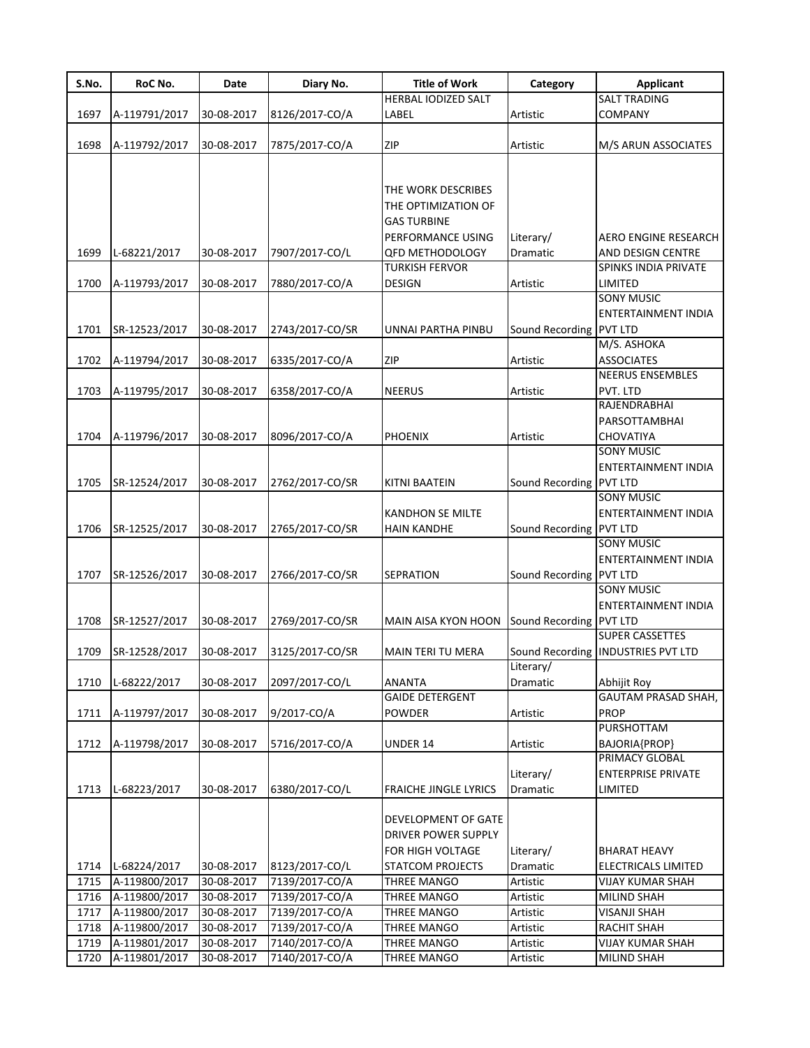| S.No. | RoC No.       | Date       | Diary No.       | <b>Title of Work</b>         | Category                | <b>Applicant</b>                     |
|-------|---------------|------------|-----------------|------------------------------|-------------------------|--------------------------------------|
|       |               |            |                 | HERBAL IODIZED SALT          |                         | <b>SALT TRADING</b>                  |
| 1697  | A-119791/2017 | 30-08-2017 | 8126/2017-CO/A  | LABEL                        | Artistic                | <b>COMPANY</b>                       |
|       |               |            |                 |                              |                         |                                      |
| 1698  | A-119792/2017 | 30-08-2017 | 7875/2017-CO/A  | <b>ZIP</b>                   | Artistic                | M/S ARUN ASSOCIATES                  |
|       |               |            |                 |                              |                         |                                      |
|       |               |            |                 |                              |                         |                                      |
|       |               |            |                 | THE WORK DESCRIBES           |                         |                                      |
|       |               |            |                 | THE OPTIMIZATION OF          |                         |                                      |
|       |               |            |                 | <b>GAS TURBINE</b>           |                         |                                      |
|       |               |            |                 | PERFORMANCE USING            | Literary/               | AERO ENGINE RESEARCH                 |
| 1699  |               | 30-08-2017 | 7907/2017-CO/L  | <b>QFD METHODOLOGY</b>       | Dramatic                | AND DESIGN CENTRE                    |
|       | L-68221/2017  |            |                 | <b>TURKISH FERVOR</b>        |                         | SPINKS INDIA PRIVATE                 |
| 1700  |               |            |                 |                              |                         | LIMITED                              |
|       | A-119793/2017 | 30-08-2017 | 7880/2017-CO/A  | <b>DESIGN</b>                | Artistic                | <b>SONY MUSIC</b>                    |
|       |               |            |                 |                              |                         |                                      |
|       |               |            |                 |                              |                         | ENTERTAINMENT INDIA                  |
| 1701  | SR-12523/2017 | 30-08-2017 | 2743/2017-CO/SR | UNNAI PARTHA PINBU           | Sound Recording PVT LTD |                                      |
|       |               |            |                 |                              |                         | M/S. ASHOKA                          |
| 1702  | A-119794/2017 | 30-08-2017 | 6335/2017-CO/A  | <b>ZIP</b>                   | Artistic                | <b>ASSOCIATES</b>                    |
|       |               |            |                 |                              |                         | <b>NEERUS ENSEMBLES</b>              |
| 1703  | A-119795/2017 | 30-08-2017 | 6358/2017-CO/A  | <b>NEERUS</b>                | Artistic                | PVT. LTD                             |
|       |               |            |                 |                              |                         | RAJENDRABHAI                         |
|       |               |            |                 |                              |                         | PARSOTTAMBHAI                        |
| 1704  | A-119796/2017 | 30-08-2017 | 8096/2017-CO/A  | <b>PHOENIX</b>               | Artistic                | CHOVATIYA                            |
|       |               |            |                 |                              |                         | <b>SONY MUSIC</b>                    |
|       |               |            |                 |                              |                         | ENTERTAINMENT INDIA                  |
| 1705  | SR-12524/2017 | 30-08-2017 | 2762/2017-CO/SR | <b>KITNI BAATEIN</b>         | Sound Recording         | <b>PVT LTD</b>                       |
|       |               |            |                 |                              |                         | <b>SONY MUSIC</b>                    |
|       |               |            |                 | <b>KANDHON SE MILTE</b>      |                         | ENTERTAINMENT INDIA                  |
| 1706  | SR-12525/2017 | 30-08-2017 | 2765/2017-CO/SR | <b>HAIN KANDHE</b>           | Sound Recording         | <b>PVT LTD</b>                       |
|       |               |            |                 |                              |                         | <b>SONY MUSIC</b>                    |
|       |               |            |                 |                              |                         |                                      |
|       |               |            |                 |                              |                         | ENTERTAINMENT INDIA                  |
| 1707  | SR-12526/2017 | 30-08-2017 | 2766/2017-CO/SR | <b>SEPRATION</b>             | Sound Recording PVT LTD |                                      |
|       |               |            |                 |                              |                         | <b>SONY MUSIC</b>                    |
|       |               |            |                 |                              |                         | ENTERTAINMENT INDIA                  |
| 1708  | SR-12527/2017 | 30-08-2017 | 2769/2017-CO/SR | MAIN AISA KYON HOON          | Sound Recording PVT LTD |                                      |
|       |               |            |                 |                              |                         | <b>SUPER CASSETTES</b>               |
| 1709  | SR-12528/2017 | 30-08-2017 | 3125/2017-CO/SR | <b>MAIN TERI TU MERA</b>     |                         | Sound Recording   INDUSTRIES PVT LTD |
|       |               |            |                 |                              | Literary/               |                                      |
| 1710  | L-68222/2017  | 30-08-2017 | 2097/2017-CO/L  | <b>ANANTA</b>                | Dramatic                | Abhijit Roy                          |
|       |               |            |                 | <b>GAIDE DETERGENT</b>       |                         | <b>GAUTAM PRASAD SHAH,</b>           |
| 1711  | A-119797/2017 | 30-08-2017 | 9/2017-CO/A     | <b>POWDER</b>                | Artistic                | <b>PROP</b>                          |
|       |               |            |                 |                              |                         | <b>PURSHOTTAM</b>                    |
| 1712  | A-119798/2017 | 30-08-2017 | 5716/2017-CO/A  | UNDER 14                     | Artistic                | BAJORIA{PROP}                        |
|       |               |            |                 |                              |                         | PRIMACY GLOBAL                       |
|       |               |            |                 |                              | Literary/               | <b>ENTERPRISE PRIVATE</b>            |
| 1713  | L-68223/2017  | 30-08-2017 | 6380/2017-CO/L  | <b>FRAICHE JINGLE LYRICS</b> | Dramatic                | LIMITED                              |
|       |               |            |                 |                              |                         |                                      |
|       |               |            |                 | DEVELOPMENT OF GATE          |                         |                                      |
|       |               |            |                 |                              |                         |                                      |
|       |               |            |                 | <b>DRIVER POWER SUPPLY</b>   |                         |                                      |
|       |               |            |                 | FOR HIGH VOLTAGE             | Literary/               | <b>BHARAT HEAVY</b>                  |
| 1714  | L-68224/2017  | 30-08-2017 | 8123/2017-CO/L  | <b>STATCOM PROJECTS</b>      | Dramatic                | ELECTRICALS LIMITED                  |
| 1715  | A-119800/2017 | 30-08-2017 | 7139/2017-CO/A  | <b>THREE MANGO</b>           | Artistic                | <b>VIJAY KUMAR SHAH</b>              |
| 1716  | A-119800/2017 | 30-08-2017 | 7139/2017-CO/A  | THREE MANGO                  | Artistic                | MILIND SHAH                          |
| 1717  | A-119800/2017 | 30-08-2017 | 7139/2017-CO/A  | THREE MANGO                  | Artistic                | VISANJI SHAH                         |
| 1718  | A-119800/2017 | 30-08-2017 | 7139/2017-CO/A  | THREE MANGO                  | Artistic                | RACHIT SHAH                          |
| 1719  | A-119801/2017 | 30-08-2017 | 7140/2017-CO/A  | <b>THREE MANGO</b>           | Artistic                | <b>VIJAY KUMAR SHAH</b>              |
| 1720  | A-119801/2017 | 30-08-2017 | 7140/2017-CO/A  | <b>THREE MANGO</b>           | Artistic                | MILIND SHAH                          |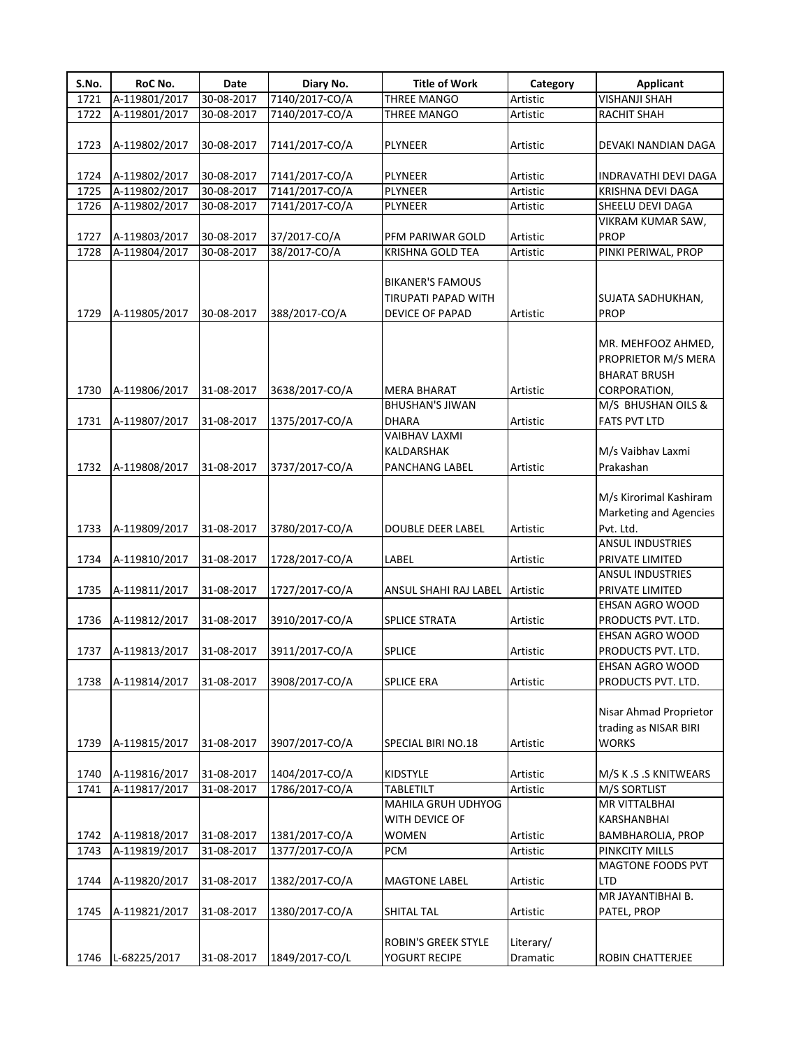| S.No. | RoC No.       | Date       | Diary No.      | <b>Title of Work</b>       | Category  | <b>Applicant</b>                      |
|-------|---------------|------------|----------------|----------------------------|-----------|---------------------------------------|
| 1721  | A-119801/2017 | 30-08-2017 | 7140/2017-CO/A | <b>THREE MANGO</b>         | Artistic  | <b>VISHANJI SHAH</b>                  |
| 1722  | A-119801/2017 | 30-08-2017 | 7140/2017-CO/A | <b>THREE MANGO</b>         | Artistic  | RACHIT SHAH                           |
|       |               |            |                |                            |           |                                       |
| 1723  | A-119802/2017 | 30-08-2017 | 7141/2017-CO/A | PLYNEER                    | Artistic  | DEVAKI NANDIAN DAGA                   |
|       |               |            |                |                            |           |                                       |
| 1724  | A-119802/2017 | 30-08-2017 | 7141/2017-CO/A | PLYNEER                    | Artistic  | INDRAVATHI DEVI DAGA                  |
| 1725  | A-119802/2017 | 30-08-2017 | 7141/2017-CO/A | PLYNEER                    | Artistic  | KRISHNA DEVI DAGA                     |
| 1726  | A-119802/2017 | 30-08-2017 | 7141/2017-CO/A | PLYNEER                    | Artistic  | SHEELU DEVI DAGA                      |
|       |               |            |                |                            |           | VIKRAM KUMAR SAW,                     |
| 1727  | A-119803/2017 | 30-08-2017 | 37/2017-CO/A   | PFM PARIWAR GOLD           | Artistic  | <b>PROP</b>                           |
| 1728  | A-119804/2017 | 30-08-2017 | 38/2017-CO/A   | KRISHNA GOLD TEA           | Artistic  | PINKI PERIWAL, PROP                   |
|       |               |            |                |                            |           |                                       |
|       |               |            |                | <b>BIKANER'S FAMOUS</b>    |           |                                       |
|       |               |            |                | TIRUPATI PAPAD WITH        |           | SUJATA SADHUKHAN,                     |
| 1729  | A-119805/2017 | 30-08-2017 | 388/2017-CO/A  | DEVICE OF PAPAD            | Artistic  | <b>PROP</b>                           |
|       |               |            |                |                            |           |                                       |
|       |               |            |                |                            |           | MR. MEHFOOZ AHMED,                    |
|       |               |            |                |                            |           | PROPRIETOR M/S MERA                   |
|       |               |            |                |                            |           | <b>BHARAT BRUSH</b>                   |
| 1730  | A-119806/2017 | 31-08-2017 | 3638/2017-CO/A | <b>MERA BHARAT</b>         | Artistic  | CORPORATION,                          |
|       |               |            |                | BHUSHAN'S JIWAN            |           | M/S BHUSHAN OILS &                    |
| 1731  | A-119807/2017 | 31-08-2017 | 1375/2017-CO/A | <b>DHARA</b>               | Artistic  | <b>FATS PVT LTD</b>                   |
|       |               |            |                | <b>VAIBHAV LAXMI</b>       |           |                                       |
|       |               |            |                | KALDARSHAK                 |           | M/s Vaibhav Laxmi                     |
| 1732  | A-119808/2017 | 31-08-2017 | 3737/2017-CO/A | PANCHANG LABEL             | Artistic  | Prakashan                             |
|       |               |            |                |                            |           |                                       |
|       |               |            |                |                            |           | M/s Kirorimal Kashiram                |
|       |               |            |                |                            |           | Marketing and Agencies                |
| 1733  | A-119809/2017 | 31-08-2017 | 3780/2017-CO/A | <b>DOUBLE DEER LABEL</b>   | Artistic  | Pvt. Ltd.                             |
|       |               |            |                |                            |           | <b>ANSUL INDUSTRIES</b>               |
| 1734  | A-119810/2017 | 31-08-2017 | 1728/2017-CO/A | LABEL                      | Artistic  | PRIVATE LIMITED                       |
|       |               |            |                |                            |           | ANSUL INDUSTRIES                      |
| 1735  | A-119811/2017 | 31-08-2017 | 1727/2017-CO/A | ANSUL SHAHI RAJ LABEL      | Artistic  | PRIVATE LIMITED                       |
|       |               |            |                |                            |           | EHSAN AGRO WOOD                       |
| 1736  | A-119812/2017 | 31-08-2017 | 3910/2017-CO/A | <b>SPLICE STRATA</b>       | Artistic  | PRODUCTS PVT. LTD.                    |
|       |               |            |                |                            |           | EHSAN AGRO WOOD                       |
|       |               |            |                |                            |           |                                       |
| 1737  | A-119813/2017 | 31-08-2017 | 3911/2017-CO/A | <b>SPLICE</b>              | Artistic  | PRODUCTS PVT. LTD.<br>EHSAN AGRO WOOD |
| 1738  |               |            |                |                            |           |                                       |
|       | A-119814/2017 | 31-08-2017 | 3908/2017-CO/A | <b>SPLICE ERA</b>          | Artistic  | PRODUCTS PVT. LTD.                    |
|       |               |            |                |                            |           |                                       |
|       |               |            |                |                            |           | Nisar Ahmad Proprietor                |
|       |               |            |                |                            |           | trading as NISAR BIRI                 |
| 1739  | A-119815/2017 | 31-08-2017 | 3907/2017-CO/A | SPECIAL BIRI NO.18         | Artistic  | <b>WORKS</b>                          |
|       |               |            |                |                            |           |                                       |
| 1740  | A-119816/2017 | 31-08-2017 | 1404/2017-CO/A | KIDSTYLE                   | Artistic  | M/S K .S .S KNITWEARS                 |
| 1741  | A-119817/2017 | 31-08-2017 | 1786/2017-CO/A | <b>TABLETILT</b>           | Artistic  | M/S SORTLIST                          |
|       |               |            |                | MAHILA GRUH UDHYOG         |           | MR VITTALBHAI                         |
|       |               |            |                | WITH DEVICE OF             |           | KARSHANBHAI                           |
| 1742  | A-119818/2017 | 31-08-2017 | 1381/2017-CO/A | WOMEN                      | Artistic  | BAMBHAROLIA, PROP                     |
| 1743  | A-119819/2017 | 31-08-2017 | 1377/2017-CO/A | <b>PCM</b>                 | Artistic  | PINKCITY MILLS                        |
|       |               |            |                |                            |           | MAGTONE FOODS PVT                     |
| 1744  | A-119820/2017 | 31-08-2017 | 1382/2017-CO/A | <b>MAGTONE LABEL</b>       | Artistic  | LTD                                   |
|       |               |            |                |                            |           | MR JAYANTIBHAI B.                     |
| 1745  | A-119821/2017 | 31-08-2017 | 1380/2017-CO/A | SHITAL TAL                 | Artistic  | PATEL, PROP                           |
|       |               |            |                |                            |           |                                       |
|       |               |            |                | <b>ROBIN'S GREEK STYLE</b> | Literary/ |                                       |
| 1746  | L-68225/2017  | 31-08-2017 | 1849/2017-CO/L | YOGURT RECIPE              | Dramatic  | ROBIN CHATTERJEE                      |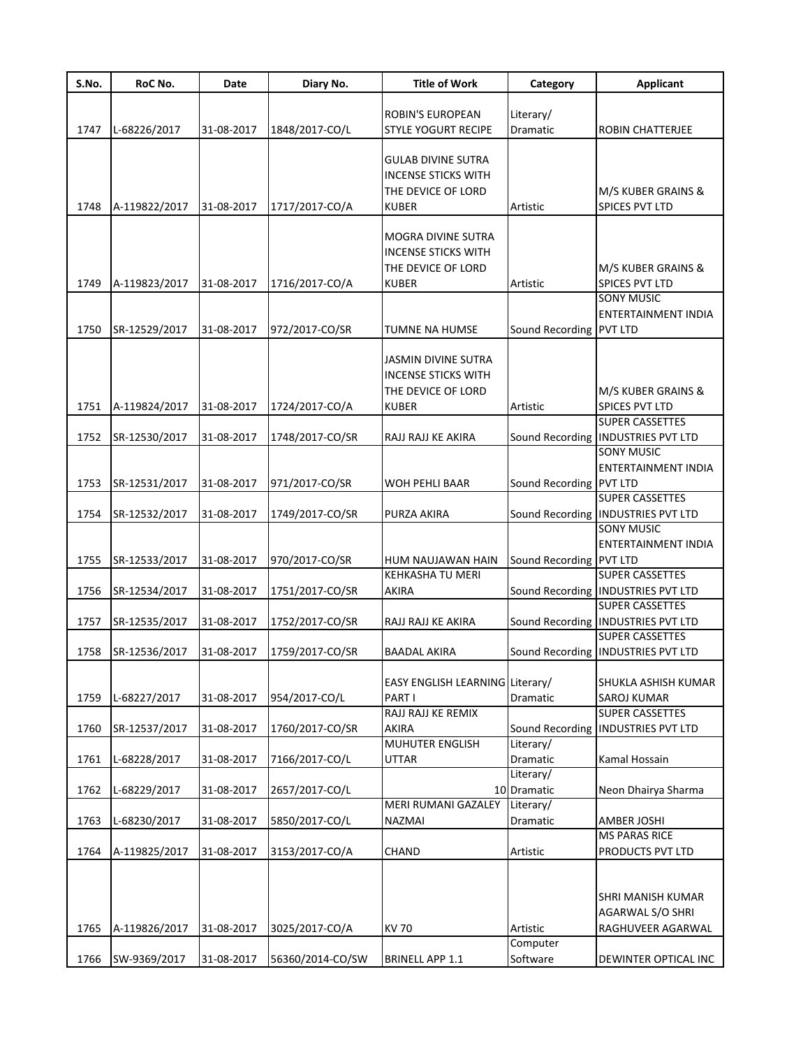| S.No. | RoC No.       | Date       | Diary No.        | <b>Title of Work</b>            | Category                | <b>Applicant</b>                     |
|-------|---------------|------------|------------------|---------------------------------|-------------------------|--------------------------------------|
|       |               |            |                  |                                 |                         |                                      |
|       |               |            |                  | ROBIN'S EUROPEAN                | Literary/               |                                      |
| 1747  | L-68226/2017  | 31-08-2017 | 1848/2017-CO/L   | <b>STYLE YOGURT RECIPE</b>      | Dramatic                | <b>ROBIN CHATTERJEE</b>              |
|       |               |            |                  | <b>GULAB DIVINE SUTRA</b>       |                         |                                      |
|       |               |            |                  | <b>INCENSE STICKS WITH</b>      |                         |                                      |
|       |               |            |                  | THE DEVICE OF LORD              |                         | M/S KUBER GRAINS &                   |
|       |               | 31-08-2017 | 1717/2017-CO/A   |                                 |                         |                                      |
| 1748  | A-119822/2017 |            |                  | <b>KUBER</b>                    | Artistic                | SPICES PVT LTD                       |
|       |               |            |                  | MOGRA DIVINE SUTRA              |                         |                                      |
|       |               |            |                  | <b>INCENSE STICKS WITH</b>      |                         |                                      |
|       |               |            |                  | THE DEVICE OF LORD              |                         | M/S KUBER GRAINS &                   |
| 1749  | A-119823/2017 | 31-08-2017 | 1716/2017-CO/A   | <b>KUBER</b>                    | Artistic                | SPICES PVT LTD                       |
|       |               |            |                  |                                 |                         | <b>SONY MUSIC</b>                    |
|       |               |            |                  |                                 |                         | <b>ENTERTAINMENT INDIA</b>           |
| 1750  | SR-12529/2017 | 31-08-2017 | 972/2017-CO/SR   | <b>TUMNE NA HUMSE</b>           | Sound Recording PVT LTD |                                      |
|       |               |            |                  |                                 |                         |                                      |
|       |               |            |                  | JASMIN DIVINE SUTRA             |                         |                                      |
|       |               |            |                  | <b>INCENSE STICKS WITH</b>      |                         |                                      |
|       |               |            |                  | THE DEVICE OF LORD              |                         | M/S KUBER GRAINS &                   |
| 1751  | A-119824/2017 | 31-08-2017 | 1724/2017-CO/A   | <b>KUBER</b>                    | Artistic                | SPICES PVT LTD                       |
|       |               |            |                  |                                 |                         | <b>SUPER CASSETTES</b>               |
| 1752  | SR-12530/2017 | 31-08-2017 | 1748/2017-CO/SR  | RAJJ RAJJ KE AKIRA              |                         | Sound Recording   INDUSTRIES PVT LTD |
|       |               |            |                  |                                 |                         | <b>SONY MUSIC</b>                    |
|       |               |            |                  |                                 |                         | <b>ENTERTAINMENT INDIA</b>           |
| 1753  | SR-12531/2017 | 31-08-2017 | 971/2017-CO/SR   | <b>WOH PEHLI BAAR</b>           | Sound Recording PVT LTD |                                      |
|       |               |            |                  |                                 |                         | <b>SUPER CASSETTES</b>               |
| 1754  | SR-12532/2017 | 31-08-2017 | 1749/2017-CO/SR  | <b>PURZA AKIRA</b>              |                         | Sound Recording   INDUSTRIES PVT LTD |
|       |               |            |                  |                                 |                         | <b>SONY MUSIC</b>                    |
|       |               |            |                  |                                 |                         | ENTERTAINMENT INDIA                  |
| 1755  | SR-12533/2017 | 31-08-2017 | 970/2017-CO/SR   | HUM NAUJAWAN HAIN               | Sound Recording PVT LTD |                                      |
|       |               |            |                  | <b>KEHKASHA TU MERI</b>         |                         | <b>SUPER CASSETTES</b>               |
| 1756  | SR-12534/2017 | 31-08-2017 | 1751/2017-CO/SR  | <b>AKIRA</b>                    |                         | Sound Recording   INDUSTRIES PVT LTD |
|       |               |            |                  |                                 |                         | <b>SUPER CASSETTES</b>               |
| 1757  | SR-12535/2017 | 31-08-2017 | 1752/2017-CO/SR  | RAJJ RAJJ KE AKIRA              |                         | Sound Recording   INDUSTRIES PVT LTD |
|       |               |            |                  |                                 |                         | <b>SUPER CASSETTES</b>               |
| 1758  | SR-12536/2017 | 31-08-2017 | 1759/2017-CO/SR  | BAADAL AKIRA                    |                         | Sound Recording   INDUSTRIES PVT LTD |
|       |               |            |                  |                                 |                         |                                      |
|       |               |            |                  | EASY ENGLISH LEARNING Literary/ |                         | SHUKLA ASHISH KUMAR                  |
| 1759  | L-68227/2017  | 31-08-2017 | 954/2017-CO/L    | PART I                          | Dramatic                | SAROJ KUMAR                          |
|       |               |            |                  | RAJJ RAJJ KE REMIX              |                         | SUPER CASSETTES                      |
| 1760  | SR-12537/2017 | 31-08-2017 | 1760/2017-CO/SR  | AKIRA                           |                         | Sound Recording   INDUSTRIES PVT LTD |
|       |               |            |                  | MUHUTER ENGLISH                 | Literary/               |                                      |
| 1761  | L-68228/2017  | 31-08-2017 | 7166/2017-CO/L   | <b>UTTAR</b>                    | Dramatic                | Kamal Hossain                        |
|       |               |            |                  |                                 | Literary/               |                                      |
| 1762  | L-68229/2017  | 31-08-2017 | 2657/2017-CO/L   |                                 | 10 Dramatic             | Neon Dhairya Sharma                  |
|       |               |            |                  | <b>MERI RUMANI GAZALEY</b>      | Literary/               |                                      |
| 1763  | L-68230/2017  | 31-08-2017 | 5850/2017-CO/L   | NAZMAI                          | Dramatic                | <b>AMBER JOSHI</b>                   |
|       |               |            |                  |                                 |                         | <b>MS PARAS RICE</b>                 |
| 1764  | A-119825/2017 | 31-08-2017 | 3153/2017-CO/A   | <b>CHAND</b>                    | Artistic                | PRODUCTS PVT LTD                     |
|       |               |            |                  |                                 |                         |                                      |
|       |               |            |                  |                                 |                         |                                      |
|       |               |            |                  |                                 |                         | SHRI MANISH KUMAR                    |
|       |               |            |                  |                                 |                         | AGARWAL S/O SHRI                     |
| 1765  | A-119826/2017 | 31-08-2017 | 3025/2017-CO/A   | <b>KV70</b>                     | Artistic                | RAGHUVEER AGARWAL                    |
|       |               |            |                  |                                 | Computer                |                                      |
| 1766  | SW-9369/2017  | 31-08-2017 | 56360/2014-CO/SW | <b>BRINELL APP 1.1</b>          | Software                | DEWINTER OPTICAL INC                 |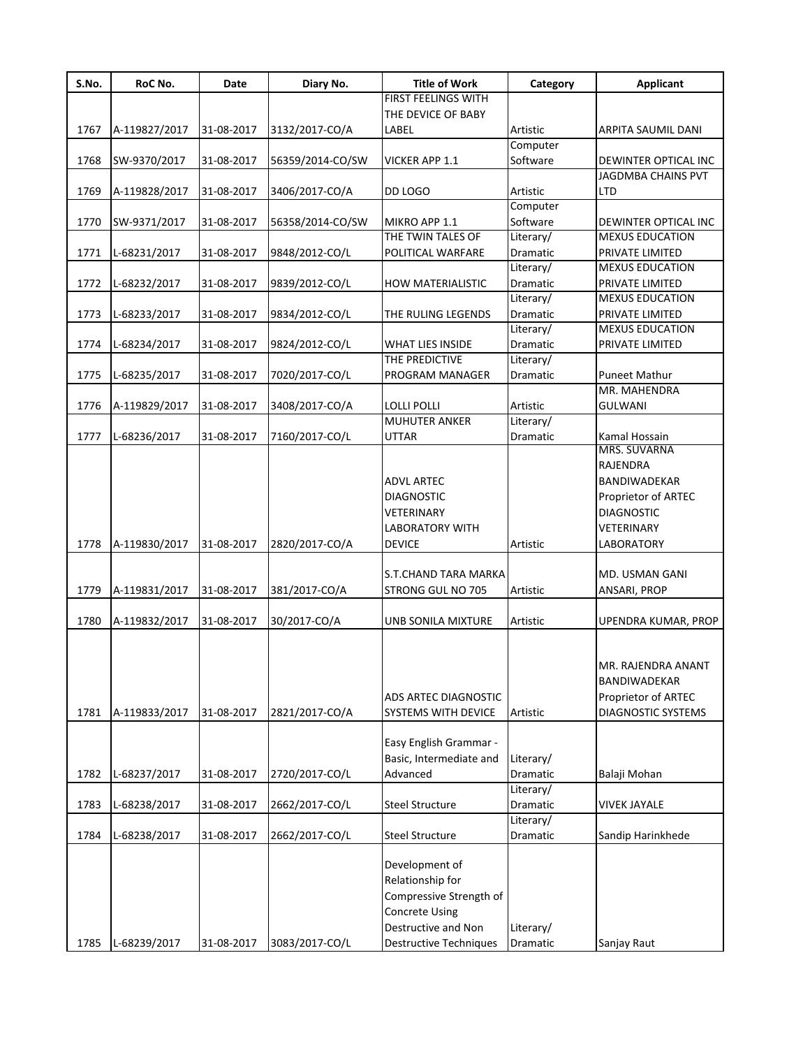| S.No. | RoC No.       | Date       | Diary No.        | <b>Title of Work</b>          | Category  | <b>Applicant</b>       |
|-------|---------------|------------|------------------|-------------------------------|-----------|------------------------|
|       |               |            |                  | <b>FIRST FEELINGS WITH</b>    |           |                        |
|       |               |            |                  | THE DEVICE OF BABY            |           |                        |
| 1767  | A-119827/2017 | 31-08-2017 | 3132/2017-CO/A   | LABEL                         | Artistic  | ARPITA SAUMIL DANI     |
|       |               |            |                  |                               | Computer  |                        |
| 1768  | SW-9370/2017  | 31-08-2017 | 56359/2014-CO/SW | <b>VICKER APP 1.1</b>         | Software  | DEWINTER OPTICAL INC   |
|       |               |            |                  |                               |           | JAGDMBA CHAINS PVT     |
| 1769  | A-119828/2017 | 31-08-2017 | 3406/2017-CO/A   | DD LOGO                       | Artistic  | LTD                    |
|       |               |            |                  |                               | Computer  |                        |
| 1770  | SW-9371/2017  | 31-08-2017 | 56358/2014-CO/SW | MIKRO APP 1.1                 | Software  | DEWINTER OPTICAL INC   |
|       |               |            |                  | THE TWIN TALES OF             | Literary/ | <b>MEXUS EDUCATION</b> |
| 1771  | L-68231/2017  | 31-08-2017 | 9848/2012-CO/L   | POLITICAL WARFARE             | Dramatic  | PRIVATE LIMITED        |
|       |               |            |                  |                               | Literary/ | <b>MEXUS EDUCATION</b> |
| 1772  | L-68232/2017  | 31-08-2017 | 9839/2012-CO/L   | <b>HOW MATERIALISTIC</b>      | Dramatic  | PRIVATE LIMITED        |
|       |               |            |                  |                               | Literary/ | <b>MEXUS EDUCATION</b> |
| 1773  | L-68233/2017  | 31-08-2017 | 9834/2012-CO/L   | THE RULING LEGENDS            | Dramatic  | PRIVATE LIMITED        |
|       |               |            |                  |                               | Literary/ | <b>MEXUS EDUCATION</b> |
| 1774  | L-68234/2017  | 31-08-2017 | 9824/2012-CO/L   | <b>WHAT LIES INSIDE</b>       | Dramatic  | PRIVATE LIMITED        |
|       |               |            |                  | THE PREDICTIVE                | Literary/ |                        |
| 1775  | L-68235/2017  | 31-08-2017 | 7020/2017-CO/L   | PROGRAM MANAGER               | Dramatic  | <b>Puneet Mathur</b>   |
|       |               |            |                  |                               |           | MR. MAHENDRA           |
| 1776  | A-119829/2017 | 31-08-2017 | 3408/2017-CO/A   | LOLLI POLLI                   | Artistic  | <b>GULWANI</b>         |
|       |               |            |                  | <b>MUHUTER ANKER</b>          | Literary/ |                        |
| 1777  | L-68236/2017  | 31-08-2017 | 7160/2017-CO/L   | <b>UTTAR</b>                  | Dramatic  | Kamal Hossain          |
|       |               |            |                  |                               |           | MRS. SUVARNA           |
|       |               |            |                  |                               |           | RAJENDRA               |
|       |               |            |                  | <b>ADVL ARTEC</b>             |           | <b>BANDIWADEKAR</b>    |
|       |               |            |                  | <b>DIAGNOSTIC</b>             |           | Proprietor of ARTEC    |
|       |               |            |                  | <b>VETERINARY</b>             |           | <b>DIAGNOSTIC</b>      |
|       |               |            |                  | <b>LABORATORY WITH</b>        |           | VETERINARY             |
| 1778  | A-119830/2017 | 31-08-2017 | 2820/2017-CO/A   | <b>DEVICE</b>                 | Artistic  | LABORATORY             |
|       |               |            |                  |                               |           |                        |
|       |               |            |                  | S.T.CHAND TARA MARKA          |           | MD. USMAN GANI         |
| 1779  | A-119831/2017 | 31-08-2017 | 381/2017-CO/A    | STRONG GUL NO 705             | Artistic  | ANSARI, PROP           |
|       |               |            |                  |                               |           |                        |
| 1780  | A-119832/2017 | 31-08-2017 | 30/2017-CO/A     | UNB SONILA MIXTURE            | Artistic  | UPENDRA KUMAR, PROP    |
|       |               |            |                  |                               |           |                        |
|       |               |            |                  |                               |           |                        |
|       |               |            |                  |                               |           | MR. RAJENDRA ANANT     |
|       |               |            |                  |                               |           | BANDIWADEKAR           |
|       |               |            |                  | ADS ARTEC DIAGNOSTIC          |           |                        |
|       |               |            |                  |                               |           | Proprietor of ARTEC    |
| 1781  | A-119833/2017 | 31-08-2017 | 2821/2017-CO/A   | SYSTEMS WITH DEVICE           | Artistic  | DIAGNOSTIC SYSTEMS     |
|       |               |            |                  |                               |           |                        |
|       |               |            |                  | Easy English Grammar -        |           |                        |
|       |               |            |                  | Basic, Intermediate and       | Literary/ |                        |
| 1782  | L-68237/2017  | 31-08-2017 | 2720/2017-CO/L   | Advanced                      | Dramatic  | Balaji Mohan           |
|       |               |            |                  |                               | Literary/ |                        |
| 1783  | L-68238/2017  | 31-08-2017 | 2662/2017-CO/L   | <b>Steel Structure</b>        | Dramatic  | <b>VIVEK JAYALE</b>    |
|       |               |            |                  |                               | Literary/ |                        |
| 1784  | L-68238/2017  | 31-08-2017 | 2662/2017-CO/L   | <b>Steel Structure</b>        | Dramatic  | Sandip Harinkhede      |
|       |               |            |                  |                               |           |                        |
|       |               |            |                  | Development of                |           |                        |
|       |               |            |                  | Relationship for              |           |                        |
|       |               |            |                  | Compressive Strength of       |           |                        |
|       |               |            |                  | <b>Concrete Using</b>         |           |                        |
|       |               |            |                  | Destructive and Non           | Literary/ |                        |
| 1785  | L-68239/2017  | 31-08-2017 | 3083/2017-CO/L   | <b>Destructive Techniques</b> | Dramatic  | Sanjay Raut            |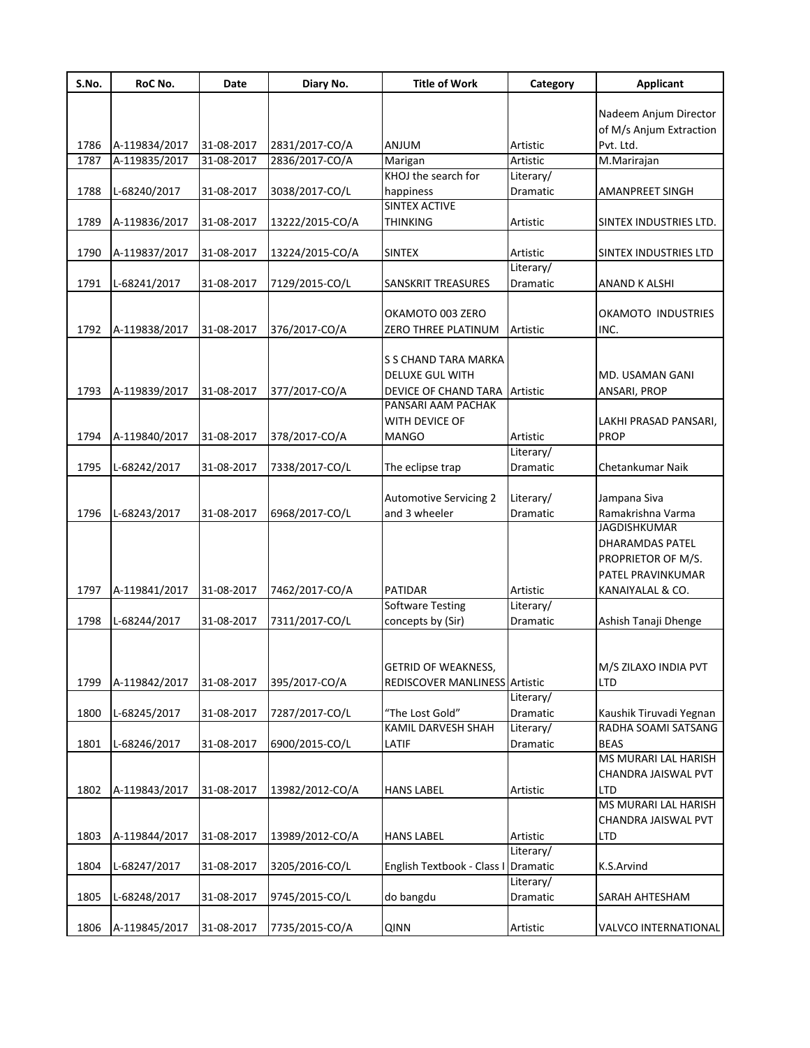| S.No. | RoC No.       | Date       | Diary No.       | <b>Title of Work</b>                 | Category             | <b>Applicant</b>        |
|-------|---------------|------------|-----------------|--------------------------------------|----------------------|-------------------------|
|       |               |            |                 |                                      |                      |                         |
|       |               |            |                 |                                      |                      | Nadeem Anjum Director   |
|       |               |            |                 |                                      |                      | of M/s Anjum Extraction |
| 1786  | A-119834/2017 | 31-08-2017 | 2831/2017-CO/A  | ANJUM                                | Artistic<br>Artistic | Pvt. Ltd.               |
| 1787  | A-119835/2017 | 31-08-2017 | 2836/2017-CO/A  | Marigan<br>KHOJ the search for       | Literary/            | M.Marirajan             |
| 1788  | L-68240/2017  | 31-08-2017 | 3038/2017-CO/L  | happiness                            | Dramatic             | AMANPREET SINGH         |
|       |               |            |                 | SINTEX ACTIVE                        |                      |                         |
| 1789  | A-119836/2017 | 31-08-2017 | 13222/2015-CO/A | <b>THINKING</b>                      | Artistic             | SINTEX INDUSTRIES LTD.  |
|       |               |            |                 |                                      |                      |                         |
| 1790  | A-119837/2017 | 31-08-2017 | 13224/2015-CO/A | <b>SINTEX</b>                        | Artistic             | SINTEX INDUSTRIES LTD   |
|       |               |            |                 |                                      | Literary/            |                         |
| 1791  | L-68241/2017  | 31-08-2017 | 7129/2015-CO/L  | SANSKRIT TREASURES                   | Dramatic             | ANAND K ALSHI           |
|       |               |            |                 |                                      |                      |                         |
|       |               |            |                 | OKAMOTO 003 ZERO                     |                      | OKAMOTO INDUSTRIES      |
| 1792  | A-119838/2017 | 31-08-2017 | 376/2017-CO/A   | ZERO THREE PLATINUM                  | Artistic             | INC.                    |
|       |               |            |                 |                                      |                      |                         |
|       |               |            |                 | S S CHAND TARA MARKA                 |                      |                         |
|       |               |            |                 | DELUXE GUL WITH                      |                      | MD. USAMAN GANI         |
| 1793  | A-119839/2017 | 31-08-2017 | 377/2017-CO/A   | DEVICE OF CHAND TARA                 | Artistic             | ANSARI, PROP            |
|       |               |            |                 | PANSARI AAM PACHAK                   |                      |                         |
|       |               |            |                 | WITH DEVICE OF                       |                      | LAKHI PRASAD PANSARI,   |
| 1794  | A-119840/2017 | 31-08-2017 | 378/2017-CO/A   | <b>MANGO</b>                         | Artistic             | <b>PROP</b>             |
|       |               |            |                 |                                      | Literary/            |                         |
| 1795  | L-68242/2017  | 31-08-2017 | 7338/2017-CO/L  | The eclipse trap                     | Dramatic             | Chetankumar Naik        |
|       |               |            |                 |                                      |                      |                         |
|       |               |            |                 | <b>Automotive Servicing 2</b>        | Literary/            | Jampana Siva            |
| 1796  | L-68243/2017  | 31-08-2017 | 6968/2017-CO/L  | and 3 wheeler                        | Dramatic             | Ramakrishna Varma       |
|       |               |            |                 |                                      |                      | <b>JAGDISHKUMAR</b>     |
|       |               |            |                 |                                      |                      | DHARAMDAS PATEL         |
|       |               |            |                 |                                      |                      | PROPRIETOR OF M/S.      |
|       |               |            |                 |                                      |                      | PATEL PRAVINKUMAR       |
| 1797  | A-119841/2017 | 31-08-2017 | 7462/2017-CO/A  | PATIDAR                              | Artistic             | KANAIYALAL & CO.        |
|       |               |            |                 | <b>Software Testing</b>              | Literary/            |                         |
| 1798  | L-68244/2017  | 31-08-2017 | 7311/2017-CO/L  | concepts by (Sir)                    | Dramatic             | Ashish Tanaji Dhenge    |
|       |               |            |                 |                                      |                      |                         |
|       |               |            |                 |                                      |                      |                         |
|       |               |            |                 | <b>GETRID OF WEAKNESS,</b>           |                      | M/S ZILAXO INDIA PVT    |
| 1799  | A-119842/2017 | 31-08-2017 | 395/2017-CO/A   | <b>REDISCOVER MANLINESS Artistic</b> |                      | LTD                     |
|       |               |            |                 |                                      | Literary/            |                         |
| 1800  | L-68245/2017  | 31-08-2017 | 7287/2017-CO/L  | "The Lost Gold"                      | Dramatic             | Kaushik Tiruvadi Yegnan |
|       |               |            |                 | KAMIL DARVESH SHAH                   | Literary/            | RADHA SOAMI SATSANG     |
| 1801  | L-68246/2017  | 31-08-2017 | 6900/2015-CO/L  | LATIF                                | Dramatic             | <b>BEAS</b>             |
|       |               |            |                 |                                      |                      | MS MURARI LAL HARISH    |
|       |               |            |                 |                                      |                      | CHANDRA JAISWAL PVT     |
| 1802  | A-119843/2017 | 31-08-2017 | 13982/2012-CO/A | <b>HANS LABEL</b>                    | Artistic             | <b>LTD</b>              |
|       |               |            |                 |                                      |                      | MS MURARI LAL HARISH    |
|       |               |            |                 |                                      |                      | CHANDRA JAISWAL PVT     |
| 1803  | A-119844/2017 | 31-08-2017 | 13989/2012-CO/A | <b>HANS LABEL</b>                    | Artistic             | LTD                     |
|       |               |            |                 |                                      | Literary/            |                         |
| 1804  | L-68247/2017  | 31-08-2017 | 3205/2016-CO/L  | English Textbook - Class I           | Dramatic             | K.S.Arvind              |
|       |               |            |                 |                                      | Literary/            |                         |
| 1805  | L-68248/2017  | 31-08-2017 | 9745/2015-CO/L  | do bangdu                            | Dramatic             | SARAH AHTESHAM          |
|       |               |            |                 |                                      |                      |                         |
| 1806  | A-119845/2017 | 31-08-2017 | 7735/2015-CO/A  | <b>QINN</b>                          | Artistic             | VALVCO INTERNATIONAL    |